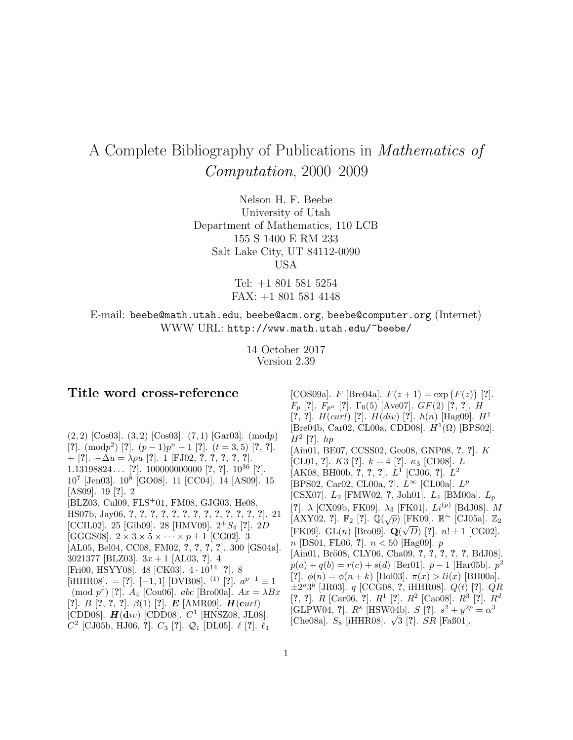# A Complete Bibliography of Publications in Mathematics of Computation, 2000–2009

Nelson H. F. Beebe University of Utah Department of Mathematics, 110 LCB 155 S 1400 E RM 233 Salt Lake City, UT 84112-0090 USA

> Tel: +1 801 581 5254 FAX: +1 801 581 4148

E-mail: beebe@math.utah.edu, beebe@acm.org, beebe@computer.org (Internet) WWW URL: http://www.math.utah.edu/~beebe/

> 14 October 2017 Version 2.39

# **Title word cross-reference**

 $(2, 2)$  [Cos03].  $(3, 2)$  [Cos03].  $(7, 1)$  [Gar03].  $(mod p)$  $[?]$ . (modp<sup>2</sup>) [?].  $(p-1)p^{n}-1$  [?].  $(t = 3, 5)$  [?, ?]. + [**?**]. −∆u = λρu [**?**]. 1 [FJ02, **?**, **?**, **?**, **?**, **?**]. 1.13198824 ... [**?**]. 100000000000 [**?**, **?**]. 10<sup>36</sup> [**?**]. 10<sup>7</sup> [Jen03]. 10<sup>8</sup> [GO08]. 11 [CC04]. 14 [AS09]. 15 [AS09]. 19 [**?**]. 2 [BLZ03, Cul09, FLS<sup>+</sup>01, FM08, GJG03, He08, HS07b, Jay06, **?**, **?**, **?**, **?**, **?**, **?**, **?**, **?**, **?**, **?**, **?**, **?**, **?**]. 21 [CCIL02]. 25 [Gib09]. 28 [HMV09]. 2<sup>+</sup>S<sup>4</sup> [**?**]. 2D [GGGS08].  $2 \times 3 \times 5 \times \cdots \times p \pm 1$  [CG02]. 3 [AL05, Bel04, CC08, FM02, **?**, **?**, **?**, **?**]. 300 [GS04a]. 3021377 [BLZ03]. 3x + 1 [AL03, **?**]. 4 [Fri00, HSYY08]. 48 [CK03]. 4 · <sup>10</sup><sup>14</sup> [**?**]. 8 [iHHR08]. = [**?**]. [−1, 1] [DVB08]. <sup>(1)</sup> [**?**].  $a^{p-1} \equiv 1$ (mod  $p^r$ ) [?].  $A_4$  [Cou06]. abc [Bro00a].  $Ax = \lambda Bx$ [**?**]. B [**?**, **?**, **?**]. β(1) [**?**]. *E* [AMR09]. *H* (**c**url) [CDD08].  $H(\text{div})$  [CDD08].  $C^1$  [HNSZ08, JL08].  $C^2$  [CJ05b, HJ06, ?].  $C_3$  [?].  $\mathcal{Q}_1$  [DL05].  $\ell$  [?].  $\ell_1$ 

 $F_p$  [?].  $F_{p^n}$  [?].  $\Gamma_0(5)$  [Ave07].  $GF(2)$  [?, ?]. *H* [**?**, **?**]. H(curl) [**?**]. H(div) [**?**]. h(n) [Hag09]. H<sup>1</sup> [Bre04b, Car02, CL00a, CDD08].  $H^1(\Omega)$  [BPS02].  $H^2$  [?]. hp [Ain01, BE07, CCSS02, Geo08, GNP08, **?**, **?**]. K [CL01, ?]. K3 [?].  $k = 4$  [?].  $\kappa_3$  [CD08]. L [AK08, BH00b, **?**, **?**, **?**]. L<sup>1</sup> [CJ06, **?**]. L<sup>2</sup> [BPS02, Car02, CL00a, **?**]. L<sup>∞</sup> [CL00a]. L<sup>p</sup> [CSX07]. L<sup>2</sup> [FMW02, **?**, Joh01]. L<sup>4</sup> [BM00a]. L<sup>p</sup> [?].  $\lambda$  [CX09b, FK09].  $\lambda_3$  [FK01].  $Li^{(p)}$  [BdJ08]. M  $[AXY02, ?]$ .  $\mathbb{F}_2$   $[?]$ .  $\mathbb{Q}(\sqrt{p})$  [FK09].  $\mathbb{R}^{\sim}$  [CJ05a].  $\mathbb{Z}_2$ <br>[EX00]. CL(n) [Pro00].  $\mathbb{Q}(\sqrt{p})$  [2]. al. | 1 [CG00] [FK09].  $GL(n)$  [Bro09].  $Q(\sqrt{D})$  [?].  $n! \pm 1$  [CG02]. n [DS01, FL06, **?**]. n < 50 [Hag09]. p [Ain01, Br¨o08, CLY06, Cha09, **?**, **?**, **?**, **?**, **?**, BdJ08].  $p(a) + q(b) = r(c) + s(d)$  [Ber01].  $p - 1$  [Har05b].  $p<sup>2</sup>$ [?].  $\phi(n) = \phi(n+k)$  [Hol03].  $\pi(x) > li(x)$  [BH00a].  $\pm 2^a 3^b$  [JR03].  $q$  [CCG08, ?, iHHR08].  $Q(t)$  [?].  $QR$ [**?**, **?**]. R [Car06, **?**]. R<sup>1</sup> [**?**]. R<sup>2</sup> [Cao08]. R<sup>3</sup> [**?**]. R<sup>d</sup> [GLPW04, **?**].  $R^s$  [HSW04b].  $S$  [**?**].  $s^2 + y^{2p} = \alpha^3$ [Che08a].  $S_8$  [iHHR08].  $\sqrt{3}$  [?].  $SR$  [Faß01].

[COS09a]. *F* [Bre04a].  $F(z + 1) = \exp(F(z))$  [?].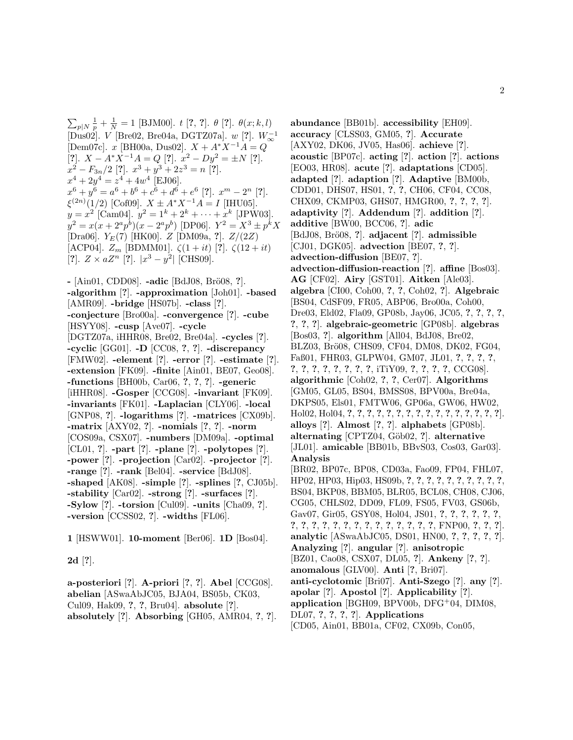$\sum_{p|N} \frac{1}{p} + \frac{1}{N} = 1$  [BJM00]. t [?, ?].  $\theta$  [?].  $\theta(x; k, l)$ [Dus02]. <sup>V</sup> [Bre02, Bre04a, DGTZ07a]. <sup>w</sup> [**?**]. <sup>W</sup>−<sup>1</sup> <sup>∞</sup> [Dem07c]. x [BH00a, Dus02].  $X + A^*X^{-1}A = Q$ [**?**].  $X - A^*X^{-1}A = Q$  [**?**].  $x^2 - Dy^2 = \pm N$  [**?**].  $x^2 - F_{3n}/2$  [?].  $x^3 + y^3 + 2z^3 = n$  [?].  $x^4 + 2y^4 = z^4 + 4w^4$  [EJ06].  $x^6 + y^6 = a^6 + b^6 + c^6 + d^6 + e^6$  [?].  $x^m - 2^n$  [?].  $\xi^{(2n)}(1/2)$  [Cof09].  $X \pm A^* X^{-1} A = I$  [IHU05].  $y = x^2$  [Cam04].  $y^2 = 1^k + 2^k + \cdots + x^k$  [JPW03].  $y^2 = x(x + 2^a p^b)(x - 2^a p^b)$  [DP06].  $Y^2 = X^3 \pm p^k X$ [Dra06]. YE(7) [HK00]. Z [DM09a, **?**]. Z/(2Z) [ACP04]. Z<sup>m</sup> [BDMM01]. ζ(1 + it) [**?**]. ζ(12 + it) [**?**].  $Z \times aZ^n$  [**?**].  $|x^3 - y^2|$  [CHS09].

**-** [Ain01, CDD08]. **-adic** [BdJ08, Br¨o08, **?**]. **-algorithm** [**?**]. **-approximation** [Joh01]. **-based** [AMR09]. **-bridge** [HS07b]. **-class** [**?**]. **-conjecture** [Bro00a]. **-convergence** [**?**]. **-cube** [HSYY08]. **-cusp** [Ave07]. **-cycle** [DGTZ07a, iHHR08, Bre02, Bre04a]. **-cycles** [**?**]. **-cyclic** [GG01]. **-D** [CC08, **?**, **?**]. **-discrepancy** [FMW02]. **-element** [**?**]. **-error** [**?**]. **-estimate** [**?**]. **-extension** [FK09]. **-finite** [Ain01, BE07, Geo08]. **-functions** [BH00b, Car06, **?**, **?**, **?**]. **-generic** [iHHR08]. **-Gosper** [CCG08]. **-invariant** [FK09]. **-invariants** [FK01]. **-Laplacian** [CLY06]. **-local** [GNP08, **?**]. **-logarithms** [**?**]. **-matrices** [CX09b]. **-matrix** [AXY02, **?**]. **-nomials** [**?**, **?**]. **-norm** [COS09a, CSX07]. **-numbers** [DM09a]. **-optimal** [CL01, **?**]. **-part** [**?**]. **-plane** [**?**]. **-polytopes** [**?**]. **-power** [**?**]. **-projection** [Car02]. **-projector** [**?**]. **-range** [**?**]. **-rank** [Bel04]. **-service** [BdJ08]. **-shaped** [AK08]. **-simple** [**?**]. **-splines** [**?**, CJ05b]. **-stability** [Car02]. **-strong** [**?**]. **-surfaces** [**?**]. **-Sylow** [**?**]. **-torsion** [Cul09]. **-units** [Cha09, **?**]. **-version** [CCSS02, **?**]. **-widths** [FL06].

**1** [HSWW01]. **10-moment** [Ber06]. **1D** [Bos04].

**2d** [**?**].

**a-posteriori** [**?**]. **A-priori** [**?**, **?**]. **Abel** [CCG08]. **abelian** [ASwaAbJC05, BJA04, BS05b, CK03, Cul09, Hak09, **?**, **?**, Bru04]. **absolute** [**?**]. **absolutely** [**?**]. **Absorbing** [GH05, AMR04, **?**, **?**]. **abundance** [BB01b]. **accessibility** [EH09]. **accuracy** [CLSS03, GM05, **?**]. **Accurate** [AXY02, DK06, JV05, Has06]. **achieve** [**?**]. **acoustic** [BP07c]. **acting** [**?**]. **action** [**?**]. **actions** [EO03, HR08]. **acute** [**?**]. **adaptations** [CD05]. **adapted** [**?**]. **adaption** [**?**]. **Adaptive** [BM00b, CDD01, DHS07, HS01, **?**, **?**, CH06, CF04, CC08, CHX09, CKMP03, GHS07, HMGR00, **?**, **?**, **?**, **?**]. **adaptivity** [**?**]. **Addendum** [**?**]. **addition** [**?**]. **additive** [BW00, BCC06, **?**]. **adic** [BdJ08, Br¨o08, **?**]. **adjacent** [**?**]. **admissible** [CJ01, DGK05]. **advection** [BE07, **?**, **?**]. **advection-diffusion** [BE07, **?**]. **advection-diffusion-reaction** [**?**]. **affine** [Bos03]. **AG** [CF02]. **Airy** [GST01]. **Aitken** [Ale03]. **algebra** [CI00, Coh00, **?**, **?**, Coh02, **?**]. **Algebraic** [BS04, CdSF09, FR05, ABP06, Bro00a, Coh00, Dre03, Eld02, Fla09, GP08b, Jay06, JC05, **?**, **?**, **?**, **?**, **?**, **?**, **?**]. **algebraic-geometric** [GP08b]. **algebras** [Bos03, **?**]. **algorithm** [All04, BdJ08, Bre02, BLZ03, Brö08, CHS09, CF04, DM08, DK02, FG04, Faß01, FHR03, GLPW04, GM07, JL01, **?**, **?**, **?**, **?**, **?**, **?**, **?**, **?**, **?**, **?**, **?**, **?**, iTiY09, **?**, **?**, **?**, **?**, CCG08]. **algorithmic** [Coh02, **?**, **?**, Cer07]. **Algorithms** [GM05, GL05, BS04, BMSS08, BPV00a, Bre04a, DKPS05, Els01, FMTW06, GP06a, GW06, HW02, Hol02, Hol04, **?**, **?**, **?**, **?**, **?**, **?**, **?**, **?**, **?**, **?**, **?**, **?**, **?**, **?**, **?**, **?**]. **alloys** [**?**]. **Almost** [**?**, **?**]. **alphabets** [GP08b]. **alternating** [CPTZ04, G¨ob02, **?**]. **alternative** [JL01]. **amicable** [BB01b, BBvS03, Cos03, Gar03]. **Analysis** [BR02, BP07c, BP08, CD03a, Fao09, FP04, FHL07, HP02, HP03, Hip03, HS09b, **?**, **?**, **?**, **?**, **?**, **?**, **?**, **?**, **?**, **?**, BS04, BKP08, BBM05, BLR05, BCL08, CH08, CJ06, CG05, CHLS02, DD09, FL09, FS05, FV03, GS06b, Gav07, Gir05, GSY08, Hol04, JS01, **?**, **?**, **?**, **?**, **?**, **?**, **?**, **?**, **?**, **?**, **?**, **?**, **?**, **?**, **?**, **?**, **?**, **?**, **?**, **?**, FNP00, **?**, **?**, **?**]. **analytic** [ASwaAbJC05, DS01, HN00, **?**, **?**, **?**, **?**, **?**]. **Analyzing** [**?**]. **angular** [**?**]. **anisotropic** [BZ01, Cao08, CSX07, DL05, **?**]. **Ankeny** [**?**, **?**]. **anomalous** [GLV00]. **Anti** [**?**, Bri07]. **anti-cyclotomic** [Bri07]. **Anti-Szego** [**?**]. **any** [**?**]. **apolar** [**?**]. **Apostol** [**?**]. **Applicability** [**?**]. **application** [BGH09, BPV00b, DFG<sup>+</sup>04, DIM08, DL07, **?**, **?**, **?**, **?**]. **Applications**

[CD05, Ain01, BB01a, CF02, CX09b, Con05,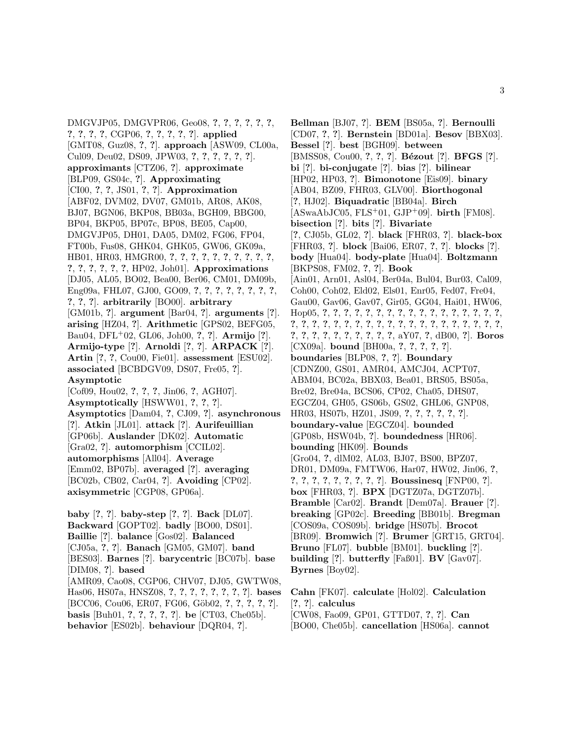DMGVJP05, DMGVPR06, Geo08, **?**, **?**, **?**, **?**, **?**, **?**, **?**, **?**, **?**, **?**, CGP06, **?**, **?**, **?**, **?**, **?**]. **applied** [GMT08, Guz08, **?**, **?**]. **approach** [ASW09, CL00a, Cul09, Deu02, DS09, JPW03, **?**, **?**, **?**, **?**, **?**, **?**]. **approximants** [CTZ06, **?**]. **approximate** [BLP09, GS04c, **?**]. **Approximating** [CI00, **?**, **?**, JS01, **?**, **?**]. **Approximation** [ABF02, DVM02, DV07, GM01b, AR08, AK08, BJ07, BGN06, BKP08, BB03a, BGH09, BBG00, BP04, BKP05, BP07c, BP08, BE05, Cap00, DMGVJP05, DH01, DA05, DM02, FG06, FP04, FT00b, Fus08, GHK04, GHK05, GW06, GK09a, HB01, HR03, HMGR00, **?**, **?**, **?**, **?**, **?**, **?**, **?**, **?**, **?**, **?**, **?**, **?**, **?**, **?**, **?**, **?**, HP02, Joh01]. **Approximations** [DJ05, AL05, BO02, Bea00, Ber06, CM01, DM09b, Eng09a, FHL07, GJ00, GO09, **?**, **?**, **?**, **?**, **?**, **?**, **?**, **?**, **?**, **?**, **?**]. **arbitrarily** [BO00]. **arbitrary** [GM01b, **?**]. **argument** [Bar04, **?**]. **arguments** [**?**]. **arising** [HZ04, **?**]. **Arithmetic** [GPS02, BEFG05, Bau04, DFL<sup>+</sup>02, GL06, Joh00, **?**, **?**]. **Armijo** [**?**]. **Armijo-type** [**?**]. **Arnoldi** [**?**, **?**]. **ARPACK** [**?**]. **Artin** [**?**, **?**, Cou00, Fie01]. **assessment** [ESU02]. **associated** [BCBDGV09, DS07, Fre05, **?**]. **Asymptotic** [Cof09, Hou02, **?**, **?**, **?**, Jin06, **?**, AGH07]. **Asymptotically** [HSWW01, **?**, **?**, **?**]. **Asymptotics** [Dam04, **?**, CJ09, **?**]. **asynchronous** [**?**]. **Atkin** [JL01]. **attack** [**?**]. **Aurifeuillian** [GP06b]. **Auslander** [DK02]. **Automatic** [Gra02, **?**]. **automorphism** [CCIL02]. **automorphisms** [All04]. **Average** [Emm02, BP07b]. **averaged** [**?**]. **averaging** [BC02b, CB02, Car04, **?**]. **Avoiding** [CP02]. **axisymmetric** [CGP08, GP06a]. **baby** [**?**, **?**]. **baby-step** [**?**, **?**]. **Back** [DL07]. **Backward** [GOPT02]. **badly** [BO00, DS01]. **Baillie** [**?**]. **balance** [Gos02]. **Balanced**

[CJ05a, **?**, **?**]. **Banach** [GM05, GM07]. **band** [BES03]. **Barnes** [**?**]. **barycentric** [BC07b]. **base** [DIM08, **?**]. **based** [AMR09, Cao08, CGP06, CHV07, DJ05, GWTW08, Has06, HS07a, HNSZ08, **?**, **?**, **?**, **?**, **?**, **?**, **?**, **?**]. **bases** [BCC06, Cou06, ER07, FG06, G¨ob02, **?**, **?**, **?**, **?**, **?**]. **basis** [Buh01, **?**, **?**, **?**, **?**, **?**]. **be** [CT03, Che05b]. **behavior** [ES02b]. **behaviour** [DQR04, **?**].

**Bellman** [BJ07, **?**]. **BEM** [BS05a, **?**]. **Bernoulli** [CD07, **?**, **?**]. **Bernstein** [BD01a]. **Besov** [BBX03]. **Bessel** [**?**]. **best** [BGH09]. **between** [BMSS08, Cou00, **?**, **?**, **?**]. **B´ezout** [**?**]. **BFGS** [**?**]. **bi** [**?**]. **bi-conjugate** [**?**]. **bias** [**?**]. **bilinear** [HP02, HP03, **?**]. **Bimonotone** [Eis09]. **binary** [AB04, BZ09, FHR03, GLV00]. **Biorthogonal** [**?**, HJ02]. **Biquadratic** [BB04a]. **Birch** [ASwaAbJC05, FLS<sup>+</sup>01, GJP<sup>+</sup>09]. **birth** [FM08]. **bisection** [**?**]. **bits** [**?**]. **Bivariate** [**?**, CJ05b, GL02, **?**]. **black** [FHR03, **?**]. **black-box** [FHR03, **?**]. **block** [Bai06, ER07, **?**, **?**]. **blocks** [**?**]. **body** [Hua04]. **body-plate** [Hua04]. **Boltzmann** [BKPS08, FM02, **?**, **?**]. **Book** [Ain01, Arn01, Asl04, Ber04a, Bul04, Bur03, Cal09, Coh00, Coh02, Eld02, Els01, Enr05, Fed07, Fre04, Gau00, Gav06, Gav07, Gir05, GG04, Hai01, HW06, Hop05, **?**, **?**, **?**, **?**, **?**, **?**, **?**, **?**, **?**, **?**, **?**, **?**, **?**, **?**, **?**, **?**, **?**, **?**, **?**, **?**, **?**, **?**, **?**, **?**, **?**, **?**, **?**, **?**, **?**, **?**, **?**, **?**, **?**, **?**, **?**, **?**, **?**, **?**, **?**, **?**, **?**, **?**, **?**, **?**, **?**, **?**, **?**, aY07, **?**, dB00, **?**]. **Boros** [CX09a]. **bound** [BH00a, **?**, **?**, **?**, **?**, **?**]. **boundaries** [BLP08, **?**, **?**]. **Boundary** [CDNZ00, GS01, AMR04, AMCJ04, ACPT07, ABM04, BC02a, BBX03, Bea01, BRS05, BS05a, Bre02, Bre04a, BCS06, CP02, Cha05, DHS07, EGCZ04, GH05, GS06b, GS02, GHL06, GNP08, HR03, HS07b, HZ01, JS09, **?**, **?**, **?**, **?**, **?**, **?**]. **boundary-value** [EGCZ04]. **bounded** [GP08b, HSW04b, **?**]. **boundedness** [HR06]. **bounding** [HK09]. **Bounds** [Gro04, **?**, dlM02, AL03, BJ07, BS00, BPZ07, DR01, DM09a, FMTW06, Har07, HW02, Jin06, **?**, **?**, **?**, **?**, **?**, **?**, **?**, **?**, **?**, **?**]. **Boussinesq** [FNP00, **?**]. **box** [FHR03, **?**]. **BPX** [DGTZ07a, DGTZ07b]. **Bramble** [Car02]. **Brandt** [Dem07a]. **Brauer** [**?**]. **breaking** [GP02c]. **Breeding** [BB01b]. **Bregman** [COS09a, COS09b]. **bridge** [HS07b]. **Brocot** [BR09]. **Bromwich** [**?**]. **Brumer** [GRT15, GRT04]. **Bruno** [FL07]. **bubble** [BM01]. **buckling** [**?**]. **building** [**?**]. **butterfly** [Faß01]. **BV** [Gav07]. **Byrnes** [Boy02].

**Cahn** [FK07]. **calculate** [Hol02]. **Calculation** [**?**, **?**]. **calculus** [CW08, Fao09, GP01, GTTD07, **?**, **?**]. **Can** [BO00, Che05b]. **cancellation** [HS06a]. **cannot**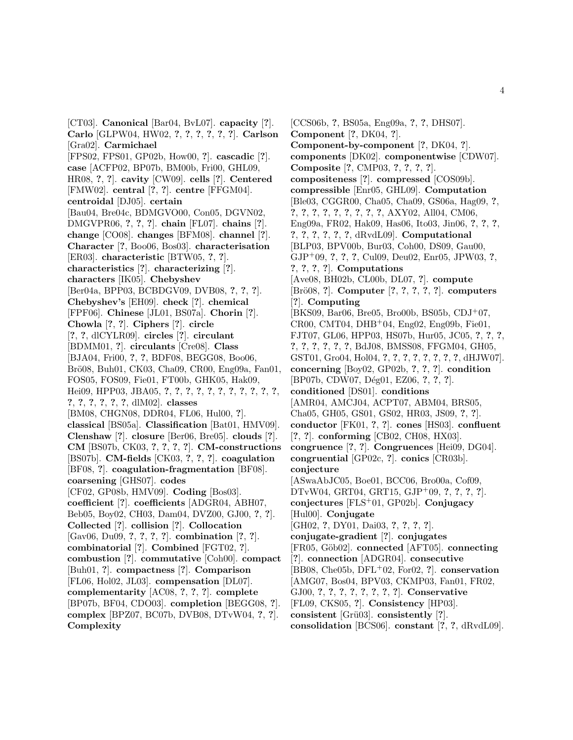[CT03]. **Canonical** [Bar04, BvL07]. **capacity** [**?**]. **Carlo** [GLPW04, HW02, **?**, **?**, **?**, **?**, **?**, **?**]. **Carlson** [Gra02]. **Carmichael** [FPS02, FPS01, GP02b, How00, **?**]. **cascadic** [**?**]. **case** [ACFP02, BP07b, BM00b, Fri00, GHL09, HR08, **?**, **?**]. **cavity** [CW09]. **cells** [**?**]. **Centered** [FMW02]. **central** [**?**, **?**]. **centre** [FFGM04]. **centroidal** [DJ05]. **certain** [Bau04, Bre04c, BDMGVO00, Con05, DGVN02, DMGVPR06, **?**, **?**, **?**]. **chain** [FL07]. **chains** [**?**]. **change** [CO08]. **changes** [BFM08]. **channel** [**?**]. **Character** [**?**, Boo06, Bos03]. **characterisation** [ER03]. **characteristic** [BTW05, **?**, **?**]. **characteristics** [**?**]. **characterizing** [**?**]. **characters** [IK05]. **Chebyshev** [Ber04a, BPP03, BCBDGV09, DVB08, **?**, **?**, **?**]. **Chebyshev's** [EH09]. **check** [**?**]. **chemical** [FPF06]. **Chinese** [JL01, BS07a]. **Chorin** [**?**]. **Chowla** [**?**, **?**]. **Ciphers** [**?**]. **circle** [**?**, **?**, dlCYLR09]. **circles** [**?**]. **circulant** [BDMM01, **?**]. **circulants** [Cre08]. **Class** [BJA04, Fri00, **?**, **?**, BDF08, BEGG08, Boo06, Brö08, Buh01, CK03, Cha09, CR00, Eng09a, Fan01, FOS05, FOS09, Fie01, FT00b, GHK05, Hak09, Hei09, HPP03, JBA05, **?**, **?**, **?**, **?**, **?**, **?**, **?**, **?**, **?**, **?**, **?**, **?**, **?**, **?**, **?**, **?**, **?**, dlM02]. **classes** [BM08, CHGN08, DDR04, FL06, Hul00, **?**]. **classical** [BS05a]. **Classification** [Bat01, HMV09]. **Clenshaw** [**?**]. **closure** [Ber06, Bre05]. **clouds** [**?**]. **CM** [BS07b, CK03, **?**, **?**, **?**, **?**]. **CM-constructions** [BS07b]. **CM-fields** [CK03, **?**, **?**, **?**]. **coagulation** [BF08, **?**]. **coagulation-fragmentation** [BF08]. **coarsening** [GHS07]. **codes** [CF02, GP08b, HMV09]. **Coding** [Bos03]. **coefficient** [**?**]. **coefficients** [ADGR04, ABH07, Beb05, Boy02, CH03, Dam04, DVZ00, GJ00, **?**, **?**]. **Collected** [**?**]. **collision** [**?**]. **Collocation** [Gav06, Du09, **?**, **?**, **?**, **?**]. **combination** [**?**, **?**]. **combinatorial** [**?**]. **Combined** [FGT02, **?**]. **combustion** [**?**]. **commutative** [Coh00]. **compact** [Buh01, **?**]. **compactness** [**?**]. **Comparison** [FL06, Hol02, JL03]. **compensation** [DL07]. **complementarity** [AC08, **?**, **?**, **?**]. **complete** [BP07b, BF04, CDO03]. **completion** [BEGG08, **?**]. **complex** [BPZ07, BC07b, DVB08, DTvW04, **?**, **?**]. **Complexity**

[CCS06b, **?**, BS05a, Eng09a, **?**, **?**, DHS07]. **Component** [**?**, DK04, **?**]. **Component-by-component** [**?**, DK04, **?**]. **components** [DK02]. **componentwise** [CDW07]. **Composite** [**?**, CMP03, **?**, **?**, **?**, **?**]. **compositeness** [**?**]. **compressed** [COS09b]. **compressible** [Enr05, GHL09]. **Computation** [Ble03, CGGR00, Cha05, Cha09, GS06a, Hag09, **?**, **?**, **?**, **?**, **?**, **?**, **?**, **?**, **?**, **?**, AXY02, All04, CM06, Eng09a, FR02, Hak09, Has06, Ito03, Jin06, **?**, **?**, **?**, **?**, **?**, **?**, **?**, **?**, **?**, dRvdL09]. **Computational** [BLP03, BPV00b, Bur03, Coh00, DS09, Gau00, GJP<sup>+</sup>09, **?**, **?**, **?**, Cul09, Deu02, Enr05, JPW03, **?**, **?**, **?**, **?**, **?**]. **Computations** [Ave08, BH02b, CL00b, DL07, **?**]. **compute** [Br¨o08, **?**]. **Computer** [**?**, **?**, **?**, **?**, **?**]. **computers** [**?**]. **Computing** [BKS09, Bar06, Bre05, Bro00b, BS05b, CDJ<sup>+</sup>07, CR00, CMT04, DHB<sup>+</sup>04, Eng02, Eng09b, Fie01, FJT07, GL06, HPP03, HS07b, Hur05, JC05, **?**, **?**, **?**, **?**, **?**, **?**, **?**, **?**, **?**, BdJ08, BMSS08, FFGM04, GH05, GST01, Gro04, Hol04, **?**, **?**, **?**, **?**, **?**, **?**, **?**, **?**, dHJW07]. **concerning** [Boy02, GP02b, **?**, **?**, **?**]. **condition** [BP07b, CDW07, D´eg01, EZ06, **?**, **?**, **?**]. **conditioned** [DS01]. **conditions** [AMR04, AMCJ04, ACPT07, ABM04, BRS05, Cha05, GH05, GS01, GS02, HR03, JS09, **?**, **?**]. **conductor** [FK01, **?**, **?**]. **cones** [HS03]. **confluent** [**?**, **?**]. **conforming** [CB02, CH08, HX03]. **congruence** [**?**, **?**]. **Congruences** [Hei09, DG04]. **congruential** [GP02c, **?**]. **conics** [CR03b]. **conjecture** [ASwaAbJC05, Boe01, BCC06, Bro00a, Cof09, DTvW04, GRT04, GRT15, GJP<sup>+</sup>09, **?**, **?**, **?**, **?**]. **conjectures** [FLS<sup>+</sup>01, GP02b]. **Conjugacy** [Hul00]. **Conjugate** [GH02, **?**, DY01, Dai03, **?**, **?**, **?**, **?**]. **conjugate-gradient** [**?**]. **conjugates** [FR05, G¨ob02]. **connected** [AFT05]. **connecting** [**?**]. **connection** [ADGR04]. **consecutive** [BB08, Che05b, DFL<sup>+</sup>02, For02, **?**]. **conservation** [AMG07, Bos04, BPV03, CKMP03, Fan01, FR02, GJ00, **?**, **?**, **?**, **?**, **?**, **?**, **?**, **?**]. **Conservative** [FL09, CKS05, **?**]. **Consistency** [HP03]. **consistent** [Grü03]. **consistently** [?]. **consolidation** [BCS06]. **constant** [**?**, **?**, dRvdL09].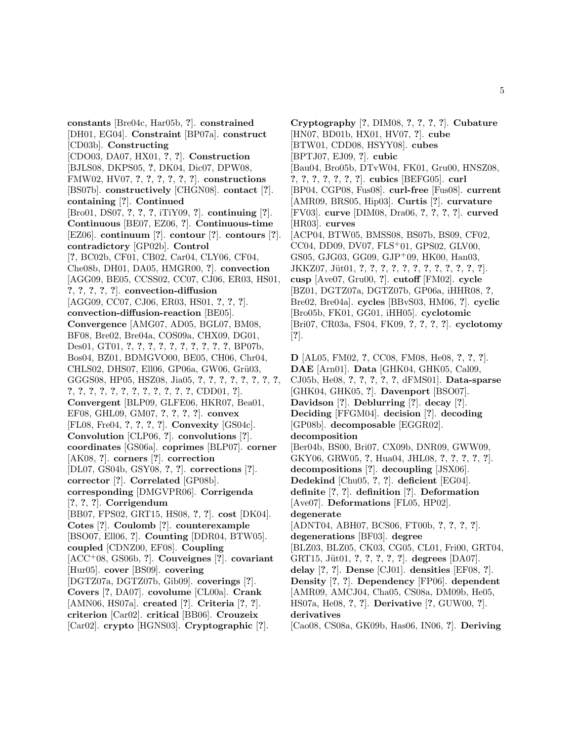**constants** [Bre04c, Har05b, **?**]. **constrained** [DH01, EG04]. **Constraint** [BP07a]. **construct** [CD03b]. **Constructing** [CDO03, DA07, HX01, **?**, **?**]. **Construction** [BJLS08, DKPS05, **?**, DK04, Dic07, DPW08, FMW02, HV07, **?**, **?**, **?**, **?**, **?**, **?**]. **constructions** [BS07b]. **constructively** [CHGN08]. **contact** [**?**]. **containing** [**?**]. **Continued** [Bro01, DS07, **?**, **?**, **?**, iTiY09, **?**]. **continuing** [**?**]. **Continuous** [BE07, EZ06, **?**]. **Continuous-time** [EZ06]. **continuum** [**?**]. **contour** [**?**]. **contours** [**?**]. **contradictory** [GP02b]. **Control** [**?**, BC02b, CF01, CB02, Car04, CLY06, CF04, Che08b, DH01, DA05, HMGR00, **?**]. **convection** [AGG09, BE05, CCSS02, CC07, CJ06, ER03, HS01, **?**, **?**, **?**, **?**, **?**]. **convection-diffusion** [AGG09, CC07, CJ06, ER03, HS01, **?**, **?**, **?**]. **convection-diffusion-reaction** [BE05]. **Convergence** [AMG07, AD05, BGL07, BM08, BF08, Bre02, Bre04a, COS09a, CHX09, DG01, Des01, GT01, **?**, **?**, **?**, **?**, **?**, **?**, **?**, **?**, **?**, **?**, BP07b, Bos04, BZ01, BDMGVO00, BE05, CH06, Chr04, CHLS02, DHS07, Ell06, GP06a, GW06, Grü03, GGGS08, HP05, HSZ08, Jia05, **?**, **?**, **?**, **?**, **?**, **?**, **?**, **?**, **?**, **?**, **?**, **?**, **?**, **?**, **?**, **?**, **?**, **?**, **?**, **?**, CDD01, **?**]. **Convergent** [BLP09, GLFE06, HKR07, Bea01, EF08, GHL09, GM07, **?**, **?**, **?**, **?**]. **convex** [FL08, Fre04, **?**, **?**, **?**, **?**]. **Convexity** [GS04c]. **Convolution** [CLP06, **?**]. **convolutions** [**?**]. **coordinates** [GS06a]. **coprimes** [BLP07]. **corner** [AK08, **?**]. **corners** [**?**]. **correction** [DL07, GS04b, GSY08, **?**, **?**]. **corrections** [**?**]. **corrector** [**?**]. **Correlated** [GP08b]. **corresponding** [DMGVPR06]. **Corrigenda** [**?**, **?**, **?**]. **Corrigendum** [BB07, FPS02, GRT15, HS08, **?**, **?**]. **cost** [DK04]. **Cotes** [**?**]. **Coulomb** [**?**]. **counterexample** [BSO07, Ell06, **?**]. **Counting** [DDR04, BTW05]. **coupled** [CDNZ00, EF08]. **Coupling** [ACC<sup>+</sup>08, GS06b, **?**]. **Couveignes** [**?**]. **covariant** [Hur05]. **cover** [BS09]. **covering** [DGTZ07a, DGTZ07b, Gib09]. **coverings** [**?**]. **Covers** [**?**, DA07]. **covolume** [CL00a]. **Crank** [AMN06, HS07a]. **created** [**?**]. **Criteria** [**?**, **?**]. **criterion** [Car02]. **critical** [BB06]. **Crouzeix** [Car02]. **crypto** [HGNS03]. **Cryptographic** [**?**].

**Cryptography** [**?**, DIM08, **?**, **?**, **?**, **?**]. **Cubature** [HN07, BD01b, HX01, HV07, **?**]. **cube** [BTW01, CDD08, HSYY08]. **cubes** [BPTJ07, EJ09, **?**]. **cubic** [Bau04, Bro05b, DTvW04, FK01, Gru00, HNSZ08, **?**, **?**, **?**, **?**, **?**, **?**, **?**]. **cubics** [BEFG05]. **curl** [BP04, CGP08, Fus08]. **curl-free** [Fus08]. **current** [AMR09, BRS05, Hip03]. **Curtis** [**?**]. **curvature** [FV03]. **curve** [DIM08, Dra06, **?**, **?**, **?**, **?**]. **curved** [HR03]. **curves** [ACP04, BTW05, BMSS08, BS07b, BS09, CF02, CC04, DD09, DV07, FLS<sup>+</sup>01, GPS02, GLV00, GS05, GJG03, GG09, GJP<sup>+</sup>09, HK00, Han03, JKKZ07, J¨ut01, **?**, **?**, **?**, **?**, **?**, **?**, **?**, **?**, **?**, **?**, **?**, **?**]. **cusp** [Ave07, Gru00, **?**]. **cutoff** [FM02]. **cycle** [BZ01, DGTZ07a, DGTZ07b, GP06a, iHHR08, **?**, Bre02, Bre04a]. **cycles** [BBvS03, HM06, **?**]. **cyclic** [Bro05b, FK01, GG01, iHH05]. **cyclotomic** [Bri07, CR03a, FS04, FK09, **?**, **?**, **?**, **?**]. **cyclotomy** [**?**]. **D** [AL05, FM02, **?**, CC08, FM08, He08, **?**, **?**, **?**]. **DAE** [Arn01]. **Data** [GHK04, GHK05, Cal09, CJ05b, He08, **?**, **?**, **?**, **?**, **?**, dFMS01]. **Data-sparse**

[GHK04, GHK05, **?**]. **Davenport** [BSO07]. **Davidson** [**?**]. **Deblurring** [**?**]. **decay** [**?**]. **Deciding** [FFGM04]. **decision** [**?**]. **decoding** [GP08b]. **decomposable** [EGGR02]. **decomposition** [Ber04b, BS00, Bri07, CX09b, DNR09, GWW09, GKY06, GRW05, **?**, Hua04, JHL08, **?**, **?**, **?**, **?**, **?**]. **decompositions** [**?**]. **decoupling** [JSX06]. **Dedekind** [Chu05, **?**, **?**]. **deficient** [EG04]. **definite** [**?**, **?**]. **definition** [**?**]. **Deformation** [Ave07]. **Deformations** [FL05, HP02]. **degenerate** [ADNT04, ABH07, BCS06, FT00b, **?**, **?**, **?**, **?**]. **degenerations** [BF03]. **degree** [BLZ03, BLZ05, CK03, CG05, CL01, Fri00, GRT04, GRT15, J¨ut01, **?**, **?**, **?**, **?**, **?**]. **degrees** [DA07]. **delay** [**?**, **?**]. **Dense** [CJ01]. **densities** [EF08, **?**]. **Density** [**?**, **?**]. **Dependency** [FP06]. **dependent** [AMR09, AMCJ04, Cha05, CS08a, DM09b, He05, HS07a, He08, **?**, **?**]. **Derivative** [**?**, GUW00, **?**]. **derivatives** [Cao08, CS08a, GK09b, Has06, IN06, **?**]. **Deriving**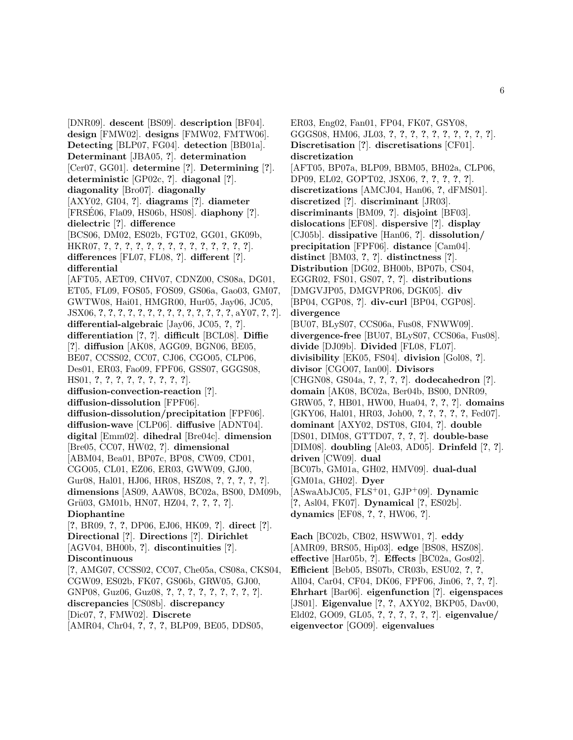[DNR09]. **descent** [BS09]. **description** [BF04]. **design** [FMW02]. **designs** [FMW02, FMTW06]. **Detecting** [BLP07, FG04]. **detection** [BB01a]. **Determinant** [JBA05, **?**]. **determination** [Cer07, GG01]. **determine** [**?**]. **Determining** [**?**]. **deterministic** [GP02c, **?**]. **diagonal** [**?**]. **diagonality** [Bro07]. **diagonally** [AXY02, GI04, **?**]. **diagrams** [**?**]. **diameter** [FRSE06, Fla09, HS06b, HS08]. ´ **diaphony** [**?**]. **dielectric** [**?**]. **difference** [BCS06, DM02, ES02b, FGT02, GG01, GK09b, HKR07, **?**, **?**, **?**, **?**, **?**, **?**, **?**, **?**, **?**, **?**, **?**, **?**, **?**, **?**]. **differences** [FL07, FL08, **?**]. **different** [**?**]. **differential** [AFT05, AET09, CHV07, CDNZ00, CS08a, DG01, ET05, FL09, FOS05, FOS09, GS06a, Gao03, GM07, GWTW08, Hai01, HMGR00, Hur05, Jay06, JC05, JSX06, **?**, **?**, **?**, **?**, **?**, **?**, **?**, **?**, **?**, **?**, **?**, **?**, **?**, **?**, aY07, **?**, **?**]. **differential-algebraic** [Jay06, JC05, **?**, **?**]. **differentiation** [**?**, **?**]. **difficult** [BCL08]. **Diffie** [**?**]. **diffusion** [AK08, AGG09, BGN06, BE05, BE07, CCSS02, CC07, CJ06, CGO05, CLP06, Des01, ER03, Fao09, FPF06, GSS07, GGGS08, HS01, **?**, **?**, **?**, **?**, **?**, **?**, **?**, **?**, **?**]. **diffusion-convection-reaction** [**?**]. **diffusion-dissolution** [FPF06]. **diffusion-dissolution/precipitation** [FPF06]. **diffusion-wave** [CLP06]. **diffusive** [ADNT04]. **digital** [Emm02]. **dihedral** [Bre04c]. **dimension** [Bre05, CC07, HW02, **?**]. **dimensional** [ABM04, Bea01, BP07c, BP08, CW09, CD01, CGO05, CL01, EZ06, ER03, GWW09, GJ00, Gur08, Hal01, HJ06, HR08, HSZ08, **?**, **?**, **?**, **?**, **?**]. **dimensions** [AS09, AAW08, BC02a, BS00, DM09b, Gr¨u03, GM01b, HN07, HZ04, **?**, **?**, **?**, **?**]. **Diophantine** [**?**, BR09, **?**, **?**, DP06, EJ06, HK09, **?**]. **direct** [**?**]. **Directional** [**?**]. **Directions** [**?**]. **Dirichlet** [AGV04, BH00b, **?**]. **discontinuities** [**?**]. **Discontinuous** [**?**, AMG07, CCSS02, CC07, Che05a, CS08a, CKS04, CGW09, ES02b, FK07, GS06b, GRW05, GJ00, GNP08, Guz06, Guz08, **?**, **?**, **?**, **?**, **?**, **?**, **?**, **?**, **?**]. **discrepancies** [CS08b]. **discrepancy** [Dic07, **?**, FMW02]. **Discrete**

[AMR04, Chr04, **?**, **?**, **?**, BLP09, BE05, DDS05,

ER03, Eng02, Fan01, FP04, FK07, GSY08, GGGS08, HM06, JL03, **?**, **?**, **?**, **?**, **?**, **?**, **?**, **?**, **?**, **?**]. **Discretisation** [**?**]. **discretisations** [CF01]. **discretization** [AFT05, BP07a, BLP09, BBM05, BH02a, CLP06, DP09, EL02, GOPT02, JSX06, **?**, **?**, **?**, **?**, **?**]. **discretizations** [AMCJ04, Han06, **?**, dFMS01]. **discretized** [**?**]. **discriminant** [JR03]. **discriminants** [BM09, **?**]. **disjoint** [BF03]. **dislocations** [EF08]. **dispersive** [**?**]. **display** [CJ05b]. **dissipative** [Han06, **?**]. **dissolution/ precipitation** [FPF06]. **distance** [Cam04]. **distinct** [BM03, **?**, **?**]. **distinctness** [**?**]. **Distribution** [DG02, BH00b, BP07b, CS04, EGGR02, FS01, GS07, **?**, **?**]. **distributions** [DMGVJP05, DMGVPR06, DGK05]. **div** [BP04, CGP08, **?**]. **div-curl** [BP04, CGP08]. **divergence** [BU07, BLyS07, CCS06a, Fus08, FNWW09]. **divergence-free** [BU07, BLyS07, CCS06a, Fus08]. **divide** [DJ09b]. **Divided** [FL08, FL07]. **divisibility** [EK05, FS04]. **division** [Gol08, **?**]. **divisor** [CGO07, Ian00]. **Divisors** [CHGN08, GS04a, **?**, **?**, **?**, **?**]. **dodecahedron** [**?**]. **domain** [AK08, BC02a, Ber04b, BS00, DNR09, GRW05, **?**, HB01, HW00, Hua04, **?**, **?**, **?**]. **domains** [GKY06, Hal01, HR03, Joh00, **?**, **?**, **?**, **?**, **?**, Fed07]. **dominant** [AXY02, DST08, GI04, **?**]. **double** [DS01, DIM08, GTTD07, **?**, **?**, **?**]. **double-base** [DIM08]. **doubling** [Ale03, AD05]. **Drinfeld** [**?**, **?**]. **driven** [CW09]. **dual** [BC07b, GM01a, GH02, HMV09]. **dual-dual** [GM01a, GH02]. **Dyer** [ASwaAbJC05, FLS<sup>+</sup>01, GJP<sup>+</sup>09]. **Dynamic** [**?**, Asl04, FK07]. **Dynamical** [**?**, ES02b]. **dynamics** [EF08, **?**, **?**, HW06, **?**].

**Each** [BC02b, CB02, HSWW01, **?**]. **eddy** [AMR09, BRS05, Hip03]. **edge** [BS08, HSZ08]. **effective** [Har05b, **?**]. **Effects** [BC02a, Gos02]. **Efficient** [Beb05, BS07b, CR03b, ESU02, **?**, **?**, All04, Car04, CF04, DK06, FPF06, Jin06, **?**, **?**, **?**]. **Ehrhart** [Bar06]. **eigenfunction** [**?**]. **eigenspaces** [JS01]. **Eigenvalue** [**?**, **?**, AXY02, BKP05, Dav00, Eld02, GO09, GL05, **?**, **?**, **?**, **?**, **?**, **?**]. **eigenvalue/ eigenvector** [GO09]. **eigenvalues**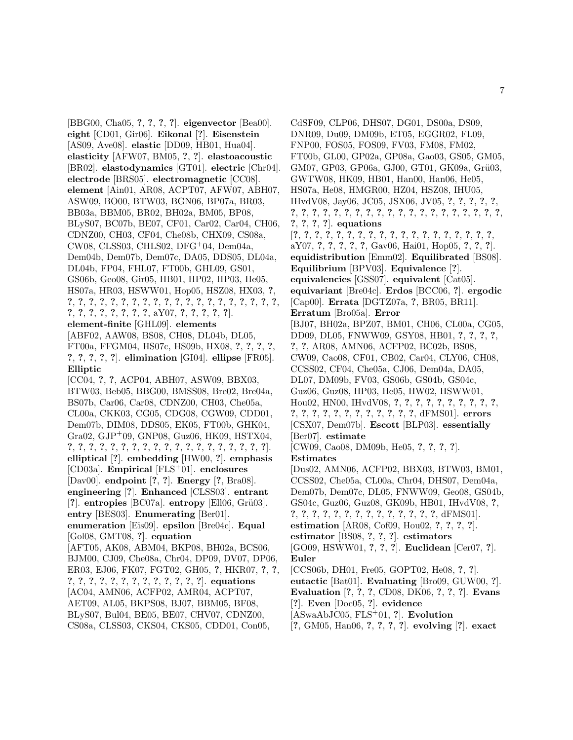[BBG00, Cha05, **?**, **?**, **?**, **?**]. **eigenvector** [Bea00]. **eight** [CD01, Gir06]. **Eikonal** [**?**]. **Eisenstein** [AS09, Ave08]. **elastic** [DD09, HB01, Hua04]. **elasticity** [AFW07, BM05, **?**, **?**]. **elastoacoustic** [BR02]. **elastodynamics** [GT01]. **electric** [Chr04]. **electrode** [BRS05]. **electromagnetic** [CC08]. **element** [Ain01, AR08, ACPT07, AFW07, ABH07, ASW09, BO00, BTW03, BGN06, BP07a, BR03, BB03a, BBM05, BR02, BH02a, BM05, BP08, BLyS07, BC07b, BE07, CF01, Car02, Car04, CH06, CDNZ00, CH03, CF04, Che08b, CHX09, CS08a, CW08, CLSS03, CHLS02, DFG<sup>+</sup>04, Dem04a, Dem04b, Dem07b, Dem07c, DA05, DDS05, DL04a, DL04b, FP04, FHL07, FT00b, GHL09, GS01, GS06b, Geo08, Gir05, HB01, HP02, HP03, He05, HS07a, HR03, HSWW01, Hop05, HSZ08, HX03, **?**, **?**, **?**, **?**, **?**, **?**, **?**, **?**, **?**, **?**, **?**, **?**, **?**, **?**, **?**, **?**, **?**, **?**, **?**, **?**, **?**, **?**, **?**, **?**, **?**, **?**, **?**, **?**, **?**, aY07, **?**, **?**, **?**, **?**, **?**]. **element-finite** [GHL09]. **elements** [ABF02, AAW08, BS08, CH08, DL04b, DL05, FT00a, FFGM04, HS07c, HS09b, HX08, **?**, **?**, **?**, **?**, **?**, **?**, **?**, **?**, **?**]. **elimination** [GI04]. **ellipse** [FR05]. **Elliptic** [CC04, **?**, **?**, ACP04, ABH07, ASW09, BBX03, BTW03, Beb05, BBG00, BMSS08, Bre02, Bre04a, BS07b, Car06, Car08, CDNZ00, CH03, Che05a, CL00a, CKK03, CG05, CDG08, CGW09, CDD01, Dem07b, DIM08, DDS05, EK05, FT00b, GHK04, Gra02, GJP<sup>+</sup>09, GNP08, Guz06, HK09, HSTX04, **?**, **?**, **?**, **?**, **?**, **?**, **?**, **?**, **?**, **?**, **?**, **?**, **?**, **?**, **?**, **?**, **?**, **?**, **?**]. **elliptical** [**?**]. **embedding** [HW00, **?**]. **emphasis** [CD03a]. **Empirical** [FLS<sup>+</sup>01]. **enclosures** [Dav00]. **endpoint** [**?**, **?**]. **Energy** [**?**, Bra08]. **engineering** [**?**]. **Enhanced** [CLSS03]. **entrant** [?]. **entropies** [BC07a]. **entropy** [Ell06, Grü03]. **entry** [BES03]. **Enumerating** [Ber01]. **enumeration** [Eis09]. **epsilon** [Bre04c]. **Equal** [Gol08, GMT08, **?**]. **equation** [AFT05, AK08, ABM04, BKP08, BH02a, BCS06, BJM00, CJ09, Che08a, Chr04, DP09, DV07, DP06, ER03, EJ06, FK07, FGT02, GH05, **?**, HKR07, **?**, **?**, **?**, **?**, **?**, **?**, **?**, **?**, **?**, **?**, **?**, **?**, **?**, **?**, **?**]. **equations** [AC04, AMN06, ACFP02, AMR04, ACPT07, AET09, AL05, BKPS08, BJ07, BBM05, BF08, BLyS07, Bul04, BE05, BE07, CHV07, CDNZ00, CS08a, CLSS03, CKS04, CKS05, CDD01, Con05,

CdSF09, CLP06, DHS07, DG01, DS00a, DS09, DNR09, Du09, DM09b, ET05, EGGR02, FL09, FNP00, FOS05, FOS09, FV03, FM08, FM02, FT00b, GL00, GP02a, GP08a, Gao03, GS05, GM05, GM07, GP03, GP06a, GJ00, GT01, GK09a, Grü03, GWTW08, HK09, HB01, Han00, Han06, He05, HS07a, He08, HMGR00, HZ04, HSZ08, IHU05, IHvdV08, Jay06, JC05, JSX06, JV05, **?**, **?**, **?**, **?**, **?**, **?**, **?**, **?**, **?**, **?**, **?**, **?**, **?**, **?**, **?**, **?**, **?**, **?**, **?**, **?**, **?**, **?**, **?**, **?**, **?**, **?**, **?**, **?**, **?**]. **equations** [**?**, **?**, **?**, **?**, **?**, **?**, **?**, **?**, **?**, **?**, **?**, **?**, **?**, **?**, **?**, **?**, **?**, **?**, **?**, aY07, **?**, **?**, **?**, **?**, **?**, Gav06, Hai01, Hop05, **?**, **?**, **?**]. **equidistribution** [Emm02]. **Equilibrated** [BS08]. **Equilibrium** [BPV03]. **Equivalence** [**?**]. **equivalencies** [GSS07]. **equivalent** [Cat05]. **equivariant** [Bre04c]. **Erdos** [BCC06, **?**]. **ergodic** [Cap00]. **Errata** [DGTZ07a, **?**, BR05, BR11]. **Erratum** [Bro05a]. **Error** [BJ07, BH02a, BPZ07, BM01, CH06, CL00a, CG05, DD09, DL05, FNWW09, GSY08, HB01, **?**, **?**, **?**, **?**, **?**, **?**, AR08, AMN06, ACFP02, BC02b, BS08, CW09, Cao08, CF01, CB02, Car04, CLY06, CH08, CCSS02, CF04, Che05a, CJ06, Dem04a, DA05, DL07, DM09b, FV03, GS06b, GS04b, GS04c, Guz06, Guz08, HP03, He05, HW02, HSWW01, Hou02, HN00, IHvdV08, **?**, **?**, **?**, **?**, **?**, **?**, **?**, **?**, **?**, **?**, **?**, **?**, **?**, **?**, **?**, **?**, **?**, **?**, **?**, **?**, **?**, **?**, dFMS01]. **errors** [CSX07, Dem07b]. **Escott** [BLP03]. **essentially** [Ber07]. **estimate** [CW09, Cao08, DM09b, He05, **?**, **?**, **?**, **?**]. **Estimates** [Dus02, AMN06, ACFP02, BBX03, BTW03, BM01, CCSS02, Che05a, CL00a, Chr04, DHS07, Dem04a, Dem07b, Dem07c, DL05, FNWW09, Geo08, GS04b, GS04c, Guz06, Guz08, GK09b, HB01, IHvdV08, **?**, **?**, **?**, **?**, **?**, **?**, **?**, **?**, **?**, **?**, **?**, **?**, **?**, **?**, **?**, dFMS01]. **estimation** [AR08, Cof09, Hou02, **?**, **?**, **?**, **?**].

- **estimator** [BS08, **?**, **?**, **?**]. **estimators**
- [GO09, HSWW01, **?**, **?**, **?**]. **Euclidean** [Cer07, **?**]. **Euler**
- [CCS06b, DH01, Fre05, GOPT02, He08, **?**, **?**].
- **eutactic** [Bat01]. **Evaluating** [Bro09, GUW00, **?**].
- **Evaluation** [**?**, **?**, **?**, CD08, DK06, **?**, **?**, **?**]. **Evans**
- [**?**]. **Even** [Doc05, **?**]. **evidence**
- [ASwaAbJC05, FLS<sup>+</sup>01, **?**]. **Evolution**
- [**?**, GM05, Han06, **?**, **?**, **?**, **?**]. **evolving** [**?**]. **exact**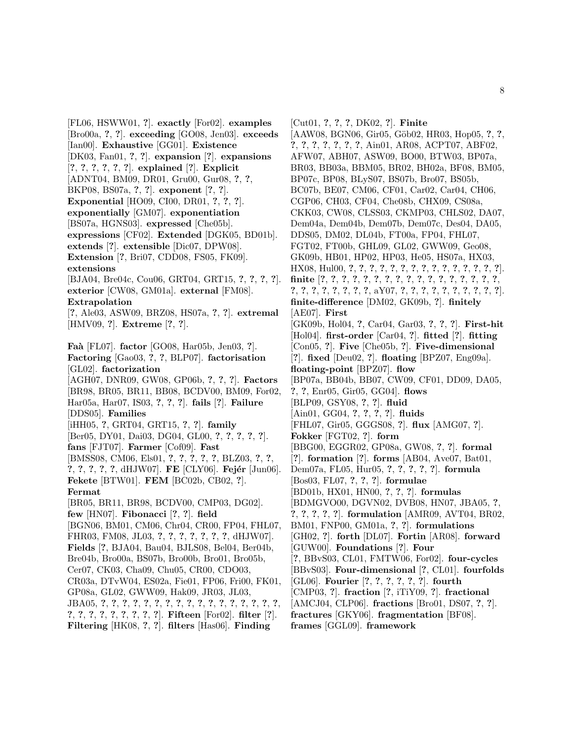[FL06, HSWW01, **?**]. **exactly** [For02]. **examples** [Bro00a, **?**, **?**]. **exceeding** [GO08, Jen03]. **exceeds** [Ian00]. **Exhaustive** [GG01]. **Existence** [DK03, Fan01, **?**, **?**]. **expansion** [**?**]. **expansions** [**?**, **?**, **?**, **?**, **?**, **?**]. **explained** [**?**]. **Explicit** [ADNT04, BM09, DR01, Gru00, Gur08, **?**, **?**, BKP08, BS07a, **?**, **?**]. **exponent** [**?**, **?**]. **Exponential** [HO09, CI00, DR01, **?**, **?**, **?**]. **exponentially** [GM07]. **exponentiation** [BS07a, HGNS03]. **expressed** [Che05b]. **expressions** [CF02]. **Extended** [DGK05, BD01b]. **extends** [**?**]. **extensible** [Dic07, DPW08]. **Extension** [**?**, Bri07, CDD08, FS05, FK09]. **extensions** [BJA04, Bre04c, Cou06, GRT04, GRT15, **?**, **?**, **?**, **?**]. **exterior** [CW08, GM01a]. **external** [FM08]. **Extrapolation** [**?**, Ale03, ASW09, BRZ08, HS07a, **?**, **?**]. **extremal** [HMV09, **?**]. **Extreme** [**?**, **?**]. **Fa`a** [FL07]. **factor** [GO08, Har05b, Jen03, **?**]. **Factoring** [Gao03, **?**, **?**, BLP07]. **factorisation** [GL02]. **factorization** [AGH07, DNR09, GW08, GP06b, **?**, **?**, **?**]. **Factors** [BR98, BR05, BR11, BB08, BCDV00, BM09, For02, Har05a, Har07, IS03, **?**, **?**, **?**]. **fails** [**?**]. **Failure** [DDS05]. **Families** [iHH05, **?**, GRT04, GRT15, **?**, **?**]. **family** [Ber05, DY01, Dai03, DG04, GL00, **?**, **?**, **?**, **?**, **?**]. **fans** [FJT07]. **Farmer** [Cof09]. **Fast** [BMSS08, CM06, Els01, **?**, **?**, **?**, **?**, **?**, BLZ03, **?**, **?**, **?, ?, ?, ?, ?, dHJW07**]. **FE** [CLY06]. **Fejér** [Jun06]. **Fekete** [BTW01]. **FEM** [BC02b, CB02, **?**]. **Fermat** [BR05, BR11, BR98, BCDV00, CMP03, DG02]. **few** [HN07]. **Fibonacci** [**?**, **?**]. **field** [BGN06, BM01, CM06, Chr04, CR00, FP04, FHL07, FHR03, FM08, JL03, **?**, **?**, **?**, **?**, **?**, **?**, **?**, dHJW07]. **Fields** [**?**, BJA04, Bau04, BJLS08, Bel04, Ber04b, Bre04b, Bro00a, BS07b, Bro00b, Bro01, Bro05b, Cer07, CK03, Cha09, Chu05, CR00, CDO03, CR03a, DTvW04, ES02a, Fie01, FP06, Fri00, FK01, GP08a, GL02, GWW09, Hak09, JR03, JL03, JBA05, **?**, **?**, **?**, **?**, **?**, **?**, **?**, **?**, **?**, **?**, **?**, **?**, **?**, **?**, **?**, **?**, **?**, **?**, **?**, **?**, **?**, **?**, **?**, **?**, **?**, **?**]. **Fifteen** [For02]. **filter** [**?**]. **Filtering** [HK08, **?**, **?**]. **filters** [Has06]. **Finding**

[Cut01, **?**, **?**, **?**, DK02, **?**]. **Finite** [AAW08, BGN06, Gir05, G¨ob02, HR03, Hop05, **?**, **?**, **?**, **?**, **?**, **?**, **?**, **?**, **?**, Ain01, AR08, ACPT07, ABF02, AFW07, ABH07, ASW09, BO00, BTW03, BP07a, BR03, BB03a, BBM05, BR02, BH02a, BF08, BM05, BP07c, BP08, BLyS07, BS07b, Bro07, BS05b, BC07b, BE07, CM06, CF01, Car02, Car04, CH06, CGP06, CH03, CF04, Che08b, CHX09, CS08a, CKK03, CW08, CLSS03, CKMP03, CHLS02, DA07, Dem04a, Dem04b, Dem07b, Dem07c, Des04, DA05, DDS05, DM02, DL04b, FT00a, FP04, FHL07, FGT02, FT00b, GHL09, GL02, GWW09, Geo08, GK09b, HB01, HP02, HP03, He05, HS07a, HX03, HX08, Hul00, **?**, **?**, **?**, **?**, **?**, **?**, **?**, **?**, **?**, **?**, **?**, **?**, **?**, **?**, **?**]. **finite** [**?**, **?**, **?**, **?**, **?**, **?**, **?**, **?**, **?**, **?**, **?**, **?**, **?**, **?**, **?**, **?**, **?**, **?**, **?**, **?**, **?**, **?**, **?**, **?**, **?**, aY07, **?**, **?**, **?**, **?**, **?**, **?**, **?**, **?**, **?**, **?**]. **finite-difference** [DM02, GK09b, **?**]. **finitely** [AE07]. **First** [GK09b, Hol04, **?**, Car04, Gar03, **?**, **?**, **?**]. **First-hit** [Hol04]. **first-order** [Car04, **?**]. **fitted** [**?**]. **fitting** [Con05, **?**]. **Five** [Che05b, **?**]. **Five-dimensional** [**?**]. **fixed** [Deu02, **?**]. **floating** [BPZ07, Eng09a]. **floating-point** [BPZ07]. **flow** [BP07a, BB04b, BB07, CW09, CF01, DD09, DA05, **?**, **?**, Enr05, Gir05, GG04]. **flows** [BLP09, GSY08, **?**, **?**]. **fluid** [Ain01, GG04, **?**, **?**, **?**, **?**]. **fluids** [FHL07, Gir05, GGGS08, **?**]. **flux** [AMG07, **?**]. **Fokker** [FGT02, **?**]. **form** [BBG00, EGGR02, GP08a, GW08, **?**, **?**]. **formal** [**?**]. **formation** [**?**]. **forms** [AB04, Ave07, Bat01, Dem07a, FL05, Hur05, **?**, **?**, **?**, **?**, **?**]. **formula** [Bos03, FL07, **?**, **?**, **?**]. **formulae** [BD01b, HX01, HN00, **?**, **?**, **?**]. **formulas** [BDMGVO00, DGVN02, DVB08, HN07, JBA05, **?**, **?**, **?**, **?**, **?**, **?**]. **formulation** [AMR09, AVT04, BR02, BM01, FNP00, GM01a, **?**, **?**]. **formulations** [GH02, **?**]. **forth** [DL07]. **Fortin** [AR08]. **forward** [GUW00]. **Foundations** [**?**]. **Four** [**?**, BBvS03, CL01, FMTW06, For02]. **four-cycles** [BBvS03]. **Four-dimensional** [**?**, CL01]. **fourfolds** [GL06]. **Fourier** [**?**, **?**, **?**, **?**, **?**, **?**]. **fourth** [CMP03, **?**]. **fraction** [**?**, iTiY09, **?**]. **fractional**

- [AMCJ04, CLP06]. **fractions** [Bro01, DS07, **?**, **?**].
- **fractures** [GKY06]. **fragmentation** [BF08].
- **frames** [GGL09]. **framework**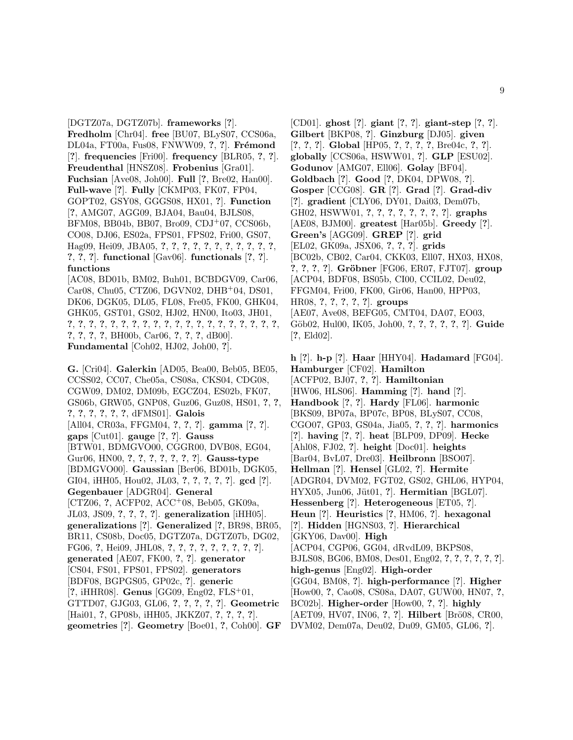[DGTZ07a, DGTZ07b]. **frameworks** [**?**]. **Fredholm** [Chr04]. **free** [BU07, BLyS07, CCS06a, DL04a, FT00a, Fus08, FNWW09, **?**, **?**]. **Fr´emond** [**?**]. **frequencies** [Fri00]. **frequency** [BLR05, **?**, **?**]. **Freudenthal** [HNSZ08]. **Frobenius** [Gra01]. **Fuchsian** [Ave08, Joh00]. **Full** [**?**, Bre02, Han00]. **Full-wave** [**?**]. **Fully** [CKMP03, FK07, FP04, GOPT02, GSY08, GGGS08, HX01, **?**]. **Function** [**?**, AMG07, AGG09, BJA04, Bau04, BJLS08, BFM08, BB04b, BB07, Bro09, CDJ<sup>+</sup>07, CCS06b, CO08, DJ06, ES02a, FPS01, FPS02, Fri00, GS07, Hag09, Hei09, JBA05, **?**, **?**, **?**, **?**, **?**, **?**, **?**, **?**, **?**, **?**, **?**, **?**, **?**, **?**]. **functional** [Gav06]. **functionals** [**?**, **?**]. **functions**

[AC08, BD01b, BM02, Buh01, BCBDGV09, Car06, Car08, Chu05, CTZ06, DGVN02, DHB<sup>+</sup>04, DS01, DK06, DGK05, DL05, FL08, Fre05, FK00, GHK04, GHK05, GST01, GS02, HJ02, HN00, Ito03, JH01, **?**, **?**, **?**, **?**, **?**, **?**, **?**, **?**, **?**, **?**, **?**, **?**, **?**, **?**, **?**, **?**, **?**, **?**, **?**, **?**, **?**, **?**, **?**, **?**, BH00b, Car06, **?**, **?**, **?**, dB00]. **Fundamental** [Coh02, HJ02, Joh00, **?**].

**G.** [Cri04]. **Galerkin** [AD05, Bea00, Beb05, BE05, CCSS02, CC07, Che05a, CS08a, CKS04, CDG08, CGW09, DM02, DM09b, EGCZ04, ES02b, FK07, GS06b, GRW05, GNP08, Guz06, Guz08, HS01, **?**, **?**, **?**, **?**, **?**, **?**, **?**, **?**, dFMS01]. **Galois** [All04, CR03a, FFGM04, **?**, **?**, **?**]. **gamma** [**?**, **?**]. **gaps** [Cut01]. **gauge** [**?**, **?**]. **Gauss** [BTW01, BDMGVO00, CGGR00, DVB08, EG04, Gur06, HN00, **?**, **?**, **?**, **?**, **?**, **?**, **?**]. **Gauss-type** [BDMGVO00]. **Gaussian** [Ber06, BD01b, DGK05, GI04, iHH05, Hou02, JL03, **?**, **?**, **?**, **?**, **?**]. **gcd** [**?**]. **Gegenbauer** [ADGR04]. **General** [CTZ06, **?**, ACFP02, ACC<sup>+</sup>08, Beb05, GK09a, JL03, JS09, **?**, **?**, **?**, **?**]. **generalization** [iHH05]. **generalizations** [**?**]. **Generalized** [**?**, BR98, BR05, BR11, CS08b, Doc05, DGTZ07a, DGTZ07b, DG02, FG06, **?**, Hei09, JHL08, **?**, **?**, **?**, **?**, **?**, **?**, **?**, **?**, **?**]. **generated** [AE07, FK00, **?**, **?**]. **generator** [CS04, FS01, FPS01, FPS02]. **generators** [BDF08, BGPGS05, GP02c, **?**]. **generic** [**?**, iHHR08]. **Genus** [GG09, Eng02, FLS<sup>+</sup>01, GTTD07, GJG03, GL06, **?**, **?**, **?**, **?**, **?**]. **Geometric** [Hai01, **?**, GP08b, iHH05, JKKZ07, **?**, **?**, **?**, **?**]. **geometries** [**?**]. **Geometry** [Boe01, **?**, Coh00]. **GF**

[CD01]. **ghost** [**?**]. **giant** [**?**, **?**]. **giant-step** [**?**, **?**]. **Gilbert** [BKP08, **?**]. **Ginzburg** [DJ05]. **given** [**?**, **?**, **?**]. **Global** [HP05, **?**, **?**, **?**, **?**, Bre04c, **?**, **?**]. **globally** [CCS06a, HSWW01, **?**]. **GLP** [ESU02]. **Godunov** [AMG07, Ell06]. **Golay** [BF04]. **Goldbach** [**?**]. **Good** [**?**, DK04, DPW08, **?**]. **Gosper** [CCG08]. **GR** [**?**]. **Grad** [**?**]. **Grad-div** [**?**]. **gradient** [CLY06, DY01, Dai03, Dem07b, GH02, HSWW01, **?**, **?**, **?**, **?**, **?**, **?**, **?**, **?**]. **graphs** [AE08, BJM00]. **greatest** [Har05b]. **Greedy** [**?**]. **Green's** [AGG09]. **GREP** [**?**]. **grid** [EL02, GK09a, JSX06, **?**, **?**, **?**]. **grids** [BC02b, CB02, Car04, CKK03, Ell07, HX03, HX08, **?**, **?**, **?**, **?**]. **Gr¨obner** [FG06, ER07, FJT07]. **group** [ACP04, BDF08, BS05b, CI00, CCIL02, Deu02, FFGM04, Fri00, FK00, Gir06, Han00, HPP03, HR08, **?**, **?**, **?**, **?**, **?**]. **groups** [AE07, Ave08, BEFG05, CMT04, DA07, EO03, G¨ob02, Hul00, IK05, Joh00, **?**, **?**, **?**, **?**, **?**, **?**]. **Guide** [**?**, Eld02].

**h** [**?**]. **h-p** [**?**]. **Haar** [HHY04]. **Hadamard** [FG04]. **Hamburger** [CF02]. **Hamilton** [ACFP02, BJ07, **?**, **?**]. **Hamiltonian** [HW06, HLS06]. **Hamming** [**?**]. **hand** [**?**]. **Handbook** [**?**, **?**]. **Hardy** [FL06]. **harmonic** [BKS09, BP07a, BP07c, BP08, BLyS07, CC08, CGO07, GP03, GS04a, Jia05, **?**, **?**, **?**]. **harmonics** [**?**]. **having** [**?**, **?**]. **heat** [BLP09, DP09]. **Hecke** [Ahl08, FJ02, **?**]. **height** [Doc01]. **heights** [Bar04, BvL07, Dre03]. **Heilbronn** [BSO07]. **Hellman** [**?**]. **Hensel** [GL02, **?**]. **Hermite** [ADGR04, DVM02, FGT02, GS02, GHL06, HYP04, HYX05, Jun06, Jüt01, ?]. **Hermitian** [BGL07]. **Hessenberg** [**?**]. **Heterogeneous** [ET05, **?**]. **Heun** [**?**]. **Heuristics** [**?**, HM06, **?**]. **hexagonal** [**?**]. **Hidden** [HGNS03, **?**]. **Hierarchical** [GKY06, Dav00]. **High** [ACP04, CGP06, GG04, dRvdL09, BKPS08, BJLS08, BG06, BM08, Des01, Eng02, **?**, **?**, **?**, **?**, **?**, **?**]. **high-genus** [Eng02]. **High-order** [GG04, BM08, **?**]. **high-performance** [**?**]. **Higher** [How00, **?**, Cao08, CS08a, DA07, GUW00, HN07, **?**, BC02b]. **Higher-order** [How00, **?**, **?**]. **highly** [AET09, HV07, IN06, ?, ?]. **Hilbert** [Brö08, CR00, DVM02, Dem07a, Deu02, Du09, GM05, GL06, **?**].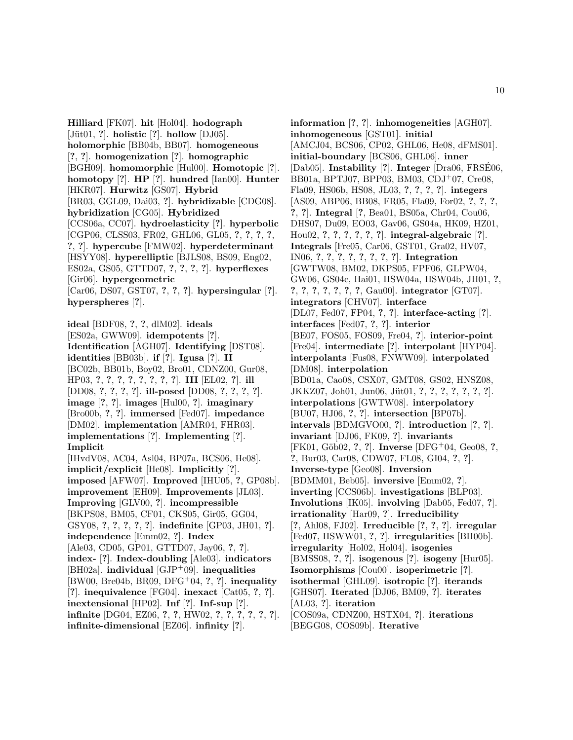**Hilliard** [FK07]. **hit** [Hol04]. **hodograph** [J¨ut01, **?**]. **holistic** [**?**]. **hollow** [DJ05]. **holomorphic** [BB04b, BB07]. **homogeneous** [**?**, **?**]. **homogenization** [**?**]. **homographic** [BGH09]. **homomorphic** [Hul00]. **Homotopic** [**?**]. **homotopy** [**?**]. **HP** [**?**]. **hundred** [Ian00]. **Hunter** [HKR07]. **Hurwitz** [GS07]. **Hybrid** [BR03, GGL09, Dai03, **?**]. **hybridizable** [CDG08]. **hybridization** [CG05]. **Hybridized** [CCS06a, CC07]. **hydroelasticity** [**?**]. **hyperbolic** [CGP06, CLSS03, FR02, GHL06, GL05, **?**, **?**, **?**, **?**, **?**, **?**]. **hypercube** [FMW02]. **hyperdeterminant** [HSYY08]. **hyperelliptic** [BJLS08, BS09, Eng02, ES02a, GS05, GTTD07, **?**, **?**, **?**, **?**]. **hyperflexes** [Gir06]. **hypergeometric** [Car06, DS07, GST07, **?**, **?**, **?**]. **hypersingular** [**?**]. **hyperspheres** [**?**].

**ideal** [BDF08, **?**, **?**, dlM02]. **ideals** [ES02a, GWW09]. **idempotents** [**?**]. **Identification** [AGH07]. **Identifying** [DST08]. **identities** [BB03b]. **if** [**?**]. **Igusa** [**?**]. **II** [BC02b, BB01b, Boy02, Bro01, CDNZ00, Gur08, HP03, **?**, **?**, **?**, **?**, **?**, **?**, **?**, **?**]. **III** [EL02, **?**]. **ill** [DD08, **?**, **?**, **?**, **?**]. **ill-posed** [DD08, **?**, **?**, **?**, **?**]. **image** [**?**, **?**]. **images** [Hul00, **?**]. **imaginary** [Bro00b, **?**, **?**]. **immersed** [Fed07]. **impedance** [DM02]. **implementation** [AMR04, FHR03]. **implementations** [**?**]. **Implementing** [**?**]. **Implicit** [IHvdV08, AC04, Asl04, BP07a, BCS06, He08].

**implicit/explicit** [He08]. **Implicitly** [**?**]. **imposed** [AFW07]. **Improved** [IHU05, **?**, GP08b]. **improvement** [EH09]. **Improvements** [JL03]. **Improving** [GLV00, **?**]. **incompressible** [BKPS08, BM05, CF01, CKS05, Gir05, GG04, GSY08, **?**, **?**, **?**, **?**, **?**]. **indefinite** [GP03, JH01, **?**]. **independence** [Emm02, **?**]. **Index** [Ale03, CD05, GP01, GTTD07, Jay06, **?**, **?**]. **index-** [**?**]. **Index-doubling** [Ale03]. **indicators** [BH02a]. **individual** [GJP<sup>+</sup>09]. **inequalities** [BW00, Bre04b, BR09, DFG<sup>+</sup>04, **?**, **?**]. **inequality** [**?**]. **inequivalence** [FG04]. **inexact** [Cat05, **?**, **?**]. **inextensional** [HP02]. **Inf** [**?**]. **Inf-sup** [**?**]. **infinite** [DG04, EZ06, **?**, **?**, HW02, **?**, **?**, **?**, **?**, **?**, **?**]. **infinite-dimensional** [EZ06]. **infinity** [**?**].

**information** [**?**, **?**]. **inhomogeneities** [AGH07]. **inhomogeneous** [GST01]. **initial** [AMCJ04, BCS06, CP02, GHL06, He08, dFMS01]. **initial-boundary** [BCS06, GHL06]. **inner** [Dab05]. **Instability** [**?**]. **Integer** [Dra06, FRSE06, ´ BB01a, BPTJ07, BPP03, BM03, CDJ<sup>+</sup>07, Cre08, Fla09, HS06b, HS08, JL03, **?**, **?**, **?**, **?**]. **integers** [AS09, ABP06, BB08, FR05, Fla09, For02, **?**, **?**, **?**, **?**, **?**]. **Integral** [**?**, Bea01, BS05a, Chr04, Cou06, DHS07, Du09, EO03, Gav06, GS04a, HK09, HZ01, Hou02, **?**, **?**, **?**, **?**, **?**, **?**]. **integral-algebraic** [**?**]. **Integrals** [Fre05, Car06, GST01, Gra02, HV07, IN06, **?**, **?**, **?**, **?**, **?**, **?**, **?**, **?**]. **Integration** [GWTW08, BM02, DKPS05, FPF06, GLPW04, GW06, GS04c, Hai01, HSW04a, HSW04b, JH01, **?**, **?**, **?**, **?**, **?**, **?**, **?**, **?**, Gau00]. **integrator** [GT07]. **integrators** [CHV07]. **interface** [DL07, Fed07, FP04, **?**, **?**]. **interface-acting** [**?**]. **interfaces** [Fed07, **?**, **?**]. **interior** [BE07, FOS05, FOS09, Fre04, **?**]. **interior-point** [Fre04]. **intermediate** [**?**]. **interpolant** [HYP04]. **interpolants** [Fus08, FNWW09]. **interpolated** [DM08]. **interpolation** [BD01a, Cao08, CSX07, GMT08, GS02, HNSZ08, JKKZ07, Joh01, Jun06, J¨ut01, **?**, **?**, **?**, **?**, **?**, **?**, **?**]. **interpolations** [GWTW08]. **interpolatory** [BU07, HJ06, **?**, **?**]. **intersection** [BP07b]. **intervals** [BDMGVO00, **?**]. **introduction** [**?**, **?**]. **invariant** [DJ06, FK09, **?**]. **invariants** [FK01, G¨ob02, **?**, **?**]. **Inverse** [DFG<sup>+</sup>04, Geo08, **?**, **?**, Bur03, Car08, CDW07, FL08, GI04, **?**, **?**]. **Inverse-type** [Geo08]. **Inversion** [BDMM01, Beb05]. **inversive** [Emm02, **?**]. **inverting** [CCS06b]. **investigations** [BLP03]. **Involutions** [IK05]. **involving** [Dab05, Fed07, **?**]. **irrationality** [Har09, **?**]. **Irreducibility** [**?**, Ahl08, FJ02]. **Irreducible** [**?**, **?**, **?**]. **irregular** [Fed07, HSWW01, **?**, **?**]. **irregularities** [BH00b]. **irregularity** [Hol02, Hol04]. **isogenies** [BMSS08, **?**, **?**]. **isogenous** [**?**]. **isogeny** [Hur05]. **Isomorphisms** [Cou00]. **isoperimetric** [**?**]. **isothermal** [GHL09]. **isotropic** [**?**]. **iterands** [GHS07]. **Iterated** [DJ06, BM09, **?**]. **iterates** [AL03, **?**]. **iteration** [COS09a, CDNZ00, HSTX04, **?**]. **iterations** [BEGG08, COS09b]. **Iterative**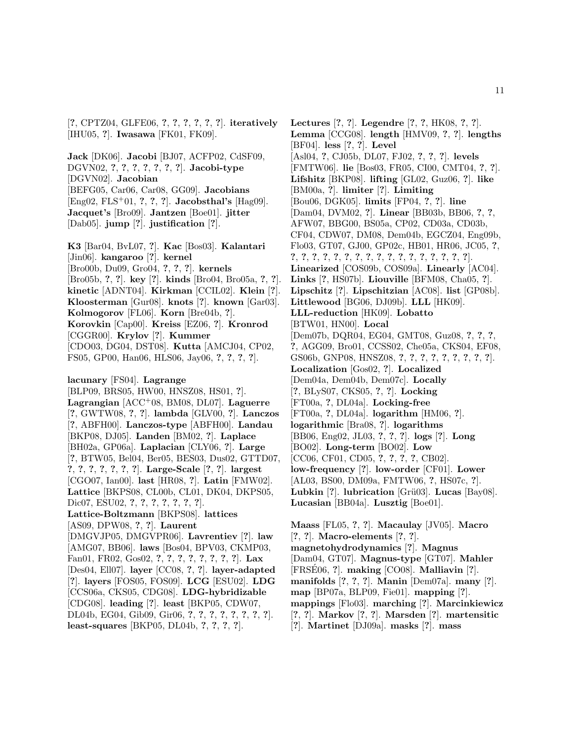[**?**, CPTZ04, GLFE06, **?**, **?**, **?**, **?**, **?**, **?**]. **iteratively** [IHU05, **?**]. **Iwasawa** [FK01, FK09].

**Jack** [DK06]. **Jacobi** [BJ07, ACFP02, CdSF09, DGVN02, **?**, **?**, **?**, **?**, **?**, **?**, **?**]. **Jacobi-type** [DGVN02]. **Jacobian** [BEFG05, Car06, Car08, GG09]. **Jacobians** [Eng02, FLS<sup>+</sup>01, **?**, **?**, **?**]. **Jacobsthal's** [Hag09]. **Jacquet's** [Bro09]. **Jantzen** [Boe01]. **jitter** [Dab05]. **jump** [**?**]. **justification** [**?**].

**K3** [Bar04, BvL07, **?**]. **Kac** [Bos03]. **Kalantari** [Jin06]. **kangaroo** [**?**]. **kernel** [Bro00b, Du09, Gro04, **?**, **?**, **?**]. **kernels** [Bro05b, **?**, **?**]. **key** [**?**]. **kinds** [Bro04, Bro05a, **?**, **?**]. **kinetic** [ADNT04]. **Kirkman** [CCIL02]. **Klein** [**?**]. **Kloosterman** [Gur08]. **knots** [**?**]. **known** [Gar03]. **Kolmogorov** [FL06]. **Korn** [Bre04b, **?**]. **Korovkin** [Cap00]. **Kreiss** [EZ06, **?**]. **Kronrod** [CGGR00]. **Krylov** [**?**]. **Kummer** [CDO03, DG04, DST08]. **Kutta** [AMCJ04, CP02, FS05, GP00, Han06, HLS06, Jay06, **?**, **?**, **?**, **?**]. **lacunary** [FS04]. **Lagrange** [BLP09, BRS05, HW00, HNSZ08, HS01, **?**]. **Lagrangian** [ACC<sup>+</sup>08, BM08, DL07]. **Laguerre** [**?**, GWTW08, **?**, **?**]. **lambda** [GLV00, **?**]. **Lanczos** [**?**, ABFH00]. **Lanczos-type** [ABFH00]. **Landau** [BKP08, DJ05]. **Landen** [BM02, **?**]. **Laplace** [BH02a, GP06a]. **Laplacian** [CLY06, **?**]. **Large** [**?**, BTW05, Bel04, Ber05, BES03, Dus02, GTTD07, **?**, **?**, **?**, **?**, **?**, **?**, **?**]. **Large-Scale** [**?**, **?**]. **largest** [CGO07, Ian00]. **last** [HR08, **?**]. **Latin** [FMW02]. **Lattice** [BKPS08, CL00b, CL01, DK04, DKPS05, Dic07, ESU02, **?**, **?**, **?**, **?**, **?**, **?**, **?**].

**Lattice-Boltzmann** [BKPS08]. **lattices** [AS09, DPW08, **?**, **?**]. **Laurent** [DMGVJP05, DMGVPR06]. **Lavrentiev** [**?**]. **law** [AMG07, BB06]. **laws** [Bos04, BPV03, CKMP03, Fan01, FR02, Gos02, **?**, **?**, **?**, **?**, **?**, **?**, **?**, **?**]. **Lax** [Des04, Ell07]. **layer** [CC08, **?**, **?**]. **layer-adapted** [**?**]. **layers** [FOS05, FOS09]. **LCG** [ESU02]. **LDG** [CCS06a, CKS05, CDG08]. **LDG-hybridizable** [CDG08]. **leading** [**?**]. **least** [BKP05, CDW07, DL04b, EG04, Gib09, Gir06, **?**, **?**, **?**, **?**, **?**, **?**, **?**, **?**]. **least-squares** [BKP05, DL04b, **?**, **?**, **?**, **?**].

**Lectures** [**?**, **?**]. **Legendre** [**?**, **?**, HK08, **?**, **?**]. **Lemma** [CCG08]. **length** [HMV09, **?**, **?**]. **lengths** [BF04]. **less** [**?**, **?**]. **Level** [Asl04, **?**, CJ05b, DL07, FJ02, **?**, **?**, **?**]. **levels** [FMTW06]. **lie** [Bos03, FR05, CI00, CMT04, **?**, **?**]. **Lifshitz** [BKP08]. **lifting** [GL02, Guz06, **?**]. **like** [BM00a, **?**]. **limiter** [**?**]. **Limiting** [Bou06, DGK05]. **limits** [FP04, **?**, **?**]. **line** [Dam04, DVM02, **?**]. **Linear** [BB03b, BB06, **?**, **?**, AFW07, BBG00, BS05a, CP02, CD03a, CD03b, CF04, CDW07, DM08, Dem04b, EGCZ04, Eng09b, Flo03, GT07, GJ00, GP02c, HB01, HR06, JC05, **?**, **?**, **?**, **?**, **?**, **?**, **?**, **?**, **?**, **?**, **?**, **?**, **?**, **?**, **?**, **?**, **?**, **?**]. **Linearized** [COS09b, COS09a]. **Linearly** [AC04]. **Links** [**?**, HS07b]. **Liouville** [BFM08, Cha05, **?**]. **Lipschitz** [**?**]. **Lipschitzian** [AC08]. **list** [GP08b]. **Littlewood** [BG06, DJ09b]. **LLL** [HK09]. **LLL-reduction** [HK09]. **Lobatto** [BTW01, HN00]. **Local** [Dem07b, DQR04, EG04, GMT08, Guz08, **?**, **?**, **?**, **?**, AGG09, Bro01, CCSS02, Che05a, CKS04, EF08, GS06b, GNP08, HNSZ08, **?**, **?**, **?**, **?**, **?**, **?**, **?**, **?**, **?**]. **Localization** [Gos02, **?**]. **Localized** [Dem04a, Dem04b, Dem07c]. **Locally** [**?**, BLyS07, CKS05, **?**, **?**]. **Locking** [FT00a, **?**, DL04a]. **Locking-free** [FT00a, **?**, DL04a]. **logarithm** [HM06, **?**]. **logarithmic** [Bra08, **?**]. **logarithms** [BB06, Eng02, JL03, **?**, **?**, **?**]. **logs** [**?**]. **Long** [BO02]. **Long-term** [BO02]. **Low** [CC06, CF01, CD05, **?**, **?**, **?**, **?**, CB02]. **low-frequency** [**?**]. **low-order** [CF01]. **Lower** [AL03, BS00, DM09a, FMTW06, **?**, HS07c, **?**]. **Lubkin** [?]. **lubrication** [Grü03]. **Lucas** [Bay08]. **Lucasian** [BB04a]. **Lusztig** [Boe01]. **Maass** [FL05, **?**, **?**]. **Macaulay** [JV05]. **Macro**

[**?**, **?**]. **Macro-elements** [**?**, **?**]. **magnetohydrodynamics** [**?**]. **Magnus** [Dam04, GT07]. **Magnus-type** [GT07]. **Mahler** [FRSE06, ?]. making [CO08]. Malliavin [?]. **manifolds** [**?**, **?**, **?**]. **Manin** [Dem07a]. **many** [**?**]. **map** [BP07a, BLP09, Fie01]. **mapping** [**?**]. **mappings** [Flo03]. **marching** [**?**]. **Marcinkiewicz** [**?**, **?**]. **Markov** [**?**, **?**]. **Marsden** [**?**]. **martensitic** [**?**]. **Martinet** [DJ09a]. **masks** [**?**]. **mass**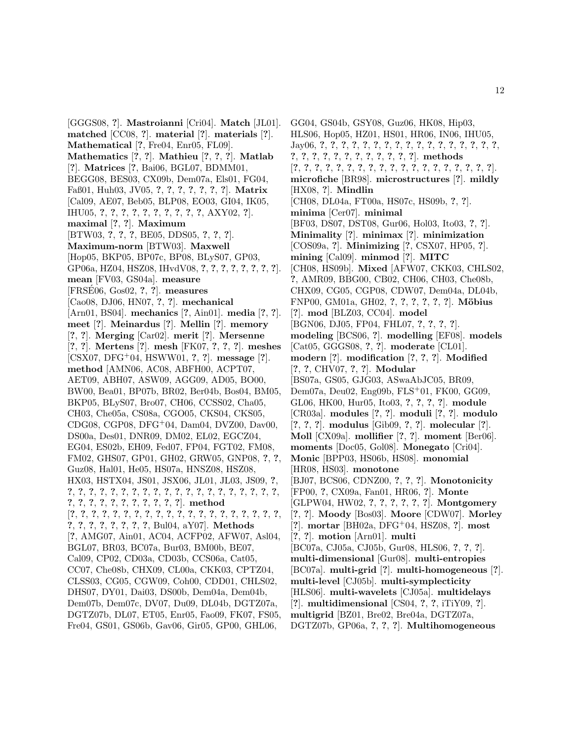[GGGS08, **?**]. **Mastroianni** [Cri04]. **Match** [JL01]. **matched** [CC08, **?**]. **material** [**?**]. **materials** [**?**]. **Mathematical** [**?**, Fre04, Enr05, FL09]. **Mathematics** [**?**, **?**]. **Mathieu** [**?**, **?**, **?**]. **Matlab** [**?**]. **Matrices** [**?**, Bai06, BGL07, BDMM01, BEGG08, BES03, CX09b, Dem07a, Els01, FG04, Faß01, Huh03, JV05, **?**, **?**, **?**, **?**, **?**, **?**, **?**]. **Matrix** [Cal09, AE07, Beb05, BLP08, EO03, GI04, IK05, IHU05, **?**, **?**, **?**, **?**, **?**, **?**, **?**, **?**, **?**, **?**, AXY02, **?**]. **maximal** [**?**, **?**]. **Maximum** [BTW03, **?**, **?**, **?**, BE05, DDS05, **?**, **?**, **?**]. **Maximum-norm** [BTW03]. **Maxwell** [Hop05, BKP05, BP07c, BP08, BLyS07, GP03, GP06a, HZ04, HSZ08, IHvdV08, **?**, **?**, **?**, **?**, **?**, **?**, **?**, **?**]. **mean** [FV03, GS04a]. **measure** [FRSE06, Gos02, ?, ?]. **measures** [Cao08, DJ06, HN07, **?**, **?**]. **mechanical** [Arn01, BS04]. **mechanics** [**?**, Ain01]. **media** [**?**, **?**]. **meet** [**?**]. **Meinardus** [**?**]. **Mellin** [**?**]. **memory** [**?**, **?**]. **Merging** [Car02]. **merit** [**?**]. **Mersenne** [**?**, **?**]. **Mertens** [**?**]. **mesh** [FK07, **?**, **?**, **?**]. **meshes** [CSX07, DFG<sup>+</sup>04, HSWW01, **?**, **?**]. **message** [**?**]. **method** [AMN06, AC08, ABFH00, ACPT07, AET09, ABH07, ASW09, AGG09, AD05, BO00, BW00, Bea01, BP07b, BR02, Ber04b, Bos04, BM05, BKP05, BLyS07, Bro07, CH06, CCSS02, Cha05, CH03, Che05a, CS08a, CGO05, CKS04, CKS05, CDG08, CGP08, DFG<sup>+</sup>04, Dam04, DVZ00, Dav00, DS00a, Des01, DNR09, DM02, EL02, EGCZ04, EG04, ES02b, EH09, Fed07, FP04, FGT02, FM08, FM02, GHS07, GP01, GH02, GRW05, GNP08, **?**, **?**, Guz08, Hal01, He05, HS07a, HNSZ08, HSZ08, HX03, HSTX04, JS01, JSX06, JL01, JL03, JS09, **?**, **?**, **?**, **?**, **?**, **?**, **?**, **?**, **?**, **?**, **?**, **?**, **?**, **?**, **?**, **?**, **?**, **?**, **?**, **?**, **?**, **?**, **?**, **?**, **?**, **?**, **?**, **?**, **?**, **?**, **?**, **?**]. **method** [**?**, **?**, **?**, **?**, **?**, **?**, **?**, **?**, **?**, **?**, **?**, **?**, **?**, **?**, **?**, **?**, **?**, **?**, **?**, **?**, **?**, **?**, **?**, **?**, **?**, **?**, **?**, **?**, Bul04, aY07]. **Methods** [**?**, AMG07, Ain01, AC04, ACFP02, AFW07, Asl04, BGL07, BR03, BC07a, Bur03, BM00b, BE07, Cal09, CP02, CD03a, CD03b, CCS06a, Cat05, CC07, Che08b, CHX09, CL00a, CKK03, CPTZ04, CLSS03, CG05, CGW09, Coh00, CDD01, CHLS02, DHS07, DY01, Dai03, DS00b, Dem04a, Dem04b, Dem07b, Dem07c, DV07, Du09, DL04b, DGTZ07a, DGTZ07b, DL07, ET05, Enr05, Fao09, FK07, FS05, Fre04, GS01, GS06b, Gav06, Gir05, GP00, GHL06,

GG04, GS04b, GSY08, Guz06, HK08, Hip03, HLS06, Hop05, HZ01, HS01, HR06, IN06, IHU05, Jay06, **?**, **?**, **?**, **?**, **?**, **?**, **?**, **?**, **?**, **?**, **?**, **?**, **?**, **?**, **?**, **?**, **?**, **?**, **?**, **?**, **?**, **?**, **?**, **?**, **?**, **?**, **?**, **?**, **?**]. **methods** [**?**, **?**, **?**, **?**, **?**, **?**, **?**, **?**, **?**, **?**, **?**, **?**, **?**, **?**, **?**, **?**, **?**, **?**, **?**]. **microfiche** [BR98]. **microstructures** [**?**]. **mildly** [HX08, **?**]. **Mindlin** [CH08, DL04a, FT00a, HS07c, HS09b, **?**, **?**]. **minima** [Cer07]. **minimal** [BF03, DS07, DST08, Gur06, Hol03, Ito03, **?**, **?**]. **Minimality** [**?**]. **minimax** [**?**]. **minimization** [COS09a, **?**]. **Minimizing** [**?**, CSX07, HP05, **?**]. **mining** [Cal09]. **minmod** [**?**]. **MITC** [CH08, HS09b]. **Mixed** [AFW07, CKK03, CHLS02, **?**, AMR09, BBG00, CB02, CH06, CH03, Che08b, CHX09, CG05, CGP08, CDW07, Dem04a, DL04b, FNP00, GM01a, GH02, **?**, **?**, **?**, **?**, **?**, **?**]. **M¨obius** [**?**]. **mod** [BLZ03, CC04]. **model** [BGN06, DJ05, FP04, FHL07, **?**, **?**, **?**, **?**]. **modeling** [BCS06, **?**]. **modelling** [EF08]. **models** [Cat05, GGGS08, **?**, **?**]. **moderate** [CL01]. **modern** [**?**]. **modification** [**?**, **?**, **?**]. **Modified** [**?**, **?**, CHV07, **?**, **?**]. **Modular** [BS07a, GS05, GJG03, ASwaAbJC05, BR09, Dem07a, Deu02, Eng09b, FLS<sup>+</sup>01, FK00, GG09, GL06, HK00, Hur05, Ito03, **?**, **?**, **?**, **?**]. **module** [CR03a]. **modules** [**?**, **?**]. **moduli** [**?**, **?**]. **modulo** [**?**, **?**, **?**]. **modulus** [Gib09, **?**, **?**]. **molecular** [**?**]. **Moll** [CX09a]. **mollifier** [**?**, **?**]. **moment** [Ber06]. **moments** [Doc05, Gol08]. **Monegato** [Cri04]. **Monic** [BPP03, HS06b, HS08]. **monomial** [HR08, HS03]. **monotone** [BJ07, BCS06, CDNZ00, **?**, **?**, **?**]. **Monotonicity** [FP00, **?**, CX09a, Fan01, HR06, **?**]. **Monte** [GLPW04, HW02, **?**, **?**, **?**, **?**, **?**, **?**]. **Montgomery** [**?**, **?**]. **Moody** [Bos03]. **Moore** [CDW07]. **Morley** [**?**]. **mortar** [BH02a, DFG<sup>+</sup>04, HSZ08, **?**]. **most** [**?**, **?**]. **motion** [Arn01]. **multi** [BC07a, CJ05a, CJ05b, Gur08, HLS06, **?**, **?**, **?**]. **multi-dimensional** [Gur08]. **multi-entropies** [BC07a]. **multi-grid** [**?**]. **multi-homogeneous** [**?**]. **multi-level** [CJ05b]. **multi-symplecticity** [HLS06]. **multi-wavelets** [CJ05a]. **multidelays** [**?**]. **multidimensional** [CS04, **?**, **?**, iTiY09, **?**]. **multigrid** [BZ01, Bre02, Bre04a, DGTZ07a, DGTZ07b, GP06a, **?**, **?**, **?**]. **Multihomogeneous**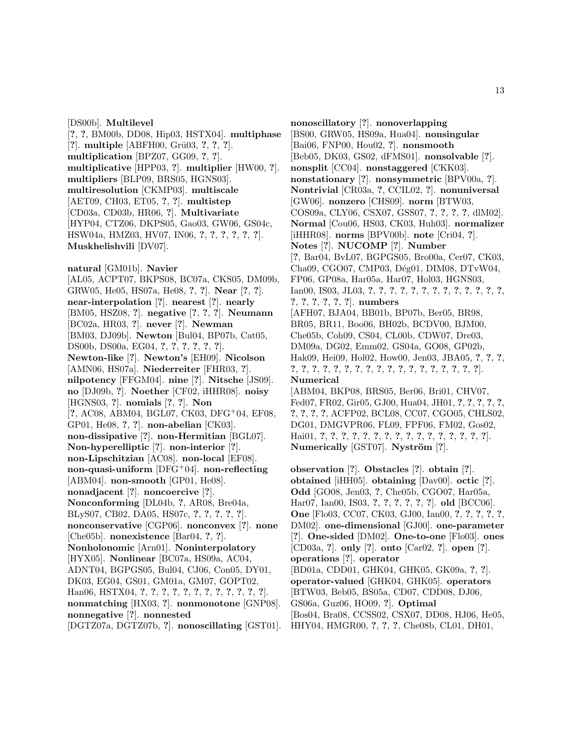[DS00b]. **Multilevel** [**?**, **?**, BM00b, DD08, Hip03, HSTX04]. **multiphase** [**?**]. **multiple** [ABFH00, Gr¨u03, **?**, **?**, **?**]. **multiplication** [BPZ07, GG09, **?**, **?**]. **multiplicative** [HPP03, **?**]. **multiplier** [HW00, **?**]. **multipliers** [BLP09, BRS05, HGNS03]. **multiresolution** [CKMP03]. **multiscale** [AET09, CH03, ET05, **?**, **?**]. **multistep** [CD03a, CD03b, HR06, **?**]. **Multivariate** [HYP04, CTZ06, DKPS05, Gao03, GW06, GS04c, HSW04a, HMZ03, HV07, IN06, **?**, **?**, **?**, **?**, **?**, **?**]. **Muskhelishvili** [DV07]. **natural** [GM01b]. **Navier** [AL05, ACPT07, BKPS08, BC07a, CKS05, DM09b, GRW05, He05, HS07a, He08, **?**, **?**]. **Near** [**?**, **?**]. **near-interpolation** [**?**]. **nearest** [**?**]. **nearly** [BM05, HSZ08, **?**]. **negative** [**?**, **?**, **?**]. **Neumann** [BC02a, HR03, **?**]. **never** [**?**]. **Newman** [BM03, DJ09b]. **Newton** [Bul04, BP07b, Cat05, DS00b, DS00a, EG04, **?**, **?**, **?**, **?**, **?**, **?**]. **Newton-like** [**?**]. **Newton's** [EH09]. **Nicolson** [AMN06, HS07a]. **Niederreiter** [FHR03, **?**]. **nilpotency** [FFGM04]. **nine** [**?**]. **Nitsche** [JS09]. **no** [DJ09b, **?**]. **Noether** [CF02, iHHR08]. **noisy** [HGNS03, **?**]. **nomials** [**?**, **?**]. **Non** [**?**, AC08, ABM04, BGL07, CK03, DFG<sup>+</sup>04, EF08, GP01, He08, **?**, **?**]. **non-abelian** [CK03]. **non-dissipative** [**?**]. **non-Hermitian** [BGL07]. **Non-hyperelliptic** [**?**]. **non-interior** [**?**]. **non-Lipschitzian** [AC08]. **non-local** [EF08]. **non-quasi-uniform** [DFG<sup>+</sup>04]. **non-reflecting** [ABM04]. **non-smooth** [GP01, He08]. **nonadjacent** [**?**]. **noncoercive** [**?**]. **Nonconforming** [DL04b, **?**, AR08, Bre04a, BLyS07, CB02, DA05, HS07c, **?**, **?**, **?**, **?**, **?**]. **nonconservative** [CGP06]. **nonconvex** [**?**]. **none** [Che05b]. **nonexistence** [Bar04, **?**, **?**]. **Nonholonomic** [Arn01]. **Noninterpolatory** [HYX05]. **Nonlinear** [BC07a, HS09a, AC04, ADNT04, BGPGS05, Bul04, CJ06, Con05, DY01, DK03, EG04, GS01, GM01a, GM07, GOPT02, Han06, HSTX04, **?**, **?**, **?**, **?**, **?**, **?**, **?**, **?**, **?**, **?**, **?**, **?**]. **nonmatching** [HX03, **?**]. **nonmonotone** [GNP08]. **nonnegative** [**?**]. **nonnested**

[DGTZ07a, DGTZ07b, **?**]. **nonoscillating** [GST01].

**nonoscillatory** [**?**]. **nonoverlapping** [BS00, GRW05, HS09a, Hua04]. **nonsingular** [Bai06, FNP00, Hou02, **?**]. **nonsmooth** [Beb05, DK03, GS02, dFMS01]. **nonsolvable** [**?**]. **nonsplit** [CC04]. **nonstaggered** [CKK03]. **nonstationary** [**?**]. **nonsymmetric** [BPV00a, **?**]. **Nontrivial** [CR03a, **?**, CCIL02, **?**]. **nonuniversal** [GW06]. **nonzero** [CHS09]. **norm** [BTW03, COS09a, CLY06, CSX07, GSS07, **?**, **?**, **?**, **?**, dlM02]. **Normal** [Cou06, HS03, CK03, Huh03]. **normalizer** [iHHR08]. **norms** [BPV00b]. **note** [Cri04, **?**]. **Notes** [**?**]. **NUCOMP** [**?**]. **Number** [**?**, Bar04, BvL07, BGPGS05, Bro00a, Cer07, CK03, Cha09, CGO07, CMP03, Dég01, DIM08, DTvW04, FP06, GP08a, Har05a, Har07, Hol03, HGNS03, Ian00, IS03, JL03, **?**, **?**, **?**, **?**, **?**, **?**, **?**, **?**, **?**, **?**, **?**, **?**, **?**, **?**, **?**, **?**, **?**, **?**, **?**]. **numbers** [AFH07, BJA04, BB01b, BP07b, Ber05, BR98, BR05, BR11, Boo06, BH02b, BCDV00, BJM00, Che05b, Coh09, CS04, CL00b, CDW07, Dre03, DM09a, DG02, Emm02, GS04a, GO08, GP02b, Hak09, Hei09, Hol02, How00, Jen03, JBA05, **?**, **?**, **?**, **?**, **?**, **?**, **?**, **?**, **?**, **?**, **?**, **?**, **?**, **?**, **?**, **?**, **?**, **?**, **?**, **?**, **?**]. **Numerical** [ABM04, BKP08, BRS05, Ber06, Bri01, CHV07, Fed07, FR02, Gir05, GJ00, Hua04, JH01, **?**, **?**, **?**, **?**, **?**, **?**, **?**, **?**, **?**, ACFP02, BCL08, CC07, CGO05, CHLS02, DG01, DMGVPR06, FL09, FPF06, FM02, Gos02, Hai01, **?**, **?**, **?**, **?**, **?**, **?**, **?**, **?**, **?**, **?**, **?**, **?**, **?**, **?**, **?**, **?**]. **Numerically** [GST07]. **Nyström** [?].

**observation** [**?**]. **Obstacles** [**?**]. **obtain** [**?**]. **obtained** [iHH05]. **obtaining** [Dav00]. **octic** [**?**]. **Odd** [GO08, Jen03, **?**, Che05b, CGO07, Har05a, Har07, Ian00, IS03, **?**, **?**, **?**, **?**, **?**, **?**]. **old** [BCC06]. **One** [Flo03, CC07, CK03, GJ00, Ian00, **?**, **?**, **?**, **?**, **?**, DM02]. **one-dimensional** [GJ00]. **one-parameter** [**?**]. **One-sided** [DM02]. **One-to-one** [Flo03]. **ones** [CD03a, **?**]. **only** [**?**]. **onto** [Car02, **?**]. **open** [**?**]. **operations** [**?**]. **operator** [BD01a, CDD01, GHK04, GHK05, GK09a, **?**, **?**]. **operator-valued** [GHK04, GHK05]. **operators** [BTW03, Beb05, BS05a, CD07, CDD08, DJ06, GS06a, Guz06, HO09, **?**]. **Optimal** [Bos04, Bra08, CCSS02, CSX07, DD08, HJ06, He05, HHY04, HMGR00, **?**, **?**, **?**, Che08b, CL01, DH01,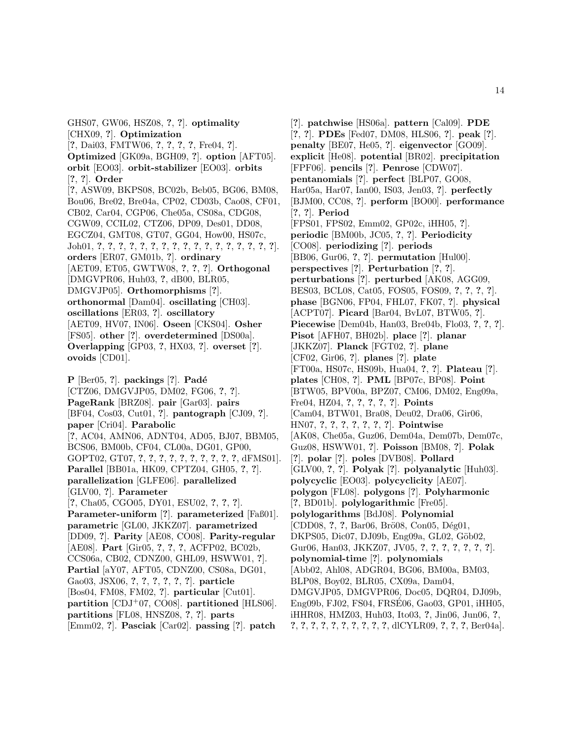GHS07, GW06, HSZ08, **?**, **?**]. **optimality** [CHX09, **?**]. **Optimization** [**?**, Dai03, FMTW06, **?**, **?**, **?**, **?**, Fre04, **?**]. **Optimized** [GK09a, BGH09, **?**]. **option** [AFT05]. **orbit** [EO03]. **orbit-stabilizer** [EO03]. **orbits** [**?**, **?**]. **Order** [**?**, ASW09, BKPS08, BC02b, Beb05, BG06, BM08, Bou06, Bre02, Bre04a, CP02, CD03b, Cao08, CF01, CB02, Car04, CGP06, Che05a, CS08a, CDG08, CGW09, CCIL02, CTZ06, DP09, Des01, DD08, EGCZ04, GMT08, GT07, GG04, How00, HS07c, Joh01, **?**, **?**, **?**, **?**, **?**, **?**, **?**, **?**, **?**, **?**, **?**, **?**, **?**, **?**, **?**, **?**, **?**]. **orders** [ER07, GM01b, **?**]. **ordinary** [AET09, ET05, GWTW08, **?**, **?**, **?**]. **Orthogonal** [DMGVPR06, Huh03, **?**, dB00, BLR05, DMGVJP05]. **Orthomorphisms** [**?**]. **orthonormal** [Dam04]. **oscillating** [CH03]. **oscillations** [ER03, **?**]. **oscillatory** [AET09, HV07, IN06]. **Oseen** [CKS04]. **Osher** [FS05]. **other** [**?**]. **overdetermined** [DS00a]. **Overlapping** [GP03, **?**, HX03, **?**]. **overset** [**?**]. **ovoids** [CD01]. **P** [Ber05, ?]. **packings** [?]. **Padé** [CTZ06, DMGVJP05, DM02, FG06, **?**, **?**]. **PageRank** [BRZ08]. **pair** [Gar03]. **pairs** [BF04, Cos03, Cut01, **?**]. **pantograph** [CJ09, **?**]. **paper** [Cri04]. **Parabolic** [**?**, AC04, AMN06, ADNT04, AD05, BJ07, BBM05, BCS06, BM00b, CF04, CL00a, DG01, GP00, GOPT02, GT07, **?**, **?**, **?**, **?**, **?**, **?**, **?**, **?**, **?**, **?**, dFMS01]. **Parallel** [BB01a, HK09, CPTZ04, GH05, **?**, **?**]. **parallelization** [GLFE06]. **parallelized** [GLV00, **?**]. **Parameter** [**?**, Cha05, CGO05, DY01, ESU02, **?**, **?**, **?**]. **Parameter-uniform** [**?**]. **parameterized** [Faß01]. **parametric** [GL00, JKKZ07]. **parametrized** [DD09, **?**]. **Parity** [AE08, CO08]. **Parity-regular** [AE08]. **Part** [Gir05, **?**, **?**, **?**, ACFP02, BC02b, CCS06a, CB02, CDNZ00, GHL09, HSWW01, **?**]. **Partial** [aY07, AFT05, CDNZ00, CS08a, DG01,

Gao03, JSX06, **?**, **?**, **?**, **?**, **?**, **?**]. **particle** [Bos04, FM08, FM02, **?**]. **particular** [Cut01].

**partition** [CDJ<sup>+</sup>07, CO08]. **partitioned** [HLS06].

**partitions** [FL08, HNSZ08, **?**, **?**]. **parts**

[Emm02, **?**]. **Pasciak** [Car02]. **passing** [**?**]. **patch**

[**?**]. **patchwise** [HS06a]. **pattern** [Cal09]. **PDE** [**?**, **?**]. **PDEs** [Fed07, DM08, HLS06, **?**]. **peak** [**?**]. **penalty** [BE07, He05, **?**]. **eigenvector** [GO09]. **explicit** [He08]. **potential** [BR02]. **precipitation** [FPF06]. **pencils** [**?**]. **Penrose** [CDW07]. **pentanomials** [**?**]. **perfect** [BLP07, GO08, Har05a, Har07, Ian00, IS03, Jen03, **?**]. **perfectly** [BJM00, CC08, **?**]. **perform** [BO00]. **performance** [**?**, **?**]. **Period** [FPS01, FPS02, Emm02, GP02c, iHH05, **?**]. **periodic** [BM00b, JC05, **?**, **?**]. **Periodicity** [CO08]. **periodizing** [**?**]. **periods** [BB06, Gur06, **?**, **?**]. **permutation** [Hul00]. **perspectives** [**?**]. **Perturbation** [**?**, **?**]. **perturbations** [**?**]. **perturbed** [AK08, AGG09, BES03, BCL08, Cat05, FOS05, FOS09, **?**, **?**, **?**, **?**]. **phase** [BGN06, FP04, FHL07, FK07, **?**]. **physical** [ACPT07]. **Picard** [Bar04, BvL07, BTW05, **?**]. **Piecewise** [Dem04b, Han03, Bre04b, Flo03, **?**, **?**, **?**]. **Pisot** [AFH07, BH02b]. **place** [**?**]. **planar** [JKKZ07]. **Planck** [FGT02, **?**]. **plane** [CF02, Gir06, **?**]. **planes** [**?**]. **plate** [FT00a, HS07c, HS09b, Hua04, **?**, **?**]. **Plateau** [**?**]. **plates** [CH08, **?**]. **PML** [BP07c, BP08]. **Point** [BTW05, BPV00a, BPZ07, CM06, DM02, Eng09a, Fre04, HZ04, **?**, **?**, **?**, **?**, **?**]. **Points** [Cam04, BTW01, Bra08, Deu02, Dra06, Gir06, HN07, **?**, **?**, **?**, **?**, **?**, **?**, **?**]. **Pointwise** [AK08, Che05a, Guz06, Dem04a, Dem07b, Dem07c, Guz08, HSWW01, **?**]. **Poisson** [BM08, **?**]. **Polak** [**?**]. **polar** [**?**]. **poles** [DVB08]. **Pollard** [GLV00, **?**, **?**]. **Polyak** [**?**]. **polyanalytic** [Huh03]. **polycyclic** [EO03]. **polycyclicity** [AE07]. **polygon** [FL08]. **polygons** [**?**]. **Polyharmonic** [**?**, BD01b]. **polylogarithmic** [Fre05]. **polylogarithms** [BdJ08]. **Polynomial** [CDD08, **?**, **?**, Bar06, Brö08, Con05, Dég01, DKPS05, Dic07, DJ09b, Eng09a, GL02, Göb02, Gur06, Han03, JKKZ07, JV05, **?**, **?**, **?**, **?**, **?**, **?**, **?**]. **polynomial-time** [**?**]. **polynomials** [Abb02, Ahl08, ADGR04, BG06, BM00a, BM03, BLP08, Boy02, BLR05, CX09a, Dam04, DMGVJP05, DMGVPR06, Doc05, DQR04, DJ09b, Eng09b, FJ02, FS04, FRSE06, Gao03, GP01, iHH05, iHHR08, HMZ03, Huh03, Ito03, **?**, Jin06, Jun06, **?**, **?**, **?**, **?**, **?**, **?**, **?**, **?**, **?**, **?**, **?**, dlCYLR09, **?**, **?**, **?**, Ber04a].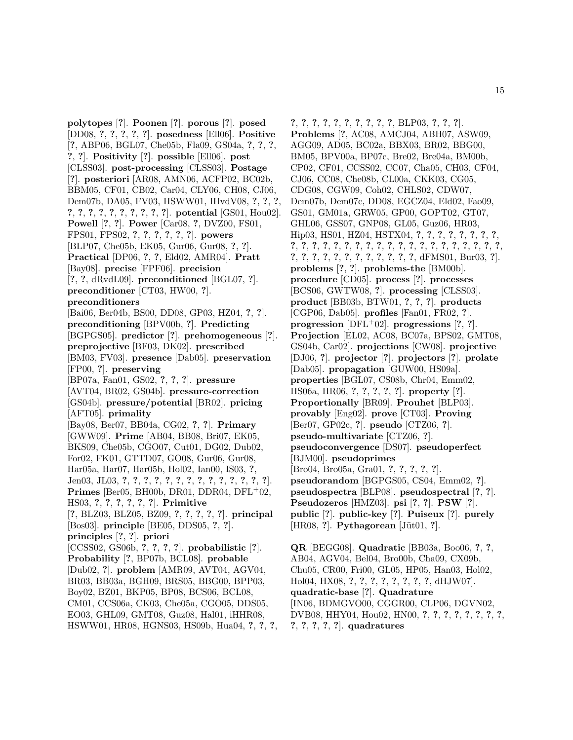**polytopes** [**?**]. **Poonen** [**?**]. **porous** [**?**]. **posed** [DD08, **?**, **?**, **?**, **?**, **?**]. **posedness** [Ell06]. **Positive** [**?**, ABP06, BGL07, Che05b, Fla09, GS04a, **?**, **?**, **?**, **?**, **?**]. **Positivity** [**?**]. **possible** [Ell06]. **post** [CLSS03]. **post-processing** [CLSS03]. **Postage** [**?**]. **posteriori** [AR08, AMN06, ACFP02, BC02b, BBM05, CF01, CB02, Car04, CLY06, CH08, CJ06, Dem07b, DA05, FV03, HSWW01, IHvdV08, **?**, **?**, **?**, **?**, **?**, **?**, **?**, **?**, **?**, **?**, **?**, **?**, **?**]. **potential** [GS01, Hou02]. **Powell** [**?**, **?**]. **Power** [Car08, **?**, DVZ00, FS01, FPS01, FPS02, **?**, **?**, **?**, **?**, **?**, **?**]. **powers** [BLP07, Che05b, EK05, Gur06, Gur08, **?**, **?**]. **Practical** [DP06, **?**, **?**, Eld02, AMR04]. **Pratt** [Bay08]. **precise** [FPF06]. **precision** [**?**, **?**, dRvdL09]. **preconditioned** [BGL07, **?**]. **preconditioner** [CT03, HW00, **?**]. **preconditioners** [Bai06, Ber04b, BS00, DD08, GP03, HZ04, **?**, **?**]. **preconditioning** [BPV00b, **?**]. **Predicting** [BGPGS05]. **predictor** [**?**]. **prehomogeneous** [**?**]. **preprojective** [BF03, DK02]. **prescribed** [BM03, FV03]. **presence** [Dab05]. **preservation** [FP00, **?**]. **preserving** [BP07a, Fan01, GS02, **?**, **?**, **?**]. **pressure** [AVT04, BR02, GS04b]. **pressure-correction** [GS04b]. **pressure/potential** [BR02]. **pricing** [AFT05]. **primality** [Bay08, Ber07, BB04a, CG02, **?**, **?**]. **Primary** [GWW09]. **Prime** [AB04, BB08, Bri07, EK05, BKS09, Che05b, CGO07, Cut01, DG02, Dub02, For02, FK01, GTTD07, GO08, Gur06, Gur08, Har05a, Har07, Har05b, Hol02, Ian00, IS03, **?**, Jen03, JL03, **?**, **?**, **?**, **?**, **?**, **?**, **?**, **?**, **?**, **?**, **?**, **?**, **?**, **?**]. **Primes** [Ber05, BH00b, DR01, DDR04, DFL<sup>+</sup>02, HS03, **?**, **?**, **?**, **?**, **?**, **?**]. **Primitive** [**?**, BLZ03, BLZ05, BZ09, **?**, **?**, **?**, **?**, **?**]. **principal** [Bos03]. **principle** [BE05, DDS05, **?**, **?**]. **principles** [**?**, **?**]. **priori** [CCSS02, GS06b, **?**, **?**, **?**, **?**]. **probabilistic** [**?**]. **Probability** [**?**, BP07b, BCL08]. **probable** [Dub02, **?**]. **problem** [AMR09, AVT04, AGV04, BR03, BB03a, BGH09, BRS05, BBG00, BPP03, Boy02, BZ01, BKP05, BP08, BCS06, BCL08, CM01, CCS06a, CK03, Che05a, CGO05, DDS05, EO03, GHL09, GMT08, Guz08, Hal01, iHHR08, HSWW01, HR08, HGNS03, HS09b, Hua04, **?**, **?**, **?**,

**?**, **?**, **?**, **?**, **?**, **?**, **?**, **?**, **?**, **?**, BLP03, **?**, **?**, **?**]. **Problems** [**?**, AC08, AMCJ04, ABH07, ASW09, AGG09, AD05, BC02a, BBX03, BR02, BBG00, BM05, BPV00a, BP07c, Bre02, Bre04a, BM00b, CP02, CF01, CCSS02, CC07, Cha05, CH03, CF04, CJ06, CC08, Che08b, CL00a, CKK03, CG05, CDG08, CGW09, Coh02, CHLS02, CDW07, Dem07b, Dem07c, DD08, EGCZ04, Eld02, Fao09, GS01, GM01a, GRW05, GP00, GOPT02, GT07, GHL06, GSS07, GNP08, GL05, Guz06, HR03, Hip03, HS01, HZ04, HSTX04, **?**, **?**, **?**, **?**, **?**, **?**, **?**, **?**, **?**, **?**, **?**, **?**, **?**, **?**, **?**, **?**, **?**, **?**, **?**, **?**, **?**, **?**, **?**, **?**, **?**, **?**, **?**, **?**, **?**, **?**, **?**, **?**, **?**, **?**, **?**, **?**, **?**, **?**, **?**, **?**, dFMS01, Bur03, **?**]. **problems** [**?**, **?**]. **problems-the** [BM00b]. **procedure** [CD05]. **process** [**?**]. **processes** [BCS06, GWTW08, **?**]. **processing** [CLSS03]. **product** [BB03b, BTW01, **?**, **?**, **?**]. **products** [CGP06, Dab05]. **profiles** [Fan01, FR02, **?**]. **progression** [DFL<sup>+</sup>02]. **progressions** [**?**, **?**]. **Projection** [EL02, AC08, BC07a, BPS02, GMT08, GS04b, Car02]. **projections** [CW08]. **projective** [DJ06, **?**]. **projector** [**?**]. **projectors** [**?**]. **prolate** [Dab05]. **propagation** [GUW00, HS09a]. **properties** [BGL07, CS08b, Chr04, Emm02, HS06a, HR06, **?**, **?**, **?**, **?**, **?**]. **property** [**?**]. **Proportionally** [BR09]. **Prouhet** [BLP03]. **provably** [Eng02]. **prove** [CT03]. **Proving** [Ber07, GP02c, **?**]. **pseudo** [CTZ06, **?**]. **pseudo-multivariate** [CTZ06, **?**]. **pseudoconvergence** [DS07]. **pseudoperfect** [BJM00]. **pseudoprimes** [Bro04, Bro05a, Gra01, **?**, **?**, **?**, **?**, **?**]. **pseudorandom** [BGPGS05, CS04, Emm02, **?**]. **pseudospectra** [BLP08]. **pseudospectral** [**?**, **?**]. **Pseudozeros** [HMZ03]. **psi** [**?**, **?**]. **PSW** [**?**]. **public** [**?**]. **public-key** [**?**]. **Puiseux** [**?**]. **purely** [HR08, **?**]. **Pythagorean** [Jüt01, **?**].

**QR** [BEGG08]. **Quadratic** [BB03a, Boo06, **?**, **?**, AB04, AGV04, Bel04, Bro00b, Cha09, CX09b, Chu05, CR00, Fri00, GL05, HP05, Han03, Hol02, Hol04, HX08, **?**, **?**, **?**, **?**, **?**, **?**, **?**, **?**, dHJW07]. **quadratic-base** [**?**]. **Quadrature** [IN06, BDMGVO00, CGGR00, CLP06, DGVN02, DVB08, HHY04, Hou02, HN00, **?**, **?**, **?**, **?**, **?**, **?**, **?**, **?**, **?**, **?**, **?**, **?**, **?**]. **quadratures**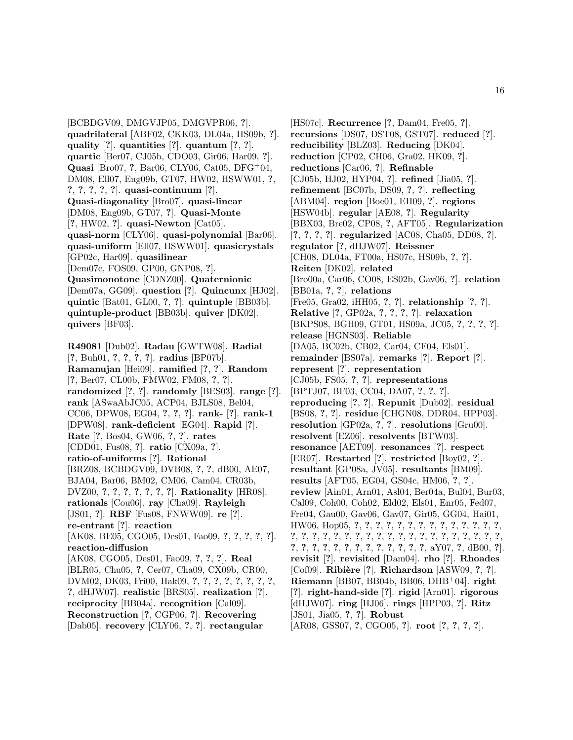[BCBDGV09, DMGVJP05, DMGVPR06, **?**]. **quadrilateral** [ABF02, CKK03, DL04a, HS09b, **?**]. **quality** [**?**]. **quantities** [**?**]. **quantum** [**?**, **?**]. **quartic** [Ber07, CJ05b, CDO03, Gir06, Har09, **?**]. **Quasi** [Bro07, **?**, Bar06, CLY06, Cat05, DFG<sup>+</sup>04, DM08, Ell07, Eng09b, GT07, HW02, HSWW01, **?**, **?**, **?**, **?**, **?**, **?**]. **quasi-continuum** [**?**]. **Quasi-diagonality** [Bro07]. **quasi-linear** [DM08, Eng09b, GT07, **?**]. **Quasi-Monte** [**?**, HW02, **?**]. **quasi-Newton** [Cat05]. **quasi-norm** [CLY06]. **quasi-polynomial** [Bar06]. **quasi-uniform** [Ell07, HSWW01]. **quasicrystals** [GP02c, Har09]. **quasilinear** [Dem07c, FOS09, GP00, GNP08, **?**]. **Quasimonotone** [CDNZ00]. **Quaternionic** [Dem07a, GG09]. **question** [**?**]. **Quincunx** [HJ02]. **quintic** [Bat01, GL00, **?**, **?**]. **quintuple** [BB03b]. **quintuple-product** [BB03b]. **quiver** [DK02]. **quivers** [BF03].

**R49081** [Dub02]. **Radau** [GWTW08]. **Radial** [**?**, Buh01, **?**, **?**, **?**, **?**]. **radius** [BP07b]. **Ramanujan** [Hei09]. **ramified** [**?**, **?**]. **Random** [**?**, Ber07, CL00b, FMW02, FM08, **?**, **?**]. **randomized** [**?**, **?**]. **randomly** [BES03]. **range** [**?**]. **rank** [ASwaAbJC05, ACP04, BJLS08, Bel04, CC06, DPW08, EG04, **?**, **?**, **?**]. **rank-** [**?**]. **rank-1** [DPW08]. **rank-deficient** [EG04]. **Rapid** [**?**]. **Rate** [**?**, Bos04, GW06, **?**, **?**]. **rates** [CDD01, Fus08, **?**]. **ratio** [CX09a, **?**]. **ratio-of-uniforms** [**?**]. **Rational** [BRZ08, BCBDGV09, DVB08, **?**, **?**, dB00, AE07, BJA04, Bar06, BM02, CM06, Cam04, CR03b, DVZ00, **?**, **?**, **?**, **?**, **?**, **?**, **?**]. **Rationality** [HR08]. **rationals** [Cou06]. **ray** [Cha09]. **Rayleigh** [JS01, **?**]. **RBF** [Fus08, FNWW09]. **re** [**?**]. **re-entrant** [**?**]. **reaction** [AK08, BE05, CGO05, Des01, Fao09, **?**, **?**, **?**, **?**, **?**]. **reaction-diffusion** [AK08, CGO05, Des01, Fao09, **?**, **?**, **?**]. **Real** [BLR05, Chu05, **?**, Cer07, Cha09, CX09b, CR00, DVM02, DK03, Fri00, Hak09, **?**, **?**, **?**, **?**, **?**, **?**, **?**, **?**, **?**, dHJW07]. **realistic** [BRS05]. **realization** [**?**]. **reciprocity** [BB04a]. **recognition** [Cal09]. **Reconstruction** [**?**, CGP06, **?**]. **Recovering** [Dab05]. **recovery** [CLY06, **?**, **?**]. **rectangular**

[HS07c]. **Recurrence** [**?**, Dam04, Fre05, **?**]. **recursions** [DS07, DST08, GST07]. **reduced** [**?**]. **reducibility** [BLZ03]. **Reducing** [DK04]. **reduction** [CP02, CH06, Gra02, HK09, **?**]. **reductions** [Car06, **?**]. **Refinable** [CJ05b, HJ02, HYP04, **?**]. **refined** [Jia05, **?**]. **refinement** [BC07b, DS09, **?**, **?**]. **reflecting** [ABM04]. **region** [Boe01, EH09, **?**]. **regions** [HSW04b]. **regular** [AE08, **?**]. **Regularity** [BBX03, Bre02, CP08, **?**, AFT05]. **Regularization** [**?**, **?**, **?**, **?**]. **regularized** [AC08, Cha05, DD08, **?**]. **regulator** [**?**, dHJW07]. **Reissner** [CH08, DL04a, FT00a, HS07c, HS09b, **?**, **?**]. **Reiten** [DK02]. **related** [Bro00a, Car06, CO08, ES02b, Gav06, **?**]. **relation** [BB01a, **?**, **?**]. **relations** [Fre05, Gra02, iHH05, **?**, **?**]. **relationship** [**?**, **?**]. **Relative** [**?**, GP02a, **?**, **?**, **?**, **?**]. **relaxation** [BKPS08, BGH09, GT01, HS09a, JC05, **?**, **?**, **?**, **?**]. **release** [HGNS03]. **Reliable** [DA05, BC02b, CB02, Car04, CF04, Els01]. **remainder** [BS07a]. **remarks** [**?**]. **Report** [**?**]. **represent** [**?**]. **representation** [CJ05b, FS05, **?**, **?**]. **representations** [BPTJ07, BF03, CC04, DA07, **?**, **?**, **?**]. **reproducing** [**?**, **?**]. **Repunit** [Dub02]. **residual** [BS08, **?**, **?**]. **residue** [CHGN08, DDR04, HPP03]. **resolution** [GP02a, **?**, **?**]. **resolutions** [Gru00]. **resolvent** [EZ06]. **resolvents** [BTW03]. **resonance** [AET09]. **resonances** [**?**]. **respect** [ER07]. **Restarted** [**?**]. **restricted** [Boy02, **?**]. **resultant** [GP08a, JV05]. **resultants** [BM09]. **results** [AFT05, EG04, GS04c, HM06, **?**, **?**]. **review** [Ain01, Arn01, Asl04, Ber04a, Bul04, Bur03, Cal09, Coh00, Coh02, Eld02, Els01, Enr05, Fed07, Fre04, Gau00, Gav06, Gav07, Gir05, GG04, Hai01, HW06, Hop05, **?**, **?**, **?**, **?**, **?**, **?**, **?**, **?**, **?**, **?**, **?**, **?**, **?**, **?**, **?**, **?**, **?**, **?**, **?**, **?**, **?**, **?**, **?**, **?**, **?**, **?**, **?**, **?**, **?**, **?**, **?**, **?**, **?**, **?**, **?**, **?**, **?**, **?**, **?**, **?**, **?**, **?**, **?**, **?**, **?**, **?**, **?**, aY07, **?**, dB00, **?**]. **revisit** [**?**]. **revisited** [Dam04]. **rho** [**?**]. **Rhoades** [Cof09]. **Ribi`ere** [**?**]. **Richardson** [ASW09, **?**, **?**]. **Riemann** [BB07, BB04b, BB06, DHB<sup>+</sup>04]. **right** [**?**]. **right-hand-side** [**?**]. **rigid** [Arn01]. **rigorous** [dHJW07]. **ring** [HJ06]. **rings** [HPP03, **?**]. **Ritz** [JS01, Jia05, **?**, **?**]. **Robust** [AR08, GSS07, **?**, CGO05, **?**]. **root** [**?**, **?**, **?**, **?**].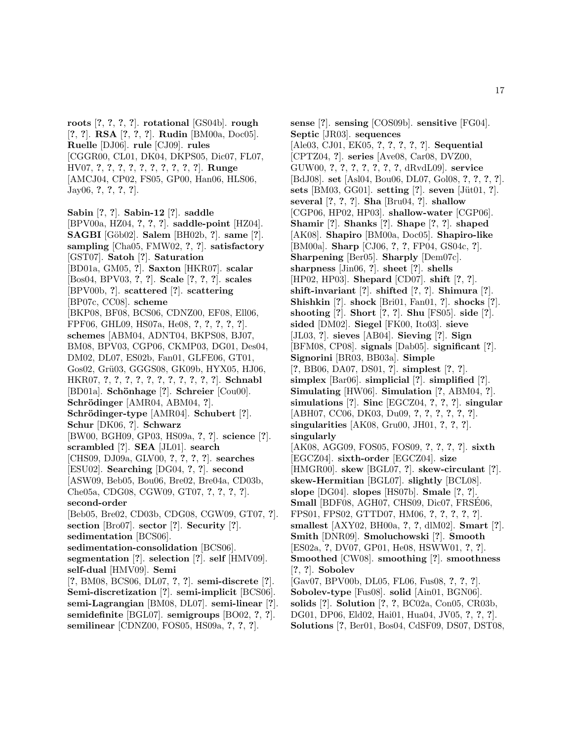**roots** [**?**, **?**, **?**, **?**]. **rotational** [GS04b]. **rough** [**?**, **?**]. **RSA** [**?**, **?**, **?**]. **Rudin** [BM00a, Doc05]. **Ruelle** [DJ06]. **rule** [CJ09]. **rules** [CGGR00, CL01, DK04, DKPS05, Dic07, FL07, HV07, **?**, **?**, **?**, **?**, **?**, **?**, **?**, **?**, **?**, **?**]. **Runge** [AMCJ04, CP02, FS05, GP00, Han06, HLS06, Jay06, **?**, **?**, **?**, **?**].

**Sabin** [**?**, **?**]. **Sabin-12** [**?**]. **saddle** [BPV00a, HZ04, **?**, **?**, **?**]. **saddle-point** [HZ04]. **SAGBI** [G¨ob02]. **Salem** [BH02b, **?**]. **same** [**?**]. **sampling** [Cha05, FMW02, **?**, **?**]. **satisfactory** [GST07]. **Satoh** [**?**]. **Saturation** [BD01a, GM05, **?**]. **Saxton** [HKR07]. **scalar** [Bos04, BPV03, **?**, **?**]. **Scale** [**?**, **?**, **?**]. **scales** [BPV00b, **?**]. **scattered** [**?**]. **scattering** [BP07c, CC08]. **scheme** [BKP08, BF08, BCS06, CDNZ00, EF08, Ell06, FPF06, GHL09, HS07a, He08, **?**, **?**, **?**, **?**, **?**]. **schemes** [ABM04, ADNT04, BKPS08, BJ07, BM08, BPV03, CGP06, CKMP03, DG01, Des04, DM02, DL07, ES02b, Fan01, GLFE06, GT01, Gos02, Grü03, GGGS08, GK09b, HYX05, HJ06, HKR07, **?**, **?**, **?**, **?**, **?**, **?**, **?**, **?**, **?**, **?**, **?**]. **Schnabl** [BD01a]. **Sch¨onhage** [**?**]. **Schreier** [Cou00]. **Schrödinger** [AMR04, ABM04, ?]. **Schr¨odinger-type** [AMR04]. **Schubert** [**?**]. **Schur** [DK06, **?**]. **Schwarz** [BW00, BGH09, GP03, HS09a, **?**, **?**]. **science** [**?**]. **scrambled** [**?**]. **SEA** [JL01]. **search** [CHS09, DJ09a, GLV00, **?**, **?**, **?**, **?**]. **searches** [ESU02]. **Searching** [DG04, **?**, **?**]. **second** [ASW09, Beb05, Bou06, Bre02, Bre04a, CD03b, Che05a, CDG08, CGW09, GT07, **?**, **?**, **?**, **?**]. **second-order** [Beb05, Bre02, CD03b, CDG08, CGW09, GT07, **?**]. **section** [Bro07]. **sector** [**?**]. **Security** [**?**]. **sedimentation** [BCS06]. **sedimentation-consolidation** [BCS06]. **segmentation** [**?**]. **selection** [**?**]. **self** [HMV09]. **self-dual** [HMV09]. **Semi** [**?**, BM08, BCS06, DL07, **?**, **?**]. **semi-discrete** [**?**]. **Semi-discretization** [**?**]. **semi-implicit** [BCS06]. **semi-Lagrangian** [BM08, DL07]. **semi-linear** [**?**].

**semidefinite** [BGL07]. **semigroups** [BO02, **?**, **?**]. **semilinear** [CDNZ00, FOS05, HS09a, **?**, **?**, **?**].

**sense** [**?**]. **sensing** [COS09b]. **sensitive** [FG04]. **Septic** [JR03]. **sequences** [Ale03, CJ01, EK05, **?**, **?**, **?**, **?**, **?**]. **Sequential** [CPTZ04, **?**]. **series** [Ave08, Car08, DVZ00, GUW00, **?**, **?**, **?**, **?**, **?**, **?**, **?**, dRvdL09]. **service** [BdJ08]. **set** [Asl04, Bou06, DL07, Gol08, **?**, **?**, **?**, **?**]. **sets** [BM03, GG01]. **setting** [?]. **seven** [Jüt01, ?]. **several** [**?**, **?**, **?**]. **Sha** [Bru04, **?**]. **shallow** [CGP06, HP02, HP03]. **shallow-water** [CGP06]. **Shamir** [**?**]. **Shanks** [**?**]. **Shape** [**?**, **?**]. **shaped** [AK08]. **Shapiro** [BM00a, Doc05]. **Shapiro-like** [BM00a]. **Sharp** [CJ06, **?**, **?**, FP04, GS04c, **?**]. **Sharpening** [Ber05]. **Sharply** [Dem07c]. **sharpness** [Jin06, **?**]. **sheet** [**?**]. **shells** [HP02, HP03]. **Shepard** [CD07]. **shift** [**?**, **?**]. **shift-invariant** [**?**]. **shifted** [**?**, **?**]. **Shimura** [**?**]. **Shishkin** [**?**]. **shock** [Bri01, Fan01, **?**]. **shocks** [**?**]. **shooting** [**?**]. **Short** [**?**, **?**]. **Shu** [FS05]. **side** [**?**]. **sided** [DM02]. **Siegel** [FK00, Ito03]. **sieve** [JL03, **?**]. **sieves** [AB04]. **Sieving** [**?**]. **Sign** [BFM08, CP08]. **signals** [Dab05]. **significant** [**?**]. **Signorini** [BR03, BB03a]. **Simple** [**?**, BB06, DA07, DS01, **?**]. **simplest** [**?**, **?**]. **simplex** [Bar06]. **simplicial** [**?**]. **simplified** [**?**]. **Simulating** [HW06]. **Simulation** [**?**, ABM04, **?**]. **simulations** [**?**]. **Sinc** [EGCZ04, **?**, **?**, **?**]. **singular** [ABH07, CC06, DK03, Du09, **?**, **?**, **?**, **?**, **?**, **?**]. **singularities** [AK08, Gru00, JH01, **?**, **?**, **?**]. **singularly** [AK08, AGG09, FOS05, FOS09, **?**, **?**, **?**, **?**]. **sixth** [EGCZ04]. **sixth-order** [EGCZ04]. **size** [HMGR00]. **skew** [BGL07, **?**]. **skew-circulant** [**?**]. **skew-Hermitian** [BGL07]. **slightly** [BCL08]. **slope** [DG04]. **slopes** [HS07b]. **Smale** [**?**, **?**]. **Small** [BDF08, AGH07, CHS09, Dic07, FRSE06, FPS01, FPS02, GTTD07, HM06, **?**, **?**, **?**, **?**, **?**]. **smallest** [AXY02, BH00a, **?**, **?**, dlM02]. **Smart** [**?**]. **Smith** [DNR09]. **Smoluchowski** [**?**]. **Smooth** [ES02a, **?**, DV07, GP01, He08, HSWW01, **?**, **?**]. **Smoothed** [CW08]. **smoothing** [**?**]. **smoothness** [**?**, **?**]. **Sobolev** [Gav07, BPV00b, DL05, FL06, Fus08, **?**, **?**, **?**]. **Sobolev-type** [Fus08]. **solid** [Ain01, BGN06]. **solids** [**?**]. **Solution** [**?**, **?**, BC02a, Con05, CR03b, DG01, DP06, Eld02, Hai01, Hua04, JV05, **?**, **?**, **?**].

**Solutions** [**?**, Ber01, Bos04, CdSF09, DS07, DST08,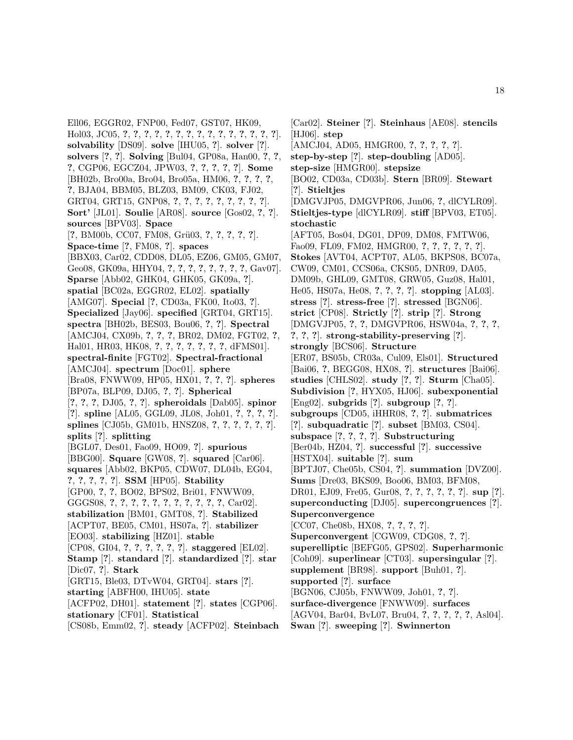Ell06, EGGR02, FNP00, Fed07, GST07, HK09, Hol03, JC05, **?**, **?**, **?**, **?**, **?**, **?**, **?**, **?**, **?**, **?**, **?**, **?**, **?**, **?**, **?**]. **solvability** [DS09]. **solve** [IHU05, **?**]. **solver** [**?**]. **solvers** [**?**, **?**]. **Solving** [Bul04, GP08a, Han00, **?**, **?**, **?**, CGP06, EGCZ04, JPW03, **?**, **?**, **?**, **?**, **?**]. **Some** [BH02b, Bro00a, Bro04, Bro05a, HM06, **?**, **?**, **?**, **?**, **?**, BJA04, BBM05, BLZ03, BM09, CK03, FJ02, GRT04, GRT15, GNP08, **?**, **?**, **?**, **?**, **?**, **?**, **?**, **?**, **?**]. **Sort'** [JL01]. **Soulie** [AR08]. **source** [Gos02, **?**, **?**]. **sources** [BPV03]. **Space** [**?**, BM00b, CC07, FM08, Gr¨u03, **?**, **?**, **?**, **?**, **?**]. **Space-time** [**?**, FM08, **?**]. **spaces** [BBX03, Car02, CDD08, DL05, EZ06, GM05, GM07, Geo08, GK09a, HHY04, **?**, **?**, **?**, **?**, **?**, **?**, **?**, **?**, Gav07]. **Sparse** [Abb02, GHK04, GHK05, GK09a, **?**]. **spatial** [BC02a, EGGR02, EL02]. **spatially** [AMG07]. **Special** [**?**, CD03a, FK00, Ito03, **?**]. **Specialized** [Jay06]. **specified** [GRT04, GRT15]. **spectra** [BH02b, BES03, Bou06, **?**, **?**]. **Spectral** [AMCJ04, CX09b, **?**, **?**, **?**, BR02, DM02, FGT02, **?**, Hal01, HR03, HK08, **?**, **?**, **?**, **?**, **?**, **?**, **?**, dFMS01]. **spectral-finite** [FGT02]. **Spectral-fractional** [AMCJ04]. **spectrum** [Doc01]. **sphere** [Bra08, FNWW09, HP05, HX01, **?**, **?**, **?**]. **spheres** [BP07a, BLP09, DJ05, **?**, **?**]. **Spherical** [**?**, **?**, **?**, DJ05, **?**, **?**]. **spheroidals** [Dab05]. **spinor** [**?**]. **spline** [AL05, GGL09, JL08, Joh01, **?**, **?**, **?**, **?**]. **splines** [CJ05b, GM01b, HNSZ08, **?**, **?**, **?**, **?**, **?**, **?**]. **splits** [**?**]. **splitting** [BGL07, Des01, Fao09, HO09, **?**]. **spurious** [BBG00]. **Square** [GW08, **?**]. **squared** [Car06]. **squares** [Abb02, BKP05, CDW07, DL04b, EG04, **?**, **?**, **?**, **?**, **?**]. **SSM** [HP05]. **Stability** [GP00, **?**, **?**, BO02, BPS02, Bri01, FNWW09, GGGS08, **?**, **?**, **?**, **?**, **?**, **?**, **?**, **?**, **?**, **?**, **?**, Car02]. **stabilization** [BM01, GMT08, **?**]. **Stabilized** [ACPT07, BE05, CM01, HS07a, **?**]. **stabilizer** [EO03]. **stabilizing** [HZ01]. **stable** [CP08, GI04, **?**, **?**, **?**, **?**, **?**, **?**]. **staggered** [EL02]. **Stamp** [**?**]. **standard** [**?**]. **standardized** [**?**]. **star** [Dic07, **?**]. **Stark** [GRT15, Ble03, DTvW04, GRT04]. **stars** [**?**]. **starting** [ABFH00, IHU05]. **state** [ACFP02, DH01]. **statement** [**?**]. **states** [CGP06]. **stationary** [CF01]. **Statistical**

[CS08b, Emm02, **?**]. **steady** [ACFP02]. **Steinbach**

[Car02]. **Steiner** [**?**]. **Steinhaus** [AE08]. **stencils** [HJ06]. **step** [AMCJ04, AD05, HMGR00, **?**, **?**, **?**, **?**, **?**]. **step-by-step** [**?**]. **step-doubling** [AD05]. **step-size** [HMGR00]. **stepsize** [BO02, CD03a, CD03b]. **Stern** [BR09]. **Stewart** [**?**]. **Stieltjes** [DMGVJP05, DMGVPR06, Jun06, **?**, dlCYLR09]. **Stieltjes-type** [dlCYLR09]. **stiff** [BPV03, ET05]. **stochastic** [AFT05, Bos04, DG01, DP09, DM08, FMTW06, Fao09, FL09, FM02, HMGR00, **?**, **?**, **?**, **?**, **?**, **?**]. **Stokes** [AVT04, ACPT07, AL05, BKPS08, BC07a, CW09, CM01, CCS06a, CKS05, DNR09, DA05, DM09b, GHL09, GMT08, GRW05, Guz08, Hal01, He05, HS07a, He08, **?**, **?**, **?**, **?**]. **stopping** [AL03]. **stress** [**?**]. **stress-free** [**?**]. **stressed** [BGN06]. **strict** [CP08]. **Strictly** [**?**]. **strip** [**?**]. **Strong** [DMGVJP05, **?**, **?**, DMGVPR06, HSW04a, **?**, **?**, **?**, **?**, **?**, **?**]. **strong-stability-preserving** [**?**]. **strongly** [BCS06]. **Structure** [ER07, BS05b, CR03a, Cul09, Els01]. **Structured** [Bai06, **?**, BEGG08, HX08, **?**]. **structures** [Bai06]. **studies** [CHLS02]. **study** [**?**, **?**]. **Sturm** [Cha05]. **Subdivision** [**?**, HYX05, HJ06]. **subexponential** [Eng02]. **subgrids** [**?**]. **subgroup** [**?**, **?**]. **subgroups** [CD05, iHHR08, **?**, **?**]. **submatrices** [**?**]. **subquadratic** [**?**]. **subset** [BM03, CS04]. **subspace** [**?**, **?**, **?**, **?**]. **Substructuring** [Ber04b, HZ04, **?**]. **successful** [**?**]. **successive** [HSTX04]. **suitable** [**?**]. **sum** [BPTJ07, Che05b, CS04, **?**]. **summation** [DVZ00]. **Sums** [Dre03, BKS09, Boo06, BM03, BFM08, DR01, EJ09, Fre05, Gur08, **?**, **?**, **?**, **?**, **?**, **?**]. **sup** [**?**]. **superconducting** [DJ05]. **supercongruences** [**?**]. **Superconvergence** [CC07, Che08b, HX08, **?**, **?**, **?**, **?**]. **Superconvergent** [CGW09, CDG08, **?**, **?**]. **superelliptic** [BEFG05, GPS02]. **Superharmonic** [Coh09]. **superlinear** [CT03]. **supersingular** [**?**]. **supplement** [BR98]. **support** [Buh01, **?**]. **supported** [**?**]. **surface** [BGN06, CJ05b, FNWW09, Joh01, **?**, **?**]. **surface-divergence** [FNWW09]. **surfaces** [AGV04, Bar04, BvL07, Bru04, **?**, **?**, **?**, **?**, **?**, Asl04].

**Swan** [**?**]. **sweeping** [**?**]. **Swinnerton**

18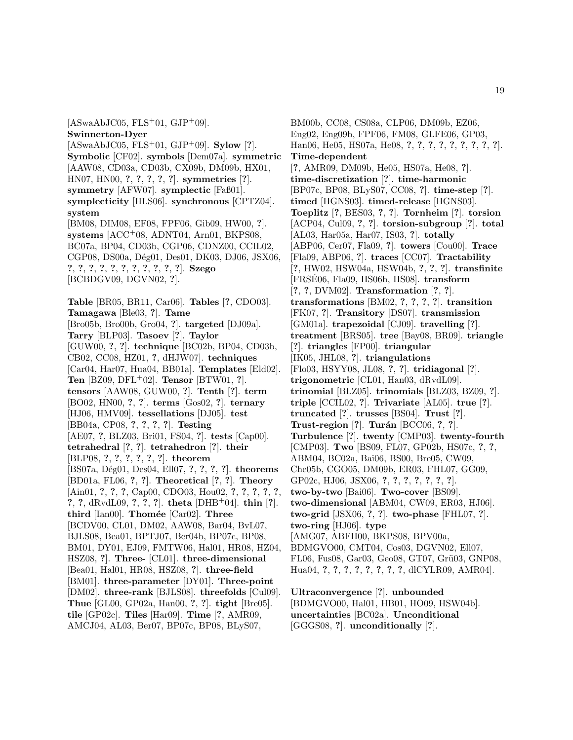$[ASwaAbJCO5, FLS<sup>+</sup>01, GJP<sup>+</sup>09].$ **Swinnerton-Dyer** [ASwaAbJC05, FLS<sup>+</sup>01, GJP<sup>+</sup>09]. **Sylow** [**?**]. **Symbolic** [CF02]. **symbols** [Dem07a]. **symmetric** [AAW08, CD03a, CD03b, CX09b, DM09b, HX01, HN07, HN00, **?**, **?**, **?**, **?**, **?**]. **symmetries** [**?**]. **symmetry** [AFW07]. **symplectic** [Faß01]. **symplecticity** [HLS06]. **synchronous** [CPTZ04]. **system** [BM08, DIM08, EF08, FPF06, Gib09, HW00, **?**]. **systems** [ACC<sup>+</sup>08, ADNT04, Arn01, BKPS08, BC07a, BP04, CD03b, CGP06, CDNZ00, CCIL02, CGP08, DS00a, Dég01, Des01, DK03, DJ06, JSX06, **?**, **?**, **?**, **?**, **?**, **?**, **?**, **?**, **?**, **?**, **?**]. **Szego** [BCBDGV09, DGVN02, **?**]. **Table** [BR05, BR11, Car06]. **Tables** [**?**, CDO03]. **Tamagawa** [Ble03, **?**]. **Tame** [Bro05b, Bro00b, Gro04, **?**]. **targeted** [DJ09a]. **Tarry** [BLP03]. **Tasoev** [**?**]. **Taylor** [GUW00, **?**, **?**]. **technique** [BC02b, BP04, CD03b, CB02, CC08, HZ01, **?**, dHJW07]. **techniques** [Car04, Har07, Hua04, BB01a]. **Templates** [Eld02]. **Ten** [BZ09, DFL<sup>+</sup>02]. **Tensor** [BTW01, **?**]. **tensors** [AAW08, GUW00, **?**]. **Tenth** [**?**]. **term** [BO02, HN00, **?**, **?**]. **terms** [Gos02, **?**]. **ternary** [HJ06, HMV09]. **tessellations** [DJ05]. **test** [BB04a, CP08, **?**, **?**, **?**, **?**]. **Testing** [AE07, **?**, BLZ03, Bri01, FS04, **?**]. **tests** [Cap00]. **tetrahedral** [**?**, **?**]. **tetrahedron** [**?**]. **their** [BLP08, **?**, **?**, **?**, **?**, **?**, **?**]. **theorem** [BS07a, D´eg01, Des04, Ell07, **?**, **?**, **?**, **?**]. **theorems** [BD01a, FL06, **?**, **?**]. **Theoretical** [**?**, **?**]. **Theory** [Ain01, **?**, **?**, **?**, Cap00, CDO03, Hou02, **?**, **?**, **?**, **?**, **?**, **?**, **?**, dRvdL09, **?**, **?**, **?**]. **theta** [DHB<sup>+</sup>04]. **thin** [**?**]. **third** [Ian00]. **Thom´ee** [Car02]. **Three** [BCDV00, CL01, DM02, AAW08, Bar04, BvL07, BJLS08, Bea01, BPTJ07, Ber04b, BP07c, BP08, BM01, DY01, EJ09, FMTW06, Hal01, HR08, HZ04, HSZ08, **?**]. **Three-** [CL01]. **three-dimensional** [Bea01, Hal01, HR08, HSZ08, **?**]. **three-field** [BM01]. **three-parameter** [DY01]. **Three-point** [DM02]. **three-rank** [BJLS08]. **threefolds** [Cul09]. **Thue** [GL00, GP02a, Han00, **?**, **?**]. **tight** [Bre05]. **tile** [GP02c]. **Tiles** [Har09]. **Time** [**?**, AMR09, AMCJ04, AL03, Ber07, BP07c, BP08, BLyS07,

BM00b, CC08, CS08a, CLP06, DM09b, EZ06, Eng02, Eng09b, FPF06, FM08, GLFE06, GP03, Han06, He05, HS07a, He08, **?**, **?**, **?**, **?**, **?**, **?**, **?**, **?**, **?**]. **Time-dependent** [**?**, AMR09, DM09b, He05, HS07a, He08, **?**]. **time-discretization** [**?**]. **time-harmonic** [BP07c, BP08, BLyS07, CC08, **?**]. **time-step** [**?**]. **timed** [HGNS03]. **timed-release** [HGNS03]. **Toeplitz** [**?**, BES03, **?**, **?**]. **Tornheim** [**?**]. **torsion** [ACP04, Cul09, **?**, **?**]. **torsion-subgroup** [**?**]. **total** [AL03, Har05a, Har07, IS03, **?**]. **totally** [ABP06, Cer07, Fla09, **?**]. **towers** [Cou00]. **Trace** [Fla09, ABP06, **?**]. **traces** [CC07]. **Tractability** [**?**, HW02, HSW04a, HSW04b, **?**, **?**, **?**]. **transfinite** [FRSE06, Fla09, HS06b, HS08]. ´ **transform** [**?**, **?**, DVM02]. **Transformation** [**?**, **?**]. **transformations** [BM02, **?**, **?**, **?**, **?**]. **transition** [FK07, **?**]. **Transitory** [DS07]. **transmission** [GM01a]. **trapezoidal** [CJ09]. **travelling** [**?**]. **treatment** [BRS05]. **tree** [Bay08, BR09]. **triangle** [**?**]. **triangles** [FP00]. **triangular** [IK05, JHL08, **?**]. **triangulations** [Flo03, HSYY08, JL08, **?**, **?**]. **tridiagonal** [**?**]. **trigonometric** [CL01, Han03, dRvdL09]. **trinomial** [BLZ05]. **trinomials** [BLZ03, BZ09, **?**]. **triple** [CCIL02, **?**]. **Trivariate** [AL05]. **true** [**?**]. **truncated** [**?**]. **trusses** [BS04]. **Trust** [**?**]. **Trust-region** [**?**]. **Tur´an** [BCC06, **?**, **?**]. **Turbulence** [**?**]. **twenty** [CMP03]. **twenty-fourth** [CMP03]. **Two** [BS09, FL07, GP02b, HS07c, **?**, **?**, ABM04, BC02a, Bai06, BS00, Bre05, CW09, Che05b, CGO05, DM09b, ER03, FHL07, GG09, GP02c, HJ06, JSX06, **?**, **?**, **?**, **?**, **?**, **?**, **?**]. **two-by-two** [Bai06]. **Two-cover** [BS09]. **two-dimensional** [ABM04, CW09, ER03, HJ06]. **two-grid** [JSX06, **?**, **?**]. **two-phase** [FHL07, **?**]. **two-ring** [HJ06]. **type** [AMG07, ABFH00, BKPS08, BPV00a, BDMGVO00, CMT04, Cos03, DGVN02, Ell07, FL06, Fus08, Gar03, Geo08, GT07, Grü03, GNP08, Hua04, **?**, **?**, **?**, **?**, **?**, **?**, **?**, **?**, dlCYLR09, AMR04].

**Ultraconvergence** [**?**]. **unbounded** [BDMGVO00, Hal01, HB01, HO09, HSW04b]. **uncertainties** [BC02a]. **Unconditional** [GGGS08, **?**]. **unconditionally** [**?**].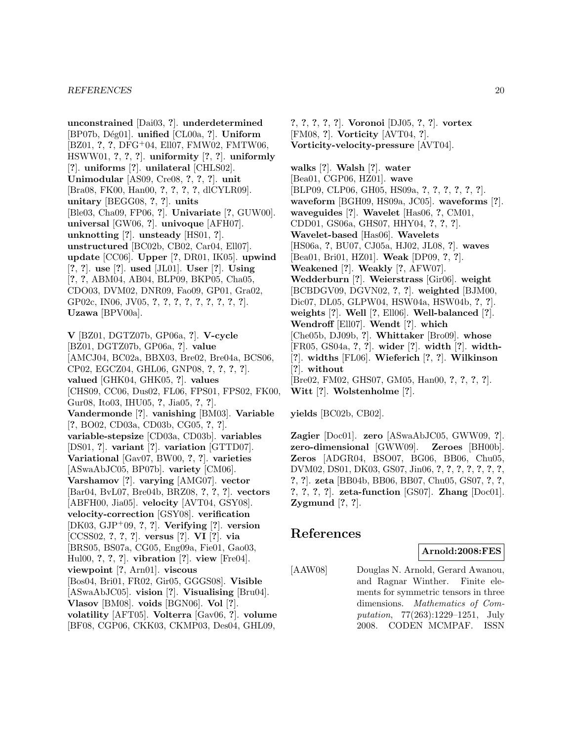**unconstrained** [Dai03, **?**]. **underdetermined** [BP07b, D´eg01]. **unified** [CL00a, **?**]. **Uniform** [BZ01, **?**, **?**, DFG<sup>+</sup>04, Ell07, FMW02, FMTW06, HSWW01, **?**, **?**, **?**]. **uniformity** [**?**, **?**]. **uniformly** [**?**]. **uniforms** [**?**]. **unilateral** [CHLS02]. **Unimodular** [AS09, Cre08, **?**, **?**, **?**]. **unit** [Bra08, FK00, Han00, **?**, **?**, **?**, **?**, dlCYLR09]. **unitary** [BEGG08, **?**, **?**]. **units** [Ble03, Cha09, FP06, **?**]. **Univariate** [**?**, GUW00]. **universal** [GW06, **?**]. **univoque** [AFH07]. **unknotting** [**?**]. **unsteady** [HS01, **?**]. **unstructured** [BC02b, CB02, Car04, Ell07]. **update** [CC06]. **Upper** [**?**, DR01, IK05]. **upwind** [**?**, **?**]. **use** [**?**]. **used** [JL01]. **User** [**?**]. **Using** [**?**, **?**, ABM04, AB04, BLP09, BKP05, Cha05, CDO03, DVM02, DNR09, Fao09, GP01, Gra02, GP02c, IN06, JV05, **?**, **?**, **?**, **?**, **?**, **?**, **?**, **?**, **?**]. **Uzawa** [BPV00a].

**V** [BZ01, DGTZ07b, GP06a, **?**]. **V-cycle** [BZ01, DGTZ07b, GP06a, **?**]. **value** [AMCJ04, BC02a, BBX03, Bre02, Bre04a, BCS06, CP02, EGCZ04, GHL06, GNP08, **?**, **?**, **?**, **?**]. **valued** [GHK04, GHK05, **?**]. **values** [CHS09, CC06, Dus02, FL06, FPS01, FPS02, FK00, Gur08, Ito03, IHU05, **?**, Jia05, **?**, **?**]. **Vandermonde** [**?**]. **vanishing** [BM03]. **Variable** [**?**, BO02, CD03a, CD03b, CG05, **?**, **?**]. **variable-stepsize** [CD03a, CD03b]. **variables** [DS01, **?**]. **variant** [**?**]. **variation** [GTTD07]. **Variational** [Gav07, BW00, **?**, **?**]. **varieties** [ASwaAbJC05, BP07b]. **variety** [CM06]. **Varshamov** [**?**]. **varying** [AMG07]. **vector** [Bar04, BvL07, Bre04b, BRZ08, **?**, **?**, **?**]. **vectors** [ABFH00, Jia05]. **velocity** [AVT04, GSY08]. **velocity-correction** [GSY08]. **verification** [DK03, GJP<sup>+</sup>09, **?**, **?**]. **Verifying** [**?**]. **version** [CCSS02, **?**, **?**, **?**]. **versus** [**?**]. **VI** [**?**]. **via** [BRS05, BS07a, CG05, Eng09a, Fie01, Gao03, Hul00, **?**, **?**, **?**]. **vibration** [**?**]. **view** [Fre04]. **viewpoint** [**?**, Arn01]. **viscous** [Bos04, Bri01, FR02, Gir05, GGGS08]. **Visible** [ASwaAbJC05]. **vision** [**?**]. **Visualising** [Bru04]. **Vlasov** [BM08]. **voids** [BGN06]. **Vol** [**?**]. **volatility** [AFT05]. **Volterra** [Gav06, **?**]. **volume** [BF08, CGP06, CKK03, CKMP03, Des04, GHL09,

**?**, **?**, **?**, **?**, **?**]. **Voronoi** [DJ05, **?**, **?**]. **vortex** [FM08, **?**]. **Vorticity** [AVT04, **?**]. **Vorticity-velocity-pressure** [AVT04].

**walks** [**?**]. **Walsh** [**?**]. **water** [Bea01, CGP06, HZ01]. **wave** [BLP09, CLP06, GH05, HS09a, **?**, **?**, **?**, **?**, **?**, **?**]. **waveform** [BGH09, HS09a, JC05]. **waveforms** [**?**]. **waveguides** [**?**]. **Wavelet** [Has06, **?**, CM01, CDD01, GS06a, GHS07, HHY04, **?**, **?**, **?**]. **Wavelet-based** [Has06]. **Wavelets** [HS06a, **?**, BU07, CJ05a, HJ02, JL08, **?**]. **waves** [Bea01, Bri01, HZ01]. **Weak** [DP09, **?**, **?**]. **Weakened** [**?**]. **Weakly** [**?**, AFW07]. **Wedderburn** [**?**]. **Weierstrass** [Gir06]. **weight** [BCBDGV09, DGVN02, **?**, **?**]. **weighted** [BJM00, Dic07, DL05, GLPW04, HSW04a, HSW04b, **?**, **?**]. **weights** [**?**]. **Well** [**?**, Ell06]. **Well-balanced** [**?**]. **Wendroff** [Ell07]. **Wendt** [**?**]. **which** [Che05b, DJ09b, **?**]. **Whittaker** [Bro09]. **whose** [FR05, GS04a, **?**, **?**]. **wider** [**?**]. **width** [**?**]. **width-** [**?**]. **widths** [FL06]. **Wieferich** [**?**, **?**]. **Wilkinson** [**?**]. **without** [Bre02, FM02, GHS07, GM05, Han00, **?**, **?**, **?**, **?**]. **Witt** [**?**]. **Wolstenholme** [**?**].

**yields** [BC02b, CB02].

**Zagier** [Doc01]. **zero** [ASwaAbJC05, GWW09, **?**]. **zero-dimensional** [GWW09]. **Zeroes** [BH00b]. **Zeros** [ADGR04, BSO07, BG06, BB06, Chu05, DVM02, DS01, DK03, GS07, Jin06, **?**, **?**, **?**, **?**, **?**, **?**, **?**, **?**, **?**]. **zeta** [BB04b, BB06, BB07, Chu05, GS07, **?**, **?**, **?**, **?**, **?**, **?**]. **zeta-function** [GS07]. **Zhang** [Doc01]. **Zygmund** [**?**, **?**].

# **References**

# **Arnold:2008:FES**

[AAW08] Douglas N. Arnold, Gerard Awanou, and Ragnar Winther. Finite elements for symmetric tensors in three dimensions. Mathematics of Computation, 77(263):1229–1251, July 2008. CODEN MCMPAF. ISSN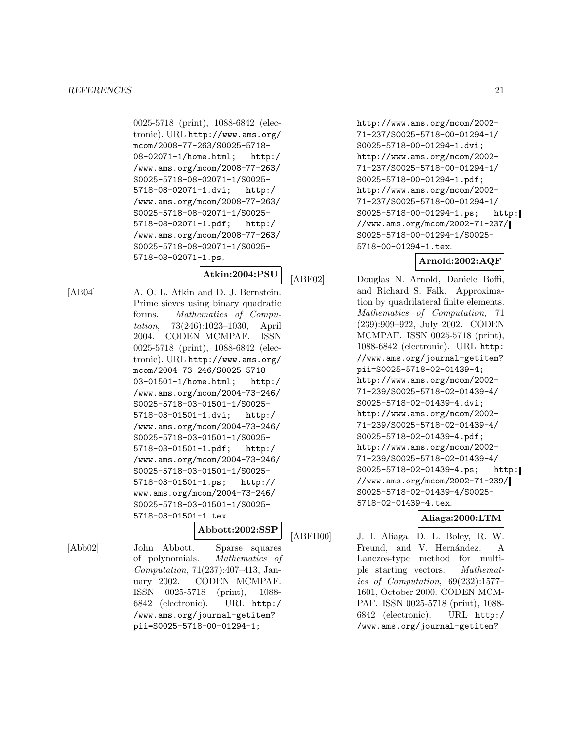0025-5718 (print), 1088-6842 (electronic). URL http://www.ams.org/ mcom/2008-77-263/S0025-5718- 08-02071-1/home.html; http:/ /www.ams.org/mcom/2008-77-263/ S0025-5718-08-02071-1/S0025- 5718-08-02071-1.dvi; http:/ /www.ams.org/mcom/2008-77-263/ S0025-5718-08-02071-1/S0025- 5718-08-02071-1.pdf; http:/ /www.ams.org/mcom/2008-77-263/ S0025-5718-08-02071-1/S0025- 5718-08-02071-1.ps.

# **Atkin:2004:PSU**

[AB04] A. O. L. Atkin and D. J. Bernstein. Prime sieves using binary quadratic forms. Mathematics of Computation, 73(246):1023–1030, April 2004. CODEN MCMPAF. ISSN 0025-5718 (print), 1088-6842 (electronic). URL http://www.ams.org/ mcom/2004-73-246/S0025-5718- 03-01501-1/home.html; http:/ /www.ams.org/mcom/2004-73-246/ S0025-5718-03-01501-1/S0025- 5718-03-01501-1.dvi; http:/ /www.ams.org/mcom/2004-73-246/ S0025-5718-03-01501-1/S0025- 5718-03-01501-1.pdf; http:/ /www.ams.org/mcom/2004-73-246/ S0025-5718-03-01501-1/S0025- 5718-03-01501-1.ps; http:// www.ams.org/mcom/2004-73-246/ S0025-5718-03-01501-1/S0025- 5718-03-01501-1.tex.

# **Abbott:2002:SSP**

[Abb02] John Abbott. Sparse squares of polynomials. Mathematics of Computation, 71(237):407–413, January 2002. CODEN MCMPAF. ISSN 0025-5718 (print), 1088- 6842 (electronic). URL http:/ /www.ams.org/journal-getitem? pii=S0025-5718-00-01294-1;

http://www.ams.org/mcom/2002- 71-237/S0025-5718-00-01294-1/ S0025-5718-00-01294-1.dvi; http://www.ams.org/mcom/2002- 71-237/S0025-5718-00-01294-1/ S0025-5718-00-01294-1.pdf; http://www.ams.org/mcom/2002- 71-237/S0025-5718-00-01294-1/ S0025-5718-00-01294-1.ps; http: //www.ams.org/mcom/2002-71-237/ S0025-5718-00-01294-1/S0025- 5718-00-01294-1.tex.

# **Arnold:2002:AQF**

[ABF02] Douglas N. Arnold, Daniele Boffi, and Richard S. Falk. Approximation by quadrilateral finite elements. Mathematics of Computation, 71 (239):909–922, July 2002. CODEN MCMPAF. ISSN 0025-5718 (print), 1088-6842 (electronic). URL http: //www.ams.org/journal-getitem? pii=S0025-5718-02-01439-4; http://www.ams.org/mcom/2002- 71-239/S0025-5718-02-01439-4/ S0025-5718-02-01439-4.dvi; http://www.ams.org/mcom/2002- 71-239/S0025-5718-02-01439-4/ S0025-5718-02-01439-4.pdf; http://www.ams.org/mcom/2002- 71-239/S0025-5718-02-01439-4/ S0025-5718-02-01439-4.ps; http: //www.ams.org/mcom/2002-71-239/ S0025-5718-02-01439-4/S0025- 5718-02-01439-4.tex.

# **Aliaga:2000:LTM**

[ABFH00] J. I. Aliaga, D. L. Boley, R. W. Freund, and V. Hernández. A Lanczos-type method for multiple starting vectors. Mathematics of Computation, 69(232):1577– 1601, October 2000. CODEN MCM-PAF. ISSN 0025-5718 (print), 1088- 6842 (electronic). URL http:/ /www.ams.org/journal-getitem?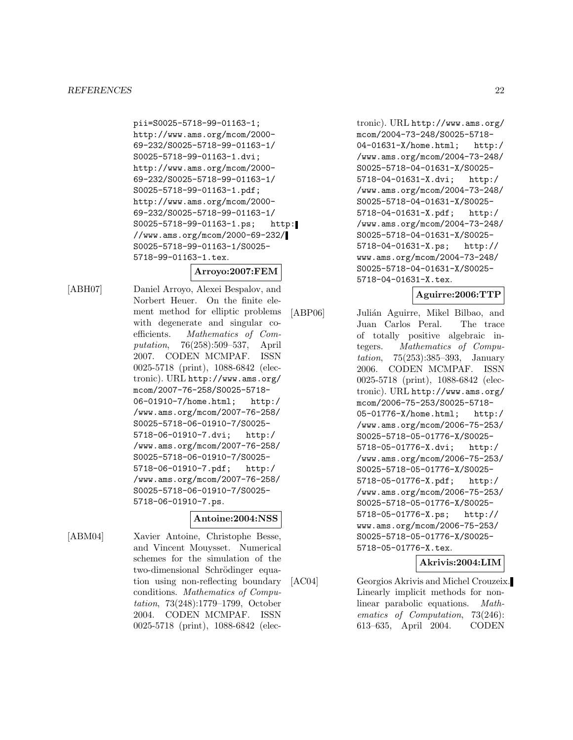pii=S0025-5718-99-01163-1; http://www.ams.org/mcom/2000- 69-232/S0025-5718-99-01163-1/ S0025-5718-99-01163-1.dvi; http://www.ams.org/mcom/2000- 69-232/S0025-5718-99-01163-1/ S0025-5718-99-01163-1.pdf; http://www.ams.org/mcom/2000- 69-232/S0025-5718-99-01163-1/ S0025-5718-99-01163-1.ps; http: //www.ams.org/mcom/2000-69-232/ S0025-5718-99-01163-1/S0025- 5718-99-01163-1.tex.

# **Arroyo:2007:FEM**

[ABH07] Daniel Arroyo, Alexei Bespalov, and Norbert Heuer. On the finite element method for elliptic problems with degenerate and singular coefficients. Mathematics of Computation, 76(258):509–537, April 2007. CODEN MCMPAF. ISSN 0025-5718 (print), 1088-6842 (electronic). URL http://www.ams.org/ mcom/2007-76-258/S0025-5718- 06-01910-7/home.html; http:/ /www.ams.org/mcom/2007-76-258/ S0025-5718-06-01910-7/S0025- 5718-06-01910-7.dvi; http:/ /www.ams.org/mcom/2007-76-258/ S0025-5718-06-01910-7/S0025- 5718-06-01910-7.pdf; http:/ /www.ams.org/mcom/2007-76-258/ S0025-5718-06-01910-7/S0025- 5718-06-01910-7.ps.

# **Antoine:2004:NSS**

[ABM04] Xavier Antoine, Christophe Besse, and Vincent Mouysset. Numerical schemes for the simulation of the two-dimensional Schrödinger equation using non-reflecting boundary conditions. Mathematics of Computation, 73(248):1779–1799, October 2004. CODEN MCMPAF. ISSN 0025-5718 (print), 1088-6842 (elec-

tronic). URL http://www.ams.org/ mcom/2004-73-248/S0025-5718- 04-01631-X/home.html; http:/ /www.ams.org/mcom/2004-73-248/ S0025-5718-04-01631-X/S0025- 5718-04-01631-X.dvi; http:/ /www.ams.org/mcom/2004-73-248/ S0025-5718-04-01631-X/S0025- 5718-04-01631-X.pdf; http:/ /www.ams.org/mcom/2004-73-248/ S0025-5718-04-01631-X/S0025- 5718-04-01631-X.ps; http:// www.ams.org/mcom/2004-73-248/ S0025-5718-04-01631-X/S0025- 5718-04-01631-X.tex.

#### **Aguirre:2006:TTP**

[ABP06] Julián Aguirre, Mikel Bilbao, and Juan Carlos Peral. The trace of totally positive algebraic integers. Mathematics of Computation, 75(253):385–393, January 2006. CODEN MCMPAF. ISSN 0025-5718 (print), 1088-6842 (electronic). URL http://www.ams.org/ mcom/2006-75-253/S0025-5718- 05-01776-X/home.html; http:/ /www.ams.org/mcom/2006-75-253/ S0025-5718-05-01776-X/S0025- 5718-05-01776-X.dvi; http:/ /www.ams.org/mcom/2006-75-253/ S0025-5718-05-01776-X/S0025- 5718-05-01776-X.pdf; http:/ /www.ams.org/mcom/2006-75-253/ S0025-5718-05-01776-X/S0025- 5718-05-01776-X.ps; http:// www.ams.org/mcom/2006-75-253/ S0025-5718-05-01776-X/S0025- 5718-05-01776-X.tex.

# **Akrivis:2004:LIM**

[AC04] Georgios Akrivis and Michel Crouzeix. Linearly implicit methods for nonlinear parabolic equations. Mathematics of Computation, 73(246): 613–635, April 2004. CODEN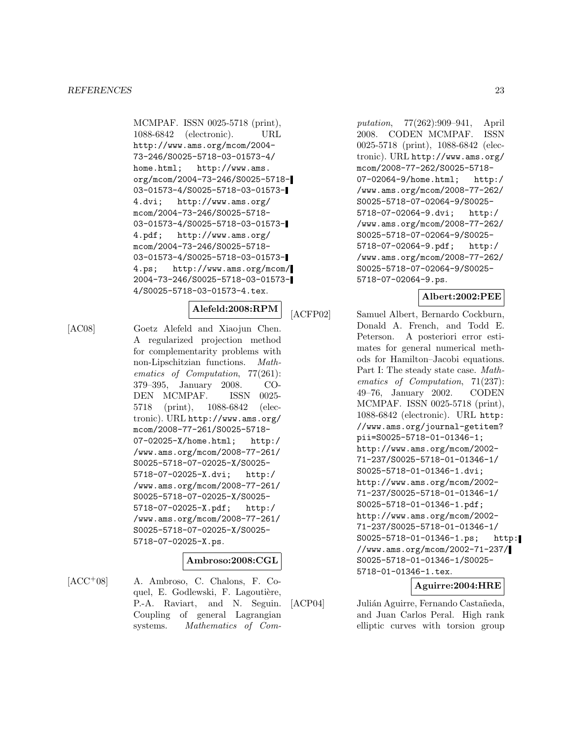MCMPAF. ISSN 0025-5718 (print), 1088-6842 (electronic). URL http://www.ams.org/mcom/2004- 73-246/S0025-5718-03-01573-4/ home.html; http://www.ams. org/mcom/2004-73-246/S0025-5718- 03-01573-4/S0025-5718-03-01573- 4.dvi; http://www.ams.org/ mcom/2004-73-246/S0025-5718- 03-01573-4/S0025-5718-03-01573- 4.pdf; http://www.ams.org/ mcom/2004-73-246/S0025-5718- 03-01573-4/S0025-5718-03-01573- 4.ps; http://www.ams.org/mcom/ 2004-73-246/S0025-5718-03-01573- 4/S0025-5718-03-01573-4.tex.

# **Alefeld:2008:RPM**

[AC08] Goetz Alefeld and Xiaojun Chen. A regularized projection method for complementarity problems with non-Lipschitzian functions. Mathematics of Computation, 77(261): 379–395, January 2008. CO-DEN MCMPAF. ISSN 0025- 5718 (print), 1088-6842 (electronic). URL http://www.ams.org/ mcom/2008-77-261/S0025-5718- 07-02025-X/home.html; http:/ /www.ams.org/mcom/2008-77-261/ S0025-5718-07-02025-X/S0025- 5718-07-02025-X.dvi; http:/ /www.ams.org/mcom/2008-77-261/ S0025-5718-07-02025-X/S0025- 5718-07-02025-X.pdf; http:/ /www.ams.org/mcom/2008-77-261/ S0025-5718-07-02025-X/S0025- 5718-07-02025-X.ps.

# **Ambroso:2008:CGL**

[ACC<sup>+</sup>08] A. Ambroso, C. Chalons, F. Coquel, E. Godlewski, F. Lagoutière, P.-A. Raviart, and N. Seguin. Coupling of general Lagrangian systems. Mathematics of Computation, 77(262):909–941, April 2008. CODEN MCMPAF. ISSN 0025-5718 (print), 1088-6842 (electronic). URL http://www.ams.org/ mcom/2008-77-262/S0025-5718- 07-02064-9/home.html; http:/ /www.ams.org/mcom/2008-77-262/ S0025-5718-07-02064-9/S0025- 5718-07-02064-9.dvi; http:/ /www.ams.org/mcom/2008-77-262/ S0025-5718-07-02064-9/S0025- 5718-07-02064-9.pdf; http:/ /www.ams.org/mcom/2008-77-262/ S0025-5718-07-02064-9/S0025- 5718-07-02064-9.ps.

# **Albert:2002:PEE**

[ACFP02] Samuel Albert, Bernardo Cockburn, Donald A. French, and Todd E. Peterson. A posteriori error estimates for general numerical methods for Hamilton–Jacobi equations. Part I: The steady state case. Mathematics of Computation, 71(237): 49–76, January 2002. CODEN MCMPAF. ISSN 0025-5718 (print), 1088-6842 (electronic). URL http: //www.ams.org/journal-getitem? pii=S0025-5718-01-01346-1; http://www.ams.org/mcom/2002- 71-237/S0025-5718-01-01346-1/ S0025-5718-01-01346-1.dvi; http://www.ams.org/mcom/2002- 71-237/S0025-5718-01-01346-1/ S0025-5718-01-01346-1.pdf; http://www.ams.org/mcom/2002- 71-237/S0025-5718-01-01346-1/ S0025-5718-01-01346-1.ps; http: //www.ams.org/mcom/2002-71-237/ S0025-5718-01-01346-1/S0025- 5718-01-01346-1.tex.

# **Aguirre:2004:HRE**

[ACP04] Julián Aguirre, Fernando Castañeda, and Juan Carlos Peral. High rank elliptic curves with torsion group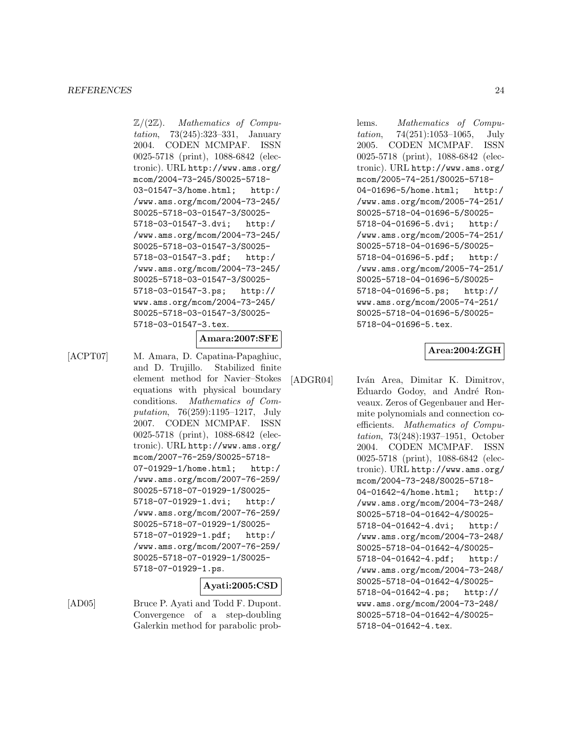$\mathbb{Z}/(2\mathbb{Z})$ . Mathematics of Computation, 73(245):323–331, January 2004. CODEN MCMPAF. ISSN 0025-5718 (print), 1088-6842 (electronic). URL http://www.ams.org/ mcom/2004-73-245/S0025-5718- 03-01547-3/home.html; http:/ /www.ams.org/mcom/2004-73-245/ S0025-5718-03-01547-3/S0025- 5718-03-01547-3.dvi; http:/ /www.ams.org/mcom/2004-73-245/ S0025-5718-03-01547-3/S0025- 5718-03-01547-3.pdf; http:/ /www.ams.org/mcom/2004-73-245/ S0025-5718-03-01547-3/S0025- 5718-03-01547-3.ps; http:// www.ams.org/mcom/2004-73-245/ S0025-5718-03-01547-3/S0025- 5718-03-01547-3.tex.

## **Amara:2007:SFE**

[ACPT07] M. Amara, D. Capatina-Papaghiuc, and D. Trujillo. Stabilized finite element method for Navier–Stokes equations with physical boundary conditions. Mathematics of Computation, 76(259):1195–1217, July 2007. CODEN MCMPAF. ISSN 0025-5718 (print), 1088-6842 (electronic). URL http://www.ams.org/ mcom/2007-76-259/S0025-5718- 07-01929-1/home.html; http:/ /www.ams.org/mcom/2007-76-259/ S0025-5718-07-01929-1/S0025- 5718-07-01929-1.dvi; http:/ /www.ams.org/mcom/2007-76-259/ S0025-5718-07-01929-1/S0025- 5718-07-01929-1.pdf; http:/ /www.ams.org/mcom/2007-76-259/ S0025-5718-07-01929-1/S0025- 5718-07-01929-1.ps.

# **Ayati:2005:CSD**

[AD05] Bruce P. Ayati and Todd F. Dupont. Convergence of a step-doubling Galerkin method for parabolic problems. Mathematics of Computation, 74(251):1053–1065, July 2005. CODEN MCMPAF. ISSN 0025-5718 (print), 1088-6842 (electronic). URL http://www.ams.org/ mcom/2005-74-251/S0025-5718- 04-01696-5/home.html; http:/ /www.ams.org/mcom/2005-74-251/ S0025-5718-04-01696-5/S0025- 5718-04-01696-5.dvi; http:/ /www.ams.org/mcom/2005-74-251/ S0025-5718-04-01696-5/S0025- 5718-04-01696-5.pdf; http:/ /www.ams.org/mcom/2005-74-251/ S0025-5718-04-01696-5/S0025- 5718-04-01696-5.ps; http:// www.ams.org/mcom/2005-74-251/ S0025-5718-04-01696-5/S0025- 5718-04-01696-5.tex.

# **Area:2004:ZGH**

[ADGR04] Iván Area, Dimitar K. Dimitrov,

Eduardo Godoy, and André Ronveaux. Zeros of Gegenbauer and Hermite polynomials and connection coefficients. Mathematics of Computation, 73(248):1937–1951, October 2004. CODEN MCMPAF. ISSN 0025-5718 (print), 1088-6842 (electronic). URL http://www.ams.org/ mcom/2004-73-248/S0025-5718- 04-01642-4/home.html; http:/ /www.ams.org/mcom/2004-73-248/ S0025-5718-04-01642-4/S0025- 5718-04-01642-4.dvi; http:/ /www.ams.org/mcom/2004-73-248/ S0025-5718-04-01642-4/S0025- 5718-04-01642-4.pdf; http:/ /www.ams.org/mcom/2004-73-248/ S0025-5718-04-01642-4/S0025- 5718-04-01642-4.ps; http:// www.ams.org/mcom/2004-73-248/ S0025-5718-04-01642-4/S0025- 5718-04-01642-4.tex.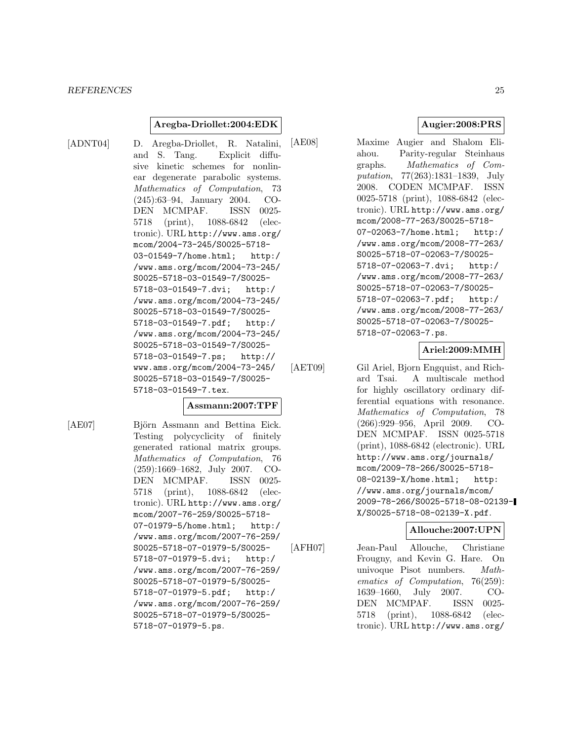#### **Aregba-Driollet:2004:EDK**

[ADNT04] D. Aregba-Driollet, R. Natalini, and S. Tang. Explicit diffusive kinetic schemes for nonlinear degenerate parabolic systems. Mathematics of Computation, 73 (245):63–94, January 2004. CO-DEN MCMPAF. ISSN 0025- 5718 (print), 1088-6842 (electronic). URL http://www.ams.org/ mcom/2004-73-245/S0025-5718- 03-01549-7/home.html; http:/ /www.ams.org/mcom/2004-73-245/ S0025-5718-03-01549-7/S0025- 5718-03-01549-7.dvi; http:/ /www.ams.org/mcom/2004-73-245/ S0025-5718-03-01549-7/S0025- 5718-03-01549-7.pdf; http:/ /www.ams.org/mcom/2004-73-245/ S0025-5718-03-01549-7/S0025- 5718-03-01549-7.ps; http:// www.ams.org/mcom/2004-73-245/ S0025-5718-03-01549-7/S0025- 5718-03-01549-7.tex.

### **Assmann:2007:TPF**

[AE07] Björn Assmann and Bettina Eick. Testing polycyclicity of finitely generated rational matrix groups. Mathematics of Computation, 76 (259):1669–1682, July 2007. CO-DEN MCMPAF. ISSN 0025- 5718 (print), 1088-6842 (electronic). URL http://www.ams.org/ mcom/2007-76-259/S0025-5718- 07-01979-5/home.html; http:/ /www.ams.org/mcom/2007-76-259/ S0025-5718-07-01979-5/S0025- 5718-07-01979-5.dvi; http:/ /www.ams.org/mcom/2007-76-259/ S0025-5718-07-01979-5/S0025- 5718-07-01979-5.pdf; http:/ /www.ams.org/mcom/2007-76-259/ S0025-5718-07-01979-5/S0025- 5718-07-01979-5.ps.

**Augier:2008:PRS**

[AE08] Maxime Augier and Shalom Eliahou. Parity-regular Steinhaus graphs. Mathematics of Computation, 77(263):1831–1839, July 2008. CODEN MCMPAF. ISSN 0025-5718 (print), 1088-6842 (electronic). URL http://www.ams.org/ mcom/2008-77-263/S0025-5718- 07-02063-7/home.html; http:/ /www.ams.org/mcom/2008-77-263/ S0025-5718-07-02063-7/S0025- 5718-07-02063-7.dvi; http:/ /www.ams.org/mcom/2008-77-263/ S0025-5718-07-02063-7/S0025- 5718-07-02063-7.pdf; http:/ /www.ams.org/mcom/2008-77-263/ S0025-5718-07-02063-7/S0025- 5718-07-02063-7.ps.

# **Ariel:2009:MMH**

[AET09] Gil Ariel, Bjorn Engquist, and Richard Tsai. A multiscale method for highly oscillatory ordinary differential equations with resonance. Mathematics of Computation, 78 (266):929–956, April 2009. CO-DEN MCMPAF. ISSN 0025-5718 (print), 1088-6842 (electronic). URL http://www.ams.org/journals/ mcom/2009-78-266/S0025-5718- 08-02139-X/home.html; http: //www.ams.org/journals/mcom/ 2009-78-266/S0025-5718-08-02139- X/S0025-5718-08-02139-X.pdf.

# **Allouche:2007:UPN**

[AFH07] Jean-Paul Allouche, Christiane Frougny, and Kevin G. Hare. On univoque Pisot numbers. Mathematics of Computation, 76(259): 1639–1660, July 2007. CO-DEN MCMPAF. ISSN 0025- 5718 (print), 1088-6842 (electronic). URL http://www.ams.org/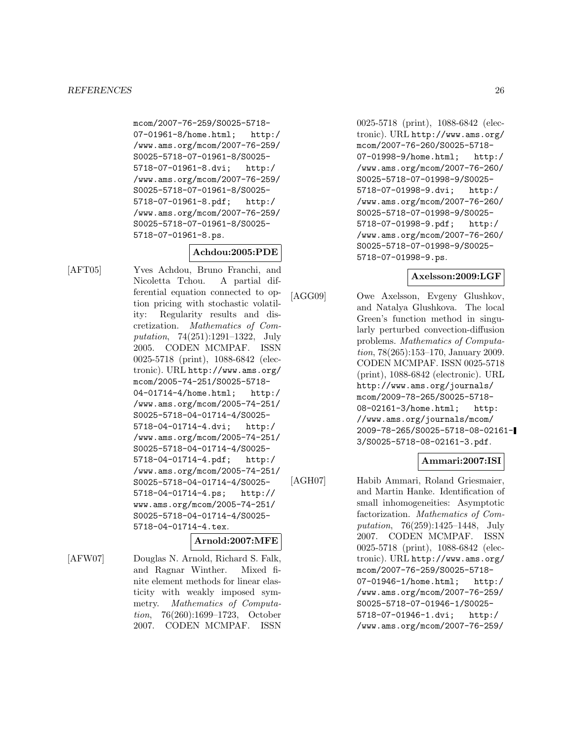mcom/2007-76-259/S0025-5718- 07-01961-8/home.html; http:/ /www.ams.org/mcom/2007-76-259/ S0025-5718-07-01961-8/S0025- 5718-07-01961-8.dvi; http:/ /www.ams.org/mcom/2007-76-259/ S0025-5718-07-01961-8/S0025- 5718-07-01961-8.pdf; http:/ /www.ams.org/mcom/2007-76-259/ S0025-5718-07-01961-8/S0025- 5718-07-01961-8.ps.

# **Achdou:2005:PDE**

[AFT05] Yves Achdou, Bruno Franchi, and Nicoletta Tchou. A partial differential equation connected to option pricing with stochastic volatility: Regularity results and discretization. Mathematics of Computation, 74(251):1291–1322, July 2005. CODEN MCMPAF. ISSN 0025-5718 (print), 1088-6842 (electronic). URL http://www.ams.org/ mcom/2005-74-251/S0025-5718- 04-01714-4/home.html; http:/ /www.ams.org/mcom/2005-74-251/ S0025-5718-04-01714-4/S0025- 5718-04-01714-4.dvi; http:/ /www.ams.org/mcom/2005-74-251/ S0025-5718-04-01714-4/S0025- 5718-04-01714-4.pdf; http:/ /www.ams.org/mcom/2005-74-251/ S0025-5718-04-01714-4/S0025- 5718-04-01714-4.ps; http:// www.ams.org/mcom/2005-74-251/ S0025-5718-04-01714-4/S0025- 5718-04-01714-4.tex.

# **Arnold:2007:MFE**

[AFW07] Douglas N. Arnold, Richard S. Falk, and Ragnar Winther. Mixed finite element methods for linear elasticity with weakly imposed symmetry. Mathematics of Computation, 76(260):1699–1723, October 2007. CODEN MCMPAF. ISSN

0025-5718 (print), 1088-6842 (electronic). URL http://www.ams.org/ mcom/2007-76-260/S0025-5718- 07-01998-9/home.html; http:/ /www.ams.org/mcom/2007-76-260/ S0025-5718-07-01998-9/S0025- 5718-07-01998-9.dvi; http:/ /www.ams.org/mcom/2007-76-260/ S0025-5718-07-01998-9/S0025- 5718-07-01998-9.pdf; http:/ /www.ams.org/mcom/2007-76-260/ S0025-5718-07-01998-9/S0025- 5718-07-01998-9.ps.

# **Axelsson:2009:LGF**

[AGG09] Owe Axelsson, Evgeny Glushkov, and Natalya Glushkova. The local Green's function method in singularly perturbed convection-diffusion problems. Mathematics of Computation, 78(265):153–170, January 2009. CODEN MCMPAF. ISSN 0025-5718 (print), 1088-6842 (electronic). URL http://www.ams.org/journals/ mcom/2009-78-265/S0025-5718- 08-02161-3/home.html; http: //www.ams.org/journals/mcom/ 2009-78-265/S0025-5718-08-02161- 3/S0025-5718-08-02161-3.pdf.

# **Ammari:2007:ISI**

[AGH07] Habib Ammari, Roland Griesmaier, and Martin Hanke. Identification of small inhomogeneities: Asymptotic factorization. Mathematics of Computation, 76(259):1425–1448, July 2007. CODEN MCMPAF. ISSN 0025-5718 (print), 1088-6842 (electronic). URL http://www.ams.org/ mcom/2007-76-259/S0025-5718- 07-01946-1/home.html; http:/ /www.ams.org/mcom/2007-76-259/ S0025-5718-07-01946-1/S0025- 5718-07-01946-1.dvi; http:/ /www.ams.org/mcom/2007-76-259/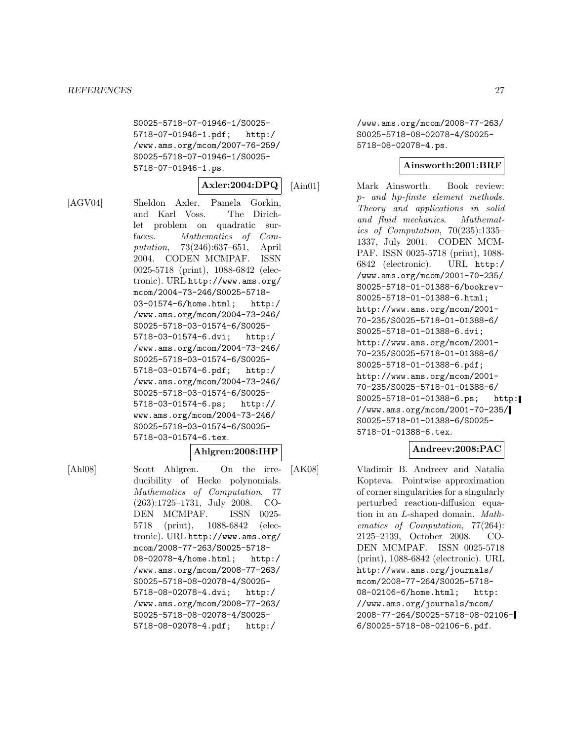S0025-5718-07-01946-1/S0025- 5718-07-01946-1.pdf; http:/ /www.ams.org/mcom/2007-76-259/ S0025-5718-07-01946-1/S0025- 5718-07-01946-1.ps.

$$
|\,\rm{Axler:} 2004{:}\,\rm{DPQ}\,|\,
$$

[AGV04] Sheldon Axler, Pamela Gorkin, and Karl Voss. The Dirichlet problem on quadratic surfaces. Mathematics of Computation, 73(246):637–651, April 2004. CODEN MCMPAF. ISSN 0025-5718 (print), 1088-6842 (electronic). URL http://www.ams.org/ mcom/2004-73-246/S0025-5718- 03-01574-6/home.html; http:/ /www.ams.org/mcom/2004-73-246/ S0025-5718-03-01574-6/S0025- 5718-03-01574-6.dvi; http:/ /www.ams.org/mcom/2004-73-246/ S0025-5718-03-01574-6/S0025- 5718-03-01574-6.pdf; http:/ /www.ams.org/mcom/2004-73-246/ S0025-5718-03-01574-6/S0025- 5718-03-01574-6.ps; http:// www.ams.org/mcom/2004-73-246/ S0025-5718-03-01574-6/S0025- 5718-03-01574-6.tex.

# **Ahlgren:2008:IHP**

[Ahl08] Scott Ahlgren. On the irreducibility of Hecke polynomials. Mathematics of Computation, 77 (263):1725–1731, July 2008. CO-DEN MCMPAF. ISSN 0025- 5718 (print), 1088-6842 (electronic). URL http://www.ams.org/ mcom/2008-77-263/S0025-5718- 08-02078-4/home.html; http:/ /www.ams.org/mcom/2008-77-263/ S0025-5718-08-02078-4/S0025- 5718-08-02078-4.dvi; http:/ /www.ams.org/mcom/2008-77-263/ S0025-5718-08-02078-4/S0025- 5718-08-02078-4.pdf; http:/

/www.ams.org/mcom/2008-77-263/ S0025-5718-08-02078-4/S0025- 5718-08-02078-4.ps.

# **Ainsworth:2001:BRF**

[Ain01] Mark Ainsworth. Book review: p- and hp-finite element methods. Theory and applications in solid and fluid mechanics. Mathematics of Computation, 70(235):1335– 1337, July 2001. CODEN MCM-PAF. ISSN 0025-5718 (print), 1088- 6842 (electronic). URL http:/ /www.ams.org/mcom/2001-70-235/ S0025-5718-01-01388-6/bookrev-S0025-5718-01-01388-6.html; http://www.ams.org/mcom/2001- 70-235/S0025-5718-01-01388-6/ S0025-5718-01-01388-6.dvi; http://www.ams.org/mcom/2001- 70-235/S0025-5718-01-01388-6/ S0025-5718-01-01388-6.pdf; http://www.ams.org/mcom/2001- 70-235/S0025-5718-01-01388-6/ S0025-5718-01-01388-6.ps; http: //www.ams.org/mcom/2001-70-235/ S0025-5718-01-01388-6/S0025- 5718-01-01388-6.tex.

# **Andreev:2008:PAC**

[AK08] Vladimir B. Andreev and Natalia Kopteva. Pointwise approximation of corner singularities for a singularly perturbed reaction-diffusion equation in an L-shaped domain. Mathematics of Computation, 77(264): 2125–2139, October 2008. CO-DEN MCMPAF. ISSN 0025-5718 (print), 1088-6842 (electronic). URL http://www.ams.org/journals/ mcom/2008-77-264/S0025-5718- 08-02106-6/home.html; http: //www.ams.org/journals/mcom/ 2008-77-264/S0025-5718-08-02106- 6/S0025-5718-08-02106-6.pdf.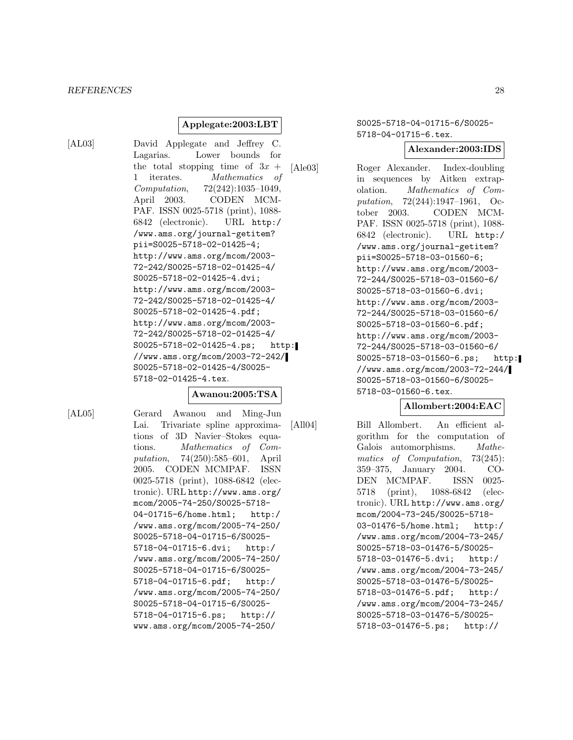#### *REFERENCES* 28

### **Applegate:2003:LBT**

[AL03] David Applegate and Jeffrey C. Lagarias. Lower bounds for the total stopping time of  $3x +$ 1 iterates. Mathematics of Computation, 72(242):1035–1049, April 2003. CODEN MCM-PAF. ISSN 0025-5718 (print), 1088- 6842 (electronic). URL http:/ /www.ams.org/journal-getitem? pii=S0025-5718-02-01425-4; http://www.ams.org/mcom/2003- 72-242/S0025-5718-02-01425-4/ S0025-5718-02-01425-4.dvi; http://www.ams.org/mcom/2003- 72-242/S0025-5718-02-01425-4/ S0025-5718-02-01425-4.pdf; http://www.ams.org/mcom/2003- 72-242/S0025-5718-02-01425-4/ S0025-5718-02-01425-4.ps; http: //www.ams.org/mcom/2003-72-242/ S0025-5718-02-01425-4/S0025- 5718-02-01425-4.tex.

#### **Awanou:2005:TSA**

[AL05] Gerard Awanou and Ming-Jun Lai. Trivariate spline approximations of 3D Navier–Stokes equations. Mathematics of Computation, 74(250):585–601, April 2005. CODEN MCMPAF. ISSN 0025-5718 (print), 1088-6842 (electronic). URL http://www.ams.org/ mcom/2005-74-250/S0025-5718- 04-01715-6/home.html; http:/ /www.ams.org/mcom/2005-74-250/ S0025-5718-04-01715-6/S0025- 5718-04-01715-6.dvi; http:/ /www.ams.org/mcom/2005-74-250/ S0025-5718-04-01715-6/S0025- 5718-04-01715-6.pdf; http:/ /www.ams.org/mcom/2005-74-250/ S0025-5718-04-01715-6/S0025- 5718-04-01715-6.ps; http:// www.ams.org/mcom/2005-74-250/

S0025-5718-04-01715-6/S0025- 5718-04-01715-6.tex.

### **Alexander:2003:IDS**

[Ale03] Roger Alexander. Index-doubling in sequences by Aitken extrapolation. Mathematics of Computation, 72(244):1947–1961, October 2003. CODEN MCM-PAF. ISSN 0025-5718 (print), 1088- 6842 (electronic). URL http:/ /www.ams.org/journal-getitem? pii=S0025-5718-03-01560-6; http://www.ams.org/mcom/2003- 72-244/S0025-5718-03-01560-6/ S0025-5718-03-01560-6.dvi; http://www.ams.org/mcom/2003- 72-244/S0025-5718-03-01560-6/ S0025-5718-03-01560-6.pdf; http://www.ams.org/mcom/2003- 72-244/S0025-5718-03-01560-6/ S0025-5718-03-01560-6.ps; http: //www.ams.org/mcom/2003-72-244/ S0025-5718-03-01560-6/S0025- 5718-03-01560-6.tex.

# **Allombert:2004:EAC**

[All04] Bill Allombert. An efficient algorithm for the computation of Galois automorphisms. Mathematics of Computation, 73(245): 359–375, January 2004. CO-DEN MCMPAF. ISSN 0025- 5718 (print), 1088-6842 (electronic). URL http://www.ams.org/ mcom/2004-73-245/S0025-5718- 03-01476-5/home.html; http:/ /www.ams.org/mcom/2004-73-245/ S0025-5718-03-01476-5/S0025- 5718-03-01476-5.dvi; http:/ /www.ams.org/mcom/2004-73-245/ S0025-5718-03-01476-5/S0025- 5718-03-01476-5.pdf; http:/ /www.ams.org/mcom/2004-73-245/ S0025-5718-03-01476-5/S0025- 5718-03-01476-5.ps; http://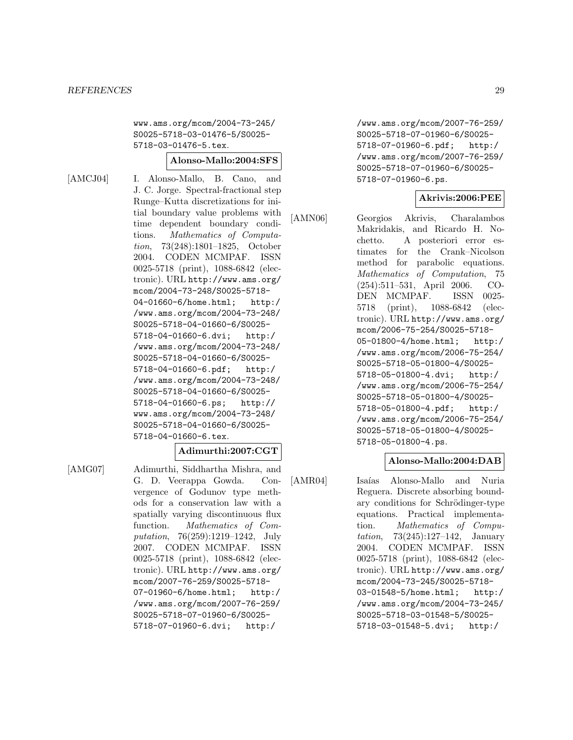www.ams.org/mcom/2004-73-245/ S0025-5718-03-01476-5/S0025- 5718-03-01476-5.tex.

#### **Alonso-Mallo:2004:SFS**

[AMCJ04] I. Alonso-Mallo, B. Cano, and J. C. Jorge. Spectral-fractional step Runge–Kutta discretizations for initial boundary value problems with time dependent boundary conditions. Mathematics of Computation, 73(248):1801–1825, October 2004. CODEN MCMPAF. ISSN 0025-5718 (print), 1088-6842 (electronic). URL http://www.ams.org/ mcom/2004-73-248/S0025-5718- 04-01660-6/home.html; http:/ /www.ams.org/mcom/2004-73-248/ S0025-5718-04-01660-6/S0025- 5718-04-01660-6.dvi; http:/ /www.ams.org/mcom/2004-73-248/ S0025-5718-04-01660-6/S0025- 5718-04-01660-6.pdf; http:/ /www.ams.org/mcom/2004-73-248/ S0025-5718-04-01660-6/S0025- 5718-04-01660-6.ps; http:// www.ams.org/mcom/2004-73-248/ S0025-5718-04-01660-6/S0025- 5718-04-01660-6.tex.

# **Adimurthi:2007:CGT**

[AMG07] Adimurthi, Siddhartha Mishra, and G. D. Veerappa Gowda. Convergence of Godunov type methods for a conservation law with a spatially varying discontinuous flux function. Mathematics of Computation, 76(259):1219–1242, July 2007. CODEN MCMPAF. ISSN 0025-5718 (print), 1088-6842 (electronic). URL http://www.ams.org/ mcom/2007-76-259/S0025-5718- 07-01960-6/home.html; http:/ /www.ams.org/mcom/2007-76-259/ S0025-5718-07-01960-6/S0025- 5718-07-01960-6.dvi; http:/

/www.ams.org/mcom/2007-76-259/ S0025-5718-07-01960-6/S0025- 5718-07-01960-6.pdf; http:/ /www.ams.org/mcom/2007-76-259/ S0025-5718-07-01960-6/S0025- 5718-07-01960-6.ps.

#### **Akrivis:2006:PEE**

[AMN06] Georgios Akrivis, Charalambos Makridakis, and Ricardo H. Nochetto. A posteriori error estimates for the Crank–Nicolson method for parabolic equations. Mathematics of Computation, 75 (254):511–531, April 2006. CO-DEN MCMPAF. ISSN 0025- 5718 (print), 1088-6842 (electronic). URL http://www.ams.org/ mcom/2006-75-254/S0025-5718- 05-01800-4/home.html; http:/ /www.ams.org/mcom/2006-75-254/ S0025-5718-05-01800-4/S0025- 5718-05-01800-4.dvi; http:/ /www.ams.org/mcom/2006-75-254/ S0025-5718-05-01800-4/S0025- 5718-05-01800-4.pdf; http:/ /www.ams.org/mcom/2006-75-254/ S0025-5718-05-01800-4/S0025- 5718-05-01800-4.ps.

# **Alonso-Mallo:2004:DAB**

[AMR04] Isaías Alonso-Mallo and Nuria Reguera. Discrete absorbing boundary conditions for Schrödinger-type equations. Practical implementation. Mathematics of Computation, 73(245):127–142, January 2004. CODEN MCMPAF. ISSN 0025-5718 (print), 1088-6842 (electronic). URL http://www.ams.org/ mcom/2004-73-245/S0025-5718- 03-01548-5/home.html; http:/ /www.ams.org/mcom/2004-73-245/ S0025-5718-03-01548-5/S0025- 5718-03-01548-5.dvi; http:/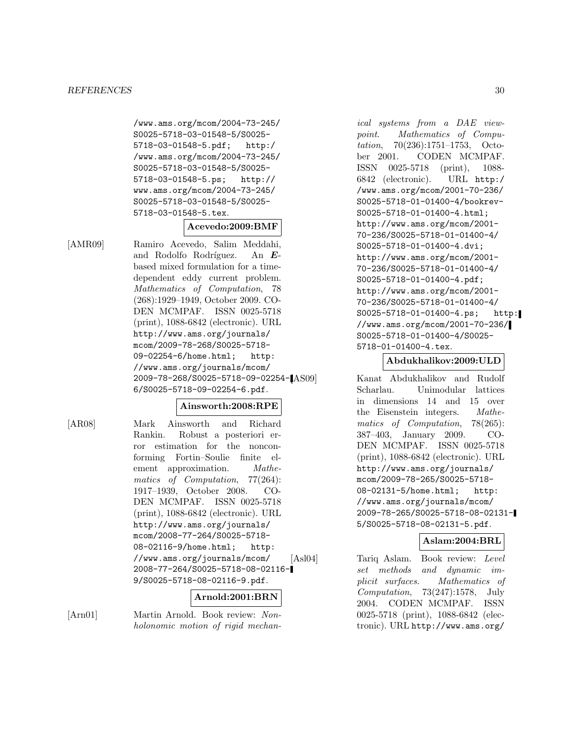/www.ams.org/mcom/2004-73-245/ S0025-5718-03-01548-5/S0025- 5718-03-01548-5.pdf; http:/ /www.ams.org/mcom/2004-73-245/ S0025-5718-03-01548-5/S0025- 5718-03-01548-5.ps; http:// www.ams.org/mcom/2004-73-245/ S0025-5718-03-01548-5/S0025- 5718-03-01548-5.tex.

# **Acevedo:2009:BMF**

[AMR09] Ramiro Acevedo, Salim Meddahi, and Rodolfo Rodríguez. An *E*based mixed formulation for a timedependent eddy current problem. Mathematics of Computation, 78 (268):1929–1949, October 2009. CO-DEN MCMPAF. ISSN 0025-5718 (print), 1088-6842 (electronic). URL http://www.ams.org/journals/ mcom/2009-78-268/S0025-5718- 09-02254-6/home.html; http: //www.ams.org/journals/mcom/ 2009-78-268/S0025-5718-09-02254- 6/S0025-5718-09-02254-6.pdf.

# **Ainsworth:2008:RPE**

[AR08] Mark Ainsworth and Richard Rankin. Robust a posteriori error estimation for the nonconforming Fortin–Soulie finite element approximation. *Mathe*matics of Computation, 77(264): 1917–1939, October 2008. CO-DEN MCMPAF. ISSN 0025-5718 (print), 1088-6842 (electronic). URL http://www.ams.org/journals/ mcom/2008-77-264/S0025-5718- 08-02116-9/home.html; http: //www.ams.org/journals/mcom/ 2008-77-264/S0025-5718-08-02116- 9/S0025-5718-08-02116-9.pdf.

# **Arnold:2001:BRN**

[Arn01] Martin Arnold. Book review: Nonholonomic motion of rigid mechan-

ical systems from a DAE viewpoint. Mathematics of Computation, 70(236):1751–1753, October 2001. CODEN MCMPAF. ISSN 0025-5718 (print), 1088- 6842 (electronic). URL http:/ /www.ams.org/mcom/2001-70-236/ S0025-5718-01-01400-4/bookrev-S0025-5718-01-01400-4.html; http://www.ams.org/mcom/2001- 70-236/S0025-5718-01-01400-4/ S0025-5718-01-01400-4.dvi; http://www.ams.org/mcom/2001- 70-236/S0025-5718-01-01400-4/ S0025-5718-01-01400-4.pdf; http://www.ams.org/mcom/2001- 70-236/S0025-5718-01-01400-4/ S0025-5718-01-01400-4.ps; http: //www.ams.org/mcom/2001-70-236/ S0025-5718-01-01400-4/S0025- 5718-01-01400-4.tex.

#### **Abdukhalikov:2009:ULD**

Kanat Abdukhalikov and Rudolf Scharlau. Unimodular lattices in dimensions 14 and 15 over the Eisenstein integers. Mathematics of Computation, 78(265): 387–403, January 2009. CO-DEN MCMPAF. ISSN 0025-5718 (print), 1088-6842 (electronic). URL http://www.ams.org/journals/ mcom/2009-78-265/S0025-5718- 08-02131-5/home.html; http: //www.ams.org/journals/mcom/ 2009-78-265/S0025-5718-08-02131- 5/S0025-5718-08-02131-5.pdf.

# **Aslam:2004:BRL**

[Asl04] Tariq Aslam. Book review: Level set methods and dynamic implicit surfaces. Mathematics of Computation, 73(247):1578, July 2004. CODEN MCMPAF. ISSN 0025-5718 (print), 1088-6842 (electronic). URL http://www.ams.org/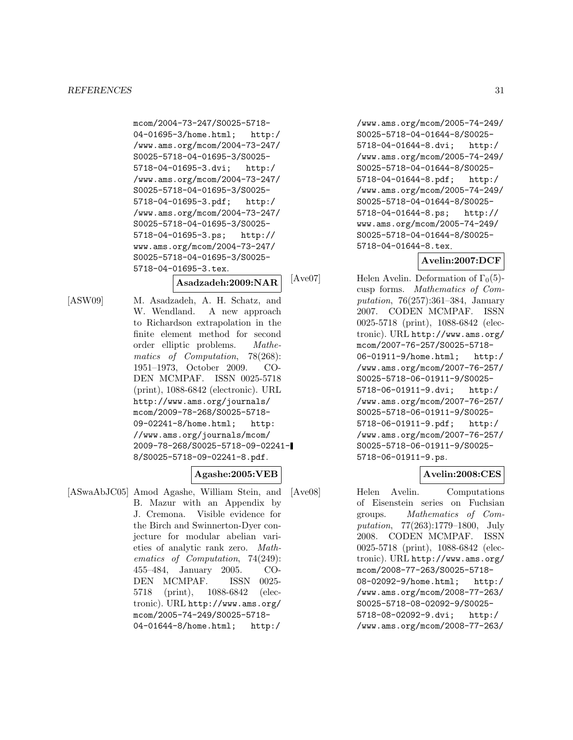```
mcom/2004-73-247/S0025-5718-
04-01695-3/home.html; http:/
/www.ams.org/mcom/2004-73-247/
S0025-5718-04-01695-3/S0025-
5718-04-01695-3.dvi; http:/
/www.ams.org/mcom/2004-73-247/
S0025-5718-04-01695-3/S0025-
5718-04-01695-3.pdf; http:/
/www.ams.org/mcom/2004-73-247/
S0025-5718-04-01695-3/S0025-
5718-04-01695-3.ps; http://
www.ams.org/mcom/2004-73-247/
S0025-5718-04-01695-3/S0025-
5718-04-01695-3.tex.
```
# **Asadzadeh:2009:NAR**

[ASW09] M. Asadzadeh, A. H. Schatz, and W. Wendland. A new approach to Richardson extrapolation in the finite element method for second order elliptic problems. Mathematics of Computation, 78(268): 1951–1973, October 2009. CO-DEN MCMPAF. ISSN 0025-5718 (print), 1088-6842 (electronic). URL http://www.ams.org/journals/ mcom/2009-78-268/S0025-5718- 09-02241-8/home.html; http: //www.ams.org/journals/mcom/ 2009-78-268/S0025-5718-09-02241- 8/S0025-5718-09-02241-8.pdf.

# **Agashe:2005:VEB**

[ASwaAbJC05] Amod Agashe, William Stein, and B. Mazur with an Appendix by J. Cremona. Visible evidence for the Birch and Swinnerton-Dyer conjecture for modular abelian varieties of analytic rank zero. Mathematics of Computation, 74(249): 455–484, January 2005. CO-DEN MCMPAF. ISSN 0025- 5718 (print), 1088-6842 (electronic). URL http://www.ams.org/ mcom/2005-74-249/S0025-5718- 04-01644-8/home.html; http:/

/www.ams.org/mcom/2005-74-249/ S0025-5718-04-01644-8/S0025- 5718-04-01644-8.dvi; http:/ /www.ams.org/mcom/2005-74-249/ S0025-5718-04-01644-8/S0025- 5718-04-01644-8.pdf; http:/ /www.ams.org/mcom/2005-74-249/ S0025-5718-04-01644-8/S0025- 5718-04-01644-8.ps; http:// www.ams.org/mcom/2005-74-249/ S0025-5718-04-01644-8/S0025- 5718-04-01644-8.tex.

# **Avelin:2007:DCF**

[ $Ave07$ ] Helen Avelin. Deformation of  $\Gamma_0(5)$ cusp forms. Mathematics of Computation, 76(257):361–384, January 2007. CODEN MCMPAF. ISSN 0025-5718 (print), 1088-6842 (electronic). URL http://www.ams.org/ mcom/2007-76-257/S0025-5718- 06-01911-9/home.html; http:/ /www.ams.org/mcom/2007-76-257/ S0025-5718-06-01911-9/S0025- 5718-06-01911-9.dvi; http:/ /www.ams.org/mcom/2007-76-257/ S0025-5718-06-01911-9/S0025- 5718-06-01911-9.pdf; http:/ /www.ams.org/mcom/2007-76-257/ S0025-5718-06-01911-9/S0025- 5718-06-01911-9.ps.

# **Avelin:2008:CES**

[Ave08] Helen Avelin. Computations of Eisenstein series on Fuchsian groups. Mathematics of Computation, 77(263):1779–1800, July 2008. CODEN MCMPAF. ISSN 0025-5718 (print), 1088-6842 (electronic). URL http://www.ams.org/ mcom/2008-77-263/S0025-5718- 08-02092-9/home.html; http:/ /www.ams.org/mcom/2008-77-263/ S0025-5718-08-02092-9/S0025- 5718-08-02092-9.dvi; http:/ /www.ams.org/mcom/2008-77-263/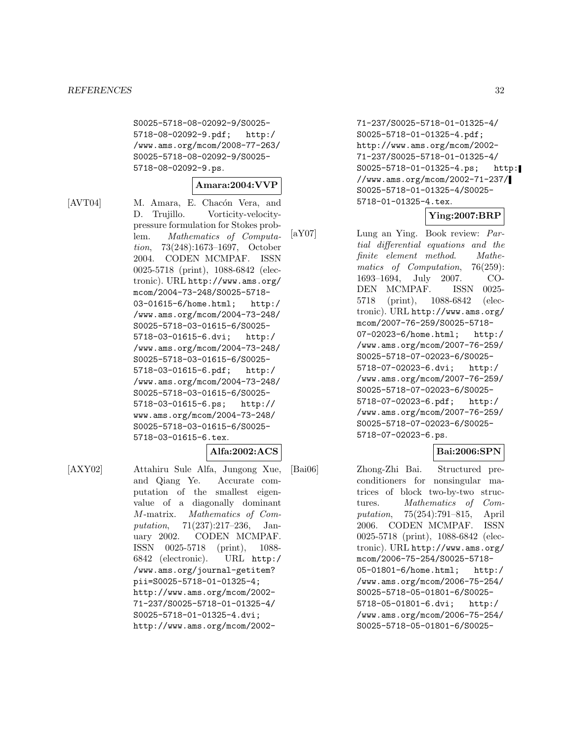S0025-5718-08-02092-9/S0025- 5718-08-02092-9.pdf; http:/ /www.ams.org/mcom/2008-77-263/ S0025-5718-08-02092-9/S0025- 5718-08-02092-9.ps.

# **Amara:2004:VVP**

[AVT04] M. Amara, E. Chacón Vera, and D. Trujillo. Vorticity-velocitypressure formulation for Stokes problem. Mathematics of Computation, 73(248):1673–1697, October 2004. CODEN MCMPAF. ISSN 0025-5718 (print), 1088-6842 (electronic). URL http://www.ams.org/ mcom/2004-73-248/S0025-5718- 03-01615-6/home.html; http:/ /www.ams.org/mcom/2004-73-248/ S0025-5718-03-01615-6/S0025- 5718-03-01615-6.dvi; http:/ /www.ams.org/mcom/2004-73-248/ S0025-5718-03-01615-6/S0025- 5718-03-01615-6.pdf; http:/ /www.ams.org/mcom/2004-73-248/ S0025-5718-03-01615-6/S0025- 5718-03-01615-6.ps; http:// www.ams.org/mcom/2004-73-248/ S0025-5718-03-01615-6/S0025- 5718-03-01615-6.tex.

**Alfa:2002:ACS**

[AXY02] Attahiru Sule Alfa, Jungong Xue, and Qiang Ye. Accurate computation of the smallest eigenvalue of a diagonally dominant M-matrix. Mathematics of Computation, 71(237):217–236, January 2002. CODEN MCMPAF. ISSN 0025-5718 (print), 1088- 6842 (electronic). URL http:/ /www.ams.org/journal-getitem? pii=S0025-5718-01-01325-4; http://www.ams.org/mcom/2002- 71-237/S0025-5718-01-01325-4/ S0025-5718-01-01325-4.dvi; http://www.ams.org/mcom/2002-

71-237/S0025-5718-01-01325-4/ S0025-5718-01-01325-4.pdf; http://www.ams.org/mcom/2002- 71-237/S0025-5718-01-01325-4/ S0025-5718-01-01325-4.ps; http: //www.ams.org/mcom/2002-71-237/ S0025-5718-01-01325-4/S0025- 5718-01-01325-4.tex.

**Ying:2007:BRP**

[aY07] Lung an Ying. Book review: Partial differential equations and the finite element method. Mathematics of Computation, 76(259): 1693–1694, July 2007. CO-DEN MCMPAF. ISSN 0025- 5718 (print), 1088-6842 (electronic). URL http://www.ams.org/ mcom/2007-76-259/S0025-5718- 07-02023-6/home.html; http:/ /www.ams.org/mcom/2007-76-259/ S0025-5718-07-02023-6/S0025- 5718-07-02023-6.dvi; http:/ /www.ams.org/mcom/2007-76-259/ S0025-5718-07-02023-6/S0025- 5718-07-02023-6.pdf; http:/ /www.ams.org/mcom/2007-76-259/ S0025-5718-07-02023-6/S0025- 5718-07-02023-6.ps.

# **Bai:2006:SPN**

[Bai06] Zhong-Zhi Bai. Structured preconditioners for nonsingular matrices of block two-by-two structures. Mathematics of Computation, 75(254):791–815, April 2006. CODEN MCMPAF. ISSN 0025-5718 (print), 1088-6842 (electronic). URL http://www.ams.org/ mcom/2006-75-254/S0025-5718- 05-01801-6/home.html; http:/ /www.ams.org/mcom/2006-75-254/ S0025-5718-05-01801-6/S0025- 5718-05-01801-6.dvi; http:/ /www.ams.org/mcom/2006-75-254/ S0025-5718-05-01801-6/S0025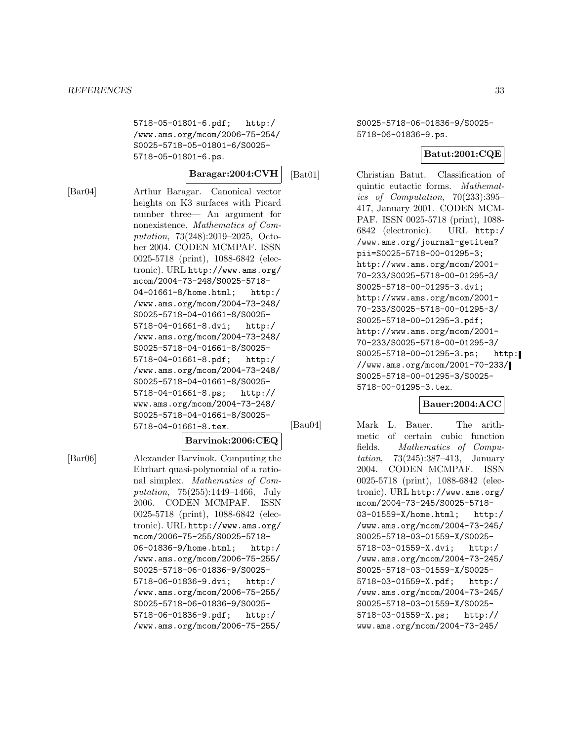5718-05-01801-6.pdf; http:/ /www.ams.org/mcom/2006-75-254/ S0025-5718-05-01801-6/S0025- 5718-05-01801-6.ps.

**Baragar:2004:CVH**

[Bar04] Arthur Baragar. Canonical vector heights on K3 surfaces with Picard number three— An argument for nonexistence. Mathematics of Computation, 73(248):2019–2025, October 2004. CODEN MCMPAF. ISSN 0025-5718 (print), 1088-6842 (electronic). URL http://www.ams.org/ mcom/2004-73-248/S0025-5718- 04-01661-8/home.html; http:/ /www.ams.org/mcom/2004-73-248/ S0025-5718-04-01661-8/S0025- 5718-04-01661-8.dvi; http:/ /www.ams.org/mcom/2004-73-248/ S0025-5718-04-01661-8/S0025- 5718-04-01661-8.pdf; http:/ /www.ams.org/mcom/2004-73-248/ S0025-5718-04-01661-8/S0025- 5718-04-01661-8.ps; http:// www.ams.org/mcom/2004-73-248/ S0025-5718-04-01661-8/S0025- 5718-04-01661-8.tex.

# **Barvinok:2006:CEQ**

[Bar06] Alexander Barvinok. Computing the Ehrhart quasi-polynomial of a rational simplex. Mathematics of Computation, 75(255):1449–1466, July 2006. CODEN MCMPAF. ISSN 0025-5718 (print), 1088-6842 (electronic). URL http://www.ams.org/ mcom/2006-75-255/S0025-5718- 06-01836-9/home.html; http:/ /www.ams.org/mcom/2006-75-255/ S0025-5718-06-01836-9/S0025- 5718-06-01836-9.dvi; http:/ /www.ams.org/mcom/2006-75-255/ S0025-5718-06-01836-9/S0025- 5718-06-01836-9.pdf; http:/ /www.ams.org/mcom/2006-75-255/

S0025-5718-06-01836-9/S0025- 5718-06-01836-9.ps.

# **Batut:2001:CQE**

[Bat01] Christian Batut. Classification of quintic eutactic forms. Mathematics of Computation, 70(233):395– 417, January 2001. CODEN MCM-PAF. ISSN 0025-5718 (print), 1088- 6842 (electronic). URL http:/ /www.ams.org/journal-getitem? pii=S0025-5718-00-01295-3; http://www.ams.org/mcom/2001- 70-233/S0025-5718-00-01295-3/ S0025-5718-00-01295-3.dvi; http://www.ams.org/mcom/2001- 70-233/S0025-5718-00-01295-3/ S0025-5718-00-01295-3.pdf; http://www.ams.org/mcom/2001- 70-233/S0025-5718-00-01295-3/ S0025-5718-00-01295-3.ps; http: //www.ams.org/mcom/2001-70-233/ S0025-5718-00-01295-3/S0025- 5718-00-01295-3.tex.

# **Bauer:2004:ACC**

[Bau04] Mark L. Bauer. The arith-

metic of certain cubic function fields. Mathematics of Computation, 73(245):387–413, January 2004. CODEN MCMPAF. ISSN 0025-5718 (print), 1088-6842 (electronic). URL http://www.ams.org/ mcom/2004-73-245/S0025-5718- 03-01559-X/home.html; http:/ /www.ams.org/mcom/2004-73-245/ S0025-5718-03-01559-X/S0025- 5718-03-01559-X.dvi; http:/ /www.ams.org/mcom/2004-73-245/ S0025-5718-03-01559-X/S0025- 5718-03-01559-X.pdf; http:/ /www.ams.org/mcom/2004-73-245/ S0025-5718-03-01559-X/S0025- 5718-03-01559-X.ps; http:// www.ams.org/mcom/2004-73-245/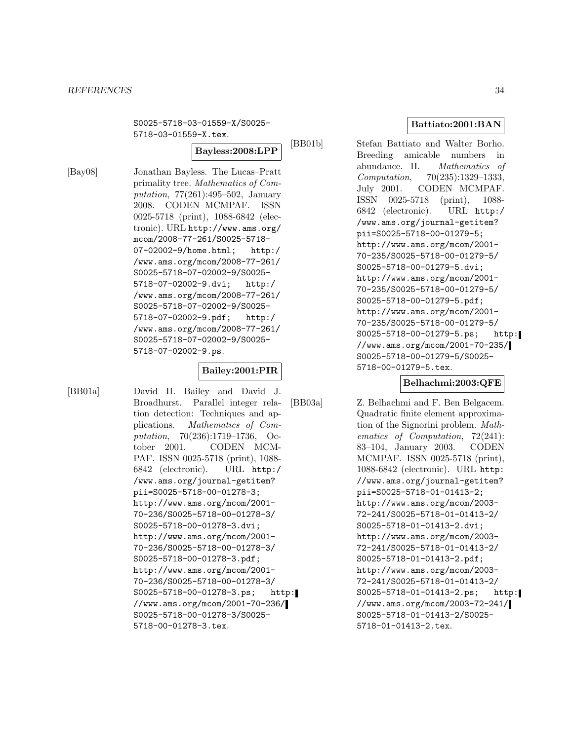#### *REFERENCES* 34

S0025-5718-03-01559-X/S0025- 5718-03-01559-X.tex.

**Bayless:2008:LPP**

[Bay08] Jonathan Bayless. The Lucas–Pratt primality tree. Mathematics of Computation, 77(261):495–502, January 2008. CODEN MCMPAF. ISSN 0025-5718 (print), 1088-6842 (electronic). URL http://www.ams.org/ mcom/2008-77-261/S0025-5718- 07-02002-9/home.html; http:/ /www.ams.org/mcom/2008-77-261/ S0025-5718-07-02002-9/S0025- 5718-07-02002-9.dvi; http:/ /www.ams.org/mcom/2008-77-261/ S0025-5718-07-02002-9/S0025- 5718-07-02002-9.pdf; http:/ /www.ams.org/mcom/2008-77-261/ S0025-5718-07-02002-9/S0025- 5718-07-02002-9.ps.

# **Bailey:2001:PIR**

[BB01a] David H. Bailey and David J. Broadhurst. Parallel integer relation detection: Techniques and applications. Mathematics of Computation, 70(236):1719–1736, October 2001. CODEN MCM-PAF. ISSN 0025-5718 (print), 1088- 6842 (electronic). URL http:/ /www.ams.org/journal-getitem? pii=S0025-5718-00-01278-3; http://www.ams.org/mcom/2001- 70-236/S0025-5718-00-01278-3/ S0025-5718-00-01278-3.dvi; http://www.ams.org/mcom/2001- 70-236/S0025-5718-00-01278-3/ S0025-5718-00-01278-3.pdf; http://www.ams.org/mcom/2001- 70-236/S0025-5718-00-01278-3/ S0025-5718-00-01278-3.ps; http: //www.ams.org/mcom/2001-70-236/ S0025-5718-00-01278-3/S0025- 5718-00-01278-3.tex.

**Battiato:2001:BAN**

[BB01b] Stefan Battiato and Walter Borho. Breeding amicable numbers in abundance. II. Mathematics of Computation, 70(235):1329–1333, July 2001. CODEN MCMPAF. ISSN 0025-5718 (print), 1088- 6842 (electronic). URL http:/ /www.ams.org/journal-getitem? pii=S0025-5718-00-01279-5; http://www.ams.org/mcom/2001- 70-235/S0025-5718-00-01279-5/ S0025-5718-00-01279-5.dvi; http://www.ams.org/mcom/2001- 70-235/S0025-5718-00-01279-5/ S0025-5718-00-01279-5.pdf; http://www.ams.org/mcom/2001- 70-235/S0025-5718-00-01279-5/ S0025-5718-00-01279-5.ps; http: //www.ams.org/mcom/2001-70-235/ S0025-5718-00-01279-5/S0025- 5718-00-01279-5.tex.

**Belhachmi:2003:QFE**

[BB03a] Z. Belhachmi and F. Ben Belgacem. Quadratic finite element approximation of the Signorini problem. Mathematics of Computation, 72(241): 83–104, January 2003. CODEN MCMPAF. ISSN 0025-5718 (print), 1088-6842 (electronic). URL http: //www.ams.org/journal-getitem? pii=S0025-5718-01-01413-2; http://www.ams.org/mcom/2003- 72-241/S0025-5718-01-01413-2/ S0025-5718-01-01413-2.dvi; http://www.ams.org/mcom/2003- 72-241/S0025-5718-01-01413-2/ S0025-5718-01-01413-2.pdf; http://www.ams.org/mcom/2003- 72-241/S0025-5718-01-01413-2/ S0025-5718-01-01413-2.ps; http: //www.ams.org/mcom/2003-72-241/ S0025-5718-01-01413-2/S0025- 5718-01-01413-2.tex.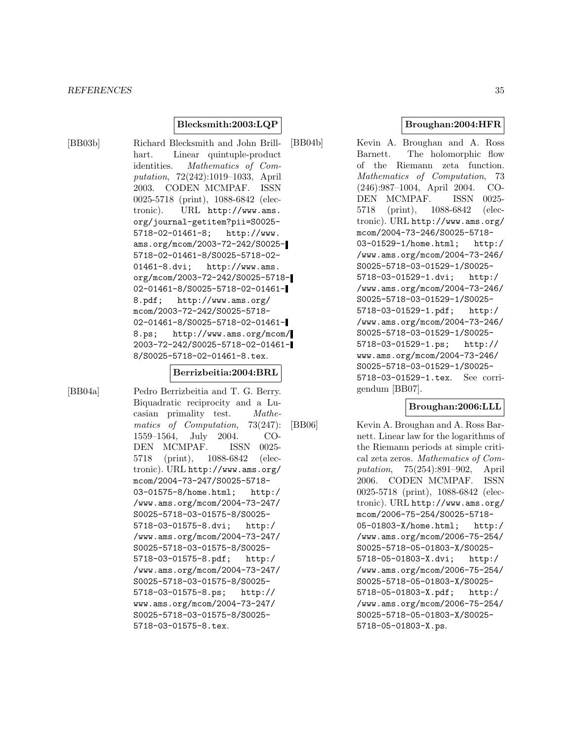#### *REFERENCES* 35

# **Blecksmith:2003:LQP**

[BB03b] Richard Blecksmith and John Brillhart. Linear quintuple-product identities. Mathematics of Computation, 72(242):1019–1033, April 2003. CODEN MCMPAF. ISSN 0025-5718 (print), 1088-6842 (electronic). URL http://www.ams. org/journal-getitem?pii=S0025- 5718-02-01461-8; http://www. ams.org/mcom/2003-72-242/S0025- 5718-02-01461-8/S0025-5718-02- 01461-8.dvi; http://www.ams. org/mcom/2003-72-242/S0025-5718- 02-01461-8/S0025-5718-02-01461- 8.pdf; http://www.ams.org/ mcom/2003-72-242/S0025-5718- 02-01461-8/S0025-5718-02-01461- 8.ps; http://www.ams.org/mcom/ 2003-72-242/S0025-5718-02-01461- 8/S0025-5718-02-01461-8.tex.

# **Berrizbeitia:2004:BRL**

[BB04a] Pedro Berrizbeitia and T. G. Berry. Biquadratic reciprocity and a Lucasian primality test. Mathematics of Computation, 73(247): 1559–1564, July 2004. CO-DEN MCMPAF. ISSN 0025- 5718 (print), 1088-6842 (electronic). URL http://www.ams.org/ mcom/2004-73-247/S0025-5718- 03-01575-8/home.html; http:/ /www.ams.org/mcom/2004-73-247/ S0025-5718-03-01575-8/S0025- 5718-03-01575-8.dvi; http:/ /www.ams.org/mcom/2004-73-247/ S0025-5718-03-01575-8/S0025- 5718-03-01575-8.pdf; http:/ /www.ams.org/mcom/2004-73-247/ S0025-5718-03-01575-8/S0025- 5718-03-01575-8.ps; http:// www.ams.org/mcom/2004-73-247/ S0025-5718-03-01575-8/S0025- 5718-03-01575-8.tex.

**Broughan:2004:HFR**

[BB04b] Kevin A. Broughan and A. Ross Barnett. The holomorphic flow of the Riemann zeta function. Mathematics of Computation, 73 (246):987–1004, April 2004. CO-DEN MCMPAF. ISSN 0025- 5718 (print), 1088-6842 (electronic). URL http://www.ams.org/ mcom/2004-73-246/S0025-5718- 03-01529-1/home.html; http:/ /www.ams.org/mcom/2004-73-246/ S0025-5718-03-01529-1/S0025- 5718-03-01529-1.dvi; http:/ /www.ams.org/mcom/2004-73-246/ S0025-5718-03-01529-1/S0025- 5718-03-01529-1.pdf; http:/ /www.ams.org/mcom/2004-73-246/ S0025-5718-03-01529-1/S0025- 5718-03-01529-1.ps; http:// www.ams.org/mcom/2004-73-246/ S0025-5718-03-01529-1/S0025- 5718-03-01529-1.tex. See corrigendum [BB07].

# **Broughan:2006:LLL**

[BB06] Kevin A. Broughan and A. Ross Barnett. Linear law for the logarithms of the Riemann periods at simple critical zeta zeros. Mathematics of Computation, 75(254):891–902, April 2006. CODEN MCMPAF. ISSN 0025-5718 (print), 1088-6842 (electronic). URL http://www.ams.org/ mcom/2006-75-254/S0025-5718- 05-01803-X/home.html; http:/ /www.ams.org/mcom/2006-75-254/ S0025-5718-05-01803-X/S0025- 5718-05-01803-X.dvi; http:/ /www.ams.org/mcom/2006-75-254/ S0025-5718-05-01803-X/S0025- 5718-05-01803-X.pdf; http:/ /www.ams.org/mcom/2006-75-254/ S0025-5718-05-01803-X/S0025- 5718-05-01803-X.ps.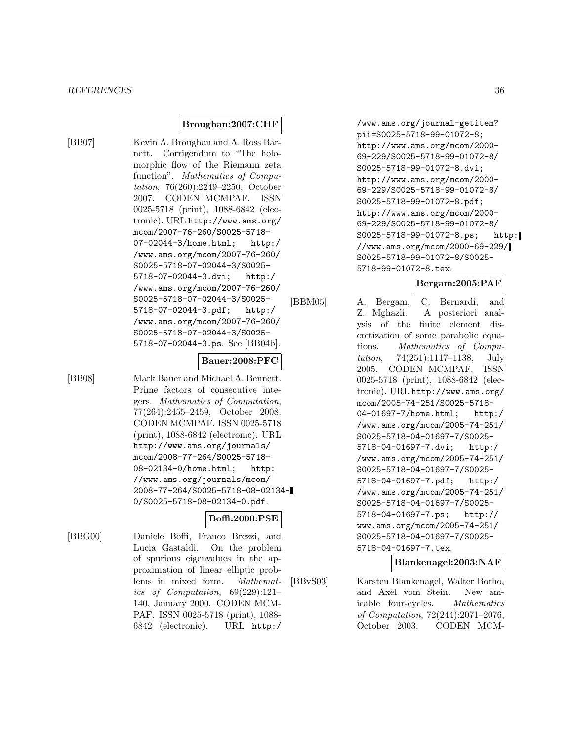#### **Broughan:2007:CHF**

[BB07] Kevin A. Broughan and A. Ross Barnett. Corrigendum to "The holomorphic flow of the Riemann zeta function". Mathematics of Computation, 76(260):2249–2250, October 2007. CODEN MCMPAF. ISSN 0025-5718 (print), 1088-6842 (electronic). URL http://www.ams.org/ mcom/2007-76-260/S0025-5718- 07-02044-3/home.html; http:/ /www.ams.org/mcom/2007-76-260/ S0025-5718-07-02044-3/S0025- 5718-07-02044-3.dvi; http:/ /www.ams.org/mcom/2007-76-260/ S0025-5718-07-02044-3/S0025- 5718-07-02044-3.pdf; http:/ /www.ams.org/mcom/2007-76-260/ S0025-5718-07-02044-3/S0025- 5718-07-02044-3.ps. See [BB04b].

#### **Bauer:2008:PFC**

[BB08] Mark Bauer and Michael A. Bennett. Prime factors of consecutive integers. Mathematics of Computation, 77(264):2455–2459, October 2008. CODEN MCMPAF. ISSN 0025-5718 (print), 1088-6842 (electronic). URL http://www.ams.org/journals/ mcom/2008-77-264/S0025-5718- 08-02134-0/home.html; http: //www.ams.org/journals/mcom/ 2008-77-264/S0025-5718-08-02134- 0/S0025-5718-08-02134-0.pdf.

# **Boffi:2000:PSE**

[BBG00] Daniele Boffi, Franco Brezzi, and Lucia Gastaldi. On the problem of spurious eigenvalues in the approximation of linear elliptic problems in mixed form. Mathematics of Computation, 69(229):121– 140, January 2000. CODEN MCM-PAF. ISSN 0025-5718 (print), 1088- 6842 (electronic). URL http:/

/www.ams.org/journal-getitem? pii=S0025-5718-99-01072-8; http://www.ams.org/mcom/2000- 69-229/S0025-5718-99-01072-8/ S0025-5718-99-01072-8.dvi; http://www.ams.org/mcom/2000- 69-229/S0025-5718-99-01072-8/ S0025-5718-99-01072-8.pdf; http://www.ams.org/mcom/2000- 69-229/S0025-5718-99-01072-8/ S0025-5718-99-01072-8.ps; http: //www.ams.org/mcom/2000-69-229/ S0025-5718-99-01072-8/S0025- 5718-99-01072-8.tex.

# **Bergam:2005:PAF**

[BBM05] A. Bergam, C. Bernardi, and Z. Mghazli. A posteriori analysis of the finite element discretization of some parabolic equations. Mathematics of Computation, 74(251):1117–1138, July 2005. CODEN MCMPAF. ISSN 0025-5718 (print), 1088-6842 (electronic). URL http://www.ams.org/ mcom/2005-74-251/S0025-5718- 04-01697-7/home.html; http:/ /www.ams.org/mcom/2005-74-251/ S0025-5718-04-01697-7/S0025- 5718-04-01697-7.dvi; http:/ /www.ams.org/mcom/2005-74-251/ S0025-5718-04-01697-7/S0025- 5718-04-01697-7.pdf; http:/ /www.ams.org/mcom/2005-74-251/ S0025-5718-04-01697-7/S0025- 5718-04-01697-7.ps; http:// www.ams.org/mcom/2005-74-251/ S0025-5718-04-01697-7/S0025- 5718-04-01697-7.tex.

# **Blankenagel:2003:NAF**

[BBvS03] Karsten Blankenagel, Walter Borho, and Axel vom Stein. New amicable four-cycles. Mathematics of Computation, 72(244):2071–2076, October 2003. CODEN MCM-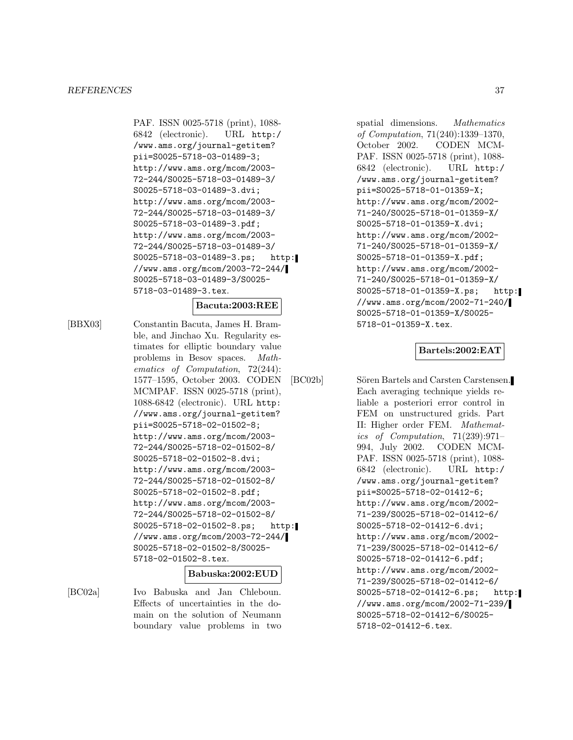PAF. ISSN 0025-5718 (print), 1088- 6842 (electronic). URL http:/ /www.ams.org/journal-getitem? pii=S0025-5718-03-01489-3; http://www.ams.org/mcom/2003- 72-244/S0025-5718-03-01489-3/ S0025-5718-03-01489-3.dvi; http://www.ams.org/mcom/2003- 72-244/S0025-5718-03-01489-3/ S0025-5718-03-01489-3.pdf; http://www.ams.org/mcom/2003- 72-244/S0025-5718-03-01489-3/ S0025-5718-03-01489-3.ps; http: //www.ams.org/mcom/2003-72-244/ S0025-5718-03-01489-3/S0025- 5718-03-01489-3.tex.

#### **Bacuta:2003:REE**

[BBX03] Constantin Bacuta, James H. Bramble, and Jinchao Xu. Regularity estimates for elliptic boundary value problems in Besov spaces. Mathematics of Computation, 72(244): 1577–1595, October 2003. CODEN MCMPAF. ISSN 0025-5718 (print), 1088-6842 (electronic). URL http: //www.ams.org/journal-getitem? pii=S0025-5718-02-01502-8; http://www.ams.org/mcom/2003- 72-244/S0025-5718-02-01502-8/ S0025-5718-02-01502-8.dvi; http://www.ams.org/mcom/2003- 72-244/S0025-5718-02-01502-8/ S0025-5718-02-01502-8.pdf; http://www.ams.org/mcom/2003- 72-244/S0025-5718-02-01502-8/ S0025-5718-02-01502-8.ps; http: //www.ams.org/mcom/2003-72-244/ S0025-5718-02-01502-8/S0025- 5718-02-01502-8.tex.

### **Babuska:2002:EUD**

[BC02a] Ivo Babuska and Jan Chleboun. Effects of uncertainties in the domain on the solution of Neumann boundary value problems in two

spatial dimensions. Mathematics of Computation, 71(240):1339–1370, October 2002. CODEN MCM-PAF. ISSN 0025-5718 (print), 1088- 6842 (electronic). URL http:/ /www.ams.org/journal-getitem? pii=S0025-5718-01-01359-X; http://www.ams.org/mcom/2002- 71-240/S0025-5718-01-01359-X/ S0025-5718-01-01359-X.dvi; http://www.ams.org/mcom/2002- 71-240/S0025-5718-01-01359-X/ S0025-5718-01-01359-X.pdf; http://www.ams.org/mcom/2002- 71-240/S0025-5718-01-01359-X/ S0025-5718-01-01359-X.ps; http: //www.ams.org/mcom/2002-71-240/ S0025-5718-01-01359-X/S0025- 5718-01-01359-X.tex.

#### **Bartels:2002:EAT**

[BC02b] Sören Bartels and Carsten Carstensen. Each averaging technique yields reliable a posteriori error control in FEM on unstructured grids. Part II: Higher order FEM. Mathematics of Computation, 71(239):971– 994, July 2002. CODEN MCM-PAF. ISSN 0025-5718 (print), 1088- 6842 (electronic). URL http:/ /www.ams.org/journal-getitem? pii=S0025-5718-02-01412-6; http://www.ams.org/mcom/2002- 71-239/S0025-5718-02-01412-6/ S0025-5718-02-01412-6.dvi; http://www.ams.org/mcom/2002- 71-239/S0025-5718-02-01412-6/ S0025-5718-02-01412-6.pdf; http://www.ams.org/mcom/2002- 71-239/S0025-5718-02-01412-6/ S0025-5718-02-01412-6.ps; http: //www.ams.org/mcom/2002-71-239/ S0025-5718-02-01412-6/S0025- 5718-02-01412-6.tex.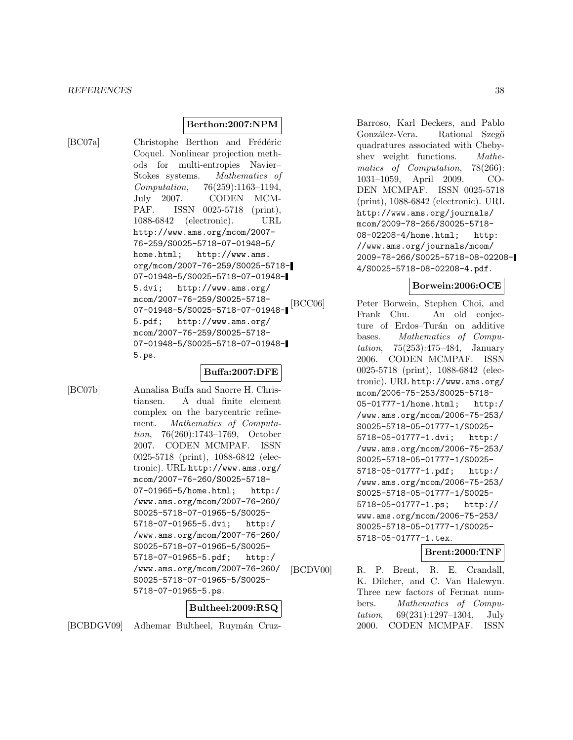#### *REFERENCES* 38

### **Berthon:2007:NPM**

[BC07a] Christophe Berthon and Frédéric Coquel. Nonlinear projection methods for multi-entropies Navier– Stokes systems. Mathematics of Computation, 76(259):1163–1194, July 2007. CODEN MCM-PAF. ISSN 0025-5718 (print), 1088-6842 (electronic). URL http://www.ams.org/mcom/2007- 76-259/S0025-5718-07-01948-5/ home.html; http://www.ams. org/mcom/2007-76-259/S0025-5718- 07-01948-5/S0025-5718-07-01948- 5.dvi; http://www.ams.org/ mcom/2007-76-259/S0025-5718- 07-01948-5/S0025-5718-07-01948- 5.pdf; http://www.ams.org/ mcom/2007-76-259/S0025-5718- 07-01948-5/S0025-5718-07-01948- 5.ps.

### **Buffa:2007:DFE**

[BC07b] Annalisa Buffa and Snorre H. Christiansen. A dual finite element complex on the barycentric refinement. Mathematics of Computation, 76(260):1743–1769, October 2007. CODEN MCMPAF. ISSN 0025-5718 (print), 1088-6842 (electronic). URL http://www.ams.org/ mcom/2007-76-260/S0025-5718- 07-01965-5/home.html; http:/ /www.ams.org/mcom/2007-76-260/ S0025-5718-07-01965-5/S0025- 5718-07-01965-5.dvi; http:/ /www.ams.org/mcom/2007-76-260/ S0025-5718-07-01965-5/S0025- 5718-07-01965-5.pdf; http:/ /www.ams.org/mcom/2007-76-260/ S0025-5718-07-01965-5/S0025- 5718-07-01965-5.ps.

### **Bultheel:2009:RSQ**

[BCBDGV09] Adhemar Bultheel, Ruymán Cruz-

Barroso, Karl Deckers, and Pablo González-Vera. Rational Szegő quadratures associated with Chebyshev weight functions. Mathematics of Computation, 78(266): 1031–1059, April 2009. CO-DEN MCMPAF. ISSN 0025-5718 (print), 1088-6842 (electronic). URL http://www.ams.org/journals/ mcom/2009-78-266/S0025-5718- 08-02208-4/home.html; http: //www.ams.org/journals/mcom/ 2009-78-266/S0025-5718-08-02208- 4/S0025-5718-08-02208-4.pdf.

### **Borwein:2006:OCE**

[BCC06] Peter Borwein, Stephen Choi, and Frank Chu. An old conjecture of Erdos–Turán on additive bases. Mathematics of Computation, 75(253):475–484, January 2006. CODEN MCMPAF. ISSN 0025-5718 (print), 1088-6842 (electronic). URL http://www.ams.org/ mcom/2006-75-253/S0025-5718- 05-01777-1/home.html; http:/ /www.ams.org/mcom/2006-75-253/ S0025-5718-05-01777-1/S0025- 5718-05-01777-1.dvi; http:/ /www.ams.org/mcom/2006-75-253/ S0025-5718-05-01777-1/S0025- 5718-05-01777-1.pdf; http:/ /www.ams.org/mcom/2006-75-253/ S0025-5718-05-01777-1/S0025- 5718-05-01777-1.ps; http:// www.ams.org/mcom/2006-75-253/ S0025-5718-05-01777-1/S0025- 5718-05-01777-1.tex.

**Brent:2000:TNF**

[BCDV00] R. P. Brent, R. E. Crandall, K. Dilcher, and C. Van Halewyn. Three new factors of Fermat numbers. Mathematics of Computation, 69(231):1297–1304, July 2000. CODEN MCMPAF. ISSN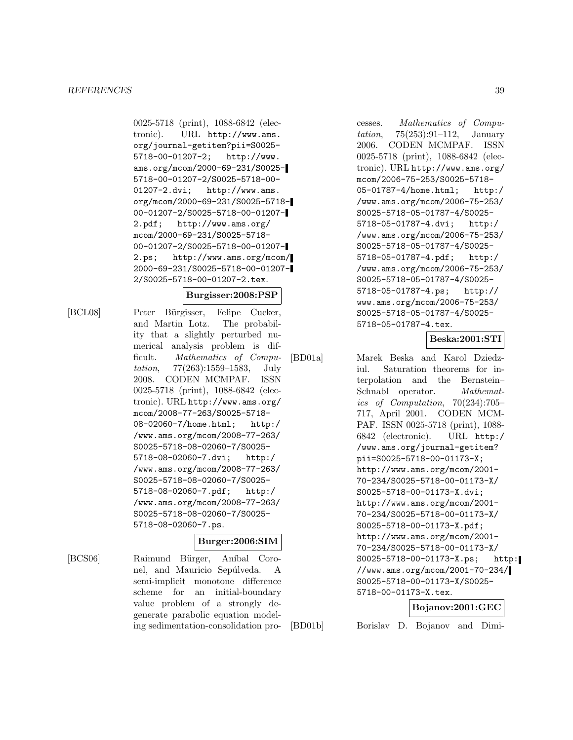#### *REFERENCES* 39

0025-5718 (print), 1088-6842 (electronic). URL http://www.ams. org/journal-getitem?pii=S0025- 5718-00-01207-2; http://www. ams.org/mcom/2000-69-231/S0025- 5718-00-01207-2/S0025-5718-00- 01207-2.dvi; http://www.ams. org/mcom/2000-69-231/S0025-5718- 00-01207-2/S0025-5718-00-01207- 2.pdf; http://www.ams.org/ mcom/2000-69-231/S0025-5718- 00-01207-2/S0025-5718-00-01207- 2.ps; http://www.ams.org/mcom/ 2000-69-231/S0025-5718-00-01207- 2/S0025-5718-00-01207-2.tex.

#### **Burgisser:2008:PSP**

[BCL08] Peter Bürgisser, Felipe Cucker, and Martin Lotz. The probability that a slightly perturbed numerical analysis problem is difficult. Mathematics of Computation, 77(263):1559–1583, July 2008. CODEN MCMPAF. ISSN 0025-5718 (print), 1088-6842 (electronic). URL http://www.ams.org/ mcom/2008-77-263/S0025-5718- 08-02060-7/home.html; http:/ /www.ams.org/mcom/2008-77-263/ S0025-5718-08-02060-7/S0025- 5718-08-02060-7.dvi; http:/ /www.ams.org/mcom/2008-77-263/ S0025-5718-08-02060-7/S0025- 5718-08-02060-7.pdf; http:/ /www.ams.org/mcom/2008-77-263/ S0025-5718-08-02060-7/S0025- 5718-08-02060-7.ps.

### **Burger:2006:SIM**

[BCS06] Raimund Bürger, Aníbal Coronel, and Mauricio Sepúlveda. A semi-implicit monotone difference scheme for an initial-boundary value problem of a strongly degenerate parabolic equation modeling sedimentation-consolidation processes. Mathematics of Computation, 75(253):91–112, January 2006. CODEN MCMPAF. ISSN 0025-5718 (print), 1088-6842 (electronic). URL http://www.ams.org/ mcom/2006-75-253/S0025-5718- 05-01787-4/home.html; http:/ /www.ams.org/mcom/2006-75-253/ S0025-5718-05-01787-4/S0025- 5718-05-01787-4.dvi; http:/ /www.ams.org/mcom/2006-75-253/ S0025-5718-05-01787-4/S0025- 5718-05-01787-4.pdf; http:/ /www.ams.org/mcom/2006-75-253/ S0025-5718-05-01787-4/S0025- 5718-05-01787-4.ps; http:// www.ams.org/mcom/2006-75-253/ S0025-5718-05-01787-4/S0025- 5718-05-01787-4.tex.

# **Beska:2001:STI**

[BD01a] Marek Beska and Karol Dziedziul. Saturation theorems for interpolation and the Bernstein– Schnabl operator. *Mathemat*ics of Computation, 70(234):705– 717, April 2001. CODEN MCM-PAF. ISSN 0025-5718 (print), 1088- 6842 (electronic). URL http:/ /www.ams.org/journal-getitem? pii=S0025-5718-00-01173-X; http://www.ams.org/mcom/2001- 70-234/S0025-5718-00-01173-X/ S0025-5718-00-01173-X.dvi; http://www.ams.org/mcom/2001- 70-234/S0025-5718-00-01173-X/ S0025-5718-00-01173-X.pdf; http://www.ams.org/mcom/2001- 70-234/S0025-5718-00-01173-X/ S0025-5718-00-01173-X.ps; http: //www.ams.org/mcom/2001-70-234/ S0025-5718-00-01173-X/S0025- 5718-00-01173-X.tex.

# **Bojanov:2001:GEC**

[BD01b] Borislav D. Bojanov and Dimi-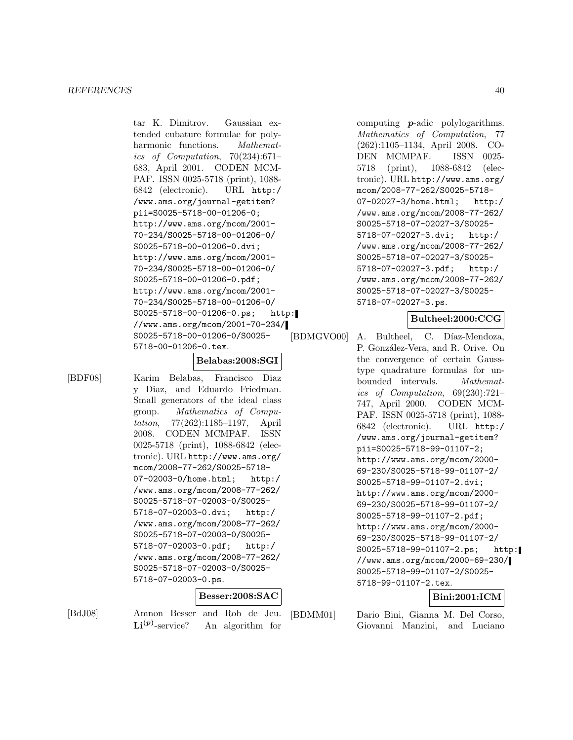tar K. Dimitrov. Gaussian extended cubature formulae for polyharmonic functions. *Mathemat*ics of Computation,  $70(234):671-$ 683, April 2001. CODEN MCM-PAF. ISSN 0025-5718 (print), 1088- 6842 (electronic). URL http:/ /www.ams.org/journal-getitem? pii=S0025-5718-00-01206-0; http://www.ams.org/mcom/2001- 70-234/S0025-5718-00-01206-0/ S0025-5718-00-01206-0.dvi; http://www.ams.org/mcom/2001- 70-234/S0025-5718-00-01206-0/ S0025-5718-00-01206-0.pdf; http://www.ams.org/mcom/2001- 70-234/S0025-5718-00-01206-0/ S0025-5718-00-01206-0.ps; http: //www.ams.org/mcom/2001-70-234/ S0025-5718-00-01206-0/S0025- 5718-00-01206-0.tex.

**Belabas:2008:SGI**

[BDF08] Karim Belabas, Francisco Diaz y Diaz, and Eduardo Friedman. Small generators of the ideal class group. Mathematics of Computation, 77(262):1185–1197, April 2008. CODEN MCMPAF. ISSN 0025-5718 (print), 1088-6842 (electronic). URL http://www.ams.org/ mcom/2008-77-262/S0025-5718- 07-02003-0/home.html; http:/ /www.ams.org/mcom/2008-77-262/ S0025-5718-07-02003-0/S0025- 5718-07-02003-0.dvi; http:/ /www.ams.org/mcom/2008-77-262/ S0025-5718-07-02003-0/S0025- 5718-07-02003-0.pdf; http:/ /www.ams.org/mcom/2008-77-262/ S0025-5718-07-02003-0/S0025- 5718-07-02003-0.ps.

### **Besser:2008:SAC**

[BdJ08] Amnon Besser and Rob de Jeu.  $\mathbf{Li}^{(p)}$ -service? An algorithm for

[BDMM01] Dario Bini, Gianna M. Del Corso, Giovanni Manzini, and Luciano

computing *p*-adic polylogarithms. Mathematics of Computation, 77 (262):1105–1134, April 2008. CO-DEN MCMPAF. ISSN 0025- 5718 (print), 1088-6842 (electronic). URL http://www.ams.org/ mcom/2008-77-262/S0025-5718- 07-02027-3/home.html; http:/ /www.ams.org/mcom/2008-77-262/ S0025-5718-07-02027-3/S0025- 5718-07-02027-3.dvi; http:/ /www.ams.org/mcom/2008-77-262/ S0025-5718-07-02027-3/S0025- 5718-07-02027-3.pdf; http:/ /www.ams.org/mcom/2008-77-262/ S0025-5718-07-02027-3/S0025- 5718-07-02027-3.ps.

# **Bultheel:2000:CCG**

[BDMGVO00] A. Bultheel, C. Díaz-Mendoza, P. González-Vera, and R. Orive. On the convergence of certain Gausstype quadrature formulas for unbounded intervals. Mathematics of Computation, 69(230):721– 747, April 2000. CODEN MCM-PAF. ISSN 0025-5718 (print), 1088- 6842 (electronic). URL http:/ /www.ams.org/journal-getitem? pii=S0025-5718-99-01107-2; http://www.ams.org/mcom/2000- 69-230/S0025-5718-99-01107-2/ S0025-5718-99-01107-2.dvi; http://www.ams.org/mcom/2000- 69-230/S0025-5718-99-01107-2/ S0025-5718-99-01107-2.pdf; http://www.ams.org/mcom/2000- 69-230/S0025-5718-99-01107-2/ S0025-5718-99-01107-2.ps; http: //www.ams.org/mcom/2000-69-230/ S0025-5718-99-01107-2/S0025- 5718-99-01107-2.tex.

### **Bini:2001:ICM**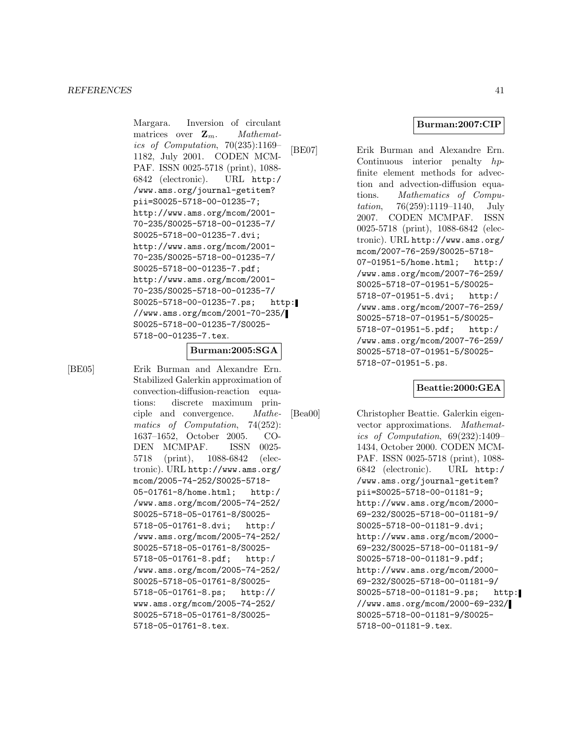Margara. Inversion of circulant matrices over  $\mathbf{Z}_m$ . *Mathemat*ics of Computation, 70(235):1169– 1182, July 2001. CODEN MCM-PAF. ISSN 0025-5718 (print), 1088- 6842 (electronic). URL http:/ /www.ams.org/journal-getitem? pii=S0025-5718-00-01235-7; http://www.ams.org/mcom/2001- 70-235/S0025-5718-00-01235-7/ S0025-5718-00-01235-7.dvi; http://www.ams.org/mcom/2001- 70-235/S0025-5718-00-01235-7/ S0025-5718-00-01235-7.pdf; http://www.ams.org/mcom/2001- 70-235/S0025-5718-00-01235-7/ S0025-5718-00-01235-7.ps; http: //www.ams.org/mcom/2001-70-235/ S0025-5718-00-01235-7/S0025- 5718-00-01235-7.tex.

#### **Burman:2005:SGA**

[BE05] Erik Burman and Alexandre Ern. Stabilized Galerkin approximation of convection-diffusion-reaction equations: discrete maximum principle and convergence. Mathematics of Computation, 74(252): 1637–1652, October 2005. CO-DEN MCMPAF. ISSN 0025- 5718 (print), 1088-6842 (electronic). URL http://www.ams.org/ mcom/2005-74-252/S0025-5718- 05-01761-8/home.html; http:/ /www.ams.org/mcom/2005-74-252/ S0025-5718-05-01761-8/S0025- 5718-05-01761-8.dvi; http:/ /www.ams.org/mcom/2005-74-252/ S0025-5718-05-01761-8/S0025- 5718-05-01761-8.pdf; http:/ /www.ams.org/mcom/2005-74-252/ S0025-5718-05-01761-8/S0025- 5718-05-01761-8.ps; http:// www.ams.org/mcom/2005-74-252/ S0025-5718-05-01761-8/S0025- 5718-05-01761-8.tex.

#### **Burman:2007:CIP**

[BE07] Erik Burman and Alexandre Ern. Continuous interior penalty hpfinite element methods for advection and advection-diffusion equations. Mathematics of Computation, 76(259):1119–1140, July 2007. CODEN MCMPAF. ISSN 0025-5718 (print), 1088-6842 (electronic). URL http://www.ams.org/ mcom/2007-76-259/S0025-5718- 07-01951-5/home.html; http:/ /www.ams.org/mcom/2007-76-259/ S0025-5718-07-01951-5/S0025- 5718-07-01951-5.dvi; http:/ /www.ams.org/mcom/2007-76-259/ S0025-5718-07-01951-5/S0025- 5718-07-01951-5.pdf; http:/ /www.ams.org/mcom/2007-76-259/ S0025-5718-07-01951-5/S0025- 5718-07-01951-5.ps.

### **Beattie:2000:GEA**

[Bea00] Christopher Beattie. Galerkin eigenvector approximations. Mathematics of Computation, 69(232):1409– 1434, October 2000. CODEN MCM-PAF. ISSN 0025-5718 (print), 1088- 6842 (electronic). URL http:/ /www.ams.org/journal-getitem? pii=S0025-5718-00-01181-9; http://www.ams.org/mcom/2000- 69-232/S0025-5718-00-01181-9/ S0025-5718-00-01181-9.dvi; http://www.ams.org/mcom/2000- 69-232/S0025-5718-00-01181-9/ S0025-5718-00-01181-9.pdf; http://www.ams.org/mcom/2000- 69-232/S0025-5718-00-01181-9/ S0025-5718-00-01181-9.ps; http: //www.ams.org/mcom/2000-69-232/ S0025-5718-00-01181-9/S0025- 5718-00-01181-9.tex.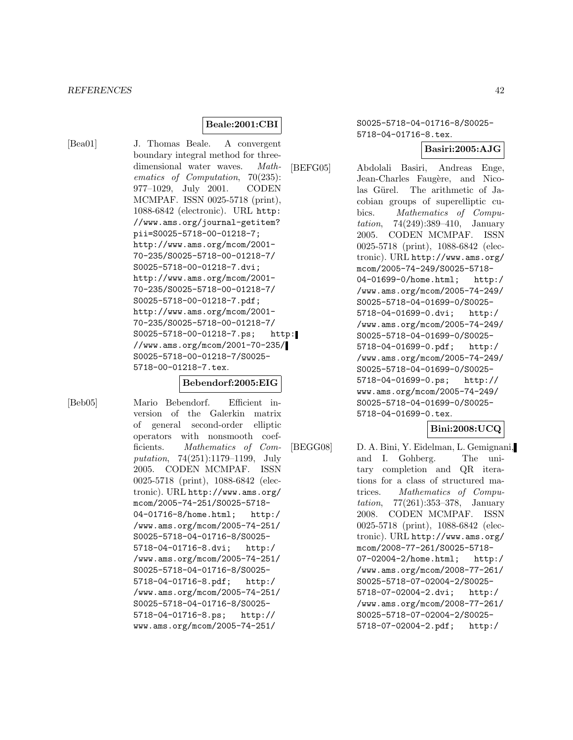#### **Beale:2001:CBI**

[Bea01] J. Thomas Beale. A convergent boundary integral method for threedimensional water waves. Mathematics of Computation, 70(235): 977–1029, July 2001. CODEN MCMPAF. ISSN 0025-5718 (print), 1088-6842 (electronic). URL http: //www.ams.org/journal-getitem? pii=S0025-5718-00-01218-7; http://www.ams.org/mcom/2001- 70-235/S0025-5718-00-01218-7/ S0025-5718-00-01218-7.dvi; http://www.ams.org/mcom/2001- 70-235/S0025-5718-00-01218-7/ S0025-5718-00-01218-7.pdf; http://www.ams.org/mcom/2001- 70-235/S0025-5718-00-01218-7/ S0025-5718-00-01218-7.ps; http: //www.ams.org/mcom/2001-70-235/ S0025-5718-00-01218-7/S0025- 5718-00-01218-7.tex.

#### **Bebendorf:2005:EIG**

[Beb05] Mario Bebendorf. Efficient inversion of the Galerkin matrix of general second-order elliptic operators with nonsmooth coefficients. Mathematics of Computation, 74(251):1179–1199, July 2005. CODEN MCMPAF. ISSN 0025-5718 (print), 1088-6842 (electronic). URL http://www.ams.org/ mcom/2005-74-251/S0025-5718- 04-01716-8/home.html; http:/ /www.ams.org/mcom/2005-74-251/ S0025-5718-04-01716-8/S0025- 5718-04-01716-8.dvi; http:/ /www.ams.org/mcom/2005-74-251/ S0025-5718-04-01716-8/S0025- 5718-04-01716-8.pdf; http:/ /www.ams.org/mcom/2005-74-251/ S0025-5718-04-01716-8/S0025- 5718-04-01716-8.ps; http:// www.ams.org/mcom/2005-74-251/

S0025-5718-04-01716-8/S0025- 5718-04-01716-8.tex.

**Basiri:2005:AJG**

[BEFG05] Abdolali Basiri, Andreas Enge, Jean-Charles Faugère, and Nicolas Gürel. The arithmetic of Jacobian groups of superelliptic cubics. Mathematics of Computation, 74(249):389–410, January 2005. CODEN MCMPAF. ISSN 0025-5718 (print), 1088-6842 (electronic). URL http://www.ams.org/ mcom/2005-74-249/S0025-5718- 04-01699-0/home.html; http:/ /www.ams.org/mcom/2005-74-249/ S0025-5718-04-01699-0/S0025- 5718-04-01699-0.dvi; http:/ /www.ams.org/mcom/2005-74-249/ S0025-5718-04-01699-0/S0025- 5718-04-01699-0.pdf; http:/ /www.ams.org/mcom/2005-74-249/ S0025-5718-04-01699-0/S0025- 5718-04-01699-0.ps; http:// www.ams.org/mcom/2005-74-249/ S0025-5718-04-01699-0/S0025- 5718-04-01699-0.tex.

**Bini:2008:UCQ**

[BEGG08] D. A. Bini, Y. Eidelman, L. Gemignani, and I. Gohberg. The unitary completion and QR iterations for a class of structured matrices. Mathematics of Computation, 77(261):353–378, January 2008. CODEN MCMPAF. ISSN 0025-5718 (print), 1088-6842 (electronic). URL http://www.ams.org/ mcom/2008-77-261/S0025-5718- 07-02004-2/home.html; http:/ /www.ams.org/mcom/2008-77-261/ S0025-5718-07-02004-2/S0025- 5718-07-02004-2.dvi; http:/ /www.ams.org/mcom/2008-77-261/ S0025-5718-07-02004-2/S0025- 5718-07-02004-2.pdf; http:/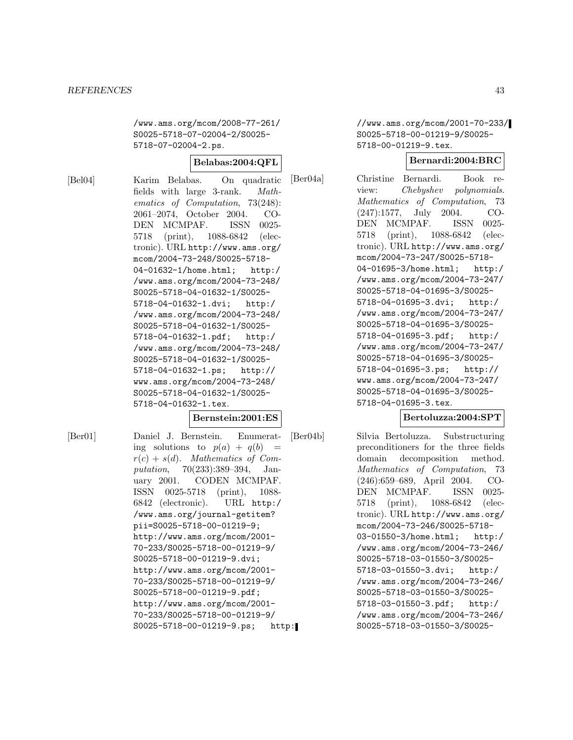/www.ams.org/mcom/2008-77-261/ S0025-5718-07-02004-2/S0025- 5718-07-02004-2.ps.

#### **Belabas:2004:QFL**

[Bel04] Karim Belabas. On quadratic fields with large 3-rank. Mathematics of Computation, 73(248): 2061–2074, October 2004. CO-DEN MCMPAF. ISSN 0025- 5718 (print), 1088-6842 (electronic). URL http://www.ams.org/ mcom/2004-73-248/S0025-5718- 04-01632-1/home.html; http:/ /www.ams.org/mcom/2004-73-248/ S0025-5718-04-01632-1/S0025- 5718-04-01632-1.dvi; http:/ /www.ams.org/mcom/2004-73-248/ S0025-5718-04-01632-1/S0025- 5718-04-01632-1.pdf; http:/ /www.ams.org/mcom/2004-73-248/ S0025-5718-04-01632-1/S0025- 5718-04-01632-1.ps; http:// www.ams.org/mcom/2004-73-248/ S0025-5718-04-01632-1/S0025- 5718-04-01632-1.tex.

#### **Bernstein:2001:ES**

[Ber01] Daniel J. Bernstein. Enumerating solutions to  $p(a) + q(b) =$  $r(c) + s(d)$ . Mathematics of Computation, 70(233):389–394, January 2001. CODEN MCMPAF. ISSN 0025-5718 (print), 1088- 6842 (electronic). URL http:/ /www.ams.org/journal-getitem? pii=S0025-5718-00-01219-9; http://www.ams.org/mcom/2001- 70-233/S0025-5718-00-01219-9/ S0025-5718-00-01219-9.dvi; http://www.ams.org/mcom/2001- 70-233/S0025-5718-00-01219-9/ S0025-5718-00-01219-9.pdf; http://www.ams.org/mcom/2001- 70-233/S0025-5718-00-01219-9/ S0025-5718-00-01219-9.ps; http: //www.ams.org/mcom/2001-70-233/ S0025-5718-00-01219-9/S0025- 5718-00-01219-9.tex.

### **Bernardi:2004:BRC**

[Ber04a] Christine Bernardi. Book review: Chebyshev polynomials. Mathematics of Computation, 73 (247):1577, July 2004. CO-DEN MCMPAF. ISSN 0025- 5718 (print), 1088-6842 (electronic). URL http://www.ams.org/ mcom/2004-73-247/S0025-5718- 04-01695-3/home.html; http:/ /www.ams.org/mcom/2004-73-247/ S0025-5718-04-01695-3/S0025- 5718-04-01695-3.dvi; http:/ /www.ams.org/mcom/2004-73-247/ S0025-5718-04-01695-3/S0025- 5718-04-01695-3.pdf; http:/ /www.ams.org/mcom/2004-73-247/ S0025-5718-04-01695-3/S0025- 5718-04-01695-3.ps; http:// www.ams.org/mcom/2004-73-247/ S0025-5718-04-01695-3/S0025- 5718-04-01695-3.tex.

### **Bertoluzza:2004:SPT**

[Ber04b] Silvia Bertoluzza. Substructuring preconditioners for the three fields domain decomposition method. Mathematics of Computation, 73 (246):659–689, April 2004. CO-DEN MCMPAF. ISSN 0025- 5718 (print), 1088-6842 (electronic). URL http://www.ams.org/ mcom/2004-73-246/S0025-5718- 03-01550-3/home.html; http:/ /www.ams.org/mcom/2004-73-246/ S0025-5718-03-01550-3/S0025- 5718-03-01550-3.dvi; http:/ /www.ams.org/mcom/2004-73-246/ S0025-5718-03-01550-3/S0025- 5718-03-01550-3.pdf; http:/ /www.ams.org/mcom/2004-73-246/ S0025-5718-03-01550-3/S0025-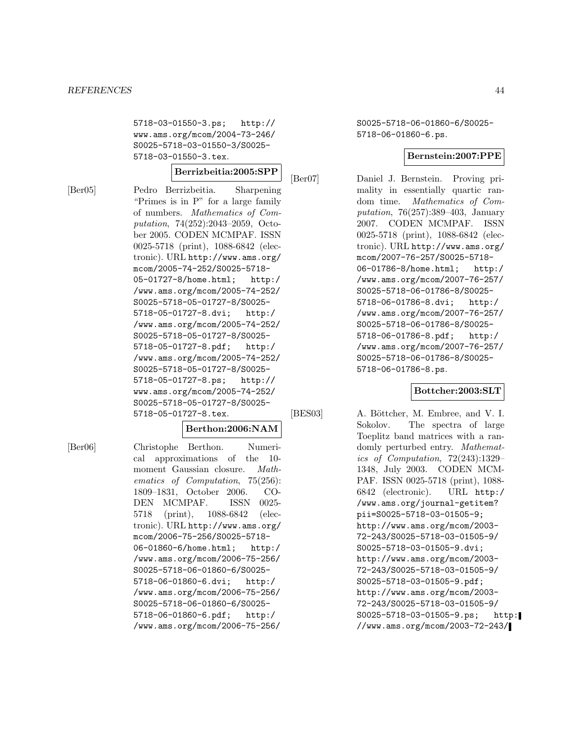5718-03-01550-3.ps; http:// www.ams.org/mcom/2004-73-246/ S0025-5718-03-01550-3/S0025- 5718-03-01550-3.tex.

# **Berrizbeitia:2005:SPP**

[Ber05] Pedro Berrizbeitia. Sharpening "Primes is in P" for a large family of numbers. Mathematics of Computation, 74(252):2043–2059, October 2005. CODEN MCMPAF. ISSN 0025-5718 (print), 1088-6842 (electronic). URL http://www.ams.org/ mcom/2005-74-252/S0025-5718- 05-01727-8/home.html; http:/ /www.ams.org/mcom/2005-74-252/ S0025-5718-05-01727-8/S0025- 5718-05-01727-8.dvi; http:/ /www.ams.org/mcom/2005-74-252/ S0025-5718-05-01727-8/S0025- 5718-05-01727-8.pdf; http:/ /www.ams.org/mcom/2005-74-252/ S0025-5718-05-01727-8/S0025- 5718-05-01727-8.ps; http:// www.ams.org/mcom/2005-74-252/ S0025-5718-05-01727-8/S0025- 5718-05-01727-8.tex.

#### **Berthon:2006:NAM**

[Ber06] Christophe Berthon. Numerical approximations of the 10 moment Gaussian closure. Mathematics of Computation, 75(256): 1809–1831, October 2006. CO-DEN MCMPAF. ISSN 0025- 5718 (print), 1088-6842 (electronic). URL http://www.ams.org/ mcom/2006-75-256/S0025-5718- 06-01860-6/home.html; http:/ /www.ams.org/mcom/2006-75-256/ S0025-5718-06-01860-6/S0025- 5718-06-01860-6.dvi; http:/ /www.ams.org/mcom/2006-75-256/ S0025-5718-06-01860-6/S0025- 5718-06-01860-6.pdf; http:/ /www.ams.org/mcom/2006-75-256/

S0025-5718-06-01860-6/S0025- 5718-06-01860-6.ps.

#### **Bernstein:2007:PPE**

[Ber07] Daniel J. Bernstein. Proving primality in essentially quartic random time. Mathematics of Computation, 76(257):389–403, January 2007. CODEN MCMPAF. ISSN 0025-5718 (print), 1088-6842 (electronic). URL http://www.ams.org/ mcom/2007-76-257/S0025-5718- 06-01786-8/home.html; http:/ /www.ams.org/mcom/2007-76-257/ S0025-5718-06-01786-8/S0025- 5718-06-01786-8.dvi; http:/ /www.ams.org/mcom/2007-76-257/ S0025-5718-06-01786-8/S0025- 5718-06-01786-8.pdf; http:/ /www.ams.org/mcom/2007-76-257/ S0025-5718-06-01786-8/S0025- 5718-06-01786-8.ps.

# **Bottcher:2003:SLT**

[BES03] A. Böttcher, M. Embree, and V. I. Sokolov. The spectra of large Toeplitz band matrices with a randomly perturbed entry. Mathematics of Computation, 72(243):1329– 1348, July 2003. CODEN MCM-PAF. ISSN 0025-5718 (print), 1088- 6842 (electronic). URL http:/ /www.ams.org/journal-getitem? pii=S0025-5718-03-01505-9; http://www.ams.org/mcom/2003- 72-243/S0025-5718-03-01505-9/ S0025-5718-03-01505-9.dvi; http://www.ams.org/mcom/2003- 72-243/S0025-5718-03-01505-9/ S0025-5718-03-01505-9.pdf; http://www.ams.org/mcom/2003- 72-243/S0025-5718-03-01505-9/ S0025-5718-03-01505-9.ps; http: //www.ams.org/mcom/2003-72-243/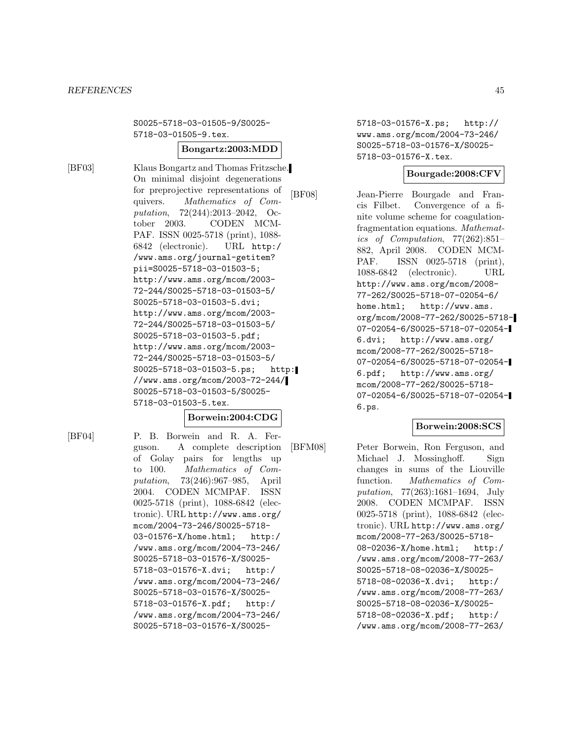S0025-5718-03-01505-9/S0025- 5718-03-01505-9.tex.

# **Bongartz:2003:MDD**

[BF03] Klaus Bongartz and Thomas Fritzsche. On minimal disjoint degenerations for preprojective representations of quivers. Mathematics of Computation, 72(244):2013–2042, October 2003. CODEN MCM-PAF. ISSN 0025-5718 (print), 1088- 6842 (electronic). URL http:/ /www.ams.org/journal-getitem? pii=S0025-5718-03-01503-5; http://www.ams.org/mcom/2003- 72-244/S0025-5718-03-01503-5/ S0025-5718-03-01503-5.dvi; http://www.ams.org/mcom/2003- 72-244/S0025-5718-03-01503-5/ S0025-5718-03-01503-5.pdf; http://www.ams.org/mcom/2003- 72-244/S0025-5718-03-01503-5/ S0025-5718-03-01503-5.ps; http: //www.ams.org/mcom/2003-72-244/ S0025-5718-03-01503-5/S0025- 5718-03-01503-5.tex.

# **Borwein:2004:CDG**

[BF04] P. B. Borwein and R. A. Ferguson. A complete description of Golay pairs for lengths up to 100. Mathematics of Computation, 73(246):967–985, April 2004. CODEN MCMPAF. ISSN 0025-5718 (print), 1088-6842 (electronic). URL http://www.ams.org/ mcom/2004-73-246/S0025-5718- 03-01576-X/home.html; http:/ /www.ams.org/mcom/2004-73-246/ S0025-5718-03-01576-X/S0025- 5718-03-01576-X.dvi; http:/ /www.ams.org/mcom/2004-73-246/ S0025-5718-03-01576-X/S0025- 5718-03-01576-X.pdf; http:/ /www.ams.org/mcom/2004-73-246/ S0025-5718-03-01576-X/S00255718-03-01576-X.ps; http:// www.ams.org/mcom/2004-73-246/ S0025-5718-03-01576-X/S0025- 5718-03-01576-X.tex.

### **Bourgade:2008:CFV**

[BF08] Jean-Pierre Bourgade and Francis Filbet. Convergence of a finite volume scheme for coagulationfragmentation equations. Mathematics of Computation, 77(262):851– 882, April 2008. CODEN MCM-PAF. ISSN 0025-5718 (print), 1088-6842 (electronic). URL http://www.ams.org/mcom/2008- 77-262/S0025-5718-07-02054-6/ home.html; http://www.ams. org/mcom/2008-77-262/S0025-5718- 07-02054-6/S0025-5718-07-02054- 6.dvi; http://www.ams.org/ mcom/2008-77-262/S0025-5718- 07-02054-6/S0025-5718-07-02054- 6.pdf; http://www.ams.org/ mcom/2008-77-262/S0025-5718- 07-02054-6/S0025-5718-07-02054- 6.ps.

#### **Borwein:2008:SCS**

[BFM08] Peter Borwein, Ron Ferguson, and Michael J. Mossinghoff. Sign changes in sums of the Liouville function. Mathematics of Computation, 77(263):1681–1694, July 2008. CODEN MCMPAF. ISSN 0025-5718 (print), 1088-6842 (electronic). URL http://www.ams.org/ mcom/2008-77-263/S0025-5718- 08-02036-X/home.html; http:/ /www.ams.org/mcom/2008-77-263/ S0025-5718-08-02036-X/S0025- 5718-08-02036-X.dvi; http:/ /www.ams.org/mcom/2008-77-263/ S0025-5718-08-02036-X/S0025- 5718-08-02036-X.pdf; http:/ /www.ams.org/mcom/2008-77-263/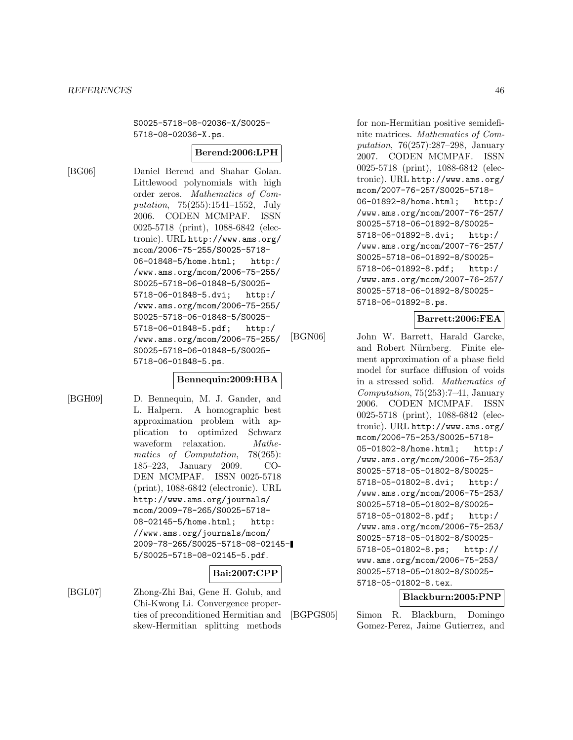S0025-5718-08-02036-X/S0025- 5718-08-02036-X.ps.

### **Berend:2006:LPH**

[BG06] Daniel Berend and Shahar Golan. Littlewood polynomials with high order zeros. Mathematics of Computation, 75(255):1541–1552, July 2006. CODEN MCMPAF. ISSN 0025-5718 (print), 1088-6842 (electronic). URL http://www.ams.org/ mcom/2006-75-255/S0025-5718- 06-01848-5/home.html; http:/ /www.ams.org/mcom/2006-75-255/ S0025-5718-06-01848-5/S0025- 5718-06-01848-5.dvi; http:/ /www.ams.org/mcom/2006-75-255/ S0025-5718-06-01848-5/S0025- 5718-06-01848-5.pdf; http:/ /www.ams.org/mcom/2006-75-255/ S0025-5718-06-01848-5/S0025- 5718-06-01848-5.ps.

#### **Bennequin:2009:HBA**

[BGH09] D. Bennequin, M. J. Gander, and L. Halpern. A homographic best approximation problem with application to optimized Schwarz waveform relaxation. *Mathe*matics of Computation, 78(265): 185–223, January 2009. CO-DEN MCMPAF. ISSN 0025-5718 (print), 1088-6842 (electronic). URL http://www.ams.org/journals/ mcom/2009-78-265/S0025-5718- 08-02145-5/home.html; http: //www.ams.org/journals/mcom/ 2009-78-265/S0025-5718-08-02145- 5/S0025-5718-08-02145-5.pdf.

# **Bai:2007:CPP**

[BGL07] Zhong-Zhi Bai, Gene H. Golub, and Chi-Kwong Li. Convergence properties of preconditioned Hermitian and skew-Hermitian splitting methods

for non-Hermitian positive semidefinite matrices. Mathematics of Computation, 76(257):287–298, January 2007. CODEN MCMPAF. ISSN 0025-5718 (print), 1088-6842 (electronic). URL http://www.ams.org/ mcom/2007-76-257/S0025-5718- 06-01892-8/home.html; http:/ /www.ams.org/mcom/2007-76-257/ S0025-5718-06-01892-8/S0025- 5718-06-01892-8.dvi; http:/ /www.ams.org/mcom/2007-76-257/ S0025-5718-06-01892-8/S0025- 5718-06-01892-8.pdf; http:/ /www.ams.org/mcom/2007-76-257/ S0025-5718-06-01892-8/S0025- 5718-06-01892-8.ps.

### **Barrett:2006:FEA**

[BGN06] John W. Barrett, Harald Garcke, and Robert Nürnberg. Finite element approximation of a phase field model for surface diffusion of voids in a stressed solid. Mathematics of Computation, 75(253):7–41, January 2006. CODEN MCMPAF. ISSN 0025-5718 (print), 1088-6842 (electronic). URL http://www.ams.org/ mcom/2006-75-253/S0025-5718- 05-01802-8/home.html; http:/ /www.ams.org/mcom/2006-75-253/ S0025-5718-05-01802-8/S0025- 5718-05-01802-8.dvi; http:/ /www.ams.org/mcom/2006-75-253/ S0025-5718-05-01802-8/S0025- 5718-05-01802-8.pdf; http:/ /www.ams.org/mcom/2006-75-253/ S0025-5718-05-01802-8/S0025- 5718-05-01802-8.ps; http:// www.ams.org/mcom/2006-75-253/ S0025-5718-05-01802-8/S0025- 5718-05-01802-8.tex.

### **Blackburn:2005:PNP**

[BGPGS05] Simon R. Blackburn, Domingo Gomez-Perez, Jaime Gutierrez, and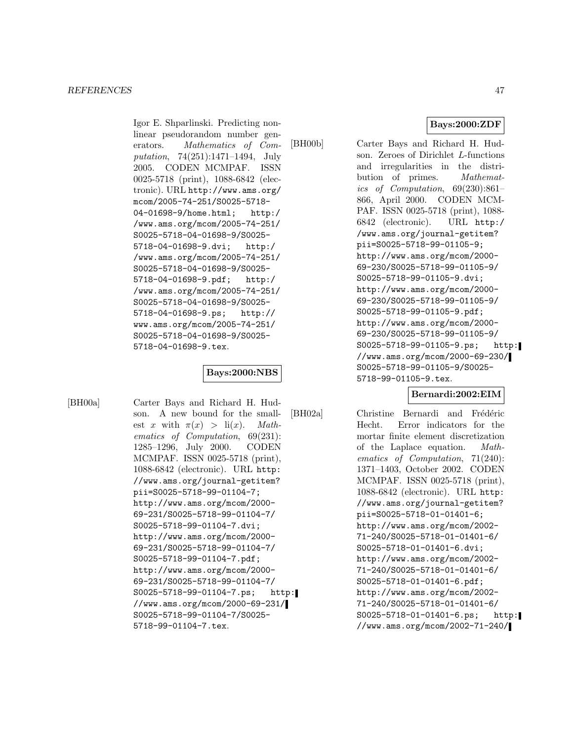Igor E. Shparlinski. Predicting nonlinear pseudorandom number generators. Mathematics of Computation, 74(251):1471–1494, July 2005. CODEN MCMPAF. ISSN 0025-5718 (print), 1088-6842 (electronic). URL http://www.ams.org/ mcom/2005-74-251/S0025-5718- 04-01698-9/home.html; http:/ /www.ams.org/mcom/2005-74-251/ S0025-5718-04-01698-9/S0025- 5718-04-01698-9.dvi; http:/ /www.ams.org/mcom/2005-74-251/ S0025-5718-04-01698-9/S0025- 5718-04-01698-9.pdf; http:/ /www.ams.org/mcom/2005-74-251/ S0025-5718-04-01698-9/S0025- 5718-04-01698-9.ps; http:// www.ams.org/mcom/2005-74-251/ S0025-5718-04-01698-9/S0025- 5718-04-01698-9.tex.

# **Bays:2000:NBS**

[BH00a] Carter Bays and Richard H. Hudson. A new bound for the smallest x with  $\pi(x) > \text{li}(x)$ . Mathematics of Computation, 69(231): 1285–1296, July 2000. CODEN MCMPAF. ISSN 0025-5718 (print), 1088-6842 (electronic). URL http: //www.ams.org/journal-getitem? pii=S0025-5718-99-01104-7; http://www.ams.org/mcom/2000- 69-231/S0025-5718-99-01104-7/ S0025-5718-99-01104-7.dvi; http://www.ams.org/mcom/2000- 69-231/S0025-5718-99-01104-7/ S0025-5718-99-01104-7.pdf; http://www.ams.org/mcom/2000- 69-231/S0025-5718-99-01104-7/ S0025-5718-99-01104-7.ps; http: //www.ams.org/mcom/2000-69-231/ S0025-5718-99-01104-7/S0025- 5718-99-01104-7.tex.

**Bays:2000:ZDF**

[BH00b] Carter Bays and Richard H. Hudson. Zeroes of Dirichlet L-functions and irregularities in the distribution of primes. Mathematics of Computation, 69(230):861– 866, April 2000. CODEN MCM-PAF. ISSN 0025-5718 (print), 1088- 6842 (electronic). URL http:/ /www.ams.org/journal-getitem? pii=S0025-5718-99-01105-9; http://www.ams.org/mcom/2000- 69-230/S0025-5718-99-01105-9/ S0025-5718-99-01105-9.dvi; http://www.ams.org/mcom/2000- 69-230/S0025-5718-99-01105-9/ S0025-5718-99-01105-9.pdf; http://www.ams.org/mcom/2000- 69-230/S0025-5718-99-01105-9/ S0025-5718-99-01105-9.ps; http: //www.ams.org/mcom/2000-69-230/ S0025-5718-99-01105-9/S0025- 5718-99-01105-9.tex.

### **Bernardi:2002:EIM**

[BH02a] Christine Bernardi and Frédéric Hecht. Error indicators for the mortar finite element discretization of the Laplace equation. Mathematics of Computation, 71(240): 1371–1403, October 2002. CODEN MCMPAF. ISSN 0025-5718 (print), 1088-6842 (electronic). URL http: //www.ams.org/journal-getitem? pii=S0025-5718-01-01401-6; http://www.ams.org/mcom/2002- 71-240/S0025-5718-01-01401-6/ S0025-5718-01-01401-6.dvi; http://www.ams.org/mcom/2002- 71-240/S0025-5718-01-01401-6/ S0025-5718-01-01401-6.pdf; http://www.ams.org/mcom/2002- 71-240/S0025-5718-01-01401-6/ S0025-5718-01-01401-6.ps; http: //www.ams.org/mcom/2002-71-240/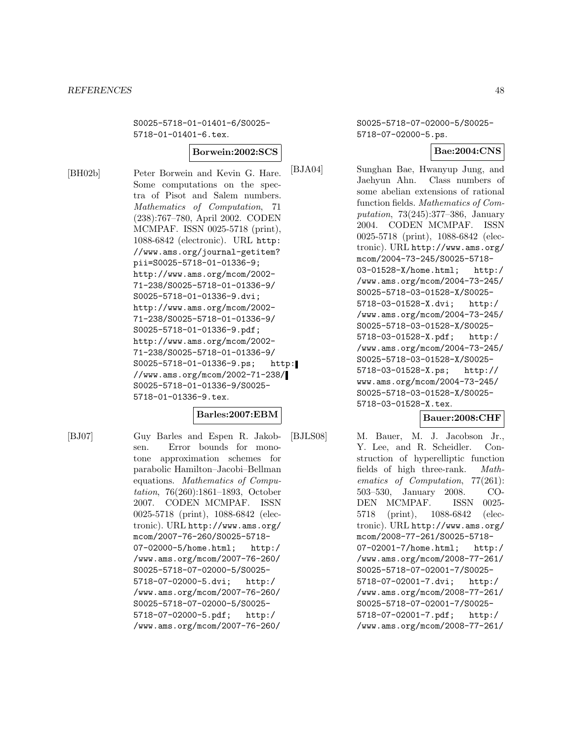S0025-5718-01-01401-6/S0025- 5718-01-01401-6.tex.

#### **Borwein:2002:SCS**

[BH02b] Peter Borwein and Kevin G. Hare. Some computations on the spectra of Pisot and Salem numbers. Mathematics of Computation, 71 (238):767–780, April 2002. CODEN MCMPAF. ISSN 0025-5718 (print), 1088-6842 (electronic). URL http: //www.ams.org/journal-getitem? pii=S0025-5718-01-01336-9; http://www.ams.org/mcom/2002- 71-238/S0025-5718-01-01336-9/ S0025-5718-01-01336-9.dvi; http://www.ams.org/mcom/2002- 71-238/S0025-5718-01-01336-9/ S0025-5718-01-01336-9.pdf; http://www.ams.org/mcom/2002- 71-238/S0025-5718-01-01336-9/ S0025-5718-01-01336-9.ps; http: //www.ams.org/mcom/2002-71-238/ S0025-5718-01-01336-9/S0025- 5718-01-01336-9.tex.

### **Barles:2007:EBM**

[BJ07] Guy Barles and Espen R. Jakobsen. Error bounds for monotone approximation schemes for parabolic Hamilton–Jacobi–Bellman equations. Mathematics of Computation, 76(260):1861–1893, October 2007. CODEN MCMPAF. ISSN 0025-5718 (print), 1088-6842 (electronic). URL http://www.ams.org/ mcom/2007-76-260/S0025-5718- 07-02000-5/home.html; http:/ /www.ams.org/mcom/2007-76-260/ S0025-5718-07-02000-5/S0025- 5718-07-02000-5.dvi; http:/ /www.ams.org/mcom/2007-76-260/ S0025-5718-07-02000-5/S0025- 5718-07-02000-5.pdf; http:/ /www.ams.org/mcom/2007-76-260/

S0025-5718-07-02000-5/S0025- 5718-07-02000-5.ps.

### **Bae:2004:CNS**

[BJA04] Sunghan Bae, Hwanyup Jung, and Jaehyun Ahn. Class numbers of some abelian extensions of rational function fields. Mathematics of Computation, 73(245):377–386, January 2004. CODEN MCMPAF. ISSN 0025-5718 (print), 1088-6842 (electronic). URL http://www.ams.org/ mcom/2004-73-245/S0025-5718- 03-01528-X/home.html; http:/ /www.ams.org/mcom/2004-73-245/ S0025-5718-03-01528-X/S0025- 5718-03-01528-X.dvi; http:/ /www.ams.org/mcom/2004-73-245/ S0025-5718-03-01528-X/S0025- 5718-03-01528-X.pdf; http:/ /www.ams.org/mcom/2004-73-245/ S0025-5718-03-01528-X/S0025- 5718-03-01528-X.ps; http:// www.ams.org/mcom/2004-73-245/ S0025-5718-03-01528-X/S0025- 5718-03-01528-X.tex.

### **Bauer:2008:CHF**

[BJLS08] M. Bauer, M. J. Jacobson Jr., Y. Lee, and R. Scheidler. Construction of hyperelliptic function fields of high three-rank. Mathematics of Computation, 77(261): 503–530, January 2008. CO-DEN MCMPAF. ISSN 0025- 5718 (print), 1088-6842 (electronic). URL http://www.ams.org/ mcom/2008-77-261/S0025-5718- 07-02001-7/home.html; http:/ /www.ams.org/mcom/2008-77-261/ S0025-5718-07-02001-7/S0025- 5718-07-02001-7.dvi; http:/ /www.ams.org/mcom/2008-77-261/ S0025-5718-07-02001-7/S0025- 5718-07-02001-7.pdf; http:/ /www.ams.org/mcom/2008-77-261/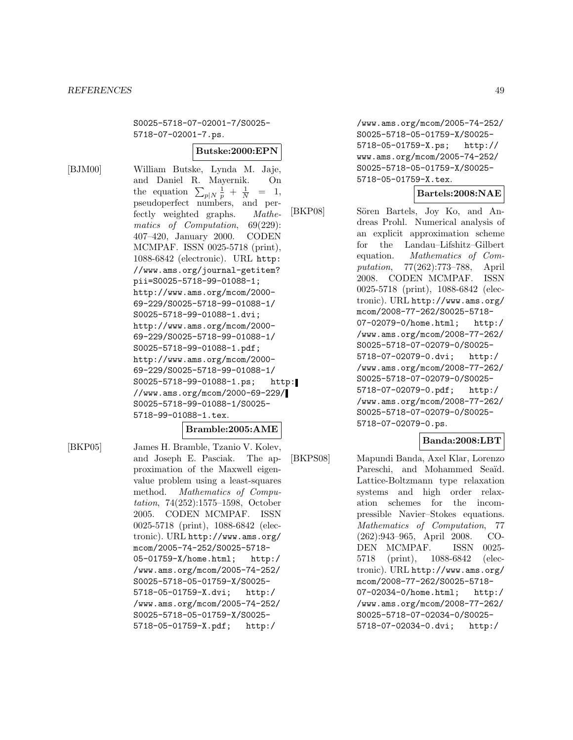S0025-5718-07-02001-7/S0025- 5718-07-02001-7.ps.

#### **Butske:2000:EPN**

[BJM00] William Butske, Lynda M. Jaje, and Daniel R. Mayernik. On the equation  $\sum_{p|N} \frac{1}{p} + \frac{1}{N}$  $=$  1, pseudoperfect numbers, and perfectly weighted graphs. Mathematics of Computation, 69(229): 407–420, January 2000. CODEN MCMPAF. ISSN 0025-5718 (print), 1088-6842 (electronic). URL http: //www.ams.org/journal-getitem? pii=S0025-5718-99-01088-1; http://www.ams.org/mcom/2000- 69-229/S0025-5718-99-01088-1/ S0025-5718-99-01088-1.dvi; http://www.ams.org/mcom/2000- 69-229/S0025-5718-99-01088-1/ S0025-5718-99-01088-1.pdf; http://www.ams.org/mcom/2000- 69-229/S0025-5718-99-01088-1/ S0025-5718-99-01088-1.ps; http: //www.ams.org/mcom/2000-69-229/ S0025-5718-99-01088-1/S0025- 5718-99-01088-1.tex.

#### **Bramble:2005:AME**

[BKP05] James H. Bramble, Tzanio V. Kolev, and Joseph E. Pasciak. The approximation of the Maxwell eigenvalue problem using a least-squares method. Mathematics of Computation, 74(252):1575–1598, October 2005. CODEN MCMPAF. ISSN 0025-5718 (print), 1088-6842 (electronic). URL http://www.ams.org/ mcom/2005-74-252/S0025-5718- 05-01759-X/home.html; http:/ /www.ams.org/mcom/2005-74-252/ S0025-5718-05-01759-X/S0025- 5718-05-01759-X.dvi; http:/ /www.ams.org/mcom/2005-74-252/ S0025-5718-05-01759-X/S0025- 5718-05-01759-X.pdf; http:/

/www.ams.org/mcom/2005-74-252/ S0025-5718-05-01759-X/S0025- 5718-05-01759-X.ps; http:// www.ams.org/mcom/2005-74-252/ S0025-5718-05-01759-X/S0025- 5718-05-01759-X.tex.

### **Bartels:2008:NAE**

[BKP08] Sören Bartels, Joy Ko, and Andreas Prohl. Numerical analysis of an explicit approximation scheme for the Landau–Lifshitz–Gilbert equation. Mathematics of Computation, 77(262):773–788, April 2008. CODEN MCMPAF. ISSN 0025-5718 (print), 1088-6842 (electronic). URL http://www.ams.org/ mcom/2008-77-262/S0025-5718- 07-02079-0/home.html; http:/ /www.ams.org/mcom/2008-77-262/ S0025-5718-07-02079-0/S0025- 5718-07-02079-0.dvi; http:/ /www.ams.org/mcom/2008-77-262/ S0025-5718-07-02079-0/S0025- 5718-07-02079-0.pdf; http:/ /www.ams.org/mcom/2008-77-262/ S0025-5718-07-02079-0/S0025- 5718-07-02079-0.ps.

### **Banda:2008:LBT**

[BKPS08] Mapundi Banda, Axel Klar, Lorenzo Pareschi, and Mohammed Seaïd. Lattice-Boltzmann type relaxation systems and high order relaxation schemes for the incompressible Navier–Stokes equations. Mathematics of Computation, 77 (262):943–965, April 2008. CO-DEN MCMPAF. ISSN 0025- 5718 (print), 1088-6842 (electronic). URL http://www.ams.org/ mcom/2008-77-262/S0025-5718- 07-02034-0/home.html; http:/ /www.ams.org/mcom/2008-77-262/ S0025-5718-07-02034-0/S0025- 5718-07-02034-0.dvi; http:/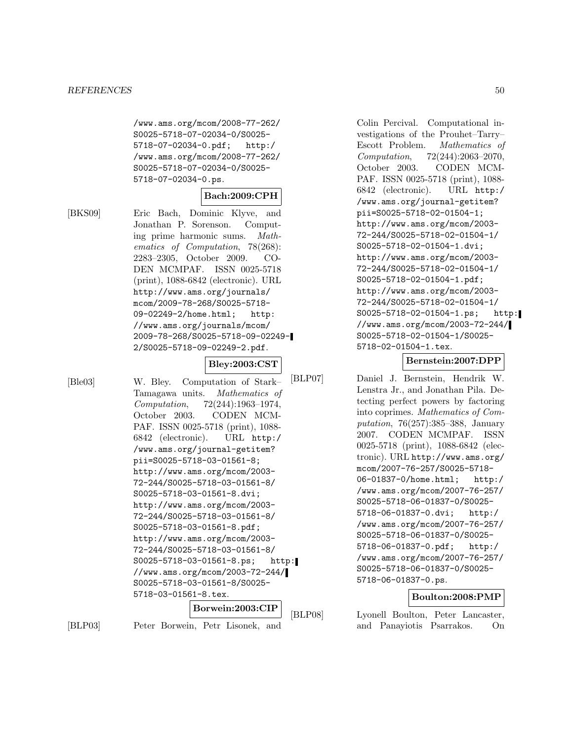/www.ams.org/mcom/2008-77-262/ S0025-5718-07-02034-0/S0025- 5718-07-02034-0.pdf; http:/ /www.ams.org/mcom/2008-77-262/ S0025-5718-07-02034-0/S0025- 5718-07-02034-0.ps.

# **Bach:2009:CPH**

[BKS09] Eric Bach, Dominic Klyve, and Jonathan P. Sorenson. Computing prime harmonic sums. Mathematics of Computation, 78(268): 2283–2305, October 2009. CO-DEN MCMPAF. ISSN 0025-5718 (print), 1088-6842 (electronic). URL http://www.ams.org/journals/ mcom/2009-78-268/S0025-5718- 09-02249-2/home.html; http: //www.ams.org/journals/mcom/ 2009-78-268/S0025-5718-09-02249- 2/S0025-5718-09-02249-2.pdf.

#### **Bley:2003:CST**

[Ble03] W. Bley. Computation of Stark– Tamagawa units. Mathematics of Computation, 72(244):1963–1974, October 2003. CODEN MCM-PAF. ISSN 0025-5718 (print), 1088- 6842 (electronic). URL http:/ /www.ams.org/journal-getitem? pii=S0025-5718-03-01561-8; http://www.ams.org/mcom/2003- 72-244/S0025-5718-03-01561-8/ S0025-5718-03-01561-8.dvi; http://www.ams.org/mcom/2003- 72-244/S0025-5718-03-01561-8/ S0025-5718-03-01561-8.pdf; http://www.ams.org/mcom/2003- 72-244/S0025-5718-03-01561-8/ S0025-5718-03-01561-8.ps; http: //www.ams.org/mcom/2003-72-244/ S0025-5718-03-01561-8/S0025- 5718-03-01561-8.tex.

# **Borwein:2003:CIP**

[BLP03] Peter Borwein, Petr Lisonek, and

Colin Percival. Computational investigations of the Prouhet–Tarry– Escott Problem. Mathematics of Computation, 72(244):2063–2070, October 2003. CODEN MCM-PAF. ISSN 0025-5718 (print), 1088- 6842 (electronic). URL http:/ /www.ams.org/journal-getitem? pii=S0025-5718-02-01504-1; http://www.ams.org/mcom/2003- 72-244/S0025-5718-02-01504-1/ S0025-5718-02-01504-1.dvi; http://www.ams.org/mcom/2003- 72-244/S0025-5718-02-01504-1/ S0025-5718-02-01504-1.pdf; http://www.ams.org/mcom/2003- 72-244/S0025-5718-02-01504-1/ S0025-5718-02-01504-1.ps; http: //www.ams.org/mcom/2003-72-244/ S0025-5718-02-01504-1/S0025- 5718-02-01504-1.tex.

### **Bernstein:2007:DPP**

[BLP07] Daniel J. Bernstein, Hendrik W. Lenstra Jr., and Jonathan Pila. Detecting perfect powers by factoring into coprimes. Mathematics of Computation, 76(257):385–388, January 2007. CODEN MCMPAF. ISSN 0025-5718 (print), 1088-6842 (electronic). URL http://www.ams.org/ mcom/2007-76-257/S0025-5718- 06-01837-0/home.html; http:/ /www.ams.org/mcom/2007-76-257/ S0025-5718-06-01837-0/S0025- 5718-06-01837-0.dvi; http:/ /www.ams.org/mcom/2007-76-257/ S0025-5718-06-01837-0/S0025- 5718-06-01837-0.pdf; http:/ /www.ams.org/mcom/2007-76-257/ S0025-5718-06-01837-0/S0025- 5718-06-01837-0.ps.

#### **Boulton:2008:PMP**

[BLP08] Lyonell Boulton, Peter Lancaster, and Panayiotis Psarrakos. On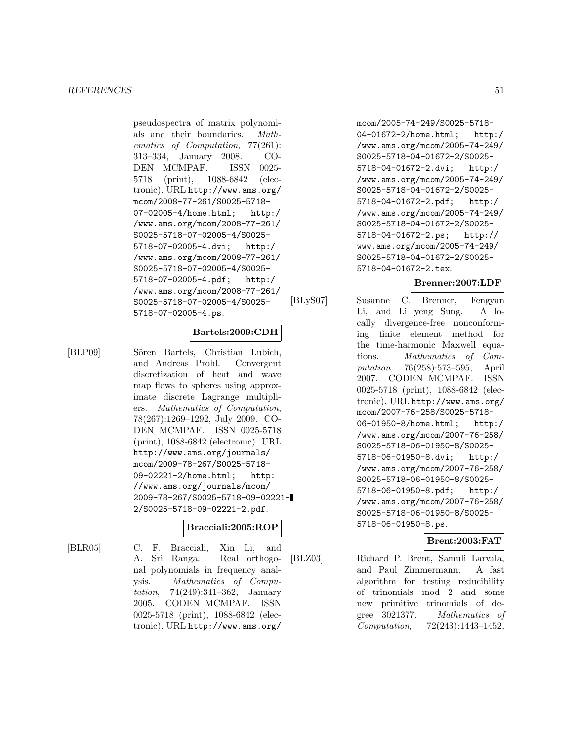pseudospectra of matrix polynomials and their boundaries. Mathematics of Computation, 77(261): 313–334, January 2008. CO-DEN MCMPAF. ISSN 0025- 5718 (print), 1088-6842 (electronic). URL http://www.ams.org/ mcom/2008-77-261/S0025-5718- 07-02005-4/home.html; http:/ /www.ams.org/mcom/2008-77-261/ S0025-5718-07-02005-4/S0025- 5718-07-02005-4.dvi; http:/ /www.ams.org/mcom/2008-77-261/ S0025-5718-07-02005-4/S0025- 5718-07-02005-4.pdf; http:/ /www.ams.org/mcom/2008-77-261/ S0025-5718-07-02005-4/S0025- 5718-07-02005-4.ps.

#### **Bartels:2009:CDH**

[BLP09] Sören Bartels, Christian Lubich, and Andreas Prohl. Convergent discretization of heat and wave map flows to spheres using approximate discrete Lagrange multipliers. Mathematics of Computation, 78(267):1269–1292, July 2009. CO-DEN MCMPAF. ISSN 0025-5718 (print), 1088-6842 (electronic). URL http://www.ams.org/journals/ mcom/2009-78-267/S0025-5718- 09-02221-2/home.html; http: //www.ams.org/journals/mcom/ 2009-78-267/S0025-5718-09-02221- 2/S0025-5718-09-02221-2.pdf.

#### **Bracciali:2005:ROP**

[BLR05] C. F. Bracciali, Xin Li, and A. Sri Ranga. Real orthogonal polynomials in frequency analysis. Mathematics of Computation, 74(249):341–362, January 2005. CODEN MCMPAF. ISSN 0025-5718 (print), 1088-6842 (electronic). URL http://www.ams.org/

mcom/2005-74-249/S0025-5718- 04-01672-2/home.html; http:/ /www.ams.org/mcom/2005-74-249/ S0025-5718-04-01672-2/S0025- 5718-04-01672-2.dvi; http:/ /www.ams.org/mcom/2005-74-249/ S0025-5718-04-01672-2/S0025- 5718-04-01672-2.pdf; http:/ /www.ams.org/mcom/2005-74-249/ S0025-5718-04-01672-2/S0025- 5718-04-01672-2.ps; http:// www.ams.org/mcom/2005-74-249/ S0025-5718-04-01672-2/S0025- 5718-04-01672-2.tex.

# **Brenner:2007:LDF**

[BLyS07] Susanne C. Brenner, Fengyan Li, and Li yeng Sung. A locally divergence-free nonconforming finite element method for the time-harmonic Maxwell equations. Mathematics of Computation, 76(258):573–595, April 2007. CODEN MCMPAF. ISSN 0025-5718 (print), 1088-6842 (electronic). URL http://www.ams.org/ mcom/2007-76-258/S0025-5718- 06-01950-8/home.html; http:/ /www.ams.org/mcom/2007-76-258/ S0025-5718-06-01950-8/S0025- 5718-06-01950-8.dvi; http:/ /www.ams.org/mcom/2007-76-258/ S0025-5718-06-01950-8/S0025- 5718-06-01950-8.pdf; http:/ /www.ams.org/mcom/2007-76-258/ S0025-5718-06-01950-8/S0025- 5718-06-01950-8.ps.

# **Brent:2003:FAT**

[BLZ03] Richard P. Brent, Samuli Larvala, and Paul Zimmermann. A fast algorithm for testing reducibility of trinomials mod 2 and some new primitive trinomials of degree 3021377. Mathematics of Computation, 72(243):1443–1452,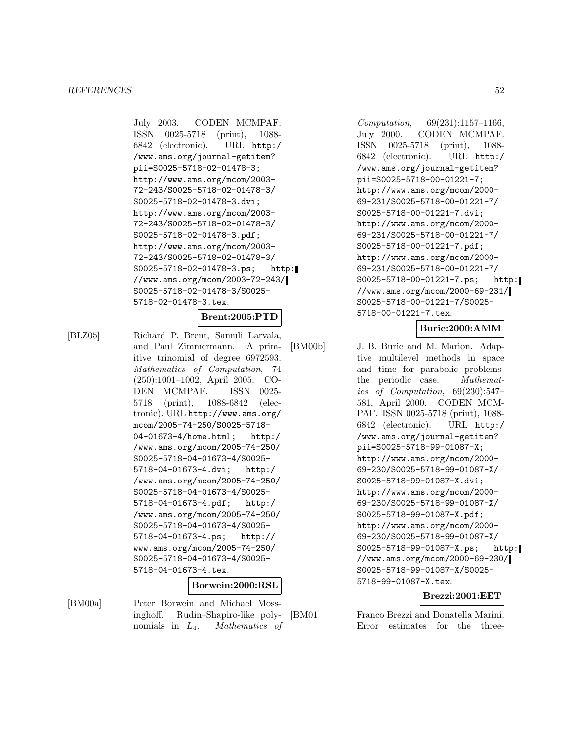July 2003. CODEN MCMPAF. ISSN 0025-5718 (print), 1088- 6842 (electronic). URL http:/ /www.ams.org/journal-getitem? pii=S0025-5718-02-01478-3; http://www.ams.org/mcom/2003- 72-243/S0025-5718-02-01478-3/ S0025-5718-02-01478-3.dvi; http://www.ams.org/mcom/2003- 72-243/S0025-5718-02-01478-3/ S0025-5718-02-01478-3.pdf; http://www.ams.org/mcom/2003- 72-243/S0025-5718-02-01478-3/ S0025-5718-02-01478-3.ps; http: //www.ams.org/mcom/2003-72-243/ S0025-5718-02-01478-3/S0025- 5718-02-01478-3.tex.

#### **Brent:2005:PTD**

[BLZ05] Richard P. Brent, Samuli Larvala, and Paul Zimmermann. A primitive trinomial of degree 6972593. Mathematics of Computation, 74 (250):1001–1002, April 2005. CO-DEN MCMPAF. ISSN 0025- 5718 (print), 1088-6842 (electronic). URL http://www.ams.org/ mcom/2005-74-250/S0025-5718- 04-01673-4/home.html; http:/ /www.ams.org/mcom/2005-74-250/ S0025-5718-04-01673-4/S0025- 5718-04-01673-4.dvi; http:/ /www.ams.org/mcom/2005-74-250/ S0025-5718-04-01673-4/S0025- 5718-04-01673-4.pdf; http:/ /www.ams.org/mcom/2005-74-250/ S0025-5718-04-01673-4/S0025- 5718-04-01673-4.ps; http:// www.ams.org/mcom/2005-74-250/ S0025-5718-04-01673-4/S0025- 5718-04-01673-4.tex.

#### **Borwein:2000:RSL**

[BM00a] Peter Borwein and Michael Mossinghoff. Rudin–Shapiro-like polynomials in  $L_4$ . *Mathematics of* 

Computation, 69(231):1157–1166, July 2000. CODEN MCMPAF. ISSN 0025-5718 (print), 1088- 6842 (electronic). URL http:/ /www.ams.org/journal-getitem? pii=S0025-5718-00-01221-7; http://www.ams.org/mcom/2000- 69-231/S0025-5718-00-01221-7/ S0025-5718-00-01221-7.dvi; http://www.ams.org/mcom/2000- 69-231/S0025-5718-00-01221-7/ S0025-5718-00-01221-7.pdf; http://www.ams.org/mcom/2000- 69-231/S0025-5718-00-01221-7/ S0025-5718-00-01221-7.ps; http: //www.ams.org/mcom/2000-69-231/ S0025-5718-00-01221-7/S0025- 5718-00-01221-7.tex.

# **Burie:2000:AMM**

[BM00b] J. B. Burie and M. Marion. Adaptive multilevel methods in space and time for parabolic problemsthe periodic case. Mathematics of Computation, 69(230):547– 581, April 2000. CODEN MCM-PAF. ISSN 0025-5718 (print), 1088- 6842 (electronic). URL http:/ /www.ams.org/journal-getitem? pii=S0025-5718-99-01087-X; http://www.ams.org/mcom/2000- 69-230/S0025-5718-99-01087-X/ S0025-5718-99-01087-X.dvi; http://www.ams.org/mcom/2000- 69-230/S0025-5718-99-01087-X/ S0025-5718-99-01087-X.pdf; http://www.ams.org/mcom/2000- 69-230/S0025-5718-99-01087-X/ S0025-5718-99-01087-X.ps; http: //www.ams.org/mcom/2000-69-230/ S0025-5718-99-01087-X/S0025- 5718-99-01087-X.tex.

### **Brezzi:2001:EET**

[BM01] Franco Brezzi and Donatella Marini. Error estimates for the three-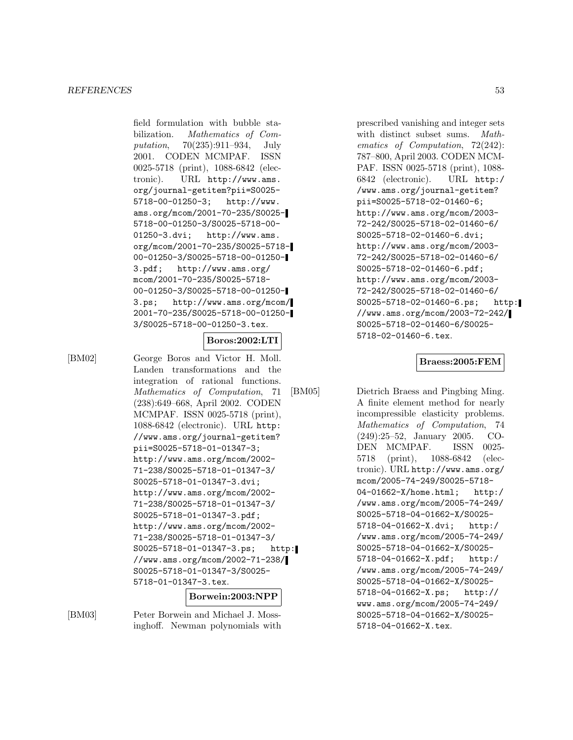field formulation with bubble stabilization. Mathematics of Computation, 70(235):911–934, July 2001. CODEN MCMPAF. ISSN 0025-5718 (print), 1088-6842 (electronic). URL http://www.ams. org/journal-getitem?pii=S0025- 5718-00-01250-3; http://www. ams.org/mcom/2001-70-235/S0025- 5718-00-01250-3/S0025-5718-00- 01250-3.dvi; http://www.ams. org/mcom/2001-70-235/S0025-5718- 00-01250-3/S0025-5718-00-01250- 3.pdf; http://www.ams.org/ mcom/2001-70-235/S0025-5718- 00-01250-3/S0025-5718-00-01250- 3.ps; http://www.ams.org/mcom/ 2001-70-235/S0025-5718-00-01250- 3/S0025-5718-00-01250-3.tex.

### **Boros:2002:LTI**

[BM02] George Boros and Victor H. Moll. Landen transformations and the integration of rational functions. Mathematics of Computation, 71 (238):649–668, April 2002. CODEN MCMPAF. ISSN 0025-5718 (print), 1088-6842 (electronic). URL http: //www.ams.org/journal-getitem? pii=S0025-5718-01-01347-3; http://www.ams.org/mcom/2002- 71-238/S0025-5718-01-01347-3/ S0025-5718-01-01347-3.dvi; http://www.ams.org/mcom/2002- 71-238/S0025-5718-01-01347-3/ S0025-5718-01-01347-3.pdf; http://www.ams.org/mcom/2002- 71-238/S0025-5718-01-01347-3/ S0025-5718-01-01347-3.ps; http: //www.ams.org/mcom/2002-71-238/ S0025-5718-01-01347-3/S0025- 5718-01-01347-3.tex.

#### **Borwein:2003:NPP**

[BM03] Peter Borwein and Michael J. Mossinghoff. Newman polynomials with

prescribed vanishing and integer sets with distinct subset sums. Mathematics of Computation, 72(242): 787–800, April 2003. CODEN MCM-PAF. ISSN 0025-5718 (print), 1088- 6842 (electronic). URL http:/ /www.ams.org/journal-getitem? pii=S0025-5718-02-01460-6; http://www.ams.org/mcom/2003- 72-242/S0025-5718-02-01460-6/ S0025-5718-02-01460-6.dvi; http://www.ams.org/mcom/2003- 72-242/S0025-5718-02-01460-6/ S0025-5718-02-01460-6.pdf; http://www.ams.org/mcom/2003- 72-242/S0025-5718-02-01460-6/ S0025-5718-02-01460-6.ps; http: //www.ams.org/mcom/2003-72-242/ S0025-5718-02-01460-6/S0025- 5718-02-01460-6.tex.

#### **Braess:2005:FEM**

[BM05] Dietrich Braess and Pingbing Ming. A finite element method for nearly incompressible elasticity problems. Mathematics of Computation, 74 (249):25–52, January 2005. CO-DEN MCMPAF. ISSN 0025- 5718 (print), 1088-6842 (electronic). URL http://www.ams.org/ mcom/2005-74-249/S0025-5718- 04-01662-X/home.html; http:/ /www.ams.org/mcom/2005-74-249/ S0025-5718-04-01662-X/S0025- 5718-04-01662-X.dvi; http:/ /www.ams.org/mcom/2005-74-249/ S0025-5718-04-01662-X/S0025- 5718-04-01662-X.pdf; http:/ /www.ams.org/mcom/2005-74-249/ S0025-5718-04-01662-X/S0025- 5718-04-01662-X.ps; http:// www.ams.org/mcom/2005-74-249/ S0025-5718-04-01662-X/S0025- 5718-04-01662-X.tex.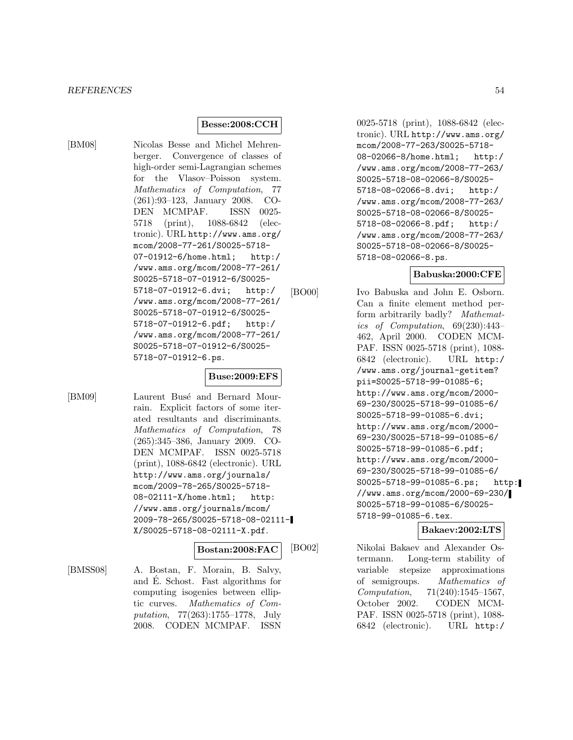### **Besse:2008:CCH**

[BM08] Nicolas Besse and Michel Mehrenberger. Convergence of classes of high-order semi-Lagrangian schemes for the Vlasov–Poisson system. Mathematics of Computation, 77 (261):93–123, January 2008. CO-DEN MCMPAF. ISSN 0025- 5718 (print), 1088-6842 (electronic). URL http://www.ams.org/ mcom/2008-77-261/S0025-5718- 07-01912-6/home.html; http:/ /www.ams.org/mcom/2008-77-261/ S0025-5718-07-01912-6/S0025- 5718-07-01912-6.dvi; http:/ /www.ams.org/mcom/2008-77-261/ S0025-5718-07-01912-6/S0025- 5718-07-01912-6.pdf; http:/ /www.ams.org/mcom/2008-77-261/ S0025-5718-07-01912-6/S0025- 5718-07-01912-6.ps.

# **Buse:2009:EFS**

[BM09] Laurent Busé and Bernard Mourrain. Explicit factors of some iterated resultants and discriminants. Mathematics of Computation, 78 (265):345–386, January 2009. CO-DEN MCMPAF. ISSN 0025-5718 (print), 1088-6842 (electronic). URL http://www.ams.org/journals/ mcom/2009-78-265/S0025-5718- 08-02111-X/home.html; http: //www.ams.org/journals/mcom/ 2009-78-265/S0025-5718-08-02111- X/S0025-5718-08-02111-X.pdf.

**Bostan:2008:FAC**

[BMSS08] A. Bostan, F. Morain, B. Salvy, and E. Schost. Fast algorithms for ´ computing isogenies between elliptic curves. Mathematics of Computation, 77(263):1755–1778, July 2008. CODEN MCMPAF. ISSN

0025-5718 (print), 1088-6842 (electronic). URL http://www.ams.org/ mcom/2008-77-263/S0025-5718- 08-02066-8/home.html; http:/ /www.ams.org/mcom/2008-77-263/ S0025-5718-08-02066-8/S0025- 5718-08-02066-8.dvi; http:/ /www.ams.org/mcom/2008-77-263/ S0025-5718-08-02066-8/S0025- 5718-08-02066-8.pdf; http:/ /www.ams.org/mcom/2008-77-263/ S0025-5718-08-02066-8/S0025- 5718-08-02066-8.ps.

### **Babuska:2000:CFE**

[BO00] Ivo Babuska and John E. Osborn. Can a finite element method perform arbitrarily badly? Mathematics of Computation, 69(230):443– 462, April 2000. CODEN MCM-PAF. ISSN 0025-5718 (print), 1088- 6842 (electronic). URL http:/ /www.ams.org/journal-getitem? pii=S0025-5718-99-01085-6; http://www.ams.org/mcom/2000- 69-230/S0025-5718-99-01085-6/ S0025-5718-99-01085-6.dvi; http://www.ams.org/mcom/2000- 69-230/S0025-5718-99-01085-6/ S0025-5718-99-01085-6.pdf; http://www.ams.org/mcom/2000- 69-230/S0025-5718-99-01085-6/ S0025-5718-99-01085-6.ps; http: //www.ams.org/mcom/2000-69-230/ S0025-5718-99-01085-6/S0025- 5718-99-01085-6.tex.

#### **Bakaev:2002:LTS**

[BO02] Nikolai Bakaev and Alexander Ostermann. Long-term stability of variable stepsize approximations of semigroups. Mathematics of Computation, 71(240):1545–1567, October 2002. CODEN MCM-PAF. ISSN 0025-5718 (print), 1088- 6842 (electronic). URL http:/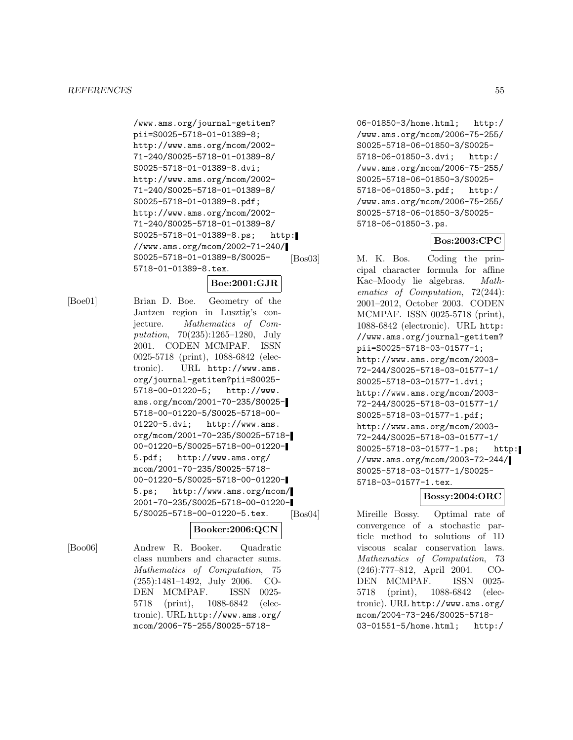/www.ams.org/journal-getitem? pii=S0025-5718-01-01389-8; http://www.ams.org/mcom/2002- 71-240/S0025-5718-01-01389-8/ S0025-5718-01-01389-8.dvi; http://www.ams.org/mcom/2002- 71-240/S0025-5718-01-01389-8/ S0025-5718-01-01389-8.pdf; http://www.ams.org/mcom/2002- 71-240/S0025-5718-01-01389-8/ S0025-5718-01-01389-8.ps; http: //www.ams.org/mcom/2002-71-240/ S0025-5718-01-01389-8/S0025- 5718-01-01389-8.tex.

# **Boe:2001:GJR**

[Boe01] Brian D. Boe. Geometry of the Jantzen region in Lusztig's conjecture. Mathematics of Computation, 70(235):1265–1280, July 2001. CODEN MCMPAF. ISSN 0025-5718 (print), 1088-6842 (electronic). URL http://www.ams. org/journal-getitem?pii=S0025- 5718-00-01220-5; http://www. ams.org/mcom/2001-70-235/S0025- 5718-00-01220-5/S0025-5718-00- 01220-5.dvi; http://www.ams. org/mcom/2001-70-235/S0025-5718- 00-01220-5/S0025-5718-00-01220- 5.pdf; http://www.ams.org/ mcom/2001-70-235/S0025-5718- 00-01220-5/S0025-5718-00-01220- 5.ps; http://www.ams.org/mcom/ 2001-70-235/S0025-5718-00-01220- 5/S0025-5718-00-01220-5.tex.

### **Booker:2006:QCN**

[Boo06] Andrew R. Booker. Quadratic class numbers and character sums. Mathematics of Computation, 75 (255):1481–1492, July 2006. CO-DEN MCMPAF. ISSN 0025- 5718 (print), 1088-6842 (electronic). URL http://www.ams.org/ mcom/2006-75-255/S0025-571806-01850-3/home.html; http:/ /www.ams.org/mcom/2006-75-255/ S0025-5718-06-01850-3/S0025- 5718-06-01850-3.dvi; http:/ /www.ams.org/mcom/2006-75-255/ S0025-5718-06-01850-3/S0025- 5718-06-01850-3.pdf; http:/ /www.ams.org/mcom/2006-75-255/ S0025-5718-06-01850-3/S0025- 5718-06-01850-3.ps.

### **Bos:2003:CPC**

[Bos03] M. K. Bos. Coding the principal character formula for affine Kac–Moody lie algebras. Mathematics of Computation, 72(244): 2001–2012, October 2003. CODEN MCMPAF. ISSN 0025-5718 (print), 1088-6842 (electronic). URL http: //www.ams.org/journal-getitem? pii=S0025-5718-03-01577-1; http://www.ams.org/mcom/2003- 72-244/S0025-5718-03-01577-1/ S0025-5718-03-01577-1.dvi; http://www.ams.org/mcom/2003- 72-244/S0025-5718-03-01577-1/ S0025-5718-03-01577-1.pdf; http://www.ams.org/mcom/2003- 72-244/S0025-5718-03-01577-1/ S0025-5718-03-01577-1.ps; http: //www.ams.org/mcom/2003-72-244/ S0025-5718-03-01577-1/S0025- 5718-03-01577-1.tex.

# **Bossy:2004:ORC**

[Bos04] Mireille Bossy. Optimal rate of convergence of a stochastic particle method to solutions of 1D viscous scalar conservation laws. Mathematics of Computation, 73 (246):777–812, April 2004. CO-DEN MCMPAF. ISSN 0025- 5718 (print), 1088-6842 (electronic). URL http://www.ams.org/ mcom/2004-73-246/S0025-5718- 03-01551-5/home.html; http:/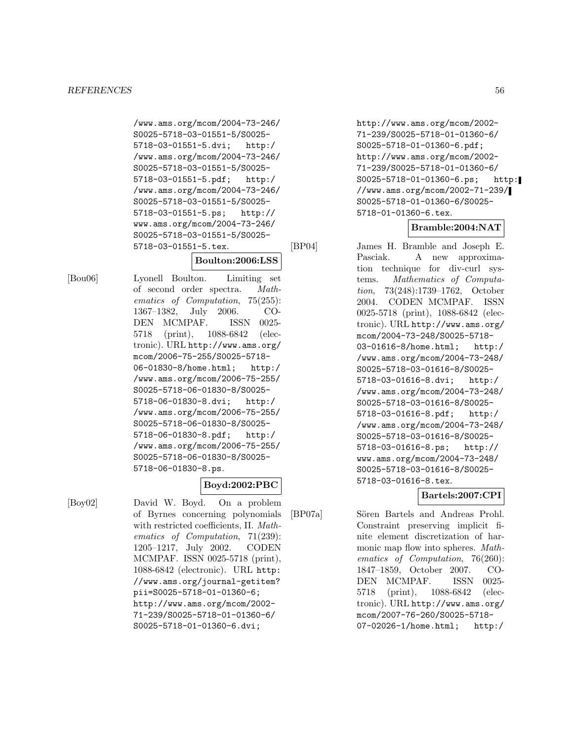/www.ams.org/mcom/2004-73-246/ S0025-5718-03-01551-5/S0025- 5718-03-01551-5.dvi; http:/ /www.ams.org/mcom/2004-73-246/ S0025-5718-03-01551-5/S0025- 5718-03-01551-5.pdf; http:/ /www.ams.org/mcom/2004-73-246/ S0025-5718-03-01551-5/S0025- 5718-03-01551-5.ps; http:// www.ams.org/mcom/2004-73-246/ S0025-5718-03-01551-5/S0025- 5718-03-01551-5.tex.

# **Boulton:2006:LSS**

[Bou06] Lyonell Boulton. Limiting set of second order spectra. Mathematics of Computation, 75(255): 1367–1382, July 2006. CO-DEN MCMPAF. ISSN 0025- 5718 (print), 1088-6842 (electronic). URL http://www.ams.org/ mcom/2006-75-255/S0025-5718- 06-01830-8/home.html; http:/ /www.ams.org/mcom/2006-75-255/ S0025-5718-06-01830-8/S0025- 5718-06-01830-8.dvi; http:/ /www.ams.org/mcom/2006-75-255/ S0025-5718-06-01830-8/S0025- 5718-06-01830-8.pdf; http:/ /www.ams.org/mcom/2006-75-255/ S0025-5718-06-01830-8/S0025- 5718-06-01830-8.ps.

### **Boyd:2002:PBC**

[Boy02] David W. Boyd. On a problem of Byrnes concerning polynomials with restricted coefficients, II. Mathematics of Computation, 71(239): 1205–1217, July 2002. CODEN MCMPAF. ISSN 0025-5718 (print), 1088-6842 (electronic). URL http: //www.ams.org/journal-getitem? pii=S0025-5718-01-01360-6; http://www.ams.org/mcom/2002- 71-239/S0025-5718-01-01360-6/ S0025-5718-01-01360-6.dvi;

http://www.ams.org/mcom/2002- 71-239/S0025-5718-01-01360-6/ S0025-5718-01-01360-6.pdf; http://www.ams.org/mcom/2002- 71-239/S0025-5718-01-01360-6/ S0025-5718-01-01360-6.ps; http: //www.ams.org/mcom/2002-71-239/ S0025-5718-01-01360-6/S0025- 5718-01-01360-6.tex.

# **Bramble:2004:NAT**

[BP04] James H. Bramble and Joseph E. Pasciak. A new approximation technique for div-curl systems. Mathematics of Computation, 73(248):1739–1762, October 2004. CODEN MCMPAF. ISSN 0025-5718 (print), 1088-6842 (electronic). URL http://www.ams.org/ mcom/2004-73-248/S0025-5718- 03-01616-8/home.html; http:/ /www.ams.org/mcom/2004-73-248/ S0025-5718-03-01616-8/S0025- 5718-03-01616-8.dvi; http:/ /www.ams.org/mcom/2004-73-248/ S0025-5718-03-01616-8/S0025- 5718-03-01616-8.pdf; http:/ /www.ams.org/mcom/2004-73-248/ S0025-5718-03-01616-8/S0025- 5718-03-01616-8.ps; http:// www.ams.org/mcom/2004-73-248/ S0025-5718-03-01616-8/S0025- 5718-03-01616-8.tex.

# **Bartels:2007:CPI**

[BP07a] Sören Bartels and Andreas Prohl. Constraint preserving implicit finite element discretization of harmonic map flow into spheres. Mathematics of Computation, 76(260): 1847–1859, October 2007. CO-DEN MCMPAF. ISSN 0025- 5718 (print), 1088-6842 (electronic). URL http://www.ams.org/ mcom/2007-76-260/S0025-5718- 07-02026-1/home.html; http:/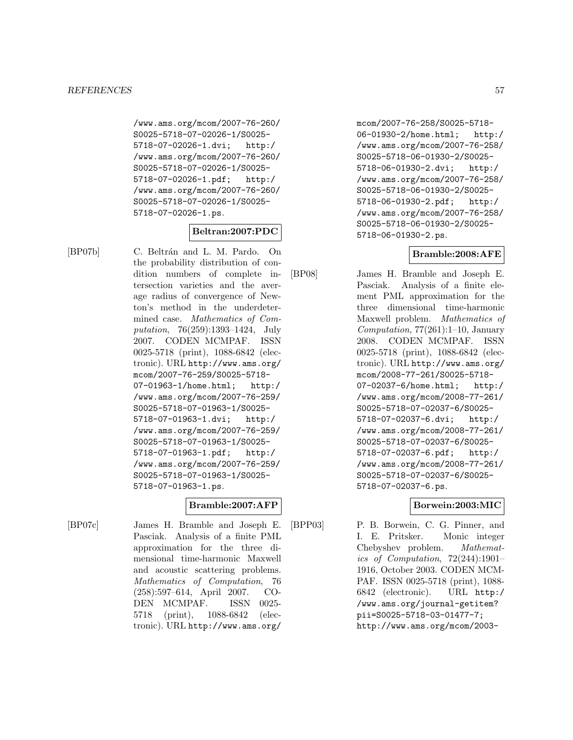/www.ams.org/mcom/2007-76-260/ S0025-5718-07-02026-1/S0025- 5718-07-02026-1.dvi; http:/ /www.ams.org/mcom/2007-76-260/ S0025-5718-07-02026-1/S0025- 5718-07-02026-1.pdf; http:/ /www.ams.org/mcom/2007-76-260/ S0025-5718-07-02026-1/S0025- 5718-07-02026-1.ps.

# **Beltran:2007:PDC**

[BP07b] C. Beltrán and L. M. Pardo. On the probability distribution of condition numbers of complete intersection varieties and the average radius of convergence of Newton's method in the underdetermined case. Mathematics of Computation, 76(259):1393–1424, July 2007. CODEN MCMPAF. ISSN 0025-5718 (print), 1088-6842 (electronic). URL http://www.ams.org/ mcom/2007-76-259/S0025-5718- 07-01963-1/home.html; http:/ /www.ams.org/mcom/2007-76-259/ S0025-5718-07-01963-1/S0025- 5718-07-01963-1.dvi; http:/ /www.ams.org/mcom/2007-76-259/ S0025-5718-07-01963-1/S0025- 5718-07-01963-1.pdf; http:/ /www.ams.org/mcom/2007-76-259/ S0025-5718-07-01963-1/S0025- 5718-07-01963-1.ps.

### **Bramble:2007:AFP**

[BP07c] James H. Bramble and Joseph E. Pasciak. Analysis of a finite PML approximation for the three dimensional time-harmonic Maxwell and acoustic scattering problems. Mathematics of Computation, 76 (258):597–614, April 2007. CO-DEN MCMPAF. ISSN 0025- 5718 (print), 1088-6842 (electronic). URL http://www.ams.org/ mcom/2007-76-258/S0025-5718- 06-01930-2/home.html; http:/ /www.ams.org/mcom/2007-76-258/ S0025-5718-06-01930-2/S0025- 5718-06-01930-2.dvi; http:/ /www.ams.org/mcom/2007-76-258/ S0025-5718-06-01930-2/S0025- 5718-06-01930-2.pdf; http:/ /www.ams.org/mcom/2007-76-258/ S0025-5718-06-01930-2/S0025- 5718-06-01930-2.ps.

# **Bramble:2008:AFE**

[BP08] James H. Bramble and Joseph E. Pasciak. Analysis of a finite element PML approximation for the three dimensional time-harmonic Maxwell problem. Mathematics of Computation,  $77(261):1-10$ , January 2008. CODEN MCMPAF. ISSN 0025-5718 (print), 1088-6842 (electronic). URL http://www.ams.org/ mcom/2008-77-261/S0025-5718- 07-02037-6/home.html; http:/ /www.ams.org/mcom/2008-77-261/ S0025-5718-07-02037-6/S0025- 5718-07-02037-6.dvi; http:/ /www.ams.org/mcom/2008-77-261/ S0025-5718-07-02037-6/S0025- 5718-07-02037-6.pdf; http:/ /www.ams.org/mcom/2008-77-261/ S0025-5718-07-02037-6/S0025- 5718-07-02037-6.ps.

### **Borwein:2003:MIC**

[BPP03] P. B. Borwein, C. G. Pinner, and I. E. Pritsker. Monic integer Chebyshev problem. Mathematics of Computation, 72(244):1901– 1916, October 2003. CODEN MCM-PAF. ISSN 0025-5718 (print), 1088- 6842 (electronic). URL http:/ /www.ams.org/journal-getitem? pii=S0025-5718-03-01477-7; http://www.ams.org/mcom/2003-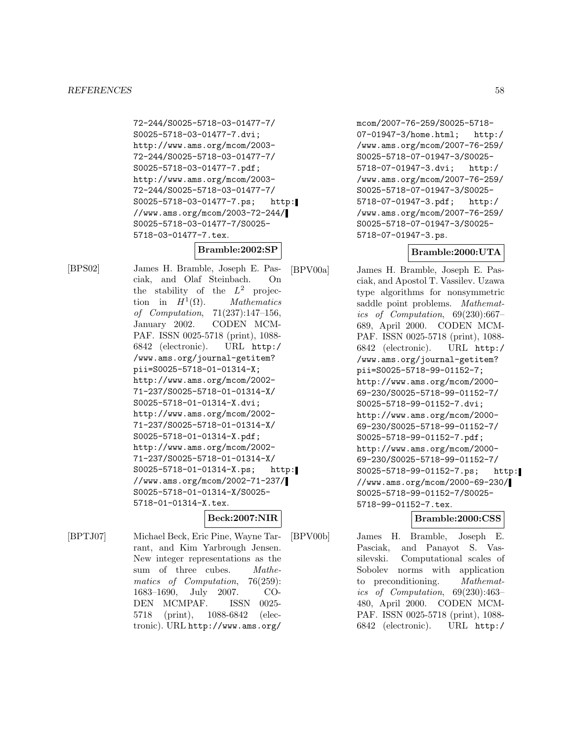72-244/S0025-5718-03-01477-7/ S0025-5718-03-01477-7.dvi; http://www.ams.org/mcom/2003- 72-244/S0025-5718-03-01477-7/ S0025-5718-03-01477-7.pdf; http://www.ams.org/mcom/2003- 72-244/S0025-5718-03-01477-7/ S0025-5718-03-01477-7.ps; http: //www.ams.org/mcom/2003-72-244/ S0025-5718-03-01477-7/S0025- 5718-03-01477-7.tex.

# **Bramble:2002:SP**

[BPS02] James H. Bramble, Joseph E. Pasciak, and Olaf Steinbach. On the stability of the  $L^2$  projection in  $H^1(\Omega)$ . Mathematics of Computation, 71(237):147–156, January 2002. CODEN MCM-PAF. ISSN 0025-5718 (print), 1088- 6842 (electronic). URL http:/ /www.ams.org/journal-getitem? pii=S0025-5718-01-01314-X; http://www.ams.org/mcom/2002- 71-237/S0025-5718-01-01314-X/ S0025-5718-01-01314-X.dvi; http://www.ams.org/mcom/2002- 71-237/S0025-5718-01-01314-X/ S0025-5718-01-01314-X.pdf; http://www.ams.org/mcom/2002- 71-237/S0025-5718-01-01314-X/ S0025-5718-01-01314-X.ps; http: //www.ams.org/mcom/2002-71-237/ S0025-5718-01-01314-X/S0025- 5718-01-01314-X.tex.

# **Beck:2007:NIR**

[BPTJ07] Michael Beck, Eric Pine, Wayne Tarrant, and Kim Yarbrough Jensen. New integer representations as the sum of three cubes. Mathematics of Computation, 76(259): 1683–1690, July 2007. CO-DEN MCMPAF. ISSN 0025- 5718 (print), 1088-6842 (electronic). URL http://www.ams.org/

mcom/2007-76-259/S0025-5718- 07-01947-3/home.html; http:/ /www.ams.org/mcom/2007-76-259/ S0025-5718-07-01947-3/S0025- 5718-07-01947-3.dvi; http:/ /www.ams.org/mcom/2007-76-259/ S0025-5718-07-01947-3/S0025- 5718-07-01947-3.pdf; http:/ /www.ams.org/mcom/2007-76-259/ S0025-5718-07-01947-3/S0025- 5718-07-01947-3.ps.

# **Bramble:2000:UTA**

[BPV00a] James H. Bramble, Joseph E. Pas-

ciak, and Apostol T. Vassilev. Uzawa type algorithms for nonsymmetric saddle point problems. Mathematics of Computation, 69(230):667– 689, April 2000. CODEN MCM-PAF. ISSN 0025-5718 (print), 1088- 6842 (electronic). URL http:/ /www.ams.org/journal-getitem? pii=S0025-5718-99-01152-7; http://www.ams.org/mcom/2000- 69-230/S0025-5718-99-01152-7/ S0025-5718-99-01152-7.dvi; http://www.ams.org/mcom/2000- 69-230/S0025-5718-99-01152-7/ S0025-5718-99-01152-7.pdf; http://www.ams.org/mcom/2000- 69-230/S0025-5718-99-01152-7/ S0025-5718-99-01152-7.ps; http: //www.ams.org/mcom/2000-69-230/ S0025-5718-99-01152-7/S0025- 5718-99-01152-7.tex.

# **Bramble:2000:CSS**

[BPV00b] James H. Bramble, Joseph E. Pasciak, and Panayot S. Vassilevski. Computational scales of Sobolev norms with application to preconditioning. Mathematics of Computation, 69(230):463– 480, April 2000. CODEN MCM-PAF. ISSN 0025-5718 (print), 1088- 6842 (electronic). URL http:/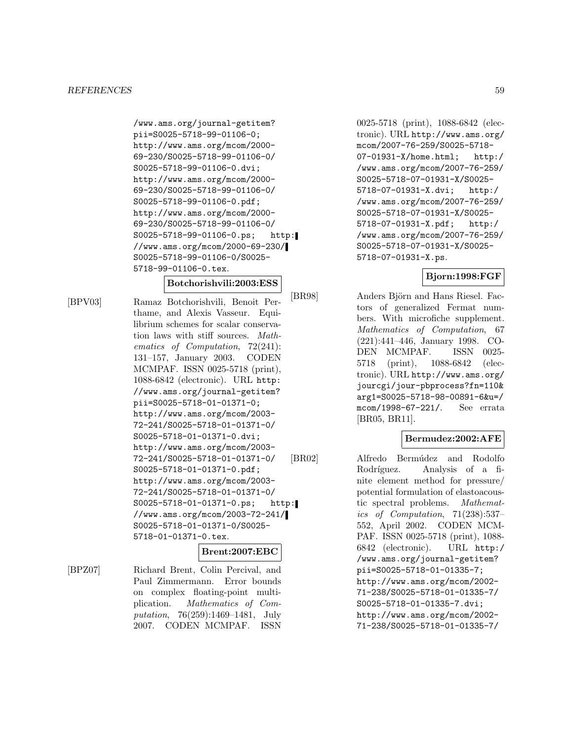/www.ams.org/journal-getitem? pii=S0025-5718-99-01106-0; http://www.ams.org/mcom/2000- 69-230/S0025-5718-99-01106-0/ S0025-5718-99-01106-0.dvi; http://www.ams.org/mcom/2000- 69-230/S0025-5718-99-01106-0/ S0025-5718-99-01106-0.pdf; http://www.ams.org/mcom/2000- 69-230/S0025-5718-99-01106-0/ S0025-5718-99-01106-0.ps; http: //www.ams.org/mcom/2000-69-230/ S0025-5718-99-01106-0/S0025- 5718-99-01106-0.tex.

#### **Botchorishvili:2003:ESS**

[BPV03] Ramaz Botchorishvili, Benoit Perthame, and Alexis Vasseur. Equilibrium schemes for scalar conservation laws with stiff sources. Mathematics of Computation, 72(241): 131–157, January 2003. CODEN MCMPAF. ISSN 0025-5718 (print), 1088-6842 (electronic). URL http: //www.ams.org/journal-getitem? pii=S0025-5718-01-01371-0; http://www.ams.org/mcom/2003- 72-241/S0025-5718-01-01371-0/ S0025-5718-01-01371-0.dvi; http://www.ams.org/mcom/2003- 72-241/S0025-5718-01-01371-0/ S0025-5718-01-01371-0.pdf; http://www.ams.org/mcom/2003- 72-241/S0025-5718-01-01371-0/ S0025-5718-01-01371-0.ps; http: //www.ams.org/mcom/2003-72-241/ S0025-5718-01-01371-0/S0025- 5718-01-01371-0.tex.

#### **Brent:2007:EBC**

[BPZ07] Richard Brent, Colin Percival, and Paul Zimmermann. Error bounds on complex floating-point multiplication. Mathematics of Computation, 76(259):1469–1481, July 2007. CODEN MCMPAF. ISSN

0025-5718 (print), 1088-6842 (electronic). URL http://www.ams.org/ mcom/2007-76-259/S0025-5718- 07-01931-X/home.html; http:/ /www.ams.org/mcom/2007-76-259/ S0025-5718-07-01931-X/S0025- 5718-07-01931-X.dvi; http:/ /www.ams.org/mcom/2007-76-259/ S0025-5718-07-01931-X/S0025- 5718-07-01931-X.pdf; http:/ /www.ams.org/mcom/2007-76-259/ S0025-5718-07-01931-X/S0025- 5718-07-01931-X.ps.

# **Bjorn:1998:FGF**

[BR98] Anders Björn and Hans Riesel. Factors of generalized Fermat numbers. With microfiche supplement. Mathematics of Computation, 67 (221):441–446, January 1998. CO-DEN MCMPAF. ISSN 0025- 5718 (print), 1088-6842 (electronic). URL http://www.ams.org/ jourcgi/jour-pbprocess?fn=110& arg1=S0025-5718-98-00891-6&u=/ mcom/1998-67-221/. See errata [BR05, BR11].

### **Bermudez:2002:AFE**

[BR02] Alfredo Bermúdez and Rodolfo Rodríguez. Analysis of a finite element method for pressure/ potential formulation of elastoacoustic spectral problems. Mathematics of Computation, 71(238):537– 552, April 2002. CODEN MCM-PAF. ISSN 0025-5718 (print), 1088- 6842 (electronic). URL http:/ /www.ams.org/journal-getitem? pii=S0025-5718-01-01335-7; http://www.ams.org/mcom/2002- 71-238/S0025-5718-01-01335-7/ S0025-5718-01-01335-7.dvi; http://www.ams.org/mcom/2002- 71-238/S0025-5718-01-01335-7/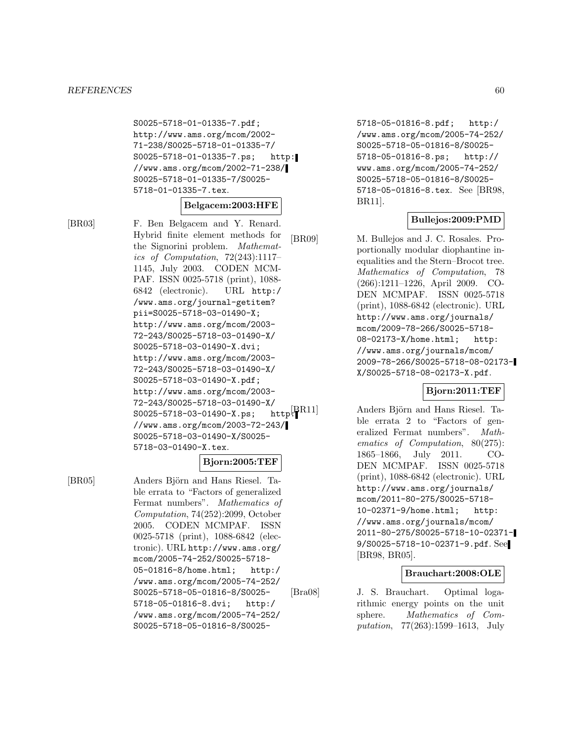S0025-5718-01-01335-7.pdf; http://www.ams.org/mcom/2002- 71-238/S0025-5718-01-01335-7/ S0025-5718-01-01335-7.ps; http: //www.ams.org/mcom/2002-71-238/ S0025-5718-01-01335-7/S0025- 5718-01-01335-7.tex.

**Belgacem:2003:HFE**

[BR03] F. Ben Belgacem and Y. Renard. Hybrid finite element methods for the Signorini problem. Mathematics of Computation, 72(243):1117– 1145, July 2003. CODEN MCM-PAF. ISSN 0025-5718 (print), 1088- 6842 (electronic). URL http:/ /www.ams.org/journal-getitem? pii=S0025-5718-03-01490-X; http://www.ams.org/mcom/2003- 72-243/S0025-5718-03-01490-X/ S0025-5718-03-01490-X.dvi; http://www.ams.org/mcom/2003- 72-243/S0025-5718-03-01490-X/ S0025-5718-03-01490-X.pdf; http://www.ams.org/mcom/2003- 72-243/S0025-5718-03-01490-X/<br>S0025-5718-03-01490-X.ps: http $[\text{R}11]$  $S0025 - 5718 - 03 - 01490 - X \cdot ps;$ //www.ams.org/mcom/2003-72-243/ S0025-5718-03-01490-X/S0025- 5718-03-01490-X.tex.

### **Bjorn:2005:TEF**

[BR05] Anders Björn and Hans Riesel. Table errata to "Factors of generalized Fermat numbers". Mathematics of Computation, 74(252):2099, October 2005. CODEN MCMPAF. ISSN 0025-5718 (print), 1088-6842 (electronic). URL http://www.ams.org/ mcom/2005-74-252/S0025-5718- 05-01816-8/home.html; http:/ /www.ams.org/mcom/2005-74-252/ S0025-5718-05-01816-8/S0025- 5718-05-01816-8.dvi; http:/ /www.ams.org/mcom/2005-74-252/ S0025-5718-05-01816-8/S00255718-05-01816-8.pdf; http:/ /www.ams.org/mcom/2005-74-252/ S0025-5718-05-01816-8/S0025- 5718-05-01816-8.ps; http:// www.ams.org/mcom/2005-74-252/ S0025-5718-05-01816-8/S0025- 5718-05-01816-8.tex. See [BR98, BR11].

# **Bullejos:2009:PMD**

[BR09] M. Bullejos and J. C. Rosales. Proportionally modular diophantine inequalities and the Stern–Brocot tree. Mathematics of Computation, 78 (266):1211–1226, April 2009. CO-DEN MCMPAF. ISSN 0025-5718 (print), 1088-6842 (electronic). URL http://www.ams.org/journals/ mcom/2009-78-266/S0025-5718- 08-02173-X/home.html; http: //www.ams.org/journals/mcom/ 2009-78-266/S0025-5718-08-02173- X/S0025-5718-08-02173-X.pdf.

### **Bjorn:2011:TEF**

Anders Björn and Hans Riesel. Table errata 2 to "Factors of generalized Fermat numbers". Mathematics of Computation, 80(275): 1865–1866, July 2011. CO-DEN MCMPAF. ISSN 0025-5718 (print), 1088-6842 (electronic). URL http://www.ams.org/journals/ mcom/2011-80-275/S0025-5718- 10-02371-9/home.html; http: //www.ams.org/journals/mcom/ 2011-80-275/S0025-5718-10-02371- 9/S0025-5718-10-02371-9.pdf. See [BR98, BR05].

### **Brauchart:2008:OLE**

[Bra08] J. S. Brauchart. Optimal logarithmic energy points on the unit sphere. Mathematics of Computation, 77(263):1599–1613, July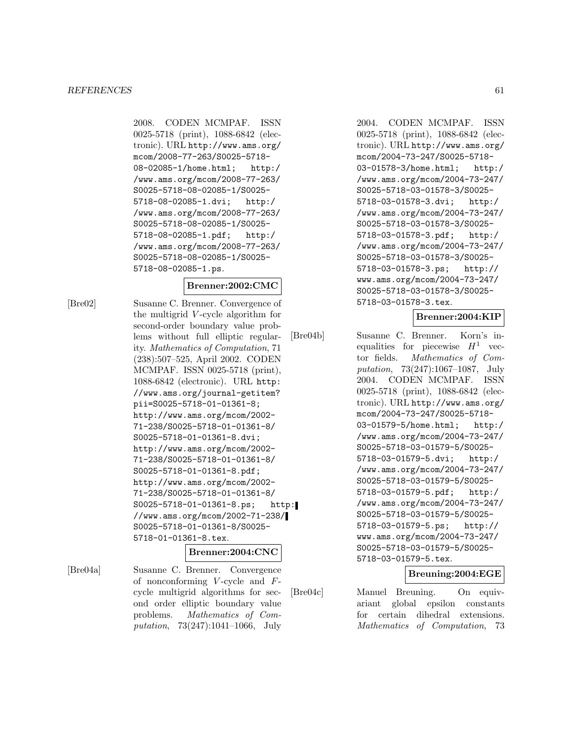2008. CODEN MCMPAF. ISSN 0025-5718 (print), 1088-6842 (electronic). URL http://www.ams.org/ mcom/2008-77-263/S0025-5718- 08-02085-1/home.html; http:/ /www.ams.org/mcom/2008-77-263/ S0025-5718-08-02085-1/S0025- 5718-08-02085-1.dvi; http:/ /www.ams.org/mcom/2008-77-263/ S0025-5718-08-02085-1/S0025- 5718-08-02085-1.pdf; http:/ /www.ams.org/mcom/2008-77-263/ S0025-5718-08-02085-1/S0025- 5718-08-02085-1.ps.

#### **Brenner:2002:CMC**

[Bre02] Susanne C. Brenner. Convergence of the multigrid V -cycle algorithm for second-order boundary value problems without full elliptic regularity. Mathematics of Computation, 71 (238):507–525, April 2002. CODEN MCMPAF. ISSN 0025-5718 (print), 1088-6842 (electronic). URL http: //www.ams.org/journal-getitem? pii=S0025-5718-01-01361-8; http://www.ams.org/mcom/2002- 71-238/S0025-5718-01-01361-8/ S0025-5718-01-01361-8.dvi; http://www.ams.org/mcom/2002- 71-238/S0025-5718-01-01361-8/ S0025-5718-01-01361-8.pdf; http://www.ams.org/mcom/2002- 71-238/S0025-5718-01-01361-8/ S0025-5718-01-01361-8.ps; http: //www.ams.org/mcom/2002-71-238/ S0025-5718-01-01361-8/S0025- 5718-01-01361-8.tex.

#### **Brenner:2004:CNC**

[Bre04a] Susanne C. Brenner. Convergence of nonconforming  $V$ -cycle and  $F$ cycle multigrid algorithms for second order elliptic boundary value problems. Mathematics of Computation, 73(247):1041–1066, July

2004. CODEN MCMPAF. ISSN 0025-5718 (print), 1088-6842 (electronic). URL http://www.ams.org/ mcom/2004-73-247/S0025-5718- 03-01578-3/home.html; http:/ /www.ams.org/mcom/2004-73-247/ S0025-5718-03-01578-3/S0025- 5718-03-01578-3.dvi; http:/ /www.ams.org/mcom/2004-73-247/ S0025-5718-03-01578-3/S0025- 5718-03-01578-3.pdf; http:/ /www.ams.org/mcom/2004-73-247/ S0025-5718-03-01578-3/S0025- 5718-03-01578-3.ps; http:// www.ams.org/mcom/2004-73-247/ S0025-5718-03-01578-3/S0025- 5718-03-01578-3.tex.

### **Brenner:2004:KIP**

[Bre04b] Susanne C. Brenner. Korn's inequalities for piecewise  $H^1$  vector fields. Mathematics of Computation, 73(247):1067–1087, July 2004. CODEN MCMPAF. ISSN 0025-5718 (print), 1088-6842 (electronic). URL http://www.ams.org/ mcom/2004-73-247/S0025-5718- 03-01579-5/home.html; http:/ /www.ams.org/mcom/2004-73-247/ S0025-5718-03-01579-5/S0025- 5718-03-01579-5.dvi; http:/ /www.ams.org/mcom/2004-73-247/ S0025-5718-03-01579-5/S0025- 5718-03-01579-5.pdf; http:/ /www.ams.org/mcom/2004-73-247/ S0025-5718-03-01579-5/S0025- 5718-03-01579-5.ps; http:// www.ams.org/mcom/2004-73-247/ S0025-5718-03-01579-5/S0025- 5718-03-01579-5.tex.

#### **Breuning:2004:EGE**

[Bre04c] Manuel Breuning. On equivariant global epsilon constants for certain dihedral extensions. Mathematics of Computation, 73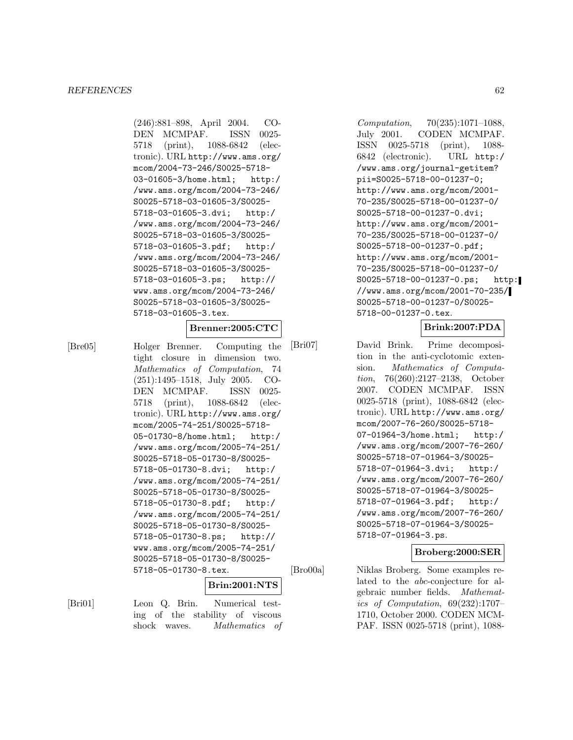(246):881–898, April 2004. CO-DEN MCMPAF. ISSN 0025- 5718 (print), 1088-6842 (electronic). URL http://www.ams.org/ mcom/2004-73-246/S0025-5718- 03-01605-3/home.html; http:/ /www.ams.org/mcom/2004-73-246/ S0025-5718-03-01605-3/S0025- 5718-03-01605-3.dvi; http:/ /www.ams.org/mcom/2004-73-246/ S0025-5718-03-01605-3/S0025- 5718-03-01605-3.pdf; http:/ /www.ams.org/mcom/2004-73-246/ S0025-5718-03-01605-3/S0025- 5718-03-01605-3.ps; http:// www.ams.org/mcom/2004-73-246/ S0025-5718-03-01605-3/S0025- 5718-03-01605-3.tex.

# **Brenner:2005:CTC**

[Bre05] Holger Brenner. Computing the tight closure in dimension two. Mathematics of Computation, 74 (251):1495–1518, July 2005. CO-DEN MCMPAF. ISSN 0025- 5718 (print), 1088-6842 (electronic). URL http://www.ams.org/ mcom/2005-74-251/S0025-5718- 05-01730-8/home.html; http:/ /www.ams.org/mcom/2005-74-251/ S0025-5718-05-01730-8/S0025- 5718-05-01730-8.dvi; http:/ /www.ams.org/mcom/2005-74-251/ S0025-5718-05-01730-8/S0025- 5718-05-01730-8.pdf; http:/ /www.ams.org/mcom/2005-74-251/ S0025-5718-05-01730-8/S0025- 5718-05-01730-8.ps; http:// www.ams.org/mcom/2005-74-251/ S0025-5718-05-01730-8/S0025- 5718-05-01730-8.tex.

#### **Brin:2001:NTS**

[Bri01] Leon Q. Brin. Numerical testing of the stability of viscous shock waves. Mathematics of

Computation, 70(235):1071–1088, July 2001. CODEN MCMPAF. ISSN 0025-5718 (print), 1088- 6842 (electronic). URL http:/ /www.ams.org/journal-getitem? pii=S0025-5718-00-01237-0; http://www.ams.org/mcom/2001- 70-235/S0025-5718-00-01237-0/ S0025-5718-00-01237-0.dvi; http://www.ams.org/mcom/2001- 70-235/S0025-5718-00-01237-0/ S0025-5718-00-01237-0.pdf; http://www.ams.org/mcom/2001- 70-235/S0025-5718-00-01237-0/ S0025-5718-00-01237-0.ps; http: //www.ams.org/mcom/2001-70-235/ S0025-5718-00-01237-0/S0025- 5718-00-01237-0.tex.

### **Brink:2007:PDA**

[Bri07] David Brink. Prime decomposition in the anti-cyclotomic extension. Mathematics of Computation, 76(260):2127–2138, October 2007. CODEN MCMPAF. ISSN 0025-5718 (print), 1088-6842 (electronic). URL http://www.ams.org/ mcom/2007-76-260/S0025-5718- 07-01964-3/home.html; http:/ /www.ams.org/mcom/2007-76-260/ S0025-5718-07-01964-3/S0025- 5718-07-01964-3.dvi; http:/ /www.ams.org/mcom/2007-76-260/ S0025-5718-07-01964-3/S0025- 5718-07-01964-3.pdf; http:/ /www.ams.org/mcom/2007-76-260/ S0025-5718-07-01964-3/S0025- 5718-07-01964-3.ps.

#### **Broberg:2000:SER**

[Bro00a] Niklas Broberg. Some examples related to the abc-conjecture for algebraic number fields. Mathematics of Computation, 69(232):1707– 1710, October 2000. CODEN MCM-PAF. ISSN 0025-5718 (print), 1088-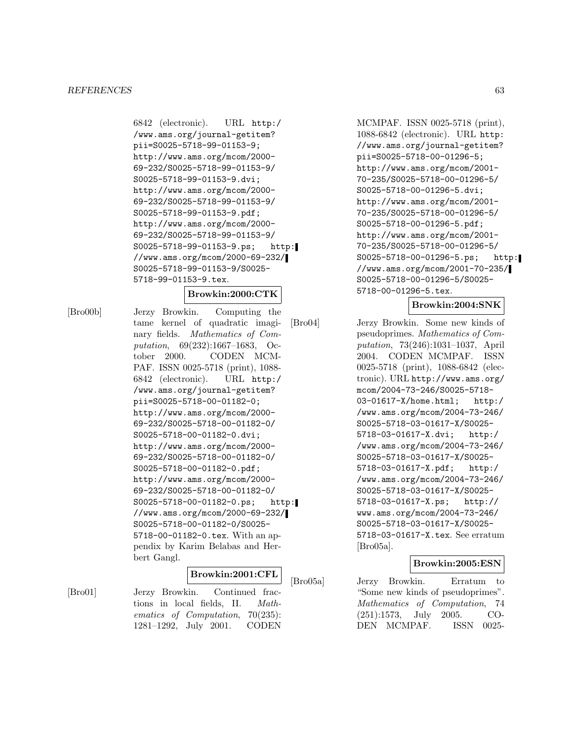6842 (electronic). URL http:/ /www.ams.org/journal-getitem? pii=S0025-5718-99-01153-9; http://www.ams.org/mcom/2000- 69-232/S0025-5718-99-01153-9/ S0025-5718-99-01153-9.dvi; http://www.ams.org/mcom/2000- 69-232/S0025-5718-99-01153-9/ S0025-5718-99-01153-9.pdf; http://www.ams.org/mcom/2000- 69-232/S0025-5718-99-01153-9/ S0025-5718-99-01153-9.ps; http: //www.ams.org/mcom/2000-69-232/ S0025-5718-99-01153-9/S0025- 5718-99-01153-9.tex.

### **Browkin:2000:CTK**

[Bro00b] Jerzy Browkin. Computing the tame kernel of quadratic imaginary fields. Mathematics of Computation, 69(232):1667–1683, October 2000. CODEN MCM-PAF. ISSN 0025-5718 (print), 1088- 6842 (electronic). URL http:/ /www.ams.org/journal-getitem? pii=S0025-5718-00-01182-0; http://www.ams.org/mcom/2000- 69-232/S0025-5718-00-01182-0/ S0025-5718-00-01182-0.dvi; http://www.ams.org/mcom/2000- 69-232/S0025-5718-00-01182-0/ S0025-5718-00-01182-0.pdf; http://www.ams.org/mcom/2000- 69-232/S0025-5718-00-01182-0/ S0025-5718-00-01182-0.ps; http: //www.ams.org/mcom/2000-69-232/ S0025-5718-00-01182-0/S0025- 5718-00-01182-0.tex. With an appendix by Karim Belabas and Herbert Gangl.

#### **Browkin:2001:CFL**

[Bro01] Jerzy Browkin. Continued fractions in local fields, II. Mathematics of Computation, 70(235): 1281–1292, July 2001. CODEN

MCMPAF. ISSN 0025-5718 (print), 1088-6842 (electronic). URL http: //www.ams.org/journal-getitem? pii=S0025-5718-00-01296-5; http://www.ams.org/mcom/2001- 70-235/S0025-5718-00-01296-5/ S0025-5718-00-01296-5.dvi; http://www.ams.org/mcom/2001- 70-235/S0025-5718-00-01296-5/ S0025-5718-00-01296-5.pdf; http://www.ams.org/mcom/2001- 70-235/S0025-5718-00-01296-5/ S0025-5718-00-01296-5.ps; http: //www.ams.org/mcom/2001-70-235/ S0025-5718-00-01296-5/S0025- 5718-00-01296-5.tex.

### **Browkin:2004:SNK**

[Bro04] Jerzy Browkin. Some new kinds of pseudoprimes. Mathematics of Computation, 73(246):1031–1037, April 2004. CODEN MCMPAF. ISSN 0025-5718 (print), 1088-6842 (electronic). URL http://www.ams.org/ mcom/2004-73-246/S0025-5718- 03-01617-X/home.html; http:/ /www.ams.org/mcom/2004-73-246/ S0025-5718-03-01617-X/S0025- 5718-03-01617-X.dvi; http:/ /www.ams.org/mcom/2004-73-246/ S0025-5718-03-01617-X/S0025- 5718-03-01617-X.pdf; http:/ /www.ams.org/mcom/2004-73-246/ S0025-5718-03-01617-X/S0025- 5718-03-01617-X.ps; http:// www.ams.org/mcom/2004-73-246/ S0025-5718-03-01617-X/S0025- 5718-03-01617-X.tex. See erratum [Bro05a].

### **Browkin:2005:ESN**

[Bro05a] Jerzy Browkin. Erratum to "Some new kinds of pseudoprimes". Mathematics of Computation, 74 (251):1573, July 2005. CO-DEN MCMPAF. ISSN 0025-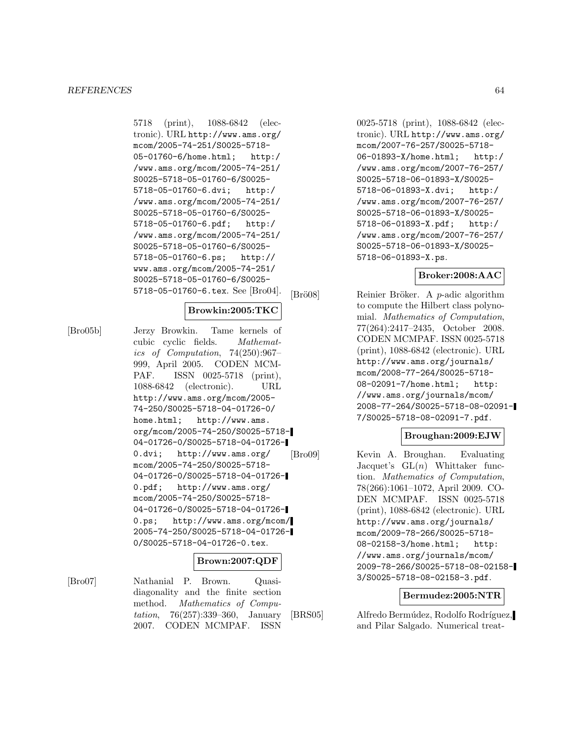5718 (print), 1088-6842 (electronic). URL http://www.ams.org/ mcom/2005-74-251/S0025-5718- 05-01760-6/home.html; http:/ /www.ams.org/mcom/2005-74-251/ S0025-5718-05-01760-6/S0025- 5718-05-01760-6.dvi; http:/ /www.ams.org/mcom/2005-74-251/ S0025-5718-05-01760-6/S0025- 5718-05-01760-6.pdf; http:/ /www.ams.org/mcom/2005-74-251/ S0025-5718-05-01760-6/S0025- 5718-05-01760-6.ps; http:// www.ams.org/mcom/2005-74-251/ S0025-5718-05-01760-6/S0025- 5718-05-01760-6.tex. See [Bro04].

### **Browkin:2005:TKC**

[Bro05b] Jerzy Browkin. Tame kernels of cubic cyclic fields. Mathematics of Computation, 74(250):967– 999, April 2005. CODEN MCM-PAF. ISSN 0025-5718 (print), 1088-6842 (electronic). URL http://www.ams.org/mcom/2005- 74-250/S0025-5718-04-01726-0/ home.html; http://www.ams. org/mcom/2005-74-250/S0025-5718- 04-01726-0/S0025-5718-04-01726- 0.dvi; http://www.ams.org/ mcom/2005-74-250/S0025-5718- 04-01726-0/S0025-5718-04-01726- 0.pdf; http://www.ams.org/ mcom/2005-74-250/S0025-5718- 04-01726-0/S0025-5718-04-01726- 0.ps; http://www.ams.org/mcom/ 2005-74-250/S0025-5718-04-01726- 0/S0025-5718-04-01726-0.tex. **Brown:2007:QDF**

# [Bro07] Nathanial P. Brown. Quasidiagonality and the finite section method. Mathematics of Computation, 76(257):339–360, January 2007. CODEN MCMPAF. ISSN

0025-5718 (print), 1088-6842 (electronic). URL http://www.ams.org/ mcom/2007-76-257/S0025-5718- 06-01893-X/home.html; http:/ /www.ams.org/mcom/2007-76-257/ S0025-5718-06-01893-X/S0025- 5718-06-01893-X.dvi; http:/ /www.ams.org/mcom/2007-76-257/ S0025-5718-06-01893-X/S0025- 5718-06-01893-X.pdf; http:/ /www.ams.org/mcom/2007-76-257/ S0025-5718-06-01893-X/S0025- 5718-06-01893-X.ps.

### **Broker:2008:AAC**

[Brö08] Reinier Bröker. A *p*-adic algorithm to compute the Hilbert class polynomial. Mathematics of Computation, 77(264):2417–2435, October 2008. CODEN MCMPAF. ISSN 0025-5718 (print), 1088-6842 (electronic). URL http://www.ams.org/journals/ mcom/2008-77-264/S0025-5718- 08-02091-7/home.html; http: //www.ams.org/journals/mcom/ 2008-77-264/S0025-5718-08-02091- 7/S0025-5718-08-02091-7.pdf.

# **Broughan:2009:EJW**

[Bro09] Kevin A. Broughan. Evaluating Jacquet's  $GL(n)$  Whittaker function. Mathematics of Computation, 78(266):1061–1072, April 2009. CO-DEN MCMPAF. ISSN 0025-5718 (print), 1088-6842 (electronic). URL http://www.ams.org/journals/ mcom/2009-78-266/S0025-5718- 08-02158-3/home.html; http: //www.ams.org/journals/mcom/ 2009-78-266/S0025-5718-08-02158- 3/S0025-5718-08-02158-3.pdf.

### **Bermudez:2005:NTR**

[BRS05] Alfredo Bermúdez, Rodolfo Rodríguez, and Pilar Salgado. Numerical treat-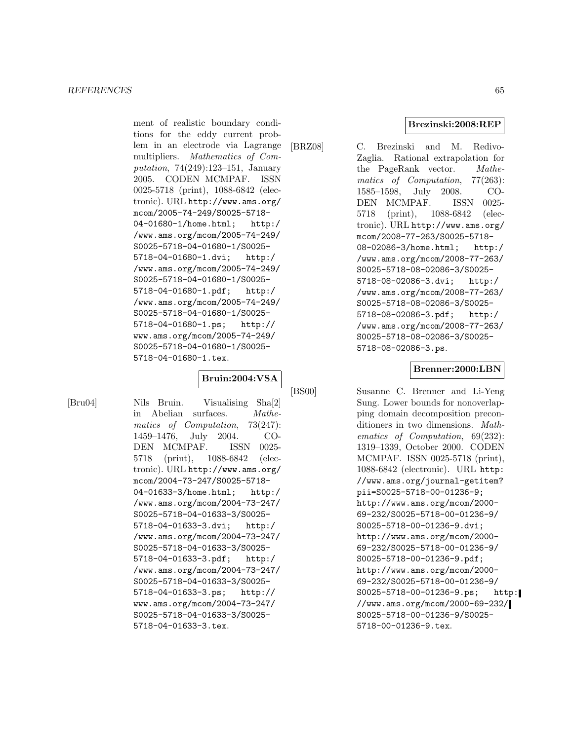ment of realistic boundary conditions for the eddy current problem in an electrode via Lagrange multipliers. Mathematics of Computation, 74(249):123–151, January 2005. CODEN MCMPAF. ISSN 0025-5718 (print), 1088-6842 (electronic). URL http://www.ams.org/ mcom/2005-74-249/S0025-5718- 04-01680-1/home.html; http:/ /www.ams.org/mcom/2005-74-249/ S0025-5718-04-01680-1/S0025- 5718-04-01680-1.dvi; http:/ /www.ams.org/mcom/2005-74-249/ S0025-5718-04-01680-1/S0025- 5718-04-01680-1.pdf; http:/ /www.ams.org/mcom/2005-74-249/ S0025-5718-04-01680-1/S0025- 5718-04-01680-1.ps; http:// www.ams.org/mcom/2005-74-249/ S0025-5718-04-01680-1/S0025- 5718-04-01680-1.tex.

### **Bruin:2004:VSA**

[Bru04] Nils Bruin. Visualising Sha[2] in Abelian surfaces. Mathematics of Computation, 73(247): 1459–1476, July 2004. CO-DEN MCMPAF. ISSN 0025- 5718 (print), 1088-6842 (electronic). URL http://www.ams.org/ mcom/2004-73-247/S0025-5718- 04-01633-3/home.html; http:/ /www.ams.org/mcom/2004-73-247/ S0025-5718-04-01633-3/S0025- 5718-04-01633-3.dvi; http:/ /www.ams.org/mcom/2004-73-247/ S0025-5718-04-01633-3/S0025- 5718-04-01633-3.pdf; http:/ /www.ams.org/mcom/2004-73-247/ S0025-5718-04-01633-3/S0025- 5718-04-01633-3.ps; http:// www.ams.org/mcom/2004-73-247/ S0025-5718-04-01633-3/S0025- 5718-04-01633-3.tex.

[BRZ08] C. Brezinski and M. Redivo-Zaglia. Rational extrapolation for the PageRank vector. Mathematics of Computation, 77(263): 1585–1598, July 2008. CO-DEN MCMPAF. ISSN 0025- 5718 (print), 1088-6842 (electronic). URL http://www.ams.org/ mcom/2008-77-263/S0025-5718- 08-02086-3/home.html; http:/ /www.ams.org/mcom/2008-77-263/ S0025-5718-08-02086-3/S0025- 5718-08-02086-3.dvi; http:/ /www.ams.org/mcom/2008-77-263/ S0025-5718-08-02086-3/S0025- 5718-08-02086-3.pdf; http:/ /www.ams.org/mcom/2008-77-263/ S0025-5718-08-02086-3/S0025- 5718-08-02086-3.ps.

#### **Brenner:2000:LBN**

[BS00] Susanne C. Brenner and Li-Yeng Sung. Lower bounds for nonoverlapping domain decomposition preconditioners in two dimensions. Mathematics of Computation, 69(232): 1319–1339, October 2000. CODEN MCMPAF. ISSN 0025-5718 (print), 1088-6842 (electronic). URL http: //www.ams.org/journal-getitem? pii=S0025-5718-00-01236-9; http://www.ams.org/mcom/2000- 69-232/S0025-5718-00-01236-9/ S0025-5718-00-01236-9.dvi; http://www.ams.org/mcom/2000- 69-232/S0025-5718-00-01236-9/ S0025-5718-00-01236-9.pdf; http://www.ams.org/mcom/2000- 69-232/S0025-5718-00-01236-9/ S0025-5718-00-01236-9.ps; http: //www.ams.org/mcom/2000-69-232/ S0025-5718-00-01236-9/S0025- 5718-00-01236-9.tex.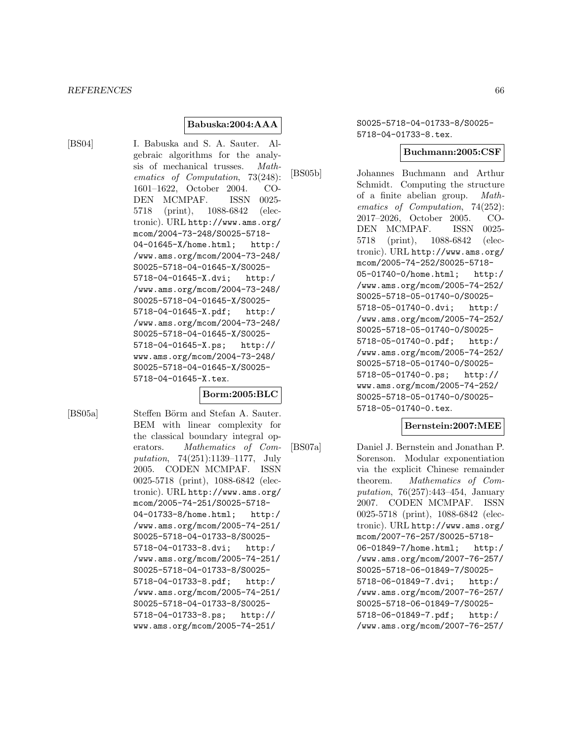### **Babuska:2004:AAA**

[BS04] I. Babuska and S. A. Sauter. Algebraic algorithms for the analysis of mechanical trusses. Mathematics of Computation, 73(248): 1601–1622, October 2004. CO-DEN MCMPAF. ISSN 0025- 5718 (print), 1088-6842 (electronic). URL http://www.ams.org/ mcom/2004-73-248/S0025-5718- 04-01645-X/home.html; http:/ /www.ams.org/mcom/2004-73-248/ S0025-5718-04-01645-X/S0025- 5718-04-01645-X.dvi; http:/ /www.ams.org/mcom/2004-73-248/ S0025-5718-04-01645-X/S0025- 5718-04-01645-X.pdf; http:/ /www.ams.org/mcom/2004-73-248/ S0025-5718-04-01645-X/S0025- 5718-04-01645-X.ps; http:// www.ams.org/mcom/2004-73-248/ S0025-5718-04-01645-X/S0025- 5718-04-01645-X.tex.

### **Borm:2005:BLC**

[BS05a] Steffen Börm and Stefan A. Sauter. BEM with linear complexity for the classical boundary integral operators. Mathematics of Computation, 74(251):1139–1177, July 2005. CODEN MCMPAF. ISSN 0025-5718 (print), 1088-6842 (electronic). URL http://www.ams.org/ mcom/2005-74-251/S0025-5718- 04-01733-8/home.html; http:/ /www.ams.org/mcom/2005-74-251/ S0025-5718-04-01733-8/S0025- 5718-04-01733-8.dvi; http:/ /www.ams.org/mcom/2005-74-251/ S0025-5718-04-01733-8/S0025- 5718-04-01733-8.pdf; http:/ /www.ams.org/mcom/2005-74-251/ S0025-5718-04-01733-8/S0025- 5718-04-01733-8.ps; http:// www.ams.org/mcom/2005-74-251/

S0025-5718-04-01733-8/S0025- 5718-04-01733-8.tex.

#### **Buchmann:2005:CSF**

[BS05b] Johannes Buchmann and Arthur Schmidt. Computing the structure of a finite abelian group. Mathematics of Computation, 74(252): 2017–2026, October 2005. CO-DEN MCMPAF. ISSN 0025- 5718 (print), 1088-6842 (electronic). URL http://www.ams.org/ mcom/2005-74-252/S0025-5718- 05-01740-0/home.html; http:/ /www.ams.org/mcom/2005-74-252/ S0025-5718-05-01740-0/S0025- 5718-05-01740-0.dvi; http:/ /www.ams.org/mcom/2005-74-252/ S0025-5718-05-01740-0/S0025- 5718-05-01740-0.pdf; http:/ /www.ams.org/mcom/2005-74-252/ S0025-5718-05-01740-0/S0025- 5718-05-01740-0.ps; http:// www.ams.org/mcom/2005-74-252/ S0025-5718-05-01740-0/S0025- 5718-05-01740-0.tex.

# **Bernstein:2007:MEE**

[BS07a] Daniel J. Bernstein and Jonathan P. Sorenson. Modular exponentiation via the explicit Chinese remainder theorem. Mathematics of Computation, 76(257):443–454, January 2007. CODEN MCMPAF. ISSN 0025-5718 (print), 1088-6842 (electronic). URL http://www.ams.org/ mcom/2007-76-257/S0025-5718- 06-01849-7/home.html; http:/ /www.ams.org/mcom/2007-76-257/ S0025-5718-06-01849-7/S0025- 5718-06-01849-7.dvi; http:/ /www.ams.org/mcom/2007-76-257/ S0025-5718-06-01849-7/S0025- 5718-06-01849-7.pdf; http:/ /www.ams.org/mcom/2007-76-257/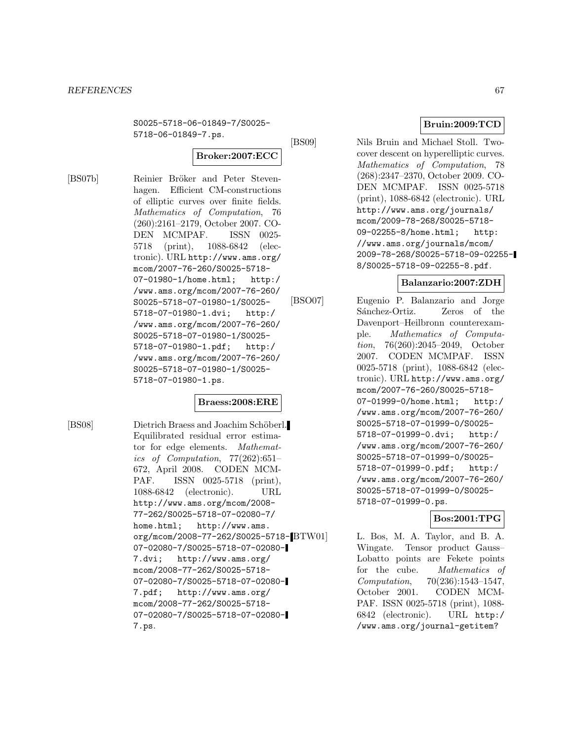S0025-5718-06-01849-7/S0025- 5718-06-01849-7.ps.

# **Broker:2007:ECC**

[BS07b] Reinier Bröker and Peter Stevenhagen. Efficient CM-constructions of elliptic curves over finite fields. Mathematics of Computation, 76 (260):2161–2179, October 2007. CO-DEN MCMPAF. ISSN 0025- 5718 (print), 1088-6842 (electronic). URL http://www.ams.org/ mcom/2007-76-260/S0025-5718- 07-01980-1/home.html; http:/ /www.ams.org/mcom/2007-76-260/ S0025-5718-07-01980-1/S0025- 5718-07-01980-1.dvi; http:/ /www.ams.org/mcom/2007-76-260/ S0025-5718-07-01980-1/S0025- 5718-07-01980-1.pdf; http:/ /www.ams.org/mcom/2007-76-260/ S0025-5718-07-01980-1/S0025- 5718-07-01980-1.ps.

# **Braess:2008:ERE**

[BS08] Dietrich Braess and Joachim Schöberl. Equilibrated residual error estimator for edge elements. Mathematics of Computation, 77(262):651– 672, April 2008. CODEN MCM-PAF. ISSN 0025-5718 (print), 1088-6842 (electronic). URL http://www.ams.org/mcom/2008- 77-262/S0025-5718-07-02080-7/ home.html; http://www.ams. org/mcom/2008-77-262/S0025-5718- 07-02080-7/S0025-5718-07-02080- 7.dvi; http://www.ams.org/ mcom/2008-77-262/S0025-5718- 07-02080-7/S0025-5718-07-02080- 7.pdf; http://www.ams.org/ mcom/2008-77-262/S0025-5718- 07-02080-7/S0025-5718-07-02080- 7.ps.

# **Bruin:2009:TCD**

[BS09] Nils Bruin and Michael Stoll. Twocover descent on hyperelliptic curves. Mathematics of Computation, 78 (268):2347–2370, October 2009. CO-DEN MCMPAF. ISSN 0025-5718 (print), 1088-6842 (electronic). URL http://www.ams.org/journals/ mcom/2009-78-268/S0025-5718- 09-02255-8/home.html; http: //www.ams.org/journals/mcom/

# **Balanzario:2007:ZDH**

2009-78-268/S0025-5718-09-02255- 8/S0025-5718-09-02255-8.pdf.

[BSO07] Eugenio P. Balanzario and Jorge Sánchez-Ortiz. Zeros of the Davenport–Heilbronn counterexample. Mathematics of Computation, 76(260):2045–2049, October 2007. CODEN MCMPAF. ISSN 0025-5718 (print), 1088-6842 (electronic). URL http://www.ams.org/ mcom/2007-76-260/S0025-5718- 07-01999-0/home.html; http:/ /www.ams.org/mcom/2007-76-260/ S0025-5718-07-01999-0/S0025- 5718-07-01999-0.dvi; http:/ /www.ams.org/mcom/2007-76-260/ S0025-5718-07-01999-0/S0025- 5718-07-01999-0.pdf; http:/ /www.ams.org/mcom/2007-76-260/ S0025-5718-07-01999-0/S0025- 5718-07-01999-0.ps.

# **Bos:2001:TPG**

L. Bos, M. A. Taylor, and B. A. Wingate. Tensor product Gauss– Lobatto points are Fekete points for the cube. Mathematics of Computation, 70(236):1543–1547, October 2001. CODEN MCM-PAF. ISSN 0025-5718 (print), 1088- 6842 (electronic). URL http:/ /www.ams.org/journal-getitem?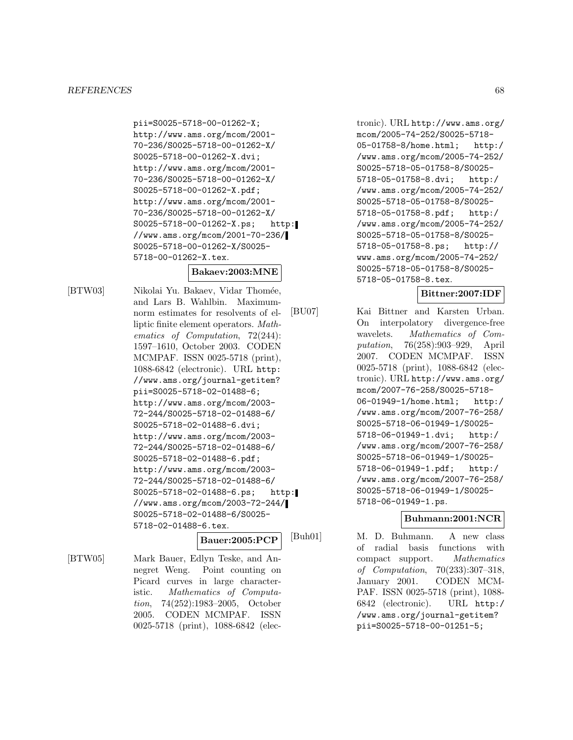#### *REFERENCES* 68

pii=S0025-5718-00-01262-X; http://www.ams.org/mcom/2001- 70-236/S0025-5718-00-01262-X/ S0025-5718-00-01262-X.dvi; http://www.ams.org/mcom/2001- 70-236/S0025-5718-00-01262-X/ S0025-5718-00-01262-X.pdf; http://www.ams.org/mcom/2001- 70-236/S0025-5718-00-01262-X/ S0025-5718-00-01262-X.ps; http: //www.ams.org/mcom/2001-70-236/ S0025-5718-00-01262-X/S0025- 5718-00-01262-X.tex.

### **Bakaev:2003:MNE**

[BTW03] Nikolai Yu. Bakaev, Vidar Thomée, and Lars B. Wahlbin. Maximumnorm estimates for resolvents of elliptic finite element operators. Mathematics of Computation, 72(244): 1597–1610, October 2003. CODEN MCMPAF. ISSN 0025-5718 (print), 1088-6842 (electronic). URL http: //www.ams.org/journal-getitem? pii=S0025-5718-02-01488-6; http://www.ams.org/mcom/2003- 72-244/S0025-5718-02-01488-6/ S0025-5718-02-01488-6.dvi; http://www.ams.org/mcom/2003- 72-244/S0025-5718-02-01488-6/ S0025-5718-02-01488-6.pdf; http://www.ams.org/mcom/2003- 72-244/S0025-5718-02-01488-6/ S0025-5718-02-01488-6.ps; http: //www.ams.org/mcom/2003-72-244/ S0025-5718-02-01488-6/S0025- 5718-02-01488-6.tex.

### **Bauer:2005:PCP**

[BTW05] Mark Bauer, Edlyn Teske, and Annegret Weng. Point counting on Picard curves in large characteristic. Mathematics of Computation, 74(252):1983–2005, October 2005. CODEN MCMPAF. ISSN 0025-5718 (print), 1088-6842 (elec-

tronic). URL http://www.ams.org/ mcom/2005-74-252/S0025-5718- 05-01758-8/home.html; http:/ /www.ams.org/mcom/2005-74-252/ S0025-5718-05-01758-8/S0025- 5718-05-01758-8.dvi; http:/ /www.ams.org/mcom/2005-74-252/ S0025-5718-05-01758-8/S0025- 5718-05-01758-8.pdf; http:/ /www.ams.org/mcom/2005-74-252/ S0025-5718-05-01758-8/S0025- 5718-05-01758-8.ps; http:// www.ams.org/mcom/2005-74-252/ S0025-5718-05-01758-8/S0025- 5718-05-01758-8.tex.

# **Bittner:2007:IDF**

[BU07] Kai Bittner and Karsten Urban. On interpolatory divergence-free wavelets. Mathematics of Computation, 76(258):903–929, April 2007. CODEN MCMPAF. ISSN 0025-5718 (print), 1088-6842 (electronic). URL http://www.ams.org/ mcom/2007-76-258/S0025-5718- 06-01949-1/home.html; http:/ /www.ams.org/mcom/2007-76-258/ S0025-5718-06-01949-1/S0025- 5718-06-01949-1.dvi; http:/ /www.ams.org/mcom/2007-76-258/ S0025-5718-06-01949-1/S0025- 5718-06-01949-1.pdf; http:/ /www.ams.org/mcom/2007-76-258/ S0025-5718-06-01949-1/S0025- 5718-06-01949-1.ps.

### **Buhmann:2001:NCR**

[Buh01] M. D. Buhmann. A new class of radial basis functions with compact support. Mathematics of Computation, 70(233):307–318, January 2001. CODEN MCM-PAF. ISSN 0025-5718 (print), 1088- 6842 (electronic). URL http:/ /www.ams.org/journal-getitem? pii=S0025-5718-00-01251-5;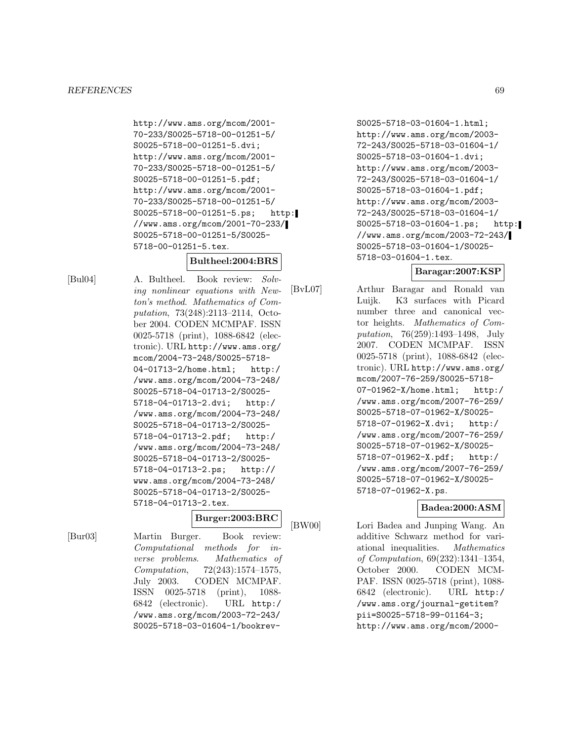http://www.ams.org/mcom/2001- 70-233/S0025-5718-00-01251-5/ S0025-5718-00-01251-5.dvi; http://www.ams.org/mcom/2001- 70-233/S0025-5718-00-01251-5/ S0025-5718-00-01251-5.pdf; http://www.ams.org/mcom/2001- 70-233/S0025-5718-00-01251-5/ S0025-5718-00-01251-5.ps; http: //www.ams.org/mcom/2001-70-233/ S0025-5718-00-01251-5/S0025- 5718-00-01251-5.tex.

# **Bultheel:2004:BRS**

[Bul04] A. Bultheel. Book review: Solving nonlinear equations with Newton's method. Mathematics of Computation, 73(248):2113–2114, October 2004. CODEN MCMPAF. ISSN 0025-5718 (print), 1088-6842 (electronic). URL http://www.ams.org/ mcom/2004-73-248/S0025-5718- 04-01713-2/home.html; http:/ /www.ams.org/mcom/2004-73-248/ S0025-5718-04-01713-2/S0025- 5718-04-01713-2.dvi; http:/ /www.ams.org/mcom/2004-73-248/ S0025-5718-04-01713-2/S0025- 5718-04-01713-2.pdf; http:/ /www.ams.org/mcom/2004-73-248/ S0025-5718-04-01713-2/S0025- 5718-04-01713-2.ps; http:// www.ams.org/mcom/2004-73-248/ S0025-5718-04-01713-2/S0025- 5718-04-01713-2.tex.

# **Burger:2003:BRC**

[Bur03] Martin Burger. Book review: Computational methods for inverse problems. Mathematics of Computation, 72(243):1574–1575, July 2003. CODEN MCMPAF. ISSN 0025-5718 (print), 1088- 6842 (electronic). URL http:/ /www.ams.org/mcom/2003-72-243/ S0025-5718-03-01604-1/bookrev-

S0025-5718-03-01604-1.html; http://www.ams.org/mcom/2003- 72-243/S0025-5718-03-01604-1/ S0025-5718-03-01604-1.dvi; http://www.ams.org/mcom/2003- 72-243/S0025-5718-03-01604-1/ S0025-5718-03-01604-1.pdf; http://www.ams.org/mcom/2003- 72-243/S0025-5718-03-01604-1/ S0025-5718-03-01604-1.ps; http: //www.ams.org/mcom/2003-72-243/ S0025-5718-03-01604-1/S0025- 5718-03-01604-1.tex.

# **Baragar:2007:KSP**

[BvL07] Arthur Baragar and Ronald van Luijk. K3 surfaces with Picard number three and canonical vector heights. Mathematics of Computation, 76(259):1493–1498, July 2007. CODEN MCMPAF. ISSN 0025-5718 (print), 1088-6842 (electronic). URL http://www.ams.org/ mcom/2007-76-259/S0025-5718- 07-01962-X/home.html; http:/ /www.ams.org/mcom/2007-76-259/ S0025-5718-07-01962-X/S0025- 5718-07-01962-X.dvi; http:/ /www.ams.org/mcom/2007-76-259/ S0025-5718-07-01962-X/S0025- 5718-07-01962-X.pdf; http:/ /www.ams.org/mcom/2007-76-259/ S0025-5718-07-01962-X/S0025- 5718-07-01962-X.ps.

# **Badea:2000:ASM**

[BW00] Lori Badea and Junping Wang. An additive Schwarz method for variational inequalities. Mathematics of Computation, 69(232):1341–1354, October 2000. CODEN MCM-PAF. ISSN 0025-5718 (print), 1088- 6842 (electronic). URL http:/ /www.ams.org/journal-getitem? pii=S0025-5718-99-01164-3; http://www.ams.org/mcom/2000-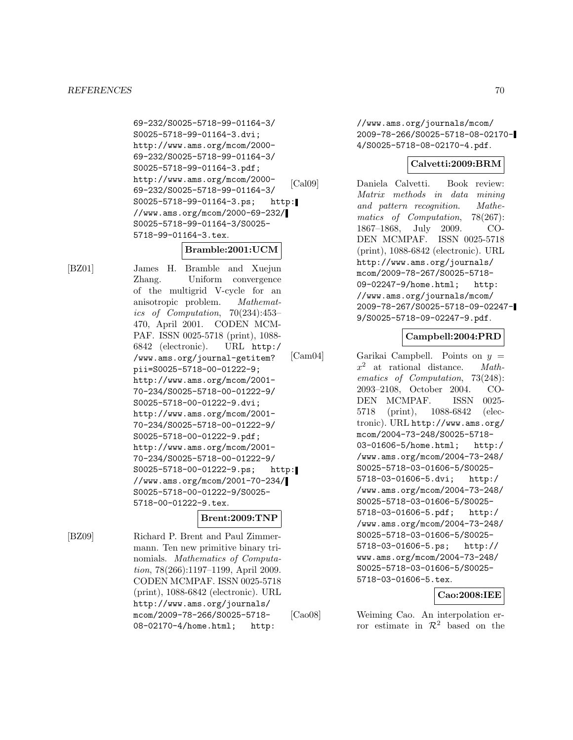69-232/S0025-5718-99-01164-3/ S0025-5718-99-01164-3.dvi; http://www.ams.org/mcom/2000- 69-232/S0025-5718-99-01164-3/ S0025-5718-99-01164-3.pdf; http://www.ams.org/mcom/2000- 69-232/S0025-5718-99-01164-3/ S0025-5718-99-01164-3.ps; http: //www.ams.org/mcom/2000-69-232/ S0025-5718-99-01164-3/S0025- 5718-99-01164-3.tex.

# **Bramble:2001:UCM**

[BZ01] James H. Bramble and Xuejun Zhang. Uniform convergence of the multigrid V-cycle for an anisotropic problem. Mathematics of Computation, 70(234):453– 470, April 2001. CODEN MCM-PAF. ISSN 0025-5718 (print), 1088- 6842 (electronic). URL http:/ /www.ams.org/journal-getitem? pii=S0025-5718-00-01222-9; http://www.ams.org/mcom/2001- 70-234/S0025-5718-00-01222-9/ S0025-5718-00-01222-9.dvi; http://www.ams.org/mcom/2001- 70-234/S0025-5718-00-01222-9/ S0025-5718-00-01222-9.pdf; http://www.ams.org/mcom/2001- 70-234/S0025-5718-00-01222-9/ S0025-5718-00-01222-9.ps; http: //www.ams.org/mcom/2001-70-234/ S0025-5718-00-01222-9/S0025- 5718-00-01222-9.tex.

# **Brent:2009:TNP**

[BZ09] Richard P. Brent and Paul Zimmermann. Ten new primitive binary trinomials. Mathematics of Computation, 78(266):1197–1199, April 2009. CODEN MCMPAF. ISSN 0025-5718 (print), 1088-6842 (electronic). URL http://www.ams.org/journals/ mcom/2009-78-266/S0025-5718- 08-02170-4/home.html; http:

//www.ams.org/journals/mcom/ 2009-78-266/S0025-5718-08-02170- 4/S0025-5718-08-02170-4.pdf.

# **Calvetti:2009:BRM**

[Cal09] Daniela Calvetti. Book review: Matrix methods in data mining and pattern recognition. Mathematics of Computation, 78(267): 1867–1868, July 2009. CO-DEN MCMPAF. ISSN 0025-5718 (print), 1088-6842 (electronic). URL http://www.ams.org/journals/ mcom/2009-78-267/S0025-5718- 09-02247-9/home.html; http: //www.ams.org/journals/mcom/ 2009-78-267/S0025-5718-09-02247- 9/S0025-5718-09-02247-9.pdf.

# **Campbell:2004:PRD**

[Cam04] Garikai Campbell. Points on  $y =$  $x^2$  at rational distance. *Math*ematics of Computation, 73(248): 2093–2108, October 2004. CO-DEN MCMPAF. ISSN 0025- 5718 (print), 1088-6842 (electronic). URL http://www.ams.org/ mcom/2004-73-248/S0025-5718- 03-01606-5/home.html; http:/ /www.ams.org/mcom/2004-73-248/ S0025-5718-03-01606-5/S0025- 5718-03-01606-5.dvi; http:/ /www.ams.org/mcom/2004-73-248/ S0025-5718-03-01606-5/S0025- 5718-03-01606-5.pdf; http:/ /www.ams.org/mcom/2004-73-248/ S0025-5718-03-01606-5/S0025- 5718-03-01606-5.ps; http:// www.ams.org/mcom/2004-73-248/ S0025-5718-03-01606-5/S0025- 5718-03-01606-5.tex.

# **Cao:2008:IEE**

[Cao08] Weiming Cao. An interpolation error estimate in  $\mathcal{R}^2$  based on the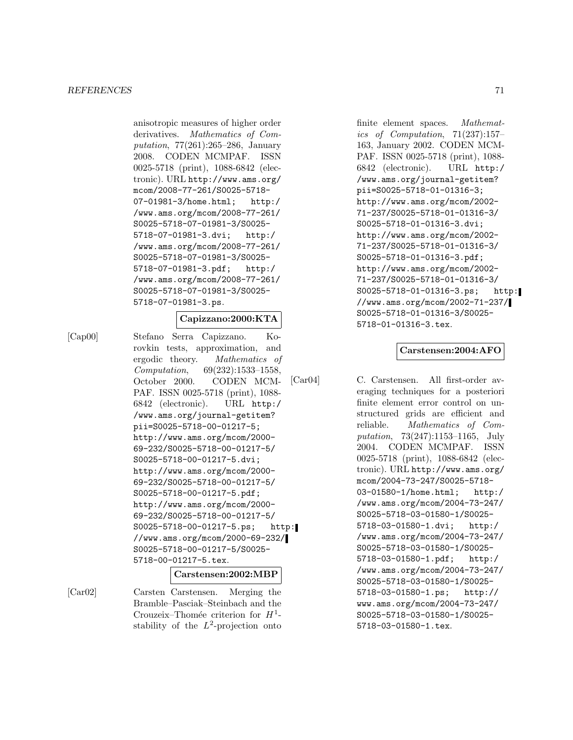anisotropic measures of higher order derivatives. Mathematics of Computation, 77(261):265–286, January 2008. CODEN MCMPAF. ISSN 0025-5718 (print), 1088-6842 (electronic). URL http://www.ams.org/ mcom/2008-77-261/S0025-5718- 07-01981-3/home.html; http:/ /www.ams.org/mcom/2008-77-261/ S0025-5718-07-01981-3/S0025- 5718-07-01981-3.dvi; http:/ /www.ams.org/mcom/2008-77-261/ S0025-5718-07-01981-3/S0025- 5718-07-01981-3.pdf; http:/ /www.ams.org/mcom/2008-77-261/ S0025-5718-07-01981-3/S0025- 5718-07-01981-3.ps.

### **Capizzano:2000:KTA**

[Cap00] Stefano Serra Capizzano. Korovkin tests, approximation, and ergodic theory. Mathematics of Computation, 69(232):1533–1558, October 2000. CODEN MCM-PAF. ISSN 0025-5718 (print), 1088- 6842 (electronic). URL http:/ /www.ams.org/journal-getitem? pii=S0025-5718-00-01217-5; http://www.ams.org/mcom/2000- 69-232/S0025-5718-00-01217-5/ S0025-5718-00-01217-5.dvi; http://www.ams.org/mcom/2000- 69-232/S0025-5718-00-01217-5/ S0025-5718-00-01217-5.pdf; http://www.ams.org/mcom/2000- 69-232/S0025-5718-00-01217-5/ S0025-5718-00-01217-5.ps; http: //www.ams.org/mcom/2000-69-232/ S0025-5718-00-01217-5/S0025- 5718-00-01217-5.tex.

#### **Carstensen:2002:MBP**

[Car02] Carsten Carstensen. Merging the Bramble–Pasciak–Steinbach and the Crouzeix–Thomée criterion for  $H^1$ stability of the  $L^2$ -projection onto

finite element spaces. Mathematics of Computation, 71(237):157– 163, January 2002. CODEN MCM-PAF. ISSN 0025-5718 (print), 1088- 6842 (electronic). URL http:/ /www.ams.org/journal-getitem? pii=S0025-5718-01-01316-3; http://www.ams.org/mcom/2002- 71-237/S0025-5718-01-01316-3/ S0025-5718-01-01316-3.dvi; http://www.ams.org/mcom/2002- 71-237/S0025-5718-01-01316-3/ S0025-5718-01-01316-3.pdf; http://www.ams.org/mcom/2002- 71-237/S0025-5718-01-01316-3/ S0025-5718-01-01316-3.ps; http: //www.ams.org/mcom/2002-71-237/ S0025-5718-01-01316-3/S0025- 5718-01-01316-3.tex.

#### **Carstensen:2004:AFO**

[Car04] C. Carstensen. All first-order averaging techniques for a posteriori finite element error control on unstructured grids are efficient and reliable. Mathematics of Computation, 73(247):1153–1165, July 2004. CODEN MCMPAF. ISSN 0025-5718 (print), 1088-6842 (electronic). URL http://www.ams.org/ mcom/2004-73-247/S0025-5718- 03-01580-1/home.html; http:/ /www.ams.org/mcom/2004-73-247/ S0025-5718-03-01580-1/S0025- 5718-03-01580-1.dvi; http:/ /www.ams.org/mcom/2004-73-247/ S0025-5718-03-01580-1/S0025- 5718-03-01580-1.pdf; http:/ /www.ams.org/mcom/2004-73-247/ S0025-5718-03-01580-1/S0025- 5718-03-01580-1.ps; http:// www.ams.org/mcom/2004-73-247/ S0025-5718-03-01580-1/S0025- 5718-03-01580-1.tex.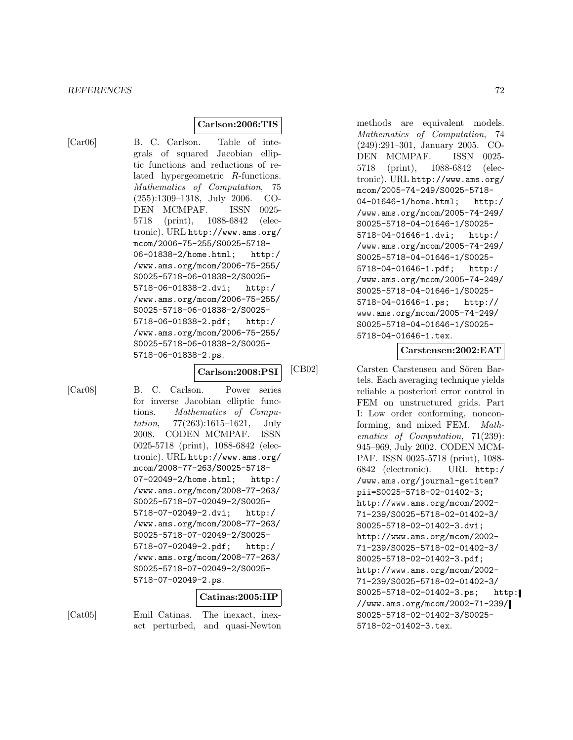### **Carlson:2006:TIS**

[Car06] B. C. Carlson. Table of integrals of squared Jacobian elliptic functions and reductions of related hypergeometric R-functions. Mathematics of Computation, 75 (255):1309–1318, July 2006. CO-DEN MCMPAF. ISSN 0025- 5718 (print), 1088-6842 (electronic). URL http://www.ams.org/ mcom/2006-75-255/S0025-5718- 06-01838-2/home.html; http:/ /www.ams.org/mcom/2006-75-255/ S0025-5718-06-01838-2/S0025- 5718-06-01838-2.dvi; http:/ /www.ams.org/mcom/2006-75-255/ S0025-5718-06-01838-2/S0025- 5718-06-01838-2.pdf; http:/ /www.ams.org/mcom/2006-75-255/ S0025-5718-06-01838-2/S0025- 5718-06-01838-2.ps.

#### **Carlson:2008:PSI**

[Car08] B. C. Carlson. Power series for inverse Jacobian elliptic functions. Mathematics of Computation, 77(263):1615–1621, July 2008. CODEN MCMPAF. ISSN 0025-5718 (print), 1088-6842 (electronic). URL http://www.ams.org/ mcom/2008-77-263/S0025-5718- 07-02049-2/home.html; http:/ /www.ams.org/mcom/2008-77-263/ S0025-5718-07-02049-2/S0025- 5718-07-02049-2.dvi; http:/ /www.ams.org/mcom/2008-77-263/ S0025-5718-07-02049-2/S0025- 5718-07-02049-2.pdf; http:/ /www.ams.org/mcom/2008-77-263/ S0025-5718-07-02049-2/S0025- 5718-07-02049-2.ps.

### **Catinas:2005:IIP**

[Cat05] Emil Catinas. The inexact, inexact perturbed, and quasi-Newton

methods are equivalent models. Mathematics of Computation, 74 (249):291–301, January 2005. CO-DEN MCMPAF. ISSN 0025- 5718 (print), 1088-6842 (electronic). URL http://www.ams.org/ mcom/2005-74-249/S0025-5718- 04-01646-1/home.html; http:/ /www.ams.org/mcom/2005-74-249/ S0025-5718-04-01646-1/S0025- 5718-04-01646-1.dvi; http:/ /www.ams.org/mcom/2005-74-249/ S0025-5718-04-01646-1/S0025- 5718-04-01646-1.pdf; http:/ /www.ams.org/mcom/2005-74-249/ S0025-5718-04-01646-1/S0025- 5718-04-01646-1.ps; http:// www.ams.org/mcom/2005-74-249/ S0025-5718-04-01646-1/S0025- 5718-04-01646-1.tex.

#### **Carstensen:2002:EAT**

[CB02] Carsten Carstensen and Sören Bartels. Each averaging technique yields reliable a posteriori error control in FEM on unstructured grids. Part I: Low order conforming, nonconforming, and mixed FEM. Mathematics of Computation, 71(239): 945–969, July 2002. CODEN MCM-PAF. ISSN 0025-5718 (print), 1088- 6842 (electronic). URL http:/ /www.ams.org/journal-getitem? pii=S0025-5718-02-01402-3; http://www.ams.org/mcom/2002- 71-239/S0025-5718-02-01402-3/ S0025-5718-02-01402-3.dvi; http://www.ams.org/mcom/2002- 71-239/S0025-5718-02-01402-3/ S0025-5718-02-01402-3.pdf; http://www.ams.org/mcom/2002- 71-239/S0025-5718-02-01402-3/ S0025-5718-02-01402-3.ps; http: //www.ams.org/mcom/2002-71-239/ S0025-5718-02-01402-3/S0025- 5718-02-01402-3.tex.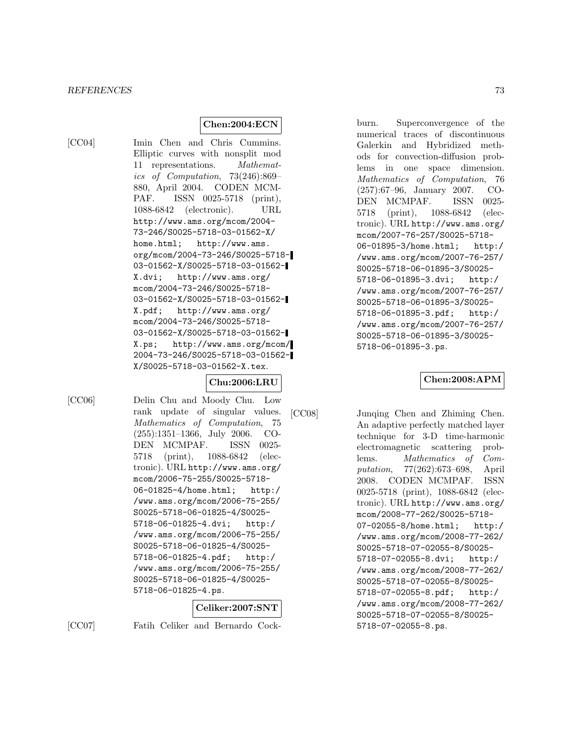### **Chen:2004:ECN**

[CC04] Imin Chen and Chris Cummins. Elliptic curves with nonsplit mod 11 representations. Mathematics of Computation, 73(246):869– 880, April 2004. CODEN MCM-PAF. ISSN 0025-5718 (print), 1088-6842 (electronic). URL http://www.ams.org/mcom/2004- 73-246/S0025-5718-03-01562-X/ home.html; http://www.ams. org/mcom/2004-73-246/S0025-5718- 03-01562-X/S0025-5718-03-01562- X.dvi; http://www.ams.org/ mcom/2004-73-246/S0025-5718- 03-01562-X/S0025-5718-03-01562- X.pdf; http://www.ams.org/ mcom/2004-73-246/S0025-5718- 03-01562-X/S0025-5718-03-01562- X.ps; http://www.ams.org/mcom/ 2004-73-246/S0025-5718-03-01562- X/S0025-5718-03-01562-X.tex.

# **Chu:2006:LRU**

[CC06] Delin Chu and Moody Chu. Low rank update of singular values. Mathematics of Computation, 75 (255):1351–1366, July 2006. CO-DEN MCMPAF. ISSN 0025- 5718 (print), 1088-6842 (electronic). URL http://www.ams.org/ mcom/2006-75-255/S0025-5718- 06-01825-4/home.html; http:/ /www.ams.org/mcom/2006-75-255/ S0025-5718-06-01825-4/S0025- 5718-06-01825-4.dvi; http:/ /www.ams.org/mcom/2006-75-255/ S0025-5718-06-01825-4/S0025- 5718-06-01825-4.pdf; http:/ /www.ams.org/mcom/2006-75-255/ S0025-5718-06-01825-4/S0025- 5718-06-01825-4.ps.

# **Celiker:2007:SNT**

[CC07] Fatih Celiker and Bernardo Cock-

burn. Superconvergence of the numerical traces of discontinuous Galerkin and Hybridized methods for convection-diffusion problems in one space dimension. Mathematics of Computation, 76 (257):67–96, January 2007. CO-DEN MCMPAF. ISSN 0025- 5718 (print), 1088-6842 (electronic). URL http://www.ams.org/ mcom/2007-76-257/S0025-5718- 06-01895-3/home.html; http:/ /www.ams.org/mcom/2007-76-257/ S0025-5718-06-01895-3/S0025- 5718-06-01895-3.dvi; http:/ /www.ams.org/mcom/2007-76-257/ S0025-5718-06-01895-3/S0025- 5718-06-01895-3.pdf; http:/ /www.ams.org/mcom/2007-76-257/ S0025-5718-06-01895-3/S0025- 5718-06-01895-3.ps.

**Chen:2008:APM**

[CC08] Junqing Chen and Zhiming Chen. An adaptive perfectly matched layer technique for 3-D time-harmonic electromagnetic scattering problems. Mathematics of Computation, 77(262):673–698, April 2008. CODEN MCMPAF. ISSN 0025-5718 (print), 1088-6842 (electronic). URL http://www.ams.org/ mcom/2008-77-262/S0025-5718- 07-02055-8/home.html; http:/ /www.ams.org/mcom/2008-77-262/ S0025-5718-07-02055-8/S0025- 5718-07-02055-8.dvi; http:/ /www.ams.org/mcom/2008-77-262/ S0025-5718-07-02055-8/S0025- 5718-07-02055-8.pdf; http:/ /www.ams.org/mcom/2008-77-262/ S0025-5718-07-02055-8/S0025- 5718-07-02055-8.ps.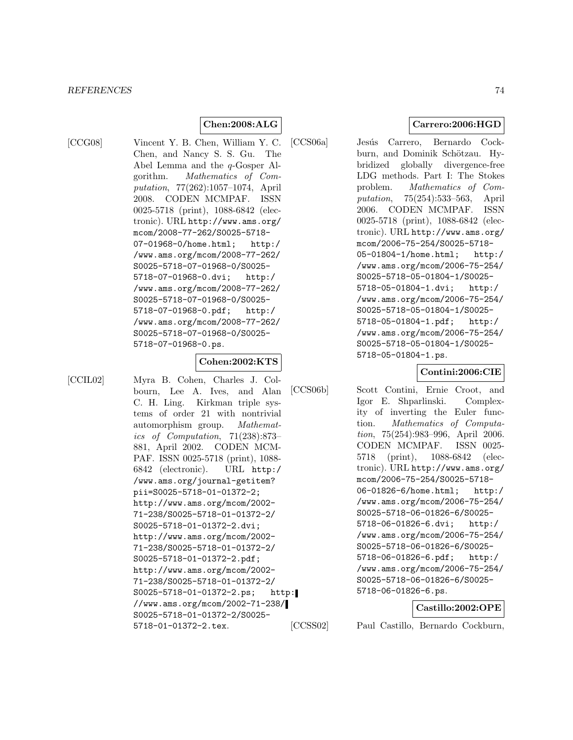# **Chen:2008:ALG**

[CCG08] Vincent Y. B. Chen, William Y. C. Chen, and Nancy S. S. Gu. The Abel Lemma and the q-Gosper Algorithm. Mathematics of Computation, 77(262):1057–1074, April 2008. CODEN MCMPAF. ISSN 0025-5718 (print), 1088-6842 (electronic). URL http://www.ams.org/ mcom/2008-77-262/S0025-5718- 07-01968-0/home.html; http:/ /www.ams.org/mcom/2008-77-262/ S0025-5718-07-01968-0/S0025- 5718-07-01968-0.dvi; http:/ /www.ams.org/mcom/2008-77-262/ S0025-5718-07-01968-0/S0025- 5718-07-01968-0.pdf; http:/ /www.ams.org/mcom/2008-77-262/ S0025-5718-07-01968-0/S0025- 5718-07-01968-0.ps.

### **Cohen:2002:KTS**

[CCIL02] Myra B. Cohen, Charles J. Colbourn, Lee A. Ives, and Alan C. H. Ling. Kirkman triple systems of order 21 with nontrivial automorphism group. Mathematics of Computation, 71(238):873– 881, April 2002. CODEN MCM-PAF. ISSN 0025-5718 (print), 1088- 6842 (electronic). URL http:/ /www.ams.org/journal-getitem? pii=S0025-5718-01-01372-2; http://www.ams.org/mcom/2002- 71-238/S0025-5718-01-01372-2/ S0025-5718-01-01372-2.dvi; http://www.ams.org/mcom/2002- 71-238/S0025-5718-01-01372-2/ S0025-5718-01-01372-2.pdf; http://www.ams.org/mcom/2002- 71-238/S0025-5718-01-01372-2/ S0025-5718-01-01372-2.ps; http: //www.ams.org/mcom/2002-71-238/ S0025-5718-01-01372-2/S0025- 5718-01-01372-2.tex.

**Carrero:2006:HGD**

[CCS06a] Jesús Carrero, Bernardo Cockburn, and Dominik Schötzau. Hybridized globally divergence-free LDG methods. Part I: The Stokes problem. Mathematics of Computation, 75(254):533–563, April 2006. CODEN MCMPAF. ISSN 0025-5718 (print), 1088-6842 (electronic). URL http://www.ams.org/ mcom/2006-75-254/S0025-5718- 05-01804-1/home.html; http:/ /www.ams.org/mcom/2006-75-254/ S0025-5718-05-01804-1/S0025- 5718-05-01804-1.dvi; http:/ /www.ams.org/mcom/2006-75-254/ S0025-5718-05-01804-1/S0025- 5718-05-01804-1.pdf; http:/ /www.ams.org/mcom/2006-75-254/ S0025-5718-05-01804-1/S0025- 5718-05-01804-1.ps.

### **Contini:2006:CIE**

[CCS06b] Scott Contini, Ernie Croot, and Igor E. Shparlinski. Complexity of inverting the Euler function. Mathematics of Computation, 75(254):983–996, April 2006. CODEN MCMPAF. ISSN 0025- 5718 (print), 1088-6842 (electronic). URL http://www.ams.org/ mcom/2006-75-254/S0025-5718- 06-01826-6/home.html; http:/ /www.ams.org/mcom/2006-75-254/ S0025-5718-06-01826-6/S0025- 5718-06-01826-6.dvi; http:/ /www.ams.org/mcom/2006-75-254/ S0025-5718-06-01826-6/S0025- 5718-06-01826-6.pdf; http:/ /www.ams.org/mcom/2006-75-254/ S0025-5718-06-01826-6/S0025- 5718-06-01826-6.ps.

# **Castillo:2002:OPE**

[CCSS02] Paul Castillo, Bernardo Cockburn,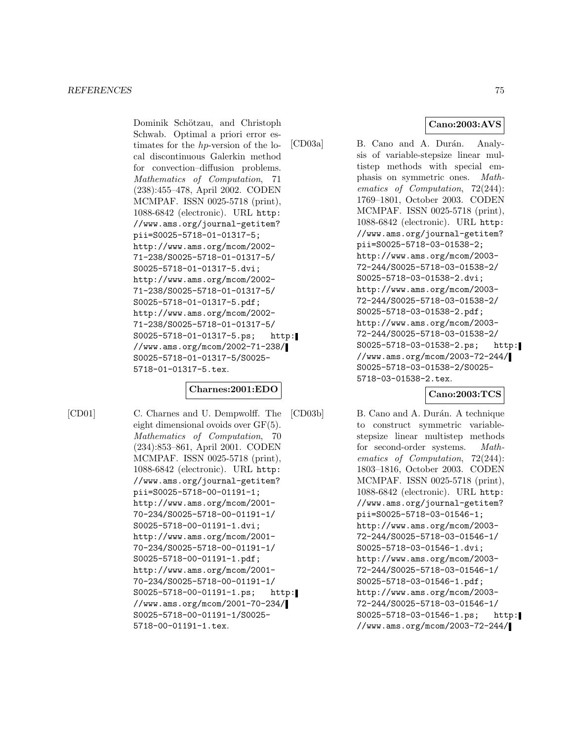Dominik Schötzau, and Christoph Schwab. Optimal a priori error estimates for the hp-version of the local discontinuous Galerkin method for convection–diffusion problems. Mathematics of Computation, 71 (238):455–478, April 2002. CODEN MCMPAF. ISSN 0025-5718 (print), 1088-6842 (electronic). URL http: //www.ams.org/journal-getitem? pii=S0025-5718-01-01317-5; http://www.ams.org/mcom/2002- 71-238/S0025-5718-01-01317-5/ S0025-5718-01-01317-5.dvi; http://www.ams.org/mcom/2002- 71-238/S0025-5718-01-01317-5/ S0025-5718-01-01317-5.pdf; http://www.ams.org/mcom/2002- 71-238/S0025-5718-01-01317-5/ S0025-5718-01-01317-5.ps; http: //www.ams.org/mcom/2002-71-238/ S0025-5718-01-01317-5/S0025- 5718-01-01317-5.tex.

# **Charnes:2001:EDO**

[CD01] C. Charnes and U. Dempwolff. The eight dimensional ovoids over GF(5). Mathematics of Computation, 70 (234):853–861, April 2001. CODEN MCMPAF. ISSN 0025-5718 (print), 1088-6842 (electronic). URL http: //www.ams.org/journal-getitem? pii=S0025-5718-00-01191-1; http://www.ams.org/mcom/2001- 70-234/S0025-5718-00-01191-1/ S0025-5718-00-01191-1.dvi; http://www.ams.org/mcom/2001- 70-234/S0025-5718-00-01191-1/ S0025-5718-00-01191-1.pdf; http://www.ams.org/mcom/2001- 70-234/S0025-5718-00-01191-1/ S0025-5718-00-01191-1.ps; http: //www.ams.org/mcom/2001-70-234/ S0025-5718-00-01191-1/S0025- 5718-00-01191-1.tex.

**Cano:2003:AVS**

[CD03a] B. Cano and A. Durán. Analysis of variable-stepsize linear multistep methods with special emphasis on symmetric ones. Mathematics of Computation, 72(244): 1769–1801, October 2003. CODEN MCMPAF. ISSN 0025-5718 (print), 1088-6842 (electronic). URL http: //www.ams.org/journal-getitem? pii=S0025-5718-03-01538-2; http://www.ams.org/mcom/2003- 72-244/S0025-5718-03-01538-2/ S0025-5718-03-01538-2.dvi; http://www.ams.org/mcom/2003- 72-244/S0025-5718-03-01538-2/ S0025-5718-03-01538-2.pdf; http://www.ams.org/mcom/2003- 72-244/S0025-5718-03-01538-2/ S0025-5718-03-01538-2.ps; http: //www.ams.org/mcom/2003-72-244/ S0025-5718-03-01538-2/S0025- 5718-03-01538-2.tex.

# **Cano:2003:TCS**

[CD03b] B. Cano and A. Durán. A technique to construct symmetric variablestepsize linear multistep methods for second-order systems. Mathematics of Computation, 72(244): 1803–1816, October 2003. CODEN MCMPAF. ISSN 0025-5718 (print), 1088-6842 (electronic). URL http: //www.ams.org/journal-getitem? pii=S0025-5718-03-01546-1; http://www.ams.org/mcom/2003- 72-244/S0025-5718-03-01546-1/ S0025-5718-03-01546-1.dvi; http://www.ams.org/mcom/2003- 72-244/S0025-5718-03-01546-1/ S0025-5718-03-01546-1.pdf; http://www.ams.org/mcom/2003- 72-244/S0025-5718-03-01546-1/ S0025-5718-03-01546-1.ps; http: //www.ams.org/mcom/2003-72-244/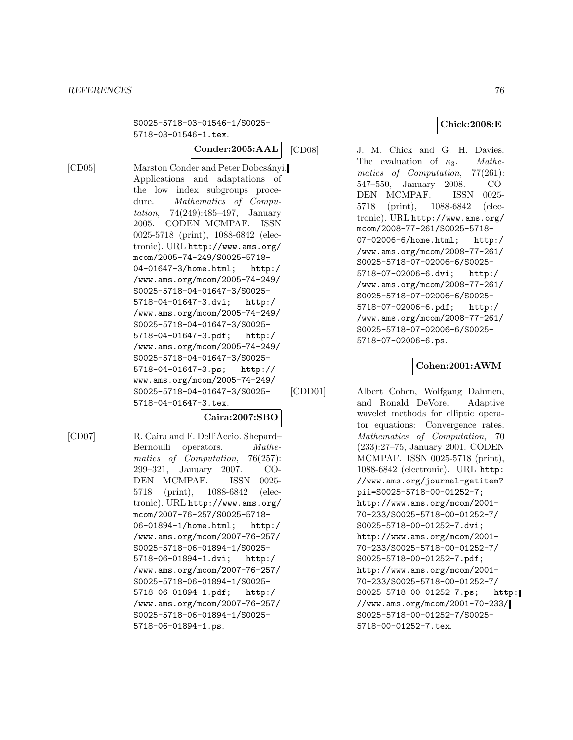### *REFERENCES* 76

S0025-5718-03-01546-1/S0025- 5718-03-01546-1.tex.

**Conder:2005:AAL**

[CD05] Marston Conder and Peter Dobcsányi. Applications and adaptations of the low index subgroups procedure. Mathematics of Computation, 74(249):485–497, January 2005. CODEN MCMPAF. ISSN 0025-5718 (print), 1088-6842 (electronic). URL http://www.ams.org/ mcom/2005-74-249/S0025-5718- 04-01647-3/home.html; http:/ /www.ams.org/mcom/2005-74-249/ S0025-5718-04-01647-3/S0025- 5718-04-01647-3.dvi; http:/ /www.ams.org/mcom/2005-74-249/ S0025-5718-04-01647-3/S0025- 5718-04-01647-3.pdf; http:/ /www.ams.org/mcom/2005-74-249/ S0025-5718-04-01647-3/S0025- 5718-04-01647-3.ps; http:// www.ams.org/mcom/2005-74-249/ S0025-5718-04-01647-3/S0025- 5718-04-01647-3.tex.

**Caira:2007:SBO**

[CD07] R. Caira and F. Dell'Accio. Shepard– Bernoulli operators. Mathematics of Computation, 76(257): 299–321, January 2007. CO-DEN MCMPAF. ISSN 0025- 5718 (print), 1088-6842 (electronic). URL http://www.ams.org/ mcom/2007-76-257/S0025-5718- 06-01894-1/home.html; http:/ /www.ams.org/mcom/2007-76-257/ S0025-5718-06-01894-1/S0025- 5718-06-01894-1.dvi; http:/ /www.ams.org/mcom/2007-76-257/ S0025-5718-06-01894-1/S0025- 5718-06-01894-1.pdf; http:/ /www.ams.org/mcom/2007-76-257/ S0025-5718-06-01894-1/S0025- 5718-06-01894-1.ps.

[CD08] J. M. Chick and G. H. Davies. The evaluation of  $\kappa_3$ . Mathematics of Computation, 77(261): 547–550, January 2008. CO-DEN MCMPAF. ISSN 0025- 5718 (print), 1088-6842 (electronic). URL http://www.ams.org/ mcom/2008-77-261/S0025-5718- 07-02006-6/home.html; http:/ /www.ams.org/mcom/2008-77-261/ S0025-5718-07-02006-6/S0025- 5718-07-02006-6.dvi; http:/ /www.ams.org/mcom/2008-77-261/ S0025-5718-07-02006-6/S0025- 5718-07-02006-6.pdf; http:/ /www.ams.org/mcom/2008-77-261/ S0025-5718-07-02006-6/S0025- 5718-07-02006-6.ps.

# **Cohen:2001:AWM**

[CDD01] Albert Cohen, Wolfgang Dahmen, and Ronald DeVore. Adaptive wavelet methods for elliptic operator equations: Convergence rates. Mathematics of Computation, 70 (233):27–75, January 2001. CODEN MCMPAF. ISSN 0025-5718 (print), 1088-6842 (electronic). URL http: //www.ams.org/journal-getitem? pii=S0025-5718-00-01252-7; http://www.ams.org/mcom/2001- 70-233/S0025-5718-00-01252-7/ S0025-5718-00-01252-7.dvi; http://www.ams.org/mcom/2001- 70-233/S0025-5718-00-01252-7/ S0025-5718-00-01252-7.pdf; http://www.ams.org/mcom/2001- 70-233/S0025-5718-00-01252-7/ S0025-5718-00-01252-7.ps; http: //www.ams.org/mcom/2001-70-233/ S0025-5718-00-01252-7/S0025- 5718-00-01252-7.tex.

### **Chick:2008:E**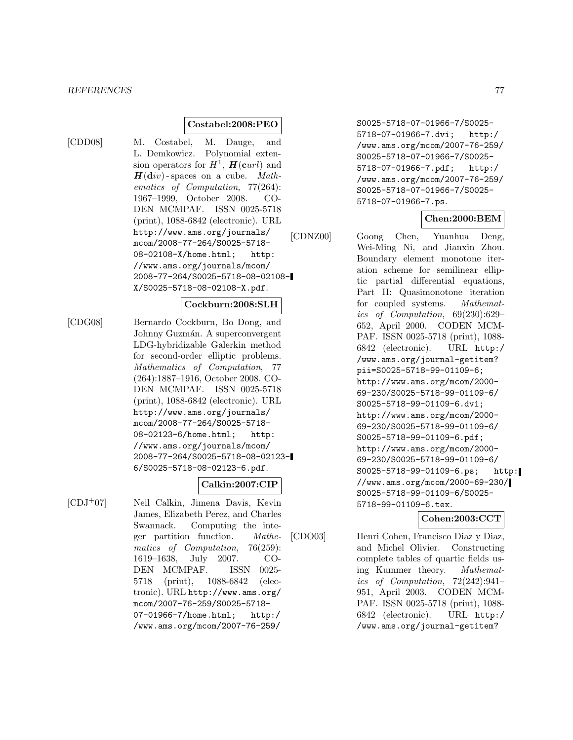# **Costabel:2008:PEO**

[CDD08] M. Costabel, M. Dauge, and L. Demkowicz. Polynomial extension operators for  $H^1$ ,  $\mathbf{H}(\mathbf{c}url)$  and  $H(\text{div})$ -spaces on a cube. Mathematics of Computation, 77(264): 1967–1999, October 2008. CO-DEN MCMPAF. ISSN 0025-5718 (print), 1088-6842 (electronic). URL http://www.ams.org/journals/ mcom/2008-77-264/S0025-5718- 08-02108-X/home.html; http: //www.ams.org/journals/mcom/ 2008-77-264/S0025-5718-08-02108- X/S0025-5718-08-02108-X.pdf.

# **Cockburn:2008:SLH**

[CDG08] Bernardo Cockburn, Bo Dong, and Johnny Guzmán. A superconvergent LDG-hybridizable Galerkin method for second-order elliptic problems. Mathematics of Computation, 77 (264):1887–1916, October 2008. CO-DEN MCMPAF. ISSN 0025-5718 (print), 1088-6842 (electronic). URL http://www.ams.org/journals/ mcom/2008-77-264/S0025-5718- 08-02123-6/home.html; http: //www.ams.org/journals/mcom/ 2008-77-264/S0025-5718-08-02123- 6/S0025-5718-08-02123-6.pdf.

# **Calkin:2007:CIP**

[CDJ<sup>+</sup>07] Neil Calkin, Jimena Davis, Kevin James, Elizabeth Perez, and Charles Swannack. Computing the integer partition function. Mathematics of Computation, 76(259): 1619–1638, July 2007. CO-DEN MCMPAF. ISSN 0025- 5718 (print), 1088-6842 (electronic). URL http://www.ams.org/ mcom/2007-76-259/S0025-5718- 07-01966-7/home.html; http:/ /www.ams.org/mcom/2007-76-259/

S0025-5718-07-01966-7/S0025- 5718-07-01966-7.dvi; http:/ /www.ams.org/mcom/2007-76-259/ S0025-5718-07-01966-7/S0025- 5718-07-01966-7.pdf; http:/ /www.ams.org/mcom/2007-76-259/ S0025-5718-07-01966-7/S0025- 5718-07-01966-7.ps.

# **Chen:2000:BEM**

[CDNZ00] Goong Chen, Yuanhua Deng, Wei-Ming Ni, and Jianxin Zhou. Boundary element monotone iteration scheme for semilinear elliptic partial differential equations, Part II: Quasimonotone iteration for coupled systems. Mathematics of Computation, 69(230):629– 652, April 2000. CODEN MCM-PAF. ISSN 0025-5718 (print), 1088- 6842 (electronic). URL http:/ /www.ams.org/journal-getitem? pii=S0025-5718-99-01109-6; http://www.ams.org/mcom/2000- 69-230/S0025-5718-99-01109-6/ S0025-5718-99-01109-6.dvi; http://www.ams.org/mcom/2000- 69-230/S0025-5718-99-01109-6/ S0025-5718-99-01109-6.pdf; http://www.ams.org/mcom/2000- 69-230/S0025-5718-99-01109-6/ S0025-5718-99-01109-6.ps; http: //www.ams.org/mcom/2000-69-230/ S0025-5718-99-01109-6/S0025- 5718-99-01109-6.tex.

# **Cohen:2003:CCT**

[CDO03] Henri Cohen, Francisco Diaz y Diaz, and Michel Olivier. Constructing complete tables of quartic fields using Kummer theory. Mathematics of Computation, 72(242):941– 951, April 2003. CODEN MCM-PAF. ISSN 0025-5718 (print), 1088- 6842 (electronic). URL http:/ /www.ams.org/journal-getitem?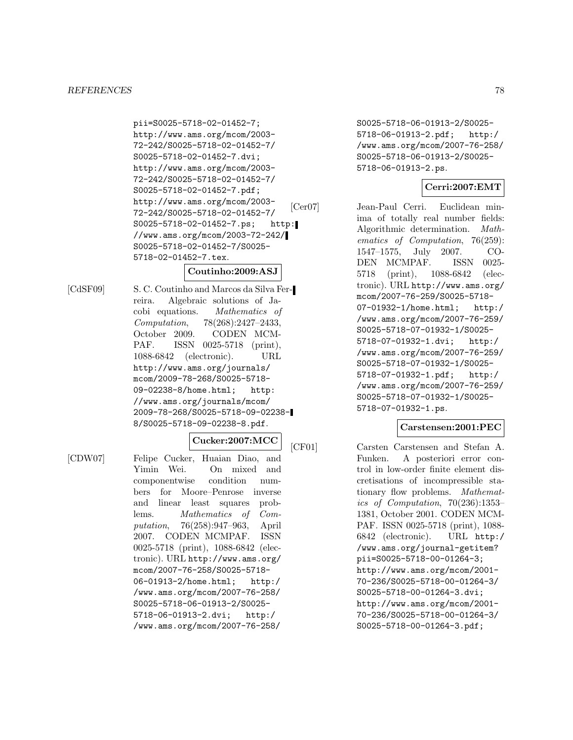#### *REFERENCES* 78

pii=S0025-5718-02-01452-7; http://www.ams.org/mcom/2003- 72-242/S0025-5718-02-01452-7/ S0025-5718-02-01452-7.dvi; http://www.ams.org/mcom/2003- 72-242/S0025-5718-02-01452-7/ S0025-5718-02-01452-7.pdf; http://www.ams.org/mcom/2003- 72-242/S0025-5718-02-01452-7/ S0025-5718-02-01452-7.ps; http: //www.ams.org/mcom/2003-72-242/ S0025-5718-02-01452-7/S0025- 5718-02-01452-7.tex.

# **Coutinho:2009:ASJ**

[CdSF09] S. C. Coutinho and Marcos da Silva Ferreira. Algebraic solutions of Jacobi equations. Mathematics of Computation, 78(268):2427-2433,<br>October 2009. CODEN MCM-CODEN MCM-PAF. ISSN 0025-5718 (print), 1088-6842 (electronic). URL http://www.ams.org/journals/ mcom/2009-78-268/S0025-5718- 09-02238-8/home.html; http: //www.ams.org/journals/mcom/ 2009-78-268/S0025-5718-09-02238- 8/S0025-5718-09-02238-8.pdf.

# **Cucker:2007:MCC**

[CDW07] Felipe Cucker, Huaian Diao, and Yimin Wei. On mixed and componentwise condition numbers for Moore–Penrose inverse and linear least squares problems. Mathematics of Computation, 76(258):947–963, April 2007. CODEN MCMPAF. ISSN 0025-5718 (print), 1088-6842 (electronic). URL http://www.ams.org/ mcom/2007-76-258/S0025-5718- 06-01913-2/home.html; http:/ /www.ams.org/mcom/2007-76-258/ S0025-5718-06-01913-2/S0025- 5718-06-01913-2.dvi; http:/ /www.ams.org/mcom/2007-76-258/

S0025-5718-06-01913-2/S0025- 5718-06-01913-2.pdf; http:/ /www.ams.org/mcom/2007-76-258/ S0025-5718-06-01913-2/S0025- 5718-06-01913-2.ps.

# **Cerri:2007:EMT**

[Cer07] Jean-Paul Cerri. Euclidean minima of totally real number fields: Algorithmic determination. Mathematics of Computation, 76(259): 1547–1575, July 2007. CO-DEN MCMPAF. ISSN 0025- 5718 (print), 1088-6842 (electronic). URL http://www.ams.org/ mcom/2007-76-259/S0025-5718- 07-01932-1/home.html; http:/ /www.ams.org/mcom/2007-76-259/ S0025-5718-07-01932-1/S0025- 5718-07-01932-1.dvi; http:/ /www.ams.org/mcom/2007-76-259/ S0025-5718-07-01932-1/S0025- 5718-07-01932-1.pdf; http:/ /www.ams.org/mcom/2007-76-259/ S0025-5718-07-01932-1/S0025- 5718-07-01932-1.ps.

# **Carstensen:2001:PEC**

[CF01] Carsten Carstensen and Stefan A. Funken. A posteriori error control in low-order finite element discretisations of incompressible stationary flow problems. Mathematics of Computation, 70(236):1353– 1381, October 2001. CODEN MCM-PAF. ISSN 0025-5718 (print), 1088- 6842 (electronic). URL http:/ /www.ams.org/journal-getitem? pii=S0025-5718-00-01264-3; http://www.ams.org/mcom/2001- 70-236/S0025-5718-00-01264-3/ S0025-5718-00-01264-3.dvi; http://www.ams.org/mcom/2001- 70-236/S0025-5718-00-01264-3/ S0025-5718-00-01264-3.pdf;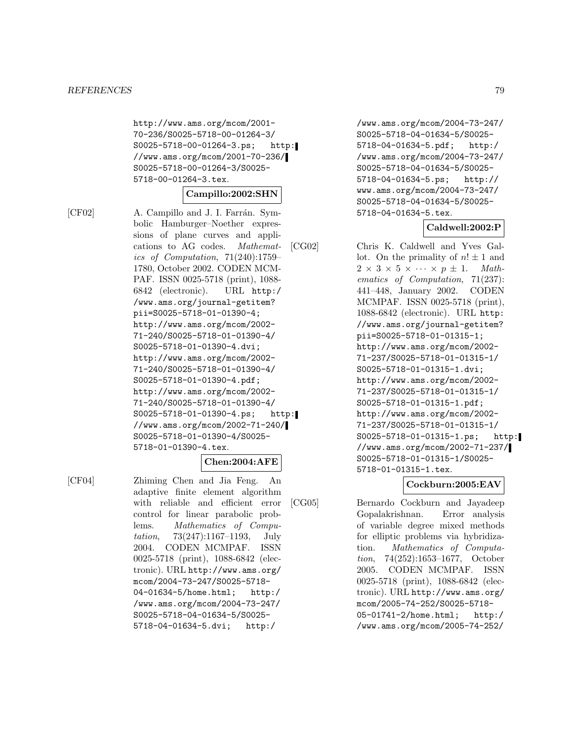http://www.ams.org/mcom/2001- 70-236/S0025-5718-00-01264-3/ S0025-5718-00-01264-3.ps; http: //www.ams.org/mcom/2001-70-236/ S0025-5718-00-01264-3/S0025- 5718-00-01264-3.tex.

### **Campillo:2002:SHN**

[CF02] A. Campillo and J. I. Farrán. Symbolic Hamburger–Noether expressions of plane curves and applications to AG codes. Mathematics of Computation, 71(240):1759– 1780, October 2002. CODEN MCM-PAF. ISSN 0025-5718 (print), 1088- 6842 (electronic). URL http:/ /www.ams.org/journal-getitem? pii=S0025-5718-01-01390-4; http://www.ams.org/mcom/2002- 71-240/S0025-5718-01-01390-4/ S0025-5718-01-01390-4.dvi; http://www.ams.org/mcom/2002- 71-240/S0025-5718-01-01390-4/ S0025-5718-01-01390-4.pdf; http://www.ams.org/mcom/2002- 71-240/S0025-5718-01-01390-4/ S0025-5718-01-01390-4.ps; http: //www.ams.org/mcom/2002-71-240/ S0025-5718-01-01390-4/S0025- 5718-01-01390-4.tex.

#### **Chen:2004:AFE**

[CF04] Zhiming Chen and Jia Feng. An adaptive finite element algorithm with reliable and efficient error control for linear parabolic problems. Mathematics of Computation, 73(247):1167–1193, July 2004. CODEN MCMPAF. ISSN 0025-5718 (print), 1088-6842 (electronic). URL http://www.ams.org/ mcom/2004-73-247/S0025-5718- 04-01634-5/home.html; http:/ /www.ams.org/mcom/2004-73-247/ S0025-5718-04-01634-5/S0025- 5718-04-01634-5.dvi; http:/

/www.ams.org/mcom/2004-73-247/ S0025-5718-04-01634-5/S0025- 5718-04-01634-5.pdf; http:/ /www.ams.org/mcom/2004-73-247/ S0025-5718-04-01634-5/S0025- 5718-04-01634-5.ps; http:// www.ams.org/mcom/2004-73-247/ S0025-5718-04-01634-5/S0025- 5718-04-01634-5.tex.

# **Caldwell:2002:P**

[CG02] Chris K. Caldwell and Yves Gallot. On the primality of  $n! \pm 1$  and  $2 \times 3 \times 5 \times \cdots \times p \pm 1$ . Mathematics of Computation, 71(237): 441–448, January 2002. CODEN MCMPAF. ISSN 0025-5718 (print), 1088-6842 (electronic). URL http: //www.ams.org/journal-getitem? pii=S0025-5718-01-01315-1; http://www.ams.org/mcom/2002- 71-237/S0025-5718-01-01315-1/ S0025-5718-01-01315-1.dvi; http://www.ams.org/mcom/2002- 71-237/S0025-5718-01-01315-1/ S0025-5718-01-01315-1.pdf; http://www.ams.org/mcom/2002- 71-237/S0025-5718-01-01315-1/ S0025-5718-01-01315-1.ps; http: //www.ams.org/mcom/2002-71-237/ S0025-5718-01-01315-1/S0025- 5718-01-01315-1.tex.

# **Cockburn:2005:EAV**

[CG05] Bernardo Cockburn and Jayadeep Gopalakrishnan. Error analysis of variable degree mixed methods for elliptic problems via hybridization. Mathematics of Computation, 74(252):1653–1677, October 2005. CODEN MCMPAF. ISSN 0025-5718 (print), 1088-6842 (electronic). URL http://www.ams.org/ mcom/2005-74-252/S0025-5718- 05-01741-2/home.html; http:/ /www.ams.org/mcom/2005-74-252/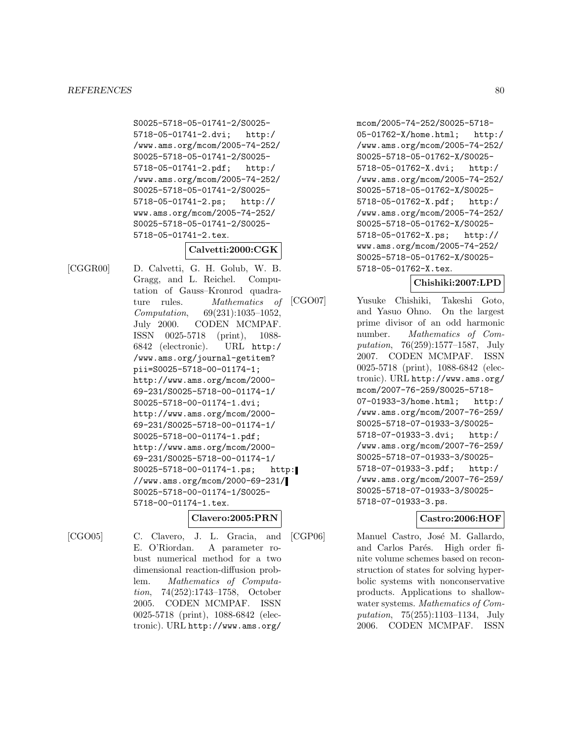S0025-5718-05-01741-2/S0025- 5718-05-01741-2.dvi; http:/ /www.ams.org/mcom/2005-74-252/ S0025-5718-05-01741-2/S0025- 5718-05-01741-2.pdf; http:/ /www.ams.org/mcom/2005-74-252/ S0025-5718-05-01741-2/S0025- 5718-05-01741-2.ps; http:// www.ams.org/mcom/2005-74-252/ S0025-5718-05-01741-2/S0025- 5718-05-01741-2.tex.

# **Calvetti:2000:CGK**

[CGGR00] D. Calvetti, G. H. Golub, W. B. Gragg, and L. Reichel. Computation of Gauss–Kronrod quadrature rules. Mathematics of Computation, 69(231):1035–1052, July 2000. CODEN MCMPAF. ISSN 0025-5718 (print), 1088- 6842 (electronic). URL http:/ /www.ams.org/journal-getitem? pii=S0025-5718-00-01174-1; http://www.ams.org/mcom/2000- 69-231/S0025-5718-00-01174-1/ S0025-5718-00-01174-1.dvi; http://www.ams.org/mcom/2000- 69-231/S0025-5718-00-01174-1/ S0025-5718-00-01174-1.pdf; http://www.ams.org/mcom/2000- 69-231/S0025-5718-00-01174-1/ S0025-5718-00-01174-1.ps; http: //www.ams.org/mcom/2000-69-231/ S0025-5718-00-01174-1/S0025- 5718-00-01174-1.tex.

# **Clavero:2005:PRN**

[CGO05] C. Clavero, J. L. Gracia, and E. O'Riordan. A parameter robust numerical method for a two dimensional reaction-diffusion problem. Mathematics of Computation, 74(252):1743–1758, October 2005. CODEN MCMPAF. ISSN 0025-5718 (print), 1088-6842 (electronic). URL http://www.ams.org/ mcom/2005-74-252/S0025-5718- 05-01762-X/home.html; http:/ /www.ams.org/mcom/2005-74-252/ S0025-5718-05-01762-X/S0025- 5718-05-01762-X.dvi; http:/ /www.ams.org/mcom/2005-74-252/ S0025-5718-05-01762-X/S0025- 5718-05-01762-X.pdf; http:/ /www.ams.org/mcom/2005-74-252/ S0025-5718-05-01762-X/S0025- 5718-05-01762-X.ps; http:// www.ams.org/mcom/2005-74-252/ S0025-5718-05-01762-X/S0025- 5718-05-01762-X.tex.

# **Chishiki:2007:LPD**

[CGO07] Yusuke Chishiki, Takeshi Goto, and Yasuo Ohno. On the largest prime divisor of an odd harmonic number. Mathematics of Computation, 76(259):1577–1587, July 2007. CODEN MCMPAF. ISSN 0025-5718 (print), 1088-6842 (electronic). URL http://www.ams.org/ mcom/2007-76-259/S0025-5718- 07-01933-3/home.html; http:/ /www.ams.org/mcom/2007-76-259/ S0025-5718-07-01933-3/S0025- 5718-07-01933-3.dvi; http:/ /www.ams.org/mcom/2007-76-259/ S0025-5718-07-01933-3/S0025- 5718-07-01933-3.pdf; http:/ /www.ams.org/mcom/2007-76-259/ S0025-5718-07-01933-3/S0025- 5718-07-01933-3.ps.

# **Castro:2006:HOF**

[CGP06] Manuel Castro, José M. Gallardo, and Carlos Parés. High order finite volume schemes based on reconstruction of states for solving hyperbolic systems with nonconservative products. Applications to shallowwater systems. Mathematics of Computation, 75(255):1103–1134, July 2006. CODEN MCMPAF. ISSN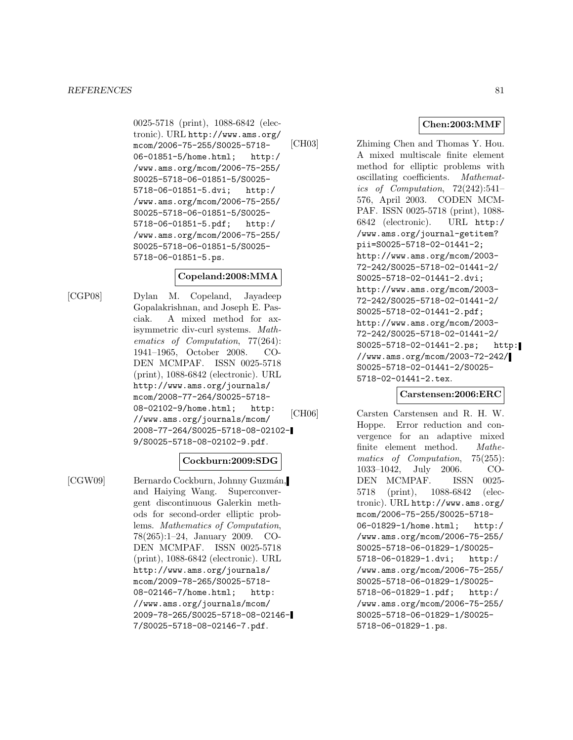0025-5718 (print), 1088-6842 (electronic). URL http://www.ams.org/ mcom/2006-75-255/S0025-5718- 06-01851-5/home.html; http:/ /www.ams.org/mcom/2006-75-255/ S0025-5718-06-01851-5/S0025- 5718-06-01851-5.dvi; http:/ /www.ams.org/mcom/2006-75-255/ S0025-5718-06-01851-5/S0025- 5718-06-01851-5.pdf; http:/ /www.ams.org/mcom/2006-75-255/ S0025-5718-06-01851-5/S0025- 5718-06-01851-5.ps.

# **Copeland:2008:MMA**

[CGP08] Dylan M. Copeland, Jayadeep Gopalakrishnan, and Joseph E. Pasciak. A mixed method for axisymmetric div-curl systems. Mathematics of Computation, 77(264): 1941–1965, October 2008. CO-DEN MCMPAF. ISSN 0025-5718 (print), 1088-6842 (electronic). URL http://www.ams.org/journals/ mcom/2008-77-264/S0025-5718- 08-02102-9/home.html; http: //www.ams.org/journals/mcom/ 2008-77-264/S0025-5718-08-02102- 9/S0025-5718-08-02102-9.pdf.

# **Cockburn:2009:SDG**

[CGW09] Bernardo Cockburn, Johnny Guzmán, and Haiying Wang. Superconvergent discontinuous Galerkin methods for second-order elliptic problems. Mathematics of Computation, 78(265):1–24, January 2009. CO-DEN MCMPAF. ISSN 0025-5718 (print), 1088-6842 (electronic). URL http://www.ams.org/journals/ mcom/2009-78-265/S0025-5718- 08-02146-7/home.html; http: //www.ams.org/journals/mcom/ 2009-78-265/S0025-5718-08-02146- 7/S0025-5718-08-02146-7.pdf.

**Chen:2003:MMF**

[CH03] Zhiming Chen and Thomas Y. Hou. A mixed multiscale finite element method for elliptic problems with oscillating coefficients. Mathematics of Computation, 72(242):541– 576, April 2003. CODEN MCM-PAF. ISSN 0025-5718 (print), 1088- 6842 (electronic). URL http:/ /www.ams.org/journal-getitem? pii=S0025-5718-02-01441-2; http://www.ams.org/mcom/2003- 72-242/S0025-5718-02-01441-2/ S0025-5718-02-01441-2.dvi; http://www.ams.org/mcom/2003- 72-242/S0025-5718-02-01441-2/ S0025-5718-02-01441-2.pdf; http://www.ams.org/mcom/2003- 72-242/S0025-5718-02-01441-2/ S0025-5718-02-01441-2.ps; http: //www.ams.org/mcom/2003-72-242/ S0025-5718-02-01441-2/S0025- 5718-02-01441-2.tex.

# **Carstensen:2006:ERC**

[CH06] Carsten Carstensen and R. H. W. Hoppe. Error reduction and convergence for an adaptive mixed finite element method. Mathematics of Computation, 75(255): 1033–1042, July 2006. CO-DEN MCMPAF. ISSN 0025- 5718 (print), 1088-6842 (electronic). URL http://www.ams.org/ mcom/2006-75-255/S0025-5718- 06-01829-1/home.html; http:/ /www.ams.org/mcom/2006-75-255/ S0025-5718-06-01829-1/S0025- 5718-06-01829-1.dvi; http:/ /www.ams.org/mcom/2006-75-255/ S0025-5718-06-01829-1/S0025- 5718-06-01829-1.pdf; http:/ /www.ams.org/mcom/2006-75-255/ S0025-5718-06-01829-1/S0025- 5718-06-01829-1.ps.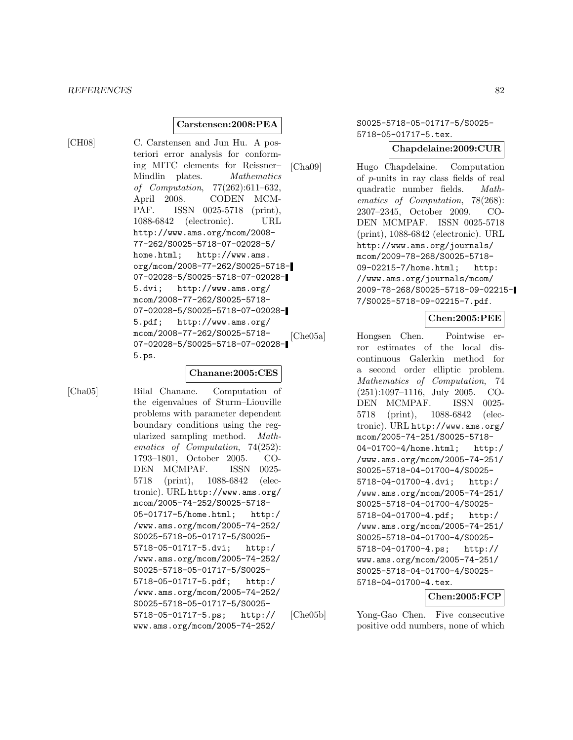### **Carstensen:2008:PEA**

[CH08] C. Carstensen and Jun Hu. A posteriori error analysis for conforming MITC elements for Reissner– Mindlin plates. Mathematics of Computation, 77(262):611–632, April 2008. CODEN MCM-PAF. ISSN 0025-5718 (print), 1088-6842 (electronic). URL http://www.ams.org/mcom/2008- 77-262/S0025-5718-07-02028-5/ home.html; http://www.ams. org/mcom/2008-77-262/S0025-5718- 07-02028-5/S0025-5718-07-02028- 5.dvi; http://www.ams.org/ mcom/2008-77-262/S0025-5718- 07-02028-5/S0025-5718-07-02028- 5.pdf; http://www.ams.org/ mcom/2008-77-262/S0025-5718- 07-02028-5/S0025-5718-07-02028- 5.ps.

# **Chanane:2005:CES**

[Cha05] Bilal Chanane. Computation of the eigenvalues of Sturm–Liouville problems with parameter dependent boundary conditions using the regularized sampling method. Mathematics of Computation, 74(252): 1793–1801, October 2005. CO-DEN MCMPAF. ISSN 0025- 5718 (print), 1088-6842 (electronic). URL http://www.ams.org/ mcom/2005-74-252/S0025-5718- 05-01717-5/home.html; http:/ /www.ams.org/mcom/2005-74-252/ S0025-5718-05-01717-5/S0025- 5718-05-01717-5.dvi; http:/ /www.ams.org/mcom/2005-74-252/ S0025-5718-05-01717-5/S0025- 5718-05-01717-5.pdf; http:/ /www.ams.org/mcom/2005-74-252/ S0025-5718-05-01717-5/S0025- 5718-05-01717-5.ps; http:// www.ams.org/mcom/2005-74-252/

S0025-5718-05-01717-5/S0025- 5718-05-01717-5.tex.

### **Chapdelaine:2009:CUR**

[Cha09] Hugo Chapdelaine. Computation of p-units in ray class fields of real quadratic number fields. Mathematics of Computation, 78(268): 2307–2345, October 2009. CO-DEN MCMPAF. ISSN 0025-5718 (print), 1088-6842 (electronic). URL http://www.ams.org/journals/ mcom/2009-78-268/S0025-5718- 09-02215-7/home.html; http: //www.ams.org/journals/mcom/ 2009-78-268/S0025-5718-09-02215- 7/S0025-5718-09-02215-7.pdf.

# **Chen:2005:PEE**

[Che05a] Hongsen Chen. Pointwise error estimates of the local discontinuous Galerkin method for a second order elliptic problem. Mathematics of Computation, 74 (251):1097–1116, July 2005. CO-DEN MCMPAF. ISSN 0025- 5718 (print), 1088-6842 (electronic). URL http://www.ams.org/ mcom/2005-74-251/S0025-5718- 04-01700-4/home.html; http:/ /www.ams.org/mcom/2005-74-251/ S0025-5718-04-01700-4/S0025- 5718-04-01700-4.dvi; http:/ /www.ams.org/mcom/2005-74-251/ S0025-5718-04-01700-4/S0025- 5718-04-01700-4.pdf; http:/ /www.ams.org/mcom/2005-74-251/ S0025-5718-04-01700-4/S0025- 5718-04-01700-4.ps; http:// www.ams.org/mcom/2005-74-251/ S0025-5718-04-01700-4/S0025- 5718-04-01700-4.tex.

# **Chen:2005:FCP**

[Che05b] Yong-Gao Chen. Five consecutive positive odd numbers, none of which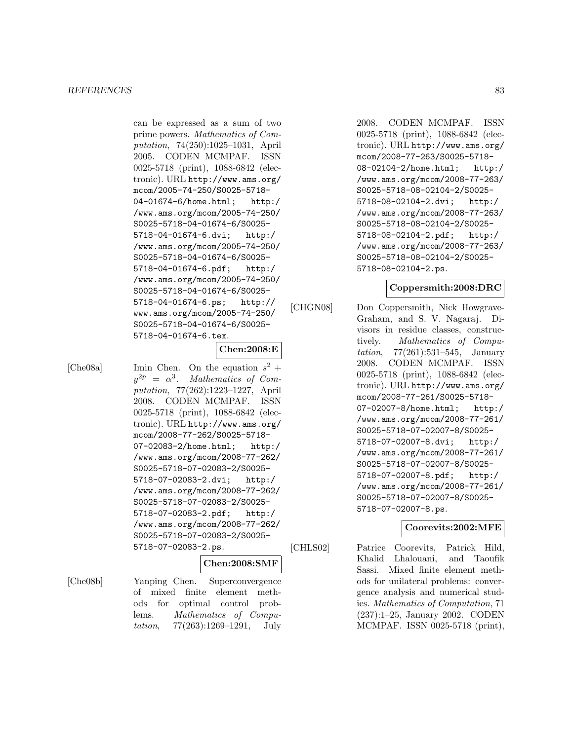can be expressed as a sum of two prime powers. Mathematics of Computation, 74(250):1025–1031, April 2005. CODEN MCMPAF. ISSN 0025-5718 (print), 1088-6842 (electronic). URL http://www.ams.org/ mcom/2005-74-250/S0025-5718- 04-01674-6/home.html; http:/ /www.ams.org/mcom/2005-74-250/ S0025-5718-04-01674-6/S0025- 5718-04-01674-6.dvi; http:/ /www.ams.org/mcom/2005-74-250/ S0025-5718-04-01674-6/S0025- 5718-04-01674-6.pdf; http:/ /www.ams.org/mcom/2005-74-250/ S0025-5718-04-01674-6/S0025- 5718-04-01674-6.ps; http:// www.ams.org/mcom/2005-74-250/ S0025-5718-04-01674-6/S0025- 5718-04-01674-6.tex.

# **Chen:2008:E**

[Che08a] Imin Chen. On the equation  $s^2$  +  $y^{2p} = \alpha^3$ . Mathematics of Computation, 77(262):1223–1227, April 2008. CODEN MCMPAF. ISSN 0025-5718 (print), 1088-6842 (electronic). URL http://www.ams.org/ mcom/2008-77-262/S0025-5718- 07-02083-2/home.html; http:/ /www.ams.org/mcom/2008-77-262/ S0025-5718-07-02083-2/S0025- 5718-07-02083-2.dvi; http:/ /www.ams.org/mcom/2008-77-262/ S0025-5718-07-02083-2/S0025- 5718-07-02083-2.pdf; http:/ /www.ams.org/mcom/2008-77-262/ S0025-5718-07-02083-2/S0025- 5718-07-02083-2.ps.

# **Chen:2008:SMF**

[Che08b] Yanping Chen. Superconvergence of mixed finite element methods for optimal control problems. Mathematics of Computation, 77(263):1269–1291, July

2008. CODEN MCMPAF. ISSN 0025-5718 (print), 1088-6842 (electronic). URL http://www.ams.org/ mcom/2008-77-263/S0025-5718- 08-02104-2/home.html; http:/ /www.ams.org/mcom/2008-77-263/ S0025-5718-08-02104-2/S0025- 5718-08-02104-2.dvi; http:/ /www.ams.org/mcom/2008-77-263/ S0025-5718-08-02104-2/S0025- 5718-08-02104-2.pdf; http:/ /www.ams.org/mcom/2008-77-263/ S0025-5718-08-02104-2/S0025- 5718-08-02104-2.ps.

# **Coppersmith:2008:DRC**

[CHGN08] Don Coppersmith, Nick Howgrave-Graham, and S. V. Nagaraj. Divisors in residue classes, constructively. Mathematics of Computation, 77(261):531–545, January 2008. CODEN MCMPAF. ISSN 0025-5718 (print), 1088-6842 (electronic). URL http://www.ams.org/ mcom/2008-77-261/S0025-5718- 07-02007-8/home.html; http:/ /www.ams.org/mcom/2008-77-261/ S0025-5718-07-02007-8/S0025- 5718-07-02007-8.dvi; http:/ /www.ams.org/mcom/2008-77-261/ S0025-5718-07-02007-8/S0025- 5718-07-02007-8.pdf; http:/ /www.ams.org/mcom/2008-77-261/ S0025-5718-07-02007-8/S0025- 5718-07-02007-8.ps.

# **Coorevits:2002:MFE**

[CHLS02] Patrice Coorevits, Patrick Hild, Khalid Lhalouani, and Taoufik Sassi. Mixed finite element methods for unilateral problems: convergence analysis and numerical studies. Mathematics of Computation, 71 (237):1–25, January 2002. CODEN MCMPAF. ISSN 0025-5718 (print),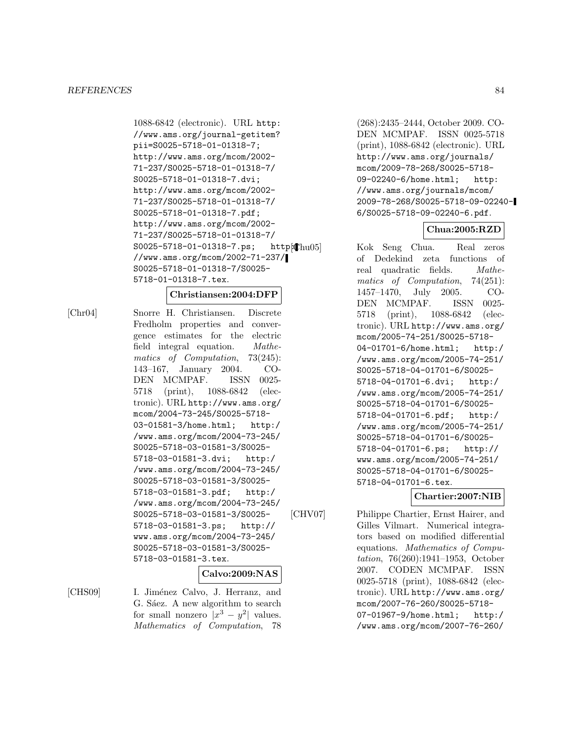1088-6842 (electronic). URL http: //www.ams.org/journal-getitem? pii=S0025-5718-01-01318-7; http://www.ams.org/mcom/2002- 71-237/S0025-5718-01-01318-7/ S0025-5718-01-01318-7.dvi; http://www.ams.org/mcom/2002- 71-237/S0025-5718-01-01318-7/ S0025-5718-01-01318-7.pdf; http://www.ams.org/mcom/2002- 71-237/S0025-5718-01-01318-7/ S0025-5718-01-01318-7.ps; http: [hu05] //www.ams.org/mcom/2002-71-237/ S0025-5718-01-01318-7/S0025- 5718-01-01318-7.tex.

### **Christiansen:2004:DFP**

[Chr04] Snorre H. Christiansen. Discrete Fredholm properties and convergence estimates for the electric field integral equation. Mathematics of Computation, 73(245): 143–167, January 2004. CO-DEN MCMPAF. ISSN 0025- 5718 (print), 1088-6842 (electronic). URL http://www.ams.org/ mcom/2004-73-245/S0025-5718- 03-01581-3/home.html; http:/ /www.ams.org/mcom/2004-73-245/ S0025-5718-03-01581-3/S0025- 5718-03-01581-3.dvi; http:/ /www.ams.org/mcom/2004-73-245/ S0025-5718-03-01581-3/S0025- 5718-03-01581-3.pdf; http:/ /www.ams.org/mcom/2004-73-245/ S0025-5718-03-01581-3/S0025- 5718-03-01581-3.ps; http:// www.ams.org/mcom/2004-73-245/ S0025-5718-03-01581-3/S0025- 5718-03-01581-3.tex.

# **Calvo:2009:NAS**

[CHS09] I. Jiménez Calvo, J. Herranz, and G. Sáez. A new algorithm to search for small nonzero  $|x^3 - y^2|$  values. Mathematics of Computation, 78

(268):2435–2444, October 2009. CO-DEN MCMPAF. ISSN 0025-5718 (print), 1088-6842 (electronic). URL http://www.ams.org/journals/ mcom/2009-78-268/S0025-5718- 09-02240-6/home.html; http: //www.ams.org/journals/mcom/ 2009-78-268/S0025-5718-09-02240- 6/S0025-5718-09-02240-6.pdf.

# **Chua:2005:RZD**

Kok Seng Chua. Real zeros of Dedekind zeta functions of real quadratic fields. Mathematics of Computation, 74(251): 1457–1470, July 2005. CO-DEN MCMPAF. ISSN 0025- 5718 (print), 1088-6842 (electronic). URL http://www.ams.org/ mcom/2005-74-251/S0025-5718- 04-01701-6/home.html; http:/ /www.ams.org/mcom/2005-74-251/ S0025-5718-04-01701-6/S0025- 5718-04-01701-6.dvi; http:/ /www.ams.org/mcom/2005-74-251/ S0025-5718-04-01701-6/S0025- 5718-04-01701-6.pdf; http:/ /www.ams.org/mcom/2005-74-251/ S0025-5718-04-01701-6/S0025- 5718-04-01701-6.ps; http:// www.ams.org/mcom/2005-74-251/ S0025-5718-04-01701-6/S0025- 5718-04-01701-6.tex.

# **Chartier:2007:NIB**

[CHV07] Philippe Chartier, Ernst Hairer, and Gilles Vilmart. Numerical integrators based on modified differential equations. Mathematics of Computation, 76(260):1941–1953, October 2007. CODEN MCMPAF. ISSN 0025-5718 (print), 1088-6842 (electronic). URL http://www.ams.org/ mcom/2007-76-260/S0025-5718- 07-01967-9/home.html; http:/ /www.ams.org/mcom/2007-76-260/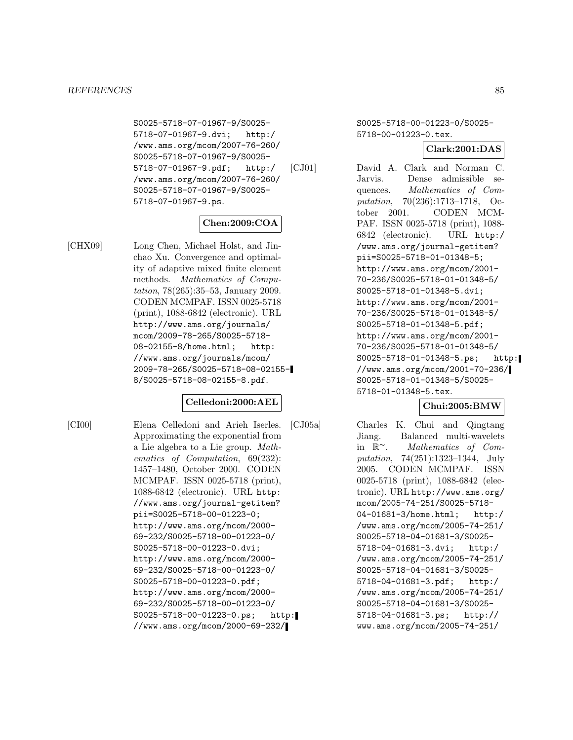S0025-5718-07-01967-9/S0025- 5718-07-01967-9.dvi; http:/ /www.ams.org/mcom/2007-76-260/ S0025-5718-07-01967-9/S0025- 5718-07-01967-9.pdf; http:/ /www.ams.org/mcom/2007-76-260/ S0025-5718-07-01967-9/S0025- 5718-07-01967-9.ps.

# **Chen:2009:COA**

[CHX09] Long Chen, Michael Holst, and Jinchao Xu. Convergence and optimality of adaptive mixed finite element methods. Mathematics of Computation, 78(265):35–53, January 2009. CODEN MCMPAF. ISSN 0025-5718 (print), 1088-6842 (electronic). URL http://www.ams.org/journals/ mcom/2009-78-265/S0025-5718- 08-02155-8/home.html; http: //www.ams.org/journals/mcom/ 2009-78-265/S0025-5718-08-02155- 8/S0025-5718-08-02155-8.pdf.

# **Celledoni:2000:AEL**

[CI00] Elena Celledoni and Arieh Iserles. Approximating the exponential from a Lie algebra to a Lie group. Mathematics of Computation, 69(232): 1457–1480, October 2000. CODEN MCMPAF. ISSN 0025-5718 (print), 1088-6842 (electronic). URL http: //www.ams.org/journal-getitem? pii=S0025-5718-00-01223-0; http://www.ams.org/mcom/2000- 69-232/S0025-5718-00-01223-0/ S0025-5718-00-01223-0.dvi; http://www.ams.org/mcom/2000- 69-232/S0025-5718-00-01223-0/ S0025-5718-00-01223-0.pdf; http://www.ams.org/mcom/2000- 69-232/S0025-5718-00-01223-0/ S0025-5718-00-01223-0.ps; http: //www.ams.org/mcom/2000-69-232/

S0025-5718-00-01223-0/S0025- 5718-00-01223-0.tex.

**Clark:2001:DAS**

[CJ01] David A. Clark and Norman C. Jarvis. Dense admissible sequences. Mathematics of Computation, 70(236):1713–1718, October 2001. CODEN MCM-PAF. ISSN 0025-5718 (print), 1088- 6842 (electronic). URL http:/ /www.ams.org/journal-getitem? pii=S0025-5718-01-01348-5; http://www.ams.org/mcom/2001- 70-236/S0025-5718-01-01348-5/ S0025-5718-01-01348-5.dvi; http://www.ams.org/mcom/2001- 70-236/S0025-5718-01-01348-5/ S0025-5718-01-01348-5.pdf; http://www.ams.org/mcom/2001- 70-236/S0025-5718-01-01348-5/ S0025-5718-01-01348-5.ps; http: //www.ams.org/mcom/2001-70-236/ S0025-5718-01-01348-5/S0025- 5718-01-01348-5.tex.

# **Chui:2005:BMW**

[CJ05a] Charles K. Chui and Qingtang Jiang. Balanced multi-wavelets in  $\mathbb{R}^{\sim}$ . Mathematics of Com-<br>putation, 74(251):1323–1344, July 2005. CODEN MCMPAF. ISSN 0025-5718 (print), 1088-6842 (electronic). URL http://www.ams.org/ mcom/2005-74-251/S0025-5718- 04-01681-3/home.html; http:/ /www.ams.org/mcom/2005-74-251/ S0025-5718-04-01681-3/S0025- 5718-04-01681-3.dvi; http:/ /www.ams.org/mcom/2005-74-251/ S0025-5718-04-01681-3/S0025- 5718-04-01681-3.pdf; http:/ /www.ams.org/mcom/2005-74-251/ S0025-5718-04-01681-3/S0025- 5718-04-01681-3.ps; http:// www.ams.org/mcom/2005-74-251/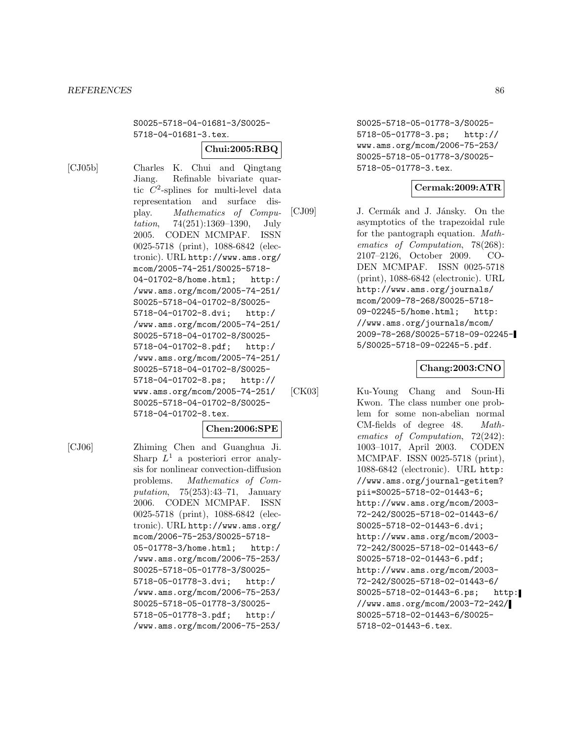S0025-5718-04-01681-3/S0025- 5718-04-01681-3.tex.

# **Chui:2005:RBQ**

[CJ05b] Charles K. Chui and Qingtang

Jiang. Refinable bivariate quartic  $C^2$ -splines for multi-level data representation and surface display. Mathematics of Computation, 74(251):1369–1390, July 2005. CODEN MCMPAF. ISSN 0025-5718 (print), 1088-6842 (electronic). URL http://www.ams.org/ mcom/2005-74-251/S0025-5718- 04-01702-8/home.html; http:/ /www.ams.org/mcom/2005-74-251/ S0025-5718-04-01702-8/S0025- 5718-04-01702-8.dvi; http:/ /www.ams.org/mcom/2005-74-251/ S0025-5718-04-01702-8/S0025- 5718-04-01702-8.pdf; http:/ /www.ams.org/mcom/2005-74-251/ S0025-5718-04-01702-8/S0025- 5718-04-01702-8.ps; http:// www.ams.org/mcom/2005-74-251/ S0025-5718-04-01702-8/S0025- 5718-04-01702-8.tex.

# **Chen:2006:SPE**

[CJ06] Zhiming Chen and Guanghua Ji. Sharp  $L^1$  a posteriori error analysis for nonlinear convection-diffusion problems. Mathematics of Computation, 75(253):43–71, January 2006. CODEN MCMPAF. ISSN 0025-5718 (print), 1088-6842 (electronic). URL http://www.ams.org/ mcom/2006-75-253/S0025-5718- 05-01778-3/home.html; http:/ /www.ams.org/mcom/2006-75-253/ S0025-5718-05-01778-3/S0025- 5718-05-01778-3.dvi; http:/ /www.ams.org/mcom/2006-75-253/ S0025-5718-05-01778-3/S0025- 5718-05-01778-3.pdf; http:/ /www.ams.org/mcom/2006-75-253/

S0025-5718-05-01778-3/S0025- 5718-05-01778-3.ps; http:// www.ams.org/mcom/2006-75-253/ S0025-5718-05-01778-3/S0025- 5718-05-01778-3.tex.

# **Cermak:2009:ATR**

[CJ09] J. Cermák and J. Jánsky. On the asymptotics of the trapezoidal rule for the pantograph equation. Mathematics of Computation, 78(268): 2107–2126, October 2009. CO-DEN MCMPAF. ISSN 0025-5718 (print), 1088-6842 (electronic). URL http://www.ams.org/journals/ mcom/2009-78-268/S0025-5718- 09-02245-5/home.html; http: //www.ams.org/journals/mcom/ 2009-78-268/S0025-5718-09-02245- 5/S0025-5718-09-02245-5.pdf.

# **Chang:2003:CNO**

[CK03] Ku-Young Chang and Soun-Hi Kwon. The class number one problem for some non-abelian normal CM-fields of degree 48. Mathematics of Computation, 72(242): 1003–1017, April 2003. CODEN MCMPAF. ISSN 0025-5718 (print), 1088-6842 (electronic). URL http: //www.ams.org/journal-getitem? pii=S0025-5718-02-01443-6; http://www.ams.org/mcom/2003- 72-242/S0025-5718-02-01443-6/ S0025-5718-02-01443-6.dvi; http://www.ams.org/mcom/2003- 72-242/S0025-5718-02-01443-6/ S0025-5718-02-01443-6.pdf; http://www.ams.org/mcom/2003- 72-242/S0025-5718-02-01443-6/ S0025-5718-02-01443-6.ps; http: //www.ams.org/mcom/2003-72-242/ S0025-5718-02-01443-6/S0025- 5718-02-01443-6.tex.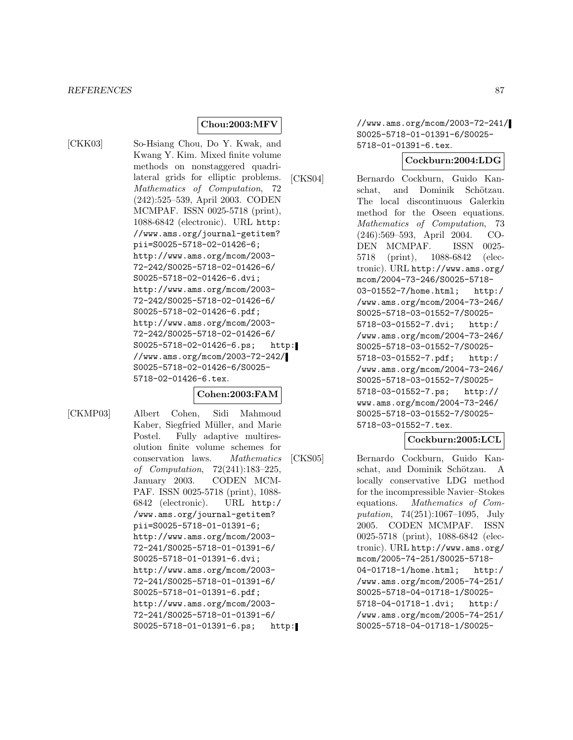# **Chou:2003:MFV**

[CKK03] So-Hsiang Chou, Do Y. Kwak, and Kwang Y. Kim. Mixed finite volume methods on nonstaggered quadrilateral grids for elliptic problems. Mathematics of Computation, 72 (242):525–539, April 2003. CODEN MCMPAF. ISSN 0025-5718 (print), 1088-6842 (electronic). URL http: //www.ams.org/journal-getitem? pii=S0025-5718-02-01426-6; http://www.ams.org/mcom/2003- 72-242/S0025-5718-02-01426-6/ S0025-5718-02-01426-6.dvi; http://www.ams.org/mcom/2003- 72-242/S0025-5718-02-01426-6/ S0025-5718-02-01426-6.pdf; http://www.ams.org/mcom/2003- 72-242/S0025-5718-02-01426-6/ S0025-5718-02-01426-6.ps; http: //www.ams.org/mcom/2003-72-242/ S0025-5718-02-01426-6/S0025- 5718-02-01426-6.tex.

#### **Cohen:2003:FAM**

[CKMP03] Albert Cohen, Sidi Mahmoud Kaber, Siegfried Müller, and Marie Postel. Fully adaptive multiresolution finite volume schemes for conservation laws. Mathematics of Computation, 72(241):183–225, January 2003. CODEN MCM-PAF. ISSN 0025-5718 (print), 1088- 6842 (electronic). URL http:/ /www.ams.org/journal-getitem? pii=S0025-5718-01-01391-6; http://www.ams.org/mcom/2003- 72-241/S0025-5718-01-01391-6/ S0025-5718-01-01391-6.dvi; http://www.ams.org/mcom/2003- 72-241/S0025-5718-01-01391-6/ S0025-5718-01-01391-6.pdf; http://www.ams.org/mcom/2003- 72-241/S0025-5718-01-01391-6/ S0025-5718-01-01391-6.ps; http: //www.ams.org/mcom/2003-72-241/ S0025-5718-01-01391-6/S0025- 5718-01-01391-6.tex.

### **Cockburn:2004:LDG**

[CKS04] Bernardo Cockburn, Guido Kanschat, and Dominik Schötzau. The local discontinuous Galerkin method for the Oseen equations. Mathematics of Computation, 73 (246):569–593, April 2004. CO-DEN MCMPAF. ISSN 0025- 5718 (print), 1088-6842 (electronic). URL http://www.ams.org/ mcom/2004-73-246/S0025-5718- 03-01552-7/home.html; http:/ /www.ams.org/mcom/2004-73-246/ S0025-5718-03-01552-7/S0025- 5718-03-01552-7.dvi; http:/ /www.ams.org/mcom/2004-73-246/ S0025-5718-03-01552-7/S0025- 5718-03-01552-7.pdf; http:/ /www.ams.org/mcom/2004-73-246/ S0025-5718-03-01552-7/S0025- 5718-03-01552-7.ps; http:// www.ams.org/mcom/2004-73-246/ S0025-5718-03-01552-7/S0025- 5718-03-01552-7.tex.

# **Cockburn:2005:LCL**

[CKS05] Bernardo Cockburn, Guido Kanschat, and Dominik Schötzau. A locally conservative LDG method for the incompressible Navier–Stokes equations. Mathematics of Computation, 74(251):1067–1095, July 2005. CODEN MCMPAF. ISSN 0025-5718 (print), 1088-6842 (electronic). URL http://www.ams.org/ mcom/2005-74-251/S0025-5718- 04-01718-1/home.html; http:/ /www.ams.org/mcom/2005-74-251/ S0025-5718-04-01718-1/S0025- 5718-04-01718-1.dvi; http:/ /www.ams.org/mcom/2005-74-251/ S0025-5718-04-01718-1/S0025-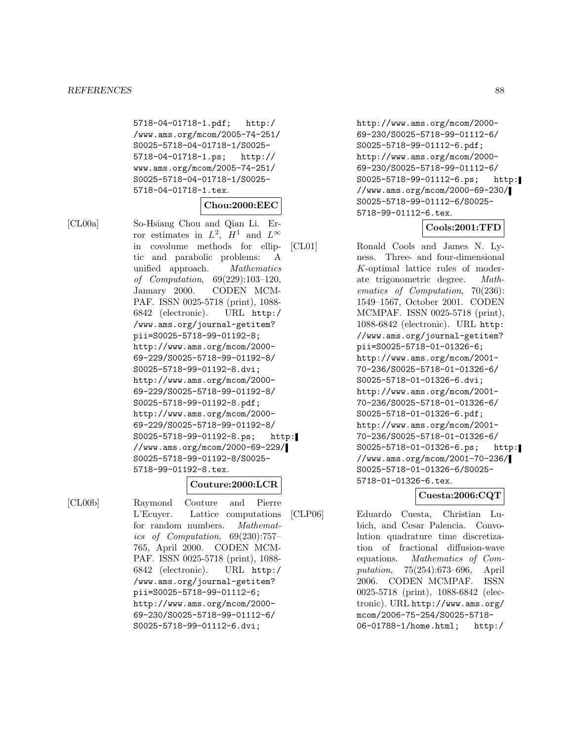5718-04-01718-1.pdf; http:/ /www.ams.org/mcom/2005-74-251/ S0025-5718-04-01718-1/S0025- 5718-04-01718-1.ps; http:// www.ams.org/mcom/2005-74-251/ S0025-5718-04-01718-1/S0025- 5718-04-01718-1.tex.

# **Chou:2000:EEC**

[CL00a] So-Hsiang Chou and Qian Li. Error estimates in  $L^2$ ,  $H^1$  and  $L^{\infty}$ in covolume methods for elliptic and parabolic problems: A unified approach. Mathematics of Computation, 69(229):103–120, January 2000. CODEN MCM-PAF. ISSN 0025-5718 (print), 1088- 6842 (electronic). URL http:/ /www.ams.org/journal-getitem? pii=S0025-5718-99-01192-8; http://www.ams.org/mcom/2000- 69-229/S0025-5718-99-01192-8/ S0025-5718-99-01192-8.dvi; http://www.ams.org/mcom/2000- 69-229/S0025-5718-99-01192-8/ S0025-5718-99-01192-8.pdf; http://www.ams.org/mcom/2000- 69-229/S0025-5718-99-01192-8/ S0025-5718-99-01192-8.ps; http: //www.ams.org/mcom/2000-69-229/ S0025-5718-99-01192-8/S0025- 5718-99-01192-8.tex.

### **Couture:2000:LCR**

[CL00b] Raymond Couture and Pierre L'Ecuyer. Lattice computations for random numbers. Mathematics of Computation, 69(230):757– 765, April 2000. CODEN MCM-PAF. ISSN 0025-5718 (print), 1088- 6842 (electronic). URL http:/ /www.ams.org/journal-getitem? pii=S0025-5718-99-01112-6; http://www.ams.org/mcom/2000- 69-230/S0025-5718-99-01112-6/ S0025-5718-99-01112-6.dvi;

http://www.ams.org/mcom/2000- 69-230/S0025-5718-99-01112-6/ S0025-5718-99-01112-6.pdf; http://www.ams.org/mcom/2000- 69-230/S0025-5718-99-01112-6/ S0025-5718-99-01112-6.ps; http: //www.ams.org/mcom/2000-69-230/ S0025-5718-99-01112-6/S0025- 5718-99-01112-6.tex.

# **Cools:2001:TFD**

[CL01] Ronald Cools and James N. Lyness. Three- and four-dimensional K-optimal lattice rules of moderate trigonometric degree. Mathematics of Computation, 70(236): 1549–1567, October 2001. CODEN MCMPAF. ISSN 0025-5718 (print), 1088-6842 (electronic). URL http: //www.ams.org/journal-getitem? pii=S0025-5718-01-01326-6; http://www.ams.org/mcom/2001- 70-236/S0025-5718-01-01326-6/ S0025-5718-01-01326-6.dvi; http://www.ams.org/mcom/2001- 70-236/S0025-5718-01-01326-6/ S0025-5718-01-01326-6.pdf; http://www.ams.org/mcom/2001- 70-236/S0025-5718-01-01326-6/ S0025-5718-01-01326-6.ps; http: //www.ams.org/mcom/2001-70-236/ S0025-5718-01-01326-6/S0025- 5718-01-01326-6.tex.

# **Cuesta:2006:CQT**

[CLP06] Eduardo Cuesta, Christian Lubich, and Cesar Palencia. Convolution quadrature time discretization of fractional diffusion-wave equations. Mathematics of Computation, 75(254):673–696, April 2006. CODEN MCMPAF. ISSN 0025-5718 (print), 1088-6842 (electronic). URL http://www.ams.org/ mcom/2006-75-254/S0025-5718- 06-01788-1/home.html; http:/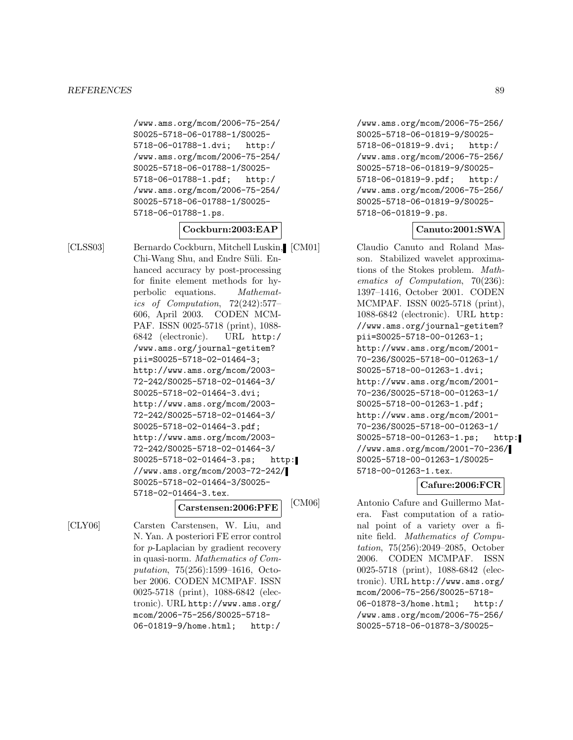/www.ams.org/mcom/2006-75-254/ S0025-5718-06-01788-1/S0025- 5718-06-01788-1.dvi; http:/ /www.ams.org/mcom/2006-75-254/ S0025-5718-06-01788-1/S0025- 5718-06-01788-1.pdf; http:/ /www.ams.org/mcom/2006-75-254/ S0025-5718-06-01788-1/S0025- 5718-06-01788-1.ps.

# **Cockburn:2003:EAP**

[CLSS03] Bernardo Cockburn, Mitchell Luskin, Chi-Wang Shu, and Endre Süli. Enhanced accuracy by post-processing for finite element methods for hyperbolic equations. Mathematics of Computation, 72(242):577– 606, April 2003. CODEN MCM-PAF. ISSN 0025-5718 (print), 1088- 6842 (electronic). URL http:/ /www.ams.org/journal-getitem? pii=S0025-5718-02-01464-3; http://www.ams.org/mcom/2003- 72-242/S0025-5718-02-01464-3/ S0025-5718-02-01464-3.dvi; http://www.ams.org/mcom/2003- 72-242/S0025-5718-02-01464-3/ S0025-5718-02-01464-3.pdf; http://www.ams.org/mcom/2003- 72-242/S0025-5718-02-01464-3/ S0025-5718-02-01464-3.ps; http: //www.ams.org/mcom/2003-72-242/ S0025-5718-02-01464-3/S0025- 5718-02-01464-3.tex.

# **Carstensen:2006:PFE**

[CLY06] Carsten Carstensen, W. Liu, and N. Yan. A posteriori FE error control for p-Laplacian by gradient recovery in quasi-norm. Mathematics of Computation, 75(256):1599–1616, October 2006. CODEN MCMPAF. ISSN 0025-5718 (print), 1088-6842 (electronic). URL http://www.ams.org/ mcom/2006-75-256/S0025-5718- 06-01819-9/home.html; http:/

/www.ams.org/mcom/2006-75-256/ S0025-5718-06-01819-9/S0025- 5718-06-01819-9.dvi; http:/ /www.ams.org/mcom/2006-75-256/ S0025-5718-06-01819-9/S0025- 5718-06-01819-9.pdf; http:/ /www.ams.org/mcom/2006-75-256/ S0025-5718-06-01819-9/S0025- 5718-06-01819-9.ps.

# **Canuto:2001:SWA**

Claudio Canuto and Roland Masson. Stabilized wavelet approximations of the Stokes problem. Mathematics of Computation, 70(236): 1397–1416, October 2001. CODEN MCMPAF. ISSN 0025-5718 (print), 1088-6842 (electronic). URL http: //www.ams.org/journal-getitem? pii=S0025-5718-00-01263-1; http://www.ams.org/mcom/2001- 70-236/S0025-5718-00-01263-1/ S0025-5718-00-01263-1.dvi; http://www.ams.org/mcom/2001- 70-236/S0025-5718-00-01263-1/ S0025-5718-00-01263-1.pdf; http://www.ams.org/mcom/2001- 70-236/S0025-5718-00-01263-1/ S0025-5718-00-01263-1.ps; http: //www.ams.org/mcom/2001-70-236/ S0025-5718-00-01263-1/S0025- 5718-00-01263-1.tex.

# **Cafure:2006:FCR**

[CM06] Antonio Cafure and Guillermo Matera. Fast computation of a rational point of a variety over a finite field. Mathematics of Computation, 75(256):2049–2085, October 2006. CODEN MCMPAF. ISSN 0025-5718 (print), 1088-6842 (electronic). URL http://www.ams.org/ mcom/2006-75-256/S0025-5718- 06-01878-3/home.html; http:/ /www.ams.org/mcom/2006-75-256/ S0025-5718-06-01878-3/S0025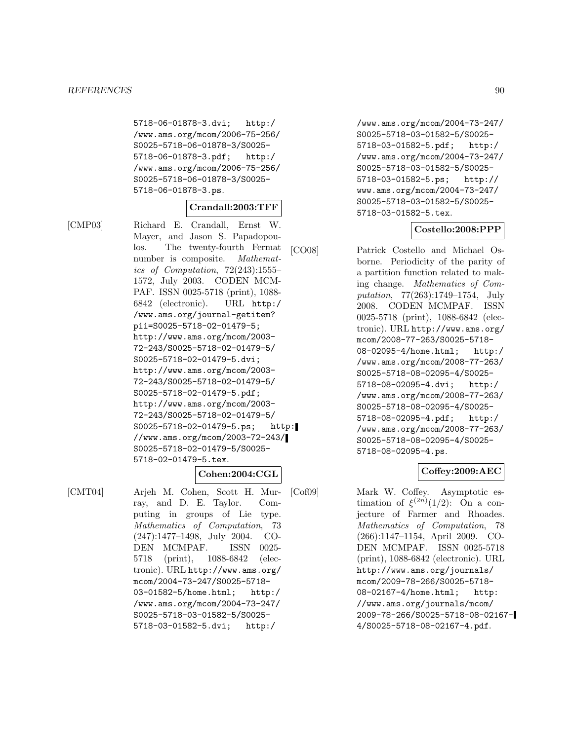5718-06-01878-3.dvi; http:/ /www.ams.org/mcom/2006-75-256/ S0025-5718-06-01878-3/S0025- 5718-06-01878-3.pdf; http:/ /www.ams.org/mcom/2006-75-256/ S0025-5718-06-01878-3/S0025- 5718-06-01878-3.ps.

### **Crandall:2003:TFF**

[CMP03] Richard E. Crandall, Ernst W. Mayer, and Jason S. Papadopoulos. The twenty-fourth Fermat number is composite. Mathematics of Computation,  $72(243):1555-$ 1572, July 2003. CODEN MCM-PAF. ISSN 0025-5718 (print), 1088- 6842 (electronic). URL http:/ /www.ams.org/journal-getitem? pii=S0025-5718-02-01479-5; http://www.ams.org/mcom/2003- 72-243/S0025-5718-02-01479-5/ S0025-5718-02-01479-5.dvi; http://www.ams.org/mcom/2003- 72-243/S0025-5718-02-01479-5/ S0025-5718-02-01479-5.pdf; http://www.ams.org/mcom/2003- 72-243/S0025-5718-02-01479-5/ S0025-5718-02-01479-5.ps; http: //www.ams.org/mcom/2003-72-243/ S0025-5718-02-01479-5/S0025- 5718-02-01479-5.tex.

[CMT04] Arjeh M. Cohen, Scott H. Murray, and D. E. Taylor. Computing in groups of Lie type. Mathematics of Computation, 73 (247):1477–1498, July 2004. CO-DEN MCMPAF. ISSN 0025- 5718 (print), 1088-6842 (electronic). URL http://www.ams.org/ mcom/2004-73-247/S0025-5718- 03-01582-5/home.html; http:/ /www.ams.org/mcom/2004-73-247/ S0025-5718-03-01582-5/S0025- 5718-03-01582-5.dvi; http:/

**Cohen:2004:CGL**

/www.ams.org/mcom/2004-73-247/ S0025-5718-03-01582-5/S0025- 5718-03-01582-5.pdf; http:/ /www.ams.org/mcom/2004-73-247/ S0025-5718-03-01582-5/S0025- 5718-03-01582-5.ps; http:// www.ams.org/mcom/2004-73-247/ S0025-5718-03-01582-5/S0025- 5718-03-01582-5.tex.

# **Costello:2008:PPP**

[CO08] Patrick Costello and Michael Osborne. Periodicity of the parity of a partition function related to making change. Mathematics of Computation, 77(263):1749–1754, July 2008. CODEN MCMPAF. ISSN 0025-5718 (print), 1088-6842 (electronic). URL http://www.ams.org/ mcom/2008-77-263/S0025-5718- 08-02095-4/home.html; http:/

/www.ams.org/mcom/2008-77-263/ S0025-5718-08-02095-4/S0025- 5718-08-02095-4.dvi; http:/ /www.ams.org/mcom/2008-77-263/ S0025-5718-08-02095-4/S0025- 5718-08-02095-4.pdf; http:/ /www.ams.org/mcom/2008-77-263/ S0025-5718-08-02095-4/S0025- 5718-08-02095-4.ps.

# **Coffey:2009:AEC**

[Cof09] Mark W. Coffey. Asymptotic estimation of  $\xi^{(2n)}(1/2)$ : On a conjecture of Farmer and Rhoades. Mathematics of Computation, 78 (266):1147–1154, April 2009. CO-DEN MCMPAF. ISSN 0025-5718 (print), 1088-6842 (electronic). URL http://www.ams.org/journals/ mcom/2009-78-266/S0025-5718- 08-02167-4/home.html; http: //www.ams.org/journals/mcom/ 2009-78-266/S0025-5718-08-02167- 4/S0025-5718-08-02167-4.pdf.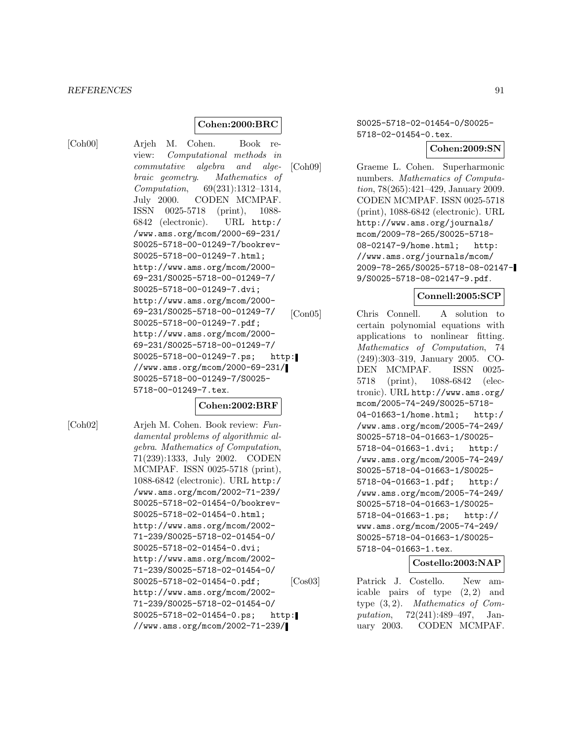# **Cohen:2000:BRC**

[Coh00] Arjeh M. Cohen. Book review: Computational methods in commutative algebra and algebraic geometry. Mathematics of Computation, 69(231):1312–1314, July 2000. CODEN MCMPAF. ISSN 0025-5718 (print), 1088- 6842 (electronic). URL http:/ /www.ams.org/mcom/2000-69-231/ S0025-5718-00-01249-7/bookrev-S0025-5718-00-01249-7.html; http://www.ams.org/mcom/2000- 69-231/S0025-5718-00-01249-7/ S0025-5718-00-01249-7.dvi; http://www.ams.org/mcom/2000- 69-231/S0025-5718-00-01249-7/ S0025-5718-00-01249-7.pdf; http://www.ams.org/mcom/2000- 69-231/S0025-5718-00-01249-7/ S0025-5718-00-01249-7.ps; http: //www.ams.org/mcom/2000-69-231/ S0025-5718-00-01249-7/S0025- 5718-00-01249-7.tex.

### **Cohen:2002:BRF**

[Coh02] Arjeh M. Cohen. Book review: Fundamental problems of algorithmic algebra. Mathematics of Computation, 71(239):1333, July 2002. CODEN MCMPAF. ISSN 0025-5718 (print), 1088-6842 (electronic). URL http:/ /www.ams.org/mcom/2002-71-239/ S0025-5718-02-01454-0/bookrev-S0025-5718-02-01454-0.html; http://www.ams.org/mcom/2002- 71-239/S0025-5718-02-01454-0/ S0025-5718-02-01454-0.dvi; http://www.ams.org/mcom/2002- 71-239/S0025-5718-02-01454-0/ S0025-5718-02-01454-0.pdf; http://www.ams.org/mcom/2002- 71-239/S0025-5718-02-01454-0/ S0025-5718-02-01454-0.ps; http: //www.ams.org/mcom/2002-71-239/

S0025-5718-02-01454-0/S0025- 5718-02-01454-0.tex.

#### **Cohen:2009:SN**

[Coh09] Graeme L. Cohen. Superharmonic numbers. Mathematics of Computation, 78(265):421–429, January 2009. CODEN MCMPAF. ISSN 0025-5718 (print), 1088-6842 (electronic). URL http://www.ams.org/journals/ mcom/2009-78-265/S0025-5718- 08-02147-9/home.html; http: //www.ams.org/journals/mcom/ 2009-78-265/S0025-5718-08-02147- 9/S0025-5718-08-02147-9.pdf.

# **Connell:2005:SCP**

[Con05] Chris Connell. A solution to certain polynomial equations with applications to nonlinear fitting. Mathematics of Computation, 74 (249):303–319, January 2005. CO-DEN MCMPAF. ISSN 0025- 5718 (print), 1088-6842 (electronic). URL http://www.ams.org/ mcom/2005-74-249/S0025-5718- 04-01663-1/home.html; http:/ /www.ams.org/mcom/2005-74-249/ S0025-5718-04-01663-1/S0025- 5718-04-01663-1.dvi; http:/ /www.ams.org/mcom/2005-74-249/ S0025-5718-04-01663-1/S0025- 5718-04-01663-1.pdf; http:/ /www.ams.org/mcom/2005-74-249/ S0025-5718-04-01663-1/S0025- 5718-04-01663-1.ps; http:// www.ams.org/mcom/2005-74-249/ S0025-5718-04-01663-1/S0025- 5718-04-01663-1.tex.

# **Costello:2003:NAP**

[Cos03] Patrick J. Costello. New amicable pairs of type  $(2, 2)$  and type (3, 2). Mathematics of Computation, 72(241):489–497, January 2003. CODEN MCMPAF.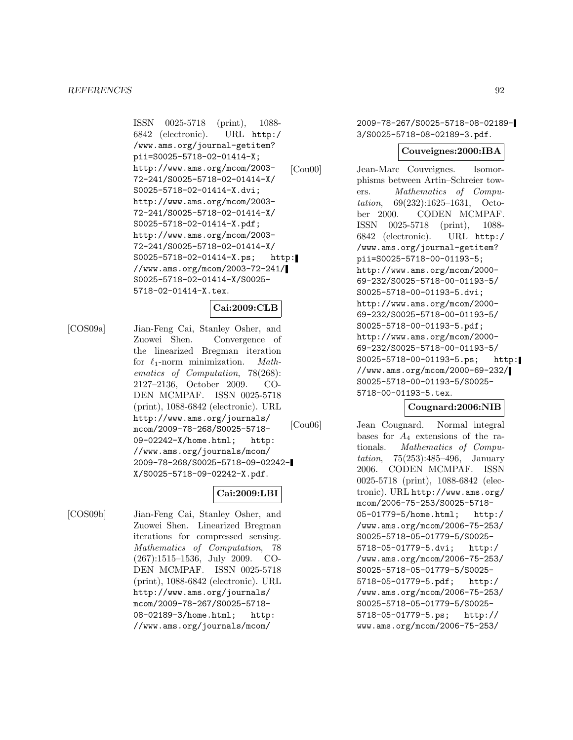ISSN 0025-5718 (print), 1088- 6842 (electronic). URL http:/ /www.ams.org/journal-getitem? pii=S0025-5718-02-01414-X; http://www.ams.org/mcom/2003- 72-241/S0025-5718-02-01414-X/ S0025-5718-02-01414-X.dvi; http://www.ams.org/mcom/2003- 72-241/S0025-5718-02-01414-X/ S0025-5718-02-01414-X.pdf; http://www.ams.org/mcom/2003- 72-241/S0025-5718-02-01414-X/ S0025-5718-02-01414-X.ps; http: //www.ams.org/mcom/2003-72-241/ S0025-5718-02-01414-X/S0025- 5718-02-01414-X.tex.

# **Cai:2009:CLB**

[COS09a] Jian-Feng Cai, Stanley Osher, and Zuowei Shen. Convergence of the linearized Bregman iteration for  $\ell_1$ -norm minimization. *Math*ematics of Computation, 78(268): 2127–2136, October 2009. CO-DEN MCMPAF. ISSN 0025-5718 (print), 1088-6842 (electronic). URL http://www.ams.org/journals/ mcom/2009-78-268/S0025-5718- 09-02242-X/home.html; http: //www.ams.org/journals/mcom/ 2009-78-268/S0025-5718-09-02242- X/S0025-5718-09-02242-X.pdf.

# **Cai:2009:LBI**

[COS09b] Jian-Feng Cai, Stanley Osher, and Zuowei Shen. Linearized Bregman iterations for compressed sensing. Mathematics of Computation, 78 (267):1515–1536, July 2009. CO-DEN MCMPAF. ISSN 0025-5718 (print), 1088-6842 (electronic). URL http://www.ams.org/journals/ mcom/2009-78-267/S0025-5718- 08-02189-3/home.html; http: //www.ams.org/journals/mcom/

2009-78-267/S0025-5718-08-02189- 3/S0025-5718-08-02189-3.pdf.

### **Couveignes:2000:IBA**

[Cou00] Jean-Marc Couveignes. Isomorphisms between Artin–Schreier towers. Mathematics of Computation, 69(232):1625–1631, October 2000. CODEN MCMPAF. ISSN 0025-5718 (print), 1088- 6842 (electronic). URL http:/ /www.ams.org/journal-getitem? pii=S0025-5718-00-01193-5; http://www.ams.org/mcom/2000- 69-232/S0025-5718-00-01193-5/ S0025-5718-00-01193-5.dvi; http://www.ams.org/mcom/2000- 69-232/S0025-5718-00-01193-5/ S0025-5718-00-01193-5.pdf; http://www.ams.org/mcom/2000- 69-232/S0025-5718-00-01193-5/ S0025-5718-00-01193-5.ps; http: //www.ams.org/mcom/2000-69-232/ S0025-5718-00-01193-5/S0025- 5718-00-01193-5.tex.

# **Cougnard:2006:NIB**

[Cou06] Jean Cougnard. Normal integral bases for  $A_4$  extensions of the rationals. Mathematics of Computation, 75(253):485–496, January 2006. CODEN MCMPAF. ISSN 0025-5718 (print), 1088-6842 (electronic). URL http://www.ams.org/ mcom/2006-75-253/S0025-5718- 05-01779-5/home.html; http:/ /www.ams.org/mcom/2006-75-253/ S0025-5718-05-01779-5/S0025- 5718-05-01779-5.dvi; http:/ /www.ams.org/mcom/2006-75-253/ S0025-5718-05-01779-5/S0025- 5718-05-01779-5.pdf; http:/ /www.ams.org/mcom/2006-75-253/ S0025-5718-05-01779-5/S0025- 5718-05-01779-5.ps; http:// www.ams.org/mcom/2006-75-253/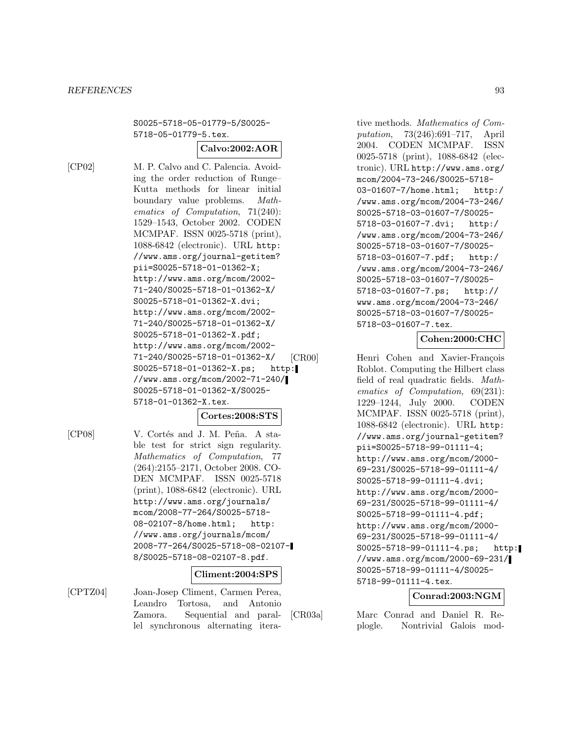S0025-5718-05-01779-5/S0025- 5718-05-01779-5.tex.

# **Calvo:2002:AOR**

[CP02] M. P. Calvo and C. Palencia. Avoiding the order reduction of Runge– Kutta methods for linear initial boundary value problems. Mathematics of Computation, 71(240): 1529–1543, October 2002. CODEN MCMPAF. ISSN 0025-5718 (print), 1088-6842 (electronic). URL http: //www.ams.org/journal-getitem? pii=S0025-5718-01-01362-X; http://www.ams.org/mcom/2002- 71-240/S0025-5718-01-01362-X/ S0025-5718-01-01362-X.dvi; http://www.ams.org/mcom/2002- 71-240/S0025-5718-01-01362-X/ S0025-5718-01-01362-X.pdf; http://www.ams.org/mcom/2002- 71-240/S0025-5718-01-01362-X/ S0025-5718-01-01362-X.ps; http: //www.ams.org/mcom/2002-71-240/ S0025-5718-01-01362-X/S0025- 5718-01-01362-X.tex.

# **Cortes:2008:STS**

[CP08] V. Cortés and J. M. Peña. A stable test for strict sign regularity. Mathematics of Computation, 77 (264):2155–2171, October 2008. CO-DEN MCMPAF. ISSN 0025-5718 (print), 1088-6842 (electronic). URL http://www.ams.org/journals/ mcom/2008-77-264/S0025-5718- 08-02107-8/home.html; http: //www.ams.org/journals/mcom/ 2008-77-264/S0025-5718-08-02107- 8/S0025-5718-08-02107-8.pdf.

# **Climent:2004:SPS**

[CPTZ04] Joan-Josep Climent, Carmen Perea, Leandro Tortosa, and Antonio Zamora. Sequential and parallel synchronous alternating iterative methods. Mathematics of Computation, 73(246):691–717, April 2004. CODEN MCMPAF. ISSN 0025-5718 (print), 1088-6842 (electronic). URL http://www.ams.org/ mcom/2004-73-246/S0025-5718- 03-01607-7/home.html; http:/ /www.ams.org/mcom/2004-73-246/ S0025-5718-03-01607-7/S0025- 5718-03-01607-7.dvi; http:/ /www.ams.org/mcom/2004-73-246/ S0025-5718-03-01607-7/S0025- 5718-03-01607-7.pdf; http:/ /www.ams.org/mcom/2004-73-246/ S0025-5718-03-01607-7/S0025- 5718-03-01607-7.ps; http:// www.ams.org/mcom/2004-73-246/ S0025-5718-03-01607-7/S0025- 5718-03-01607-7.tex.

# **Cohen:2000:CHC**

[CR00] Henri Cohen and Xavier-François Roblot. Computing the Hilbert class field of real quadratic fields. Mathematics of Computation, 69(231): 1229–1244, July 2000. CODEN MCMPAF. ISSN 0025-5718 (print), 1088-6842 (electronic). URL http: //www.ams.org/journal-getitem? pii=S0025-5718-99-01111-4; http://www.ams.org/mcom/2000- 69-231/S0025-5718-99-01111-4/ S0025-5718-99-01111-4.dvi; http://www.ams.org/mcom/2000- 69-231/S0025-5718-99-01111-4/ S0025-5718-99-01111-4.pdf; http://www.ams.org/mcom/2000- 69-231/S0025-5718-99-01111-4/ S0025-5718-99-01111-4.ps; http: //www.ams.org/mcom/2000-69-231/ S0025-5718-99-01111-4/S0025- 5718-99-01111-4.tex.

# **Conrad:2003:NGM**

[CR03a] Marc Conrad and Daniel R. Replogle. Nontrivial Galois mod-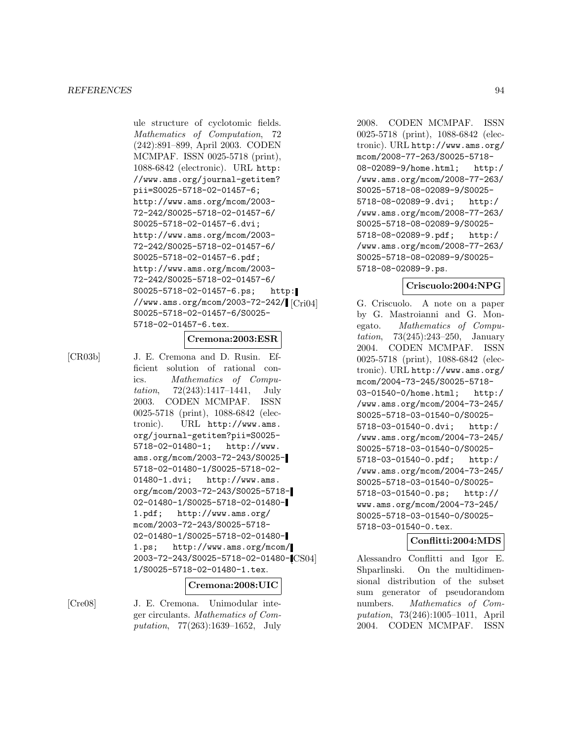ule structure of cyclotomic fields. Mathematics of Computation, 72 (242):891–899, April 2003. CODEN MCMPAF. ISSN 0025-5718 (print), 1088-6842 (electronic). URL http: //www.ams.org/journal-getitem? pii=S0025-5718-02-01457-6; http://www.ams.org/mcom/2003- 72-242/S0025-5718-02-01457-6/ S0025-5718-02-01457-6.dvi; http://www.ams.org/mcom/2003- 72-242/S0025-5718-02-01457-6/ S0025-5718-02-01457-6.pdf; http://www.ams.org/mcom/2003- 72-242/S0025-5718-02-01457-6/ S0025-5718-02-01457-6.ps; http: //www.ams.org/mcom/2003-72-242/ S0025-5718-02-01457-6/S0025- 5718-02-01457-6.tex.

# **Cremona:2003:ESR**

[CR03b] J. E. Cremona and D. Rusin. Efficient solution of rational conics. Mathematics of Computation, 72(243):1417–1441, July 2003. CODEN MCMPAF. ISSN 0025-5718 (print), 1088-6842 (electronic). URL http://www.ams. org/journal-getitem?pii=S0025- 5718-02-01480-1; http://www. ams.org/mcom/2003-72-243/S0025- 5718-02-01480-1/S0025-5718-02- 01480-1.dvi; http://www.ams. org/mcom/2003-72-243/S0025-5718- 02-01480-1/S0025-5718-02-01480- 1.pdf; http://www.ams.org/ mcom/2003-72-243/S0025-5718- 02-01480-1/S0025-5718-02-01480- 1.ps; http://www.ams.org/mcom/ 2003-72-243/S0025-5718-02-01480- 1/S0025-5718-02-01480-1.tex.

# **Cremona:2008:UIC**

[Cre08] J. E. Cremona. Unimodular integer circulants. Mathematics of Computation, 77(263):1639–1652, July

2008. CODEN MCMPAF. ISSN 0025-5718 (print), 1088-6842 (electronic). URL http://www.ams.org/ mcom/2008-77-263/S0025-5718- 08-02089-9/home.html; http:/ /www.ams.org/mcom/2008-77-263/ S0025-5718-08-02089-9/S0025- 5718-08-02089-9.dvi; http:/ /www.ams.org/mcom/2008-77-263/ S0025-5718-08-02089-9/S0025- 5718-08-02089-9.pdf; http:/ /www.ams.org/mcom/2008-77-263/ S0025-5718-08-02089-9/S0025- 5718-08-02089-9.ps.

# **Criscuolo:2004:NPG**

G. Criscuolo. A note on a paper by G. Mastroianni and G. Monegato. Mathematics of Computation, 73(245):243–250, January 2004. CODEN MCMPAF. ISSN 0025-5718 (print), 1088-6842 (electronic). URL http://www.ams.org/ mcom/2004-73-245/S0025-5718- 03-01540-0/home.html; http:/ /www.ams.org/mcom/2004-73-245/ S0025-5718-03-01540-0/S0025- 5718-03-01540-0.dvi; http:/ /www.ams.org/mcom/2004-73-245/ S0025-5718-03-01540-0/S0025- 5718-03-01540-0.pdf; http:/ /www.ams.org/mcom/2004-73-245/ S0025-5718-03-01540-0/S0025- 5718-03-01540-0.ps; http:// www.ams.org/mcom/2004-73-245/ S0025-5718-03-01540-0/S0025- 5718-03-01540-0.tex.

# **Conflitti:2004:MDS**

Alessandro Conflitti and Igor E. Shparlinski. On the multidimensional distribution of the subset sum generator of pseudorandom numbers. *Mathematics of Com*putation, 73(246):1005–1011, April 2004. CODEN MCMPAF. ISSN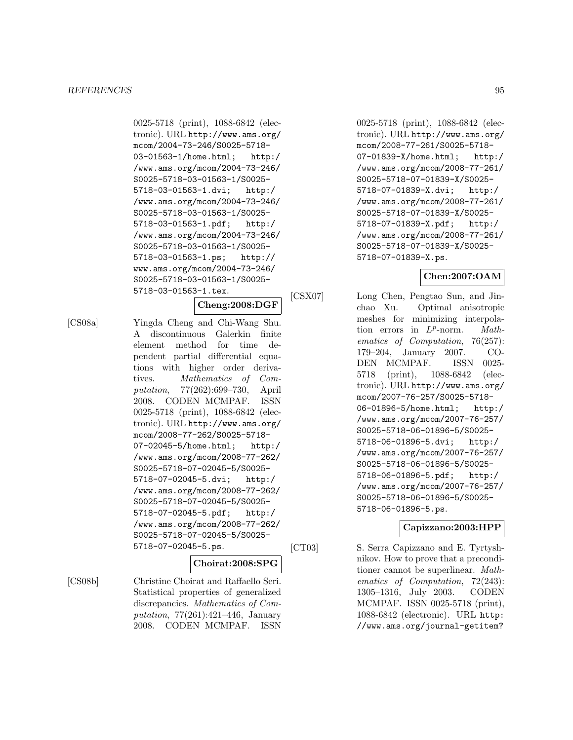#### *REFERENCES* 95

0025-5718 (print), 1088-6842 (electronic). URL http://www.ams.org/ mcom/2004-73-246/S0025-5718- 03-01563-1/home.html; http:/ /www.ams.org/mcom/2004-73-246/ S0025-5718-03-01563-1/S0025- 5718-03-01563-1.dvi; http:/ /www.ams.org/mcom/2004-73-246/ S0025-5718-03-01563-1/S0025- 5718-03-01563-1.pdf; http:/ /www.ams.org/mcom/2004-73-246/ S0025-5718-03-01563-1/S0025- 5718-03-01563-1.ps; http:// www.ams.org/mcom/2004-73-246/ S0025-5718-03-01563-1/S0025- 5718-03-01563-1.tex.

### **Cheng:2008:DGF**

[CS08a] Yingda Cheng and Chi-Wang Shu. A discontinuous Galerkin finite element method for time dependent partial differential equations with higher order derivatives. Mathematics of Computation, 77(262):699–730, April 2008. CODEN MCMPAF. ISSN 0025-5718 (print), 1088-6842 (electronic). URL http://www.ams.org/ mcom/2008-77-262/S0025-5718- 07-02045-5/home.html; http:/ /www.ams.org/mcom/2008-77-262/ S0025-5718-07-02045-5/S0025- 5718-07-02045-5.dvi; http:/ /www.ams.org/mcom/2008-77-262/ S0025-5718-07-02045-5/S0025- 5718-07-02045-5.pdf; http:/ /www.ams.org/mcom/2008-77-262/ S0025-5718-07-02045-5/S0025- 5718-07-02045-5.ps.

# **Choirat:2008:SPG**

[CS08b] Christine Choirat and Raffaello Seri. Statistical properties of generalized discrepancies. Mathematics of Computation, 77(261):421–446, January 2008. CODEN MCMPAF. ISSN

0025-5718 (print), 1088-6842 (electronic). URL http://www.ams.org/ mcom/2008-77-261/S0025-5718- 07-01839-X/home.html; http:/ /www.ams.org/mcom/2008-77-261/ S0025-5718-07-01839-X/S0025- 5718-07-01839-X.dvi; http:/ /www.ams.org/mcom/2008-77-261/ S0025-5718-07-01839-X/S0025- 5718-07-01839-X.pdf; http:/ /www.ams.org/mcom/2008-77-261/ S0025-5718-07-01839-X/S0025- 5718-07-01839-X.ps.

# **Chen:2007:OAM**

[CSX07] Long Chen, Pengtao Sun, and Jinchao Xu. Optimal anisotropic meshes for minimizing interpolation errors in  $L^p$ -norm. *Math*ematics of Computation, 76(257): 179–204, January 2007. CO-DEN MCMPAF. ISSN 0025- 5718 (print), 1088-6842 (electronic). URL http://www.ams.org/ mcom/2007-76-257/S0025-5718- 06-01896-5/home.html; http:/ /www.ams.org/mcom/2007-76-257/ S0025-5718-06-01896-5/S0025- 5718-06-01896-5.dvi; http:/ /www.ams.org/mcom/2007-76-257/ S0025-5718-06-01896-5/S0025- 5718-06-01896-5.pdf; http:/ /www.ams.org/mcom/2007-76-257/ S0025-5718-06-01896-5/S0025- 5718-06-01896-5.ps.

# **Capizzano:2003:HPP**

[CT03] S. Serra Capizzano and E. Tyrtyshnikov. How to prove that a preconditioner cannot be superlinear. Mathematics of Computation, 72(243): 1305–1316, July 2003. CODEN MCMPAF. ISSN 0025-5718 (print), 1088-6842 (electronic). URL http: //www.ams.org/journal-getitem?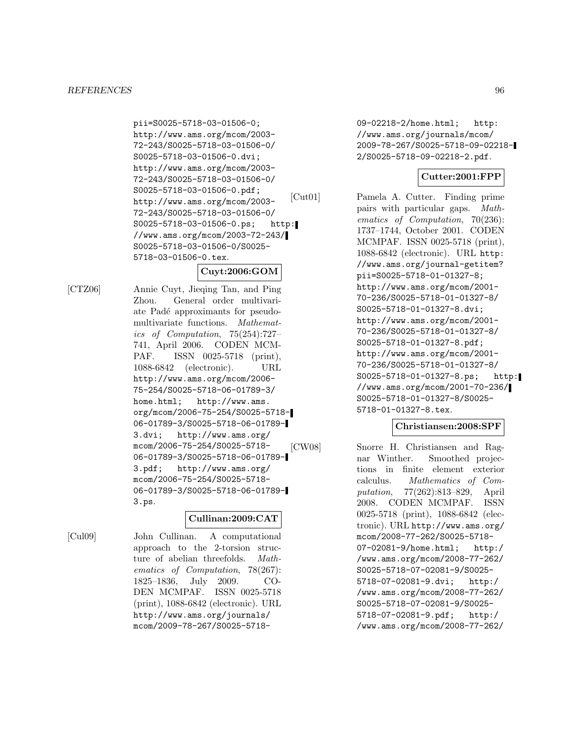#### *REFERENCES* 96

pii=S0025-5718-03-01506-0; http://www.ams.org/mcom/2003- 72-243/S0025-5718-03-01506-0/ S0025-5718-03-01506-0.dvi; http://www.ams.org/mcom/2003- 72-243/S0025-5718-03-01506-0/ S0025-5718-03-01506-0.pdf; http://www.ams.org/mcom/2003- 72-243/S0025-5718-03-01506-0/ S0025-5718-03-01506-0.ps; http: //www.ams.org/mcom/2003-72-243/ S0025-5718-03-01506-0/S0025- 5718-03-01506-0.tex.

# **Cuyt:2006:GOM**

[CTZ06] Annie Cuyt, Jieqing Tan, and Ping Zhou. General order multivariate Padé approximants for pseudomultivariate functions. Mathematics of Computation, 75(254):727– 741, April 2006. CODEN MCM-PAF. ISSN 0025-5718 (print), 1088-6842 (electronic). URL http://www.ams.org/mcom/2006- 75-254/S0025-5718-06-01789-3/ home.html; http://www.ams. org/mcom/2006-75-254/S0025-5718- 06-01789-3/S0025-5718-06-01789- 3.dvi; http://www.ams.org/ mcom/2006-75-254/S0025-5718- 06-01789-3/S0025-5718-06-01789- 3.pdf; http://www.ams.org/ mcom/2006-75-254/S0025-5718- 06-01789-3/S0025-5718-06-01789- 3.ps.

# **Cullinan:2009:CAT**

[Cul09] John Cullinan. A computational approach to the 2-torsion structure of abelian threefolds. Mathematics of Computation, 78(267): 1825–1836, July 2009. CO-DEN MCMPAF. ISSN 0025-5718 (print), 1088-6842 (electronic). URL http://www.ams.org/journals/ mcom/2009-78-267/S0025-571809-02218-2/home.html; http: //www.ams.org/journals/mcom/ 2009-78-267/S0025-5718-09-02218- 2/S0025-5718-09-02218-2.pdf.

# **Cutter:2001:FPP**

[Cut01] Pamela A. Cutter. Finding prime pairs with particular gaps. Mathematics of Computation, 70(236): 1737–1744, October 2001. CODEN MCMPAF. ISSN 0025-5718 (print), 1088-6842 (electronic). URL http: //www.ams.org/journal-getitem? pii=S0025-5718-01-01327-8; http://www.ams.org/mcom/2001- 70-236/S0025-5718-01-01327-8/ S0025-5718-01-01327-8.dvi; http://www.ams.org/mcom/2001- 70-236/S0025-5718-01-01327-8/ S0025-5718-01-01327-8.pdf; http://www.ams.org/mcom/2001- 70-236/S0025-5718-01-01327-8/ S0025-5718-01-01327-8.ps; http: //www.ams.org/mcom/2001-70-236/ S0025-5718-01-01327-8/S0025- 5718-01-01327-8.tex.

#### **Christiansen:2008:SPF**

[CW08] Snorre H. Christiansen and Ragnar Winther. Smoothed projections in finite element exterior calculus. Mathematics of Computation, 77(262):813–829, April 2008. CODEN MCMPAF. ISSN 0025-5718 (print), 1088-6842 (electronic). URL http://www.ams.org/ mcom/2008-77-262/S0025-5718- 07-02081-9/home.html; http:/ /www.ams.org/mcom/2008-77-262/ S0025-5718-07-02081-9/S0025- 5718-07-02081-9.dvi; http:/ /www.ams.org/mcom/2008-77-262/ S0025-5718-07-02081-9/S0025- 5718-07-02081-9.pdf; http:/ /www.ams.org/mcom/2008-77-262/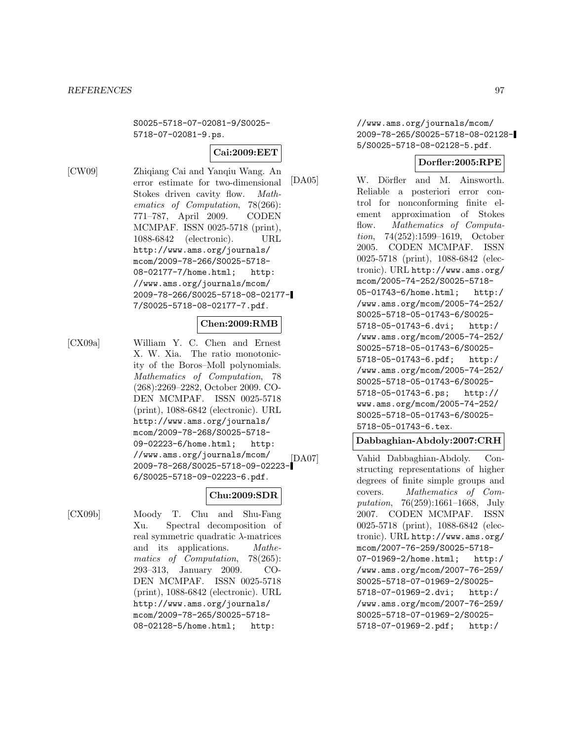S0025-5718-07-02081-9/S0025- 5718-07-02081-9.ps.

### **Cai:2009:EET**

[CW09] Zhiqiang Cai and Yanqiu Wang. An error estimate for two-dimensional Stokes driven cavity flow. Mathematics of Computation, 78(266): 771–787, April 2009. CODEN MCMPAF. ISSN 0025-5718 (print), 1088-6842 (electronic). URL http://www.ams.org/journals/ mcom/2009-78-266/S0025-5718- 08-02177-7/home.html; http: //www.ams.org/journals/mcom/ 2009-78-266/S0025-5718-08-02177- 7/S0025-5718-08-02177-7.pdf.

# **Chen:2009:RMB**

[CX09a] William Y. C. Chen and Ernest X. W. Xia. The ratio monotonicity of the Boros–Moll polynomials. Mathematics of Computation, 78 (268):2269–2282, October 2009. CO-DEN MCMPAF. ISSN 0025-5718 (print), 1088-6842 (electronic). URL http://www.ams.org/journals/ mcom/2009-78-268/S0025-5718- 09-02223-6/home.html; http: //www.ams.org/journals/mcom/ 2009-78-268/S0025-5718-09-02223- 6/S0025-5718-09-02223-6.pdf.

# **Chu:2009:SDR**

[CX09b] Moody T. Chu and Shu-Fang Xu. Spectral decomposition of real symmetric quadratic λ-matrices and its applications. Mathematics of Computation, 78(265): 293–313, January 2009. CO-DEN MCMPAF. ISSN 0025-5718 (print), 1088-6842 (electronic). URL http://www.ams.org/journals/ mcom/2009-78-265/S0025-5718- 08-02128-5/home.html; http:

//www.ams.org/journals/mcom/ 2009-78-265/S0025-5718-08-02128- 5/S0025-5718-08-02128-5.pdf.

# **Dorfler:2005:RPE**

[DA05] W. Dörfler and M. Ainsworth. Reliable a posteriori error control for nonconforming finite element approximation of Stokes flow. Mathematics of Computation, 74(252):1599–1619, October 2005. CODEN MCMPAF. ISSN 0025-5718 (print), 1088-6842 (electronic). URL http://www.ams.org/ mcom/2005-74-252/S0025-5718- 05-01743-6/home.html; http:/ /www.ams.org/mcom/2005-74-252/ S0025-5718-05-01743-6/S0025- 5718-05-01743-6.dvi; http:/ /www.ams.org/mcom/2005-74-252/ S0025-5718-05-01743-6/S0025- 5718-05-01743-6.pdf; http:/ /www.ams.org/mcom/2005-74-252/ S0025-5718-05-01743-6/S0025- 5718-05-01743-6.ps; http:// www.ams.org/mcom/2005-74-252/ S0025-5718-05-01743-6/S0025- 5718-05-01743-6.tex.

# **Dabbaghian-Abdoly:2007:CRH**

[DA07] Vahid Dabbaghian-Abdoly. Constructing representations of higher degrees of finite simple groups and covers. Mathematics of Computation, 76(259):1661–1668, July 2007. CODEN MCMPAF. ISSN 0025-5718 (print), 1088-6842 (electronic). URL http://www.ams.org/ mcom/2007-76-259/S0025-5718- 07-01969-2/home.html; http:/ /www.ams.org/mcom/2007-76-259/ S0025-5718-07-01969-2/S0025- 5718-07-01969-2.dvi; http:/ /www.ams.org/mcom/2007-76-259/ S0025-5718-07-01969-2/S0025- 5718-07-01969-2.pdf; http:/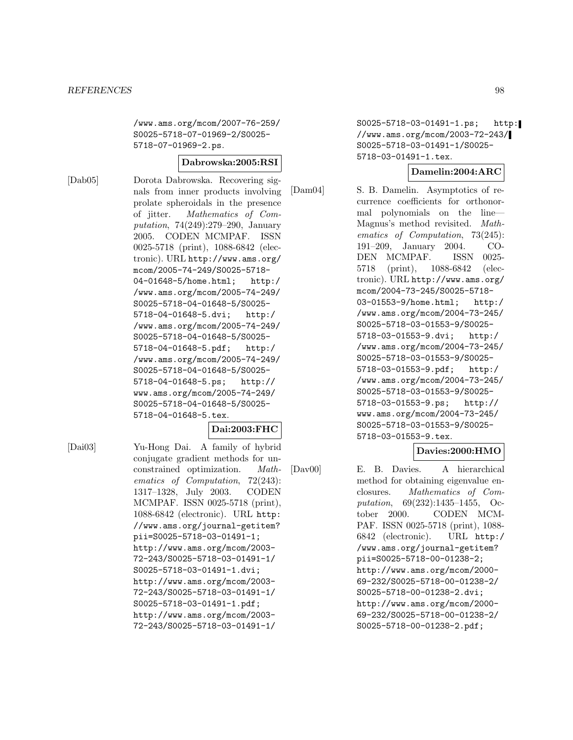/www.ams.org/mcom/2007-76-259/ S0025-5718-07-01969-2/S0025- 5718-07-01969-2.ps.

#### **Dabrowska:2005:RSI**

[Dab05] Dorota Dabrowska. Recovering signals from inner products involving prolate spheroidals in the presence of jitter. Mathematics of Computation, 74(249):279–290, January 2005. CODEN MCMPAF. ISSN 0025-5718 (print), 1088-6842 (electronic). URL http://www.ams.org/ mcom/2005-74-249/S0025-5718- 04-01648-5/home.html; http:/ /www.ams.org/mcom/2005-74-249/ S0025-5718-04-01648-5/S0025- 5718-04-01648-5.dvi; http:/ /www.ams.org/mcom/2005-74-249/ S0025-5718-04-01648-5/S0025- 5718-04-01648-5.pdf; http:/ /www.ams.org/mcom/2005-74-249/ S0025-5718-04-01648-5/S0025- 5718-04-01648-5.ps; http:// www.ams.org/mcom/2005-74-249/ S0025-5718-04-01648-5/S0025- 5718-04-01648-5.tex.

#### **Dai:2003:FHC**

[Dai03] Yu-Hong Dai. A family of hybrid conjugate gradient methods for unconstrained optimization. Mathematics of Computation, 72(243): 1317–1328, July 2003. CODEN MCMPAF. ISSN 0025-5718 (print), 1088-6842 (electronic). URL http: //www.ams.org/journal-getitem? pii=S0025-5718-03-01491-1; http://www.ams.org/mcom/2003- 72-243/S0025-5718-03-01491-1/ S0025-5718-03-01491-1.dvi; http://www.ams.org/mcom/2003- 72-243/S0025-5718-03-01491-1/ S0025-5718-03-01491-1.pdf; http://www.ams.org/mcom/2003- 72-243/S0025-5718-03-01491-1/

S0025-5718-03-01491-1.ps; http: //www.ams.org/mcom/2003-72-243/ S0025-5718-03-01491-1/S0025- 5718-03-01491-1.tex.

# **Damelin:2004:ARC**

[Dam04] S. B. Damelin. Asymptotics of recurrence coefficients for orthonormal polynomials on the line— Magnus's method revisited. Mathematics of Computation, 73(245): 191–209, January 2004. CO-DEN MCMPAF. ISSN 0025- 5718 (print), 1088-6842 (electronic). URL http://www.ams.org/ mcom/2004-73-245/S0025-5718- 03-01553-9/home.html; http:/ /www.ams.org/mcom/2004-73-245/ S0025-5718-03-01553-9/S0025- 5718-03-01553-9.dvi; http:/ /www.ams.org/mcom/2004-73-245/ S0025-5718-03-01553-9/S0025- 5718-03-01553-9.pdf; http:/ /www.ams.org/mcom/2004-73-245/ S0025-5718-03-01553-9/S0025- 5718-03-01553-9.ps; http:// www.ams.org/mcom/2004-73-245/ S0025-5718-03-01553-9/S0025- 5718-03-01553-9.tex.

# **Davies:2000:HMO**

[Dav00] E. B. Davies. A hierarchical method for obtaining eigenvalue enclosures. Mathematics of Computation, 69(232):1435–1455, October 2000. CODEN MCM-PAF. ISSN 0025-5718 (print), 1088- 6842 (electronic). URL http:/ /www.ams.org/journal-getitem? pii=S0025-5718-00-01238-2; http://www.ams.org/mcom/2000- 69-232/S0025-5718-00-01238-2/ S0025-5718-00-01238-2.dvi; http://www.ams.org/mcom/2000- 69-232/S0025-5718-00-01238-2/ S0025-5718-00-01238-2.pdf;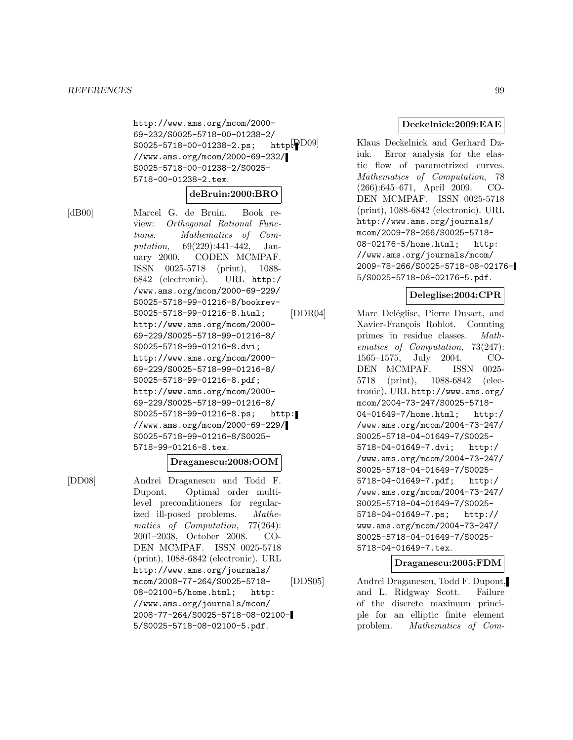http://www.ams.org/mcom/2000- 69-232/S0025-5718-00-01238-2/<br>S0025-5718-00-01238-2.ps: http: PD09  $S0025 - 5718 - 00 - 01238 - 2 \text{.} \text{ps};$ //www.ams.org/mcom/2000-69-232/ S0025-5718-00-01238-2/S0025- 5718-00-01238-2.tex.

### **deBruin:2000:BRO**

[dB00] Marcel G. de Bruin. Book review: Orthogonal Rational Functions. Mathematics of Computation, 69(229):441–442, January 2000. CODEN MCMPAF. ISSN 0025-5718 (print), 1088- 6842 (electronic). URL http:/ /www.ams.org/mcom/2000-69-229/ S0025-5718-99-01216-8/bookrev-S0025-5718-99-01216-8.html; http://www.ams.org/mcom/2000- 69-229/S0025-5718-99-01216-8/ S0025-5718-99-01216-8.dvi; http://www.ams.org/mcom/2000- 69-229/S0025-5718-99-01216-8/ S0025-5718-99-01216-8.pdf; http://www.ams.org/mcom/2000- 69-229/S0025-5718-99-01216-8/ S0025-5718-99-01216-8.ps; http: //www.ams.org/mcom/2000-69-229/ S0025-5718-99-01216-8/S0025- 5718-99-01216-8.tex.

### **Draganescu:2008:OOM**

[DD08] Andrei Draganescu and Todd F. Dupont. Optimal order multilevel preconditioners for regularized ill-posed problems. Mathematics of Computation, 77(264): 2001–2038, October 2008. CO-DEN MCMPAF. ISSN 0025-5718 (print), 1088-6842 (electronic). URL http://www.ams.org/journals/ mcom/2008-77-264/S0025-5718- 08-02100-5/home.html; http: //www.ams.org/journals/mcom/ 2008-77-264/S0025-5718-08-02100- 5/S0025-5718-08-02100-5.pdf.

**Deckelnick:2009:EAE**

Klaus Deckelnick and Gerhard Dziuk. Error analysis for the elastic flow of parametrized curves. Mathematics of Computation, 78 (266):645–671, April 2009. CO-DEN MCMPAF. ISSN 0025-5718 (print), 1088-6842 (electronic). URL http://www.ams.org/journals/ mcom/2009-78-266/S0025-5718- 08-02176-5/home.html; http: //www.ams.org/journals/mcom/ 2009-78-266/S0025-5718-08-02176- 5/S0025-5718-08-02176-5.pdf.

### **Deleglise:2004:CPR**

[DDR04] Marc Deléglise, Pierre Dusart, and Xavier-François Roblot. Counting primes in residue classes. Mathematics of Computation, 73(247): 1565–1575, July 2004. CO-DEN MCMPAF. ISSN 0025- 5718 (print), 1088-6842 (electronic). URL http://www.ams.org/ mcom/2004-73-247/S0025-5718- 04-01649-7/home.html; http:/ /www.ams.org/mcom/2004-73-247/ S0025-5718-04-01649-7/S0025- 5718-04-01649-7.dvi; http:/ /www.ams.org/mcom/2004-73-247/ S0025-5718-04-01649-7/S0025- 5718-04-01649-7.pdf; http:/ /www.ams.org/mcom/2004-73-247/ S0025-5718-04-01649-7/S0025- 5718-04-01649-7.ps; http:// www.ams.org/mcom/2004-73-247/ S0025-5718-04-01649-7/S0025- 5718-04-01649-7.tex.

### **Draganescu:2005:FDM**

[DDS05] Andrei Draganescu, Todd F. Dupont, and L. Ridgway Scott. Failure of the discrete maximum principle for an elliptic finite element problem. Mathematics of Com-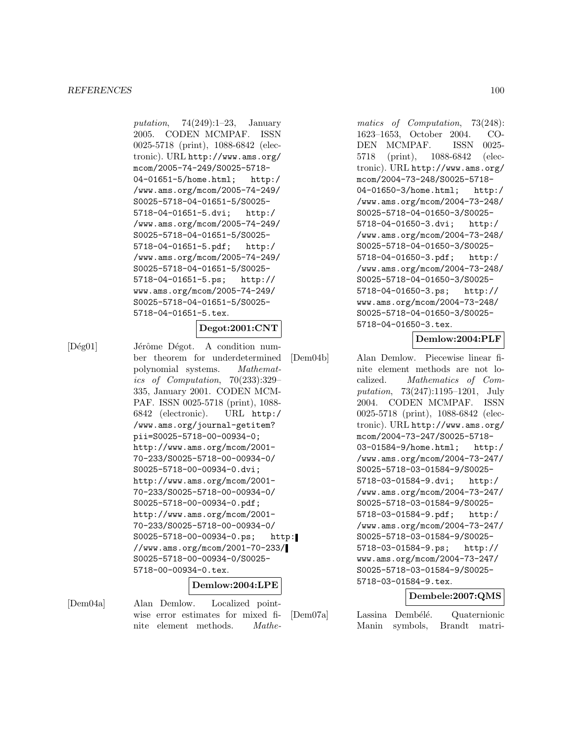putation,  $74(249):1-23$ , January 2005. CODEN MCMPAF. ISSN 0025-5718 (print), 1088-6842 (electronic). URL http://www.ams.org/ mcom/2005-74-249/S0025-5718- 04-01651-5/home.html; http:/ /www.ams.org/mcom/2005-74-249/ S0025-5718-04-01651-5/S0025- 5718-04-01651-5.dvi; http:/ /www.ams.org/mcom/2005-74-249/ S0025-5718-04-01651-5/S0025- 5718-04-01651-5.pdf; http:/ /www.ams.org/mcom/2005-74-249/ S0025-5718-04-01651-5/S0025- 5718-04-01651-5.ps; http:// www.ams.org/mcom/2005-74-249/ S0025-5718-04-01651-5/S0025- 5718-04-01651-5.tex.

# **Degot:2001:CNT**

[Dég01] Jérôme Dégot. A condition number theorem for underdetermined polynomial systems. Mathematics of Computation, 70(233):329– 335, January 2001. CODEN MCM-PAF. ISSN 0025-5718 (print), 1088- 6842 (electronic). URL http:/ /www.ams.org/journal-getitem? pii=S0025-5718-00-00934-0; http://www.ams.org/mcom/2001- 70-233/S0025-5718-00-00934-0/ S0025-5718-00-00934-0.dvi; http://www.ams.org/mcom/2001- 70-233/S0025-5718-00-00934-0/ S0025-5718-00-00934-0.pdf; http://www.ams.org/mcom/2001- 70-233/S0025-5718-00-00934-0/ S0025-5718-00-00934-0.ps; http: //www.ams.org/mcom/2001-70-233/ S0025-5718-00-00934-0/S0025- 5718-00-00934-0.tex.

# **Demlow:2004:LPE**

[Dem04a] Alan Demlow. Localized pointwise error estimates for mixed finite element methods. Mathe-

matics of Computation, 73(248): 1623–1653, October 2004. CO-DEN MCMPAF. ISSN 0025- 5718 (print), 1088-6842 (electronic). URL http://www.ams.org/ mcom/2004-73-248/S0025-5718- 04-01650-3/home.html; http:/ /www.ams.org/mcom/2004-73-248/ S0025-5718-04-01650-3/S0025- 5718-04-01650-3.dvi; http:/ /www.ams.org/mcom/2004-73-248/ S0025-5718-04-01650-3/S0025- 5718-04-01650-3.pdf; http:/ /www.ams.org/mcom/2004-73-248/ S0025-5718-04-01650-3/S0025- 5718-04-01650-3.ps; http:// www.ams.org/mcom/2004-73-248/ S0025-5718-04-01650-3/S0025- 5718-04-01650-3.tex.

# **Demlow:2004:PLF**

[Dem04b] Alan Demlow. Piecewise linear finite element methods are not localized. Mathematics of Computation, 73(247):1195–1201, July 2004. CODEN MCMPAF. ISSN 0025-5718 (print), 1088-6842 (electronic). URL http://www.ams.org/ mcom/2004-73-247/S0025-5718- 03-01584-9/home.html; http:/ /www.ams.org/mcom/2004-73-247/ S0025-5718-03-01584-9/S0025- 5718-03-01584-9.dvi; http:/ /www.ams.org/mcom/2004-73-247/ S0025-5718-03-01584-9/S0025- 5718-03-01584-9.pdf; http:/ /www.ams.org/mcom/2004-73-247/ S0025-5718-03-01584-9/S0025- 5718-03-01584-9.ps; http:// www.ams.org/mcom/2004-73-247/ S0025-5718-03-01584-9/S0025- 5718-03-01584-9.tex.

# **Dembele:2007:QMS**

[Dem07a] Lassina Dembélé. Quaternionic Manin symbols, Brandt matri-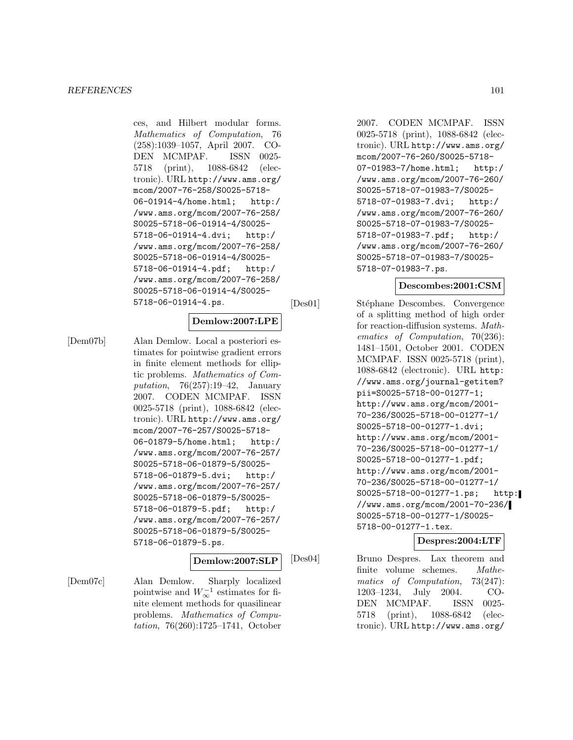ces, and Hilbert modular forms. Mathematics of Computation, 76 (258):1039–1057, April 2007. CO-DEN MCMPAF. ISSN 0025- 5718 (print), 1088-6842 (electronic). URL http://www.ams.org/ mcom/2007-76-258/S0025-5718- 06-01914-4/home.html; http:/ /www.ams.org/mcom/2007-76-258/ S0025-5718-06-01914-4/S0025- 5718-06-01914-4.dvi; http:/ /www.ams.org/mcom/2007-76-258/ S0025-5718-06-01914-4/S0025- 5718-06-01914-4.pdf; http:/ /www.ams.org/mcom/2007-76-258/ S0025-5718-06-01914-4/S0025- 5718-06-01914-4.ps.

# **Demlow:2007:LPE**

[Dem07b] Alan Demlow. Local a posteriori estimates for pointwise gradient errors in finite element methods for elliptic problems. Mathematics of Computation, 76(257):19–42, January 2007. CODEN MCMPAF. ISSN 0025-5718 (print), 1088-6842 (electronic). URL http://www.ams.org/ mcom/2007-76-257/S0025-5718- 06-01879-5/home.html; http:/ /www.ams.org/mcom/2007-76-257/ S0025-5718-06-01879-5/S0025- 5718-06-01879-5.dvi; http:/ /www.ams.org/mcom/2007-76-257/ S0025-5718-06-01879-5/S0025- 5718-06-01879-5.pdf; http:/ /www.ams.org/mcom/2007-76-257/ S0025-5718-06-01879-5/S0025- 5718-06-01879-5.ps.

### **Demlow:2007:SLP**

[Dem07c] Alan Demlow. Sharply localized pointwise and  $W_{\infty}^{-1}$  estimates for finite element methods for quasilinear problems. Mathematics of Computation, 76(260):1725–1741, October

2007. CODEN MCMPAF. ISSN 0025-5718 (print), 1088-6842 (electronic). URL http://www.ams.org/ mcom/2007-76-260/S0025-5718- 07-01983-7/home.html; http:/ /www.ams.org/mcom/2007-76-260/ S0025-5718-07-01983-7/S0025- 5718-07-01983-7.dvi; http:/ /www.ams.org/mcom/2007-76-260/ S0025-5718-07-01983-7/S0025- 5718-07-01983-7.pdf; http:/ /www.ams.org/mcom/2007-76-260/ S0025-5718-07-01983-7/S0025- 5718-07-01983-7.ps.

# **Descombes:2001:CSM**

[Des01] Stéphane Descombes. Convergence of a splitting method of high order for reaction-diffusion systems. Mathematics of Computation, 70(236): 1481–1501, October 2001. CODEN MCMPAF. ISSN 0025-5718 (print), 1088-6842 (electronic). URL http: //www.ams.org/journal-getitem? pii=S0025-5718-00-01277-1; http://www.ams.org/mcom/2001- 70-236/S0025-5718-00-01277-1/ S0025-5718-00-01277-1.dvi; http://www.ams.org/mcom/2001- 70-236/S0025-5718-00-01277-1/ S0025-5718-00-01277-1.pdf; http://www.ams.org/mcom/2001- 70-236/S0025-5718-00-01277-1/ S0025-5718-00-01277-1.ps; http: //www.ams.org/mcom/2001-70-236/ S0025-5718-00-01277-1/S0025- 5718-00-01277-1.tex.

# **Despres:2004:LTF**

[Des04] Bruno Despres. Lax theorem and finite volume schemes. Mathematics of Computation, 73(247): 1203–1234, July 2004. CO-DEN MCMPAF. ISSN 0025- 5718 (print), 1088-6842 (electronic). URL http://www.ams.org/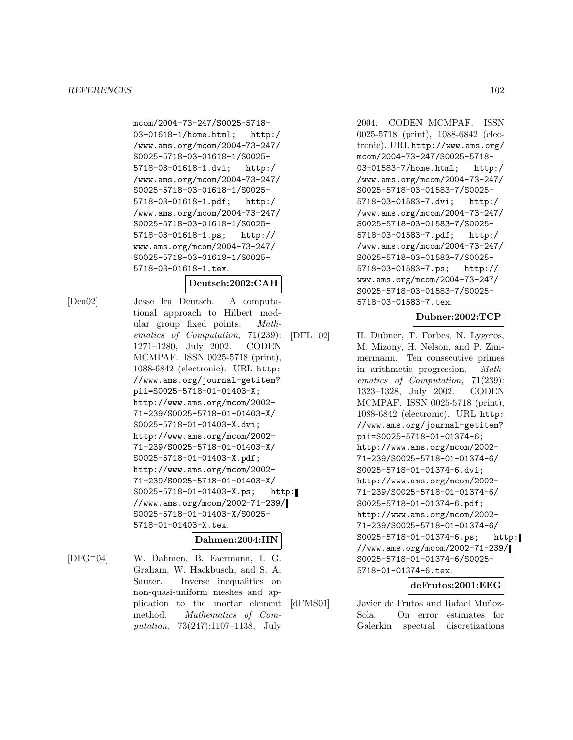mcom/2004-73-247/S0025-5718- 03-01618-1/home.html; http:/ /www.ams.org/mcom/2004-73-247/ S0025-5718-03-01618-1/S0025- 5718-03-01618-1.dvi; http:/ /www.ams.org/mcom/2004-73-247/ S0025-5718-03-01618-1/S0025- 5718-03-01618-1.pdf; http:/ /www.ams.org/mcom/2004-73-247/ S0025-5718-03-01618-1/S0025- 5718-03-01618-1.ps; http:// www.ams.org/mcom/2004-73-247/ S0025-5718-03-01618-1/S0025- 5718-03-01618-1.tex.

### **Deutsch:2002:CAH**

[Deu02] Jesse Ira Deutsch. A computational approach to Hilbert modular group fixed points. Mathematics of Computation, 71(239): 1271–1280, July 2002. CODEN MCMPAF. ISSN 0025-5718 (print), 1088-6842 (electronic). URL http: //www.ams.org/journal-getitem? pii=S0025-5718-01-01403-X; http://www.ams.org/mcom/2002- 71-239/S0025-5718-01-01403-X/ S0025-5718-01-01403-X.dvi; http://www.ams.org/mcom/2002- 71-239/S0025-5718-01-01403-X/ S0025-5718-01-01403-X.pdf; http://www.ams.org/mcom/2002- 71-239/S0025-5718-01-01403-X/ S0025-5718-01-01403-X.ps; http: //www.ams.org/mcom/2002-71-239/ S0025-5718-01-01403-X/S0025- 5718-01-01403-X.tex.

# **Dahmen:2004:IIN**

[DFG<sup>+</sup>04] W. Dahmen, B. Faermann, I. G. Graham, W. Hackbusch, and S. A. Sauter. Inverse inequalities on non-quasi-uniform meshes and application to the mortar element method. Mathematics of Computation, 73(247):1107–1138, July

2004. CODEN MCMPAF. ISSN 0025-5718 (print), 1088-6842 (electronic). URL http://www.ams.org/ mcom/2004-73-247/S0025-5718- 03-01583-7/home.html; http:/ /www.ams.org/mcom/2004-73-247/ S0025-5718-03-01583-7/S0025- 5718-03-01583-7.dvi; http:/ /www.ams.org/mcom/2004-73-247/ S0025-5718-03-01583-7/S0025- 5718-03-01583-7.pdf; http:/ /www.ams.org/mcom/2004-73-247/ S0025-5718-03-01583-7/S0025- 5718-03-01583-7.ps; http:// www.ams.org/mcom/2004-73-247/ S0025-5718-03-01583-7/S0025- 5718-03-01583-7.tex.

# **Dubner:2002:TCP**

 $[DFL+02]$  H. Dubner, T. Forbes, N. Lygeros, M. Mizony, H. Nelson, and P. Zimmermann. Ten consecutive primes in arithmetic progression. Mathematics of Computation, 71(239): 1323–1328, July 2002. CODEN MCMPAF. ISSN 0025-5718 (print), 1088-6842 (electronic). URL http: //www.ams.org/journal-getitem? pii=S0025-5718-01-01374-6; http://www.ams.org/mcom/2002- 71-239/S0025-5718-01-01374-6/ S0025-5718-01-01374-6.dvi; http://www.ams.org/mcom/2002- 71-239/S0025-5718-01-01374-6/ S0025-5718-01-01374-6.pdf; http://www.ams.org/mcom/2002- 71-239/S0025-5718-01-01374-6/ S0025-5718-01-01374-6.ps; http: //www.ams.org/mcom/2002-71-239/ S0025-5718-01-01374-6/S0025- 5718-01-01374-6.tex.

# **deFrutos:2001:EEG**

[dFMS01] Javier de Frutos and Rafael Muñoz-Sola. On error estimates for Galerkin spectral discretizations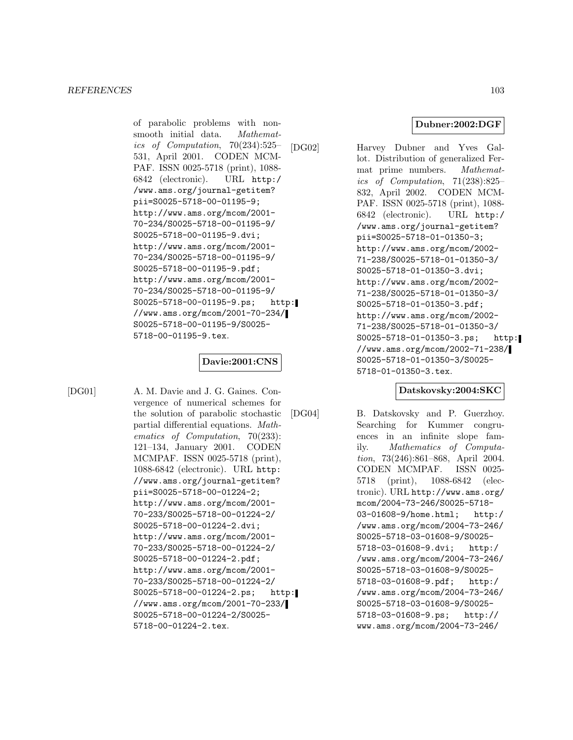of parabolic problems with nonsmooth initial data. Mathematics of Computation, 70(234):525– 531, April 2001. CODEN MCM-PAF. ISSN 0025-5718 (print), 1088- 6842 (electronic). URL http:/ /www.ams.org/journal-getitem? pii=S0025-5718-00-01195-9; http://www.ams.org/mcom/2001- 70-234/S0025-5718-00-01195-9/ S0025-5718-00-01195-9.dvi; http://www.ams.org/mcom/2001- 70-234/S0025-5718-00-01195-9/ S0025-5718-00-01195-9.pdf; http://www.ams.org/mcom/2001- 70-234/S0025-5718-00-01195-9/ S0025-5718-00-01195-9.ps; http: //www.ams.org/mcom/2001-70-234/ S0025-5718-00-01195-9/S0025- 5718-00-01195-9.tex.

# **Davie:2001:CNS**

[DG01] A. M. Davie and J. G. Gaines. Convergence of numerical schemes for the solution of parabolic stochastic partial differential equations. Mathematics of Computation, 70(233): 121–134, January 2001. CODEN MCMPAF. ISSN 0025-5718 (print), 1088-6842 (electronic). URL http: //www.ams.org/journal-getitem? pii=S0025-5718-00-01224-2; http://www.ams.org/mcom/2001- 70-233/S0025-5718-00-01224-2/ S0025-5718-00-01224-2.dvi; http://www.ams.org/mcom/2001- 70-233/S0025-5718-00-01224-2/ S0025-5718-00-01224-2.pdf; http://www.ams.org/mcom/2001- 70-233/S0025-5718-00-01224-2/ S0025-5718-00-01224-2.ps; http: //www.ams.org/mcom/2001-70-233/ S0025-5718-00-01224-2/S0025- 5718-00-01224-2.tex.

### **Dubner:2002:DGF**

[DG02] Harvey Dubner and Yves Gallot. Distribution of generalized Fermat prime numbers. Mathematics of Computation, 71(238):825– 832, April 2002. CODEN MCM-PAF. ISSN 0025-5718 (print), 1088- 6842 (electronic). URL http:/ /www.ams.org/journal-getitem? pii=S0025-5718-01-01350-3; http://www.ams.org/mcom/2002- 71-238/S0025-5718-01-01350-3/ S0025-5718-01-01350-3.dvi; http://www.ams.org/mcom/2002- 71-238/S0025-5718-01-01350-3/ S0025-5718-01-01350-3.pdf; http://www.ams.org/mcom/2002- 71-238/S0025-5718-01-01350-3/ S0025-5718-01-01350-3.ps; http: //www.ams.org/mcom/2002-71-238/ S0025-5718-01-01350-3/S0025- 5718-01-01350-3.tex.

# **Datskovsky:2004:SKC**

[DG04] B. Datskovsky and P. Guerzhoy. Searching for Kummer congruences in an infinite slope family. Mathematics of Computation, 73(246):861–868, April 2004. CODEN MCMPAF. ISSN 0025- 5718 (print), 1088-6842 (electronic). URL http://www.ams.org/ mcom/2004-73-246/S0025-5718- 03-01608-9/home.html; http:/ /www.ams.org/mcom/2004-73-246/ S0025-5718-03-01608-9/S0025- 5718-03-01608-9.dvi; http:/ /www.ams.org/mcom/2004-73-246/ S0025-5718-03-01608-9/S0025- 5718-03-01608-9.pdf; http:/ /www.ams.org/mcom/2004-73-246/ S0025-5718-03-01608-9/S0025- 5718-03-01608-9.ps; http:// www.ams.org/mcom/2004-73-246/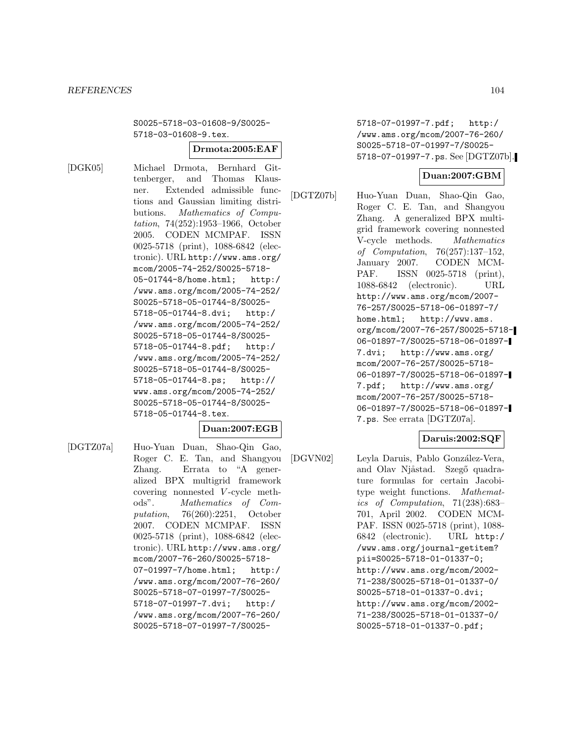S0025-5718-03-01608-9/S0025- 5718-03-01608-9.tex.

# **Drmota:2005:EAF**

[DGK05] Michael Drmota, Bernhard Gittenberger, and Thomas Klausner. Extended admissible functions and Gaussian limiting distributions. Mathematics of Computation, 74(252):1953–1966, October 2005. CODEN MCMPAF. ISSN 0025-5718 (print), 1088-6842 (electronic). URL http://www.ams.org/ mcom/2005-74-252/S0025-5718- 05-01744-8/home.html; http:/ /www.ams.org/mcom/2005-74-252/ S0025-5718-05-01744-8/S0025- 5718-05-01744-8.dvi; http:/ /www.ams.org/mcom/2005-74-252/ S0025-5718-05-01744-8/S0025- 5718-05-01744-8.pdf; http:/ /www.ams.org/mcom/2005-74-252/ S0025-5718-05-01744-8/S0025- 5718-05-01744-8.ps; http:// www.ams.org/mcom/2005-74-252/ S0025-5718-05-01744-8/S0025- 5718-05-01744-8.tex.

# **Duan:2007:EGB**

[DGTZ07a] Huo-Yuan Duan, Shao-Qin Gao, Roger C. E. Tan, and Shangyou Zhang. Errata to "A generalized BPX multigrid framework covering nonnested V -cycle methods". Mathematics of Computation, 76(260):2251, October 2007. CODEN MCMPAF. ISSN 0025-5718 (print), 1088-6842 (electronic). URL http://www.ams.org/ mcom/2007-76-260/S0025-5718- 07-01997-7/home.html; http:/ /www.ams.org/mcom/2007-76-260/ S0025-5718-07-01997-7/S0025- 5718-07-01997-7.dvi; http:/ /www.ams.org/mcom/2007-76-260/ S0025-5718-07-01997-7/S00255718-07-01997-7.pdf; http:/ /www.ams.org/mcom/2007-76-260/ S0025-5718-07-01997-7/S0025- 5718-07-01997-7.ps. See [DGTZ07b].

# **Duan:2007:GBM**

[DGTZ07b] Huo-Yuan Duan, Shao-Qin Gao, Roger C. E. Tan, and Shangyou Zhang. A generalized BPX multigrid framework covering nonnested V-cycle methods. Mathematics of *Computation*, 76(257):137–152,<br>January 2007. CODEN MCM-CODEN MCM-PAF. ISSN 0025-5718 (print), 1088-6842 (electronic). URL http://www.ams.org/mcom/2007- 76-257/S0025-5718-06-01897-7/ home.html; http://www.ams. org/mcom/2007-76-257/S0025-5718- 06-01897-7/S0025-5718-06-01897- 7.dvi; http://www.ams.org/

mcom/2007-76-257/S0025-5718- 06-01897-7/S0025-5718-06-01897- 7.pdf; http://www.ams.org/ mcom/2007-76-257/S0025-5718- 06-01897-7/S0025-5718-06-01897- 7.ps. See errata [DGTZ07a].

# **Daruis:2002:SQF**

[DGVN02] Leyla Daruis, Pablo González-Vera, and Olav Njåstad. Szegő quadrature formulas for certain Jacobitype weight functions. Mathematics of Computation, 71(238):683– 701, April 2002. CODEN MCM-PAF. ISSN 0025-5718 (print), 1088- 6842 (electronic). URL http:/ /www.ams.org/journal-getitem? pii=S0025-5718-01-01337-0; http://www.ams.org/mcom/2002- 71-238/S0025-5718-01-01337-0/ S0025-5718-01-01337-0.dvi; http://www.ams.org/mcom/2002- 71-238/S0025-5718-01-01337-0/ S0025-5718-01-01337-0.pdf;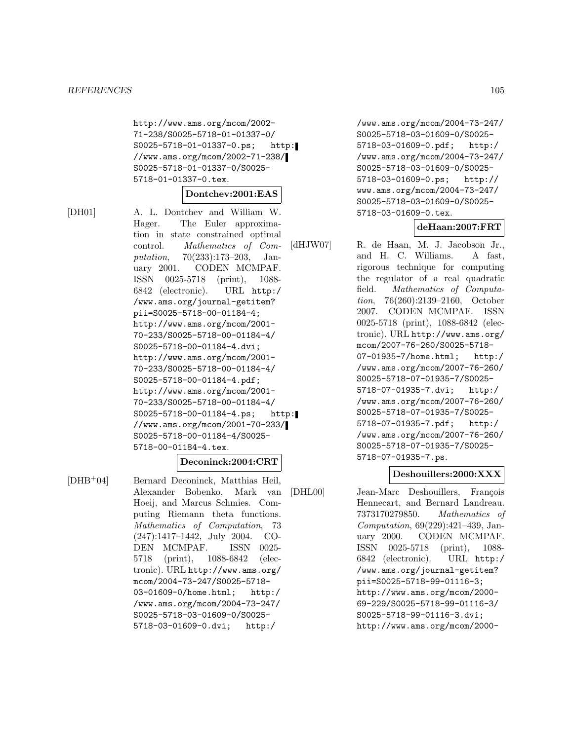http://www.ams.org/mcom/2002- 71-238/S0025-5718-01-01337-0/ S0025-5718-01-01337-0.ps; http: //www.ams.org/mcom/2002-71-238/ S0025-5718-01-01337-0/S0025- 5718-01-01337-0.tex.

#### **Dontchev:2001:EAS**

[DH01] A. L. Dontchev and William W. Hager. The Euler approximation in state constrained optimal control. Mathematics of Computation, 70(233):173–203, January 2001. CODEN MCMPAF. ISSN 0025-5718 (print), 1088- 6842 (electronic). URL http:/ /www.ams.org/journal-getitem? pii=S0025-5718-00-01184-4; http://www.ams.org/mcom/2001- 70-233/S0025-5718-00-01184-4/ S0025-5718-00-01184-4.dvi; http://www.ams.org/mcom/2001- 70-233/S0025-5718-00-01184-4/ S0025-5718-00-01184-4.pdf; http://www.ams.org/mcom/2001- 70-233/S0025-5718-00-01184-4/ S0025-5718-00-01184-4.ps; http: //www.ams.org/mcom/2001-70-233/ S0025-5718-00-01184-4/S0025- 5718-00-01184-4.tex.

### **Deconinck:2004:CRT**

[DHB<sup>+</sup>04] Bernard Deconinck, Matthias Heil, Alexander Bobenko, Mark van Hoeij, and Marcus Schmies. Computing Riemann theta functions. Mathematics of Computation, 73 (247):1417–1442, July 2004. CO-DEN MCMPAF. ISSN 0025- 5718 (print), 1088-6842 (electronic). URL http://www.ams.org/ mcom/2004-73-247/S0025-5718- 03-01609-0/home.html; http:/ /www.ams.org/mcom/2004-73-247/ S0025-5718-03-01609-0/S0025- 5718-03-01609-0.dvi; http:/

/www.ams.org/mcom/2004-73-247/ S0025-5718-03-01609-0/S0025- 5718-03-01609-0.pdf; http:/ /www.ams.org/mcom/2004-73-247/ S0025-5718-03-01609-0/S0025- 5718-03-01609-0.ps; http:// www.ams.org/mcom/2004-73-247/ S0025-5718-03-01609-0/S0025- 5718-03-01609-0.tex.

#### **deHaan:2007:FRT**

[dHJW07] R. de Haan, M. J. Jacobson Jr., and H. C. Williams. A fast, rigorous technique for computing the regulator of a real quadratic field. Mathematics of Computation, 76(260):2139–2160, October 2007. CODEN MCMPAF. ISSN 0025-5718 (print), 1088-6842 (electronic). URL http://www.ams.org/ mcom/2007-76-260/S0025-5718- 07-01935-7/home.html; http:/ /www.ams.org/mcom/2007-76-260/ S0025-5718-07-01935-7/S0025- 5718-07-01935-7.dvi; http:/ /www.ams.org/mcom/2007-76-260/ S0025-5718-07-01935-7/S0025- 5718-07-01935-7.pdf; http:/ /www.ams.org/mcom/2007-76-260/ S0025-5718-07-01935-7/S0025- 5718-07-01935-7.ps.

#### **Deshouillers:2000:XXX**

[DHL00] Jean-Marc Deshouillers, François Hennecart, and Bernard Landreau. 7373170279850. Mathematics of Computation, 69(229):421–439, January 2000. CODEN MCMPAF. ISSN 0025-5718 (print), 1088- 6842 (electronic). URL http:/ /www.ams.org/journal-getitem? pii=S0025-5718-99-01116-3; http://www.ams.org/mcom/2000- 69-229/S0025-5718-99-01116-3/ S0025-5718-99-01116-3.dvi; http://www.ams.org/mcom/2000-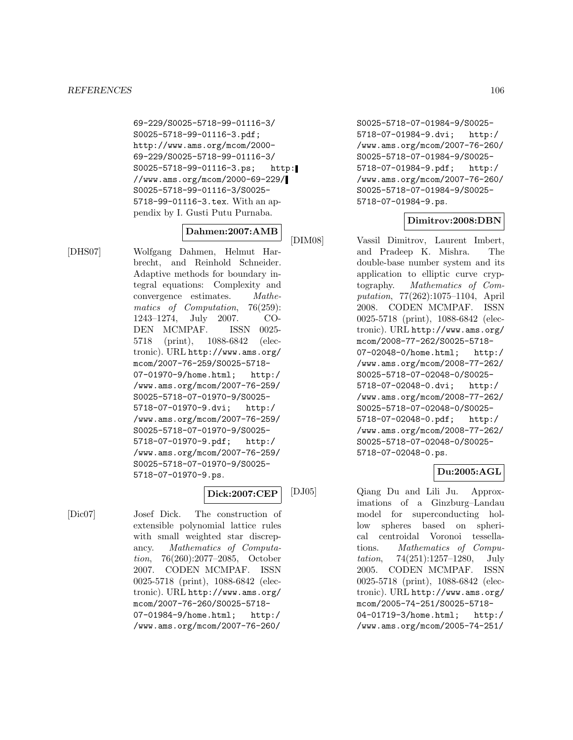69-229/S0025-5718-99-01116-3/ S0025-5718-99-01116-3.pdf; http://www.ams.org/mcom/2000- 69-229/S0025-5718-99-01116-3/ S0025-5718-99-01116-3.ps; http: //www.ams.org/mcom/2000-69-229/ S0025-5718-99-01116-3/S0025- 5718-99-01116-3.tex. With an appendix by I. Gusti Putu Purnaba.

# **Dahmen:2007:AMB**

[DHS07] Wolfgang Dahmen, Helmut Harbrecht, and Reinhold Schneider. Adaptive methods for boundary integral equations: Complexity and convergence estimates. Mathematics of Computation, 76(259): 1243–1274, July 2007. CO-DEN MCMPAF. ISSN 0025- 5718 (print), 1088-6842 (electronic). URL http://www.ams.org/ mcom/2007-76-259/S0025-5718- 07-01970-9/home.html; http:/ /www.ams.org/mcom/2007-76-259/ S0025-5718-07-01970-9/S0025- 5718-07-01970-9.dvi; http:/ /www.ams.org/mcom/2007-76-259/ S0025-5718-07-01970-9/S0025- 5718-07-01970-9.pdf; http:/ /www.ams.org/mcom/2007-76-259/ S0025-5718-07-01970-9/S0025- 5718-07-01970-9.ps.

# **Dick:2007:CEP**

[Dic07] Josef Dick. The construction of extensible polynomial lattice rules with small weighted star discrepancy. Mathematics of Computation, 76(260):2077–2085, October 2007. CODEN MCMPAF. ISSN 0025-5718 (print), 1088-6842 (electronic). URL http://www.ams.org/ mcom/2007-76-260/S0025-5718- 07-01984-9/home.html; http:/ /www.ams.org/mcom/2007-76-260/

S0025-5718-07-01984-9/S0025- 5718-07-01984-9.dvi; http:/ /www.ams.org/mcom/2007-76-260/ S0025-5718-07-01984-9/S0025- 5718-07-01984-9.pdf; http:/ /www.ams.org/mcom/2007-76-260/ S0025-5718-07-01984-9/S0025- 5718-07-01984-9.ps.

# **Dimitrov:2008:DBN**

[DIM08] Vassil Dimitrov, Laurent Imbert, and Pradeep K. Mishra. The double-base number system and its application to elliptic curve cryptography. Mathematics of Computation, 77(262):1075–1104, April 2008. CODEN MCMPAF. ISSN 0025-5718 (print), 1088-6842 (electronic). URL http://www.ams.org/ mcom/2008-77-262/S0025-5718- 07-02048-0/home.html; http:/ /www.ams.org/mcom/2008-77-262/ S0025-5718-07-02048-0/S0025- 5718-07-02048-0.dvi; http:/ /www.ams.org/mcom/2008-77-262/ S0025-5718-07-02048-0/S0025- 5718-07-02048-0.pdf; http:/ /www.ams.org/mcom/2008-77-262/ S0025-5718-07-02048-0/S0025- 5718-07-02048-0.ps.

# **Du:2005:AGL**

[DJ05] Qiang Du and Lili Ju. Approximations of a Ginzburg–Landau model for superconducting hollow spheres based on spherical centroidal Voronoi tessellations. Mathematics of Computation, 74(251):1257–1280, July 2005. CODEN MCMPAF. ISSN 0025-5718 (print), 1088-6842 (electronic). URL http://www.ams.org/ mcom/2005-74-251/S0025-5718- 04-01719-3/home.html; http:/ /www.ams.org/mcom/2005-74-251/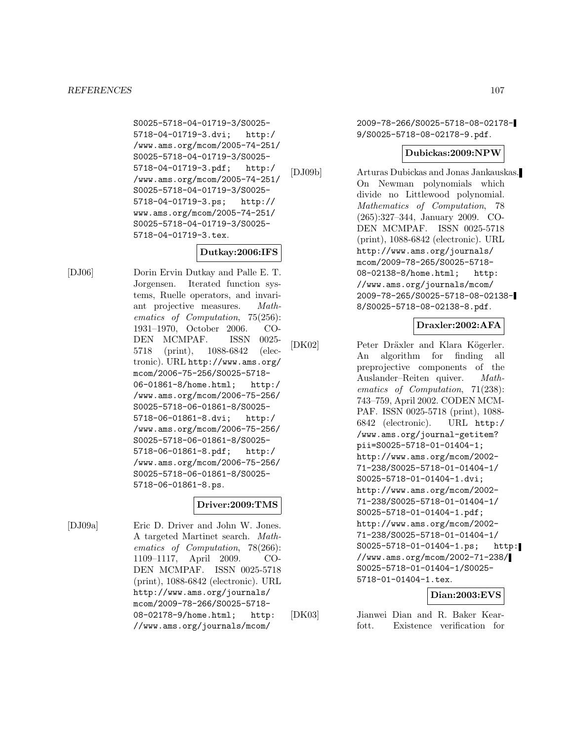S0025-5718-04-01719-3/S0025- 5718-04-01719-3.dvi; http:/ /www.ams.org/mcom/2005-74-251/ S0025-5718-04-01719-3/S0025- 5718-04-01719-3.pdf; http:/ /www.ams.org/mcom/2005-74-251/ S0025-5718-04-01719-3/S0025- 5718-04-01719-3.ps; http:// www.ams.org/mcom/2005-74-251/ S0025-5718-04-01719-3/S0025- 5718-04-01719-3.tex.

# **Dutkay:2006:IFS**

[DJ06] Dorin Ervin Dutkay and Palle E. T. Jorgensen. Iterated function systems, Ruelle operators, and invariant projective measures. Mathematics of Computation, 75(256): 1931–1970, October 2006. CO-DEN MCMPAF. ISSN 0025- 5718 (print), 1088-6842 (electronic). URL http://www.ams.org/ mcom/2006-75-256/S0025-5718- 06-01861-8/home.html; http:/ /www.ams.org/mcom/2006-75-256/ S0025-5718-06-01861-8/S0025- 5718-06-01861-8.dvi; http:/ /www.ams.org/mcom/2006-75-256/ S0025-5718-06-01861-8/S0025- 5718-06-01861-8.pdf; http:/ /www.ams.org/mcom/2006-75-256/ S0025-5718-06-01861-8/S0025- 5718-06-01861-8.ps.

# **Driver:2009:TMS**

[DJ09a] Eric D. Driver and John W. Jones. A targeted Martinet search. Mathematics of Computation, 78(266): 1109–1117, April 2009. CO-DEN MCMPAF. ISSN 0025-5718 (print), 1088-6842 (electronic). URL http://www.ams.org/journals/ mcom/2009-78-266/S0025-5718- 08-02178-9/home.html; http: //www.ams.org/journals/mcom/

2009-78-266/S0025-5718-08-02178- 9/S0025-5718-08-02178-9.pdf.

# **Dubickas:2009:NPW**

[DJ09b] Arturas Dubickas and Jonas Jankauskas. On Newman polynomials which divide no Littlewood polynomial. Mathematics of Computation, 78 (265):327–344, January 2009. CO-DEN MCMPAF. ISSN 0025-5718 (print), 1088-6842 (electronic). URL http://www.ams.org/journals/ mcom/2009-78-265/S0025-5718- 08-02138-8/home.html; http: //www.ams.org/journals/mcom/ 2009-78-265/S0025-5718-08-02138- 8/S0025-5718-08-02138-8.pdf.

# **Draxler:2002:AFA**

[DK02] Peter Dräxler and Klara Kögerler. An algorithm for finding all preprojective components of the Auslander–Reiten quiver. Mathematics of Computation, 71(238): 743–759, April 2002. CODEN MCM-PAF. ISSN 0025-5718 (print), 1088- 6842 (electronic). URL http:/ /www.ams.org/journal-getitem? pii=S0025-5718-01-01404-1; http://www.ams.org/mcom/2002- 71-238/S0025-5718-01-01404-1/ S0025-5718-01-01404-1.dvi; http://www.ams.org/mcom/2002- 71-238/S0025-5718-01-01404-1/ S0025-5718-01-01404-1.pdf; http://www.ams.org/mcom/2002- 71-238/S0025-5718-01-01404-1/ S0025-5718-01-01404-1.ps; http: //www.ams.org/mcom/2002-71-238/ S0025-5718-01-01404-1/S0025- 5718-01-01404-1.tex.

# **Dian:2003:EVS**

[DK03] Jianwei Dian and R. Baker Kearfott. Existence verification for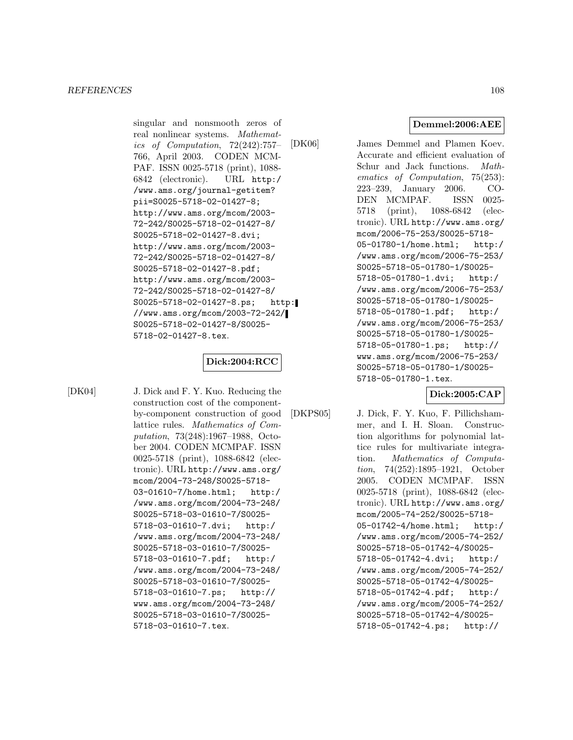singular and nonsmooth zeros of real nonlinear systems. Mathematics of Computation, 72(242):757– 766, April 2003. CODEN MCM-PAF. ISSN 0025-5718 (print), 1088- 6842 (electronic). URL http:/ /www.ams.org/journal-getitem? pii=S0025-5718-02-01427-8; http://www.ams.org/mcom/2003- 72-242/S0025-5718-02-01427-8/ S0025-5718-02-01427-8.dvi; http://www.ams.org/mcom/2003- 72-242/S0025-5718-02-01427-8/ S0025-5718-02-01427-8.pdf; http://www.ams.org/mcom/2003- 72-242/S0025-5718-02-01427-8/ S0025-5718-02-01427-8.ps; http: //www.ams.org/mcom/2003-72-242/ S0025-5718-02-01427-8/S0025- 5718-02-01427-8.tex.

# **Dick:2004:RCC**

[DK04] J. Dick and F. Y. Kuo. Reducing the construction cost of the componentby-component construction of good lattice rules. Mathematics of Computation, 73(248):1967–1988, October 2004. CODEN MCMPAF. ISSN 0025-5718 (print), 1088-6842 (electronic). URL http://www.ams.org/ mcom/2004-73-248/S0025-5718- 03-01610-7/home.html; http:/ /www.ams.org/mcom/2004-73-248/ S0025-5718-03-01610-7/S0025- 5718-03-01610-7.dvi; http:/ /www.ams.org/mcom/2004-73-248/ S0025-5718-03-01610-7/S0025- 5718-03-01610-7.pdf; http:/ /www.ams.org/mcom/2004-73-248/ S0025-5718-03-01610-7/S0025- 5718-03-01610-7.ps; http:// www.ams.org/mcom/2004-73-248/ S0025-5718-03-01610-7/S0025- 5718-03-01610-7.tex.

**Demmel:2006:AEE**

[DK06] James Demmel and Plamen Koev. Accurate and efficient evaluation of Schur and Jack functions. Mathematics of Computation, 75(253): 223–239, January 2006. CO-DEN MCMPAF. ISSN 0025- 5718 (print), 1088-6842 (electronic). URL http://www.ams.org/ mcom/2006-75-253/S0025-5718- 05-01780-1/home.html; http:/ /www.ams.org/mcom/2006-75-253/ S0025-5718-05-01780-1/S0025- 5718-05-01780-1.dvi; http:/ /www.ams.org/mcom/2006-75-253/ S0025-5718-05-01780-1/S0025- 5718-05-01780-1.pdf; http:/ /www.ams.org/mcom/2006-75-253/ S0025-5718-05-01780-1/S0025- 5718-05-01780-1.ps; http:// www.ams.org/mcom/2006-75-253/ S0025-5718-05-01780-1/S0025- 5718-05-01780-1.tex.

**Dick:2005:CAP**

[DKPS05] J. Dick, F. Y. Kuo, F. Pillichshammer, and I. H. Sloan. Construction algorithms for polynomial lattice rules for multivariate integration. Mathematics of Computation, 74(252):1895–1921, October 2005. CODEN MCMPAF. ISSN 0025-5718 (print), 1088-6842 (electronic). URL http://www.ams.org/ mcom/2005-74-252/S0025-5718- 05-01742-4/home.html; http:/ /www.ams.org/mcom/2005-74-252/ S0025-5718-05-01742-4/S0025- 5718-05-01742-4.dvi; http:/ /www.ams.org/mcom/2005-74-252/ S0025-5718-05-01742-4/S0025- 5718-05-01742-4.pdf; http:/ /www.ams.org/mcom/2005-74-252/ S0025-5718-05-01742-4/S0025- 5718-05-01742-4.ps; http://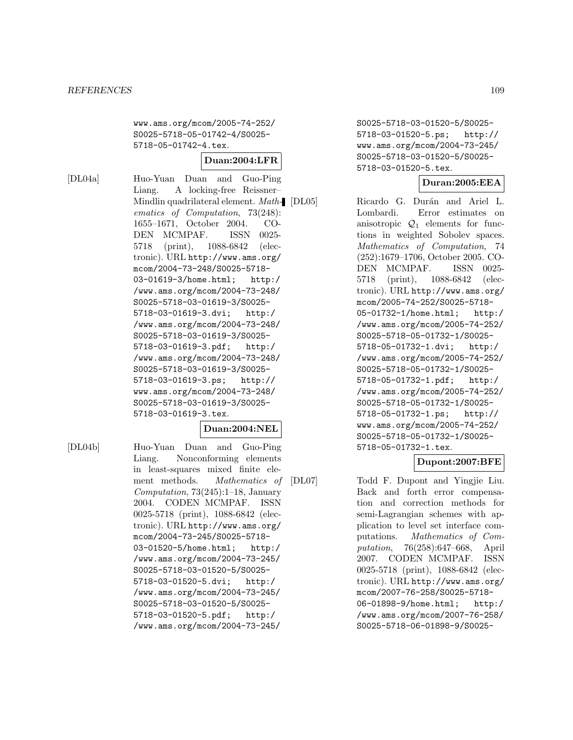www.ams.org/mcom/2005-74-252/ S0025-5718-05-01742-4/S0025- 5718-05-01742-4.tex.

#### **Duan:2004:LFR**

[DL04a] Huo-Yuan Duan and Guo-Ping Liang. A locking-free Reissner– Mindlin quadrilateral element. Math- [DL05] ematics of Computation, 73(248): 1655–1671, October 2004. CO-DEN MCMPAF. ISSN 0025- 5718 (print), 1088-6842 (electronic). URL http://www.ams.org/ mcom/2004-73-248/S0025-5718- 03-01619-3/home.html; http:/ /www.ams.org/mcom/2004-73-248/ S0025-5718-03-01619-3/S0025- 5718-03-01619-3.dvi; http:/ /www.ams.org/mcom/2004-73-248/ S0025-5718-03-01619-3/S0025- 5718-03-01619-3.pdf; http:/ /www.ams.org/mcom/2004-73-248/ S0025-5718-03-01619-3/S0025- 5718-03-01619-3.ps; http:// www.ams.org/mcom/2004-73-248/ S0025-5718-03-01619-3/S0025- 5718-03-01619-3.tex.

#### **Duan:2004:NEL**

[DL04b] Huo-Yuan Duan and Guo-Ping Liang. Nonconforming elements in least-squares mixed finite element methods. Mathematics of Computation, 73(245):1–18, January 2004. CODEN MCMPAF. ISSN 0025-5718 (print), 1088-6842 (electronic). URL http://www.ams.org/ mcom/2004-73-245/S0025-5718- 03-01520-5/home.html; http:/ /www.ams.org/mcom/2004-73-245/ S0025-5718-03-01520-5/S0025- 5718-03-01520-5.dvi; http:/ /www.ams.org/mcom/2004-73-245/ S0025-5718-03-01520-5/S0025- 5718-03-01520-5.pdf; http:/ /www.ams.org/mcom/2004-73-245/

S0025-5718-03-01520-5/S0025- 5718-03-01520-5.ps; http:// www.ams.org/mcom/2004-73-245/ S0025-5718-03-01520-5/S0025- 5718-03-01520-5.tex.

# **Duran:2005:EEA**

Ricardo G. Durán and Ariel L. Lombardi. Error estimates on anisotropic  $\mathcal{Q}_1$  elements for functions in weighted Sobolev spaces. Mathematics of Computation, 74 (252):1679–1706, October 2005. CO-DEN MCMPAF. ISSN 0025- 5718 (print), 1088-6842 (electronic). URL http://www.ams.org/ mcom/2005-74-252/S0025-5718- 05-01732-1/home.html; http:/ /www.ams.org/mcom/2005-74-252/ S0025-5718-05-01732-1/S0025- 5718-05-01732-1.dvi; http:/ /www.ams.org/mcom/2005-74-252/ S0025-5718-05-01732-1/S0025- 5718-05-01732-1.pdf; http:/ /www.ams.org/mcom/2005-74-252/ S0025-5718-05-01732-1/S0025- 5718-05-01732-1.ps; http:// www.ams.org/mcom/2005-74-252/ S0025-5718-05-01732-1/S0025- 5718-05-01732-1.tex.

# **Dupont:2007:BFE**

[DL07] Todd F. Dupont and Yingjie Liu. Back and forth error compensation and correction methods for semi-Lagrangian schemes with application to level set interface computations. Mathematics of Computation, 76(258):647–668, April 2007. CODEN MCMPAF. ISSN 0025-5718 (print), 1088-6842 (electronic). URL http://www.ams.org/ mcom/2007-76-258/S0025-5718- 06-01898-9/home.html; http:/ /www.ams.org/mcom/2007-76-258/ S0025-5718-06-01898-9/S0025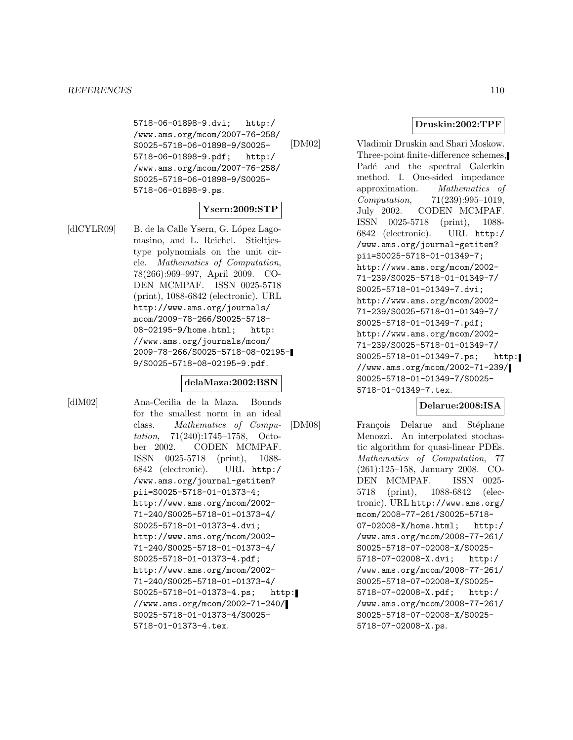5718-06-01898-9.dvi; http:/ /www.ams.org/mcom/2007-76-258/ S0025-5718-06-01898-9/S0025- 5718-06-01898-9.pdf; http:/ /www.ams.org/mcom/2007-76-258/ S0025-5718-06-01898-9/S0025- 5718-06-01898-9.ps.

### **Ysern:2009:STP**

[dlCYLR09] B. de la Calle Ysern, G. López Lagomasino, and L. Reichel. Stieltjestype polynomials on the unit circle. Mathematics of Computation, 78(266):969–997, April 2009. CO-DEN MCMPAF. ISSN 0025-5718 (print), 1088-6842 (electronic). URL http://www.ams.org/journals/ mcom/2009-78-266/S0025-5718- 08-02195-9/home.html; http: //www.ams.org/journals/mcom/ 2009-78-266/S0025-5718-08-02195- 9/S0025-5718-08-02195-9.pdf.

#### **delaMaza:2002:BSN**

[dlM02] Ana-Cecilia de la Maza. Bounds for the smallest norm in an ideal class. Mathematics of Computation, 71(240):1745–1758, October 2002. CODEN MCMPAF. ISSN 0025-5718 (print), 1088- 6842 (electronic). URL http:/ /www.ams.org/journal-getitem? pii=S0025-5718-01-01373-4; http://www.ams.org/mcom/2002- 71-240/S0025-5718-01-01373-4/ S0025-5718-01-01373-4.dvi; http://www.ams.org/mcom/2002- 71-240/S0025-5718-01-01373-4/ S0025-5718-01-01373-4.pdf; http://www.ams.org/mcom/2002- 71-240/S0025-5718-01-01373-4/ S0025-5718-01-01373-4.ps; http: //www.ams.org/mcom/2002-71-240/ S0025-5718-01-01373-4/S0025- 5718-01-01373-4.tex.

#### **Druskin:2002:TPF**

[DM02] Vladimir Druskin and Shari Moskow. Three-point finite-difference schemes, Padé and the spectral Galerkin method. I. One-sided impedance approximation. Mathematics of Computation, 71(239):995–1019, July 2002. CODEN MCMPAF. ISSN 0025-5718 (print), 1088- 6842 (electronic). URL http:/ /www.ams.org/journal-getitem? pii=S0025-5718-01-01349-7; http://www.ams.org/mcom/2002- 71-239/S0025-5718-01-01349-7/ S0025-5718-01-01349-7.dvi; http://www.ams.org/mcom/2002- 71-239/S0025-5718-01-01349-7/ S0025-5718-01-01349-7.pdf; http://www.ams.org/mcom/2002- 71-239/S0025-5718-01-01349-7/ S0025-5718-01-01349-7.ps; http: //www.ams.org/mcom/2002-71-239/ S0025-5718-01-01349-7/S0025- 5718-01-01349-7.tex.

### **Delarue:2008:ISA**

[DM08] François Delarue and Stéphane Menozzi. An interpolated stochastic algorithm for quasi-linear PDEs. Mathematics of Computation, 77 (261):125–158, January 2008. CO-DEN MCMPAF. ISSN 0025- 5718 (print), 1088-6842 (electronic). URL http://www.ams.org/ mcom/2008-77-261/S0025-5718- 07-02008-X/home.html; http:/ /www.ams.org/mcom/2008-77-261/ S0025-5718-07-02008-X/S0025- 5718-07-02008-X.dvi; http:/ /www.ams.org/mcom/2008-77-261/ S0025-5718-07-02008-X/S0025- 5718-07-02008-X.pdf; http:/ /www.ams.org/mcom/2008-77-261/ S0025-5718-07-02008-X/S0025- 5718-07-02008-X.ps.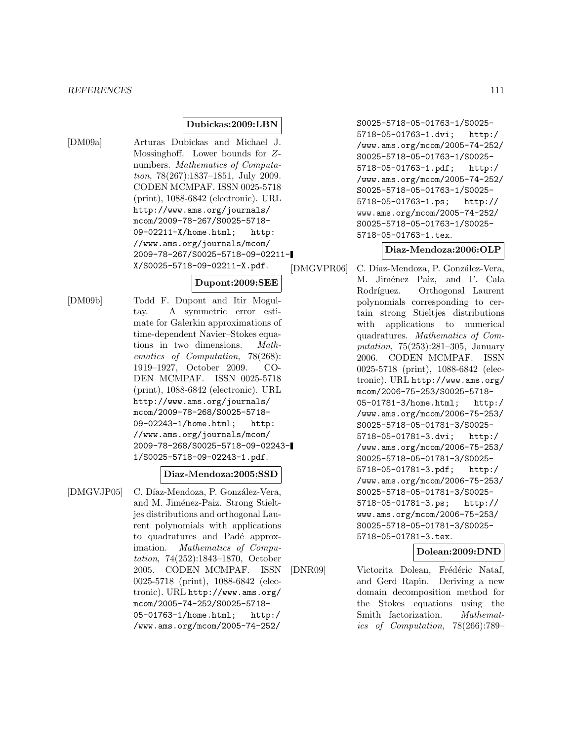#### **Dubickas:2009:LBN**

[DM09a] Arturas Dubickas and Michael J. Mossinghoff. Lower bounds for Znumbers. Mathematics of Computation, 78(267):1837–1851, July 2009. CODEN MCMPAF. ISSN 0025-5718 (print), 1088-6842 (electronic). URL http://www.ams.org/journals/ mcom/2009-78-267/S0025-5718- 09-02211-X/home.html; http: //www.ams.org/journals/mcom/ 2009-78-267/S0025-5718-09-02211- X/S0025-5718-09-02211-X.pdf.

#### **Dupont:2009:SEE**

[DM09b] Todd F. Dupont and Itir Mogultay. A symmetric error estimate for Galerkin approximations of time-dependent Navier–Stokes equations in two dimensions. Mathematics of Computation, 78(268): 1919–1927, October 2009. CO-DEN MCMPAF. ISSN 0025-5718 (print), 1088-6842 (electronic). URL http://www.ams.org/journals/ mcom/2009-78-268/S0025-5718- 09-02243-1/home.html; http: //www.ams.org/journals/mcom/ 2009-78-268/S0025-5718-09-02243- 1/S0025-5718-09-02243-1.pdf.

#### **Diaz-Mendoza:2005:SSD**

[DMGVJP05] C. Díaz-Mendoza, P. González-Vera, and M. Jiménez-Paiz. Strong Stieltjes distributions and orthogonal Laurent polynomials with applications to quadratures and Padé approximation. Mathematics of Computation, 74(252):1843–1870, October 2005. CODEN MCMPAF. ISSN 0025-5718 (print), 1088-6842 (electronic). URL http://www.ams.org/ mcom/2005-74-252/S0025-5718- 05-01763-1/home.html; http:/ /www.ams.org/mcom/2005-74-252/

S0025-5718-05-01763-1/S0025- 5718-05-01763-1.dvi; http:/ /www.ams.org/mcom/2005-74-252/ S0025-5718-05-01763-1/S0025- 5718-05-01763-1.pdf; http:/ /www.ams.org/mcom/2005-74-252/ S0025-5718-05-01763-1/S0025- 5718-05-01763-1.ps; http:// www.ams.org/mcom/2005-74-252/ S0025-5718-05-01763-1/S0025- 5718-05-01763-1.tex.

# **Diaz-Mendoza:2006:OLP**

[DMGVPR06] C. Díaz-Mendoza, P. González-Vera, M. Jiménez Paiz, and F. Cala Rodríguez. Orthogonal Laurent polynomials corresponding to certain strong Stieltjes distributions with applications to numerical quadratures. Mathematics of Computation, 75(253):281–305, January 2006. CODEN MCMPAF. ISSN 0025-5718 (print), 1088-6842 (electronic). URL http://www.ams.org/ mcom/2006-75-253/S0025-5718- 05-01781-3/home.html; http:/ /www.ams.org/mcom/2006-75-253/ S0025-5718-05-01781-3/S0025- 5718-05-01781-3.dvi; http:/ /www.ams.org/mcom/2006-75-253/ S0025-5718-05-01781-3/S0025- 5718-05-01781-3.pdf; http:/ /www.ams.org/mcom/2006-75-253/ S0025-5718-05-01781-3/S0025- 5718-05-01781-3.ps; http:// www.ams.org/mcom/2006-75-253/ S0025-5718-05-01781-3/S0025- 5718-05-01781-3.tex.

### **Dolean:2009:DND**

[DNR09] Victorita Dolean, Frédéric Nataf, and Gerd Rapin. Deriving a new domain decomposition method for the Stokes equations using the Smith factorization. *Mathemat*ics of Computation, 78(266):789–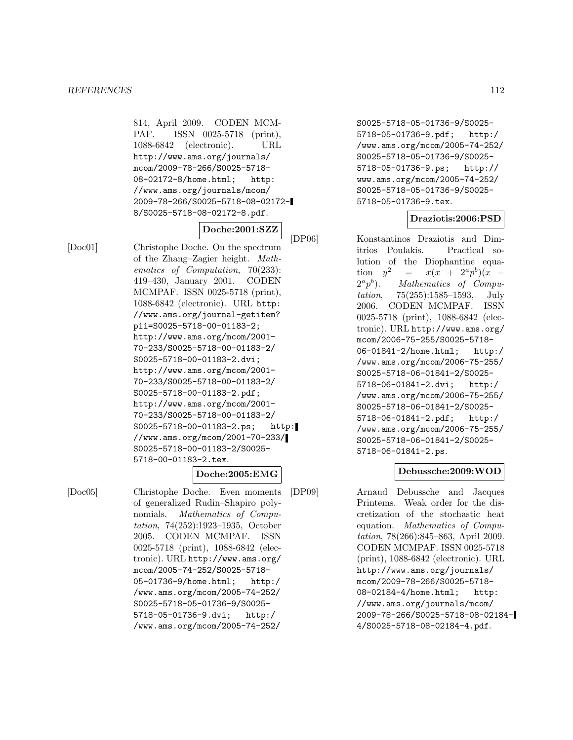814, April 2009. CODEN MCM-PAF. ISSN 0025-5718 (print), 1088-6842 (electronic). URL http://www.ams.org/journals/ mcom/2009-78-266/S0025-5718- 08-02172-8/home.html; http: //www.ams.org/journals/mcom/ 2009-78-266/S0025-5718-08-02172- 8/S0025-5718-08-02172-8.pdf.

### **Doche:2001:SZZ**

[Doc01] Christophe Doche. On the spectrum of the Zhang–Zagier height. Mathematics of Computation, 70(233): 419–430, January 2001. CODEN MCMPAF. ISSN 0025-5718 (print), 1088-6842 (electronic). URL http: //www.ams.org/journal-getitem? pii=S0025-5718-00-01183-2; http://www.ams.org/mcom/2001- 70-233/S0025-5718-00-01183-2/ S0025-5718-00-01183-2.dvi; http://www.ams.org/mcom/2001- 70-233/S0025-5718-00-01183-2/ S0025-5718-00-01183-2.pdf; http://www.ams.org/mcom/2001- 70-233/S0025-5718-00-01183-2/ S0025-5718-00-01183-2.ps; http: //www.ams.org/mcom/2001-70-233/ S0025-5718-00-01183-2/S0025- 5718-00-01183-2.tex.

**Doche:2005:EMG**

[Doc05] Christophe Doche. Even moments of generalized Rudin–Shapiro polynomials. Mathematics of Computation, 74(252):1923–1935, October 2005. CODEN MCMPAF. ISSN 0025-5718 (print), 1088-6842 (electronic). URL http://www.ams.org/ mcom/2005-74-252/S0025-5718- 05-01736-9/home.html; http:/ /www.ams.org/mcom/2005-74-252/ S0025-5718-05-01736-9/S0025- 5718-05-01736-9.dvi; http:/ /www.ams.org/mcom/2005-74-252/

S0025-5718-05-01736-9/S0025- 5718-05-01736-9.pdf; http:/ /www.ams.org/mcom/2005-74-252/ S0025-5718-05-01736-9/S0025- 5718-05-01736-9.ps; http:// www.ams.org/mcom/2005-74-252/ S0025-5718-05-01736-9/S0025- 5718-05-01736-9.tex.

# **Draziotis:2006:PSD**

[DP06] Konstantinos Draziotis and Dimitrios Poulakis. Practical solution of the Diophantine equation  $y^2 = x(x + 2^a p^b)(x - 2^a p^b)$ .<br> *Aathematics of Compu-*Mathematics of Computation, 75(255):1585–1593, July 2006. CODEN MCMPAF. ISSN 0025-5718 (print), 1088-6842 (electronic). URL http://www.ams.org/ mcom/2006-75-255/S0025-5718- 06-01841-2/home.html; http:/ /www.ams.org/mcom/2006-75-255/ S0025-5718-06-01841-2/S0025- 5718-06-01841-2.dvi; http:/ /www.ams.org/mcom/2006-75-255/ S0025-5718-06-01841-2/S0025- 5718-06-01841-2.pdf; http:/ /www.ams.org/mcom/2006-75-255/ S0025-5718-06-01841-2/S0025- 5718-06-01841-2.ps.

### **Debussche:2009:WOD**

[DP09] Arnaud Debussche and Jacques Printems. Weak order for the discretization of the stochastic heat equation. Mathematics of Computation, 78(266):845–863, April 2009. CODEN MCMPAF. ISSN 0025-5718 (print), 1088-6842 (electronic). URL http://www.ams.org/journals/ mcom/2009-78-266/S0025-5718- 08-02184-4/home.html; http: //www.ams.org/journals/mcom/ 2009-78-266/S0025-5718-08-02184- 4/S0025-5718-08-02184-4.pdf.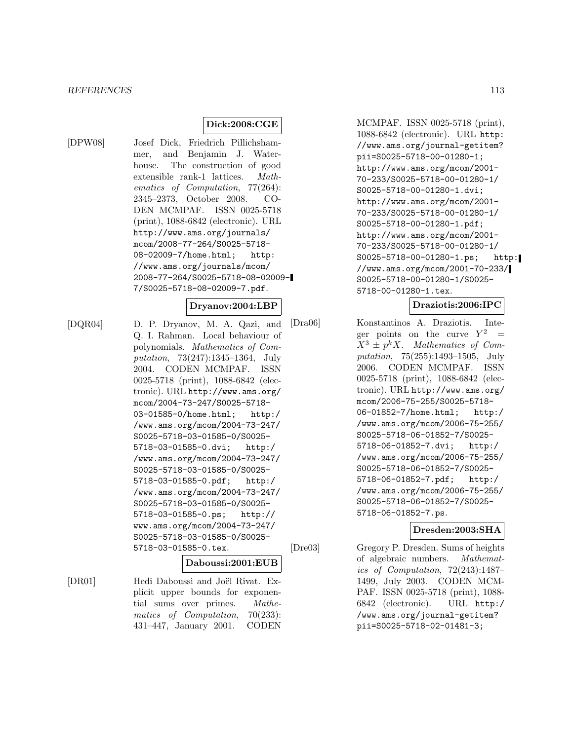# **Dick:2008:CGE**

[DPW08] Josef Dick, Friedrich Pillichshammer, and Benjamin J. Waterhouse. The construction of good extensible rank-1 lattices. Mathematics of Computation, 77(264): 2345–2373, October 2008. CO-DEN MCMPAF. ISSN 0025-5718 (print), 1088-6842 (electronic). URL http://www.ams.org/journals/ mcom/2008-77-264/S0025-5718- 08-02009-7/home.html; http: //www.ams.org/journals/mcom/ 2008-77-264/S0025-5718-08-02009- 7/S0025-5718-08-02009-7.pdf.

### **Dryanov:2004:LBP**

[DQR04] D. P. Dryanov, M. A. Qazi, and Q. I. Rahman. Local behaviour of polynomials. Mathematics of Computation, 73(247):1345–1364, July 2004. CODEN MCMPAF. ISSN 0025-5718 (print), 1088-6842 (electronic). URL http://www.ams.org/ mcom/2004-73-247/S0025-5718- 03-01585-0/home.html; http:/ /www.ams.org/mcom/2004-73-247/ S0025-5718-03-01585-0/S0025- 5718-03-01585-0.dvi; http:/ /www.ams.org/mcom/2004-73-247/ S0025-5718-03-01585-0/S0025- 5718-03-01585-0.pdf; http:/ /www.ams.org/mcom/2004-73-247/ S0025-5718-03-01585-0/S0025- 5718-03-01585-0.ps; http:// www.ams.org/mcom/2004-73-247/ S0025-5718-03-01585-0/S0025- 5718-03-01585-0.tex.

#### **Daboussi:2001:EUB**

[DR01] Hedi Daboussi and Joël Rivat. Explicit upper bounds for exponential sums over primes. Mathematics of Computation, 70(233): 431–447, January 2001. CODEN

MCMPAF. ISSN 0025-5718 (print), 1088-6842 (electronic). URL http: //www.ams.org/journal-getitem? pii=S0025-5718-00-01280-1; http://www.ams.org/mcom/2001- 70-233/S0025-5718-00-01280-1/ S0025-5718-00-01280-1.dvi; http://www.ams.org/mcom/2001- 70-233/S0025-5718-00-01280-1/ S0025-5718-00-01280-1.pdf; http://www.ams.org/mcom/2001- 70-233/S0025-5718-00-01280-1/ S0025-5718-00-01280-1.ps; http: //www.ams.org/mcom/2001-70-233/ S0025-5718-00-01280-1/S0025- 5718-00-01280-1.tex.

### **Draziotis:2006:IPC**

[Dra06] Konstantinos A. Draziotis. Integer points on the curve  $Y^2$  =  $X^3 \pm p^k X$ . Mathematics of Computation, 75(255):1493–1505, July 2006. CODEN MCMPAF. ISSN 0025-5718 (print), 1088-6842 (electronic). URL http://www.ams.org/ mcom/2006-75-255/S0025-5718- 06-01852-7/home.html; http:/ /www.ams.org/mcom/2006-75-255/ S0025-5718-06-01852-7/S0025- 5718-06-01852-7.dvi; http:/ /www.ams.org/mcom/2006-75-255/ S0025-5718-06-01852-7/S0025- 5718-06-01852-7.pdf; http:/ /www.ams.org/mcom/2006-75-255/ S0025-5718-06-01852-7/S0025- 5718-06-01852-7.ps.

### **Dresden:2003:SHA**

[Dre03] Gregory P. Dresden. Sums of heights of algebraic numbers. Mathematics of Computation, 72(243):1487– 1499, July 2003. CODEN MCM-PAF. ISSN 0025-5718 (print), 1088- 6842 (electronic). URL http:/ /www.ams.org/journal-getitem? pii=S0025-5718-02-01481-3;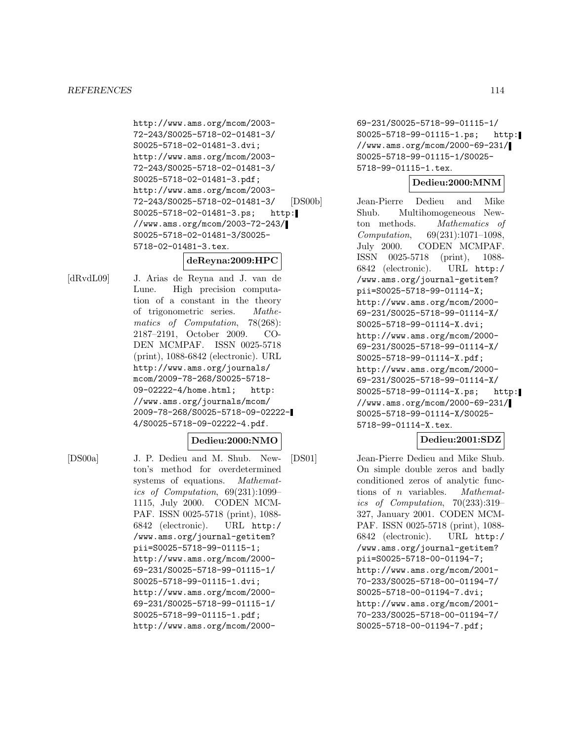http://www.ams.org/mcom/2003- 72-243/S0025-5718-02-01481-3/ S0025-5718-02-01481-3.dvi; http://www.ams.org/mcom/2003- 72-243/S0025-5718-02-01481-3/ S0025-5718-02-01481-3.pdf; http://www.ams.org/mcom/2003- 72-243/S0025-5718-02-01481-3/ S0025-5718-02-01481-3.ps; http: //www.ams.org/mcom/2003-72-243/ S0025-5718-02-01481-3/S0025- 5718-02-01481-3.tex.

# **deReyna:2009:HPC**

[dRvdL09] J. Arias de Reyna and J. van de Lune. High precision computation of a constant in the theory of trigonometric series. Mathematics of Computation, 78(268): 2187–2191, October 2009. CO-DEN MCMPAF. ISSN 0025-5718 (print), 1088-6842 (electronic). URL http://www.ams.org/journals/ mcom/2009-78-268/S0025-5718- 09-02222-4/home.html; http: //www.ams.org/journals/mcom/ 2009-78-268/S0025-5718-09-02222- 4/S0025-5718-09-02222-4.pdf.

### **Dedieu:2000:NMO**

[DS00a] J. P. Dedieu and M. Shub. Newton's method for overdetermined systems of equations. Mathematics of Computation, 69(231):1099– 1115, July 2000. CODEN MCM-PAF. ISSN 0025-5718 (print), 1088- 6842 (electronic). URL http:/ /www.ams.org/journal-getitem? pii=S0025-5718-99-01115-1; http://www.ams.org/mcom/2000- 69-231/S0025-5718-99-01115-1/ S0025-5718-99-01115-1.dvi; http://www.ams.org/mcom/2000- 69-231/S0025-5718-99-01115-1/ S0025-5718-99-01115-1.pdf; http://www.ams.org/mcom/200069-231/S0025-5718-99-01115-1/ S0025-5718-99-01115-1.ps; http: //www.ams.org/mcom/2000-69-231/ S0025-5718-99-01115-1/S0025- 5718-99-01115-1.tex.

### **Dedieu:2000:MNM**

[DS00b] Jean-Pierre Dedieu and Mike Shub. Multihomogeneous Newton methods. Mathematics of Computation, 69(231):1071–1098, July 2000. CODEN MCMPAF. ISSN 0025-5718 (print), 1088- 6842 (electronic). URL http:/ /www.ams.org/journal-getitem? pii=S0025-5718-99-01114-X; http://www.ams.org/mcom/2000- 69-231/S0025-5718-99-01114-X/ S0025-5718-99-01114-X.dvi; http://www.ams.org/mcom/2000- 69-231/S0025-5718-99-01114-X/ S0025-5718-99-01114-X.pdf; http://www.ams.org/mcom/2000- 69-231/S0025-5718-99-01114-X/ S0025-5718-99-01114-X.ps; http: //www.ams.org/mcom/2000-69-231/ S0025-5718-99-01114-X/S0025- 5718-99-01114-X.tex.

# **Dedieu:2001:SDZ**

[DS01] Jean-Pierre Dedieu and Mike Shub. On simple double zeros and badly conditioned zeros of analytic functions of n variables. Mathematics of Computation, 70(233):319– 327, January 2001. CODEN MCM-PAF. ISSN 0025-5718 (print), 1088- 6842 (electronic). URL http:/ /www.ams.org/journal-getitem? pii=S0025-5718-00-01194-7; http://www.ams.org/mcom/2001- 70-233/S0025-5718-00-01194-7/ S0025-5718-00-01194-7.dvi; http://www.ams.org/mcom/2001- 70-233/S0025-5718-00-01194-7/ S0025-5718-00-01194-7.pdf;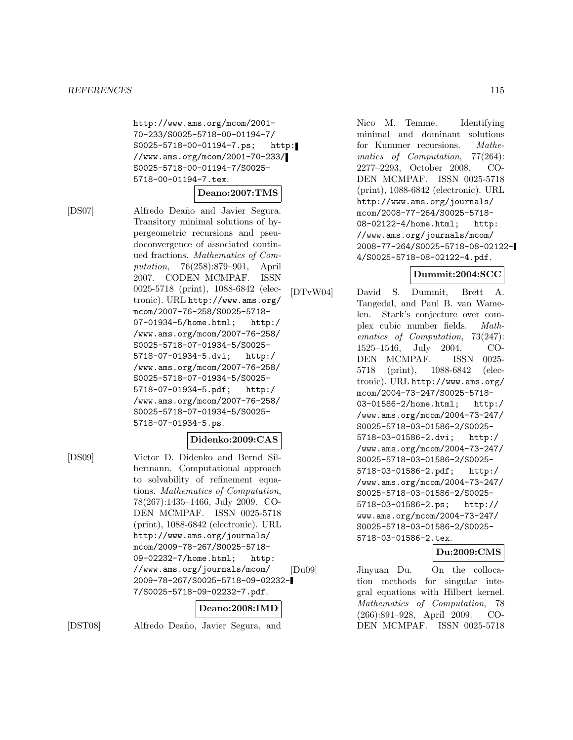http://www.ams.org/mcom/2001- 70-233/S0025-5718-00-01194-7/ S0025-5718-00-01194-7.ps; http: //www.ams.org/mcom/2001-70-233/ S0025-5718-00-01194-7/S0025- 5718-00-01194-7.tex.

#### **Deano:2007:TMS**

[DS07] Alfredo Deaño and Javier Segura. Transitory minimal solutions of hypergeometric recursions and pseudoconvergence of associated continued fractions. Mathematics of Computation, 76(258):879–901, April 2007. CODEN MCMPAF. ISSN 0025-5718 (print), 1088-6842 (electronic). URL http://www.ams.org/ mcom/2007-76-258/S0025-5718- 07-01934-5/home.html; http:/ /www.ams.org/mcom/2007-76-258/ S0025-5718-07-01934-5/S0025- 5718-07-01934-5.dvi; http:/ /www.ams.org/mcom/2007-76-258/ S0025-5718-07-01934-5/S0025- 5718-07-01934-5.pdf; http:/ /www.ams.org/mcom/2007-76-258/ S0025-5718-07-01934-5/S0025- 5718-07-01934-5.ps.

### **Didenko:2009:CAS**

[DS09] Victor D. Didenko and Bernd Silbermann. Computational approach to solvability of refinement equations. Mathematics of Computation, 78(267):1435–1466, July 2009. CO-DEN MCMPAF. ISSN 0025-5718 (print), 1088-6842 (electronic). URL http://www.ams.org/journals/ mcom/2009-78-267/S0025-5718- 09-02232-7/home.html; http: //www.ams.org/journals/mcom/ 2009-78-267/S0025-5718-09-02232- 7/S0025-5718-09-02232-7.pdf.

### **Deano:2008:IMD**

[DST08] Alfredo Deaño, Javier Segura, and

Nico M. Temme. Identifying minimal and dominant solutions for Kummer recursions. Mathematics of Computation, 77(264): 2277–2293, October 2008. CO-DEN MCMPAF. ISSN 0025-5718 (print), 1088-6842 (electronic). URL http://www.ams.org/journals/ mcom/2008-77-264/S0025-5718- 08-02122-4/home.html; http: //www.ams.org/journals/mcom/ 2008-77-264/S0025-5718-08-02122- 4/S0025-5718-08-02122-4.pdf.

# **Dummit:2004:SCC**

[DTvW04] David S. Dummit, Brett A. Tangedal, and Paul B. van Wamelen. Stark's conjecture over complex cubic number fields. Mathematics of Computation, 73(247): 1525–1546, July 2004. CO-DEN MCMPAF. ISSN 0025- 5718 (print), 1088-6842 (electronic). URL http://www.ams.org/ mcom/2004-73-247/S0025-5718- 03-01586-2/home.html; http:/ /www.ams.org/mcom/2004-73-247/ S0025-5718-03-01586-2/S0025- 5718-03-01586-2.dvi; http:/ /www.ams.org/mcom/2004-73-247/ S0025-5718-03-01586-2/S0025- 5718-03-01586-2.pdf; http:/ /www.ams.org/mcom/2004-73-247/ S0025-5718-03-01586-2/S0025- 5718-03-01586-2.ps; http:// www.ams.org/mcom/2004-73-247/ S0025-5718-03-01586-2/S0025- 5718-03-01586-2.tex.

### **Du:2009:CMS**

[Du09] Jinyuan Du. On the collocation methods for singular integral equations with Hilbert kernel. Mathematics of Computation, 78 (266):891–928, April 2009. CO-DEN MCMPAF. ISSN 0025-5718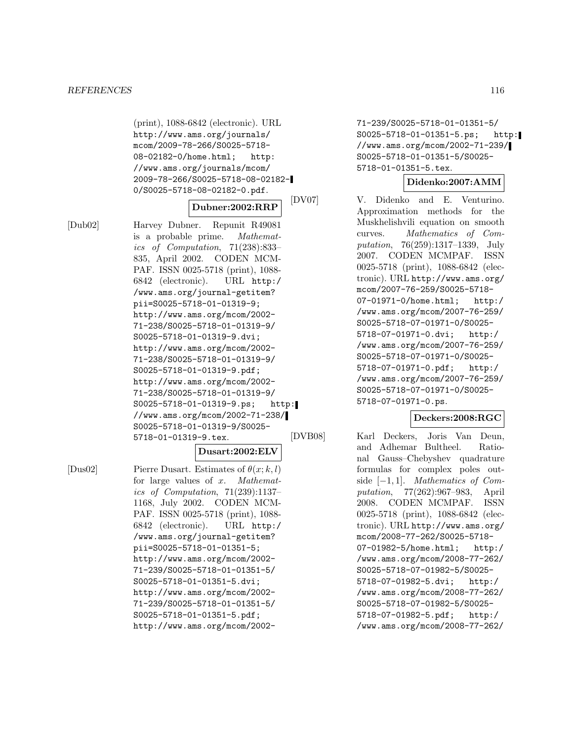(print), 1088-6842 (electronic). URL http://www.ams.org/journals/ mcom/2009-78-266/S0025-5718- 08-02182-0/home.html; http: //www.ams.org/journals/mcom/ 2009-78-266/S0025-5718-08-02182- 0/S0025-5718-08-02182-0.pdf.

#### **Dubner:2002:RRP**

[Dub02] Harvey Dubner. Repunit R49081 is a probable prime. Mathematics of Computation, 71(238):833– 835, April 2002. CODEN MCM-PAF. ISSN 0025-5718 (print), 1088- 6842 (electronic). URL http:/ /www.ams.org/journal-getitem? pii=S0025-5718-01-01319-9; http://www.ams.org/mcom/2002- 71-238/S0025-5718-01-01319-9/ S0025-5718-01-01319-9.dvi; http://www.ams.org/mcom/2002- 71-238/S0025-5718-01-01319-9/ S0025-5718-01-01319-9.pdf; http://www.ams.org/mcom/2002- 71-238/S0025-5718-01-01319-9/ S0025-5718-01-01319-9.ps; http: //www.ams.org/mcom/2002-71-238/ S0025-5718-01-01319-9/S0025- 5718-01-01319-9.tex.

# **Dusart:2002:ELV**

[Dus02] Pierre Dusart. Estimates of  $\theta(x; k, l)$ for large values of x. Mathematics of Computation, 71(239):1137– 1168, July 2002. CODEN MCM-PAF. ISSN 0025-5718 (print), 1088- 6842 (electronic). URL http:/ /www.ams.org/journal-getitem? pii=S0025-5718-01-01351-5; http://www.ams.org/mcom/2002- 71-239/S0025-5718-01-01351-5/ S0025-5718-01-01351-5.dvi; http://www.ams.org/mcom/2002- 71-239/S0025-5718-01-01351-5/ S0025-5718-01-01351-5.pdf; http://www.ams.org/mcom/200271-239/S0025-5718-01-01351-5/ S0025-5718-01-01351-5.ps; http: //www.ams.org/mcom/2002-71-239/ S0025-5718-01-01351-5/S0025- 5718-01-01351-5.tex.

#### **Didenko:2007:AMM**

[DV07] V. Didenko and E. Venturino. Approximation methods for the Muskhelishvili equation on smooth curves. Mathematics of Computation, 76(259):1317–1339, July 2007. CODEN MCMPAF. ISSN 0025-5718 (print), 1088-6842 (electronic). URL http://www.ams.org/ mcom/2007-76-259/S0025-5718- 07-01971-0/home.html; http:/ /www.ams.org/mcom/2007-76-259/ S0025-5718-07-01971-0/S0025- 5718-07-01971-0.dvi; http:/ /www.ams.org/mcom/2007-76-259/ S0025-5718-07-01971-0/S0025- 5718-07-01971-0.pdf; http:/ /www.ams.org/mcom/2007-76-259/ S0025-5718-07-01971-0/S0025- 5718-07-01971-0.ps.

### **Deckers:2008:RGC**

[DVB08] Karl Deckers, Joris Van Deun, and Adhemar Bultheel. Rational Gauss–Chebyshev quadrature formulas for complex poles outside  $[-1, 1]$ . *Mathematics of Com-*<br>*putation*, 77(262):967–983, April putation,  $77(262):967-983$ , 2008. CODEN MCMPAF. ISSN 0025-5718 (print), 1088-6842 (electronic). URL http://www.ams.org/ mcom/2008-77-262/S0025-5718- 07-01982-5/home.html; http:/ /www.ams.org/mcom/2008-77-262/ S0025-5718-07-01982-5/S0025- 5718-07-01982-5.dvi; http:/ /www.ams.org/mcom/2008-77-262/ S0025-5718-07-01982-5/S0025- 5718-07-01982-5.pdf; http:/ /www.ams.org/mcom/2008-77-262/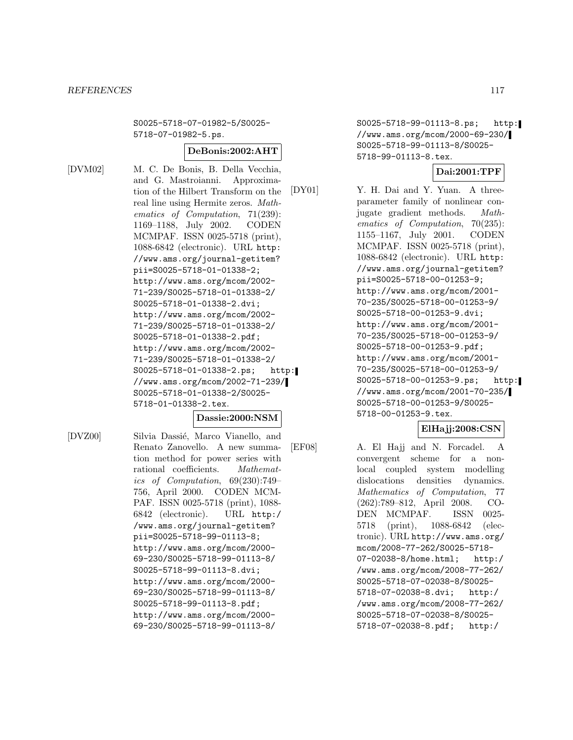S0025-5718-07-01982-5/S0025- 5718-07-01982-5.ps.

#### **DeBonis:2002:AHT**

[DVM02] M. C. De Bonis, B. Della Vecchia, and G. Mastroianni. Approximation of the Hilbert Transform on the real line using Hermite zeros. Mathematics of Computation, 71(239): 1169–1188, July 2002. CODEN MCMPAF. ISSN 0025-5718 (print), 1088-6842 (electronic). URL http: //www.ams.org/journal-getitem? pii=S0025-5718-01-01338-2; http://www.ams.org/mcom/2002- 71-239/S0025-5718-01-01338-2/ S0025-5718-01-01338-2.dvi; http://www.ams.org/mcom/2002- 71-239/S0025-5718-01-01338-2/ S0025-5718-01-01338-2.pdf; http://www.ams.org/mcom/2002- 71-239/S0025-5718-01-01338-2/ S0025-5718-01-01338-2.ps; http: //www.ams.org/mcom/2002-71-239/ S0025-5718-01-01338-2/S0025- 5718-01-01338-2.tex.

### **Dassie:2000:NSM**

[DVZ00] Silvia Dassié, Marco Vianello, and Renato Zanovello. A new summation method for power series with rational coefficients. Mathematics of Computation, 69(230):749– 756, April 2000. CODEN MCM-PAF. ISSN 0025-5718 (print), 1088- 6842 (electronic). URL http:/ /www.ams.org/journal-getitem? pii=S0025-5718-99-01113-8; http://www.ams.org/mcom/2000- 69-230/S0025-5718-99-01113-8/ S0025-5718-99-01113-8.dvi; http://www.ams.org/mcom/2000- 69-230/S0025-5718-99-01113-8/ S0025-5718-99-01113-8.pdf; http://www.ams.org/mcom/2000- 69-230/S0025-5718-99-01113-8/

S0025-5718-99-01113-8.ps; http: //www.ams.org/mcom/2000-69-230/ S0025-5718-99-01113-8/S0025- 5718-99-01113-8.tex.

# **Dai:2001:TPF**

[DY01] Y. H. Dai and Y. Yuan. A threeparameter family of nonlinear conjugate gradient methods. Mathematics of Computation, 70(235): 1155–1167, July 2001. CODEN MCMPAF. ISSN 0025-5718 (print), 1088-6842 (electronic). URL http: //www.ams.org/journal-getitem? pii=S0025-5718-00-01253-9; http://www.ams.org/mcom/2001- 70-235/S0025-5718-00-01253-9/ S0025-5718-00-01253-9.dvi; http://www.ams.org/mcom/2001- 70-235/S0025-5718-00-01253-9/ S0025-5718-00-01253-9.pdf; http://www.ams.org/mcom/2001- 70-235/S0025-5718-00-01253-9/ S0025-5718-00-01253-9.ps; http: //www.ams.org/mcom/2001-70-235/ S0025-5718-00-01253-9/S0025- 5718-00-01253-9.tex.

### **ElHajj:2008:CSN**

[EF08] A. El Hajj and N. Forcadel. A convergent scheme for a nonlocal coupled system modelling dislocations densities dynamics. Mathematics of Computation, 77 (262):789–812, April 2008. CO-DEN MCMPAF. ISSN 0025- 5718 (print), 1088-6842 (electronic). URL http://www.ams.org/ mcom/2008-77-262/S0025-5718- 07-02038-8/home.html; http:/ /www.ams.org/mcom/2008-77-262/ S0025-5718-07-02038-8/S0025- 5718-07-02038-8.dvi; http:/ /www.ams.org/mcom/2008-77-262/ S0025-5718-07-02038-8/S0025- 5718-07-02038-8.pdf; http:/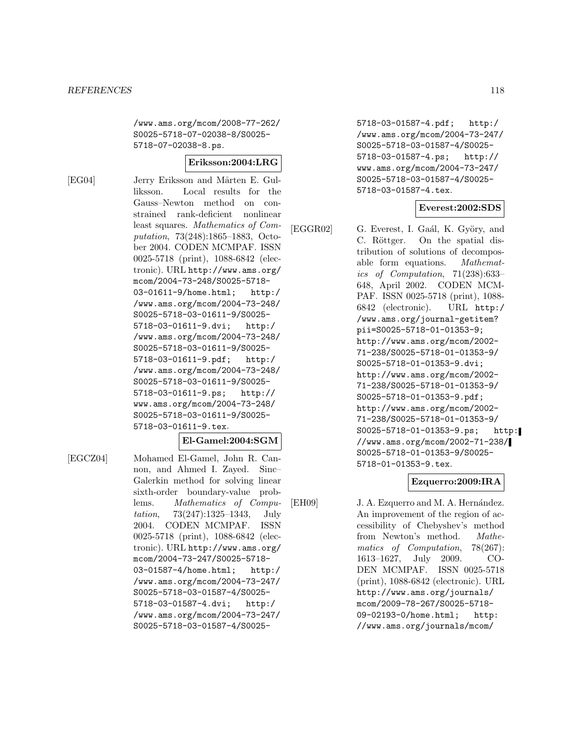/www.ams.org/mcom/2008-77-262/ S0025-5718-07-02038-8/S0025- 5718-07-02038-8.ps.

#### **Eriksson:2004:LRG**

[EG04] Jerry Eriksson and Mårten E. Gulliksson. Local results for the Gauss–Newton method on constrained rank-deficient nonlinear least squares. Mathematics of Computation, 73(248):1865–1883, October 2004. CODEN MCMPAF. ISSN 0025-5718 (print), 1088-6842 (electronic). URL http://www.ams.org/ mcom/2004-73-248/S0025-5718- 03-01611-9/home.html; http:/ /www.ams.org/mcom/2004-73-248/ S0025-5718-03-01611-9/S0025- 5718-03-01611-9.dvi; http:/ /www.ams.org/mcom/2004-73-248/ S0025-5718-03-01611-9/S0025- 5718-03-01611-9.pdf; http:/ /www.ams.org/mcom/2004-73-248/ S0025-5718-03-01611-9/S0025- 5718-03-01611-9.ps; http:// www.ams.org/mcom/2004-73-248/ S0025-5718-03-01611-9/S0025- 5718-03-01611-9.tex.

#### **El-Gamel:2004:SGM**

[EGCZ04] Mohamed El-Gamel, John R. Cannon, and Ahmed I. Zayed. Sinc– Galerkin method for solving linear sixth-order boundary-value problems. Mathematics of Computation, 73(247):1325–1343, July 2004. CODEN MCMPAF. ISSN 0025-5718 (print), 1088-6842 (electronic). URL http://www.ams.org/ mcom/2004-73-247/S0025-5718- 03-01587-4/home.html; http:/ /www.ams.org/mcom/2004-73-247/ S0025-5718-03-01587-4/S0025- 5718-03-01587-4.dvi; http:/ /www.ams.org/mcom/2004-73-247/ S0025-5718-03-01587-4/S00255718-03-01587-4.pdf; http:/ /www.ams.org/mcom/2004-73-247/ S0025-5718-03-01587-4/S0025- 5718-03-01587-4.ps; http:// www.ams.org/mcom/2004-73-247/ S0025-5718-03-01587-4/S0025- 5718-03-01587-4.tex.

#### **Everest:2002:SDS**

[EGGR02] G. Everest, I. Gaál, K. Györy, and C. Röttger. On the spatial distribution of solutions of decomposable form equations. Mathematics of Computation, 71(238):633– 648, April 2002. CODEN MCM-PAF. ISSN 0025-5718 (print), 1088- 6842 (electronic). URL http:/ /www.ams.org/journal-getitem? pii=S0025-5718-01-01353-9; http://www.ams.org/mcom/2002- 71-238/S0025-5718-01-01353-9/ S0025-5718-01-01353-9.dvi; http://www.ams.org/mcom/2002- 71-238/S0025-5718-01-01353-9/ S0025-5718-01-01353-9.pdf; http://www.ams.org/mcom/2002- 71-238/S0025-5718-01-01353-9/ S0025-5718-01-01353-9.ps; http: //www.ams.org/mcom/2002-71-238/ S0025-5718-01-01353-9/S0025- 5718-01-01353-9.tex.

# **Ezquerro:2009:IRA**

[EH09] J. A. Ezquerro and M. A. Hernández. An improvement of the region of accessibility of Chebyshev's method from Newton's method. Mathematics of Computation, 78(267): 1613–1627, July 2009. CO-DEN MCMPAF. ISSN 0025-5718 (print), 1088-6842 (electronic). URL http://www.ams.org/journals/ mcom/2009-78-267/S0025-5718- 09-02193-0/home.html; http: //www.ams.org/journals/mcom/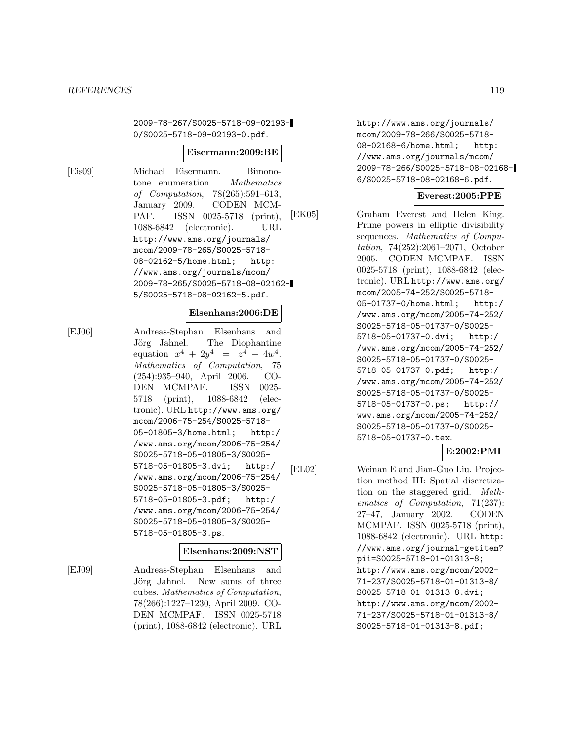2009-78-267/S0025-5718-09-02193- 0/S0025-5718-09-02193-0.pdf.

#### **Eisermann:2009:BE**

[Eis09] Michael Eisermann. Bimonotone enumeration. Mathematics of Computation, 78(265):591–613, January 2009. CODEN MCM-PAF. ISSN 0025-5718 (print), 1088-6842 (electronic). URL http://www.ams.org/journals/ mcom/2009-78-265/S0025-5718- 08-02162-5/home.html; http: //www.ams.org/journals/mcom/ 2009-78-265/S0025-5718-08-02162- 5/S0025-5718-08-02162-5.pdf.

#### **Elsenhans:2006:DE**

[EJ06] Andreas-Stephan Elsenhans and Jörg Jahnel. The Diophantine equation  $x^4 + 2y^4 = z^4 + 4w^4$ . Mathematics of Computation, 75 (254):935–940, April 2006. CO-DEN MCMPAF. ISSN 0025- 5718 (print), 1088-6842 (electronic). URL http://www.ams.org/ mcom/2006-75-254/S0025-5718- 05-01805-3/home.html; http:/ /www.ams.org/mcom/2006-75-254/ S0025-5718-05-01805-3/S0025- 5718-05-01805-3.dvi; http:/ /www.ams.org/mcom/2006-75-254/ S0025-5718-05-01805-3/S0025- 5718-05-01805-3.pdf; http:/ /www.ams.org/mcom/2006-75-254/ S0025-5718-05-01805-3/S0025- 5718-05-01805-3.ps.

#### **Elsenhans:2009:NST**

[EJ09] Andreas-Stephan Elsenhans and Jörg Jahnel. New sums of three cubes. Mathematics of Computation, 78(266):1227–1230, April 2009. CO-DEN MCMPAF. ISSN 0025-5718 (print), 1088-6842 (electronic). URL http://www.ams.org/journals/ mcom/2009-78-266/S0025-5718- 08-02168-6/home.html; http: //www.ams.org/journals/mcom/ 2009-78-266/S0025-5718-08-02168- 6/S0025-5718-08-02168-6.pdf.

### **Everest:2005:PPE**

[EK05] Graham Everest and Helen King. Prime powers in elliptic divisibility sequences. Mathematics of Computation, 74(252):2061–2071, October 2005. CODEN MCMPAF. ISSN 0025-5718 (print), 1088-6842 (electronic). URL http://www.ams.org/ mcom/2005-74-252/S0025-5718- 05-01737-0/home.html; http:/ /www.ams.org/mcom/2005-74-252/ S0025-5718-05-01737-0/S0025- 5718-05-01737-0.dvi; http:/ /www.ams.org/mcom/2005-74-252/ S0025-5718-05-01737-0/S0025- 5718-05-01737-0.pdf; http:/ /www.ams.org/mcom/2005-74-252/ S0025-5718-05-01737-0/S0025- 5718-05-01737-0.ps; http:// www.ams.org/mcom/2005-74-252/ S0025-5718-05-01737-0/S0025- 5718-05-01737-0.tex.

# **E:2002:PMI**

[EL02] Weinan E and Jian-Guo Liu. Projection method III: Spatial discretization on the staggered grid. Mathematics of Computation, 71(237): 27–47, January 2002. CODEN MCMPAF. ISSN 0025-5718 (print), 1088-6842 (electronic). URL http: //www.ams.org/journal-getitem? pii=S0025-5718-01-01313-8; http://www.ams.org/mcom/2002- 71-237/S0025-5718-01-01313-8/ S0025-5718-01-01313-8.dvi; http://www.ams.org/mcom/2002- 71-237/S0025-5718-01-01313-8/ S0025-5718-01-01313-8.pdf;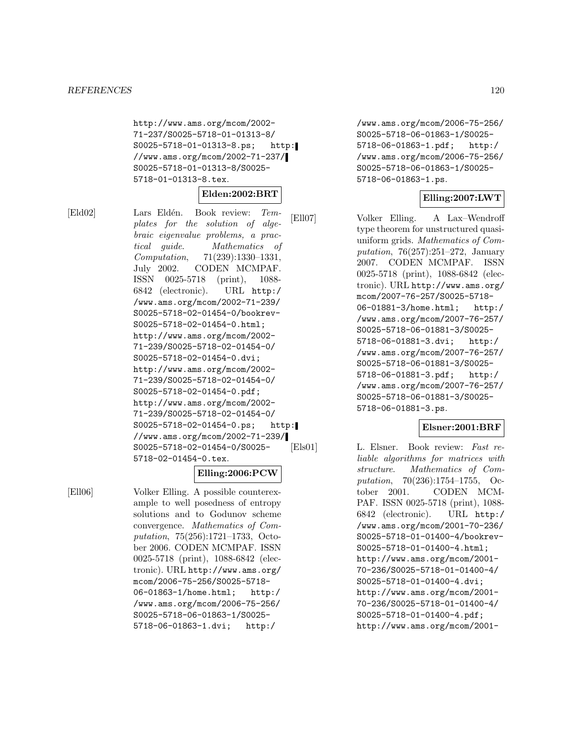http://www.ams.org/mcom/2002- 71-237/S0025-5718-01-01313-8/ S0025-5718-01-01313-8.ps; http: //www.ams.org/mcom/2002-71-237/ S0025-5718-01-01313-8/S0025- 5718-01-01313-8.tex.

#### **Elden:2002:BRT**

[Eld02] Lars Eldén. Book review: Templates for the solution of algebraic eigenvalue problems, a practical guide. Mathematics of Computation, 71(239):1330–1331, July 2002. CODEN MCMPAF. ISSN 0025-5718 (print), 1088- 6842 (electronic). URL http:/ /www.ams.org/mcom/2002-71-239/ S0025-5718-02-01454-0/bookrev-S0025-5718-02-01454-0.html; http://www.ams.org/mcom/2002- 71-239/S0025-5718-02-01454-0/ S0025-5718-02-01454-0.dvi; http://www.ams.org/mcom/2002- 71-239/S0025-5718-02-01454-0/ S0025-5718-02-01454-0.pdf; http://www.ams.org/mcom/2002- 71-239/S0025-5718-02-01454-0/ S0025-5718-02-01454-0.ps; http: //www.ams.org/mcom/2002-71-239/ S0025-5718-02-01454-0/S0025- 5718-02-01454-0.tex.

# **Elling:2006:PCW**

[Ell06] Volker Elling. A possible counterexample to well posedness of entropy solutions and to Godunov scheme convergence. Mathematics of Computation, 75(256):1721–1733, October 2006. CODEN MCMPAF. ISSN 0025-5718 (print), 1088-6842 (electronic). URL http://www.ams.org/ mcom/2006-75-256/S0025-5718- 06-01863-1/home.html; http:/ /www.ams.org/mcom/2006-75-256/ S0025-5718-06-01863-1/S0025- 5718-06-01863-1.dvi; http:/

/www.ams.org/mcom/2006-75-256/ S0025-5718-06-01863-1/S0025- 5718-06-01863-1.pdf; http:/ /www.ams.org/mcom/2006-75-256/ S0025-5718-06-01863-1/S0025- 5718-06-01863-1.ps.

#### **Elling:2007:LWT**

[Ell07] Volker Elling. A Lax–Wendroff type theorem for unstructured quasiuniform grids. Mathematics of Computation, 76(257):251–272, January 2007. CODEN MCMPAF. ISSN 0025-5718 (print), 1088-6842 (electronic). URL http://www.ams.org/ mcom/2007-76-257/S0025-5718- 06-01881-3/home.html; http:/ /www.ams.org/mcom/2007-76-257/ S0025-5718-06-01881-3/S0025- 5718-06-01881-3.dvi; http:/ /www.ams.org/mcom/2007-76-257/ S0025-5718-06-01881-3/S0025- 5718-06-01881-3.pdf; http:/ /www.ams.org/mcom/2007-76-257/ S0025-5718-06-01881-3/S0025- 5718-06-01881-3.ps.

### **Elsner:2001:BRF**

[Els01] L. Elsner. Book review: Fast reliable algorithms for matrices with structure. Mathematics of Computation, 70(236):1754–1755, October 2001. CODEN MCM-PAF. ISSN 0025-5718 (print), 1088- 6842 (electronic). URL http:/ /www.ams.org/mcom/2001-70-236/ S0025-5718-01-01400-4/bookrev-S0025-5718-01-01400-4.html; http://www.ams.org/mcom/2001- 70-236/S0025-5718-01-01400-4/ S0025-5718-01-01400-4.dvi; http://www.ams.org/mcom/2001- 70-236/S0025-5718-01-01400-4/ S0025-5718-01-01400-4.pdf; http://www.ams.org/mcom/2001-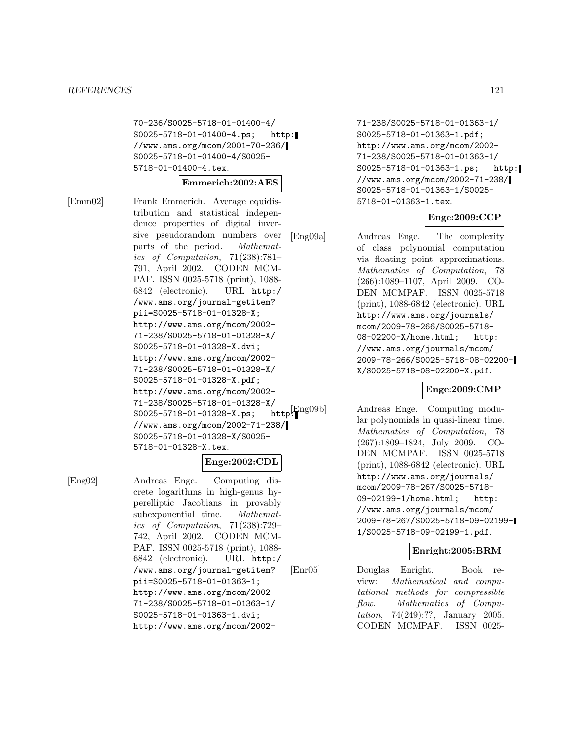70-236/S0025-5718-01-01400-4/ S0025-5718-01-01400-4.ps; http: //www.ams.org/mcom/2001-70-236/ S0025-5718-01-01400-4/S0025- 5718-01-01400-4.tex.

### **Emmerich:2002:AES**

[Emm02] Frank Emmerich. Average equidistribution and statistical independence properties of digital inversive pseudorandom numbers over parts of the period. Mathematics of Computation, 71(238):781– 791, April 2002. CODEN MCM-PAF. ISSN 0025-5718 (print), 1088- 6842 (electronic). URL http:/ /www.ams.org/journal-getitem? pii=S0025-5718-01-01328-X; http://www.ams.org/mcom/2002- 71-238/S0025-5718-01-01328-X/ S0025-5718-01-01328-X.dvi; http://www.ams.org/mcom/2002- 71-238/S0025-5718-01-01328-X/ S0025-5718-01-01328-X.pdf; http://www.ams.org/mcom/2002- 71-238/S0025-5718-01-01328-X/<br>S0025-5718-01-01328-X.ps: http:<mark>F</mark>ng09b  $S0025 - 5718 - 01 - 01328 - X \cdot ps;$ //www.ams.org/mcom/2002-71-238/ S0025-5718-01-01328-X/S0025- 5718-01-01328-X.tex.

### **Enge:2002:CDL**

[Eng02] Andreas Enge. Computing discrete logarithms in high-genus hyperelliptic Jacobians in provably subexponential time. Mathematics of Computation, 71(238):729– 742, April 2002. CODEN MCM-PAF. ISSN 0025-5718 (print), 1088- 6842 (electronic). URL http:/ /www.ams.org/journal-getitem? pii=S0025-5718-01-01363-1; http://www.ams.org/mcom/2002- 71-238/S0025-5718-01-01363-1/ S0025-5718-01-01363-1.dvi; http://www.ams.org/mcom/2002-

71-238/S0025-5718-01-01363-1/ S0025-5718-01-01363-1.pdf; http://www.ams.org/mcom/2002- 71-238/S0025-5718-01-01363-1/ S0025-5718-01-01363-1.ps; http: //www.ams.org/mcom/2002-71-238/ S0025-5718-01-01363-1/S0025- 5718-01-01363-1.tex.

### **Enge:2009:CCP**

[Eng09a] Andreas Enge. The complexity of class polynomial computation via floating point approximations. Mathematics of Computation, 78 (266):1089–1107, April 2009. CO-DEN MCMPAF. ISSN 0025-5718 (print), 1088-6842 (electronic). URL http://www.ams.org/journals/ mcom/2009-78-266/S0025-5718- 08-02200-X/home.html; http: //www.ams.org/journals/mcom/ 2009-78-266/S0025-5718-08-02200- X/S0025-5718-08-02200-X.pdf.

#### **Enge:2009:CMP**

Andreas Enge. Computing modular polynomials in quasi-linear time. Mathematics of Computation, 78 (267):1809–1824, July 2009. CO-DEN MCMPAF. ISSN 0025-5718 (print), 1088-6842 (electronic). URL http://www.ams.org/journals/ mcom/2009-78-267/S0025-5718- 09-02199-1/home.html; http: //www.ams.org/journals/mcom/ 2009-78-267/S0025-5718-09-02199- 1/S0025-5718-09-02199-1.pdf.

### **Enright:2005:BRM**

[Enr05] Douglas Enright. Book review: Mathematical and computational methods for compressible flow. Mathematics of Computation, 74(249):??, January 2005. CODEN MCMPAF. ISSN 0025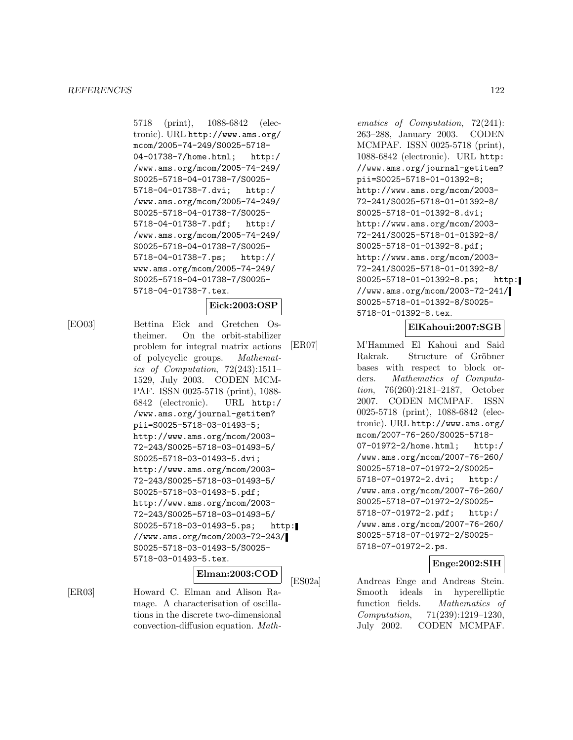5718 (print), 1088-6842 (electronic). URL http://www.ams.org/ mcom/2005-74-249/S0025-5718- 04-01738-7/home.html; http:/ /www.ams.org/mcom/2005-74-249/ S0025-5718-04-01738-7/S0025- 5718-04-01738-7.dvi; http:/ /www.ams.org/mcom/2005-74-249/ S0025-5718-04-01738-7/S0025- 5718-04-01738-7.pdf; http:/ /www.ams.org/mcom/2005-74-249/ S0025-5718-04-01738-7/S0025- 5718-04-01738-7.ps; http:// www.ams.org/mcom/2005-74-249/ S0025-5718-04-01738-7/S0025- 5718-04-01738-7.tex.

### **Eick:2003:OSP**

[EO03] Bettina Eick and Gretchen Ostheimer. On the orbit-stabilizer problem for integral matrix actions of polycyclic groups. Mathematics of Computation, 72(243):1511– 1529, July 2003. CODEN MCM-PAF. ISSN 0025-5718 (print), 1088- 6842 (electronic). URL http:/ /www.ams.org/journal-getitem? pii=S0025-5718-03-01493-5; http://www.ams.org/mcom/2003- 72-243/S0025-5718-03-01493-5/ S0025-5718-03-01493-5.dvi; http://www.ams.org/mcom/2003- 72-243/S0025-5718-03-01493-5/ S0025-5718-03-01493-5.pdf; http://www.ams.org/mcom/2003- 72-243/S0025-5718-03-01493-5/ S0025-5718-03-01493-5.ps; http: //www.ams.org/mcom/2003-72-243/ S0025-5718-03-01493-5/S0025- 5718-03-01493-5.tex.

# **Elman:2003:COD**

[ER03] Howard C. Elman and Alison Ramage. A characterisation of oscillations in the discrete two-dimensional convection-diffusion equation. Math-

ematics of Computation, 72(241): 263–288, January 2003. CODEN MCMPAF. ISSN 0025-5718 (print), 1088-6842 (electronic). URL http: //www.ams.org/journal-getitem? pii=S0025-5718-01-01392-8; http://www.ams.org/mcom/2003- 72-241/S0025-5718-01-01392-8/ S0025-5718-01-01392-8.dvi; http://www.ams.org/mcom/2003- 72-241/S0025-5718-01-01392-8/ S0025-5718-01-01392-8.pdf; http://www.ams.org/mcom/2003- 72-241/S0025-5718-01-01392-8/ S0025-5718-01-01392-8.ps; http: //www.ams.org/mcom/2003-72-241/ S0025-5718-01-01392-8/S0025- 5718-01-01392-8.tex.

# **ElKahoui:2007:SGB**

[ER07] M'Hammed El Kahoui and Said Rakrak. Structure of Gröbner bases with respect to block orders. Mathematics of Computation, 76(260):2181–2187, October 2007. CODEN MCMPAF. ISSN 0025-5718 (print), 1088-6842 (electronic). URL http://www.ams.org/ mcom/2007-76-260/S0025-5718- 07-01972-2/home.html; http:/ /www.ams.org/mcom/2007-76-260/ S0025-5718-07-01972-2/S0025- 5718-07-01972-2.dvi; http:/ /www.ams.org/mcom/2007-76-260/ S0025-5718-07-01972-2/S0025- 5718-07-01972-2.pdf; http:/ /www.ams.org/mcom/2007-76-260/ S0025-5718-07-01972-2/S0025- 5718-07-01972-2.ps.

# **Enge:2002:SIH**

[ES02a] Andreas Enge and Andreas Stein. Smooth ideals in hyperelliptic function fields. Mathematics of Computation, 71(239):1219–1230, July 2002. CODEN MCMPAF.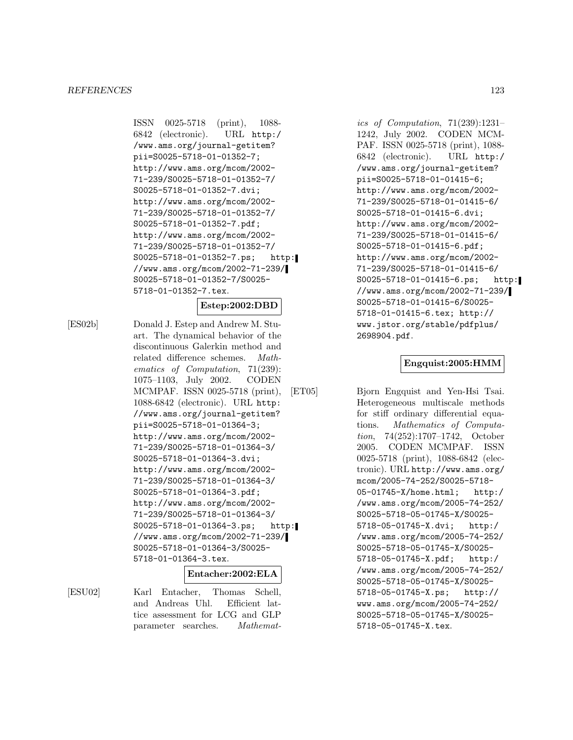ISSN 0025-5718 (print), 1088- 6842 (electronic). URL http:/ /www.ams.org/journal-getitem? pii=S0025-5718-01-01352-7; http://www.ams.org/mcom/2002- 71-239/S0025-5718-01-01352-7/ S0025-5718-01-01352-7.dvi; http://www.ams.org/mcom/2002- 71-239/S0025-5718-01-01352-7/ S0025-5718-01-01352-7.pdf; http://www.ams.org/mcom/2002- 71-239/S0025-5718-01-01352-7/ S0025-5718-01-01352-7.ps; http: //www.ams.org/mcom/2002-71-239/ S0025-5718-01-01352-7/S0025- 5718-01-01352-7.tex.

#### **Estep:2002:DBD**

[ES02b] Donald J. Estep and Andrew M. Stuart. The dynamical behavior of the discontinuous Galerkin method and related difference schemes. Mathematics of Computation, 71(239): 1075–1103, July 2002. CODEN MCMPAF. ISSN 0025-5718 (print), 1088-6842 (electronic). URL http: //www.ams.org/journal-getitem? pii=S0025-5718-01-01364-3; http://www.ams.org/mcom/2002- 71-239/S0025-5718-01-01364-3/ S0025-5718-01-01364-3.dvi; http://www.ams.org/mcom/2002- 71-239/S0025-5718-01-01364-3/ S0025-5718-01-01364-3.pdf; http://www.ams.org/mcom/2002- 71-239/S0025-5718-01-01364-3/ S0025-5718-01-01364-3.ps; http: //www.ams.org/mcom/2002-71-239/ S0025-5718-01-01364-3/S0025- 5718-01-01364-3.tex.

#### **Entacher:2002:ELA**

[ESU02] Karl Entacher, Thomas Schell, and Andreas Uhl. Efficient lattice assessment for LCG and GLP parameter searches. Mathemat-

ics of Computation, 71(239):1231– 1242, July 2002. CODEN MCM-PAF. ISSN 0025-5718 (print), 1088- 6842 (electronic). URL http:/ /www.ams.org/journal-getitem? pii=S0025-5718-01-01415-6; http://www.ams.org/mcom/2002- 71-239/S0025-5718-01-01415-6/ S0025-5718-01-01415-6.dvi; http://www.ams.org/mcom/2002- 71-239/S0025-5718-01-01415-6/ S0025-5718-01-01415-6.pdf; http://www.ams.org/mcom/2002- 71-239/S0025-5718-01-01415-6/ S0025-5718-01-01415-6.ps; http: //www.ams.org/mcom/2002-71-239/ S0025-5718-01-01415-6/S0025- 5718-01-01415-6.tex; http:// www.jstor.org/stable/pdfplus/ 2698904.pdf.

#### **Engquist:2005:HMM**

[ET05] Bjorn Engquist and Yen-Hsi Tsai. Heterogeneous multiscale methods for stiff ordinary differential equations. Mathematics of Computation, 74(252):1707–1742, October 2005. CODEN MCMPAF. ISSN 0025-5718 (print), 1088-6842 (electronic). URL http://www.ams.org/ mcom/2005-74-252/S0025-5718- 05-01745-X/home.html; http:/ /www.ams.org/mcom/2005-74-252/ S0025-5718-05-01745-X/S0025- 5718-05-01745-X.dvi; http:/ /www.ams.org/mcom/2005-74-252/ S0025-5718-05-01745-X/S0025- 5718-05-01745-X.pdf; http:/ /www.ams.org/mcom/2005-74-252/ S0025-5718-05-01745-X/S0025- 5718-05-01745-X.ps; http:// www.ams.org/mcom/2005-74-252/ S0025-5718-05-01745-X/S0025- 5718-05-01745-X.tex.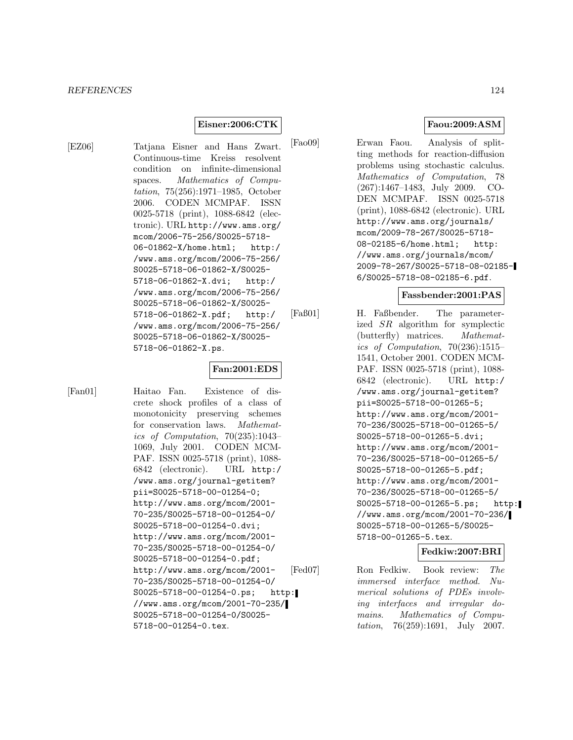### **Eisner:2006:CTK**

[EZ06] Tatjana Eisner and Hans Zwart. Continuous-time Kreiss resolvent condition on infinite-dimensional spaces. Mathematics of Computation, 75(256):1971–1985, October 2006. CODEN MCMPAF. ISSN 0025-5718 (print), 1088-6842 (electronic). URL http://www.ams.org/ mcom/2006-75-256/S0025-5718- 06-01862-X/home.html; http:/ /www.ams.org/mcom/2006-75-256/ S0025-5718-06-01862-X/S0025- 5718-06-01862-X.dvi; http:/ /www.ams.org/mcom/2006-75-256/ S0025-5718-06-01862-X/S0025- 5718-06-01862-X.pdf; http:/ /www.ams.org/mcom/2006-75-256/ S0025-5718-06-01862-X/S0025- 5718-06-01862-X.ps.

# **Fan:2001:EDS**

[Fan01] Haitao Fan. Existence of discrete shock profiles of a class of monotonicity preserving schemes for conservation laws. Mathematics of Computation, 70(235):1043– 1069, July 2001. CODEN MCM-PAF. ISSN 0025-5718 (print), 1088- 6842 (electronic). URL http:/ /www.ams.org/journal-getitem? pii=S0025-5718-00-01254-0; http://www.ams.org/mcom/2001- 70-235/S0025-5718-00-01254-0/ S0025-5718-00-01254-0.dvi; http://www.ams.org/mcom/2001- 70-235/S0025-5718-00-01254-0/ S0025-5718-00-01254-0.pdf; http://www.ams.org/mcom/2001- 70-235/S0025-5718-00-01254-0/ S0025-5718-00-01254-0.ps; http: //www.ams.org/mcom/2001-70-235/ S0025-5718-00-01254-0/S0025- 5718-00-01254-0.tex.

**Faou:2009:ASM**

[Fao09] Erwan Faou. Analysis of splitting methods for reaction-diffusion problems using stochastic calculus. Mathematics of Computation, 78 (267):1467–1483, July 2009. CO-DEN MCMPAF. ISSN 0025-5718 (print), 1088-6842 (electronic). URL http://www.ams.org/journals/ mcom/2009-78-267/S0025-5718- 08-02185-6/home.html; http: //www.ams.org/journals/mcom/ 2009-78-267/S0025-5718-08-02185- 6/S0025-5718-08-02185-6.pdf.

#### **Fassbender:2001:PAS**

[Faß01] H. Faßbender. The parameterized SR algorithm for symplectic (butterfly) matrices. Mathematics of Computation, 70(236):1515– 1541, October 2001. CODEN MCM-PAF. ISSN 0025-5718 (print), 1088- 6842 (electronic). URL http:/ /www.ams.org/journal-getitem? pii=S0025-5718-00-01265-5; http://www.ams.org/mcom/2001- 70-236/S0025-5718-00-01265-5/ S0025-5718-00-01265-5.dvi; http://www.ams.org/mcom/2001- 70-236/S0025-5718-00-01265-5/ S0025-5718-00-01265-5.pdf; http://www.ams.org/mcom/2001- 70-236/S0025-5718-00-01265-5/ S0025-5718-00-01265-5.ps; http: //www.ams.org/mcom/2001-70-236/ S0025-5718-00-01265-5/S0025- 5718-00-01265-5.tex.

#### **Fedkiw:2007:BRI**

[Fed07] Ron Fedkiw. Book review: The immersed interface method. Numerical solutions of PDEs involving interfaces and irregular domains. Mathematics of Computation, 76(259):1691, July 2007.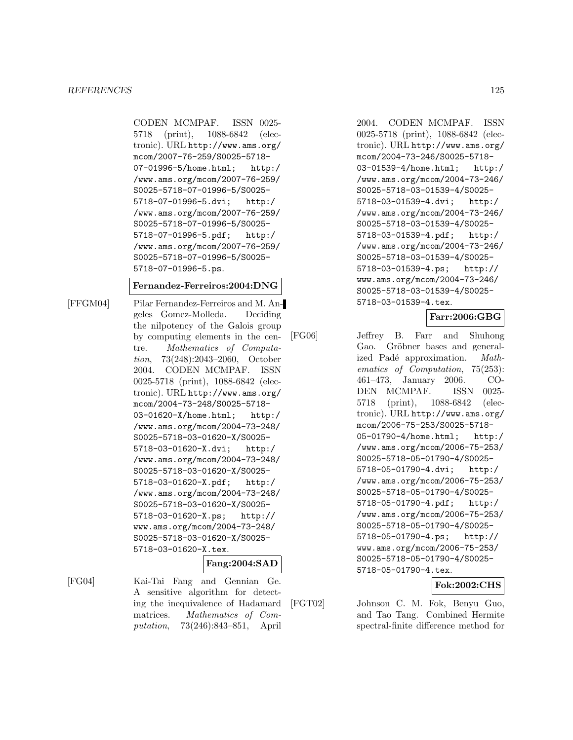CODEN MCMPAF. ISSN 0025- 5718 (print), 1088-6842 (electronic). URL http://www.ams.org/ mcom/2007-76-259/S0025-5718- 07-01996-5/home.html; http:/ /www.ams.org/mcom/2007-76-259/ S0025-5718-07-01996-5/S0025- 5718-07-01996-5.dvi; http:/ /www.ams.org/mcom/2007-76-259/ S0025-5718-07-01996-5/S0025- 5718-07-01996-5.pdf; http:/ /www.ams.org/mcom/2007-76-259/ S0025-5718-07-01996-5/S0025- 5718-07-01996-5.ps.

#### **Fernandez-Ferreiros:2004:DNG**

[FFGM04] Pilar Fernandez-Ferreiros and M. Angeles Gomez-Molleda. Deciding the nilpotency of the Galois group by computing elements in the centre. Mathematics of Computation, 73(248):2043–2060, October 2004. CODEN MCMPAF. ISSN 0025-5718 (print), 1088-6842 (electronic). URL http://www.ams.org/ mcom/2004-73-248/S0025-5718- 03-01620-X/home.html; http:/ /www.ams.org/mcom/2004-73-248/ S0025-5718-03-01620-X/S0025- 5718-03-01620-X.dvi; http:/ /www.ams.org/mcom/2004-73-248/ S0025-5718-03-01620-X/S0025- 5718-03-01620-X.pdf; http:/ /www.ams.org/mcom/2004-73-248/ S0025-5718-03-01620-X/S0025- 5718-03-01620-X.ps; http:// www.ams.org/mcom/2004-73-248/ S0025-5718-03-01620-X/S0025- 5718-03-01620-X.tex.

#### **Fang:2004:SAD**

[FG04] Kai-Tai Fang and Gennian Ge. A sensitive algorithm for detecting the inequivalence of Hadamard matrices. Mathematics of Computation, 73(246):843–851, April

2004. CODEN MCMPAF. ISSN 0025-5718 (print), 1088-6842 (electronic). URL http://www.ams.org/ mcom/2004-73-246/S0025-5718- 03-01539-4/home.html; http:/ /www.ams.org/mcom/2004-73-246/ S0025-5718-03-01539-4/S0025- 5718-03-01539-4.dvi; http:/ /www.ams.org/mcom/2004-73-246/ S0025-5718-03-01539-4/S0025- 5718-03-01539-4.pdf; http:/ /www.ams.org/mcom/2004-73-246/ S0025-5718-03-01539-4/S0025- 5718-03-01539-4.ps; http:// www.ams.org/mcom/2004-73-246/ S0025-5718-03-01539-4/S0025- 5718-03-01539-4.tex.

### **Farr:2006:GBG**

[FG06] Jeffrey B. Farr and Shuhong Gao. Gröbner bases and generalized Padé approximation. Mathematics of Computation, 75(253): 461–473, January 2006. CO-DEN MCMPAF. ISSN 0025- 5718 (print), 1088-6842 (electronic). URL http://www.ams.org/ mcom/2006-75-253/S0025-5718- 05-01790-4/home.html; http:/ /www.ams.org/mcom/2006-75-253/ S0025-5718-05-01790-4/S0025- 5718-05-01790-4.dvi; http:/ /www.ams.org/mcom/2006-75-253/ S0025-5718-05-01790-4/S0025- 5718-05-01790-4.pdf; http:/ /www.ams.org/mcom/2006-75-253/ S0025-5718-05-01790-4/S0025- 5718-05-01790-4.ps; http:// www.ams.org/mcom/2006-75-253/ S0025-5718-05-01790-4/S0025- 5718-05-01790-4.tex.

# **Fok:2002:CHS**

[FGT02] Johnson C. M. Fok, Benyu Guo, and Tao Tang. Combined Hermite spectral-finite difference method for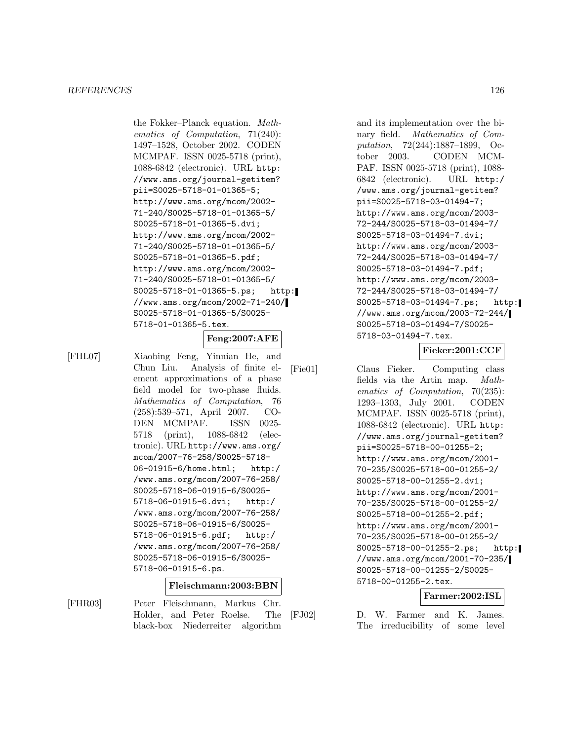the Fokker–Planck equation. Mathematics of Computation, 71(240): 1497–1528, October 2002. CODEN MCMPAF. ISSN 0025-5718 (print), 1088-6842 (electronic). URL http: //www.ams.org/journal-getitem? pii=S0025-5718-01-01365-5; http://www.ams.org/mcom/2002- 71-240/S0025-5718-01-01365-5/ S0025-5718-01-01365-5.dvi; http://www.ams.org/mcom/2002- 71-240/S0025-5718-01-01365-5/ S0025-5718-01-01365-5.pdf; http://www.ams.org/mcom/2002- 71-240/S0025-5718-01-01365-5/ S0025-5718-01-01365-5.ps; http: //www.ams.org/mcom/2002-71-240/ S0025-5718-01-01365-5/S0025- 5718-01-01365-5.tex.

**Feng:2007:AFE**

[FHL07] Xiaobing Feng, Yinnian He, and Chun Liu. Analysis of finite element approximations of a phase field model for two-phase fluids. Mathematics of Computation, 76 (258):539–571, April 2007. CO-DEN MCMPAF. ISSN 0025- 5718 (print), 1088-6842 (electronic). URL http://www.ams.org/ mcom/2007-76-258/S0025-5718- 06-01915-6/home.html; http:/ /www.ams.org/mcom/2007-76-258/ S0025-5718-06-01915-6/S0025- 5718-06-01915-6.dvi; http:/ /www.ams.org/mcom/2007-76-258/ S0025-5718-06-01915-6/S0025- 5718-06-01915-6.pdf; http:/ /www.ams.org/mcom/2007-76-258/ S0025-5718-06-01915-6/S0025- 5718-06-01915-6.ps.

#### **Fleischmann:2003:BBN**

[FHR03] Peter Fleischmann, Markus Chr. Holder, and Peter Roelse. The black-box Niederreiter algorithm

and its implementation over the binary field. Mathematics of Computation, 72(244):1887–1899, October 2003. CODEN MCM-PAF. ISSN 0025-5718 (print), 1088- 6842 (electronic). URL http:/ /www.ams.org/journal-getitem? pii=S0025-5718-03-01494-7; http://www.ams.org/mcom/2003- 72-244/S0025-5718-03-01494-7/ S0025-5718-03-01494-7.dvi; http://www.ams.org/mcom/2003- 72-244/S0025-5718-03-01494-7/ S0025-5718-03-01494-7.pdf; http://www.ams.org/mcom/2003- 72-244/S0025-5718-03-01494-7/ S0025-5718-03-01494-7.ps; http: //www.ams.org/mcom/2003-72-244/ S0025-5718-03-01494-7/S0025- 5718-03-01494-7.tex.

# **Fieker:2001:CCF**

[Fie01] Claus Fieker. Computing class fields via the Artin map. Mathematics of Computation, 70(235): 1293–1303, July 2001. CODEN MCMPAF. ISSN 0025-5718 (print), 1088-6842 (electronic). URL http: //www.ams.org/journal-getitem? pii=S0025-5718-00-01255-2; http://www.ams.org/mcom/2001- 70-235/S0025-5718-00-01255-2/ S0025-5718-00-01255-2.dvi; http://www.ams.org/mcom/2001- 70-235/S0025-5718-00-01255-2/ S0025-5718-00-01255-2.pdf; http://www.ams.org/mcom/2001- 70-235/S0025-5718-00-01255-2/ S0025-5718-00-01255-2.ps; http: //www.ams.org/mcom/2001-70-235/ S0025-5718-00-01255-2/S0025- 5718-00-01255-2.tex.

### **Farmer:2002:ISL**

[FJ02] D. W. Farmer and K. James. The irreducibility of some level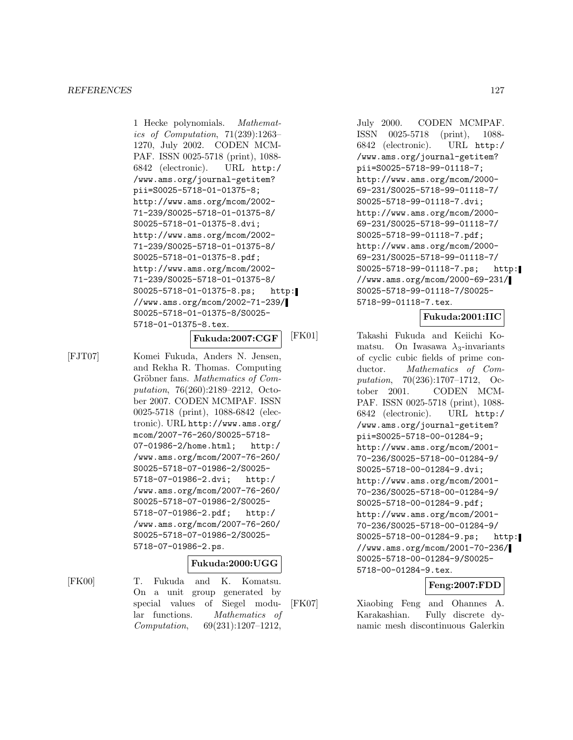1 Hecke polynomials. Mathematics of Computation, 71(239):1263– 1270, July 2002. CODEN MCM-PAF. ISSN 0025-5718 (print), 1088- 6842 (electronic). URL http:/ /www.ams.org/journal-getitem? pii=S0025-5718-01-01375-8; http://www.ams.org/mcom/2002- 71-239/S0025-5718-01-01375-8/ S0025-5718-01-01375-8.dvi; http://www.ams.org/mcom/2002- 71-239/S0025-5718-01-01375-8/ S0025-5718-01-01375-8.pdf; http://www.ams.org/mcom/2002- 71-239/S0025-5718-01-01375-8/ S0025-5718-01-01375-8.ps; http: //www.ams.org/mcom/2002-71-239/ S0025-5718-01-01375-8/S0025- 5718-01-01375-8.tex.

### **Fukuda:2007:CGF**

[FJT07] Komei Fukuda, Anders N. Jensen, and Rekha R. Thomas. Computing Gröbner fans. Mathematics of Computation, 76(260):2189–2212, October 2007. CODEN MCMPAF. ISSN 0025-5718 (print), 1088-6842 (electronic). URL http://www.ams.org/ mcom/2007-76-260/S0025-5718- 07-01986-2/home.html; http:/ /www.ams.org/mcom/2007-76-260/ S0025-5718-07-01986-2/S0025- 5718-07-01986-2.dvi; http:/ /www.ams.org/mcom/2007-76-260/ S0025-5718-07-01986-2/S0025- 5718-07-01986-2.pdf; http:/ /www.ams.org/mcom/2007-76-260/ S0025-5718-07-01986-2/S0025- 5718-07-01986-2.ps.

### **Fukuda:2000:UGG**

[FK00] T. Fukuda and K. Komatsu. On a unit group generated by special values of Siegel modular functions. Mathematics of Computation, 69(231):1207–1212,

July 2000. CODEN MCMPAF. ISSN 0025-5718 (print), 1088- 6842 (electronic). URL http:/ /www.ams.org/journal-getitem? pii=S0025-5718-99-01118-7; http://www.ams.org/mcom/2000- 69-231/S0025-5718-99-01118-7/ S0025-5718-99-01118-7.dvi; http://www.ams.org/mcom/2000- 69-231/S0025-5718-99-01118-7/ S0025-5718-99-01118-7.pdf; http://www.ams.org/mcom/2000- 69-231/S0025-5718-99-01118-7/ S0025-5718-99-01118-7.ps; http: //www.ams.org/mcom/2000-69-231/ S0025-5718-99-01118-7/S0025- 5718-99-01118-7.tex.

# **Fukuda:2001:IIC**

[FK01] Takashi Fukuda and Keiichi Komatsu. On Iwasawa  $\lambda_3$ -invariants of cyclic cubic fields of prime conductor. Mathematics of Computation, 70(236):1707–1712, October 2001. CODEN MCM-PAF. ISSN 0025-5718 (print), 1088- 6842 (electronic). URL http:/ /www.ams.org/journal-getitem? pii=S0025-5718-00-01284-9; http://www.ams.org/mcom/2001- 70-236/S0025-5718-00-01284-9/ S0025-5718-00-01284-9.dvi; http://www.ams.org/mcom/2001- 70-236/S0025-5718-00-01284-9/ S0025-5718-00-01284-9.pdf; http://www.ams.org/mcom/2001- 70-236/S0025-5718-00-01284-9/ S0025-5718-00-01284-9.ps; http: //www.ams.org/mcom/2001-70-236/ S0025-5718-00-01284-9/S0025- 5718-00-01284-9.tex.

### **Feng:2007:FDD**

[FK07] Xiaobing Feng and Ohannes A. Karakashian. Fully discrete dynamic mesh discontinuous Galerkin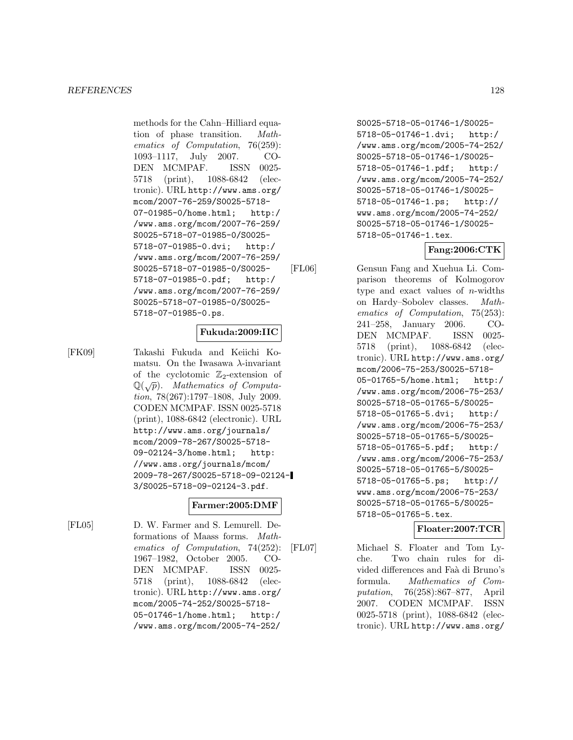methods for the Cahn–Hilliard equation of phase transition. Mathematics of Computation, 76(259): 1093–1117, July 2007. CO-DEN MCMPAF. ISSN 0025- 5718 (print), 1088-6842 (electronic). URL http://www.ams.org/ mcom/2007-76-259/S0025-5718- 07-01985-0/home.html; http:/ /www.ams.org/mcom/2007-76-259/ S0025-5718-07-01985-0/S0025- 5718-07-01985-0.dvi; http:/ /www.ams.org/mcom/2007-76-259/ S0025-5718-07-01985-0/S0025- 5718-07-01985-0.pdf; http:/ /www.ams.org/mcom/2007-76-259/ S0025-5718-07-01985-0/S0025- 5718-07-01985-0.ps.

### **Fukuda:2009:IIC**

[FK09] Takashi Fukuda and Keiichi Komatsu. On the Iwasawa  $\lambda$ -invariant of the cyclotomic  $\mathbb{Z}_2$ -extension of  $\mathbb{Q}(\sqrt{p})$ . Mathematics of Computa-<br>tion 78(267):1797–1808. July 2009 tion, 78(267):1797–1808, July 2009. CODEN MCMPAF. ISSN 0025-5718 (print), 1088-6842 (electronic). URL http://www.ams.org/journals/ mcom/2009-78-267/S0025-5718- 09-02124-3/home.html; http: //www.ams.org/journals/mcom/ 2009-78-267/S0025-5718-09-02124- 3/S0025-5718-09-02124-3.pdf.

### **Farmer:2005:DMF**

[FL05] D. W. Farmer and S. Lemurell. Deformations of Maass forms. Mathematics of Computation, 74(252): 1967–1982, October 2005. CO-DEN MCMPAF. ISSN 0025- 5718 (print), 1088-6842 (electronic). URL http://www.ams.org/ mcom/2005-74-252/S0025-5718- 05-01746-1/home.html; http:/ /www.ams.org/mcom/2005-74-252/

S0025-5718-05-01746-1/S0025- 5718-05-01746-1.dvi; http:/ /www.ams.org/mcom/2005-74-252/ S0025-5718-05-01746-1/S0025- 5718-05-01746-1.pdf; http:/ /www.ams.org/mcom/2005-74-252/ S0025-5718-05-01746-1/S0025- 5718-05-01746-1.ps; http:// www.ams.org/mcom/2005-74-252/ S0025-5718-05-01746-1/S0025- 5718-05-01746-1.tex.

# **Fang:2006:CTK**

[FL06] Gensun Fang and Xuehua Li. Comparison theorems of Kolmogorov type and exact values of  $n$ -widths on Hardy–Sobolev classes. Mathematics of Computation, 75(253): 241–258, January 2006. CO-DEN MCMPAF. ISSN 0025- 5718 (print), 1088-6842 (electronic). URL http://www.ams.org/ mcom/2006-75-253/S0025-5718- 05-01765-5/home.html; http:/ /www.ams.org/mcom/2006-75-253/ S0025-5718-05-01765-5/S0025- 5718-05-01765-5.dvi; http:/ /www.ams.org/mcom/2006-75-253/ S0025-5718-05-01765-5/S0025- 5718-05-01765-5.pdf; http:/ /www.ams.org/mcom/2006-75-253/ S0025-5718-05-01765-5/S0025- 5718-05-01765-5.ps; http:// www.ams.org/mcom/2006-75-253/ S0025-5718-05-01765-5/S0025- 5718-05-01765-5.tex.

### **Floater:2007:TCR**

[FL07] Michael S. Floater and Tom Lyche. Two chain rules for divided differences and Faà di Bruno's formula. Mathematics of Computation, 76(258):867–877, April 2007. CODEN MCMPAF. ISSN 0025-5718 (print), 1088-6842 (electronic). URL http://www.ams.org/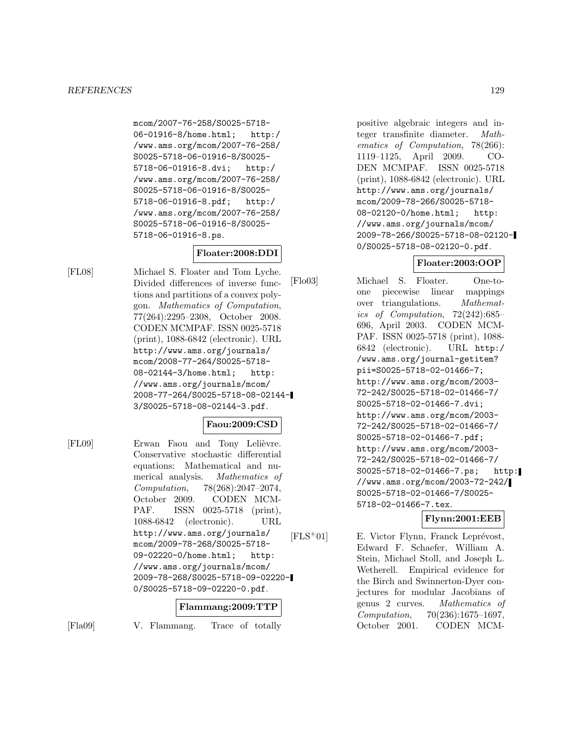mcom/2007-76-258/S0025-5718- 06-01916-8/home.html; http:/ /www.ams.org/mcom/2007-76-258/ S0025-5718-06-01916-8/S0025- 5718-06-01916-8.dvi; http:/ /www.ams.org/mcom/2007-76-258/ S0025-5718-06-01916-8/S0025- 5718-06-01916-8.pdf; http:/ /www.ams.org/mcom/2007-76-258/ S0025-5718-06-01916-8/S0025- 5718-06-01916-8.ps.

# **Floater:2008:DDI**

[FL08] Michael S. Floater and Tom Lyche. Divided differences of inverse functions and partitions of a convex polygon. Mathematics of Computation, 77(264):2295–2308, October 2008. CODEN MCMPAF. ISSN 0025-5718 (print), 1088-6842 (electronic). URL http://www.ams.org/journals/ mcom/2008-77-264/S0025-5718- 08-02144-3/home.html; http: //www.ams.org/journals/mcom/ 2008-77-264/S0025-5718-08-02144- 3/S0025-5718-08-02144-3.pdf.

### **Faou:2009:CSD**

[FL09] Erwan Faou and Tony Lelièvre. Conservative stochastic differential equations: Mathematical and numerical analysis. Mathematics of Computation, 78(268):2047–2074, October 2009. CODEN MCM-PAF. ISSN 0025-5718 (print), 1088-6842 (electronic). URL http://www.ams.org/journals/ mcom/2009-78-268/S0025-5718- 09-02220-0/home.html; http: //www.ams.org/journals/mcom/ 2009-78-268/S0025-5718-09-02220- 0/S0025-5718-09-02220-0.pdf.

### **Flammang:2009:TTP**

[Fla09] V. Flammang. Trace of totally

positive algebraic integers and integer transfinite diameter. Mathematics of Computation, 78(266): 1119–1125, April 2009. CO-DEN MCMPAF. ISSN 0025-5718 (print), 1088-6842 (electronic). URL http://www.ams.org/journals/ mcom/2009-78-266/S0025-5718- 08-02120-0/home.html; http: //www.ams.org/journals/mcom/ 2009-78-266/S0025-5718-08-02120- 0/S0025-5718-08-02120-0.pdf.

# **Floater:2003:OOP**

[Flo03] Michael S. Floater. One-toone piecewise linear mappings over triangulations. Mathematics of Computation, 72(242):685– 696, April 2003. CODEN MCM-PAF. ISSN 0025-5718 (print), 1088- 6842 (electronic). URL http:/ /www.ams.org/journal-getitem? pii=S0025-5718-02-01466-7; http://www.ams.org/mcom/2003- 72-242/S0025-5718-02-01466-7/ S0025-5718-02-01466-7.dvi; http://www.ams.org/mcom/2003- 72-242/S0025-5718-02-01466-7/ S0025-5718-02-01466-7.pdf; http://www.ams.org/mcom/2003- 72-242/S0025-5718-02-01466-7/ S0025-5718-02-01466-7.ps; http: //www.ams.org/mcom/2003-72-242/ S0025-5718-02-01466-7/S0025- 5718-02-01466-7.tex.

# **Flynn:2001:EEB**

 $[FLS^+01]$  E. Victor Flynn, Franck Leprévost, Edward F. Schaefer, William A. Stein, Michael Stoll, and Joseph L. Wetherell. Empirical evidence for the Birch and Swinnerton-Dyer conjectures for modular Jacobians of genus 2 curves. Mathematics of Computation, 70(236):1675–1697, October 2001. CODEN MCM-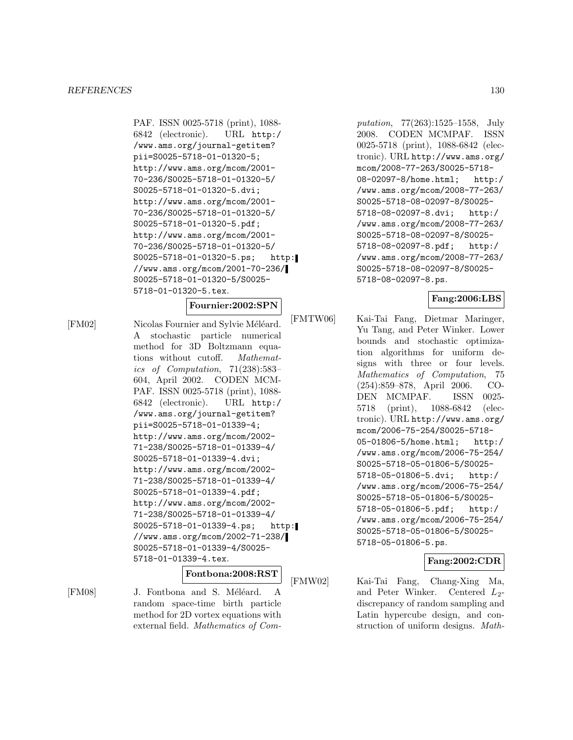PAF. ISSN 0025-5718 (print), 1088- 6842 (electronic). URL http:/ /www.ams.org/journal-getitem? pii=S0025-5718-01-01320-5; http://www.ams.org/mcom/2001- 70-236/S0025-5718-01-01320-5/ S0025-5718-01-01320-5.dvi; http://www.ams.org/mcom/2001- 70-236/S0025-5718-01-01320-5/ S0025-5718-01-01320-5.pdf; http://www.ams.org/mcom/2001- 70-236/S0025-5718-01-01320-5/ S0025-5718-01-01320-5.ps; http: //www.ams.org/mcom/2001-70-236/ S0025-5718-01-01320-5/S0025- 5718-01-01320-5.tex.

#### **Fournier:2002:SPN**

[FM02] Nicolas Fournier and Sylvie Méléard. A stochastic particle numerical method for 3D Boltzmann equations without cutoff. Mathematics of Computation, 71(238):583– 604, April 2002. CODEN MCM-PAF. ISSN 0025-5718 (print), 1088- 6842 (electronic). URL http:/ /www.ams.org/journal-getitem? pii=S0025-5718-01-01339-4; http://www.ams.org/mcom/2002- 71-238/S0025-5718-01-01339-4/ S0025-5718-01-01339-4.dvi; http://www.ams.org/mcom/2002- 71-238/S0025-5718-01-01339-4/ S0025-5718-01-01339-4.pdf; http://www.ams.org/mcom/2002- 71-238/S0025-5718-01-01339-4/ S0025-5718-01-01339-4.ps; http: //www.ams.org/mcom/2002-71-238/ S0025-5718-01-01339-4/S0025- 5718-01-01339-4.tex.

# **Fontbona:2008:RST**

[FM08] J. Fontbona and S. Méléard. A random space-time birth particle method for 2D vortex equations with external field. Mathematics of Computation, 77(263):1525–1558, July 2008. CODEN MCMPAF. ISSN 0025-5718 (print), 1088-6842 (electronic). URL http://www.ams.org/ mcom/2008-77-263/S0025-5718- 08-02097-8/home.html; http:/ /www.ams.org/mcom/2008-77-263/ S0025-5718-08-02097-8/S0025- 5718-08-02097-8.dvi; http:/ /www.ams.org/mcom/2008-77-263/ S0025-5718-08-02097-8/S0025- 5718-08-02097-8.pdf; http:/ /www.ams.org/mcom/2008-77-263/ S0025-5718-08-02097-8/S0025- 5718-08-02097-8.ps.

# **Fang:2006:LBS**

[FMTW06] Kai-Tai Fang, Dietmar Maringer, Yu Tang, and Peter Winker. Lower bounds and stochastic optimization algorithms for uniform designs with three or four levels. Mathematics of Computation, 75 (254):859–878, April 2006. CO-DEN MCMPAF. ISSN 0025- 5718 (print), 1088-6842 (electronic). URL http://www.ams.org/ mcom/2006-75-254/S0025-5718- 05-01806-5/home.html; http:/ /www.ams.org/mcom/2006-75-254/ S0025-5718-05-01806-5/S0025- 5718-05-01806-5.dvi; http:/ /www.ams.org/mcom/2006-75-254/ S0025-5718-05-01806-5/S0025- 5718-05-01806-5.pdf; http:/ /www.ams.org/mcom/2006-75-254/ S0025-5718-05-01806-5/S0025- 5718-05-01806-5.ps.

# **Fang:2002:CDR**

[FMW02] Kai-Tai Fang, Chang-Xing Ma, and Peter Winker. Centered  $L_2$ discrepancy of random sampling and Latin hypercube design, and construction of uniform designs. Math-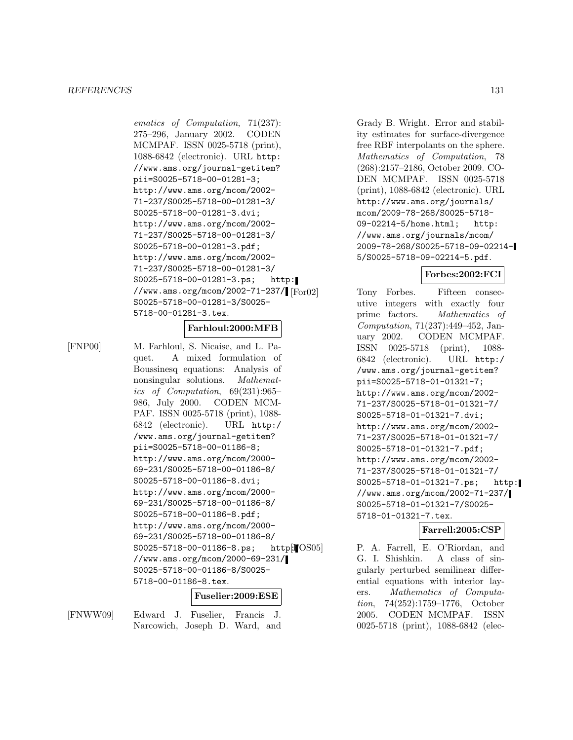ematics of Computation, 71(237): 275–296, January 2002. CODEN MCMPAF. ISSN 0025-5718 (print), 1088-6842 (electronic). URL http: //www.ams.org/journal-getitem? pii=S0025-5718-00-01281-3; http://www.ams.org/mcom/2002- 71-237/S0025-5718-00-01281-3/ S0025-5718-00-01281-3.dvi; http://www.ams.org/mcom/2002- 71-237/S0025-5718-00-01281-3/ S0025-5718-00-01281-3.pdf; http://www.ams.org/mcom/2002- 71-237/S0025-5718-00-01281-3/ S0025-5718-00-01281-3.ps; http: //www.ams.org/mcom/2002-71-237/ [ $For02$ ] S0025-5718-00-01281-3/S0025- 5718-00-01281-3.tex.

#### **Farhloul:2000:MFB**

[FNP00] M. Farhloul, S. Nicaise, and L. Paquet. A mixed formulation of Boussinesq equations: Analysis of nonsingular solutions. Mathematics of Computation, 69(231):965– 986, July 2000. CODEN MCM-PAF. ISSN 0025-5718 (print), 1088- 6842 (electronic). URL http:/ /www.ams.org/journal-getitem? pii=S0025-5718-00-01186-8; http://www.ams.org/mcom/2000- 69-231/S0025-5718-00-01186-8/ S0025-5718-00-01186-8.dvi; http://www.ams.org/mcom/2000- 69-231/S0025-5718-00-01186-8/ S0025-5718-00-01186-8.pdf; http://www.ams.org/mcom/2000- 69-231/S0025-5718-00-01186-8/ S0025-5718-00-01186-8.ps; http:  $\text{OS05}$ //www.ams.org/mcom/2000-69-231/ S0025-5718-00-01186-8/S0025- 5718-00-01186-8.tex.

#### **Fuselier:2009:ESE**

[FNWW09] Edward J. Fuselier, Francis J. Narcowich, Joseph D. Ward, and

Grady B. Wright. Error and stability estimates for surface-divergence free RBF interpolants on the sphere. Mathematics of Computation, 78 (268):2157–2186, October 2009. CO-DEN MCMPAF. ISSN 0025-5718 (print), 1088-6842 (electronic). URL http://www.ams.org/journals/ mcom/2009-78-268/S0025-5718- 09-02214-5/home.html; http: //www.ams.org/journals/mcom/ 2009-78-268/S0025-5718-09-02214- 5/S0025-5718-09-02214-5.pdf.

#### **Forbes:2002:FCI**

Tony Forbes. Fifteen consecutive integers with exactly four prime factors. Mathematics of Computation, 71(237):449–452, January 2002. CODEN MCMPAF. ISSN 0025-5718 (print), 1088- 6842 (electronic). URL http:/ /www.ams.org/journal-getitem? pii=S0025-5718-01-01321-7; http://www.ams.org/mcom/2002- 71-237/S0025-5718-01-01321-7/ S0025-5718-01-01321-7.dvi; http://www.ams.org/mcom/2002- 71-237/S0025-5718-01-01321-7/ S0025-5718-01-01321-7.pdf; http://www.ams.org/mcom/2002- 71-237/S0025-5718-01-01321-7/ S0025-5718-01-01321-7.ps; http: //www.ams.org/mcom/2002-71-237/ S0025-5718-01-01321-7/S0025- 5718-01-01321-7.tex.

#### **Farrell:2005:CSP**

P. A. Farrell, E. O'Riordan, and G. I. Shishkin. A class of singularly perturbed semilinear differential equations with interior layers. Mathematics of Computation, 74(252):1759–1776, October 2005. CODEN MCMPAF. ISSN 0025-5718 (print), 1088-6842 (elec-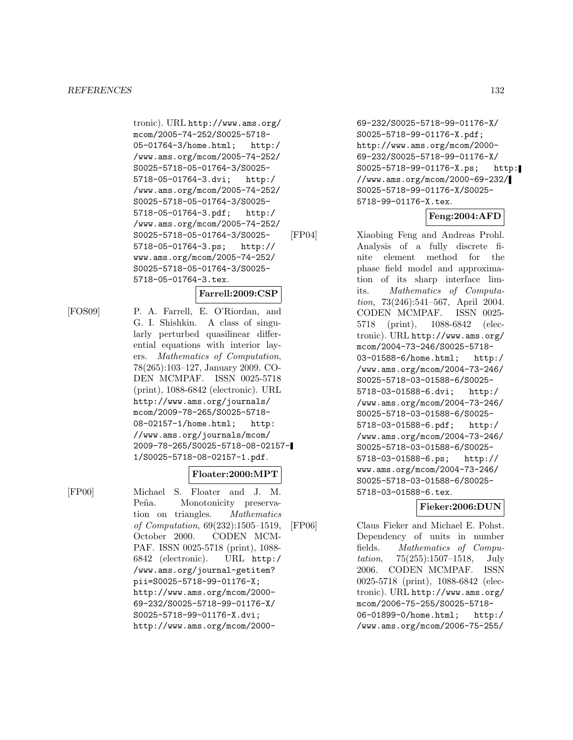tronic). URL http://www.ams.org/ mcom/2005-74-252/S0025-5718- 05-01764-3/home.html; http:/ /www.ams.org/mcom/2005-74-252/ S0025-5718-05-01764-3/S0025- 5718-05-01764-3.dvi; http:/ /www.ams.org/mcom/2005-74-252/ S0025-5718-05-01764-3/S0025- 5718-05-01764-3.pdf; http:/ /www.ams.org/mcom/2005-74-252/ S0025-5718-05-01764-3/S0025- 5718-05-01764-3.ps; http:// www.ams.org/mcom/2005-74-252/ S0025-5718-05-01764-3/S0025- 5718-05-01764-3.tex.

### **Farrell:2009:CSP**

[FOS09] P. A. Farrell, E. O'Riordan, and G. I. Shishkin. A class of singularly perturbed quasilinear differential equations with interior layers. Mathematics of Computation, 78(265):103–127, January 2009. CO-DEN MCMPAF. ISSN 0025-5718 (print), 1088-6842 (electronic). URL http://www.ams.org/journals/ mcom/2009-78-265/S0025-5718- 08-02157-1/home.html; http: //www.ams.org/journals/mcom/ 2009-78-265/S0025-5718-08-02157- 1/S0025-5718-08-02157-1.pdf.

#### **Floater:2000:MPT**

[FP00] Michael S. Floater and J. M. Peña. Monotonicity preservation on triangles. Mathematics of Computation, 69(232):1505–1519, October 2000. CODEN MCM-PAF. ISSN 0025-5718 (print), 1088- 6842 (electronic). URL http:/ /www.ams.org/journal-getitem? pii=S0025-5718-99-01176-X; http://www.ams.org/mcom/2000- 69-232/S0025-5718-99-01176-X/ S0025-5718-99-01176-X.dvi; http://www.ams.org/mcom/2000-

69-232/S0025-5718-99-01176-X/ S0025-5718-99-01176-X.pdf; http://www.ams.org/mcom/2000- 69-232/S0025-5718-99-01176-X/ S0025-5718-99-01176-X.ps; http: //www.ams.org/mcom/2000-69-232/ S0025-5718-99-01176-X/S0025- 5718-99-01176-X.tex.

# **Feng:2004:AFD**

[FP04] Xiaobing Feng and Andreas Prohl. Analysis of a fully discrete finite element method for the phase field model and approximation of its sharp interface limits. Mathematics of Computation, 73(246):541–567, April 2004. CODEN MCMPAF. ISSN 0025- 5718 (print), 1088-6842 (electronic). URL http://www.ams.org/ mcom/2004-73-246/S0025-5718- 03-01588-6/home.html; http:/ /www.ams.org/mcom/2004-73-246/ S0025-5718-03-01588-6/S0025- 5718-03-01588-6.dvi; http:/ /www.ams.org/mcom/2004-73-246/ S0025-5718-03-01588-6/S0025- 5718-03-01588-6.pdf; http:/ /www.ams.org/mcom/2004-73-246/ S0025-5718-03-01588-6/S0025- 5718-03-01588-6.ps; http:// www.ams.org/mcom/2004-73-246/ S0025-5718-03-01588-6/S0025- 5718-03-01588-6.tex.

### **Fieker:2006:DUN**

[FP06] Claus Fieker and Michael E. Pohst. Dependency of units in number fields. Mathematics of Computation, 75(255):1507–1518, July 2006. CODEN MCMPAF. ISSN 0025-5718 (print), 1088-6842 (electronic). URL http://www.ams.org/ mcom/2006-75-255/S0025-5718- 06-01899-0/home.html; http:/ /www.ams.org/mcom/2006-75-255/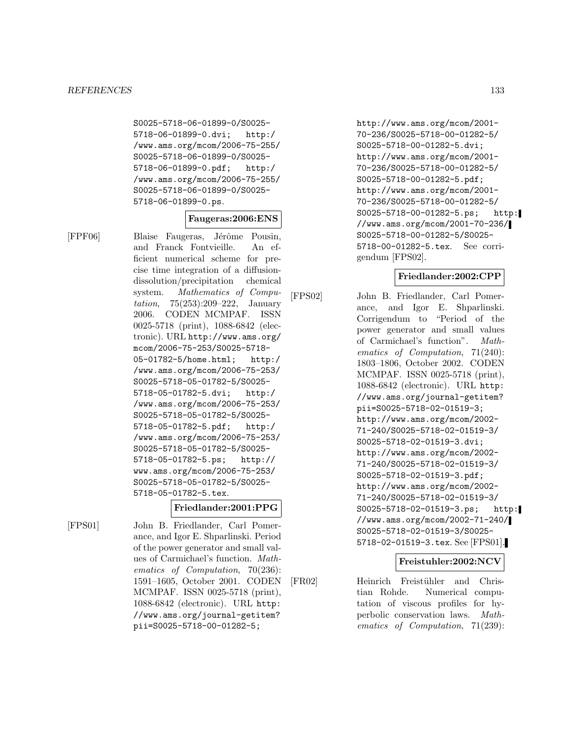S0025-5718-06-01899-0/S0025- 5718-06-01899-0.dvi; http:/ /www.ams.org/mcom/2006-75-255/ S0025-5718-06-01899-0/S0025- 5718-06-01899-0.pdf; http:/ /www.ams.org/mcom/2006-75-255/ S0025-5718-06-01899-0/S0025- 5718-06-01899-0.ps.

### **Faugeras:2006:ENS**

[FPF06] Blaise Faugeras, Jérôme Pousin, and Franck Fontvieille. An efficient numerical scheme for precise time integration of a diffusiondissolution/precipitation chemical system. Mathematics of Computation, 75(253):209–222, January 2006. CODEN MCMPAF. ISSN 0025-5718 (print), 1088-6842 (electronic). URL http://www.ams.org/ mcom/2006-75-253/S0025-5718- 05-01782-5/home.html; http:/ /www.ams.org/mcom/2006-75-253/ S0025-5718-05-01782-5/S0025- 5718-05-01782-5.dvi; http:/ /www.ams.org/mcom/2006-75-253/ S0025-5718-05-01782-5/S0025- 5718-05-01782-5.pdf; http:/ /www.ams.org/mcom/2006-75-253/ S0025-5718-05-01782-5/S0025- 5718-05-01782-5.ps; http:// www.ams.org/mcom/2006-75-253/ S0025-5718-05-01782-5/S0025- 5718-05-01782-5.tex.

### **Friedlander:2001:PPG**

[FPS01] John B. Friedlander, Carl Pomerance, and Igor E. Shparlinski. Period of the power generator and small values of Carmichael's function. Mathematics of Computation, 70(236): 1591–1605, October 2001. CODEN MCMPAF. ISSN 0025-5718 (print), 1088-6842 (electronic). URL http: //www.ams.org/journal-getitem?

pii=S0025-5718-00-01282-5;

http://www.ams.org/mcom/2001- 70-236/S0025-5718-00-01282-5/ S0025-5718-00-01282-5.dvi; http://www.ams.org/mcom/2001- 70-236/S0025-5718-00-01282-5/ S0025-5718-00-01282-5.pdf; http://www.ams.org/mcom/2001- 70-236/S0025-5718-00-01282-5/ S0025-5718-00-01282-5.ps; http: //www.ams.org/mcom/2001-70-236/ S0025-5718-00-01282-5/S0025- 5718-00-01282-5.tex. See corrigendum [FPS02].

# **Friedlander:2002:CPP**

[FPS02] John B. Friedlander, Carl Pomerance, and Igor E. Shparlinski. Corrigendum to "Period of the power generator and small values of Carmichael's function". Mathematics of Computation, 71(240): 1803–1806, October 2002. CODEN MCMPAF. ISSN 0025-5718 (print), 1088-6842 (electronic). URL http: //www.ams.org/journal-getitem? pii=S0025-5718-02-01519-3; http://www.ams.org/mcom/2002- 71-240/S0025-5718-02-01519-3/ S0025-5718-02-01519-3.dvi; http://www.ams.org/mcom/2002- 71-240/S0025-5718-02-01519-3/ S0025-5718-02-01519-3.pdf; http://www.ams.org/mcom/2002- 71-240/S0025-5718-02-01519-3/ S0025-5718-02-01519-3.ps; http: //www.ams.org/mcom/2002-71-240/ S0025-5718-02-01519-3/S0025- 5718-02-01519-3.tex. See [FPS01].

### **Freistuhler:2002:NCV**

[FR02] Heinrich Freistühler and Christian Rohde. Numerical computation of viscous profiles for hyperbolic conservation laws. Mathematics of Computation, 71(239):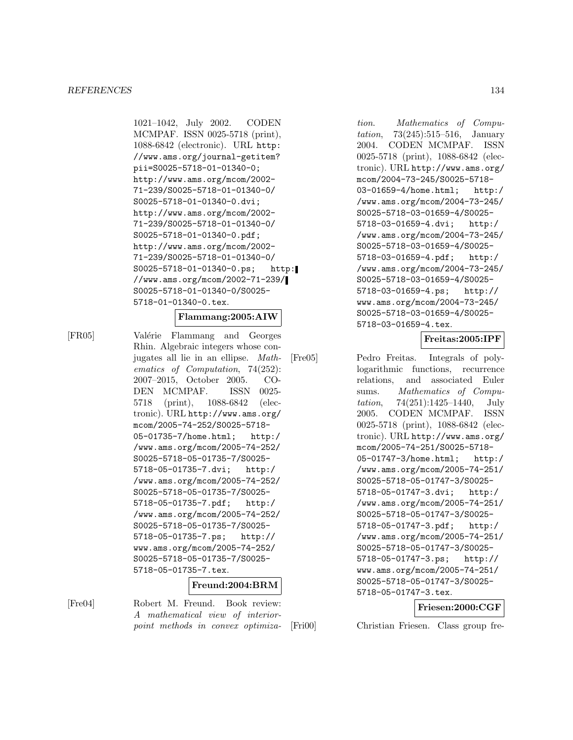1021–1042, July 2002. CODEN MCMPAF. ISSN 0025-5718 (print), 1088-6842 (electronic). URL http: //www.ams.org/journal-getitem? pii=S0025-5718-01-01340-0; http://www.ams.org/mcom/2002- 71-239/S0025-5718-01-01340-0/ S0025-5718-01-01340-0.dvi; http://www.ams.org/mcom/2002- 71-239/S0025-5718-01-01340-0/ S0025-5718-01-01340-0.pdf; http://www.ams.org/mcom/2002- 71-239/S0025-5718-01-01340-0/ S0025-5718-01-01340-0.ps; http: //www.ams.org/mcom/2002-71-239/ S0025-5718-01-01340-0/S0025- 5718-01-01340-0.tex.

#### **Flammang:2005:AIW**

[FR05] Valérie Flammang and Georges Rhin. Algebraic integers whose conjugates all lie in an ellipse. Mathematics of Computation, 74(252): 2007–2015, October 2005. CO-DEN MCMPAF. ISSN 0025- 5718 (print), 1088-6842 (electronic). URL http://www.ams.org/ mcom/2005-74-252/S0025-5718- 05-01735-7/home.html; http:/ /www.ams.org/mcom/2005-74-252/ S0025-5718-05-01735-7/S0025- 5718-05-01735-7.dvi; http:/ /www.ams.org/mcom/2005-74-252/ S0025-5718-05-01735-7/S0025- 5718-05-01735-7.pdf; http:/ /www.ams.org/mcom/2005-74-252/ S0025-5718-05-01735-7/S0025- 5718-05-01735-7.ps; http:// www.ams.org/mcom/2005-74-252/ S0025-5718-05-01735-7/S0025- 5718-05-01735-7.tex.

# **Freund:2004:BRM**

[Fre04] Robert M. Freund. Book review: A mathematical view of interiorpoint methods in convex optimization. Mathematics of Computation, 73(245):515–516, January 2004. CODEN MCMPAF. ISSN 0025-5718 (print), 1088-6842 (electronic). URL http://www.ams.org/ mcom/2004-73-245/S0025-5718- 03-01659-4/home.html; http:/ /www.ams.org/mcom/2004-73-245/ S0025-5718-03-01659-4/S0025- 5718-03-01659-4.dvi; http:/ /www.ams.org/mcom/2004-73-245/ S0025-5718-03-01659-4/S0025- 5718-03-01659-4.pdf; http:/ /www.ams.org/mcom/2004-73-245/ S0025-5718-03-01659-4/S0025- 5718-03-01659-4.ps; http:// www.ams.org/mcom/2004-73-245/ S0025-5718-03-01659-4/S0025- 5718-03-01659-4.tex.

# **Freitas:2005:IPF**

[Fre05] Pedro Freitas. Integrals of polylogarithmic functions, recurrence relations, and associated Euler sums. Mathematics of Computation, 74(251):1425–1440, July 2005. CODEN MCMPAF. ISSN 0025-5718 (print), 1088-6842 (electronic). URL http://www.ams.org/ mcom/2005-74-251/S0025-5718- 05-01747-3/home.html; http:/ /www.ams.org/mcom/2005-74-251/ S0025-5718-05-01747-3/S0025- 5718-05-01747-3.dvi; http:/ /www.ams.org/mcom/2005-74-251/ S0025-5718-05-01747-3/S0025- 5718-05-01747-3.pdf; http:/ /www.ams.org/mcom/2005-74-251/ S0025-5718-05-01747-3/S0025- 5718-05-01747-3.ps; http:// www.ams.org/mcom/2005-74-251/ S0025-5718-05-01747-3/S0025- 5718-05-01747-3.tex.

# **Friesen:2000:CGF**

[Fri00] Christian Friesen. Class group fre-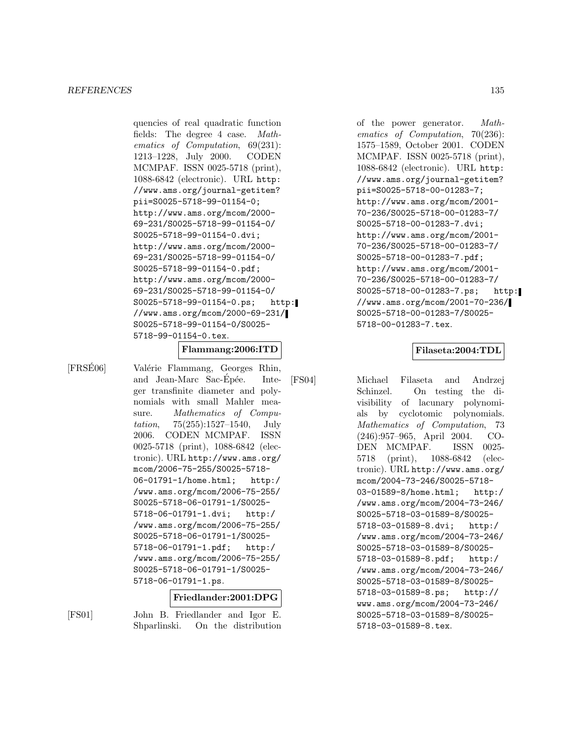quencies of real quadratic function fields: The degree 4 case. Mathematics of Computation, 69(231): 1213–1228, July 2000. CODEN MCMPAF. ISSN 0025-5718 (print), 1088-6842 (electronic). URL http: //www.ams.org/journal-getitem? pii=S0025-5718-99-01154-0; http://www.ams.org/mcom/2000- 69-231/S0025-5718-99-01154-0/ S0025-5718-99-01154-0.dvi; http://www.ams.org/mcom/2000- 69-231/S0025-5718-99-01154-0/ S0025-5718-99-01154-0.pdf; http://www.ams.org/mcom/2000- 69-231/S0025-5718-99-01154-0/ S0025-5718-99-01154-0.ps; http: //www.ams.org/mcom/2000-69-231/ S0025-5718-99-01154-0/S0025- 5718-99-01154-0.tex.

### **Flammang:2006:ITD**

[FRSE06] Valérie Flammang, Georges Rhin, and Jean-Marc Sac-Epée. Integer transfinite diameter and polynomials with small Mahler measure. Mathematics of Compu*tation*,  $75(255):1527-1540$ , July 2006. CODEN MCMPAF. ISSN 0025-5718 (print), 1088-6842 (electronic). URL http://www.ams.org/ mcom/2006-75-255/S0025-5718- 06-01791-1/home.html; http:/ /www.ams.org/mcom/2006-75-255/ S0025-5718-06-01791-1/S0025- 5718-06-01791-1.dvi; http:/ /www.ams.org/mcom/2006-75-255/ S0025-5718-06-01791-1/S0025- 5718-06-01791-1.pdf; http:/ /www.ams.org/mcom/2006-75-255/ S0025-5718-06-01791-1/S0025- 5718-06-01791-1.ps.

#### **Friedlander:2001:DPG**

[FS01] John B. Friedlander and Igor E. Shparlinski. On the distribution

of the power generator. Mathematics of Computation, 70(236): 1575–1589, October 2001. CODEN MCMPAF. ISSN 0025-5718 (print), 1088-6842 (electronic). URL http: //www.ams.org/journal-getitem? pii=S0025-5718-00-01283-7; http://www.ams.org/mcom/2001- 70-236/S0025-5718-00-01283-7/ S0025-5718-00-01283-7.dvi; http://www.ams.org/mcom/2001- 70-236/S0025-5718-00-01283-7/ S0025-5718-00-01283-7.pdf; http://www.ams.org/mcom/2001- 70-236/S0025-5718-00-01283-7/ S0025-5718-00-01283-7.ps; http: //www.ams.org/mcom/2001-70-236/ S0025-5718-00-01283-7/S0025- 5718-00-01283-7.tex.

### **Filaseta:2004:TDL**

[FS04] Michael Filaseta and Andrzej Schinzel. On testing the divisibility of lacunary polynomials by cyclotomic polynomials. Mathematics of Computation, 73 (246):957–965, April 2004. CO-DEN MCMPAF. ISSN 0025- 5718 (print), 1088-6842 (electronic). URL http://www.ams.org/ mcom/2004-73-246/S0025-5718- 03-01589-8/home.html; http:/ /www.ams.org/mcom/2004-73-246/ S0025-5718-03-01589-8/S0025- 5718-03-01589-8.dvi; http:/ /www.ams.org/mcom/2004-73-246/ S0025-5718-03-01589-8/S0025- 5718-03-01589-8.pdf; http:/ /www.ams.org/mcom/2004-73-246/ S0025-5718-03-01589-8/S0025- 5718-03-01589-8.ps; http:// www.ams.org/mcom/2004-73-246/ S0025-5718-03-01589-8/S0025- 5718-03-01589-8.tex.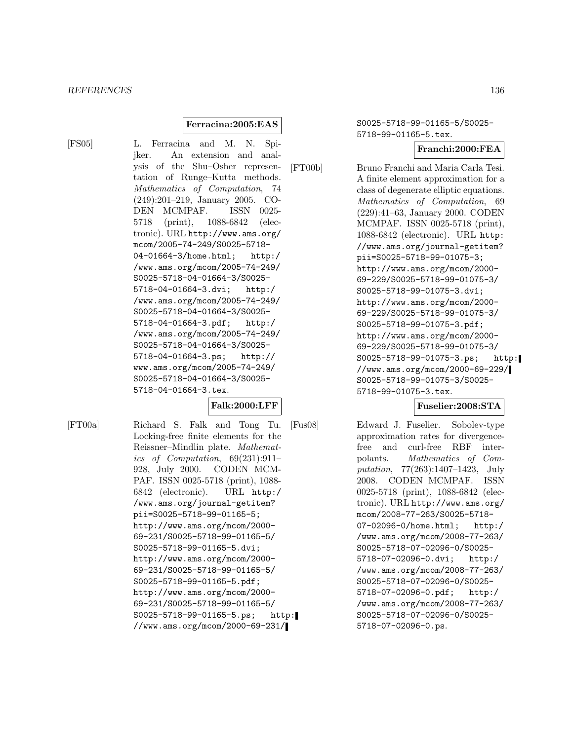#### **Ferracina:2005:EAS**

[FS05] L. Ferracina and M. N. Spijker. An extension and analysis of the Shu–Osher representation of Runge–Kutta methods. Mathematics of Computation, 74 (249):201–219, January 2005. CO-DEN MCMPAF. ISSN 0025- 5718 (print), 1088-6842 (electronic). URL http://www.ams.org/ mcom/2005-74-249/S0025-5718- 04-01664-3/home.html; http:/ /www.ams.org/mcom/2005-74-249/ S0025-5718-04-01664-3/S0025- 5718-04-01664-3.dvi; http:/ /www.ams.org/mcom/2005-74-249/ S0025-5718-04-01664-3/S0025- 5718-04-01664-3.pdf; http:/ /www.ams.org/mcom/2005-74-249/ S0025-5718-04-01664-3/S0025- 5718-04-01664-3.ps; http:// www.ams.org/mcom/2005-74-249/ S0025-5718-04-01664-3/S0025- 5718-04-01664-3.tex.

### **Falk:2000:LFF**

[FT00a] Richard S. Falk and Tong Tu. Locking-free finite elements for the Reissner–Mindlin plate. Mathematics of Computation, 69(231):911– 928, July 2000. CODEN MCM-PAF. ISSN 0025-5718 (print), 1088- 6842 (electronic). URL http:/ /www.ams.org/journal-getitem? pii=S0025-5718-99-01165-5; http://www.ams.org/mcom/2000- 69-231/S0025-5718-99-01165-5/ S0025-5718-99-01165-5.dvi; http://www.ams.org/mcom/2000- 69-231/S0025-5718-99-01165-5/ S0025-5718-99-01165-5.pdf; http://www.ams.org/mcom/2000- 69-231/S0025-5718-99-01165-5/ S0025-5718-99-01165-5.ps; http: //www.ams.org/mcom/2000-69-231/

S0025-5718-99-01165-5/S0025- 5718-99-01165-5.tex.

# **Franchi:2000:FEA**

[FT00b] Bruno Franchi and Maria Carla Tesi. A finite element approximation for a class of degenerate elliptic equations. Mathematics of Computation, 69 (229):41–63, January 2000. CODEN MCMPAF. ISSN 0025-5718 (print), 1088-6842 (electronic). URL http: //www.ams.org/journal-getitem? pii=S0025-5718-99-01075-3; http://www.ams.org/mcom/2000- 69-229/S0025-5718-99-01075-3/ S0025-5718-99-01075-3.dvi; http://www.ams.org/mcom/2000- 69-229/S0025-5718-99-01075-3/ S0025-5718-99-01075-3.pdf; http://www.ams.org/mcom/2000- 69-229/S0025-5718-99-01075-3/ S0025-5718-99-01075-3.ps; http: //www.ams.org/mcom/2000-69-229/ S0025-5718-99-01075-3/S0025- 5718-99-01075-3.tex.

# **Fuselier:2008:STA**

[Fus08] Edward J. Fuselier. Sobolev-type approximation rates for divergencefree and curl-free RBF interpolants. Mathematics of Computation, 77(263):1407–1423, July 2008. CODEN MCMPAF. ISSN 0025-5718 (print), 1088-6842 (electronic). URL http://www.ams.org/ mcom/2008-77-263/S0025-5718- 07-02096-0/home.html; http:/ /www.ams.org/mcom/2008-77-263/ S0025-5718-07-02096-0/S0025- 5718-07-02096-0.dvi; http:/ /www.ams.org/mcom/2008-77-263/ S0025-5718-07-02096-0/S0025- 5718-07-02096-0.pdf; http:/ /www.ams.org/mcom/2008-77-263/ S0025-5718-07-02096-0/S0025- 5718-07-02096-0.ps.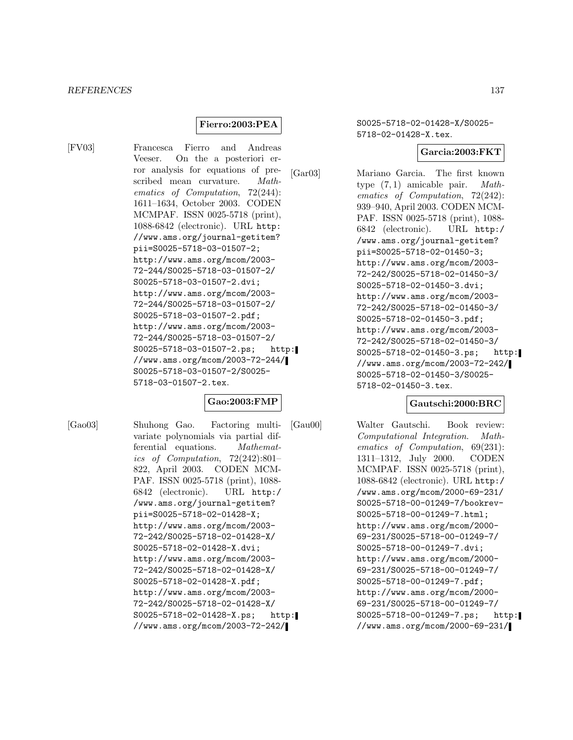# **Fierro:2003:PEA**

[FV03] Francesca Fierro and Andreas Veeser. On the a posteriori error analysis for equations of prescribed mean curvature. Mathematics of Computation, 72(244): 1611–1634, October 2003. CODEN MCMPAF. ISSN 0025-5718 (print), 1088-6842 (electronic). URL http: //www.ams.org/journal-getitem? pii=S0025-5718-03-01507-2; http://www.ams.org/mcom/2003- 72-244/S0025-5718-03-01507-2/ S0025-5718-03-01507-2.dvi; http://www.ams.org/mcom/2003- 72-244/S0025-5718-03-01507-2/ S0025-5718-03-01507-2.pdf; http://www.ams.org/mcom/2003- 72-244/S0025-5718-03-01507-2/ S0025-5718-03-01507-2.ps; http: //www.ams.org/mcom/2003-72-244/ S0025-5718-03-01507-2/S0025- 5718-03-01507-2.tex.

### **Gao:2003:FMP**

[Gao03] Shuhong Gao. Factoring multivariate polynomials via partial differential equations. Mathematics of Computation, 72(242):801– 822, April 2003. CODEN MCM-PAF. ISSN 0025-5718 (print), 1088- 6842 (electronic). URL http:/ /www.ams.org/journal-getitem? pii=S0025-5718-02-01428-X; http://www.ams.org/mcom/2003- 72-242/S0025-5718-02-01428-X/ S0025-5718-02-01428-X.dvi; http://www.ams.org/mcom/2003- 72-242/S0025-5718-02-01428-X/ S0025-5718-02-01428-X.pdf; http://www.ams.org/mcom/2003- 72-242/S0025-5718-02-01428-X/ S0025-5718-02-01428-X.ps; http: //www.ams.org/mcom/2003-72-242/

S0025-5718-02-01428-X/S0025- 5718-02-01428-X.tex.

#### **Garcia:2003:FKT**

[Gar03] Mariano Garcia. The first known type (7, 1) amicable pair. Mathematics of Computation, 72(242): 939–940, April 2003. CODEN MCM-PAF. ISSN 0025-5718 (print), 1088- 6842 (electronic). URL http:/ /www.ams.org/journal-getitem? pii=S0025-5718-02-01450-3; http://www.ams.org/mcom/2003- 72-242/S0025-5718-02-01450-3/ S0025-5718-02-01450-3.dvi; http://www.ams.org/mcom/2003- 72-242/S0025-5718-02-01450-3/ S0025-5718-02-01450-3.pdf; http://www.ams.org/mcom/2003- 72-242/S0025-5718-02-01450-3/ S0025-5718-02-01450-3.ps; http: //www.ams.org/mcom/2003-72-242/ S0025-5718-02-01450-3/S0025- 5718-02-01450-3.tex.

#### **Gautschi:2000:BRC**

[Gau00] Walter Gautschi. Book review: Computational Integration. Mathematics of Computation, 69(231): 1311–1312, July 2000. CODEN MCMPAF. ISSN 0025-5718 (print), 1088-6842 (electronic). URL http:/ /www.ams.org/mcom/2000-69-231/ S0025-5718-00-01249-7/bookrev-S0025-5718-00-01249-7.html; http://www.ams.org/mcom/2000- 69-231/S0025-5718-00-01249-7/ S0025-5718-00-01249-7.dvi; http://www.ams.org/mcom/2000- 69-231/S0025-5718-00-01249-7/ S0025-5718-00-01249-7.pdf; http://www.ams.org/mcom/2000- 69-231/S0025-5718-00-01249-7/ S0025-5718-00-01249-7.ps; http: //www.ams.org/mcom/2000-69-231/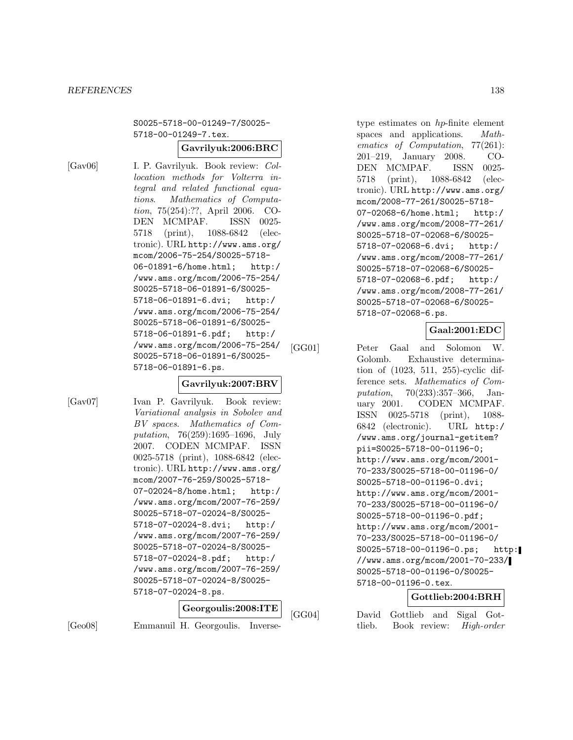S0025-5718-00-01249-7/S0025- 5718-00-01249-7.tex.

# **Gavrilyuk:2006:BRC**

[Gav06] I. P. Gavrilyuk. Book review: Collocation methods for Volterra integral and related functional equations. Mathematics of Computation, 75(254):??, April 2006. CO-DEN MCMPAF. ISSN 0025- 5718 (print), 1088-6842 (electronic). URL http://www.ams.org/ mcom/2006-75-254/S0025-5718- 06-01891-6/home.html; http:/ /www.ams.org/mcom/2006-75-254/ S0025-5718-06-01891-6/S0025- 5718-06-01891-6.dvi; http:/ /www.ams.org/mcom/2006-75-254/ S0025-5718-06-01891-6/S0025- 5718-06-01891-6.pdf; http:/ /www.ams.org/mcom/2006-75-254/ S0025-5718-06-01891-6/S0025- 5718-06-01891-6.ps.

### **Gavrilyuk:2007:BRV**

[Gav07] Ivan P. Gavrilyuk. Book review: Variational analysis in Sobolev and BV spaces. Mathematics of Computation, 76(259):1695–1696, July 2007. CODEN MCMPAF. ISSN 0025-5718 (print), 1088-6842 (electronic). URL http://www.ams.org/ mcom/2007-76-259/S0025-5718- 07-02024-8/home.html; http:/ /www.ams.org/mcom/2007-76-259/ S0025-5718-07-02024-8/S0025- 5718-07-02024-8.dvi; http:/ /www.ams.org/mcom/2007-76-259/ S0025-5718-07-02024-8/S0025- 5718-07-02024-8.pdf; http:/ /www.ams.org/mcom/2007-76-259/ S0025-5718-07-02024-8/S0025- 5718-07-02024-8.ps.

|         |  | $ \operatorname{Georgoulis:} 2008:\text{ITE} $ |  | [GG] |
|---------|--|------------------------------------------------|--|------|
| [Ge 08] |  | Emmanuil H. Georgoulis. Inverse-               |  |      |

type estimates on hp-finite element spaces and applications. *Math*ematics of Computation, 77(261): 201–219, January 2008. CO-DEN MCMPAF. ISSN 0025- 5718 (print), 1088-6842 (electronic). URL http://www.ams.org/ mcom/2008-77-261/S0025-5718- 07-02068-6/home.html; http:/ /www.ams.org/mcom/2008-77-261/ S0025-5718-07-02068-6/S0025- 5718-07-02068-6.dvi; http:/ /www.ams.org/mcom/2008-77-261/ S0025-5718-07-02068-6/S0025- 5718-07-02068-6.pdf; http:/ /www.ams.org/mcom/2008-77-261/ S0025-5718-07-02068-6/S0025- 5718-07-02068-6.ps.

# **Gaal:2001:EDC**

[GG01] Peter Gaal and Solomon W. Golomb. Exhaustive determination of (1023, 511, 255)-cyclic difference sets. Mathematics of Computation, 70(233):357–366, January 2001. CODEN MCMPAF. ISSN 0025-5718 (print), 1088- 6842 (electronic). URL http:/ /www.ams.org/journal-getitem? pii=S0025-5718-00-01196-0; http://www.ams.org/mcom/2001- 70-233/S0025-5718-00-01196-0/ S0025-5718-00-01196-0.dvi; http://www.ams.org/mcom/2001- 70-233/S0025-5718-00-01196-0/ S0025-5718-00-01196-0.pdf; http://www.ams.org/mcom/2001- 70-233/S0025-5718-00-01196-0/ S0025-5718-00-01196-0.ps; http: //www.ams.org/mcom/2001-70-233/ S0025-5718-00-01196-0/S0025- 5718-00-01196-0.tex.

### **Gottlieb:2004:BRH**

04] David Gottlieb and Sigal Gottlieb. Book review: High-order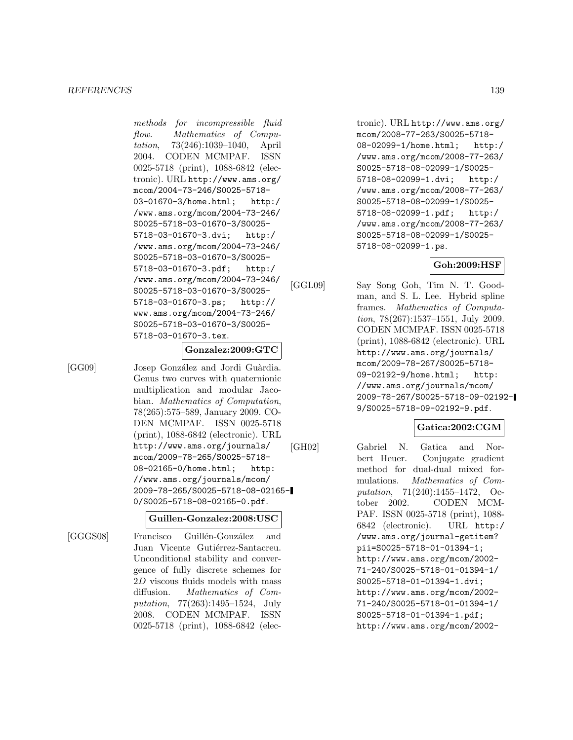methods for incompressible fluid flow. Mathematics of Computation, 73(246):1039–1040, April 2004. CODEN MCMPAF. ISSN 0025-5718 (print), 1088-6842 (electronic). URL http://www.ams.org/ mcom/2004-73-246/S0025-5718- 03-01670-3/home.html; http:/ /www.ams.org/mcom/2004-73-246/ S0025-5718-03-01670-3/S0025- 5718-03-01670-3.dvi; http:/ /www.ams.org/mcom/2004-73-246/ S0025-5718-03-01670-3/S0025- 5718-03-01670-3.pdf; http:/ /www.ams.org/mcom/2004-73-246/ S0025-5718-03-01670-3/S0025- 5718-03-01670-3.ps; http:// www.ams.org/mcom/2004-73-246/ S0025-5718-03-01670-3/S0025- 5718-03-01670-3.tex.

#### **Gonzalez:2009:GTC**

[GG09] Josep González and Jordi Guàrdia. Genus two curves with quaternionic multiplication and modular Jacobian. Mathematics of Computation, 78(265):575–589, January 2009. CO-DEN MCMPAF. ISSN 0025-5718 (print), 1088-6842 (electronic). URL http://www.ams.org/journals/ mcom/2009-78-265/S0025-5718- 08-02165-0/home.html; http: //www.ams.org/journals/mcom/ 2009-78-265/S0025-5718-08-02165- 0/S0025-5718-08-02165-0.pdf.

#### **Guillen-Gonzalez:2008:USC**

[GGGS08] Francisco Guillén-González and Juan Vicente Gutiérrez-Santacreu. Unconditional stability and convergence of fully discrete schemes for 2D viscous fluids models with mass diffusion. Mathematics of Computation, 77(263):1495–1524, July 2008. CODEN MCMPAF. ISSN 0025-5718 (print), 1088-6842 (elec-

tronic). URL http://www.ams.org/ mcom/2008-77-263/S0025-5718- 08-02099-1/home.html; http:/ /www.ams.org/mcom/2008-77-263/ S0025-5718-08-02099-1/S0025- 5718-08-02099-1.dvi; http:/ /www.ams.org/mcom/2008-77-263/ S0025-5718-08-02099-1/S0025- 5718-08-02099-1.pdf; http:/ /www.ams.org/mcom/2008-77-263/ S0025-5718-08-02099-1/S0025- 5718-08-02099-1.ps.

### **Goh:2009:HSF**

[GGL09] Say Song Goh, Tim N. T. Goodman, and S. L. Lee. Hybrid spline frames. Mathematics of Computation, 78(267):1537–1551, July 2009. CODEN MCMPAF. ISSN 0025-5718 (print), 1088-6842 (electronic). URL http://www.ams.org/journals/ mcom/2009-78-267/S0025-5718- 09-02192-9/home.html; http: //www.ams.org/journals/mcom/ 2009-78-267/S0025-5718-09-02192- 9/S0025-5718-09-02192-9.pdf.

### **Gatica:2002:CGM**

[GH02] Gabriel N. Gatica and Norbert Heuer. Conjugate gradient method for dual-dual mixed formulations. Mathematics of Computation, 71(240):1455–1472, October 2002. CODEN MCM-PAF. ISSN 0025-5718 (print), 1088- 6842 (electronic). URL http:/ /www.ams.org/journal-getitem? pii=S0025-5718-01-01394-1; http://www.ams.org/mcom/2002- 71-240/S0025-5718-01-01394-1/ S0025-5718-01-01394-1.dvi; http://www.ams.org/mcom/2002- 71-240/S0025-5718-01-01394-1/ S0025-5718-01-01394-1.pdf; http://www.ams.org/mcom/2002-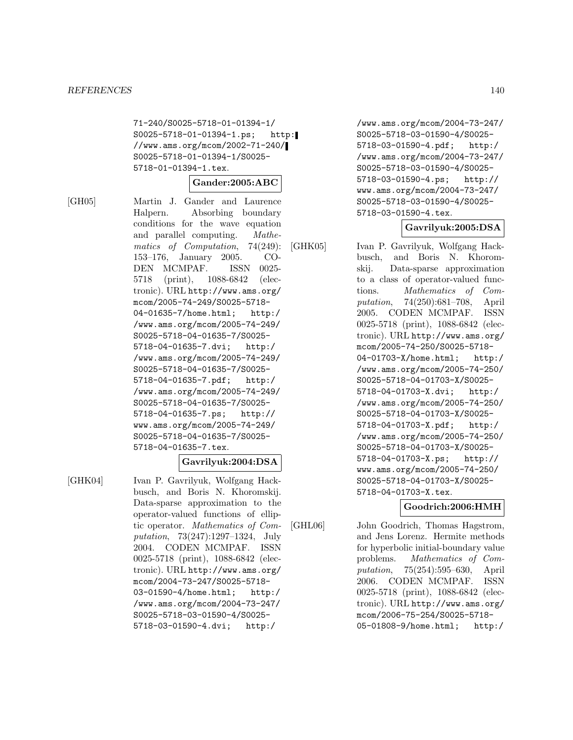71-240/S0025-5718-01-01394-1/ S0025-5718-01-01394-1.ps; http: //www.ams.org/mcom/2002-71-240/ S0025-5718-01-01394-1/S0025- 5718-01-01394-1.tex.

#### **Gander:2005:ABC**

[GH05] Martin J. Gander and Laurence Halpern. Absorbing boundary conditions for the wave equation and parallel computing. Mathematics of Computation, 74(249): 153–176, January 2005. CO-DEN MCMPAF. ISSN 0025- 5718 (print), 1088-6842 (electronic). URL http://www.ams.org/ mcom/2005-74-249/S0025-5718- 04-01635-7/home.html; http:/ /www.ams.org/mcom/2005-74-249/ S0025-5718-04-01635-7/S0025- 5718-04-01635-7.dvi; http:/ /www.ams.org/mcom/2005-74-249/ S0025-5718-04-01635-7/S0025- 5718-04-01635-7.pdf; http:/ /www.ams.org/mcom/2005-74-249/ S0025-5718-04-01635-7/S0025- 5718-04-01635-7.ps; http:// www.ams.org/mcom/2005-74-249/ S0025-5718-04-01635-7/S0025- 5718-04-01635-7.tex.

### **Gavrilyuk:2004:DSA**

[GHK04] Ivan P. Gavrilyuk, Wolfgang Hackbusch, and Boris N. Khoromskij. Data-sparse approximation to the operator-valued functions of elliptic operator. Mathematics of Computation, 73(247):1297–1324, July 2004. CODEN MCMPAF. ISSN 0025-5718 (print), 1088-6842 (electronic). URL http://www.ams.org/ mcom/2004-73-247/S0025-5718- 03-01590-4/home.html; http:/ /www.ams.org/mcom/2004-73-247/ S0025-5718-03-01590-4/S0025- 5718-03-01590-4.dvi; http:/

/www.ams.org/mcom/2004-73-247/ S0025-5718-03-01590-4/S0025- 5718-03-01590-4.pdf; http:/ /www.ams.org/mcom/2004-73-247/ S0025-5718-03-01590-4/S0025- 5718-03-01590-4.ps; http:// www.ams.org/mcom/2004-73-247/ S0025-5718-03-01590-4/S0025- 5718-03-01590-4.tex.

#### **Gavrilyuk:2005:DSA**

[GHK05] Ivan P. Gavrilyuk, Wolfgang Hackbusch, and Boris N. Khoromskij. Data-sparse approximation to a class of operator-valued functions. Mathematics of Computation, 74(250):681–708, April 2005. CODEN MCMPAF. ISSN 0025-5718 (print), 1088-6842 (electronic). URL http://www.ams.org/ mcom/2005-74-250/S0025-5718- 04-01703-X/home.html; http:/ /www.ams.org/mcom/2005-74-250/

S0025-5718-04-01703-X/S0025- 5718-04-01703-X.dvi; http:/ /www.ams.org/mcom/2005-74-250/ S0025-5718-04-01703-X/S0025- 5718-04-01703-X.pdf; http:/ /www.ams.org/mcom/2005-74-250/ S0025-5718-04-01703-X/S0025- 5718-04-01703-X.ps; http:// www.ams.org/mcom/2005-74-250/ S0025-5718-04-01703-X/S0025- 5718-04-01703-X.tex.

### **Goodrich:2006:HMH**

[GHL06] John Goodrich, Thomas Hagstrom, and Jens Lorenz. Hermite methods for hyperbolic initial-boundary value problems. Mathematics of Computation, 75(254):595–630, April 2006. CODEN MCMPAF. ISSN 0025-5718 (print), 1088-6842 (electronic). URL http://www.ams.org/ mcom/2006-75-254/S0025-5718- 05-01808-9/home.html; http:/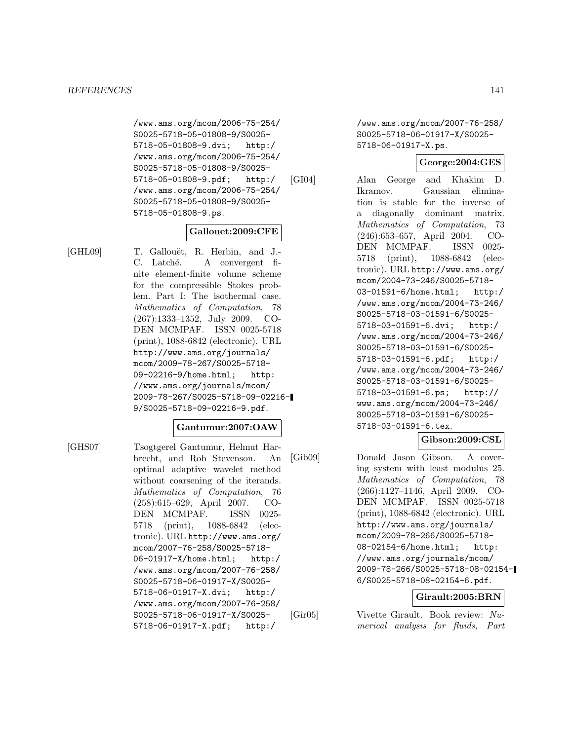/www.ams.org/mcom/2006-75-254/ S0025-5718-05-01808-9/S0025- 5718-05-01808-9.dvi; http:/ /www.ams.org/mcom/2006-75-254/ S0025-5718-05-01808-9/S0025- 5718-05-01808-9.pdf; http:/ /www.ams.org/mcom/2006-75-254/ S0025-5718-05-01808-9/S0025- 5718-05-01808-9.ps.

#### **Gallouet:2009:CFE**

[GHL09] T. Gallouët, R. Herbin, and J.-C. Latché. A convergent finite element-finite volume scheme for the compressible Stokes problem. Part I: The isothermal case. Mathematics of Computation, 78 (267):1333–1352, July 2009. CO-DEN MCMPAF. ISSN 0025-5718 (print), 1088-6842 (electronic). URL http://www.ams.org/journals/ mcom/2009-78-267/S0025-5718- 09-02216-9/home.html; http: //www.ams.org/journals/mcom/ 2009-78-267/S0025-5718-09-02216- 9/S0025-5718-09-02216-9.pdf.

### **Gantumur:2007:OAW**

[GHS07] Tsogtgerel Gantumur, Helmut Harbrecht, and Rob Stevenson. An optimal adaptive wavelet method without coarsening of the iterands. Mathematics of Computation, 76 (258):615–629, April 2007. CO-DEN MCMPAF. ISSN 0025- 5718 (print), 1088-6842 (electronic). URL http://www.ams.org/ mcom/2007-76-258/S0025-5718- 06-01917-X/home.html; http:/ /www.ams.org/mcom/2007-76-258/ S0025-5718-06-01917-X/S0025- 5718-06-01917-X.dvi; http:/ /www.ams.org/mcom/2007-76-258/ S0025-5718-06-01917-X/S0025- 5718-06-01917-X.pdf; http:/

/www.ams.org/mcom/2007-76-258/ S0025-5718-06-01917-X/S0025- 5718-06-01917-X.ps.

### **George:2004:GES**

[GI04] Alan George and Khakim D. Ikramov. Gaussian elimination is stable for the inverse of a diagonally dominant matrix. Mathematics of Computation, 73 (246):653–657, April 2004. CO-DEN MCMPAF. ISSN 0025- 5718 (print), 1088-6842 (electronic). URL http://www.ams.org/ mcom/2004-73-246/S0025-5718- 03-01591-6/home.html; http:/ /www.ams.org/mcom/2004-73-246/ S0025-5718-03-01591-6/S0025- 5718-03-01591-6.dvi; http:/ /www.ams.org/mcom/2004-73-246/ S0025-5718-03-01591-6/S0025- 5718-03-01591-6.pdf; http:/ /www.ams.org/mcom/2004-73-246/ S0025-5718-03-01591-6/S0025- 5718-03-01591-6.ps; http:// www.ams.org/mcom/2004-73-246/ S0025-5718-03-01591-6/S0025- 5718-03-01591-6.tex.

### **Gibson:2009:CSL**

[Gib09] Donald Jason Gibson. A covering system with least modulus 25. Mathematics of Computation, 78 (266):1127–1146, April 2009. CO-DEN MCMPAF. ISSN 0025-5718 (print), 1088-6842 (electronic). URL http://www.ams.org/journals/ mcom/2009-78-266/S0025-5718- 08-02154-6/home.html; http: //www.ams.org/journals/mcom/ 2009-78-266/S0025-5718-08-02154- 6/S0025-5718-08-02154-6.pdf.

# **Girault:2005:BRN**

[Gir05] Vivette Girault. Book review: Numerical analysis for fluids, Part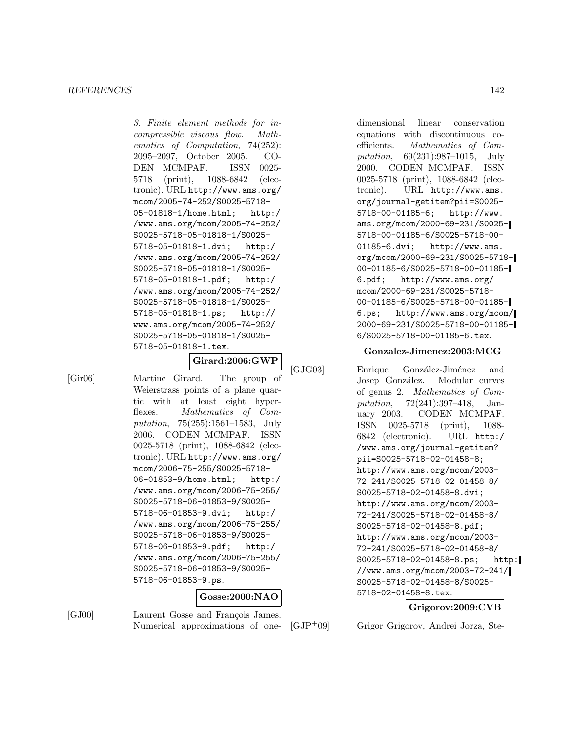3. Finite element methods for incompressible viscous flow. Mathematics of Computation, 74(252): 2095–2097, October 2005. CO-DEN MCMPAF. ISSN 0025- 5718 (print), 1088-6842 (electronic). URL http://www.ams.org/ mcom/2005-74-252/S0025-5718- 05-01818-1/home.html; http:/ /www.ams.org/mcom/2005-74-252/ S0025-5718-05-01818-1/S0025- 5718-05-01818-1.dvi; http:/ /www.ams.org/mcom/2005-74-252/ S0025-5718-05-01818-1/S0025- 5718-05-01818-1.pdf; http:/ /www.ams.org/mcom/2005-74-252/ S0025-5718-05-01818-1/S0025- 5718-05-01818-1.ps; http:// www.ams.org/mcom/2005-74-252/ S0025-5718-05-01818-1/S0025- 5718-05-01818-1.tex.

**Girard:2006:GWP**

[Gir06] Martine Girard. The group of Weierstrass points of a plane quartic with at least eight hyperflexes. Mathematics of Computation, 75(255):1561–1583, July 2006. CODEN MCMPAF. ISSN 0025-5718 (print), 1088-6842 (electronic). URL http://www.ams.org/ mcom/2006-75-255/S0025-5718- 06-01853-9/home.html; http:/ /www.ams.org/mcom/2006-75-255/ S0025-5718-06-01853-9/S0025- 5718-06-01853-9.dvi; http:/ /www.ams.org/mcom/2006-75-255/ S0025-5718-06-01853-9/S0025- 5718-06-01853-9.pdf; http:/ /www.ams.org/mcom/2006-75-255/ S0025-5718-06-01853-9/S0025- 5718-06-01853-9.ps.

### **Gosse:2000:NAO**

[GJ00] Laurent Gosse and François James. Numerical approximations of onedimensional linear conservation equations with discontinuous coefficients. Mathematics of Computation, 69(231):987–1015, July 2000. CODEN MCMPAF. ISSN 0025-5718 (print), 1088-6842 (electronic). URL http://www.ams. org/journal-getitem?pii=S0025- 5718-00-01185-6; http://www. ams.org/mcom/2000-69-231/S0025- 5718-00-01185-6/S0025-5718-00- 01185-6.dvi; http://www.ams. org/mcom/2000-69-231/S0025-5718- 00-01185-6/S0025-5718-00-01185- 6.pdf; http://www.ams.org/ mcom/2000-69-231/S0025-5718- 00-01185-6/S0025-5718-00-01185- 6.ps; http://www.ams.org/mcom/ 2000-69-231/S0025-5718-00-01185- 6/S0025-5718-00-01185-6.tex.

#### **Gonzalez-Jimenez:2003:MCG**

[GJG03] Enrique González-Jiménez and Josep González. Modular curves of genus 2. Mathematics of Computation, 72(241):397–418, January 2003. CODEN MCMPAF. ISSN 0025-5718 (print), 1088- 6842 (electronic). URL http:/ /www.ams.org/journal-getitem? pii=S0025-5718-02-01458-8; http://www.ams.org/mcom/2003- 72-241/S0025-5718-02-01458-8/ S0025-5718-02-01458-8.dvi; http://www.ams.org/mcom/2003- 72-241/S0025-5718-02-01458-8/ S0025-5718-02-01458-8.pdf; http://www.ams.org/mcom/2003- 72-241/S0025-5718-02-01458-8/ S0025-5718-02-01458-8.ps; http: //www.ams.org/mcom/2003-72-241/ S0025-5718-02-01458-8/S0025- 5718-02-01458-8.tex.

# **Grigorov:2009:CVB**

[GJP<sup>+</sup>09] Grigor Grigorov, Andrei Jorza, Ste-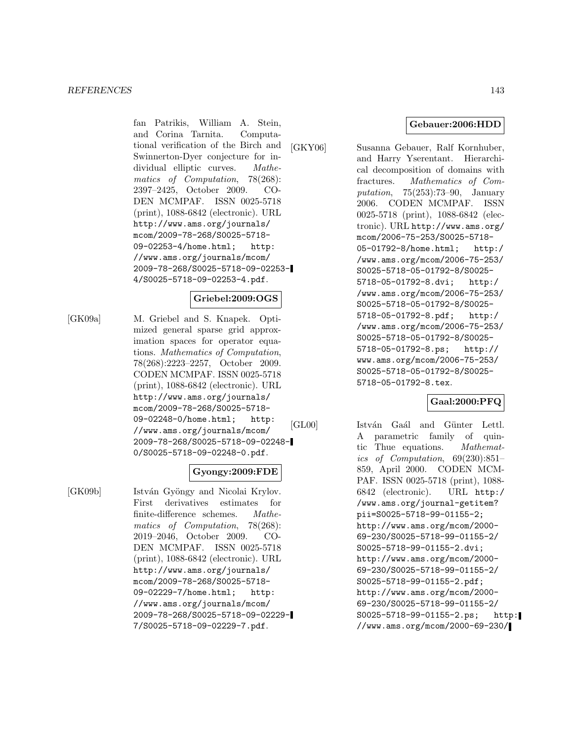fan Patrikis, William A. Stein, and Corina Tarnita. Computational verification of the Birch and Swinnerton-Dyer conjecture for individual elliptic curves. Mathematics of Computation, 78(268): 2397–2425, October 2009. CO-DEN MCMPAF. ISSN 0025-5718 (print), 1088-6842 (electronic). URL http://www.ams.org/journals/ mcom/2009-78-268/S0025-5718- 09-02253-4/home.html; http: //www.ams.org/journals/mcom/ 2009-78-268/S0025-5718-09-02253- 4/S0025-5718-09-02253-4.pdf.

### **Griebel:2009:OGS**

[GK09a] M. Griebel and S. Knapek. Optimized general sparse grid approximation spaces for operator equations. Mathematics of Computation, 78(268):2223–2257, October 2009. CODEN MCMPAF. ISSN 0025-5718 (print), 1088-6842 (electronic). URL http://www.ams.org/journals/ mcom/2009-78-268/S0025-5718- 09-02248-0/home.html; http: //www.ams.org/journals/mcom/ 2009-78-268/S0025-5718-09-02248- 0/S0025-5718-09-02248-0.pdf.

### **Gyongy:2009:FDE**

[GK09b] István Gyöngy and Nicolai Krylov. First derivatives estimates for finite-difference schemes. Mathematics of Computation, 78(268): 2019–2046, October 2009. CO-DEN MCMPAF. ISSN 0025-5718 (print), 1088-6842 (electronic). URL http://www.ams.org/journals/ mcom/2009-78-268/S0025-5718- 09-02229-7/home.html; http: //www.ams.org/journals/mcom/ 2009-78-268/S0025-5718-09-02229- 7/S0025-5718-09-02229-7.pdf.

**Gebauer:2006:HDD**

[GKY06] Susanna Gebauer, Ralf Kornhuber, and Harry Yserentant. Hierarchical decomposition of domains with fractures. Mathematics of Computation, 75(253):73–90, January 2006. CODEN MCMPAF. ISSN 0025-5718 (print), 1088-6842 (electronic). URL http://www.ams.org/ mcom/2006-75-253/S0025-5718- 05-01792-8/home.html; http:/ /www.ams.org/mcom/2006-75-253/ S0025-5718-05-01792-8/S0025- 5718-05-01792-8.dvi; http:/ /www.ams.org/mcom/2006-75-253/ S0025-5718-05-01792-8/S0025- 5718-05-01792-8.pdf; http:/ /www.ams.org/mcom/2006-75-253/ S0025-5718-05-01792-8/S0025- 5718-05-01792-8.ps; http:// www.ams.org/mcom/2006-75-253/ S0025-5718-05-01792-8/S0025- 5718-05-01792-8.tex.

# **Gaal:2000:PFQ**

[GL00] István Gaál and Günter Lettl. A parametric family of quintic Thue equations. Mathematics of Computation, 69(230):851– 859, April 2000. CODEN MCM-PAF. ISSN 0025-5718 (print), 1088- 6842 (electronic). URL http:/ /www.ams.org/journal-getitem? pii=S0025-5718-99-01155-2; http://www.ams.org/mcom/2000- 69-230/S0025-5718-99-01155-2/ S0025-5718-99-01155-2.dvi; http://www.ams.org/mcom/2000- 69-230/S0025-5718-99-01155-2/ S0025-5718-99-01155-2.pdf; http://www.ams.org/mcom/2000- 69-230/S0025-5718-99-01155-2/ S0025-5718-99-01155-2.ps; http: //www.ams.org/mcom/2000-69-230/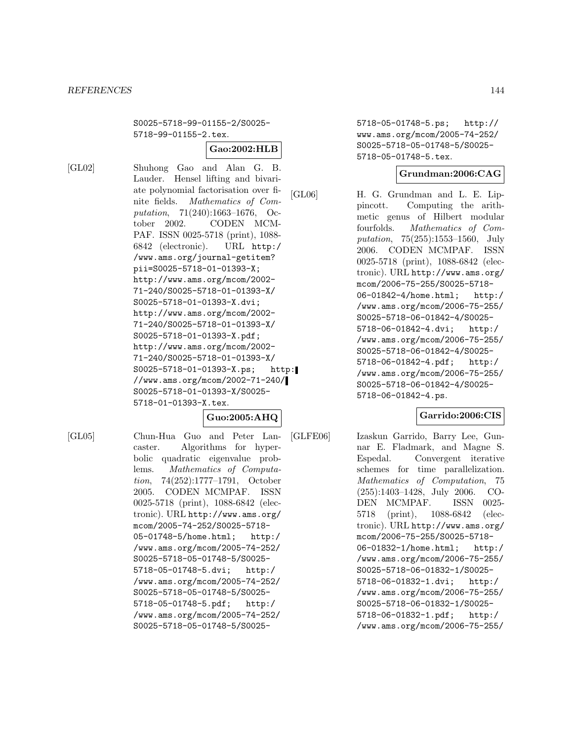S0025-5718-99-01155-2/S0025- 5718-99-01155-2.tex.

# **Gao:2002:HLB**

[GL02] Shuhong Gao and Alan G. B. Lauder. Hensel lifting and bivariate polynomial factorisation over finite fields. Mathematics of Computation, 71(240):1663–1676, October 2002. CODEN MCM-PAF. ISSN 0025-5718 (print), 1088- 6842 (electronic). URL http:/ /www.ams.org/journal-getitem? pii=S0025-5718-01-01393-X; http://www.ams.org/mcom/2002- 71-240/S0025-5718-01-01393-X/ S0025-5718-01-01393-X.dvi; http://www.ams.org/mcom/2002- 71-240/S0025-5718-01-01393-X/ S0025-5718-01-01393-X.pdf; http://www.ams.org/mcom/2002- 71-240/S0025-5718-01-01393-X/ S0025-5718-01-01393-X.ps; http:

//www.ams.org/mcom/2002-71-240/ S0025-5718-01-01393-X/S0025- 5718-01-01393-X.tex.

# **Guo:2005:AHQ**

[GL05] Chun-Hua Guo and Peter Lancaster. Algorithms for hyperbolic quadratic eigenvalue problems. Mathematics of Computation, 74(252):1777–1791, October 2005. CODEN MCMPAF. ISSN 0025-5718 (print), 1088-6842 (electronic). URL http://www.ams.org/ mcom/2005-74-252/S0025-5718- 05-01748-5/home.html; http:/ /www.ams.org/mcom/2005-74-252/ S0025-5718-05-01748-5/S0025- 5718-05-01748-5.dvi; http:/ /www.ams.org/mcom/2005-74-252/ S0025-5718-05-01748-5/S0025- 5718-05-01748-5.pdf; http:/ /www.ams.org/mcom/2005-74-252/ S0025-5718-05-01748-5/S00255718-05-01748-5.ps; http:// www.ams.org/mcom/2005-74-252/ S0025-5718-05-01748-5/S0025- 5718-05-01748-5.tex.

# **Grundman:2006:CAG**

[GL06] H. G. Grundman and L. E. Lippincott. Computing the arithmetic genus of Hilbert modular fourfolds. Mathematics of Computation, 75(255):1553–1560, July 2006. CODEN MCMPAF. ISSN 0025-5718 (print), 1088-6842 (electronic). URL http://www.ams.org/ mcom/2006-75-255/S0025-5718- 06-01842-4/home.html; http:/ /www.ams.org/mcom/2006-75-255/ S0025-5718-06-01842-4/S0025- 5718-06-01842-4.dvi; http:/ /www.ams.org/mcom/2006-75-255/ S0025-5718-06-01842-4/S0025- 5718-06-01842-4.pdf; http:/ /www.ams.org/mcom/2006-75-255/ S0025-5718-06-01842-4/S0025- 5718-06-01842-4.ps.

# **Garrido:2006:CIS**

[GLFE06] Izaskun Garrido, Barry Lee, Gunnar E. Fladmark, and Magne S. Espedal. Convergent iterative schemes for time parallelization. Mathematics of Computation, 75 (255):1403–1428, July 2006. CO-DEN MCMPAF. ISSN 0025- 5718 (print), 1088-6842 (electronic). URL http://www.ams.org/ mcom/2006-75-255/S0025-5718- 06-01832-1/home.html; http:/ /www.ams.org/mcom/2006-75-255/ S0025-5718-06-01832-1/S0025- 5718-06-01832-1.dvi; http:/ /www.ams.org/mcom/2006-75-255/ S0025-5718-06-01832-1/S0025- 5718-06-01832-1.pdf; http:/ /www.ams.org/mcom/2006-75-255/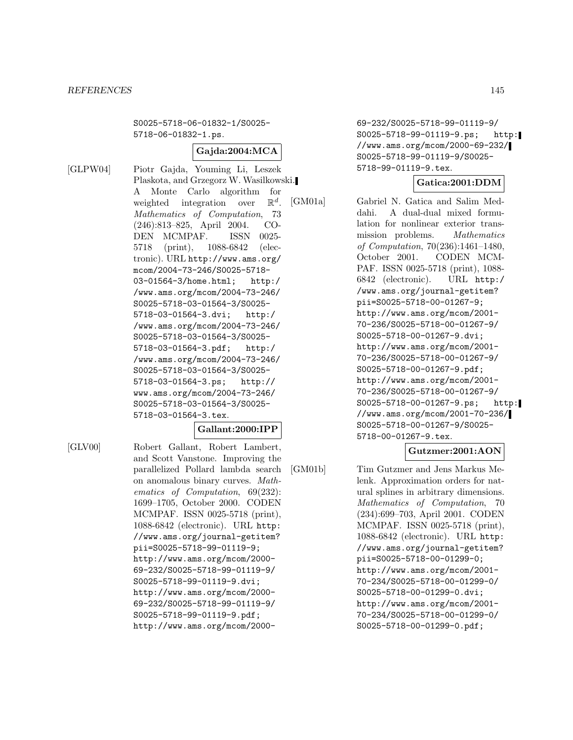S0025-5718-06-01832-1/S0025- 5718-06-01832-1.ps.

#### **Gajda:2004:MCA**

[GLPW04] Piotr Gajda, Youming Li, Leszek Plaskota, and Grzegorz W. Wasilkowski. A Monte Carlo algorithm for weighted integration over  $\mathbb{R}^d$ .<br> *Mathematics of Computation*, 73 (246):813–825, April 2004. CO-DEN MCMPAF. ISSN 0025- 5718 (print), 1088-6842 (electronic). URL http://www.ams.org/ mcom/2004-73-246/S0025-5718- 03-01564-3/home.html; http:/ /www.ams.org/mcom/2004-73-246/ S0025-5718-03-01564-3/S0025- 5718-03-01564-3.dvi; http:/ /www.ams.org/mcom/2004-73-246/ S0025-5718-03-01564-3/S0025- 5718-03-01564-3.pdf; http:/ /www.ams.org/mcom/2004-73-246/ S0025-5718-03-01564-3/S0025- 5718-03-01564-3.ps; http:// www.ams.org/mcom/2004-73-246/ S0025-5718-03-01564-3/S0025- 5718-03-01564-3.tex.

#### **Gallant:2000:IPP**

[GLV00] Robert Gallant, Robert Lambert, and Scott Vanstone. Improving the parallelized Pollard lambda search on anomalous binary curves. Mathematics of Computation, 69(232): 1699–1705, October 2000. CODEN MCMPAF. ISSN 0025-5718 (print), 1088-6842 (electronic). URL http: //www.ams.org/journal-getitem? pii=S0025-5718-99-01119-9; http://www.ams.org/mcom/2000- 69-232/S0025-5718-99-01119-9/ S0025-5718-99-01119-9.dvi; http://www.ams.org/mcom/2000- 69-232/S0025-5718-99-01119-9/ S0025-5718-99-01119-9.pdf; http://www.ams.org/mcom/200069-232/S0025-5718-99-01119-9/ S0025-5718-99-01119-9.ps; http: //www.ams.org/mcom/2000-69-232/ S0025-5718-99-01119-9/S0025- 5718-99-01119-9.tex.

## **Gatica:2001:DDM**

[GM01a] Gabriel N. Gatica and Salim Meddahi. A dual-dual mixed formulation for nonlinear exterior transmission problems. Mathematics of Computation, 70(236):1461–1480, October 2001. CODEN MCM-PAF. ISSN 0025-5718 (print), 1088- 6842 (electronic). URL http:/ /www.ams.org/journal-getitem? pii=S0025-5718-00-01267-9; http://www.ams.org/mcom/2001- 70-236/S0025-5718-00-01267-9/ S0025-5718-00-01267-9.dvi; http://www.ams.org/mcom/2001- 70-236/S0025-5718-00-01267-9/ S0025-5718-00-01267-9.pdf; http://www.ams.org/mcom/2001- 70-236/S0025-5718-00-01267-9/ S0025-5718-00-01267-9.ps; http: //www.ams.org/mcom/2001-70-236/ S0025-5718-00-01267-9/S0025- 5718-00-01267-9.tex.

## **Gutzmer:2001:AON**

[GM01b] Tim Gutzmer and Jens Markus Melenk. Approximation orders for natural splines in arbitrary dimensions. Mathematics of Computation, 70 (234):699–703, April 2001. CODEN MCMPAF. ISSN 0025-5718 (print), 1088-6842 (electronic). URL http: //www.ams.org/journal-getitem? pii=S0025-5718-00-01299-0; http://www.ams.org/mcom/2001- 70-234/S0025-5718-00-01299-0/ S0025-5718-00-01299-0.dvi; http://www.ams.org/mcom/2001- 70-234/S0025-5718-00-01299-0/ S0025-5718-00-01299-0.pdf;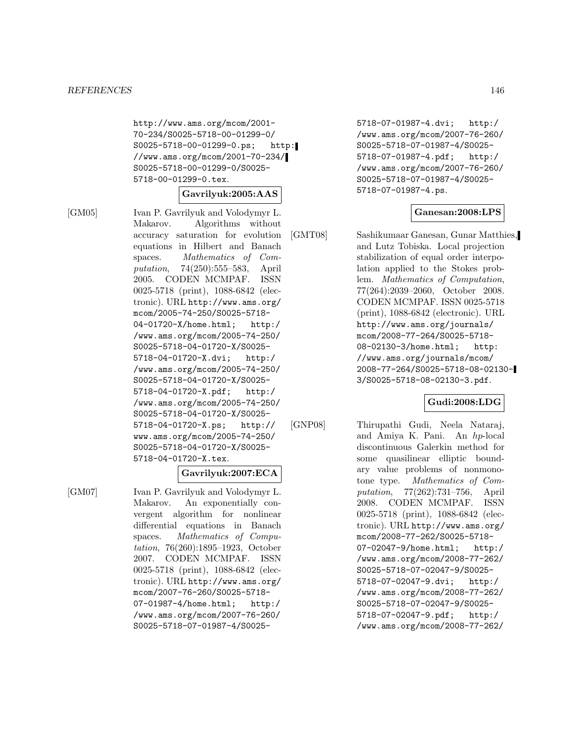http://www.ams.org/mcom/2001- 70-234/S0025-5718-00-01299-0/ S0025-5718-00-01299-0.ps; http: //www.ams.org/mcom/2001-70-234/ S0025-5718-00-01299-0/S0025- 5718-00-01299-0.tex.

#### **Gavrilyuk:2005:AAS**

[GM05] Ivan P. Gavrilyuk and Volodymyr L. Makarov. Algorithms without accuracy saturation for evolution equations in Hilbert and Banach spaces. Mathematics of Computation, 74(250):555–583, April 2005. CODEN MCMPAF. ISSN 0025-5718 (print), 1088-6842 (electronic). URL http://www.ams.org/ mcom/2005-74-250/S0025-5718- 04-01720-X/home.html; http:/ /www.ams.org/mcom/2005-74-250/ S0025-5718-04-01720-X/S0025- 5718-04-01720-X.dvi; http:/ /www.ams.org/mcom/2005-74-250/ S0025-5718-04-01720-X/S0025- 5718-04-01720-X.pdf; http:/ /www.ams.org/mcom/2005-74-250/ S0025-5718-04-01720-X/S0025- 5718-04-01720-X.ps; http:// www.ams.org/mcom/2005-74-250/ S0025-5718-04-01720-X/S0025- 5718-04-01720-X.tex.

#### **Gavrilyuk:2007:ECA**

[GM07] Ivan P. Gavrilyuk and Volodymyr L. Makarov. An exponentially convergent algorithm for nonlinear differential equations in Banach spaces. Mathematics of Computation, 76(260):1895–1923, October 2007. CODEN MCMPAF. ISSN 0025-5718 (print), 1088-6842 (electronic). URL http://www.ams.org/ mcom/2007-76-260/S0025-5718- 07-01987-4/home.html; http:/ /www.ams.org/mcom/2007-76-260/ S0025-5718-07-01987-4/S00255718-07-01987-4.dvi; http:/ /www.ams.org/mcom/2007-76-260/ S0025-5718-07-01987-4/S0025- 5718-07-01987-4.pdf; http:/ /www.ams.org/mcom/2007-76-260/ S0025-5718-07-01987-4/S0025- 5718-07-01987-4.ps.

#### **Ganesan:2008:LPS**

[GMT08] Sashikumaar Ganesan, Gunar Matthies, and Lutz Tobiska. Local projection stabilization of equal order interpolation applied to the Stokes problem. Mathematics of Computation, 77(264):2039–2060, October 2008. CODEN MCMPAF. ISSN 0025-5718 (print), 1088-6842 (electronic). URL http://www.ams.org/journals/ mcom/2008-77-264/S0025-5718- 08-02130-3/home.html; http: //www.ams.org/journals/mcom/ 2008-77-264/S0025-5718-08-02130- 3/S0025-5718-08-02130-3.pdf.

#### **Gudi:2008:LDG**

[GNP08] Thirupathi Gudi, Neela Nataraj, and Amiya K. Pani. An hp-local discontinuous Galerkin method for some quasilinear elliptic boundary value problems of nonmonotone type. Mathematics of Computation, 77(262):731–756, April 2008. CODEN MCMPAF. ISSN

0025-5718 (print), 1088-6842 (electronic). URL http://www.ams.org/ mcom/2008-77-262/S0025-5718- 07-02047-9/home.html; http:/ /www.ams.org/mcom/2008-77-262/ S0025-5718-07-02047-9/S0025- 5718-07-02047-9.dvi; http:/ /www.ams.org/mcom/2008-77-262/ S0025-5718-07-02047-9/S0025- 5718-07-02047-9.pdf; http:/ /www.ams.org/mcom/2008-77-262/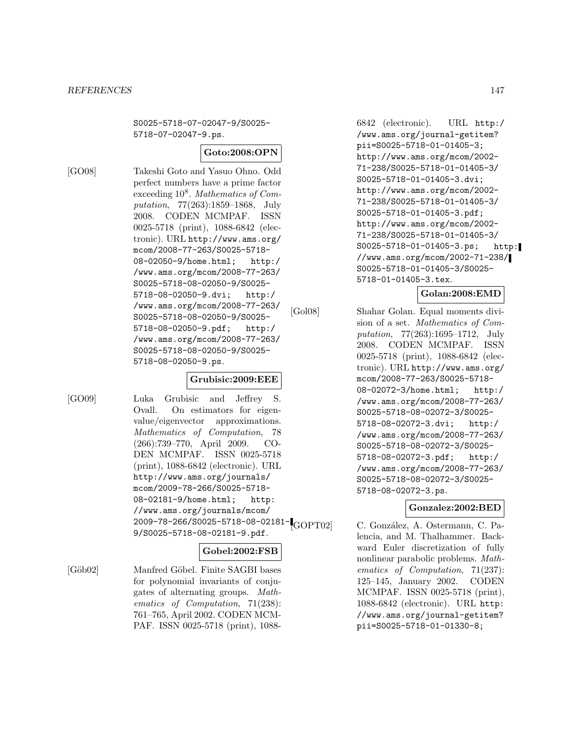S0025-5718-07-02047-9/S0025- 5718-07-02047-9.ps.

## **Goto:2008:OPN**

[GO08] Takeshi Goto and Yasuo Ohno. Odd perfect numbers have a prime factor exceeding  $10^8$ . Mathematics of Computation, 77(263):1859–1868, July 2008. CODEN MCMPAF. ISSN 0025-5718 (print), 1088-6842 (electronic). URL http://www.ams.org/ mcom/2008-77-263/S0025-5718- 08-02050-9/home.html; http:/ /www.ams.org/mcom/2008-77-263/ S0025-5718-08-02050-9/S0025- 5718-08-02050-9.dvi; http:/ /www.ams.org/mcom/2008-77-263/ S0025-5718-08-02050-9/S0025- 5718-08-02050-9.pdf; http:/ /www.ams.org/mcom/2008-77-263/ S0025-5718-08-02050-9/S0025- 5718-08-02050-9.ps.

#### **Grubisic:2009:EEE**

[GO09] Luka Grubisic and Jeffrey S. Ovall. On estimators for eigenvalue/eigenvector approximations. Mathematics of Computation, 78 (266):739–770, April 2009. CO-DEN MCMPAF. ISSN 0025-5718 (print), 1088-6842 (electronic). URL http://www.ams.org/journals/ mcom/2009-78-266/S0025-5718- 08-02181-9/home.html; http: //www.ams.org/journals/mcom/ 2009-78-266/S0025-5718-08-02181- 9/S0025-5718-08-02181-9.pdf.

## **Gobel:2002:FSB**

[Göb02] Manfred Göbel. Finite SAGBI bases for polynomial invariants of conjugates of alternating groups. Mathematics of Computation, 71(238): 761–765, April 2002. CODEN MCM-PAF. ISSN 0025-5718 (print), 1088-

6842 (electronic). URL http:/ /www.ams.org/journal-getitem? pii=S0025-5718-01-01405-3; http://www.ams.org/mcom/2002- 71-238/S0025-5718-01-01405-3/ S0025-5718-01-01405-3.dvi; http://www.ams.org/mcom/2002- 71-238/S0025-5718-01-01405-3/ S0025-5718-01-01405-3.pdf; http://www.ams.org/mcom/2002- 71-238/S0025-5718-01-01405-3/ S0025-5718-01-01405-3.ps; http: //www.ams.org/mcom/2002-71-238/ S0025-5718-01-01405-3/S0025- 5718-01-01405-3.tex.

# **Golan:2008:EMD**

[Gol08] Shahar Golan. Equal moments division of a set. Mathematics of Computation, 77(263):1695–1712, July 2008. CODEN MCMPAF. ISSN 0025-5718 (print), 1088-6842 (electronic). URL http://www.ams.org/ mcom/2008-77-263/S0025-5718- 08-02072-3/home.html; http:/ /www.ams.org/mcom/2008-77-263/ S0025-5718-08-02072-3/S0025- 5718-08-02072-3.dvi; http:/ /www.ams.org/mcom/2008-77-263/ S0025-5718-08-02072-3/S0025- 5718-08-02072-3.pdf; http:/ /www.ams.org/mcom/2008-77-263/ S0025-5718-08-02072-3/S0025- 5718-08-02072-3.ps.

## **Gonzalez:2002:BED**

C. González, A. Ostermann, C. Palencia, and M. Thalhammer. Backward Euler discretization of fully nonlinear parabolic problems. Mathematics of Computation, 71(237): 125–145, January 2002. CODEN MCMPAF. ISSN 0025-5718 (print), 1088-6842 (electronic). URL http: //www.ams.org/journal-getitem? pii=S0025-5718-01-01330-8;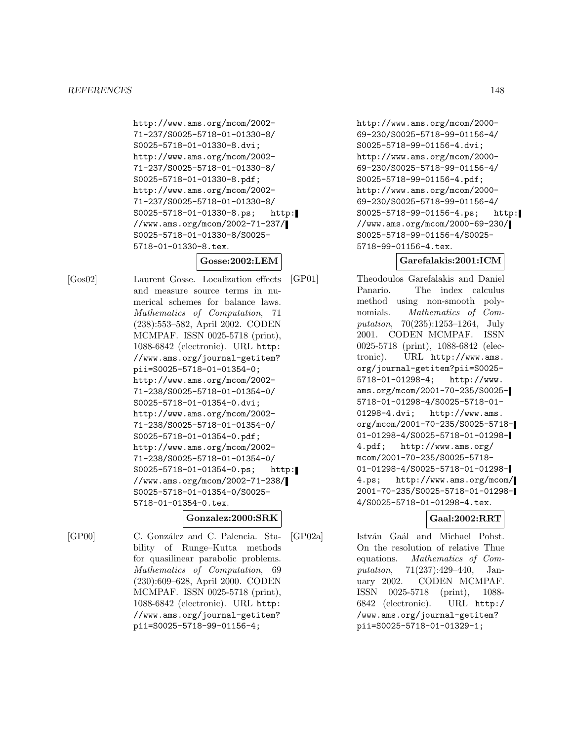http://www.ams.org/mcom/2002- 71-237/S0025-5718-01-01330-8/ S0025-5718-01-01330-8.dvi; http://www.ams.org/mcom/2002- 71-237/S0025-5718-01-01330-8/ S0025-5718-01-01330-8.pdf; http://www.ams.org/mcom/2002- 71-237/S0025-5718-01-01330-8/ S0025-5718-01-01330-8.ps; http: //www.ams.org/mcom/2002-71-237/ S0025-5718-01-01330-8/S0025- 5718-01-01330-8.tex.

# **Gosse:2002:LEM**

[Gos02] Laurent Gosse. Localization effects and measure source terms in numerical schemes for balance laws. Mathematics of Computation, 71 (238):553–582, April 2002. CODEN MCMPAF. ISSN 0025-5718 (print), 1088-6842 (electronic). URL http: //www.ams.org/journal-getitem? pii=S0025-5718-01-01354-0; http://www.ams.org/mcom/2002- 71-238/S0025-5718-01-01354-0/ S0025-5718-01-01354-0.dvi; http://www.ams.org/mcom/2002- 71-238/S0025-5718-01-01354-0/ S0025-5718-01-01354-0.pdf; http://www.ams.org/mcom/2002- 71-238/S0025-5718-01-01354-0/ S0025-5718-01-01354-0.ps; http: //www.ams.org/mcom/2002-71-238/ S0025-5718-01-01354-0/S0025- 5718-01-01354-0.tex.

#### **Gonzalez:2000:SRK**

[GP00] C. González and C. Palencia. Stability of Runge–Kutta methods for quasilinear parabolic problems. Mathematics of Computation, 69 (230):609–628, April 2000. CODEN MCMPAF. ISSN 0025-5718 (print), 1088-6842 (electronic). URL http: //www.ams.org/journal-getitem? pii=S0025-5718-99-01156-4;

http://www.ams.org/mcom/2000- 69-230/S0025-5718-99-01156-4/ S0025-5718-99-01156-4.dvi; http://www.ams.org/mcom/2000- 69-230/S0025-5718-99-01156-4/ S0025-5718-99-01156-4.pdf; http://www.ams.org/mcom/2000- 69-230/S0025-5718-99-01156-4/ S0025-5718-99-01156-4.ps; http: //www.ams.org/mcom/2000-69-230/ S0025-5718-99-01156-4/S0025- 5718-99-01156-4.tex.

## **Garefalakis:2001:ICM**

[GP01] Theodoulos Garefalakis and Daniel Panario. The index calculus method using non-smooth polynomials. Mathematics of Computation, 70(235):1253–1264, July 2001. CODEN MCMPAF. ISSN 0025-5718 (print), 1088-6842 (electronic). URL http://www.ams. org/journal-getitem?pii=S0025- 5718-01-01298-4; http://www. ams.org/mcom/2001-70-235/S0025- 5718-01-01298-4/S0025-5718-01- 01298-4.dvi; http://www.ams. org/mcom/2001-70-235/S0025-5718- 01-01298-4/S0025-5718-01-01298- 4.pdf; http://www.ams.org/ mcom/2001-70-235/S0025-5718- 01-01298-4/S0025-5718-01-01298- 4.ps; http://www.ams.org/mcom/ 2001-70-235/S0025-5718-01-01298- 4/S0025-5718-01-01298-4.tex.

# **Gaal:2002:RRT**

[GP02a] István Gaál and Michael Pohst. On the resolution of relative Thue equations. Mathematics of Computation, 71(237):429–440, January 2002. CODEN MCMPAF. ISSN 0025-5718 (print), 1088- 6842 (electronic). URL http:/ /www.ams.org/journal-getitem? pii=S0025-5718-01-01329-1;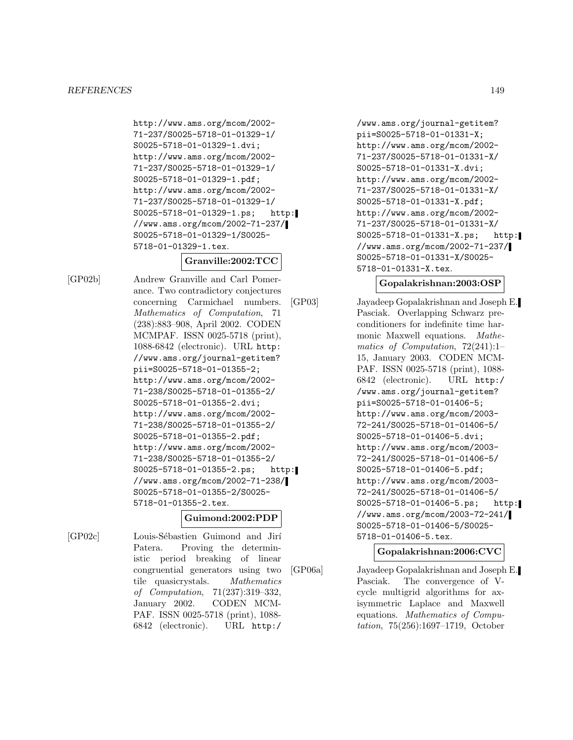http://www.ams.org/mcom/2002- 71-237/S0025-5718-01-01329-1/ S0025-5718-01-01329-1.dvi; http://www.ams.org/mcom/2002- 71-237/S0025-5718-01-01329-1/ S0025-5718-01-01329-1.pdf; http://www.ams.org/mcom/2002- 71-237/S0025-5718-01-01329-1/ S0025-5718-01-01329-1.ps; http: //www.ams.org/mcom/2002-71-237/ S0025-5718-01-01329-1/S0025- 5718-01-01329-1.tex.

## **Granville:2002:TCC**

[GP02b] Andrew Granville and Carl Pomerance. Two contradictory conjectures concerning Carmichael numbers. Mathematics of Computation, 71 (238):883–908, April 2002. CODEN MCMPAF. ISSN 0025-5718 (print), 1088-6842 (electronic). URL http: //www.ams.org/journal-getitem? pii=S0025-5718-01-01355-2; http://www.ams.org/mcom/2002- 71-238/S0025-5718-01-01355-2/ S0025-5718-01-01355-2.dvi; http://www.ams.org/mcom/2002- 71-238/S0025-5718-01-01355-2/ S0025-5718-01-01355-2.pdf; http://www.ams.org/mcom/2002- 71-238/S0025-5718-01-01355-2/ S0025-5718-01-01355-2.ps; http: //www.ams.org/mcom/2002-71-238/ S0025-5718-01-01355-2/S0025- 5718-01-01355-2.tex.

## **Guimond:2002:PDP**

[GP02c] Louis-Sébastien Guimond and Jirí Patera. Proving the deterministic period breaking of linear congruential generators using two tile quasicrystals. Mathematics of Computation, 71(237):319–332, January 2002. CODEN MCM-PAF. ISSN 0025-5718 (print), 1088- 6842 (electronic). URL http:/

/www.ams.org/journal-getitem? pii=S0025-5718-01-01331-X; http://www.ams.org/mcom/2002- 71-237/S0025-5718-01-01331-X/ S0025-5718-01-01331-X.dvi; http://www.ams.org/mcom/2002- 71-237/S0025-5718-01-01331-X/ S0025-5718-01-01331-X.pdf; http://www.ams.org/mcom/2002- 71-237/S0025-5718-01-01331-X/ S0025-5718-01-01331-X.ps; http: //www.ams.org/mcom/2002-71-237/ S0025-5718-01-01331-X/S0025- 5718-01-01331-X.tex.

#### **Gopalakrishnan:2003:OSP**

[GP03] Jayadeep Gopalakrishnan and Joseph E. Pasciak. Overlapping Schwarz preconditioners for indefinite time harmonic Maxwell equations. Mathematics of Computation, 72(241):1– 15, January 2003. CODEN MCM-PAF. ISSN 0025-5718 (print), 1088- 6842 (electronic). URL http:/ /www.ams.org/journal-getitem? pii=S0025-5718-01-01406-5; http://www.ams.org/mcom/2003- 72-241/S0025-5718-01-01406-5/ S0025-5718-01-01406-5.dvi; http://www.ams.org/mcom/2003- 72-241/S0025-5718-01-01406-5/ S0025-5718-01-01406-5.pdf; http://www.ams.org/mcom/2003- 72-241/S0025-5718-01-01406-5/ S0025-5718-01-01406-5.ps; http: //www.ams.org/mcom/2003-72-241/ S0025-5718-01-01406-5/S0025- 5718-01-01406-5.tex.

#### **Gopalakrishnan:2006:CVC**

[GP06a] Jayadeep Gopalakrishnan and Joseph E. Pasciak. The convergence of Vcycle multigrid algorithms for axisymmetric Laplace and Maxwell equations. Mathematics of Computation, 75(256):1697–1719, October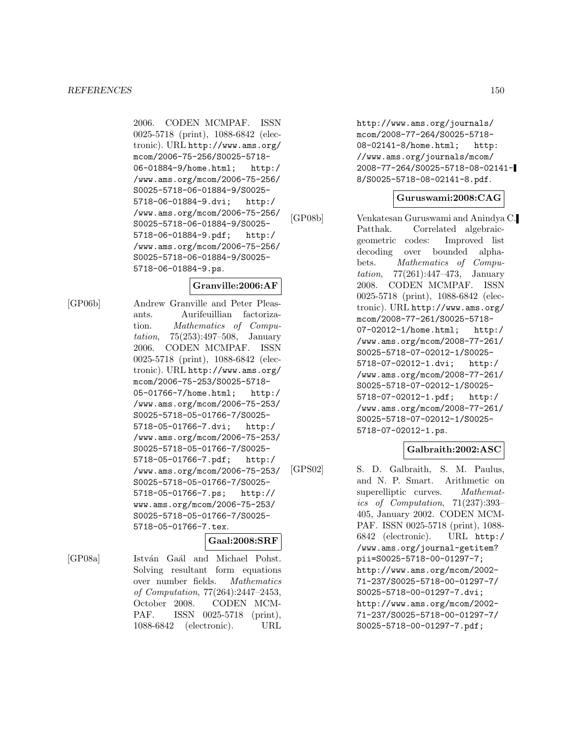2006. CODEN MCMPAF. ISSN 0025-5718 (print), 1088-6842 (electronic). URL http://www.ams.org/ mcom/2006-75-256/S0025-5718- 06-01884-9/home.html; http:/ /www.ams.org/mcom/2006-75-256/ S0025-5718-06-01884-9/S0025- 5718-06-01884-9.dvi; http:/ /www.ams.org/mcom/2006-75-256/ S0025-5718-06-01884-9/S0025- 5718-06-01884-9.pdf; http:/ /www.ams.org/mcom/2006-75-256/ S0025-5718-06-01884-9/S0025- 5718-06-01884-9.ps.

#### **Granville:2006:AF**

[GP06b] Andrew Granville and Peter Pleasants. Aurifeuillian factorization. Mathematics of Computation, 75(253):497–508, January 2006. CODEN MCMPAF. ISSN 0025-5718 (print), 1088-6842 (electronic). URL http://www.ams.org/ mcom/2006-75-253/S0025-5718- 05-01766-7/home.html; http:/ /www.ams.org/mcom/2006-75-253/ S0025-5718-05-01766-7/S0025- 5718-05-01766-7.dvi; http:/ /www.ams.org/mcom/2006-75-253/ S0025-5718-05-01766-7/S0025- 5718-05-01766-7.pdf; http:/ /www.ams.org/mcom/2006-75-253/ S0025-5718-05-01766-7/S0025- 5718-05-01766-7.ps; http:// www.ams.org/mcom/2006-75-253/ S0025-5718-05-01766-7/S0025- 5718-05-01766-7.tex.

#### **Gaal:2008:SRF**

[GP08a] István Gaál and Michael Pohst. Solving resultant form equations over number fields. Mathematics of Computation, 77(264):2447–2453, October 2008. CODEN MCM-PAF. ISSN 0025-5718 (print), 1088-6842 (electronic). URL

http://www.ams.org/journals/ mcom/2008-77-264/S0025-5718- 08-02141-8/home.html; http: //www.ams.org/journals/mcom/ 2008-77-264/S0025-5718-08-02141- 8/S0025-5718-08-02141-8.pdf.

#### **Guruswami:2008:CAG**

[GP08b] Venkatesan Guruswami and Anindya C. Patthak. Correlated algebraicgeometric codes: Improved list decoding over bounded alphabets. Mathematics of Computation, 77(261):447–473, January 2008. CODEN MCMPAF. ISSN 0025-5718 (print), 1088-6842 (electronic). URL http://www.ams.org/ mcom/2008-77-261/S0025-5718- 07-02012-1/home.html; http:/ /www.ams.org/mcom/2008-77-261/ S0025-5718-07-02012-1/S0025- 5718-07-02012-1.dvi; http:/ /www.ams.org/mcom/2008-77-261/ S0025-5718-07-02012-1/S0025- 5718-07-02012-1.pdf; http:/ /www.ams.org/mcom/2008-77-261/ S0025-5718-07-02012-1/S0025- 5718-07-02012-1.ps.

## **Galbraith:2002:ASC**

[GPS02] S. D. Galbraith, S. M. Paulus, and N. P. Smart. Arithmetic on superelliptic curves. Mathematics of Computation, 71(237):393– 405, January 2002. CODEN MCM-PAF. ISSN 0025-5718 (print), 1088- 6842 (electronic). URL http:/ /www.ams.org/journal-getitem? pii=S0025-5718-00-01297-7; http://www.ams.org/mcom/2002- 71-237/S0025-5718-00-01297-7/ S0025-5718-00-01297-7.dvi; http://www.ams.org/mcom/2002- 71-237/S0025-5718-00-01297-7/ S0025-5718-00-01297-7.pdf;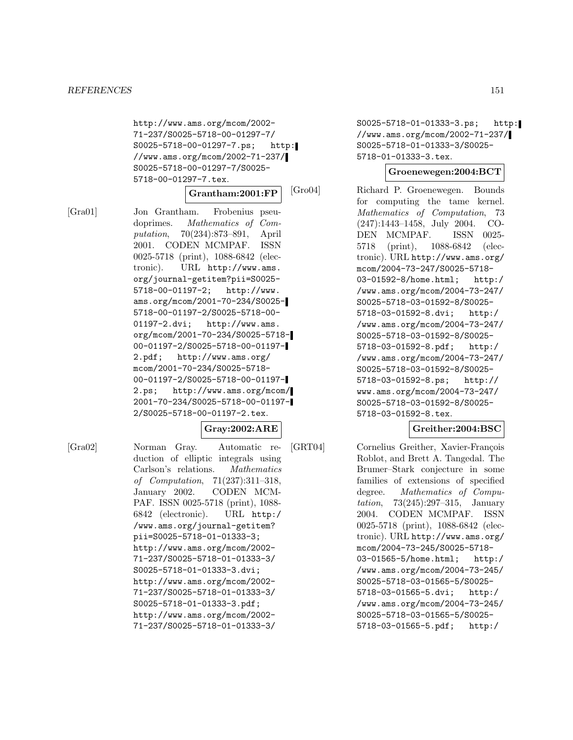http://www.ams.org/mcom/2002- 71-237/S0025-5718-00-01297-7/ S0025-5718-00-01297-7.ps; http: //www.ams.org/mcom/2002-71-237/ S0025-5718-00-01297-7/S0025- 5718-00-01297-7.tex.

#### **Grantham:2001:FP**

[Gra01] Jon Grantham. Frobenius pseudoprimes. Mathematics of Computation, 70(234):873–891, April 2001. CODEN MCMPAF. ISSN 0025-5718 (print), 1088-6842 (electronic). URL http://www.ams. org/journal-getitem?pii=S0025- 5718-00-01197-2; http://www. ams.org/mcom/2001-70-234/S0025- 5718-00-01197-2/S0025-5718-00- 01197-2.dvi; http://www.ams. org/mcom/2001-70-234/S0025-5718- 00-01197-2/S0025-5718-00-01197- 2.pdf; http://www.ams.org/ mcom/2001-70-234/S0025-5718- 00-01197-2/S0025-5718-00-01197- 2.ps; http://www.ams.org/mcom/ 2001-70-234/S0025-5718-00-01197- 2/S0025-5718-00-01197-2.tex.

#### **Gray:2002:ARE**

[Gra02] Norman Gray. Automatic reduction of elliptic integrals using Carlson's relations. Mathematics of Computation, 71(237):311–318, January 2002. CODEN MCM-PAF. ISSN 0025-5718 (print), 1088- 6842 (electronic). URL http:/ /www.ams.org/journal-getitem? pii=S0025-5718-01-01333-3; http://www.ams.org/mcom/2002- 71-237/S0025-5718-01-01333-3/ S0025-5718-01-01333-3.dvi; http://www.ams.org/mcom/2002- 71-237/S0025-5718-01-01333-3/ S0025-5718-01-01333-3.pdf; http://www.ams.org/mcom/2002- 71-237/S0025-5718-01-01333-3/

S0025-5718-01-01333-3.ps; http: //www.ams.org/mcom/2002-71-237/ S0025-5718-01-01333-3/S0025- 5718-01-01333-3.tex.

#### **Groenewegen:2004:BCT**

[Gro04] Richard P. Groenewegen. Bounds for computing the tame kernel. Mathematics of Computation, 73 (247):1443–1458, July 2004. CO-DEN MCMPAF. ISSN 0025- 5718 (print), 1088-6842 (electronic). URL http://www.ams.org/ mcom/2004-73-247/S0025-5718- 03-01592-8/home.html; http:/ /www.ams.org/mcom/2004-73-247/ S0025-5718-03-01592-8/S0025- 5718-03-01592-8.dvi; http:/ /www.ams.org/mcom/2004-73-247/ S0025-5718-03-01592-8/S0025- 5718-03-01592-8.pdf; http:/ /www.ams.org/mcom/2004-73-247/ S0025-5718-03-01592-8/S0025- 5718-03-01592-8.ps; http:// www.ams.org/mcom/2004-73-247/ S0025-5718-03-01592-8/S0025- 5718-03-01592-8.tex.

## **Greither:2004:BSC**

[GRT04] Cornelius Greither, Xavier-François Roblot, and Brett A. Tangedal. The Brumer–Stark conjecture in some families of extensions of specified degree. Mathematics of Computation, 73(245):297–315, January 2004. CODEN MCMPAF. ISSN 0025-5718 (print), 1088-6842 (electronic). URL http://www.ams.org/ mcom/2004-73-245/S0025-5718- 03-01565-5/home.html; http:/ /www.ams.org/mcom/2004-73-245/ S0025-5718-03-01565-5/S0025- 5718-03-01565-5.dvi; http:/ /www.ams.org/mcom/2004-73-245/ S0025-5718-03-01565-5/S0025- 5718-03-01565-5.pdf; http:/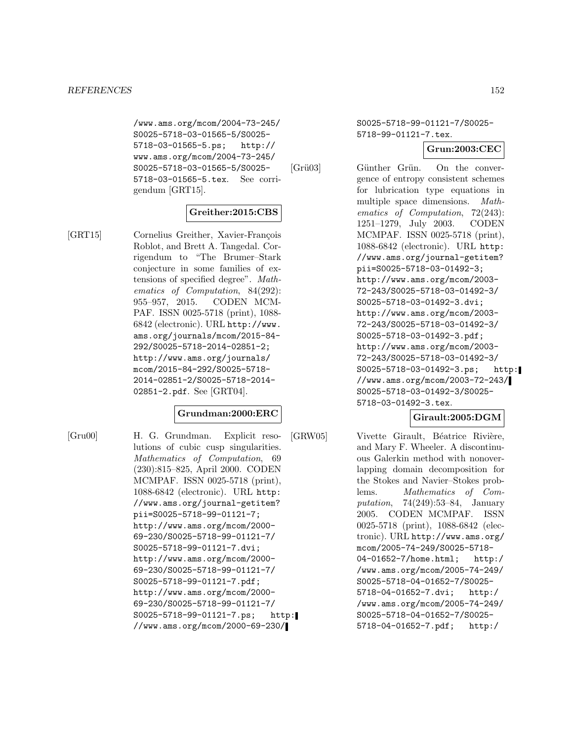/www.ams.org/mcom/2004-73-245/ S0025-5718-03-01565-5/S0025- 5718-03-01565-5.ps; http:// www.ams.org/mcom/2004-73-245/ S0025-5718-03-01565-5/S0025- 5718-03-01565-5.tex. See corrigendum [GRT15].

#### **Greither:2015:CBS**

[GRT15] Cornelius Greither, Xavier-François Roblot, and Brett A. Tangedal. Corrigendum to "The Brumer–Stark conjecture in some families of extensions of specified degree". Mathematics of Computation, 84(292): 955–957, 2015. CODEN MCM-PAF. ISSN 0025-5718 (print), 1088- 6842 (electronic). URL http://www. ams.org/journals/mcom/2015-84- 292/S0025-5718-2014-02851-2; http://www.ams.org/journals/ mcom/2015-84-292/S0025-5718- 2014-02851-2/S0025-5718-2014- 02851-2.pdf. See [GRT04].

#### **Grundman:2000:ERC**

[Gru00] H. G. Grundman. Explicit resolutions of cubic cusp singularities. Mathematics of Computation, 69 (230):815–825, April 2000. CODEN MCMPAF. ISSN 0025-5718 (print), 1088-6842 (electronic). URL http: //www.ams.org/journal-getitem? pii=S0025-5718-99-01121-7; http://www.ams.org/mcom/2000- 69-230/S0025-5718-99-01121-7/ S0025-5718-99-01121-7.dvi; http://www.ams.org/mcom/2000- 69-230/S0025-5718-99-01121-7/ S0025-5718-99-01121-7.pdf; http://www.ams.org/mcom/2000- 69-230/S0025-5718-99-01121-7/ S0025-5718-99-01121-7.ps; http: //www.ams.org/mcom/2000-69-230/

S0025-5718-99-01121-7/S0025- 5718-99-01121-7.tex.

**Grun:2003:CEC**

[Grü03] Günther Grün. On the convergence of entropy consistent schemes for lubrication type equations in multiple space dimensions. Mathematics of Computation, 72(243): 1251–1279, July 2003. CODEN MCMPAF. ISSN 0025-5718 (print), 1088-6842 (electronic). URL http: //www.ams.org/journal-getitem? pii=S0025-5718-03-01492-3; http://www.ams.org/mcom/2003- 72-243/S0025-5718-03-01492-3/ S0025-5718-03-01492-3.dvi; http://www.ams.org/mcom/2003- 72-243/S0025-5718-03-01492-3/ S0025-5718-03-01492-3.pdf; http://www.ams.org/mcom/2003- 72-243/S0025-5718-03-01492-3/ S0025-5718-03-01492-3.ps; http: //www.ams.org/mcom/2003-72-243/ S0025-5718-03-01492-3/S0025- 5718-03-01492-3.tex.

## **Girault:2005:DGM**

[GRW05] Vivette Girault, Béatrice Rivière, and Mary F. Wheeler. A discontinuous Galerkin method with nonoverlapping domain decomposition for the Stokes and Navier–Stokes problems. Mathematics of Computation, 74(249):53–84, January 2005. CODEN MCMPAF. ISSN 0025-5718 (print), 1088-6842 (electronic). URL http://www.ams.org/ mcom/2005-74-249/S0025-5718- 04-01652-7/home.html; http:/ /www.ams.org/mcom/2005-74-249/ S0025-5718-04-01652-7/S0025- 5718-04-01652-7.dvi; http:/ /www.ams.org/mcom/2005-74-249/ S0025-5718-04-01652-7/S0025- 5718-04-01652-7.pdf; http:/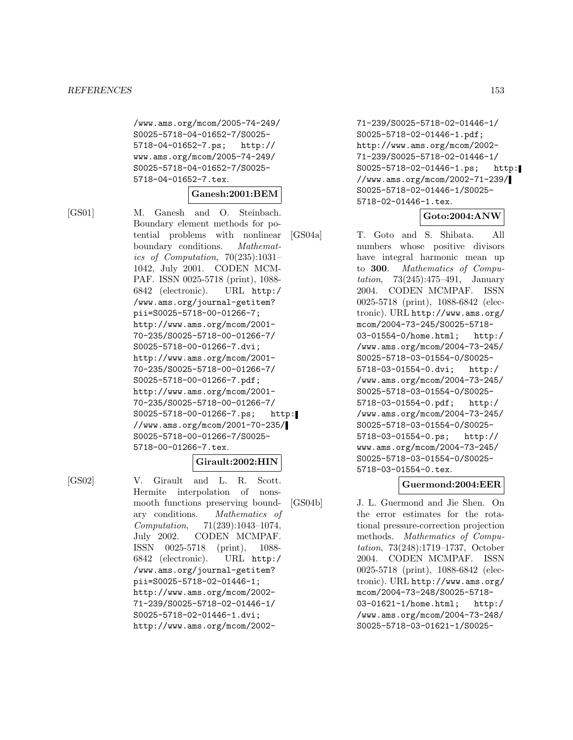/www.ams.org/mcom/2005-74-249/ S0025-5718-04-01652-7/S0025- 5718-04-01652-7.ps; http:// www.ams.org/mcom/2005-74-249/ S0025-5718-04-01652-7/S0025- 5718-04-01652-7.tex.

#### **Ganesh:2001:BEM**

[GS01] M. Ganesh and O. Steinbach. Boundary element methods for potential problems with nonlinear boundary conditions. Mathematics of Computation, 70(235):1031– 1042, July 2001. CODEN MCM-PAF. ISSN 0025-5718 (print), 1088- 6842 (electronic). URL http:/ /www.ams.org/journal-getitem? pii=S0025-5718-00-01266-7; http://www.ams.org/mcom/2001- 70-235/S0025-5718-00-01266-7/ S0025-5718-00-01266-7.dvi; http://www.ams.org/mcom/2001- 70-235/S0025-5718-00-01266-7/ S0025-5718-00-01266-7.pdf; http://www.ams.org/mcom/2001- 70-235/S0025-5718-00-01266-7/ S0025-5718-00-01266-7.ps; http: //www.ams.org/mcom/2001-70-235/ S0025-5718-00-01266-7/S0025- 5718-00-01266-7.tex.

## **Girault:2002:HIN**

[GS02] V. Girault and L. R. Scott. Hermite interpolation of nonsmooth functions preserving boundary conditions. Mathematics of Computation, 71(239):1043–1074, July 2002. CODEN MCMPAF. ISSN 0025-5718 (print), 1088- 6842 (electronic). URL http:/ /www.ams.org/journal-getitem? pii=S0025-5718-02-01446-1; http://www.ams.org/mcom/2002- 71-239/S0025-5718-02-01446-1/ S0025-5718-02-01446-1.dvi; http://www.ams.org/mcom/2002-

71-239/S0025-5718-02-01446-1/ S0025-5718-02-01446-1.pdf; http://www.ams.org/mcom/2002- 71-239/S0025-5718-02-01446-1/ S0025-5718-02-01446-1.ps; http: //www.ams.org/mcom/2002-71-239/ S0025-5718-02-01446-1/S0025- 5718-02-01446-1.tex.

#### **Goto:2004:ANW**

[GS04a] T. Goto and S. Shibata. All numbers whose positive divisors have integral harmonic mean up to **300**. Mathematics of Computation, 73(245):475–491, January 2004. CODEN MCMPAF. ISSN 0025-5718 (print), 1088-6842 (electronic). URL http://www.ams.org/ mcom/2004-73-245/S0025-5718- 03-01554-0/home.html; http:/ /www.ams.org/mcom/2004-73-245/ S0025-5718-03-01554-0/S0025- 5718-03-01554-0.dvi; http:/ /www.ams.org/mcom/2004-73-245/ S0025-5718-03-01554-0/S0025- 5718-03-01554-0.pdf; http:/ /www.ams.org/mcom/2004-73-245/ S0025-5718-03-01554-0/S0025- 5718-03-01554-0.ps; http:// www.ams.org/mcom/2004-73-245/ S0025-5718-03-01554-0/S0025- 5718-03-01554-0.tex.

#### **Guermond:2004:EER**

[GS04b] J. L. Guermond and Jie Shen. On the error estimates for the rotational pressure-correction projection methods. Mathematics of Computation, 73(248):1719–1737, October 2004. CODEN MCMPAF. ISSN 0025-5718 (print), 1088-6842 (electronic). URL http://www.ams.org/ mcom/2004-73-248/S0025-5718- 03-01621-1/home.html; http:/ /www.ams.org/mcom/2004-73-248/ S0025-5718-03-01621-1/S0025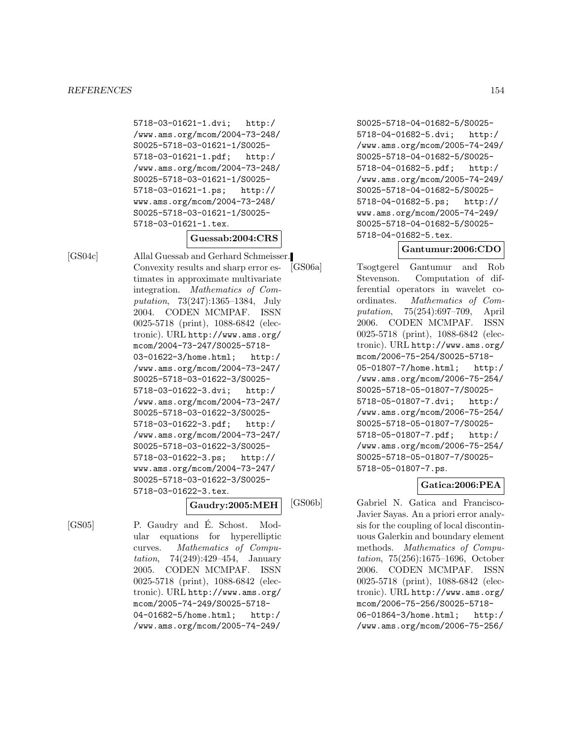5718-03-01621-1.dvi; http:/ /www.ams.org/mcom/2004-73-248/ S0025-5718-03-01621-1/S0025- 5718-03-01621-1.pdf; http:/ /www.ams.org/mcom/2004-73-248/ S0025-5718-03-01621-1/S0025- 5718-03-01621-1.ps; http:// www.ams.org/mcom/2004-73-248/ S0025-5718-03-01621-1/S0025- 5718-03-01621-1.tex.

**Guessab:2004:CRS**

[GS04c] Allal Guessab and Gerhard Schmeisser. Convexity results and sharp error estimates in approximate multivariate integration. Mathematics of Computation, 73(247):1365–1384, July 2004. CODEN MCMPAF. ISSN 0025-5718 (print), 1088-6842 (electronic). URL http://www.ams.org/ mcom/2004-73-247/S0025-5718- 03-01622-3/home.html; http:/ /www.ams.org/mcom/2004-73-247/ S0025-5718-03-01622-3/S0025- 5718-03-01622-3.dvi; http:/ /www.ams.org/mcom/2004-73-247/ S0025-5718-03-01622-3/S0025- 5718-03-01622-3.pdf; http:/ /www.ams.org/mcom/2004-73-247/ S0025-5718-03-01622-3/S0025- 5718-03-01622-3.ps; http:// www.ams.org/mcom/2004-73-247/ S0025-5718-03-01622-3/S0025- 5718-03-01622-3.tex.

## **Gaudry:2005:MEH**

[GS05] P. Gaudry and E. Schost. Modular equations for hyperelliptic curves. Mathematics of Computation, 74(249):429–454, January 2005. CODEN MCMPAF. ISSN 0025-5718 (print), 1088-6842 (electronic). URL http://www.ams.org/ mcom/2005-74-249/S0025-5718- 04-01682-5/home.html; http:/ /www.ams.org/mcom/2005-74-249/

S0025-5718-04-01682-5/S0025- 5718-04-01682-5.dvi; http:/ /www.ams.org/mcom/2005-74-249/ S0025-5718-04-01682-5/S0025- 5718-04-01682-5.pdf; http:/ /www.ams.org/mcom/2005-74-249/ S0025-5718-04-01682-5/S0025- 5718-04-01682-5.ps; http:// www.ams.org/mcom/2005-74-249/ S0025-5718-04-01682-5/S0025- 5718-04-01682-5.tex.

## **Gantumur:2006:CDO**

[GS06a] Tsogtgerel Gantumur and Rob Stevenson. Computation of differential operators in wavelet coordinates. Mathematics of Computation, 75(254):697–709, April 2006. CODEN MCMPAF. ISSN 0025-5718 (print), 1088-6842 (electronic). URL http://www.ams.org/ mcom/2006-75-254/S0025-5718- 05-01807-7/home.html; http:/ /www.ams.org/mcom/2006-75-254/ S0025-5718-05-01807-7/S0025- 5718-05-01807-7.dvi; http:/ /www.ams.org/mcom/2006-75-254/ S0025-5718-05-01807-7/S0025- 5718-05-01807-7.pdf; http:/ /www.ams.org/mcom/2006-75-254/ S0025-5718-05-01807-7/S0025- 5718-05-01807-7.ps.

## **Gatica:2006:PEA**

[GS06b] Gabriel N. Gatica and Francisco-Javier Sayas. An a priori error analysis for the coupling of local discontinuous Galerkin and boundary element methods. Mathematics of Computation, 75(256):1675–1696, October 2006. CODEN MCMPAF. ISSN 0025-5718 (print), 1088-6842 (electronic). URL http://www.ams.org/ mcom/2006-75-256/S0025-5718- 06-01864-3/home.html; http:/ /www.ams.org/mcom/2006-75-256/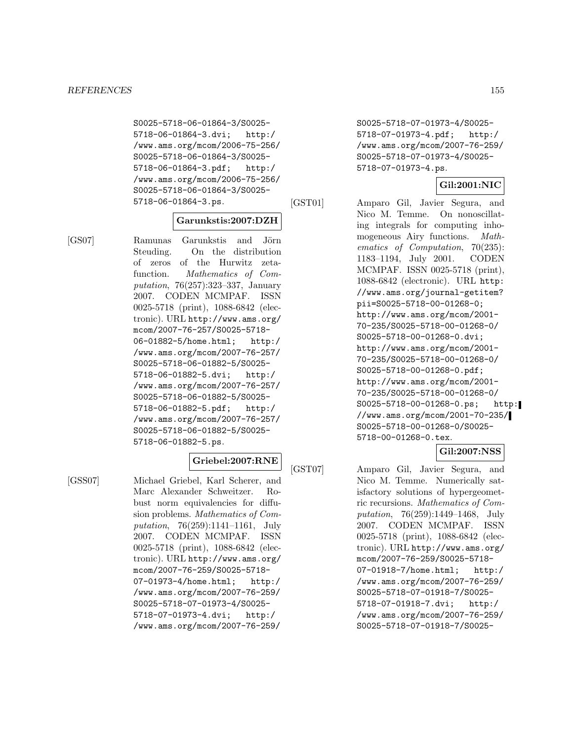S0025-5718-06-01864-3/S0025- 5718-06-01864-3.dvi; http:/ /www.ams.org/mcom/2006-75-256/ S0025-5718-06-01864-3/S0025- 5718-06-01864-3.pdf; http:/ /www.ams.org/mcom/2006-75-256/ S0025-5718-06-01864-3/S0025- 5718-06-01864-3.ps.

#### **Garunkstis:2007:DZH**

[GS07] Ramunas Garunkstis and Jörn Steuding. On the distribution of zeros of the Hurwitz zetafunction. Mathematics of Computation, 76(257):323–337, January 2007. CODEN MCMPAF. ISSN 0025-5718 (print), 1088-6842 (electronic). URL http://www.ams.org/ mcom/2007-76-257/S0025-5718- 06-01882-5/home.html; http:/ /www.ams.org/mcom/2007-76-257/ S0025-5718-06-01882-5/S0025- 5718-06-01882-5.dvi; http:/ /www.ams.org/mcom/2007-76-257/ S0025-5718-06-01882-5/S0025- 5718-06-01882-5.pdf; http:/ /www.ams.org/mcom/2007-76-257/ S0025-5718-06-01882-5/S0025- 5718-06-01882-5.ps.

### **Griebel:2007:RNE**

[GSS07] Michael Griebel, Karl Scherer, and Marc Alexander Schweitzer. Robust norm equivalencies for diffusion problems. Mathematics of Computation, 76(259):1141–1161, July 2007. CODEN MCMPAF. ISSN 0025-5718 (print), 1088-6842 (electronic). URL http://www.ams.org/ mcom/2007-76-259/S0025-5718- 07-01973-4/home.html; http:/ /www.ams.org/mcom/2007-76-259/ S0025-5718-07-01973-4/S0025- 5718-07-01973-4.dvi; http:/ /www.ams.org/mcom/2007-76-259/

S0025-5718-07-01973-4/S0025- 5718-07-01973-4.pdf; http:/ /www.ams.org/mcom/2007-76-259/ S0025-5718-07-01973-4/S0025- 5718-07-01973-4.ps.

#### **Gil:2001:NIC**

[GST01] Amparo Gil, Javier Segura, and Nico M. Temme. On nonoscillating integrals for computing inhomogeneous Airy functions. Mathematics of Computation, 70(235): 1183–1194, July 2001. CODEN MCMPAF. ISSN 0025-5718 (print), 1088-6842 (electronic). URL http: //www.ams.org/journal-getitem? pii=S0025-5718-00-01268-0; http://www.ams.org/mcom/2001- 70-235/S0025-5718-00-01268-0/ S0025-5718-00-01268-0.dvi; http://www.ams.org/mcom/2001- 70-235/S0025-5718-00-01268-0/ S0025-5718-00-01268-0.pdf; http://www.ams.org/mcom/2001- 70-235/S0025-5718-00-01268-0/ S0025-5718-00-01268-0.ps; http: //www.ams.org/mcom/2001-70-235/ S0025-5718-00-01268-0/S0025- 5718-00-01268-0.tex.

#### **Gil:2007:NSS**

[GST07] Amparo Gil, Javier Segura, and Nico M. Temme. Numerically satisfactory solutions of hypergeometric recursions. Mathematics of Computation, 76(259):1449–1468, July 2007. CODEN MCMPAF. ISSN 0025-5718 (print), 1088-6842 (electronic). URL http://www.ams.org/ mcom/2007-76-259/S0025-5718- 07-01918-7/home.html; http:/ /www.ams.org/mcom/2007-76-259/ S0025-5718-07-01918-7/S0025- 5718-07-01918-7.dvi; http:/ /www.ams.org/mcom/2007-76-259/ S0025-5718-07-01918-7/S0025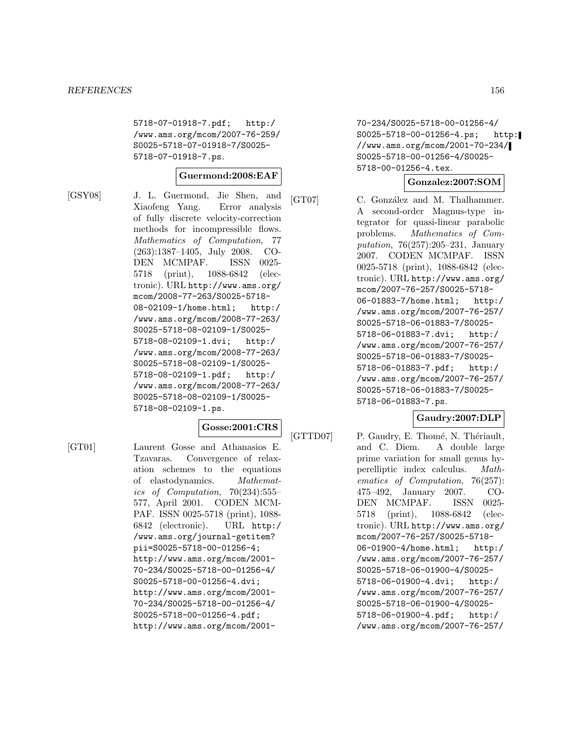5718-07-01918-7.pdf; http:/ /www.ams.org/mcom/2007-76-259/ S0025-5718-07-01918-7/S0025- 5718-07-01918-7.ps.

#### **Guermond:2008:EAF**

[GSY08] J. L. Guermond, Jie Shen, and Xiaofeng Yang. Error analysis of fully discrete velocity-correction methods for incompressible flows. Mathematics of Computation, 77 (263):1387–1405, July 2008. CO-DEN MCMPAF. ISSN 0025- 5718 (print), 1088-6842 (electronic). URL http://www.ams.org/ mcom/2008-77-263/S0025-5718- 08-02109-1/home.html; http:/ /www.ams.org/mcom/2008-77-263/ S0025-5718-08-02109-1/S0025- 5718-08-02109-1.dvi; http:/ /www.ams.org/mcom/2008-77-263/ S0025-5718-08-02109-1/S0025- 5718-08-02109-1.pdf; http:/ /www.ams.org/mcom/2008-77-263/ S0025-5718-08-02109-1/S0025- 5718-08-02109-1.ps.

## **Gosse:2001:CRS**

[GT01] Laurent Gosse and Athanasios E. Tzavaras. Convergence of relaxation schemes to the equations of elastodynamics. Mathematics of Computation, 70(234):555– 577, April 2001. CODEN MCM-PAF. ISSN 0025-5718 (print), 1088- 6842 (electronic). URL http:/ /www.ams.org/journal-getitem? pii=S0025-5718-00-01256-4; http://www.ams.org/mcom/2001- 70-234/S0025-5718-00-01256-4/ S0025-5718-00-01256-4.dvi; http://www.ams.org/mcom/2001- 70-234/S0025-5718-00-01256-4/ S0025-5718-00-01256-4.pdf; http://www.ams.org/mcom/200170-234/S0025-5718-00-01256-4/ S0025-5718-00-01256-4.ps; http: //www.ams.org/mcom/2001-70-234/ S0025-5718-00-01256-4/S0025- 5718-00-01256-4.tex.

#### **Gonzalez:2007:SOM**

[GT07] C. González and M. Thalhammer. A second-order Magnus-type integrator for quasi-linear parabolic problems. Mathematics of Computation, 76(257):205–231, January 2007. CODEN MCMPAF. ISSN 0025-5718 (print), 1088-6842 (electronic). URL http://www.ams.org/ mcom/2007-76-257/S0025-5718- 06-01883-7/home.html; http:/ /www.ams.org/mcom/2007-76-257/ S0025-5718-06-01883-7/S0025- 5718-06-01883-7.dvi; http:/ /www.ams.org/mcom/2007-76-257/ S0025-5718-06-01883-7/S0025- 5718-06-01883-7.pdf; http:/ /www.ams.org/mcom/2007-76-257/ S0025-5718-06-01883-7/S0025- 5718-06-01883-7.ps.

## **Gaudry:2007:DLP**

[GTTD07] P. Gaudry, E. Thomé, N. Thériault, and C. Diem. A double large prime variation for small genus hyperelliptic index calculus. Mathematics of Computation, 76(257): 475–492, January 2007. CO-DEN MCMPAF. ISSN 0025- 5718 (print), 1088-6842 (electronic). URL http://www.ams.org/ mcom/2007-76-257/S0025-5718- 06-01900-4/home.html; http:/ /www.ams.org/mcom/2007-76-257/ S0025-5718-06-01900-4/S0025- 5718-06-01900-4.dvi; http:/ /www.ams.org/mcom/2007-76-257/ S0025-5718-06-01900-4/S0025- 5718-06-01900-4.pdf; http:/ /www.ams.org/mcom/2007-76-257/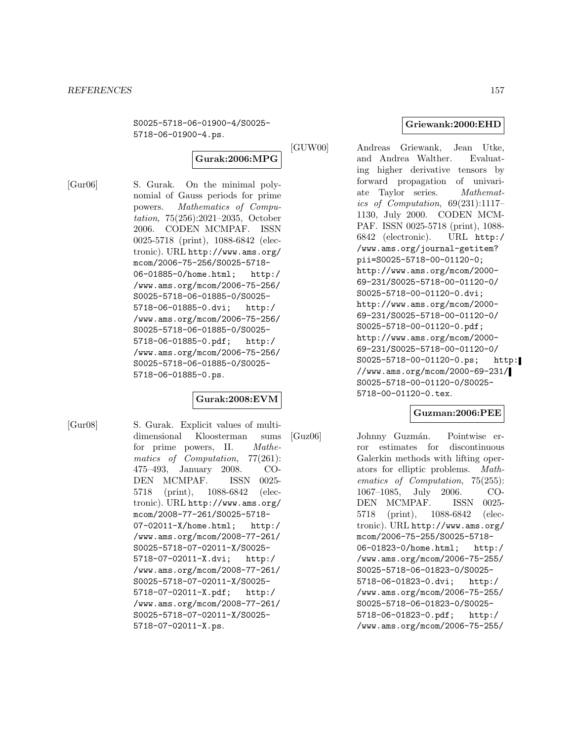S0025-5718-06-01900-4/S0025- 5718-06-01900-4.ps.

# **Gurak:2006:MPG**

[Gur06] S. Gurak. On the minimal polynomial of Gauss periods for prime powers. Mathematics of Computation, 75(256):2021–2035, October 2006. CODEN MCMPAF. ISSN 0025-5718 (print), 1088-6842 (electronic). URL http://www.ams.org/ mcom/2006-75-256/S0025-5718- 06-01885-0/home.html; http:/ /www.ams.org/mcom/2006-75-256/ S0025-5718-06-01885-0/S0025- 5718-06-01885-0.dvi; http:/ /www.ams.org/mcom/2006-75-256/ S0025-5718-06-01885-0/S0025- 5718-06-01885-0.pdf; http:/ /www.ams.org/mcom/2006-75-256/ S0025-5718-06-01885-0/S0025- 5718-06-01885-0.ps.

## **Gurak:2008:EVM**

[Gur08] S. Gurak. Explicit values of multidimensional Kloosterman sums for prime powers, II. Mathematics of Computation, 77(261): 475–493, January 2008. CO-DEN MCMPAF. ISSN 0025- 5718 (print), 1088-6842 (electronic). URL http://www.ams.org/ mcom/2008-77-261/S0025-5718- 07-02011-X/home.html; http:/ /www.ams.org/mcom/2008-77-261/ S0025-5718-07-02011-X/S0025- 5718-07-02011-X.dvi; http:/ /www.ams.org/mcom/2008-77-261/ S0025-5718-07-02011-X/S0025- 5718-07-02011-X.pdf; http:/ /www.ams.org/mcom/2008-77-261/ S0025-5718-07-02011-X/S0025- 5718-07-02011-X.ps.

## **Griewank:2000:EHD**

[GUW00] Andreas Griewank, Jean Utke, and Andrea Walther. Evaluating higher derivative tensors by forward propagation of univariate Taylor series. Mathematics of Computation, 69(231):1117– 1130, July 2000. CODEN MCM-PAF. ISSN 0025-5718 (print), 1088- 6842 (electronic). URL http:/ /www.ams.org/journal-getitem? pii=S0025-5718-00-01120-0; http://www.ams.org/mcom/2000- 69-231/S0025-5718-00-01120-0/ S0025-5718-00-01120-0.dvi; http://www.ams.org/mcom/2000- 69-231/S0025-5718-00-01120-0/ S0025-5718-00-01120-0.pdf; http://www.ams.org/mcom/2000- 69-231/S0025-5718-00-01120-0/ S0025-5718-00-01120-0.ps; http: //www.ams.org/mcom/2000-69-231/ S0025-5718-00-01120-0/S0025- 5718-00-01120-0.tex.

## **Guzman:2006:PEE**

[Guz06] Johnny Guzmán. Pointwise error estimates for discontinuous Galerkin methods with lifting operators for elliptic problems. Mathematics of Computation, 75(255): 1067–1085, July 2006. CO-DEN MCMPAF. ISSN 0025- 5718 (print), 1088-6842 (electronic). URL http://www.ams.org/ mcom/2006-75-255/S0025-5718- 06-01823-0/home.html; http:/ /www.ams.org/mcom/2006-75-255/ S0025-5718-06-01823-0/S0025- 5718-06-01823-0.dvi; http:/ /www.ams.org/mcom/2006-75-255/ S0025-5718-06-01823-0/S0025- 5718-06-01823-0.pdf; http:/ /www.ams.org/mcom/2006-75-255/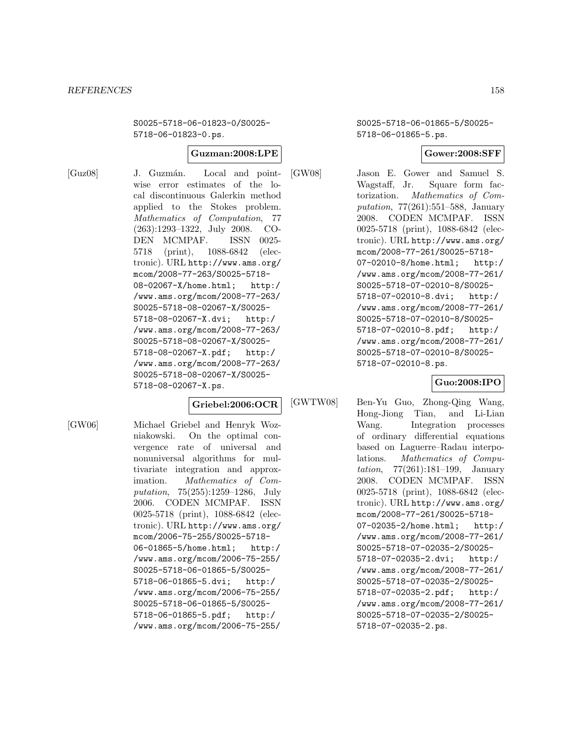S0025-5718-06-01823-0/S0025- 5718-06-01823-0.ps.

## **Guzman:2008:LPE**

[Guz08] J. Guzmán. Local and pointwise error estimates of the local discontinuous Galerkin method applied to the Stokes problem. Mathematics of Computation, 77 (263):1293–1322, July 2008. CO-DEN MCMPAF. ISSN 0025- 5718 (print), 1088-6842 (electronic). URL http://www.ams.org/ mcom/2008-77-263/S0025-5718- 08-02067-X/home.html; http:/ /www.ams.org/mcom/2008-77-263/ S0025-5718-08-02067-X/S0025- 5718-08-02067-X.dvi; http:/ /www.ams.org/mcom/2008-77-263/ S0025-5718-08-02067-X/S0025- 5718-08-02067-X.pdf; http:/ /www.ams.org/mcom/2008-77-263/ S0025-5718-08-02067-X/S0025- 5718-08-02067-X.ps.

#### **Griebel:2006:OCR**

[GW06] Michael Griebel and Henryk Wozniakowski. On the optimal convergence rate of universal and nonuniversal algorithms for multivariate integration and approximation. Mathematics of Computation, 75(255):1259–1286, July 2006. CODEN MCMPAF. ISSN 0025-5718 (print), 1088-6842 (electronic). URL http://www.ams.org/ mcom/2006-75-255/S0025-5718- 06-01865-5/home.html; http:/ /www.ams.org/mcom/2006-75-255/ S0025-5718-06-01865-5/S0025- 5718-06-01865-5.dvi; http:/ /www.ams.org/mcom/2006-75-255/ S0025-5718-06-01865-5/S0025- 5718-06-01865-5.pdf; http:/ /www.ams.org/mcom/2006-75-255/

S0025-5718-06-01865-5/S0025- 5718-06-01865-5.ps.

## **Gower:2008:SFF**

[GW08] Jason E. Gower and Samuel S. Wagstaff, Jr. Square form factorization. Mathematics of Computation, 77(261):551–588, January 2008. CODEN MCMPAF. ISSN 0025-5718 (print), 1088-6842 (electronic). URL http://www.ams.org/

mcom/2008-77-261/S0025-5718- 07-02010-8/home.html; http:/ /www.ams.org/mcom/2008-77-261/ S0025-5718-07-02010-8/S0025- 5718-07-02010-8.dvi; http:/ /www.ams.org/mcom/2008-77-261/ S0025-5718-07-02010-8/S0025- 5718-07-02010-8.pdf; http:/ /www.ams.org/mcom/2008-77-261/ S0025-5718-07-02010-8/S0025- 5718-07-02010-8.ps.

**Guo:2008:IPO**

[GWTW08] Ben-Yu Guo, Zhong-Qing Wang, Hong-Jiong Tian, and Li-Lian Wang. Integration processes of ordinary differential equations based on Laguerre–Radau interpolations. Mathematics of Computation, 77(261):181–199, January 2008. CODEN MCMPAF. ISSN 0025-5718 (print), 1088-6842 (electronic). URL http://www.ams.org/ mcom/2008-77-261/S0025-5718- 07-02035-2/home.html; http:/ /www.ams.org/mcom/2008-77-261/ S0025-5718-07-02035-2/S0025- 5718-07-02035-2.dvi; http:/ /www.ams.org/mcom/2008-77-261/ S0025-5718-07-02035-2/S0025- 5718-07-02035-2.pdf; http:/ /www.ams.org/mcom/2008-77-261/ S0025-5718-07-02035-2/S0025- 5718-07-02035-2.ps.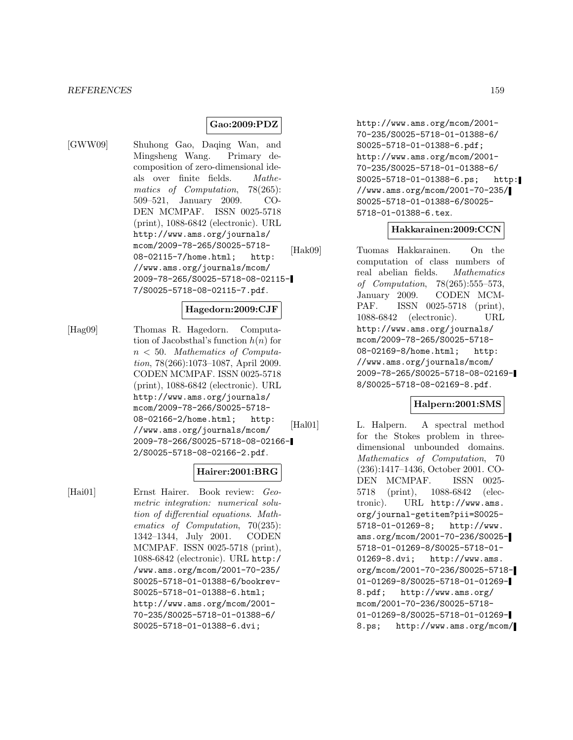#### *REFERENCES* 159

## **Gao:2009:PDZ**

[GWW09] Shuhong Gao, Daqing Wan, and Mingsheng Wang. Primary decomposition of zero-dimensional ideals over finite fields. Mathematics of Computation, 78(265): 509–521, January 2009. CO-DEN MCMPAF. ISSN 0025-5718 (print), 1088-6842 (electronic). URL http://www.ams.org/journals/ mcom/2009-78-265/S0025-5718- 08-02115-7/home.html; http: //www.ams.org/journals/mcom/ 2009-78-265/S0025-5718-08-02115- 7/S0025-5718-08-02115-7.pdf.

#### **Hagedorn:2009:CJF**

[Hag09] Thomas R. Hagedorn. Computation of Jacobsthal's function  $h(n)$  for  $n < 50$ . Mathematics of Computation, 78(266):1073–1087, April 2009. CODEN MCMPAF. ISSN 0025-5718 (print), 1088-6842 (electronic). URL http://www.ams.org/journals/ mcom/2009-78-266/S0025-5718- 08-02166-2/home.html; http: //www.ams.org/journals/mcom/ 2009-78-266/S0025-5718-08-02166- 2/S0025-5718-08-02166-2.pdf.

## **Hairer:2001:BRG**

[Hai01] Ernst Hairer. Book review: Geometric integration: numerical solution of differential equations. Mathematics of Computation, 70(235): 1342–1344, July 2001. CODEN MCMPAF. ISSN 0025-5718 (print), 1088-6842 (electronic). URL http:/ /www.ams.org/mcom/2001-70-235/ S0025-5718-01-01388-6/bookrev-S0025-5718-01-01388-6.html; http://www.ams.org/mcom/2001- 70-235/S0025-5718-01-01388-6/ S0025-5718-01-01388-6.dvi;

http://www.ams.org/mcom/2001- 70-235/S0025-5718-01-01388-6/ S0025-5718-01-01388-6.pdf; http://www.ams.org/mcom/2001- 70-235/S0025-5718-01-01388-6/ S0025-5718-01-01388-6.ps; http: //www.ams.org/mcom/2001-70-235/ S0025-5718-01-01388-6/S0025- 5718-01-01388-6.tex.

### **Hakkarainen:2009:CCN**

[Hak09] Tuomas Hakkarainen. On the computation of class numbers of real abelian fields. Mathematics of Computation, 78(265):555–573, January 2009. CODEN MCM-PAF. ISSN 0025-5718 (print), 1088-6842 (electronic). URL http://www.ams.org/journals/ mcom/2009-78-265/S0025-5718- 08-02169-8/home.html; http: //www.ams.org/journals/mcom/ 2009-78-265/S0025-5718-08-02169- 8/S0025-5718-08-02169-8.pdf.

#### **Halpern:2001:SMS**

[Hal01] L. Halpern. A spectral method for the Stokes problem in threedimensional unbounded domains. Mathematics of Computation, 70 (236):1417–1436, October 2001. CO-DEN MCMPAF. ISSN 0025- 5718 (print), 1088-6842 (electronic). URL http://www.ams. org/journal-getitem?pii=S0025- 5718-01-01269-8; http://www. ams.org/mcom/2001-70-236/S0025- 5718-01-01269-8/S0025-5718-01- 01269-8.dvi; http://www.ams. org/mcom/2001-70-236/S0025-5718- 01-01269-8/S0025-5718-01-01269- 8.pdf; http://www.ams.org/ mcom/2001-70-236/S0025-5718- 01-01269-8/S0025-5718-01-01269- 8.ps; http://www.ams.org/mcom/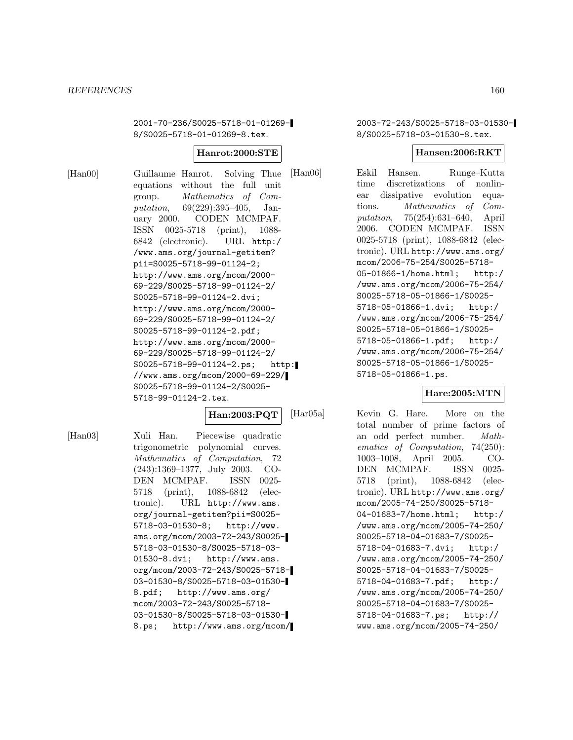2001-70-236/S0025-5718-01-01269- 8/S0025-5718-01-01269-8.tex.

#### **Hanrot:2000:STE**

[Han00] Guillaume Hanrot. Solving Thue equations without the full unit group. Mathematics of Computation, 69(229):395–405, January 2000. CODEN MCMPAF. ISSN 0025-5718 (print), 1088- 6842 (electronic). URL http:/ /www.ams.org/journal-getitem? pii=S0025-5718-99-01124-2; http://www.ams.org/mcom/2000- 69-229/S0025-5718-99-01124-2/ S0025-5718-99-01124-2.dvi; http://www.ams.org/mcom/2000- 69-229/S0025-5718-99-01124-2/ S0025-5718-99-01124-2.pdf; http://www.ams.org/mcom/2000- 69-229/S0025-5718-99-01124-2/ S0025-5718-99-01124-2.ps; http: //www.ams.org/mcom/2000-69-229/ S0025-5718-99-01124-2/S0025- 5718-99-01124-2.tex.

### **Han:2003:PQT**

[Han03] Xuli Han. Piecewise quadratic trigonometric polynomial curves. Mathematics of Computation, 72 (243):1369–1377, July 2003. CO-DEN MCMPAF. ISSN 0025- 5718 (print), 1088-6842 (electronic). URL http://www.ams. org/journal-getitem?pii=S0025- 5718-03-01530-8; http://www. ams.org/mcom/2003-72-243/S0025- 5718-03-01530-8/S0025-5718-03- 01530-8.dvi; http://www.ams. org/mcom/2003-72-243/S0025-5718- 03-01530-8/S0025-5718-03-01530- 8.pdf; http://www.ams.org/ mcom/2003-72-243/S0025-5718- 03-01530-8/S0025-5718-03-01530- 8.ps; http://www.ams.org/mcom/ 2003-72-243/S0025-5718-03-01530- 8/S0025-5718-03-01530-8.tex.

#### **Hansen:2006:RKT**

[Han06] Eskil Hansen. Runge–Kutta time discretizations of nonlinear dissipative evolution equations. Mathematics of Computation, 75(254):631–640, April 2006. CODEN MCMPAF. ISSN 0025-5718 (print), 1088-6842 (electronic). URL http://www.ams.org/ mcom/2006-75-254/S0025-5718- 05-01866-1/home.html; http:/ /www.ams.org/mcom/2006-75-254/ S0025-5718-05-01866-1/S0025- 5718-05-01866-1.dvi; http:/ /www.ams.org/mcom/2006-75-254/ S0025-5718-05-01866-1/S0025- 5718-05-01866-1.pdf; http:/ /www.ams.org/mcom/2006-75-254/ S0025-5718-05-01866-1/S0025- 5718-05-01866-1.ps.

#### **Hare:2005:MTN**

[Har05a] Kevin G. Hare. More on the total number of prime factors of an odd perfect number. Mathematics of Computation, 74(250): 1003–1008, April 2005. CO-DEN MCMPAF. ISSN 0025- 5718 (print), 1088-6842 (electronic). URL http://www.ams.org/ mcom/2005-74-250/S0025-5718- 04-01683-7/home.html; http:/ /www.ams.org/mcom/2005-74-250/ S0025-5718-04-01683-7/S0025- 5718-04-01683-7.dvi; http:/ /www.ams.org/mcom/2005-74-250/ S0025-5718-04-01683-7/S0025- 5718-04-01683-7.pdf; http:/ /www.ams.org/mcom/2005-74-250/ S0025-5718-04-01683-7/S0025- 5718-04-01683-7.ps; http:// www.ams.org/mcom/2005-74-250/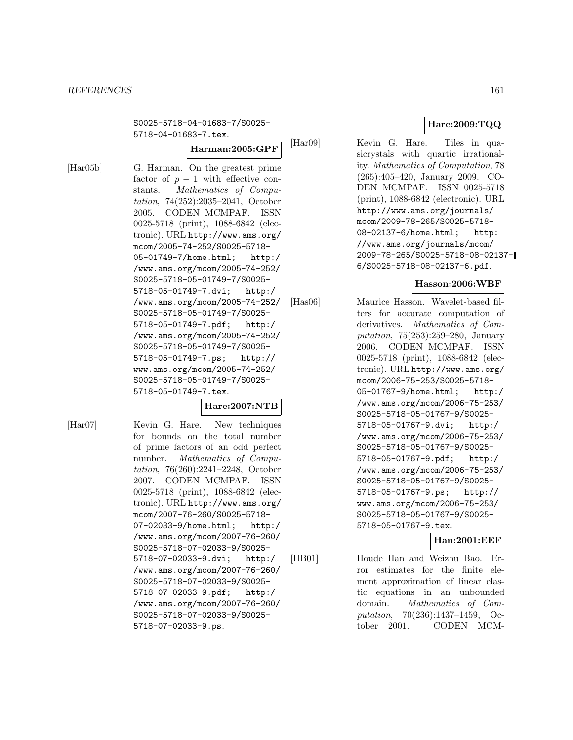#### *REFERENCES* 161

S0025-5718-04-01683-7/S0025- 5718-04-01683-7.tex.

**Harman:2005:GPF**

[Har05b] G. Harman. On the greatest prime factor of  $p-1$  with effective constants. *Mathematics of Compu* Mathematics of Computation, 74(252):2035–2041, October 2005. CODEN MCMPAF. ISSN 0025-5718 (print), 1088-6842 (electronic). URL http://www.ams.org/ mcom/2005-74-252/S0025-5718- 05-01749-7/home.html; http:/ /www.ams.org/mcom/2005-74-252/ S0025-5718-05-01749-7/S0025- 5718-05-01749-7.dvi; http:/ /www.ams.org/mcom/2005-74-252/ S0025-5718-05-01749-7/S0025- 5718-05-01749-7.pdf; http:/ /www.ams.org/mcom/2005-74-252/ S0025-5718-05-01749-7/S0025- 5718-05-01749-7.ps; http:// www.ams.org/mcom/2005-74-252/ S0025-5718-05-01749-7/S0025- 5718-05-01749-7.tex.

## **Hare:2007:NTB**

[Har07] Kevin G. Hare. New techniques for bounds on the total number of prime factors of an odd perfect number. Mathematics of Computation, 76(260):2241–2248, October 2007. CODEN MCMPAF. ISSN 0025-5718 (print), 1088-6842 (electronic). URL http://www.ams.org/ mcom/2007-76-260/S0025-5718- 07-02033-9/home.html; http:/ /www.ams.org/mcom/2007-76-260/ S0025-5718-07-02033-9/S0025- 5718-07-02033-9.dvi; http:/ /www.ams.org/mcom/2007-76-260/ S0025-5718-07-02033-9/S0025- 5718-07-02033-9.pdf; http:/ /www.ams.org/mcom/2007-76-260/ S0025-5718-07-02033-9/S0025- 5718-07-02033-9.ps.

**Hare:2009:TQQ**

[Har09] Kevin G. Hare. Tiles in quasicrystals with quartic irrationality. Mathematics of Computation, 78 (265):405–420, January 2009. CO-DEN MCMPAF. ISSN 0025-5718 (print), 1088-6842 (electronic). URL http://www.ams.org/journals/ mcom/2009-78-265/S0025-5718- 08-02137-6/home.html; http: //www.ams.org/journals/mcom/ 2009-78-265/S0025-5718-08-02137- 6/S0025-5718-08-02137-6.pdf.

## **Hasson:2006:WBF**

[Has06] Maurice Hasson. Wavelet-based filters for accurate computation of derivatives. Mathematics of Computation, 75(253):259–280, January 2006. CODEN MCMPAF. ISSN 0025-5718 (print), 1088-6842 (electronic). URL http://www.ams.org/ mcom/2006-75-253/S0025-5718- 05-01767-9/home.html; http:/ /www.ams.org/mcom/2006-75-253/ S0025-5718-05-01767-9/S0025- 5718-05-01767-9.dvi; http:/ /www.ams.org/mcom/2006-75-253/ S0025-5718-05-01767-9/S0025- 5718-05-01767-9.pdf; http:/ /www.ams.org/mcom/2006-75-253/ S0025-5718-05-01767-9/S0025- 5718-05-01767-9.ps; http:// www.ams.org/mcom/2006-75-253/ S0025-5718-05-01767-9/S0025- 5718-05-01767-9.tex.

## **Han:2001:EEF**

[HB01] Houde Han and Weizhu Bao. Error estimates for the finite element approximation of linear elastic equations in an unbounded domain. Mathematics of Computation, 70(236):1437–1459, October 2001. CODEN MCM-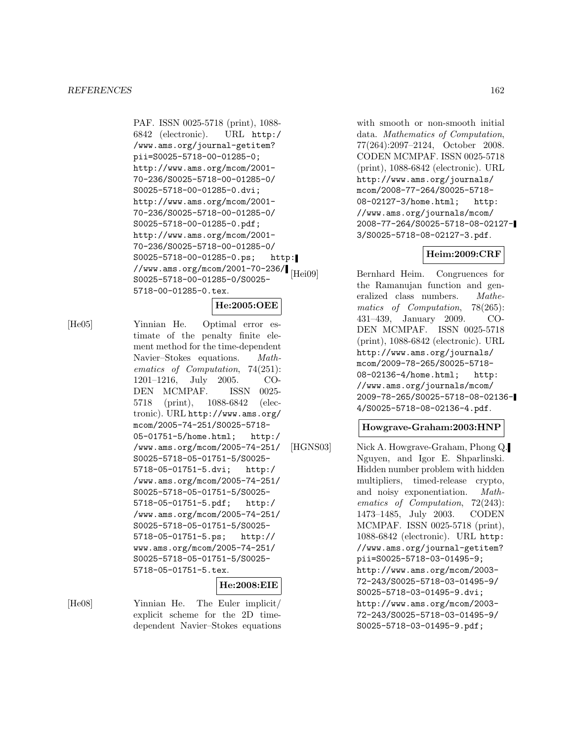PAF. ISSN 0025-5718 (print), 1088- 6842 (electronic). URL http:/ /www.ams.org/journal-getitem? pii=S0025-5718-00-01285-0; http://www.ams.org/mcom/2001- 70-236/S0025-5718-00-01285-0/ S0025-5718-00-01285-0.dvi; http://www.ams.org/mcom/2001- 70-236/S0025-5718-00-01285-0/ S0025-5718-00-01285-0.pdf; http://www.ams.org/mcom/2001- 70-236/S0025-5718-00-01285-0/ S0025-5718-00-01285-0.ps; http: //www.ams.org/mcom/2001-70-236/<br>|Hei09| S0025-5718-00-01285-0/S0025- 5718-00-01285-0.tex.

## **He:2005:OEE**

[He05] Yinnian He. Optimal error estimate of the penalty finite element method for the time-dependent Navier–Stokes equations. Mathematics of Computation, 74(251): 1201–1216, July 2005. CO-DEN MCMPAF. ISSN 0025- 5718 (print), 1088-6842 (electronic). URL http://www.ams.org/ mcom/2005-74-251/S0025-5718- 05-01751-5/home.html; http:/ /www.ams.org/mcom/2005-74-251/ S0025-5718-05-01751-5/S0025- 5718-05-01751-5.dvi; http:/ /www.ams.org/mcom/2005-74-251/ S0025-5718-05-01751-5/S0025- 5718-05-01751-5.pdf; http:/ /www.ams.org/mcom/2005-74-251/ S0025-5718-05-01751-5/S0025- 5718-05-01751-5.ps; http:// www.ams.org/mcom/2005-74-251/ S0025-5718-05-01751-5/S0025- 5718-05-01751-5.tex.

#### **He:2008:EIE**

[He08] Yinnian He. The Euler implicit/ explicit scheme for the 2D timedependent Navier–Stokes equations

with smooth or non-smooth initial data. Mathematics of Computation, 77(264):2097–2124, October 2008. CODEN MCMPAF. ISSN 0025-5718 (print), 1088-6842 (electronic). URL http://www.ams.org/journals/ mcom/2008-77-264/S0025-5718- 08-02127-3/home.html; http: //www.ams.org/journals/mcom/ 2008-77-264/S0025-5718-08-02127- 3/S0025-5718-08-02127-3.pdf.

# **Heim:2009:CRF**

Bernhard Heim. Congruences for the Ramanujan function and generalized class numbers. Mathematics of Computation, 78(265): 431–439, January 2009. CO-DEN MCMPAF. ISSN 0025-5718 (print), 1088-6842 (electronic). URL http://www.ams.org/journals/ mcom/2009-78-265/S0025-5718- 08-02136-4/home.html; http: //www.ams.org/journals/mcom/ 2009-78-265/S0025-5718-08-02136- 4/S0025-5718-08-02136-4.pdf.

#### **Howgrave-Graham:2003:HNP**

[HGNS03] Nick A. Howgrave-Graham, Phong Q. Nguyen, and Igor E. Shparlinski. Hidden number problem with hidden multipliers, timed-release crypto, and noisy exponentiation. Mathematics of Computation, 72(243): 1473–1485, July 2003. CODEN MCMPAF. ISSN 0025-5718 (print), 1088-6842 (electronic). URL http: //www.ams.org/journal-getitem? pii=S0025-5718-03-01495-9; http://www.ams.org/mcom/2003- 72-243/S0025-5718-03-01495-9/ S0025-5718-03-01495-9.dvi; http://www.ams.org/mcom/2003- 72-243/S0025-5718-03-01495-9/ S0025-5718-03-01495-9.pdf;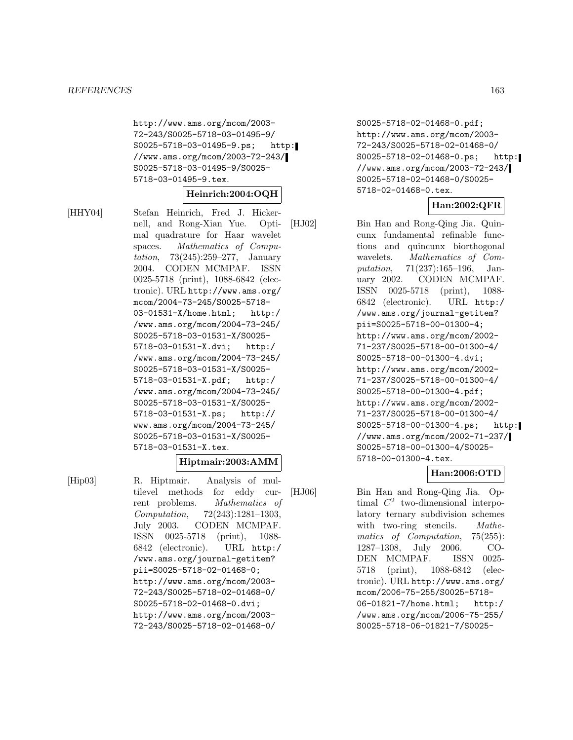http://www.ams.org/mcom/2003- 72-243/S0025-5718-03-01495-9/ S0025-5718-03-01495-9.ps; http: //www.ams.org/mcom/2003-72-243/ S0025-5718-03-01495-9/S0025- 5718-03-01495-9.tex.

#### **Heinrich:2004:OQH**

[HHY04] Stefan Heinrich, Fred J. Hickernell, and Rong-Xian Yue. Optimal quadrature for Haar wavelet spaces. Mathematics of Computation, 73(245):259–277, January 2004. CODEN MCMPAF. ISSN 0025-5718 (print), 1088-6842 (electronic). URL http://www.ams.org/ mcom/2004-73-245/S0025-5718- 03-01531-X/home.html; http:/ /www.ams.org/mcom/2004-73-245/ S0025-5718-03-01531-X/S0025- 5718-03-01531-X.dvi; http:/ /www.ams.org/mcom/2004-73-245/ S0025-5718-03-01531-X/S0025- 5718-03-01531-X.pdf; http:/ /www.ams.org/mcom/2004-73-245/ S0025-5718-03-01531-X/S0025- 5718-03-01531-X.ps; http:// www.ams.org/mcom/2004-73-245/ S0025-5718-03-01531-X/S0025- 5718-03-01531-X.tex.

#### **Hiptmair:2003:AMM**

[Hip03] R. Hiptmair. Analysis of multilevel methods for eddy current problems. Mathematics of Computation, 72(243):1281–1303, July 2003. CODEN MCMPAF. ISSN 0025-5718 (print), 1088- 6842 (electronic). URL http:/ /www.ams.org/journal-getitem? pii=S0025-5718-02-01468-0; http://www.ams.org/mcom/2003- 72-243/S0025-5718-02-01468-0/ S0025-5718-02-01468-0.dvi; http://www.ams.org/mcom/2003- 72-243/S0025-5718-02-01468-0/

S0025-5718-02-01468-0.pdf; http://www.ams.org/mcom/2003- 72-243/S0025-5718-02-01468-0/ S0025-5718-02-01468-0.ps; http: //www.ams.org/mcom/2003-72-243/ S0025-5718-02-01468-0/S0025- 5718-02-01468-0.tex.

## **Han:2002:QFR**

[HJ02] Bin Han and Rong-Qing Jia. Quincunx fundamental refinable functions and quincunx biorthogonal wavelets. Mathematics of Computation, 71(237):165–196, January 2002. CODEN MCMPAF. ISSN 0025-5718 (print), 1088- 6842 (electronic). URL http:/ /www.ams.org/journal-getitem? pii=S0025-5718-00-01300-4; http://www.ams.org/mcom/2002- 71-237/S0025-5718-00-01300-4/ S0025-5718-00-01300-4.dvi; http://www.ams.org/mcom/2002- 71-237/S0025-5718-00-01300-4/ S0025-5718-00-01300-4.pdf; http://www.ams.org/mcom/2002- 71-237/S0025-5718-00-01300-4/ S0025-5718-00-01300-4.ps; http: //www.ams.org/mcom/2002-71-237/ S0025-5718-00-01300-4/S0025- 5718-00-01300-4.tex.

#### **Han:2006:OTD**

[HJ06] Bin Han and Rong-Qing Jia. Optimal  $C^2$  two-dimensional interpolatory ternary subdivision schemes with two-ring stencils. Mathematics of Computation, 75(255): 1287–1308, July 2006. CO-DEN MCMPAF. ISSN 0025- 5718 (print), 1088-6842 (electronic). URL http://www.ams.org/ mcom/2006-75-255/S0025-5718- 06-01821-7/home.html; http:/ /www.ams.org/mcom/2006-75-255/ S0025-5718-06-01821-7/S0025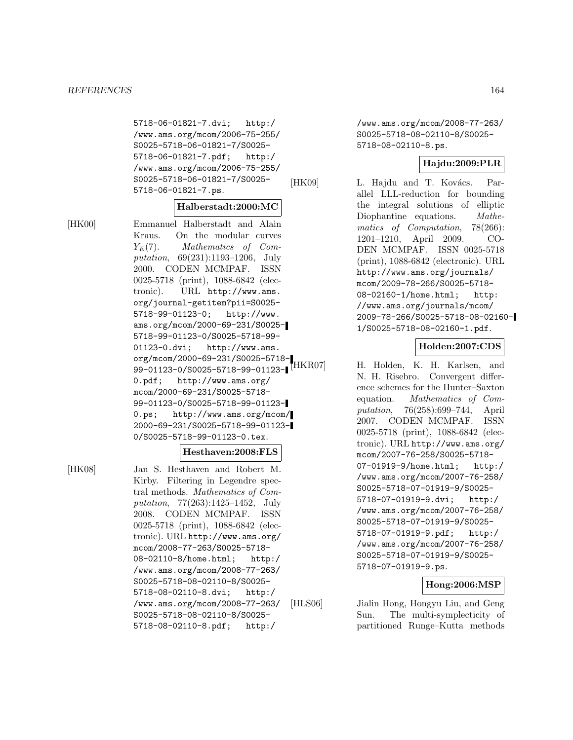5718-06-01821-7.dvi; http:/ /www.ams.org/mcom/2006-75-255/ S0025-5718-06-01821-7/S0025- 5718-06-01821-7.pdf; http:/ /www.ams.org/mcom/2006-75-255/ S0025-5718-06-01821-7/S0025- 5718-06-01821-7.ps.

# **Halberstadt:2000:MC**

[HK00] Emmanuel Halberstadt and Alain Kraus. On the modular curves  $Y_E(7)$ . Mathematics of Computation, 69(231):1193–1206, July 2000. CODEN MCMPAF. ISSN 0025-5718 (print), 1088-6842 (electronic). URL http://www.ams. org/journal-getitem?pii=S0025- 5718-99-01123-0; http://www. ams.org/mcom/2000-69-231/S0025- 5718-99-01123-0/S0025-5718-99- 01123-0.dvi; http://www.ams. org/mcom/2000-69-231/S0025-5718- 99-01123-0/S0025-5718-99-01123-1 [HKR07] 0.pdf; http://www.ams.org/ mcom/2000-69-231/S0025-5718- 99-01123-0/S0025-5718-99-01123- 0.ps; http://www.ams.org/mcom/ 2000-69-231/S0025-5718-99-01123- 0/S0025-5718-99-01123-0.tex.

#### **Hesthaven:2008:FLS**

[HK08] Jan S. Hesthaven and Robert M. Kirby. Filtering in Legendre spectral methods. Mathematics of Computation, 77(263):1425–1452, July 2008. CODEN MCMPAF. ISSN 0025-5718 (print), 1088-6842 (electronic). URL http://www.ams.org/ mcom/2008-77-263/S0025-5718- 08-02110-8/home.html; http:/ /www.ams.org/mcom/2008-77-263/ S0025-5718-08-02110-8/S0025- 5718-08-02110-8.dvi; http:/ /www.ams.org/mcom/2008-77-263/ S0025-5718-08-02110-8/S0025- 5718-08-02110-8.pdf; http:/

/www.ams.org/mcom/2008-77-263/ S0025-5718-08-02110-8/S0025- 5718-08-02110-8.ps.

## **Hajdu:2009:PLR**

[HK09] L. Hajdu and T. Kovács. Parallel LLL-reduction for bounding the integral solutions of elliptic Diophantine equations. Mathematics of Computation, 78(266): 1201–1210, April 2009. CO-DEN MCMPAF. ISSN 0025-5718 (print), 1088-6842 (electronic). URL http://www.ams.org/journals/ mcom/2009-78-266/S0025-5718- 08-02160-1/home.html; http: //www.ams.org/journals/mcom/ 2009-78-266/S0025-5718-08-02160- 1/S0025-5718-08-02160-1.pdf.

## **Holden:2007:CDS**

H. Holden, K. H. Karlsen, and N. H. Risebro. Convergent difference schemes for the Hunter–Saxton equation. Mathematics of Computation, 76(258):699–744, April 2007. CODEN MCMPAF. ISSN 0025-5718 (print), 1088-6842 (electronic). URL http://www.ams.org/ mcom/2007-76-258/S0025-5718- 07-01919-9/home.html; http:/ /www.ams.org/mcom/2007-76-258/ S0025-5718-07-01919-9/S0025- 5718-07-01919-9.dvi; http:/ /www.ams.org/mcom/2007-76-258/ S0025-5718-07-01919-9/S0025- 5718-07-01919-9.pdf; http:/ /www.ams.org/mcom/2007-76-258/ S0025-5718-07-01919-9/S0025- 5718-07-01919-9.ps.

## **Hong:2006:MSP**

[HLS06] Jialin Hong, Hongyu Liu, and Geng Sun. The multi-symplecticity of partitioned Runge–Kutta methods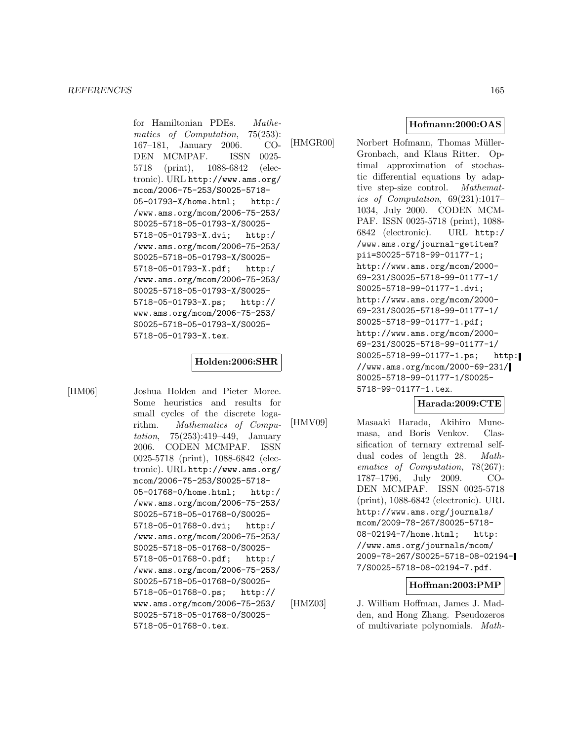for Hamiltonian PDEs. Mathematics of Computation, 75(253): 167–181, January 2006. CO-DEN MCMPAF. ISSN 0025- 5718 (print), 1088-6842 (electronic). URL http://www.ams.org/ mcom/2006-75-253/S0025-5718- 05-01793-X/home.html; http:/ /www.ams.org/mcom/2006-75-253/ S0025-5718-05-01793-X/S0025- 5718-05-01793-X.dvi; http:/ /www.ams.org/mcom/2006-75-253/ S0025-5718-05-01793-X/S0025- 5718-05-01793-X.pdf; http:/ /www.ams.org/mcom/2006-75-253/ S0025-5718-05-01793-X/S0025- 5718-05-01793-X.ps; http:// www.ams.org/mcom/2006-75-253/ S0025-5718-05-01793-X/S0025- 5718-05-01793-X.tex.

#### **Holden:2006:SHR**

[HM06] Joshua Holden and Pieter Moree. Some heuristics and results for small cycles of the discrete logarithm. Mathematics of Computation, 75(253):419–449, January 2006. CODEN MCMPAF. ISSN 0025-5718 (print), 1088-6842 (electronic). URL http://www.ams.org/ mcom/2006-75-253/S0025-5718- 05-01768-0/home.html; http:/ /www.ams.org/mcom/2006-75-253/ S0025-5718-05-01768-0/S0025- 5718-05-01768-0.dvi; http:/ /www.ams.org/mcom/2006-75-253/ S0025-5718-05-01768-0/S0025- 5718-05-01768-0.pdf; http:/ /www.ams.org/mcom/2006-75-253/ S0025-5718-05-01768-0/S0025- 5718-05-01768-0.ps; http:// www.ams.org/mcom/2006-75-253/ S0025-5718-05-01768-0/S0025- 5718-05-01768-0.tex.

**Hofmann:2000:OAS**

[HMGR00] Norbert Hofmann, Thomas Müller-Gronbach, and Klaus Ritter. Optimal approximation of stochastic differential equations by adaptive step-size control. Mathematics of Computation, 69(231):1017– 1034, July 2000. CODEN MCM-PAF. ISSN 0025-5718 (print), 1088- 6842 (electronic). URL http:/ /www.ams.org/journal-getitem? pii=S0025-5718-99-01177-1; http://www.ams.org/mcom/2000- 69-231/S0025-5718-99-01177-1/ S0025-5718-99-01177-1.dvi; http://www.ams.org/mcom/2000- 69-231/S0025-5718-99-01177-1/ S0025-5718-99-01177-1.pdf; http://www.ams.org/mcom/2000- 69-231/S0025-5718-99-01177-1/ S0025-5718-99-01177-1.ps; http: //www.ams.org/mcom/2000-69-231/ S0025-5718-99-01177-1/S0025- 5718-99-01177-1.tex.

## **Harada:2009:CTE**

[HMV09] Masaaki Harada, Akihiro Mune-

masa, and Boris Venkov. Classification of ternary extremal selfdual codes of length 28. Mathematics of Computation, 78(267): 1787–1796, July 2009. CO-DEN MCMPAF. ISSN 0025-5718 (print), 1088-6842 (electronic). URL http://www.ams.org/journals/ mcom/2009-78-267/S0025-5718- 08-02194-7/home.html; http: //www.ams.org/journals/mcom/ 2009-78-267/S0025-5718-08-02194- 7/S0025-5718-08-02194-7.pdf.

## **Hoffman:2003:PMP**

[HMZ03] J. William Hoffman, James J. Madden, and Hong Zhang. Pseudozeros of multivariate polynomials. Math-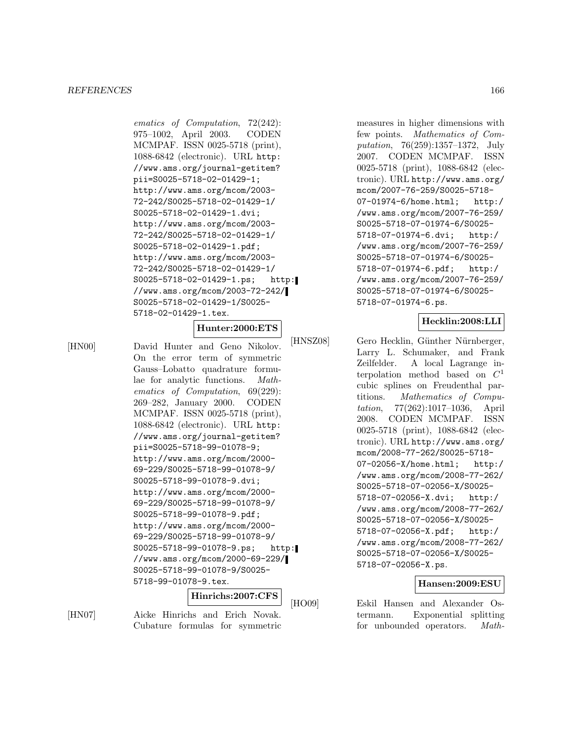#### *REFERENCES* 166

ematics of Computation, 72(242): 975–1002, April 2003. CODEN MCMPAF. ISSN 0025-5718 (print), 1088-6842 (electronic). URL http: //www.ams.org/journal-getitem? pii=S0025-5718-02-01429-1; http://www.ams.org/mcom/2003- 72-242/S0025-5718-02-01429-1/ S0025-5718-02-01429-1.dvi; http://www.ams.org/mcom/2003- 72-242/S0025-5718-02-01429-1/ S0025-5718-02-01429-1.pdf; http://www.ams.org/mcom/2003- 72-242/S0025-5718-02-01429-1/ S0025-5718-02-01429-1.ps; http: //www.ams.org/mcom/2003-72-242/ S0025-5718-02-01429-1/S0025- 5718-02-01429-1.tex.

## **Hunter:2000:ETS**

[HN00] David Hunter and Geno Nikolov. On the error term of symmetric Gauss–Lobatto quadrature formulae for analytic functions. Mathematics of Computation, 69(229): 269–282, January 2000. CODEN MCMPAF. ISSN 0025-5718 (print), 1088-6842 (electronic). URL http: //www.ams.org/journal-getitem? pii=S0025-5718-99-01078-9; http://www.ams.org/mcom/2000- 69-229/S0025-5718-99-01078-9/ S0025-5718-99-01078-9.dvi; http://www.ams.org/mcom/2000- 69-229/S0025-5718-99-01078-9/ S0025-5718-99-01078-9.pdf; http://www.ams.org/mcom/2000- 69-229/S0025-5718-99-01078-9/ S0025-5718-99-01078-9.ps; http: //www.ams.org/mcom/2000-69-229/ S0025-5718-99-01078-9/S0025- 5718-99-01078-9.tex.

**Hinrichs:2007:CFS**

[HN07] Aicke Hinrichs and Erich Novak. Cubature formulas for symmetric

measures in higher dimensions with few points. Mathematics of Computation, 76(259):1357–1372, July 2007. CODEN MCMPAF. ISSN 0025-5718 (print), 1088-6842 (electronic). URL http://www.ams.org/ mcom/2007-76-259/S0025-5718- 07-01974-6/home.html; http:/ /www.ams.org/mcom/2007-76-259/ S0025-5718-07-01974-6/S0025- 5718-07-01974-6.dvi; http:/ /www.ams.org/mcom/2007-76-259/ S0025-5718-07-01974-6/S0025- 5718-07-01974-6.pdf; http:/ /www.ams.org/mcom/2007-76-259/ S0025-5718-07-01974-6/S0025- 5718-07-01974-6.ps.

#### **Hecklin:2008:LLI**

[HNSZ08] Gero Hecklin, Günther Nürnberger, Larry L. Schumaker, and Frank Zeilfelder. A local Lagrange interpolation method based on  $C<sup>1</sup>$ cubic splines on Freudenthal partitions. Mathematics of Computation, 77(262):1017–1036, April 2008. CODEN MCMPAF. ISSN 0025-5718 (print), 1088-6842 (electronic). URL http://www.ams.org/ mcom/2008-77-262/S0025-5718- 07-02056-X/home.html; http:/ /www.ams.org/mcom/2008-77-262/ S0025-5718-07-02056-X/S0025- 5718-07-02056-X.dvi; http:/ /www.ams.org/mcom/2008-77-262/ S0025-5718-07-02056-X/S0025- 5718-07-02056-X.pdf; http:/ /www.ams.org/mcom/2008-77-262/ S0025-5718-07-02056-X/S0025- 5718-07-02056-X.ps.

#### **Hansen:2009:ESU**

[HO09] Eskil Hansen and Alexander Ostermann. Exponential splitting for unbounded operators. Math-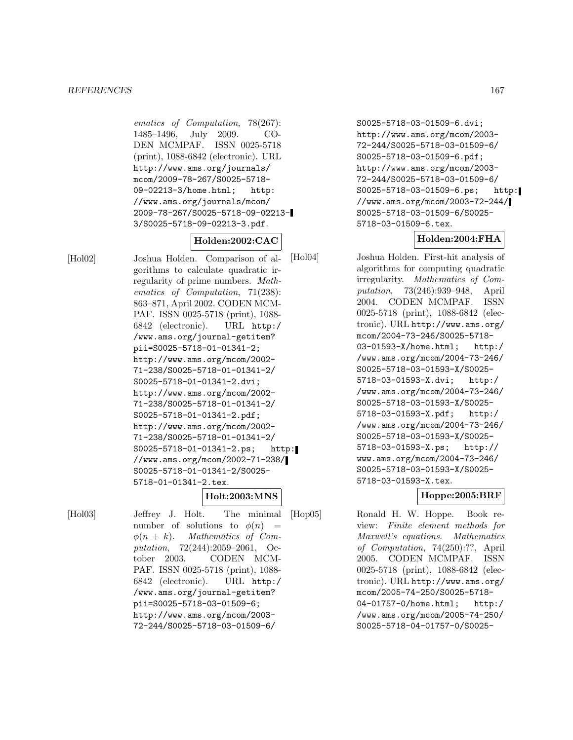#### *REFERENCES* 167

ematics of Computation, 78(267): 1485–1496, July 2009. CO-DEN MCMPAF. ISSN 0025-5718 (print), 1088-6842 (electronic). URL http://www.ams.org/journals/ mcom/2009-78-267/S0025-5718- 09-02213-3/home.html; http: //www.ams.org/journals/mcom/ 2009-78-267/S0025-5718-09-02213- 3/S0025-5718-09-02213-3.pdf.

## **Holden:2002:CAC**

[Hol02] Joshua Holden. Comparison of algorithms to calculate quadratic irregularity of prime numbers. Mathematics of Computation, 71(238): 863–871, April 2002. CODEN MCM-PAF. ISSN 0025-5718 (print), 1088- 6842 (electronic). URL http:/ /www.ams.org/journal-getitem? pii=S0025-5718-01-01341-2; http://www.ams.org/mcom/2002- 71-238/S0025-5718-01-01341-2/ S0025-5718-01-01341-2.dvi; http://www.ams.org/mcom/2002- 71-238/S0025-5718-01-01341-2/ S0025-5718-01-01341-2.pdf; http://www.ams.org/mcom/2002- 71-238/S0025-5718-01-01341-2/ S0025-5718-01-01341-2.ps; http: //www.ams.org/mcom/2002-71-238/ S0025-5718-01-01341-2/S0025- 5718-01-01341-2.tex.

#### **Holt:2003:MNS**

[Hol03] Jeffrey J. Holt. The minimal number of solutions to  $\phi(n)$  =  $\phi(n + k)$ . Mathematics of Computation, 72(244):2059–2061, October 2003. CODEN MCM-PAF. ISSN 0025-5718 (print), 1088- 6842 (electronic). URL http:/ /www.ams.org/journal-getitem? pii=S0025-5718-03-01509-6; http://www.ams.org/mcom/2003- 72-244/S0025-5718-03-01509-6/

S0025-5718-03-01509-6.dvi; http://www.ams.org/mcom/2003- 72-244/S0025-5718-03-01509-6/ S0025-5718-03-01509-6.pdf; http://www.ams.org/mcom/2003- 72-244/S0025-5718-03-01509-6/ S0025-5718-03-01509-6.ps; http: //www.ams.org/mcom/2003-72-244/ S0025-5718-03-01509-6/S0025- 5718-03-01509-6.tex.

## **Holden:2004:FHA**

[Hol04] Joshua Holden. First-hit analysis of algorithms for computing quadratic irregularity. Mathematics of Computation, 73(246):939–948, April 2004. CODEN MCMPAF. ISSN 0025-5718 (print), 1088-6842 (electronic). URL http://www.ams.org/ mcom/2004-73-246/S0025-5718- 03-01593-X/home.html; http:/ /www.ams.org/mcom/2004-73-246/ S0025-5718-03-01593-X/S0025- 5718-03-01593-X.dvi; http:/ /www.ams.org/mcom/2004-73-246/ S0025-5718-03-01593-X/S0025- 5718-03-01593-X.pdf; http:/ /www.ams.org/mcom/2004-73-246/ S0025-5718-03-01593-X/S0025- 5718-03-01593-X.ps; http:// www.ams.org/mcom/2004-73-246/ S0025-5718-03-01593-X/S0025- 5718-03-01593-X.tex.

#### **Hoppe:2005:BRF**

[Hop05] Ronald H. W. Hoppe. Book review: Finite element methods for Maxwell's equations. Mathematics of Computation, 74(250):??, April 2005. CODEN MCMPAF. ISSN 0025-5718 (print), 1088-6842 (electronic). URL http://www.ams.org/ mcom/2005-74-250/S0025-5718- 04-01757-0/home.html; http:/ /www.ams.org/mcom/2005-74-250/ S0025-5718-04-01757-0/S0025-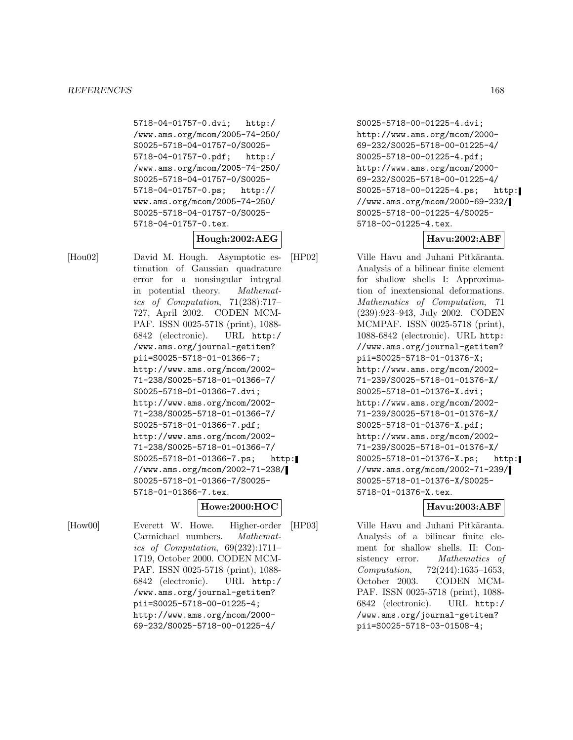5718-04-01757-0.dvi; http:/ /www.ams.org/mcom/2005-74-250/ S0025-5718-04-01757-0/S0025- 5718-04-01757-0.pdf; http:/ /www.ams.org/mcom/2005-74-250/ S0025-5718-04-01757-0/S0025- 5718-04-01757-0.ps; http:// www.ams.org/mcom/2005-74-250/ S0025-5718-04-01757-0/S0025- 5718-04-01757-0.tex.

**Hough:2002:AEG**

[Hou02] David M. Hough. Asymptotic estimation of Gaussian quadrature error for a nonsingular integral in potential theory. Mathematics of Computation, 71(238):717– 727, April 2002. CODEN MCM-PAF. ISSN 0025-5718 (print), 1088- 6842 (electronic). URL http:/ /www.ams.org/journal-getitem? pii=S0025-5718-01-01366-7; http://www.ams.org/mcom/2002- 71-238/S0025-5718-01-01366-7/ S0025-5718-01-01366-7.dvi; http://www.ams.org/mcom/2002- 71-238/S0025-5718-01-01366-7/ S0025-5718-01-01366-7.pdf; http://www.ams.org/mcom/2002- 71-238/S0025-5718-01-01366-7/ S0025-5718-01-01366-7.ps; http: //www.ams.org/mcom/2002-71-238/ S0025-5718-01-01366-7/S0025- 5718-01-01366-7.tex.

## **Howe:2000:HOC**

[How00] Everett W. Howe. Higher-order Carmichael numbers. Mathematics of Computation, 69(232):1711– 1719, October 2000. CODEN MCM-PAF. ISSN 0025-5718 (print), 1088- 6842 (electronic). URL http:/ /www.ams.org/journal-getitem? pii=S0025-5718-00-01225-4; http://www.ams.org/mcom/2000- 69-232/S0025-5718-00-01225-4/

S0025-5718-00-01225-4.dvi; http://www.ams.org/mcom/2000- 69-232/S0025-5718-00-01225-4/ S0025-5718-00-01225-4.pdf; http://www.ams.org/mcom/2000- 69-232/S0025-5718-00-01225-4/ S0025-5718-00-01225-4.ps; http: //www.ams.org/mcom/2000-69-232/ S0025-5718-00-01225-4/S0025- 5718-00-01225-4.tex.

# **Havu:2002:ABF**

[HP02] Ville Havu and Juhani Pitkäranta. Analysis of a bilinear finite element for shallow shells I: Approximation of inextensional deformations. Mathematics of Computation, 71 (239):923–943, July 2002. CODEN MCMPAF. ISSN 0025-5718 (print), 1088-6842 (electronic). URL http: //www.ams.org/journal-getitem? pii=S0025-5718-01-01376-X; http://www.ams.org/mcom/2002- 71-239/S0025-5718-01-01376-X/ S0025-5718-01-01376-X.dvi; http://www.ams.org/mcom/2002- 71-239/S0025-5718-01-01376-X/ S0025-5718-01-01376-X.pdf; http://www.ams.org/mcom/2002- 71-239/S0025-5718-01-01376-X/ S0025-5718-01-01376-X.ps; http: //www.ams.org/mcom/2002-71-239/ S0025-5718-01-01376-X/S0025- 5718-01-01376-X.tex.

# **Havu:2003:ABF**

[HP03] Ville Havu and Juhani Pitkäranta. Analysis of a bilinear finite element for shallow shells. II: Consistency error. *Mathematics of* Computation, 72(244):1635–1653, October 2003. CODEN MCM-PAF. ISSN 0025-5718 (print), 1088- 6842 (electronic). URL http:/ /www.ams.org/journal-getitem? pii=S0025-5718-03-01508-4;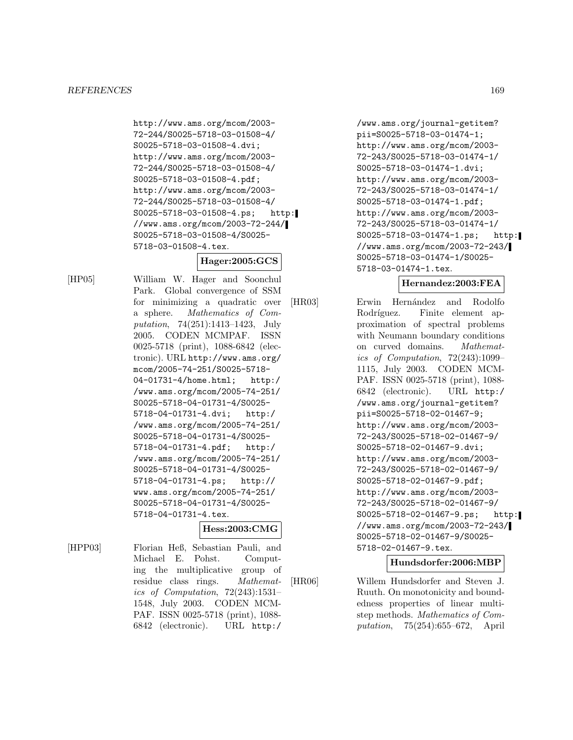http://www.ams.org/mcom/2003- 72-244/S0025-5718-03-01508-4/ S0025-5718-03-01508-4.dvi; http://www.ams.org/mcom/2003- 72-244/S0025-5718-03-01508-4/ S0025-5718-03-01508-4.pdf; http://www.ams.org/mcom/2003- 72-244/S0025-5718-03-01508-4/ S0025-5718-03-01508-4.ps; http: //www.ams.org/mcom/2003-72-244/ S0025-5718-03-01508-4/S0025- 5718-03-01508-4.tex.

## **Hager:2005:GCS**

[HP05] William W. Hager and Soonchul Park. Global convergence of SSM for minimizing a quadratic over a sphere. Mathematics of Computation, 74(251):1413–1423, July 2005. CODEN MCMPAF. ISSN 0025-5718 (print), 1088-6842 (electronic). URL http://www.ams.org/ mcom/2005-74-251/S0025-5718- 04-01731-4/home.html; http:/ /www.ams.org/mcom/2005-74-251/ S0025-5718-04-01731-4/S0025- 5718-04-01731-4.dvi; http:/ /www.ams.org/mcom/2005-74-251/ S0025-5718-04-01731-4/S0025- 5718-04-01731-4.pdf; http:/ /www.ams.org/mcom/2005-74-251/ S0025-5718-04-01731-4/S0025- 5718-04-01731-4.ps; http:// www.ams.org/mcom/2005-74-251/ S0025-5718-04-01731-4/S0025- 5718-04-01731-4.tex.

#### **Hess:2003:CMG**

[HPP03] Florian Heß, Sebastian Pauli, and Michael E. Pohst. Computing the multiplicative group of residue class rings. Mathematics of Computation, 72(243):1531– 1548, July 2003. CODEN MCM-PAF. ISSN 0025-5718 (print), 1088- 6842 (electronic). URL http:/

/www.ams.org/journal-getitem? pii=S0025-5718-03-01474-1; http://www.ams.org/mcom/2003- 72-243/S0025-5718-03-01474-1/ S0025-5718-03-01474-1.dvi; http://www.ams.org/mcom/2003- 72-243/S0025-5718-03-01474-1/ S0025-5718-03-01474-1.pdf; http://www.ams.org/mcom/2003- 72-243/S0025-5718-03-01474-1/ S0025-5718-03-01474-1.ps; http: //www.ams.org/mcom/2003-72-243/ S0025-5718-03-01474-1/S0025- 5718-03-01474-1.tex.

## **Hernandez:2003:FEA**

[HR03] Erwin Hernández and Rodolfo Rodríguez. Finite element approximation of spectral problems with Neumann boundary conditions on curved domains. Mathematics of Computation, 72(243):1099– 1115, July 2003. CODEN MCM-PAF. ISSN 0025-5718 (print), 1088- 6842 (electronic). URL http:/ /www.ams.org/journal-getitem? pii=S0025-5718-02-01467-9; http://www.ams.org/mcom/2003- 72-243/S0025-5718-02-01467-9/ S0025-5718-02-01467-9.dvi; http://www.ams.org/mcom/2003- 72-243/S0025-5718-02-01467-9/ S0025-5718-02-01467-9.pdf; http://www.ams.org/mcom/2003- 72-243/S0025-5718-02-01467-9/ S0025-5718-02-01467-9.ps; http: //www.ams.org/mcom/2003-72-243/ S0025-5718-02-01467-9/S0025- 5718-02-01467-9.tex.

#### **Hundsdorfer:2006:MBP**

[HR06] Willem Hundsdorfer and Steven J. Ruuth. On monotonicity and boundedness properties of linear multistep methods. Mathematics of Computation, 75(254):655–672, April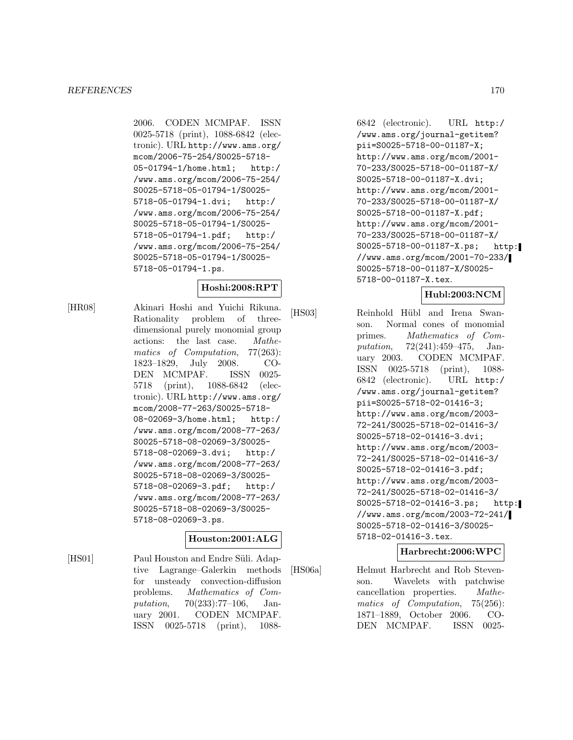2006. CODEN MCMPAF. ISSN 0025-5718 (print), 1088-6842 (electronic). URL http://www.ams.org/ mcom/2006-75-254/S0025-5718- 05-01794-1/home.html; http:/ /www.ams.org/mcom/2006-75-254/ S0025-5718-05-01794-1/S0025- 5718-05-01794-1.dvi; http:/ /www.ams.org/mcom/2006-75-254/ S0025-5718-05-01794-1/S0025- 5718-05-01794-1.pdf; http:/ /www.ams.org/mcom/2006-75-254/ S0025-5718-05-01794-1/S0025- 5718-05-01794-1.ps.

# **Hoshi:2008:RPT**

[HR08] Akinari Hoshi and Yuichi Rikuna. Rationality problem of threedimensional purely monomial group actions: the last case. Mathematics of Computation, 77(263): 1823–1829, July 2008. CO-DEN MCMPAF. ISSN 0025- 5718 (print), 1088-6842 (electronic). URL http://www.ams.org/ mcom/2008-77-263/S0025-5718- 08-02069-3/home.html; http:/ /www.ams.org/mcom/2008-77-263/ S0025-5718-08-02069-3/S0025- 5718-08-02069-3.dvi; http:/ /www.ams.org/mcom/2008-77-263/ S0025-5718-08-02069-3/S0025- 5718-08-02069-3.pdf; http:/ /www.ams.org/mcom/2008-77-263/ S0025-5718-08-02069-3/S0025- 5718-08-02069-3.ps.

# **Houston:2001:ALG**

[HS01] Paul Houston and Endre Süli. Adaptive Lagrange–Galerkin methods for unsteady convection-diffusion problems. Mathematics of Computation, 70(233):77–106, January 2001. CODEN MCMPAF. ISSN 0025-5718 (print), 1088-

6842 (electronic). URL http:/ /www.ams.org/journal-getitem? pii=S0025-5718-00-01187-X; http://www.ams.org/mcom/2001- 70-233/S0025-5718-00-01187-X/ S0025-5718-00-01187-X.dvi; http://www.ams.org/mcom/2001- 70-233/S0025-5718-00-01187-X/ S0025-5718-00-01187-X.pdf; http://www.ams.org/mcom/2001- 70-233/S0025-5718-00-01187-X/ S0025-5718-00-01187-X.ps; http: //www.ams.org/mcom/2001-70-233/ S0025-5718-00-01187-X/S0025- 5718-00-01187-X.tex.

## **Hubl:2003:NCM**

[HS03] Reinhold Hübl and Irena Swanson. Normal cones of monomial primes. Mathematics of Computation, 72(241):459–475, January 2003. CODEN MCMPAF. ISSN 0025-5718 (print), 1088- 6842 (electronic). URL http:/ /www.ams.org/journal-getitem? pii=S0025-5718-02-01416-3; http://www.ams.org/mcom/2003- 72-241/S0025-5718-02-01416-3/ S0025-5718-02-01416-3.dvi; http://www.ams.org/mcom/2003- 72-241/S0025-5718-02-01416-3/ S0025-5718-02-01416-3.pdf; http://www.ams.org/mcom/2003- 72-241/S0025-5718-02-01416-3/ S0025-5718-02-01416-3.ps; http: //www.ams.org/mcom/2003-72-241/ S0025-5718-02-01416-3/S0025- 5718-02-01416-3.tex.

#### **Harbrecht:2006:WPC**

[HS06a] Helmut Harbrecht and Rob Stevenson. Wavelets with patchwise cancellation properties. Mathematics of Computation, 75(256): 1871–1889, October 2006. CO-DEN MCMPAF. ISSN 0025-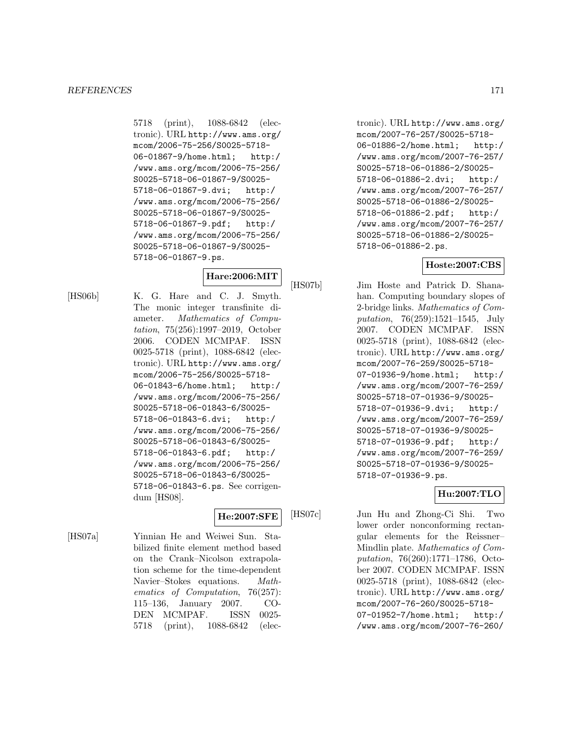5718 (print), 1088-6842 (electronic). URL http://www.ams.org/ mcom/2006-75-256/S0025-5718- 06-01867-9/home.html; http:/ /www.ams.org/mcom/2006-75-256/ S0025-5718-06-01867-9/S0025- 5718-06-01867-9.dvi; http:/ /www.ams.org/mcom/2006-75-256/ S0025-5718-06-01867-9/S0025- 5718-06-01867-9.pdf; http:/ /www.ams.org/mcom/2006-75-256/ S0025-5718-06-01867-9/S0025- 5718-06-01867-9.ps.

# **Hare:2006:MIT**

[HS06b] K. G. Hare and C. J. Smyth. The monic integer transfinite diameter. Mathematics of Computation, 75(256):1997–2019, October 2006. CODEN MCMPAF. ISSN 0025-5718 (print), 1088-6842 (electronic). URL http://www.ams.org/ mcom/2006-75-256/S0025-5718- 06-01843-6/home.html; http:/ /www.ams.org/mcom/2006-75-256/ S0025-5718-06-01843-6/S0025- 5718-06-01843-6.dvi; http:/ /www.ams.org/mcom/2006-75-256/ S0025-5718-06-01843-6/S0025- 5718-06-01843-6.pdf; http:/ /www.ams.org/mcom/2006-75-256/ S0025-5718-06-01843-6/S0025- 5718-06-01843-6.ps. See corrigendum [HS08].

## **He:2007:SFE**

[HS07a] Yinnian He and Weiwei Sun. Stabilized finite element method based on the Crank–Nicolson extrapolation scheme for the time-dependent Navier–Stokes equations. Mathematics of Computation, 76(257): 115–136, January 2007. CO-DEN MCMPAF. ISSN 0025- 5718 (print), 1088-6842 (elec-

tronic). URL http://www.ams.org/ mcom/2007-76-257/S0025-5718- 06-01886-2/home.html; http:/ /www.ams.org/mcom/2007-76-257/ S0025-5718-06-01886-2/S0025- 5718-06-01886-2.dvi; http:/ /www.ams.org/mcom/2007-76-257/ S0025-5718-06-01886-2/S0025- 5718-06-01886-2.pdf; http:/ /www.ams.org/mcom/2007-76-257/ S0025-5718-06-01886-2/S0025- 5718-06-01886-2.ps.

## **Hoste:2007:CBS**

[HS07b] Jim Hoste and Patrick D. Shanahan. Computing boundary slopes of 2-bridge links. Mathematics of Computation, 76(259):1521–1545, July 2007. CODEN MCMPAF. ISSN 0025-5718 (print), 1088-6842 (electronic). URL http://www.ams.org/ mcom/2007-76-259/S0025-5718- 07-01936-9/home.html; http:/ /www.ams.org/mcom/2007-76-259/ S0025-5718-07-01936-9/S0025- 5718-07-01936-9.dvi; http:/ /www.ams.org/mcom/2007-76-259/ S0025-5718-07-01936-9/S0025- 5718-07-01936-9.pdf; http:/ /www.ams.org/mcom/2007-76-259/ S0025-5718-07-01936-9/S0025- 5718-07-01936-9.ps.

# **Hu:2007:TLO**

[HS07c] Jun Hu and Zhong-Ci Shi. Two lower order nonconforming rectangular elements for the Reissner– Mindlin plate. Mathematics of Computation, 76(260):1771–1786, October 2007. CODEN MCMPAF. ISSN 0025-5718 (print), 1088-6842 (electronic). URL http://www.ams.org/ mcom/2007-76-260/S0025-5718- 07-01952-7/home.html; http:/ /www.ams.org/mcom/2007-76-260/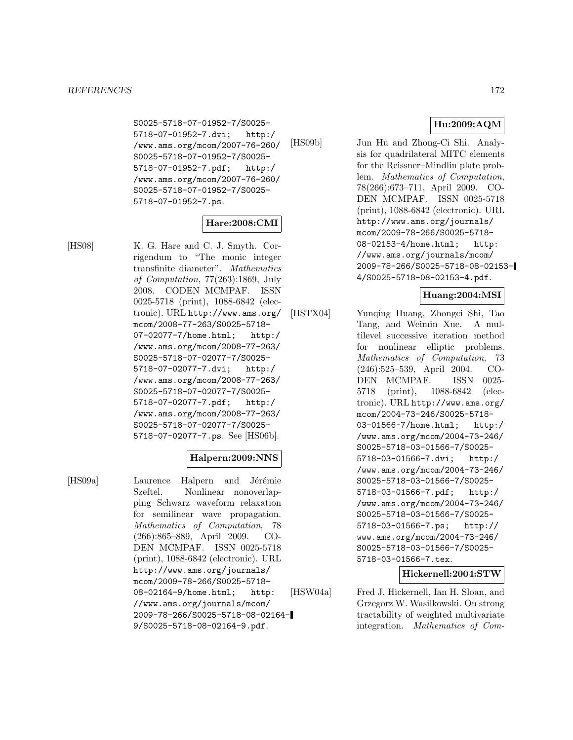S0025-5718-07-01952-7/S0025- 5718-07-01952-7.dvi; http:/ /www.ams.org/mcom/2007-76-260/ S0025-5718-07-01952-7/S0025- 5718-07-01952-7.pdf; http:/ /www.ams.org/mcom/2007-76-260/ S0025-5718-07-01952-7/S0025- 5718-07-01952-7.ps.

# **Hare:2008:CMI**

[HS08] K. G. Hare and C. J. Smyth. Corrigendum to "The monic integer transfinite diameter". Mathematics of Computation, 77(263):1869, July 2008. CODEN MCMPAF. ISSN 0025-5718 (print), 1088-6842 (electronic). URL http://www.ams.org/ mcom/2008-77-263/S0025-5718- 07-02077-7/home.html; http:/ /www.ams.org/mcom/2008-77-263/ S0025-5718-07-02077-7/S0025- 5718-07-02077-7.dvi; http:/ /www.ams.org/mcom/2008-77-263/ S0025-5718-07-02077-7/S0025- 5718-07-02077-7.pdf; http:/ /www.ams.org/mcom/2008-77-263/ S0025-5718-07-02077-7/S0025- 5718-07-02077-7.ps. See [HS06b].

# **Halpern:2009:NNS**

[HS09a] Laurence Halpern and Jérémie Szeftel. Nonlinear nonoverlapping Schwarz waveform relaxation for semilinear wave propagation. Mathematics of Computation, 78 (266):865–889, April 2009. CO-DEN MCMPAF. ISSN 0025-5718 (print), 1088-6842 (electronic). URL http://www.ams.org/journals/ mcom/2009-78-266/S0025-5718- 08-02164-9/home.html; http: //www.ams.org/journals/mcom/ 2009-78-266/S0025-5718-08-02164- 9/S0025-5718-08-02164-9.pdf.

# **Hu:2009:AQM**

[HS09b] Jun Hu and Zhong-Ci Shi. Analysis for quadrilateral MITC elements for the Reissner–Mindlin plate problem. Mathematics of Computation, 78(266):673–711, April 2009. CO-DEN MCMPAF. ISSN 0025-5718 (print), 1088-6842 (electronic). URL http://www.ams.org/journals/ mcom/2009-78-266/S0025-5718- 08-02153-4/home.html; http: //www.ams.org/journals/mcom/ 2009-78-266/S0025-5718-08-02153- 4/S0025-5718-08-02153-4.pdf.

# **Huang:2004:MSI**

[HSTX04] Yunqing Huang, Zhongci Shi, Tao Tang, and Weimin Xue. A multilevel successive iteration method for nonlinear elliptic problems. Mathematics of Computation, 73 (246):525–539, April 2004. CO-DEN MCMPAF. ISSN 0025- 5718 (print), 1088-6842 (electronic). URL http://www.ams.org/ mcom/2004-73-246/S0025-5718- 03-01566-7/home.html; http:/ /www.ams.org/mcom/2004-73-246/ S0025-5718-03-01566-7/S0025- 5718-03-01566-7.dvi; http:/ /www.ams.org/mcom/2004-73-246/ S0025-5718-03-01566-7/S0025- 5718-03-01566-7.pdf; http:/ /www.ams.org/mcom/2004-73-246/ S0025-5718-03-01566-7/S0025- 5718-03-01566-7.ps; http:// www.ams.org/mcom/2004-73-246/ S0025-5718-03-01566-7/S0025- 5718-03-01566-7.tex.

## **Hickernell:2004:STW**

[HSW04a] Fred J. Hickernell, Ian H. Sloan, and Grzegorz W. Wasilkowski. On strong tractability of weighted multivariate integration. Mathematics of Com-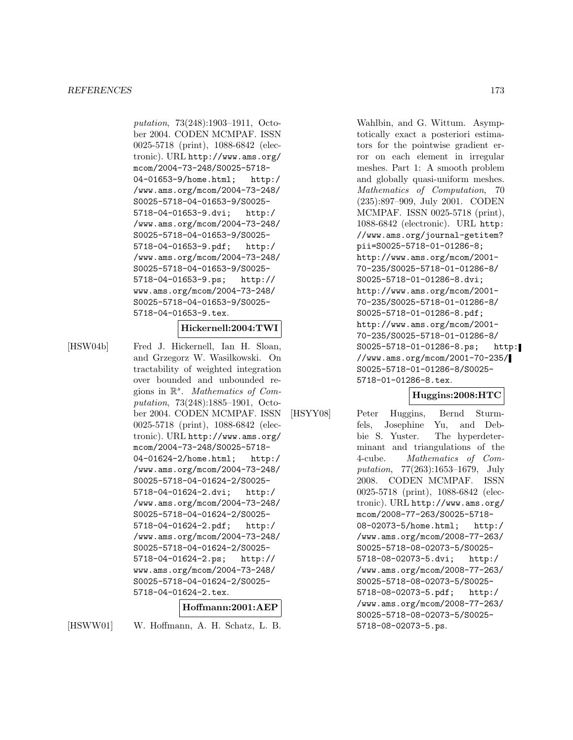putation, 73(248):1903–1911, October 2004. CODEN MCMPAF. ISSN 0025-5718 (print), 1088-6842 (electronic). URL http://www.ams.org/ mcom/2004-73-248/S0025-5718- 04-01653-9/home.html; http:/ /www.ams.org/mcom/2004-73-248/ S0025-5718-04-01653-9/S0025- 5718-04-01653-9.dvi; http:/ /www.ams.org/mcom/2004-73-248/ S0025-5718-04-01653-9/S0025- 5718-04-01653-9.pdf; http:/ /www.ams.org/mcom/2004-73-248/ S0025-5718-04-01653-9/S0025- 5718-04-01653-9.ps; http:// www.ams.org/mcom/2004-73-248/ S0025-5718-04-01653-9/S0025- 5718-04-01653-9.tex.

#### **Hickernell:2004:TWI**

[HSW04b] Fred J. Hickernell, Ian H. Sloan, and Grzegorz W. Wasilkowski. On tractability of weighted integration over bounded and unbounded regions in  $\mathbb{R}^s$ . Mathematics of Computation, 73(248):1885–1901, October 2004. CODEN MCMPAF. ISSN 0025-5718 (print), 1088-6842 (electronic). URL http://www.ams.org/ mcom/2004-73-248/S0025-5718- 04-01624-2/home.html; http:/ /www.ams.org/mcom/2004-73-248/ S0025-5718-04-01624-2/S0025- 5718-04-01624-2.dvi; http:/ /www.ams.org/mcom/2004-73-248/ S0025-5718-04-01624-2/S0025- 5718-04-01624-2.pdf; http:/ /www.ams.org/mcom/2004-73-248/ S0025-5718-04-01624-2/S0025- 5718-04-01624-2.ps; http:// www.ams.org/mcom/2004-73-248/ S0025-5718-04-01624-2/S0025- 5718-04-01624-2.tex.

#### **Hoffmann:2001:AEP**

[HSWW01] W. Hoffmann, A. H. Schatz, L. B.

Wahlbin, and G. Wittum. Asymptotically exact a posteriori estimators for the pointwise gradient error on each element in irregular meshes. Part 1: A smooth problem and globally quasi-uniform meshes. Mathematics of Computation, 70 (235):897–909, July 2001. CODEN MCMPAF. ISSN 0025-5718 (print), 1088-6842 (electronic). URL http: //www.ams.org/journal-getitem? pii=S0025-5718-01-01286-8; http://www.ams.org/mcom/2001- 70-235/S0025-5718-01-01286-8/ S0025-5718-01-01286-8.dvi; http://www.ams.org/mcom/2001- 70-235/S0025-5718-01-01286-8/ S0025-5718-01-01286-8.pdf; http://www.ams.org/mcom/2001- 70-235/S0025-5718-01-01286-8/ S0025-5718-01-01286-8.ps; http: //www.ams.org/mcom/2001-70-235/ S0025-5718-01-01286-8/S0025- 5718-01-01286-8.tex.

## **Huggins:2008:HTC**

[HSYY08] Peter Huggins, Bernd Sturm-

fels, Josephine Yu, and Debbie S. Yuster. The hyperdeterminant and triangulations of the 4-cube. Mathematics of Computation, 77(263):1653–1679, July 2008. CODEN MCMPAF. ISSN 0025-5718 (print), 1088-6842 (electronic). URL http://www.ams.org/ mcom/2008-77-263/S0025-5718- 08-02073-5/home.html; http:/ /www.ams.org/mcom/2008-77-263/ S0025-5718-08-02073-5/S0025- 5718-08-02073-5.dvi; http:/ /www.ams.org/mcom/2008-77-263/ S0025-5718-08-02073-5/S0025- 5718-08-02073-5.pdf; http:/ /www.ams.org/mcom/2008-77-263/ S0025-5718-08-02073-5/S0025- 5718-08-02073-5.ps.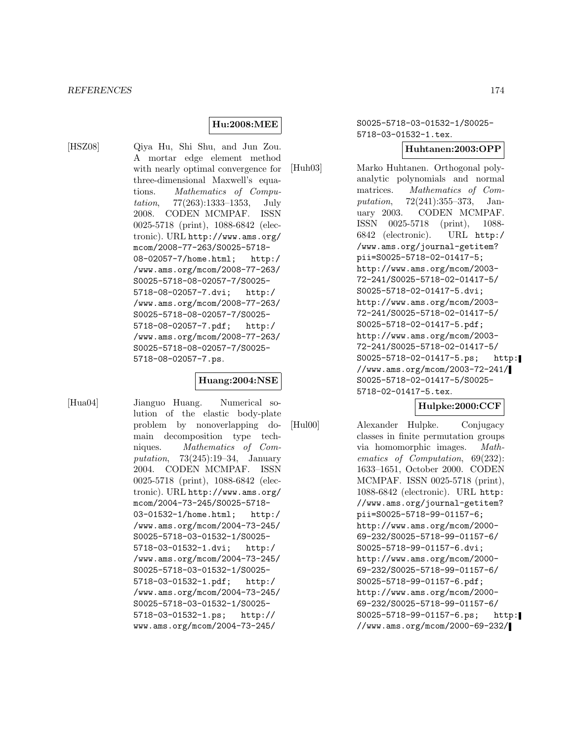#### *REFERENCES* 174

# **Hu:2008:MEE**

[HSZ08] Qiya Hu, Shi Shu, and Jun Zou. A mortar edge element method with nearly optimal convergence for three-dimensional Maxwell's equations. Mathematics of Computation, 77(263):1333–1353, July 2008. CODEN MCMPAF. ISSN 0025-5718 (print), 1088-6842 (electronic). URL http://www.ams.org/ mcom/2008-77-263/S0025-5718- 08-02057-7/home.html; http:/ /www.ams.org/mcom/2008-77-263/ S0025-5718-08-02057-7/S0025- 5718-08-02057-7.dvi; http:/ /www.ams.org/mcom/2008-77-263/ S0025-5718-08-02057-7/S0025- 5718-08-02057-7.pdf; http:/ /www.ams.org/mcom/2008-77-263/ S0025-5718-08-02057-7/S0025- 5718-08-02057-7.ps.

## **Huang:2004:NSE**

[Hua04] Jianguo Huang. Numerical solution of the elastic body-plate problem by nonoverlapping domain decomposition type techniques. Mathematics of Computation, 73(245):19–34, January 2004. CODEN MCMPAF. ISSN 0025-5718 (print), 1088-6842 (electronic). URL http://www.ams.org/ mcom/2004-73-245/S0025-5718- 03-01532-1/home.html; http:/ /www.ams.org/mcom/2004-73-245/ S0025-5718-03-01532-1/S0025- 5718-03-01532-1.dvi; http:/ /www.ams.org/mcom/2004-73-245/ S0025-5718-03-01532-1/S0025- 5718-03-01532-1.pdf; http:/ /www.ams.org/mcom/2004-73-245/ S0025-5718-03-01532-1/S0025- 5718-03-01532-1.ps; http:// www.ams.org/mcom/2004-73-245/

S0025-5718-03-01532-1/S0025- 5718-03-01532-1.tex.

#### **Huhtanen:2003:OPP**

[Huh03] Marko Huhtanen. Orthogonal polyanalytic polynomials and normal matrices. Mathematics of Computation, 72(241):355–373, January 2003. CODEN MCMPAF. ISSN 0025-5718 (print), 1088- 6842 (electronic). URL http:/ /www.ams.org/journal-getitem? pii=S0025-5718-02-01417-5; http://www.ams.org/mcom/2003- 72-241/S0025-5718-02-01417-5/ S0025-5718-02-01417-5.dvi; http://www.ams.org/mcom/2003- 72-241/S0025-5718-02-01417-5/ S0025-5718-02-01417-5.pdf; http://www.ams.org/mcom/2003- 72-241/S0025-5718-02-01417-5/ S0025-5718-02-01417-5.ps; http: //www.ams.org/mcom/2003-72-241/ S0025-5718-02-01417-5/S0025- 5718-02-01417-5.tex.

# **Hulpke:2000:CCF**

[Hul00] Alexander Hulpke. Conjugacy classes in finite permutation groups via homomorphic images. Mathematics of Computation, 69(232): 1633–1651, October 2000. CODEN MCMPAF. ISSN 0025-5718 (print), 1088-6842 (electronic). URL http: //www.ams.org/journal-getitem? pii=S0025-5718-99-01157-6; http://www.ams.org/mcom/2000- 69-232/S0025-5718-99-01157-6/ S0025-5718-99-01157-6.dvi; http://www.ams.org/mcom/2000- 69-232/S0025-5718-99-01157-6/ S0025-5718-99-01157-6.pdf; http://www.ams.org/mcom/2000- 69-232/S0025-5718-99-01157-6/ S0025-5718-99-01157-6.ps; http: //www.ams.org/mcom/2000-69-232/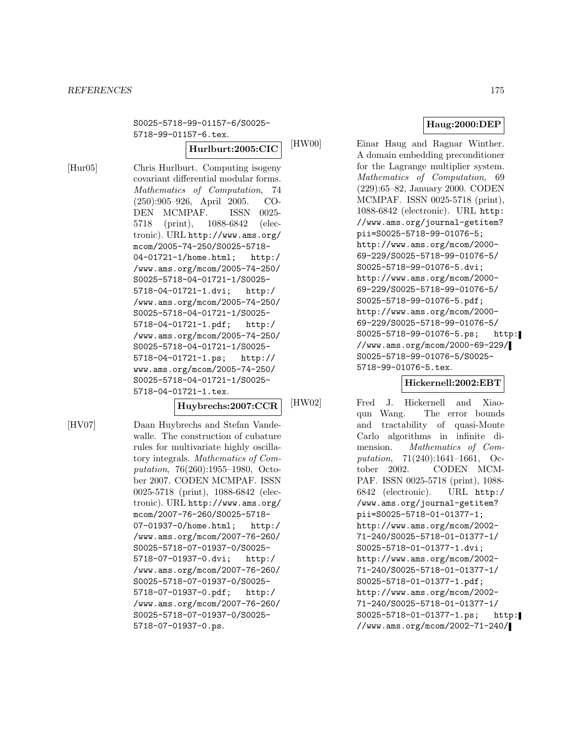#### *REFERENCES* 175

S0025-5718-99-01157-6/S0025- 5718-99-01157-6.tex.

**Hurlburt:2005:CIC**

[Hur05] Chris Hurlburt. Computing isogeny covariant differential modular forms. Mathematics of Computation, 74 (250):905–926, April 2005. CO-DEN MCMPAF. ISSN 0025- 5718 (print), 1088-6842 (electronic). URL http://www.ams.org/ mcom/2005-74-250/S0025-5718- 04-01721-1/home.html; http:/ /www.ams.org/mcom/2005-74-250/ S0025-5718-04-01721-1/S0025- 5718-04-01721-1.dvi; http:/ /www.ams.org/mcom/2005-74-250/ S0025-5718-04-01721-1/S0025- 5718-04-01721-1.pdf; http:/ /www.ams.org/mcom/2005-74-250/ S0025-5718-04-01721-1/S0025- 5718-04-01721-1.ps; http:// www.ams.org/mcom/2005-74-250/ S0025-5718-04-01721-1/S0025- 5718-04-01721-1.tex.

# **Huybrechs:2007:CCR**

[HV07] Daan Huybrechs and Stefan Vandewalle. The construction of cubature rules for multivariate highly oscillatory integrals. Mathematics of Computation, 76(260):1955–1980, October 2007. CODEN MCMPAF. ISSN 0025-5718 (print), 1088-6842 (electronic). URL http://www.ams.org/ mcom/2007-76-260/S0025-5718- 07-01937-0/home.html; http:/ /www.ams.org/mcom/2007-76-260/ S0025-5718-07-01937-0/S0025- 5718-07-01937-0.dvi; http:/ /www.ams.org/mcom/2007-76-260/ S0025-5718-07-01937-0/S0025- 5718-07-01937-0.pdf; http:/ /www.ams.org/mcom/2007-76-260/ S0025-5718-07-01937-0/S0025- 5718-07-01937-0.ps.

## **Haug:2000:DEP**

[HW00] Einar Haug and Ragnar Winther. A domain embedding preconditioner for the Lagrange multiplier system. Mathematics of Computation, 69 (229):65–82, January 2000. CODEN MCMPAF. ISSN 0025-5718 (print), 1088-6842 (electronic). URL http: //www.ams.org/journal-getitem? pii=S0025-5718-99-01076-5; http://www.ams.org/mcom/2000- 69-229/S0025-5718-99-01076-5/ S0025-5718-99-01076-5.dvi; http://www.ams.org/mcom/2000- 69-229/S0025-5718-99-01076-5/ S0025-5718-99-01076-5.pdf; http://www.ams.org/mcom/2000- 69-229/S0025-5718-99-01076-5/ S0025-5718-99-01076-5.ps; http: //www.ams.org/mcom/2000-69-229/ S0025-5718-99-01076-5/S0025- 5718-99-01076-5.tex.

#### **Hickernell:2002:EBT**

[HW02] Fred J. Hickernell and Xiaoqun Wang. The error bounds and tractability of quasi-Monte Carlo algorithms in infinite dimension. Mathematics of Computation, 71(240):1641–1661, October 2002. CODEN MCM-PAF. ISSN 0025-5718 (print), 1088- 6842 (electronic). URL http:/ /www.ams.org/journal-getitem? pii=S0025-5718-01-01377-1; http://www.ams.org/mcom/2002- 71-240/S0025-5718-01-01377-1/ S0025-5718-01-01377-1.dvi; http://www.ams.org/mcom/2002- 71-240/S0025-5718-01-01377-1/ S0025-5718-01-01377-1.pdf; http://www.ams.org/mcom/2002- 71-240/S0025-5718-01-01377-1/ S0025-5718-01-01377-1.ps; http: //www.ams.org/mcom/2002-71-240/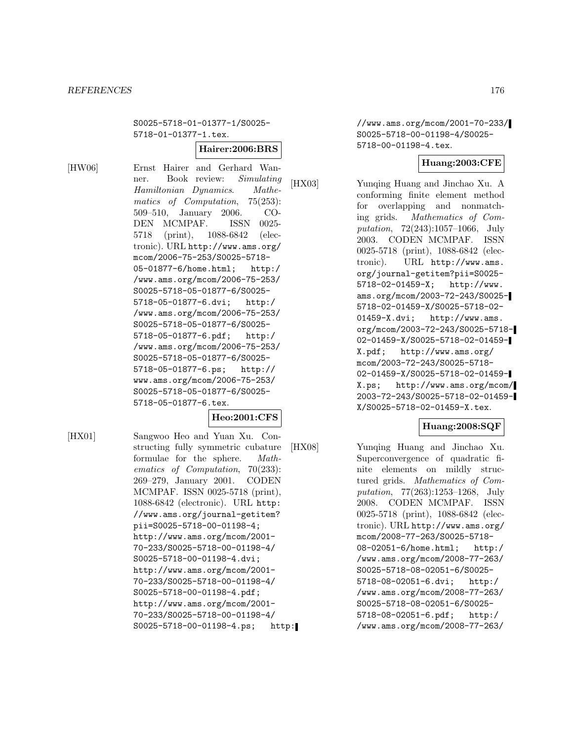S0025-5718-01-01377-1/S0025- 5718-01-01377-1.tex.

# **Hairer:2006:BRS**

[HW06] Ernst Hairer and Gerhard Wanner. Book review: Simulating Hamiltonian Dynamics. Mathematics of Computation, 75(253): 509–510, January 2006. CO-DEN MCMPAF. ISSN 0025- 5718 (print), 1088-6842 (electronic). URL http://www.ams.org/ mcom/2006-75-253/S0025-5718- 05-01877-6/home.html; http:/ /www.ams.org/mcom/2006-75-253/ S0025-5718-05-01877-6/S0025- 5718-05-01877-6.dvi; http:/ /www.ams.org/mcom/2006-75-253/ S0025-5718-05-01877-6/S0025- 5718-05-01877-6.pdf; http:/ /www.ams.org/mcom/2006-75-253/ S0025-5718-05-01877-6/S0025- 5718-05-01877-6.ps; http:// www.ams.org/mcom/2006-75-253/ S0025-5718-05-01877-6/S0025- 5718-05-01877-6.tex.

# **Heo:2001:CFS**

[HX01] Sangwoo Heo and Yuan Xu. Constructing fully symmetric cubature formulae for the sphere. Mathematics of Computation, 70(233): 269–279, January 2001. CODEN MCMPAF. ISSN 0025-5718 (print), 1088-6842 (electronic). URL http: //www.ams.org/journal-getitem? pii=S0025-5718-00-01198-4; http://www.ams.org/mcom/2001- 70-233/S0025-5718-00-01198-4/ S0025-5718-00-01198-4.dvi; http://www.ams.org/mcom/2001- 70-233/S0025-5718-00-01198-4/ S0025-5718-00-01198-4.pdf; http://www.ams.org/mcom/2001- 70-233/S0025-5718-00-01198-4/ S0025-5718-00-01198-4.ps; http: //www.ams.org/mcom/2001-70-233/ S0025-5718-00-01198-4/S0025- 5718-00-01198-4.tex.

### **Huang:2003:CFE**

[HX03] Yunqing Huang and Jinchao Xu. A conforming finite element method for overlapping and nonmatching grids. Mathematics of Computation, 72(243):1057–1066, July 2003. CODEN MCMPAF. ISSN 0025-5718 (print), 1088-6842 (electronic). URL http://www.ams. org/journal-getitem?pii=S0025- 5718-02-01459-X; http://www. ams.org/mcom/2003-72-243/S0025- 5718-02-01459-X/S0025-5718-02- 01459-X.dvi; http://www.ams. org/mcom/2003-72-243/S0025-5718- 02-01459-X/S0025-5718-02-01459- X.pdf; http://www.ams.org/ mcom/2003-72-243/S0025-5718- 02-01459-X/S0025-5718-02-01459- X.ps; http://www.ams.org/mcom/ 2003-72-243/S0025-5718-02-01459- X/S0025-5718-02-01459-X.tex.

# **Huang:2008:SQF**

[HX08] Yunqing Huang and Jinchao Xu. Superconvergence of quadratic finite elements on mildly structured grids. Mathematics of Computation, 77(263):1253–1268, July 2008. CODEN MCMPAF. ISSN 0025-5718 (print), 1088-6842 (electronic). URL http://www.ams.org/ mcom/2008-77-263/S0025-5718- 08-02051-6/home.html; http:/ /www.ams.org/mcom/2008-77-263/ S0025-5718-08-02051-6/S0025- 5718-08-02051-6.dvi; http:/ /www.ams.org/mcom/2008-77-263/ S0025-5718-08-02051-6/S0025- 5718-08-02051-6.pdf; http:/ /www.ams.org/mcom/2008-77-263/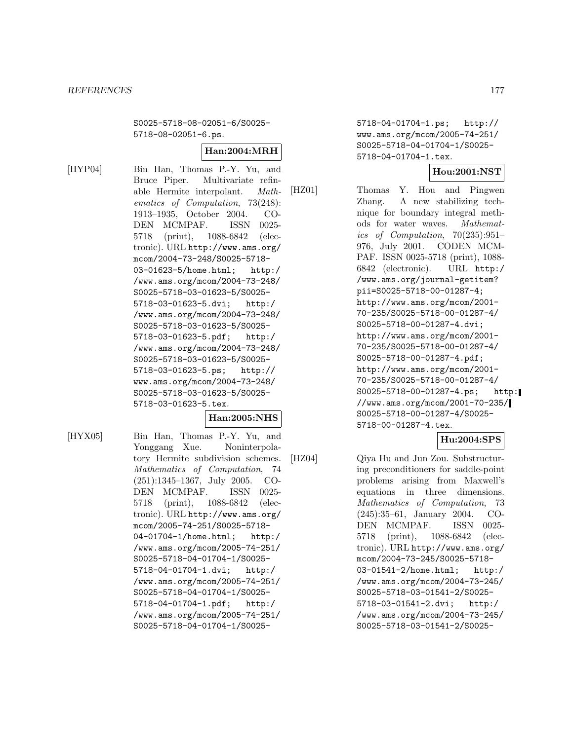S0025-5718-08-02051-6/S0025- 5718-08-02051-6.ps.

#### **Han:2004:MRH**

[HYP04] Bin Han, Thomas P.-Y. Yu, and Bruce Piper. Multivariate refinable Hermite interpolant. Mathematics of Computation, 73(248): 1913–1935, October 2004. CO-DEN MCMPAF. ISSN 0025- 5718 (print), 1088-6842 (electronic). URL http://www.ams.org/ mcom/2004-73-248/S0025-5718- 03-01623-5/home.html; http:/ /www.ams.org/mcom/2004-73-248/ S0025-5718-03-01623-5/S0025- 5718-03-01623-5.dvi; http:/ /www.ams.org/mcom/2004-73-248/ S0025-5718-03-01623-5/S0025- 5718-03-01623-5.pdf; http:/ /www.ams.org/mcom/2004-73-248/ S0025-5718-03-01623-5/S0025- 5718-03-01623-5.ps; http:// www.ams.org/mcom/2004-73-248/ S0025-5718-03-01623-5/S0025- 5718-03-01623-5.tex.

## **Han:2005:NHS**

[HYX05] Bin Han, Thomas P.-Y. Yu, and Yonggang Xue. Noninterpolatory Hermite subdivision schemes. Mathematics of Computation, 74 (251):1345–1367, July 2005. CO-DEN MCMPAF. ISSN 0025- 5718 (print), 1088-6842 (electronic). URL http://www.ams.org/ mcom/2005-74-251/S0025-5718- 04-01704-1/home.html; http:/ /www.ams.org/mcom/2005-74-251/ S0025-5718-04-01704-1/S0025- 5718-04-01704-1.dvi; http:/ /www.ams.org/mcom/2005-74-251/ S0025-5718-04-01704-1/S0025- 5718-04-01704-1.pdf; http:/ /www.ams.org/mcom/2005-74-251/ S0025-5718-04-01704-1/S00255718-04-01704-1.ps; http:// www.ams.org/mcom/2005-74-251/ S0025-5718-04-01704-1/S0025- 5718-04-01704-1.tex.

## **Hou:2001:NST**

[HZ01] Thomas Y. Hou and Pingwen Zhang. A new stabilizing technique for boundary integral methods for water waves. Mathematics of Computation, 70(235):951– 976, July 2001. CODEN MCM-PAF. ISSN 0025-5718 (print), 1088- 6842 (electronic). URL http:/ /www.ams.org/journal-getitem? pii=S0025-5718-00-01287-4; http://www.ams.org/mcom/2001- 70-235/S0025-5718-00-01287-4/ S0025-5718-00-01287-4.dvi; http://www.ams.org/mcom/2001- 70-235/S0025-5718-00-01287-4/ S0025-5718-00-01287-4.pdf; http://www.ams.org/mcom/2001- 70-235/S0025-5718-00-01287-4/ S0025-5718-00-01287-4.ps; http: //www.ams.org/mcom/2001-70-235/ S0025-5718-00-01287-4/S0025- 5718-00-01287-4.tex.

#### **Hu:2004:SPS**

[HZ04] Qiya Hu and Jun Zou. Substructuring preconditioners for saddle-point problems arising from Maxwell's equations in three dimensions. Mathematics of Computation, 73 (245):35–61, January 2004. CO-DEN MCMPAF. ISSN 0025- 5718 (print), 1088-6842 (electronic). URL http://www.ams.org/ mcom/2004-73-245/S0025-5718- 03-01541-2/home.html; http:/ /www.ams.org/mcom/2004-73-245/ S0025-5718-03-01541-2/S0025- 5718-03-01541-2.dvi; http:/ /www.ams.org/mcom/2004-73-245/ S0025-5718-03-01541-2/S0025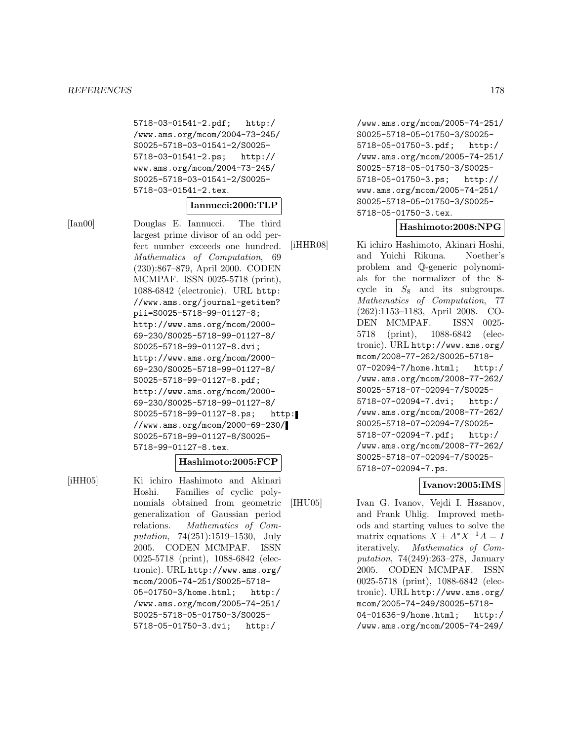5718-03-01541-2.pdf; http:/ /www.ams.org/mcom/2004-73-245/ S0025-5718-03-01541-2/S0025- 5718-03-01541-2.ps; http:// www.ams.org/mcom/2004-73-245/ S0025-5718-03-01541-2/S0025- 5718-03-01541-2.tex.

#### **Iannucci:2000:TLP**

[Ian00] Douglas E. Iannucci. The third largest prime divisor of an odd perfect number exceeds one hundred. Mathematics of Computation, 69 (230):867–879, April 2000. CODEN MCMPAF. ISSN 0025-5718 (print), 1088-6842 (electronic). URL http: //www.ams.org/journal-getitem? pii=S0025-5718-99-01127-8; http://www.ams.org/mcom/2000- 69-230/S0025-5718-99-01127-8/ S0025-5718-99-01127-8.dvi; http://www.ams.org/mcom/2000- 69-230/S0025-5718-99-01127-8/ S0025-5718-99-01127-8.pdf; http://www.ams.org/mcom/2000- 69-230/S0025-5718-99-01127-8/ S0025-5718-99-01127-8.ps; http: //www.ams.org/mcom/2000-69-230/ S0025-5718-99-01127-8/S0025- 5718-99-01127-8.tex.

#### **Hashimoto:2005:FCP**

[iHH05] Ki ichiro Hashimoto and Akinari Hoshi. Families of cyclic polynomials obtained from geometric generalization of Gaussian period relations. Mathematics of Computation, 74(251):1519–1530, July 2005. CODEN MCMPAF. ISSN 0025-5718 (print), 1088-6842 (electronic). URL http://www.ams.org/ mcom/2005-74-251/S0025-5718- 05-01750-3/home.html; http:/ /www.ams.org/mcom/2005-74-251/ S0025-5718-05-01750-3/S0025- 5718-05-01750-3.dvi; http:/

/www.ams.org/mcom/2005-74-251/ S0025-5718-05-01750-3/S0025- 5718-05-01750-3.pdf; http:/ /www.ams.org/mcom/2005-74-251/ S0025-5718-05-01750-3/S0025- 5718-05-01750-3.ps; http:// www.ams.org/mcom/2005-74-251/ S0025-5718-05-01750-3/S0025- 5718-05-01750-3.tex.

#### **Hashimoto:2008:NPG**

[iHHR08] Ki ichiro Hashimoto, Akinari Hoshi, and Yuichi Rikuna. Noether's problem and Q-generic polynomials for the normalizer of the 8 cycle in  $S_8$  and its subgroups. Mathematics of Computation, 77 (262):1153–1183, April 2008. CO-DEN MCMPAF. ISSN 0025- 5718 (print), 1088-6842 (electronic). URL http://www.ams.org/ mcom/2008-77-262/S0025-5718- 07-02094-7/home.html; http:/ /www.ams.org/mcom/2008-77-262/ S0025-5718-07-02094-7/S0025- 5718-07-02094-7.dvi; http:/ /www.ams.org/mcom/2008-77-262/ S0025-5718-07-02094-7/S0025- 5718-07-02094-7.pdf; http:/ /www.ams.org/mcom/2008-77-262/ S0025-5718-07-02094-7/S0025- 5718-07-02094-7.ps.

#### **Ivanov:2005:IMS**

[IHU05] Ivan G. Ivanov, Vejdi I. Hasanov, and Frank Uhlig. Improved methods and starting values to solve the matrix equations  $X \pm A^* X^{-1} A = I$ iteratively. Mathematics of Computation, 74(249):263–278, January 2005. CODEN MCMPAF. ISSN 0025-5718 (print), 1088-6842 (electronic). URL http://www.ams.org/ mcom/2005-74-249/S0025-5718- 04-01636-9/home.html; http:/ /www.ams.org/mcom/2005-74-249/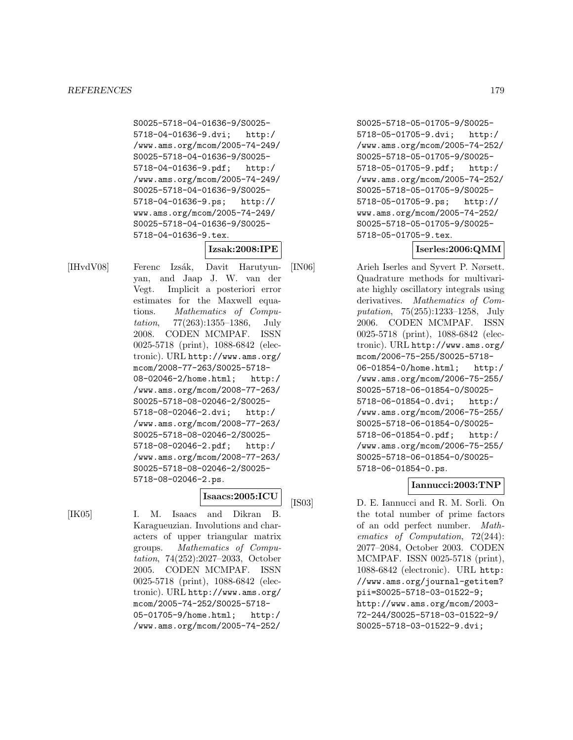S0025-5718-04-01636-9/S0025- 5718-04-01636-9.dvi; http:/ /www.ams.org/mcom/2005-74-249/ S0025-5718-04-01636-9/S0025- 5718-04-01636-9.pdf; http:/ /www.ams.org/mcom/2005-74-249/ S0025-5718-04-01636-9/S0025- 5718-04-01636-9.ps; http:// www.ams.org/mcom/2005-74-249/ S0025-5718-04-01636-9/S0025- 5718-04-01636-9.tex.

# **Izsak:2008:IPE**

[IHvdV08] Ferenc Izsák, Davit Harutyunyan, and Jaap J. W. van der Vegt. Implicit a posteriori error estimates for the Maxwell equations. Mathematics of Computation, 77(263):1355–1386, July 2008. CODEN MCMPAF. ISSN 0025-5718 (print), 1088-6842 (electronic). URL http://www.ams.org/ mcom/2008-77-263/S0025-5718- 08-02046-2/home.html; http:/ /www.ams.org/mcom/2008-77-263/ S0025-5718-08-02046-2/S0025- 5718-08-02046-2.dvi; http:/ /www.ams.org/mcom/2008-77-263/ S0025-5718-08-02046-2/S0025- 5718-08-02046-2.pdf; http:/ /www.ams.org/mcom/2008-77-263/ S0025-5718-08-02046-2/S0025- 5718-08-02046-2.ps.

## **Isaacs:2005:ICU**

[IK05] I. M. Isaacs and Dikran B. Karagueuzian. Involutions and characters of upper triangular matrix groups. Mathematics of Computation, 74(252):2027–2033, October 2005. CODEN MCMPAF. ISSN 0025-5718 (print), 1088-6842 (electronic). URL http://www.ams.org/ mcom/2005-74-252/S0025-5718- 05-01705-9/home.html; http:/ /www.ams.org/mcom/2005-74-252/

S0025-5718-05-01705-9/S0025- 5718-05-01705-9.dvi; http:/ /www.ams.org/mcom/2005-74-252/ S0025-5718-05-01705-9/S0025- 5718-05-01705-9.pdf; http:/ /www.ams.org/mcom/2005-74-252/ S0025-5718-05-01705-9/S0025- 5718-05-01705-9.ps; http:// www.ams.org/mcom/2005-74-252/ S0025-5718-05-01705-9/S0025- 5718-05-01705-9.tex.

# **Iserles:2006:QMM**

[IN06] Arieh Iserles and Syvert P. Nørsett. Quadrature methods for multivariate highly oscillatory integrals using derivatives. Mathematics of Computation, 75(255):1233–1258, July 2006. CODEN MCMPAF. ISSN 0025-5718 (print), 1088-6842 (electronic). URL http://www.ams.org/ mcom/2006-75-255/S0025-5718- 06-01854-0/home.html; http:/ /www.ams.org/mcom/2006-75-255/ S0025-5718-06-01854-0/S0025- 5718-06-01854-0.dvi; http:/ /www.ams.org/mcom/2006-75-255/ S0025-5718-06-01854-0/S0025- 5718-06-01854-0.pdf; http:/ /www.ams.org/mcom/2006-75-255/ S0025-5718-06-01854-0/S0025- 5718-06-01854-0.ps.

## **Iannucci:2003:TNP**

[IS03] D. E. Iannucci and R. M. Sorli. On the total number of prime factors of an odd perfect number. Mathematics of Computation, 72(244): 2077–2084, October 2003. CODEN MCMPAF. ISSN 0025-5718 (print), 1088-6842 (electronic). URL http: //www.ams.org/journal-getitem? pii=S0025-5718-03-01522-9; http://www.ams.org/mcom/2003- 72-244/S0025-5718-03-01522-9/ S0025-5718-03-01522-9.dvi;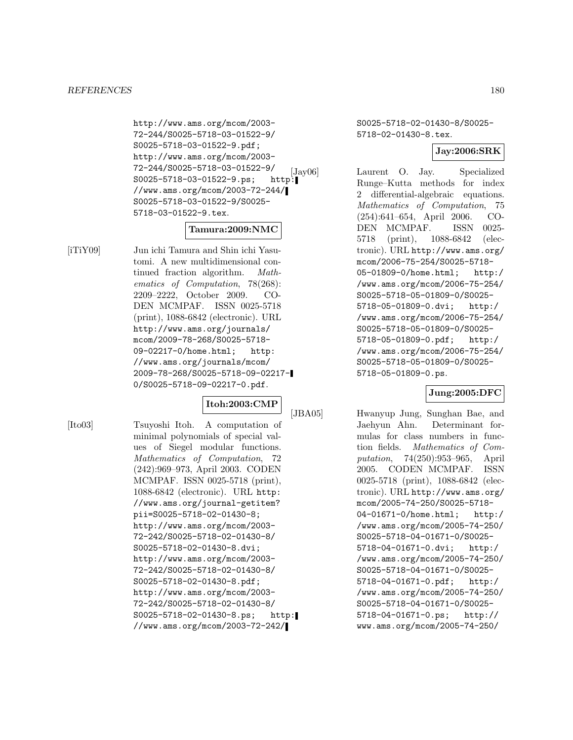http://www.ams.org/mcom/2003- 72-244/S0025-5718-03-01522-9/ S0025-5718-03-01522-9.pdf; http://www.ams.org/mcom/2003- 72-244/S0025-5718-03-01522-9/  $\begin{bmatrix} 72 - 244 \end{bmatrix}$  S0025-5718-03-01522-9.ps; http: //www.ams.org/mcom/2003-72-244/ S0025-5718-03-01522-9/S0025- 5718-03-01522-9.tex.

#### **Tamura:2009:NMC**

[iTiY09] Jun ichi Tamura and Shin ichi Yasutomi. A new multidimensional continued fraction algorithm. Mathematics of Computation, 78(268): 2209–2222, October 2009. CO-DEN MCMPAF. ISSN 0025-5718 (print), 1088-6842 (electronic). URL http://www.ams.org/journals/ mcom/2009-78-268/S0025-5718- 09-02217-0/home.html; http: //www.ams.org/journals/mcom/ 2009-78-268/S0025-5718-09-02217- 0/S0025-5718-09-02217-0.pdf.

## **Itoh:2003:CMP**

[Ito03] Tsuyoshi Itoh. A computation of minimal polynomials of special values of Siegel modular functions. Mathematics of Computation, 72 (242):969–973, April 2003. CODEN MCMPAF. ISSN 0025-5718 (print), 1088-6842 (electronic). URL http: //www.ams.org/journal-getitem? pii=S0025-5718-02-01430-8; http://www.ams.org/mcom/2003- 72-242/S0025-5718-02-01430-8/ S0025-5718-02-01430-8.dvi; http://www.ams.org/mcom/2003- 72-242/S0025-5718-02-01430-8/ S0025-5718-02-01430-8.pdf; http://www.ams.org/mcom/2003- 72-242/S0025-5718-02-01430-8/ S0025-5718-02-01430-8.ps; http: //www.ams.org/mcom/2003-72-242/

S0025-5718-02-01430-8/S0025- 5718-02-01430-8.tex.

# **Jay:2006:SRK**

Laurent O. Jay. Specialized Runge–Kutta methods for index 2 differential-algebraic equations. Mathematics of Computation, 75 (254):641–654, April 2006. CO-DEN MCMPAF. ISSN 0025- 5718 (print), 1088-6842 (electronic). URL http://www.ams.org/ mcom/2006-75-254/S0025-5718- 05-01809-0/home.html; http:/ /www.ams.org/mcom/2006-75-254/ S0025-5718-05-01809-0/S0025- 5718-05-01809-0.dvi; http:/ /www.ams.org/mcom/2006-75-254/ S0025-5718-05-01809-0/S0025- 5718-05-01809-0.pdf; http:/ /www.ams.org/mcom/2006-75-254/ S0025-5718-05-01809-0/S0025- 5718-05-01809-0.ps.

## **Jung:2005:DFC**

[JBA05] Hwanyup Jung, Sunghan Bae, and Jaehyun Ahn. Determinant formulas for class numbers in function fields. Mathematics of Computation, 74(250):953–965, April 2005. CODEN MCMPAF. ISSN 0025-5718 (print), 1088-6842 (electronic). URL http://www.ams.org/ mcom/2005-74-250/S0025-5718- 04-01671-0/home.html; http:/ /www.ams.org/mcom/2005-74-250/ S0025-5718-04-01671-0/S0025- 5718-04-01671-0.dvi; http:/ /www.ams.org/mcom/2005-74-250/ S0025-5718-04-01671-0/S0025- 5718-04-01671-0.pdf; http:/ /www.ams.org/mcom/2005-74-250/ S0025-5718-04-01671-0/S0025- 5718-04-01671-0.ps; http:// www.ams.org/mcom/2005-74-250/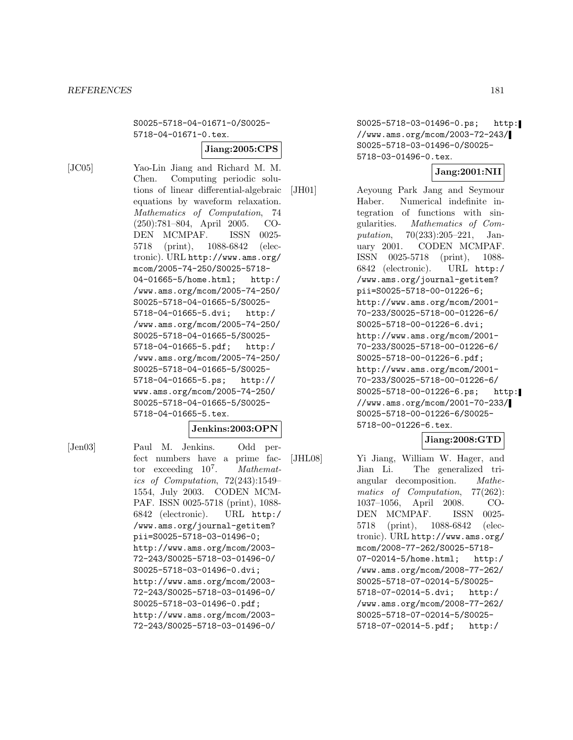S0025-5718-04-01671-0/S0025- 5718-04-01671-0.tex.

### **Jiang:2005:CPS**

[JC05] Yao-Lin Jiang and Richard M. M. Chen. Computing periodic solutions of linear differential-algebraic equations by waveform relaxation. Mathematics of Computation, 74 (250):781–804, April 2005. CO-DEN MCMPAF. ISSN 0025- 5718 (print), 1088-6842 (electronic). URL http://www.ams.org/ mcom/2005-74-250/S0025-5718- 04-01665-5/home.html; http:/ /www.ams.org/mcom/2005-74-250/ S0025-5718-04-01665-5/S0025- 5718-04-01665-5.dvi; http:/ /www.ams.org/mcom/2005-74-250/ S0025-5718-04-01665-5/S0025- 5718-04-01665-5.pdf; http:/ /www.ams.org/mcom/2005-74-250/ S0025-5718-04-01665-5/S0025- 5718-04-01665-5.ps; http:// www.ams.org/mcom/2005-74-250/ S0025-5718-04-01665-5/S0025- 5718-04-01665-5.tex.

#### **Jenkins:2003:OPN**

[Jen03] Paul M. Jenkins. Odd perfect numbers have a prime factor exceeding  $10^7$ . *Mathemat*ics of Computation, 72(243):1549– 1554, July 2003. CODEN MCM-PAF. ISSN 0025-5718 (print), 1088- 6842 (electronic). URL http:/ /www.ams.org/journal-getitem? pii=S0025-5718-03-01496-0; http://www.ams.org/mcom/2003- 72-243/S0025-5718-03-01496-0/ S0025-5718-03-01496-0.dvi; http://www.ams.org/mcom/2003- 72-243/S0025-5718-03-01496-0/ S0025-5718-03-01496-0.pdf; http://www.ams.org/mcom/2003- 72-243/S0025-5718-03-01496-0/

S0025-5718-03-01496-0.ps; http: //www.ams.org/mcom/2003-72-243/ S0025-5718-03-01496-0/S0025- 5718-03-01496-0.tex.

## **Jang:2001:NII**

[JH01] Aeyoung Park Jang and Seymour Haber. Numerical indefinite integration of functions with singularities. Mathematics of Computation, 70(233):205–221, January 2001. CODEN MCMPAF. ISSN 0025-5718 (print), 1088- 6842 (electronic). URL http:/ /www.ams.org/journal-getitem? pii=S0025-5718-00-01226-6; http://www.ams.org/mcom/2001- 70-233/S0025-5718-00-01226-6/ S0025-5718-00-01226-6.dvi; http://www.ams.org/mcom/2001- 70-233/S0025-5718-00-01226-6/ S0025-5718-00-01226-6.pdf; http://www.ams.org/mcom/2001- 70-233/S0025-5718-00-01226-6/ S0025-5718-00-01226-6.ps; http: //www.ams.org/mcom/2001-70-233/ S0025-5718-00-01226-6/S0025- 5718-00-01226-6.tex.

## **Jiang:2008:GTD**

[JHL08] Yi Jiang, William W. Hager, and Jian Li. The generalized triangular decomposition. Mathematics of Computation, 77(262): 1037–1056, April 2008. CO-DEN MCMPAF. ISSN 0025- 5718 (print), 1088-6842 (electronic). URL http://www.ams.org/ mcom/2008-77-262/S0025-5718- 07-02014-5/home.html; http:/ /www.ams.org/mcom/2008-77-262/ S0025-5718-07-02014-5/S0025- 5718-07-02014-5.dvi; http:/ /www.ams.org/mcom/2008-77-262/ S0025-5718-07-02014-5/S0025- 5718-07-02014-5.pdf; http:/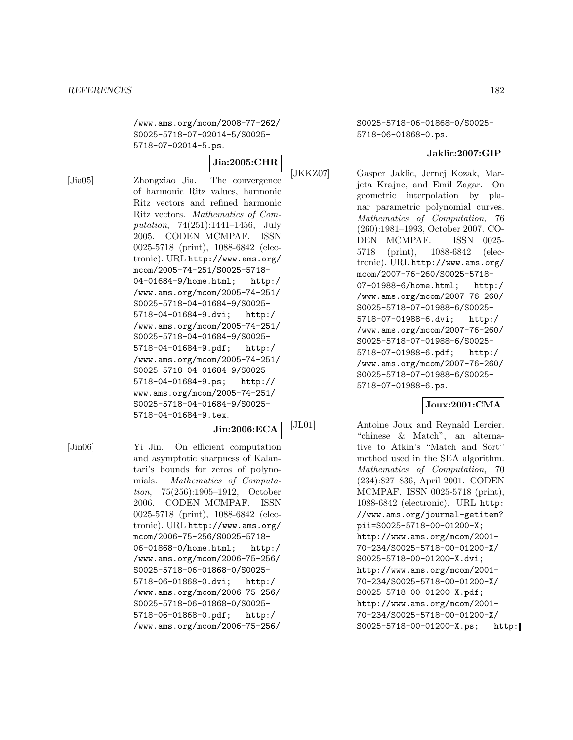/www.ams.org/mcom/2008-77-262/ S0025-5718-07-02014-5/S0025- 5718-07-02014-5.ps.

### **Jia:2005:CHR**

[Jia05] Zhongxiao Jia. The convergence of harmonic Ritz values, harmonic Ritz vectors and refined harmonic Ritz vectors. Mathematics of Computation, 74(251):1441–1456, July 2005. CODEN MCMPAF. ISSN 0025-5718 (print), 1088-6842 (electronic). URL http://www.ams.org/ mcom/2005-74-251/S0025-5718- 04-01684-9/home.html; http:/ /www.ams.org/mcom/2005-74-251/ S0025-5718-04-01684-9/S0025- 5718-04-01684-9.dvi; http:/ /www.ams.org/mcom/2005-74-251/ S0025-5718-04-01684-9/S0025- 5718-04-01684-9.pdf; http:/ /www.ams.org/mcom/2005-74-251/ S0025-5718-04-01684-9/S0025- 5718-04-01684-9.ps; http:// www.ams.org/mcom/2005-74-251/ S0025-5718-04-01684-9/S0025- 5718-04-01684-9.tex.

### **Jin:2006:ECA**

[Jin06] Yi Jin. On efficient computation and asymptotic sharpness of Kalantari's bounds for zeros of polynomials. Mathematics of Computation, 75(256):1905–1912, October 2006. CODEN MCMPAF. ISSN 0025-5718 (print), 1088-6842 (electronic). URL http://www.ams.org/ mcom/2006-75-256/S0025-5718- 06-01868-0/home.html; http:/ /www.ams.org/mcom/2006-75-256/ S0025-5718-06-01868-0/S0025- 5718-06-01868-0.dvi; http:/ /www.ams.org/mcom/2006-75-256/ S0025-5718-06-01868-0/S0025- 5718-06-01868-0.pdf; http:/ /www.ams.org/mcom/2006-75-256/

S0025-5718-06-01868-0/S0025- 5718-06-01868-0.ps.

## **Jaklic:2007:GIP**

[JKKZ07] Gasper Jaklic, Jernej Kozak, Marjeta Krajnc, and Emil Zagar. On geometric interpolation by planar parametric polynomial curves. Mathematics of Computation, 76 (260):1981–1993, October 2007. CO-DEN MCMPAF. ISSN 0025- 5718 (print), 1088-6842 (electronic). URL http://www.ams.org/ mcom/2007-76-260/S0025-5718- 07-01988-6/home.html; http:/ /www.ams.org/mcom/2007-76-260/ S0025-5718-07-01988-6/S0025- 5718-07-01988-6.dvi; http:/ /www.ams.org/mcom/2007-76-260/ S0025-5718-07-01988-6/S0025- 5718-07-01988-6.pdf; http:/ /www.ams.org/mcom/2007-76-260/ S0025-5718-07-01988-6/S0025- 5718-07-01988-6.ps.

## **Joux:2001:CMA**

[JL01] Antoine Joux and Reynald Lercier. "chinese & Match", an alternative to Atkin's "Match and Sort'' method used in the SEA algorithm. Mathematics of Computation, 70 (234):827–836, April 2001. CODEN MCMPAF. ISSN 0025-5718 (print), 1088-6842 (electronic). URL http: //www.ams.org/journal-getitem? pii=S0025-5718-00-01200-X; http://www.ams.org/mcom/2001- 70-234/S0025-5718-00-01200-X/ S0025-5718-00-01200-X.dvi; http://www.ams.org/mcom/2001- 70-234/S0025-5718-00-01200-X/ S0025-5718-00-01200-X.pdf; http://www.ams.org/mcom/2001- 70-234/S0025-5718-00-01200-X/ S0025-5718-00-01200-X.ps; http: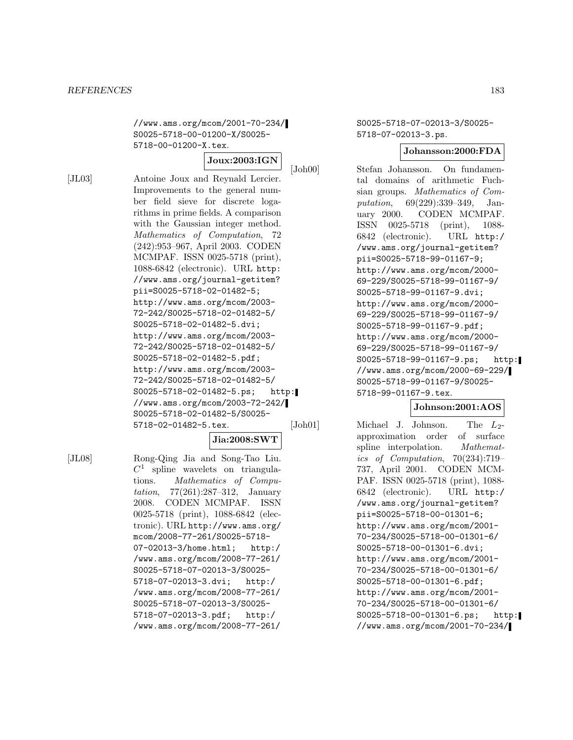//www.ams.org/mcom/2001-70-234/ S0025-5718-00-01200-X/S0025- 5718-00-01200-X.tex.

## **Joux:2003:IGN**

[JL03] Antoine Joux and Reynald Lercier. Improvements to the general number field sieve for discrete logarithms in prime fields. A comparison with the Gaussian integer method. Mathematics of Computation, 72 (242):953–967, April 2003. CODEN MCMPAF. ISSN 0025-5718 (print), 1088-6842 (electronic). URL http: //www.ams.org/journal-getitem? pii=S0025-5718-02-01482-5; http://www.ams.org/mcom/2003- 72-242/S0025-5718-02-01482-5/ S0025-5718-02-01482-5.dvi; http://www.ams.org/mcom/2003- 72-242/S0025-5718-02-01482-5/ S0025-5718-02-01482-5.pdf; http://www.ams.org/mcom/2003- 72-242/S0025-5718-02-01482-5/ S0025-5718-02-01482-5.ps; http: //www.ams.org/mcom/2003-72-242/ S0025-5718-02-01482-5/S0025- 5718-02-01482-5.tex.

### **Jia:2008:SWT**

[JL08] Rong-Qing Jia and Song-Tao Liu.  $C<sup>1</sup>$  spline wavelets on triangulations. Mathematics of Computation, 77(261):287–312, January 2008. CODEN MCMPAF. ISSN 0025-5718 (print), 1088-6842 (electronic). URL http://www.ams.org/ mcom/2008-77-261/S0025-5718- 07-02013-3/home.html; http:/ /www.ams.org/mcom/2008-77-261/ S0025-5718-07-02013-3/S0025- 5718-07-02013-3.dvi; http:/ /www.ams.org/mcom/2008-77-261/ S0025-5718-07-02013-3/S0025- 5718-07-02013-3.pdf; http:/ /www.ams.org/mcom/2008-77-261/

S0025-5718-07-02013-3/S0025- 5718-07-02013-3.ps.

### **Johansson:2000:FDA**

[Joh00] Stefan Johansson. On fundamental domains of arithmetic Fuchsian groups. Mathematics of Computation, 69(229):339–349, January 2000. CODEN MCMPAF. ISSN 0025-5718 (print), 1088- 6842 (electronic). URL http:/ /www.ams.org/journal-getitem? pii=S0025-5718-99-01167-9; http://www.ams.org/mcom/2000- 69-229/S0025-5718-99-01167-9/ S0025-5718-99-01167-9.dvi; http://www.ams.org/mcom/2000- 69-229/S0025-5718-99-01167-9/ S0025-5718-99-01167-9.pdf; http://www.ams.org/mcom/2000- 69-229/S0025-5718-99-01167-9/ S0025-5718-99-01167-9.ps; http: //www.ams.org/mcom/2000-69-229/ S0025-5718-99-01167-9/S0025- 5718-99-01167-9.tex.

### **Johnson:2001:AOS**

[Joh01] Michael J. Johnson. The  $L_2$ approximation order of surface spline interpolation. Mathematics of Computation, 70(234):719– 737, April 2001. CODEN MCM-PAF. ISSN 0025-5718 (print), 1088- 6842 (electronic). URL http:/ /www.ams.org/journal-getitem? pii=S0025-5718-00-01301-6; http://www.ams.org/mcom/2001- 70-234/S0025-5718-00-01301-6/ S0025-5718-00-01301-6.dvi; http://www.ams.org/mcom/2001- 70-234/S0025-5718-00-01301-6/ S0025-5718-00-01301-6.pdf; http://www.ams.org/mcom/2001- 70-234/S0025-5718-00-01301-6/ S0025-5718-00-01301-6.ps; http: //www.ams.org/mcom/2001-70-234/